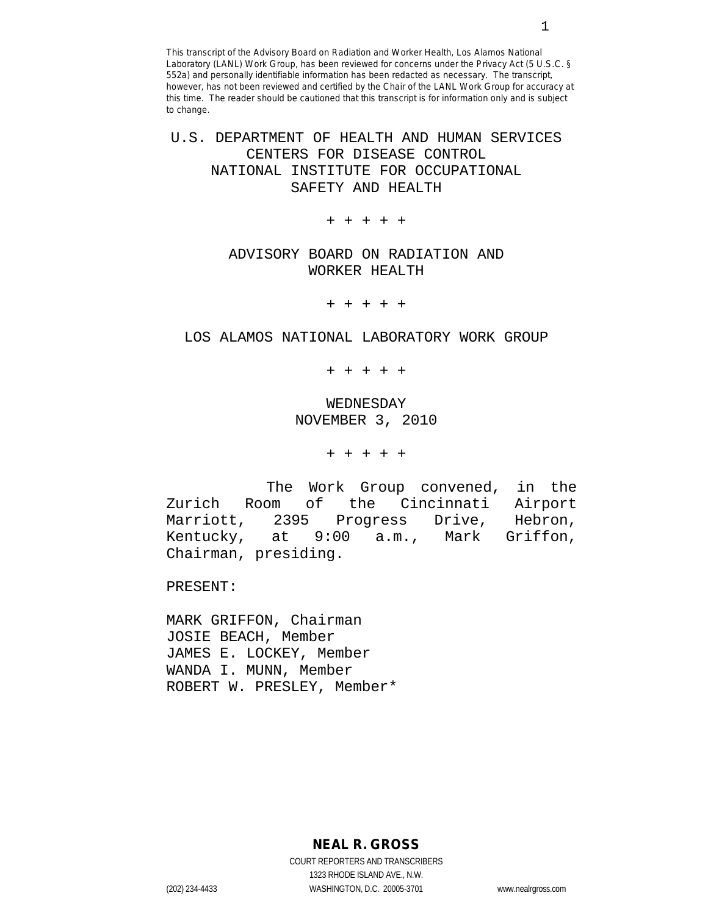U.S. DEPARTMENT OF HEALTH AND HUMAN SERVICES CENTERS FOR DISEASE CONTROL NATIONAL INSTITUTE FOR OCCUPATIONAL SAFETY AND HEALTH

+ + + + +

## ADVISORY BOARD ON RADIATION AND WORKER HEALTH

+ + + + +

## LOS ALAMOS NATIONAL LABORATORY WORK GROUP

+ + + + +

WEDNESDAY NOVEMBER 3, 2010

+ + + + +

The Work Group convened, in the<br>Zurich Room of the Cincinnati Airport Zurich Room of the Cincinnati Airport<br>Marriott, 2395 Progress Drive, Hebron, Progress Drive, Kentucky, at 9:00 a.m., Mark Griffon, Chairman, presiding.

PRESENT:

MARK GRIFFON, Chairman JOSIE BEACH, Member JAMES E. LOCKEY, Member WANDA I. MUNN, Member ROBERT W. PRESLEY, Member\*

**NEAL R. GROSS**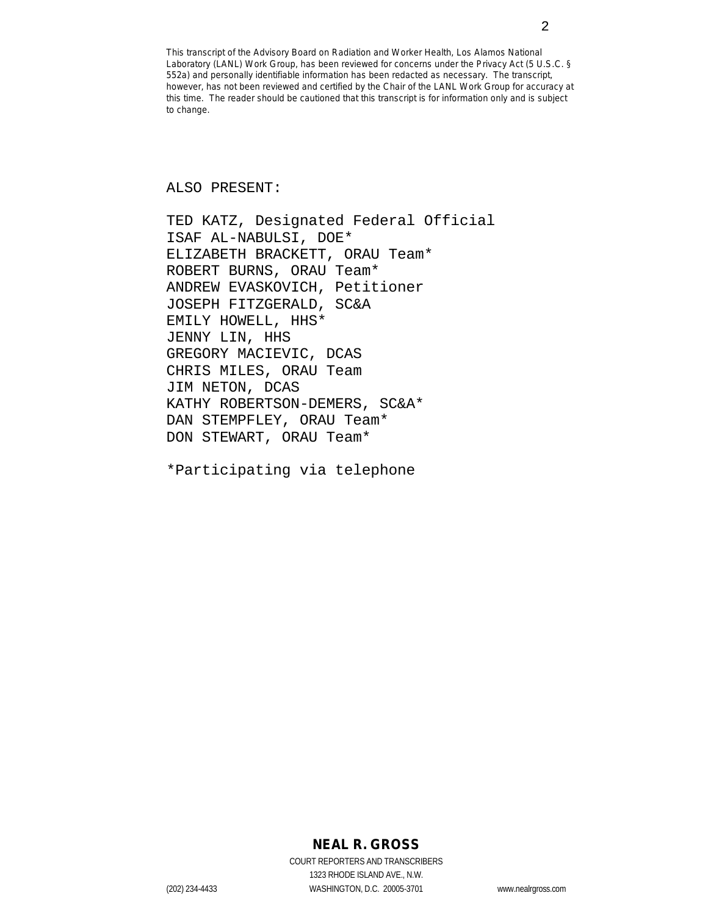## ALSO PRESENT:

TED KATZ, Designated Federal Official ISAF AL-NABULSI, DOE\* ELIZABETH BRACKETT, ORAU Team\* ROBERT BURNS, ORAU Team\* ANDREW EVASKOVICH, Petitioner JOSEPH FITZGERALD, SC&A EMILY HOWELL, HHS\* JENNY LIN, HHS GREGORY MACIEVIC, DCAS CHRIS MILES, ORAU Team JIM NETON, DCAS KATHY ROBERTSON-DEMERS, SC&A\* DAN STEMPFLEY, ORAU Team\* DON STEWART, ORAU Team\*

\*Participating via telephone

## **NEAL R. GROSS**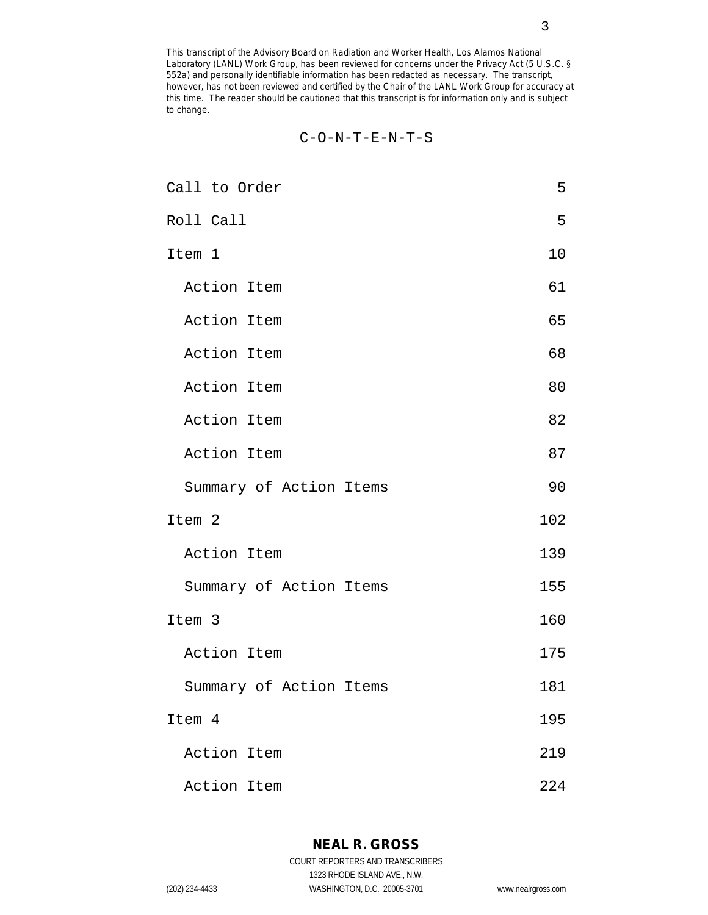$$
C-O-N-T-E-N-T-S
$$

| Call to Order           | 5   |
|-------------------------|-----|
| Roll Call               | 5   |
| Item 1                  | 10  |
| Action Item             | 61  |
| Action Item             | 65  |
| Action Item             | 68  |
| Action Item             | 80  |
| Action Item             | 82  |
| Action Item             | 87  |
| Summary of Action Items | 90  |
| Item 2                  | 102 |
| Action Item             | 139 |
| Summary of Action Items | 155 |
| Item 3                  | 160 |
| Action Item             | 175 |
| Summary of Action Items | 181 |
| Item 4                  | 195 |
| Action Item             | 219 |
| Action Item             | 224 |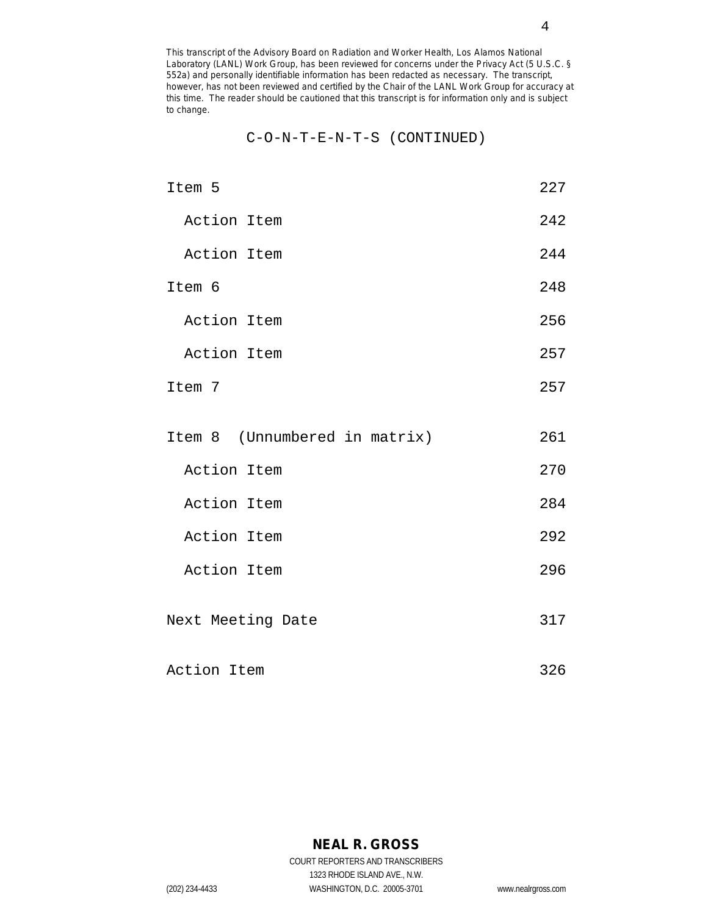C-O-N-T-E-N-T-S (CONTINUED)

| Item 5                        | 227 |
|-------------------------------|-----|
| Action Item                   | 242 |
| Action Item                   | 244 |
| Item 6                        | 248 |
| Action Item                   | 256 |
| Action Item                   | 257 |
| Item 7                        | 257 |
|                               |     |
| Item 8 (Unnumbered in matrix) | 261 |
| Action Item                   | 270 |
| Action Item                   | 284 |
| Action Item                   | 292 |
| Action Item                   | 296 |
| Next Meeting Date             | 317 |
| Action Item                   | 326 |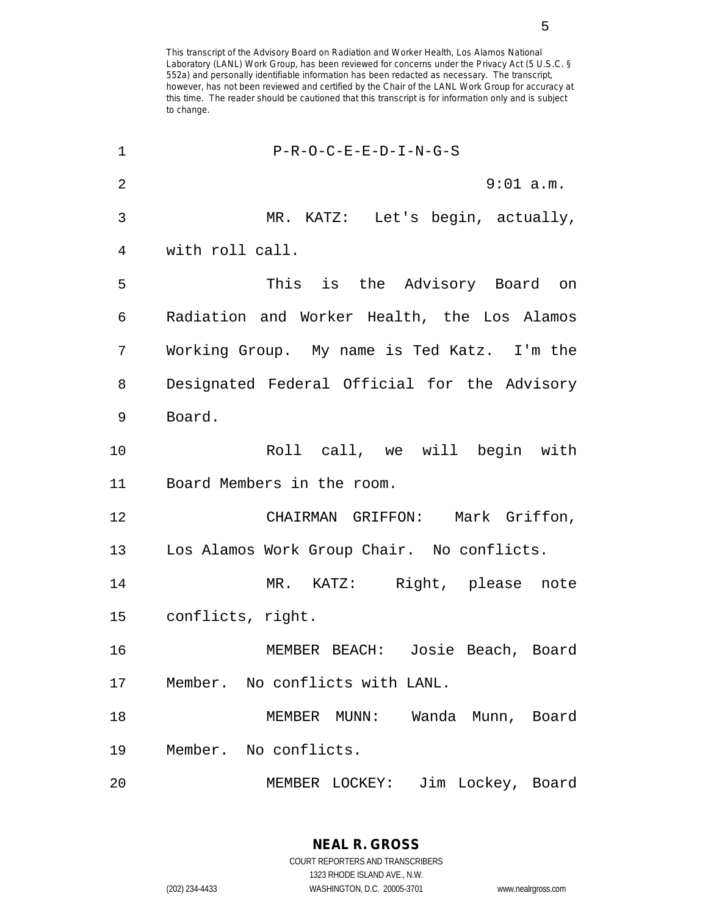1 P-R-O-C-E-E-D-I-N-G-S 2 9:01 a.m. 3 MR. KATZ: Let's begin, actually, 4 with roll call. 5 This is the Advisory Board on 6 Radiation and Worker Health, the Los Alamos 7 Working Group. My name is Ted Katz. I'm the 8 Designated Federal Official for the Advisory 9 Board. 10 Roll call, we will begin with 11 Board Members in the room. 12 CHAIRMAN GRIFFON: Mark Griffon, 13 Los Alamos Work Group Chair. No conflicts. 14 MR. KATZ: Right, please note 15 conflicts, right. 16 MEMBER BEACH: Josie Beach, Board 17 Member. No conflicts with LANL. 18 MEMBER MUNN: Wanda Munn, Board 19 Member. No conflicts. 20 MEMBER LOCKEY: Jim Lockey, Board

> **NEAL R. GROSS** COURT REPORTERS AND TRANSCRIBERS 1323 RHODE ISLAND AVE., N.W. (202) 234-4433 WASHINGTON, D.C. 20005-3701 www.nealrgross.com

 $\sim$  5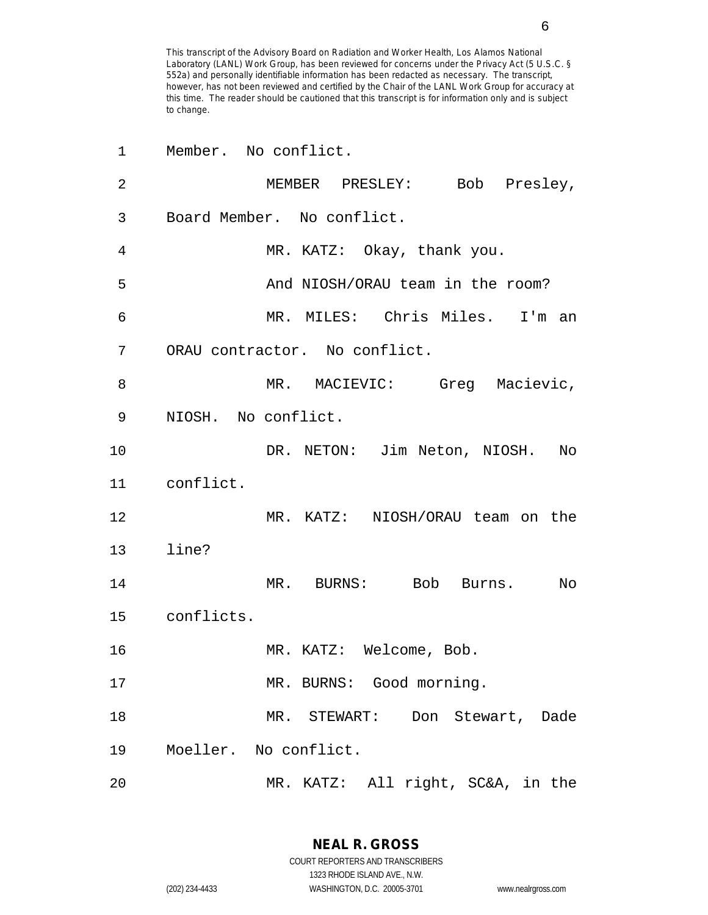| 1              | Member. No conflict.               |
|----------------|------------------------------------|
| $\overline{2}$ | MEMBER PRESLEY: Bob Presley,       |
| 3              | Board Member. No conflict.         |
| 4              | MR. KATZ: Okay, thank you.         |
| 5              | And NIOSH/ORAU team in the room?   |
| 6              | MR. MILES: Chris Miles. I'm an     |
| 7              | ORAU contractor. No conflict.      |
| 8              | MR. MACIEVIC: Greg Macievic,       |
| 9              | NIOSH. No conflict.                |
| 10             | DR. NETON: Jim Neton, NIOSH.<br>No |
| 11             | conflict.                          |
| 12             | MR. KATZ: NIOSH/ORAU team on the   |
| 13             | line?                              |
| 14             | MR. BURNS: Bob Burns.<br>No        |
| 15             | conflicts.                         |
| 16             | MR. KATZ: Welcome, Bob.            |
| 17             | MR. BURNS: Good morning.           |
| 18             | MR. STEWART:<br>Don Stewart, Dade  |
| 19             | Moeller. No conflict.              |
| 20             | MR. KATZ: All right, SC&A, in the  |

**NEAL R. GROSS** COURT REPORTERS AND TRANSCRIBERS 1323 RHODE ISLAND AVE., N.W.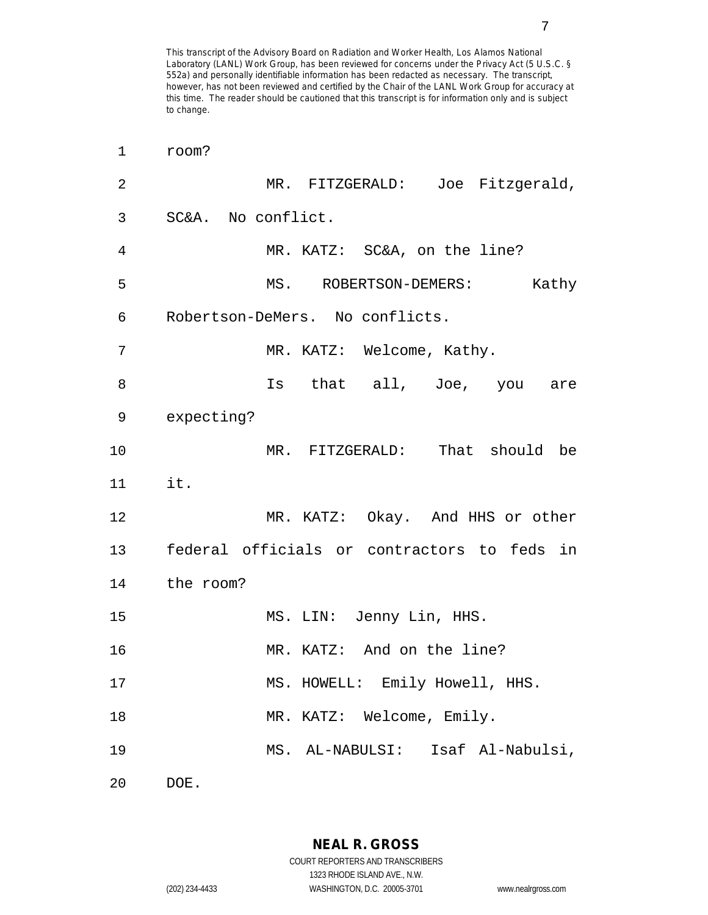| 1  | room?                                       |
|----|---------------------------------------------|
| 2  | MR. FITZGERALD: Joe Fitzgerald,             |
| 3  | SC&A. No conflict.                          |
| 4  | MR. KATZ: SC&A, on the line?                |
| 5  | MS. ROBERTSON-DEMERS: Kathy                 |
| 6  | Robertson-DeMers. No conflicts.             |
| 7  | MR. KATZ: Welcome, Kathy.                   |
| 8  | Is that all, Joe, you are                   |
| 9  | expecting?                                  |
| 10 | MR. FITZGERALD: That should be              |
| 11 | $i$ it.                                     |
| 12 | MR. KATZ: Okay. And HHS or other            |
| 13 | federal officials or contractors to feds in |
| 14 | the room?                                   |
| 15 | MS. LIN: Jenny Lin, HHS.                    |
| 16 | MR. KATZ: And on the line?                  |
| 17 | MS. HOWELL: Emily Howell, HHS.              |
| 18 | MR. KATZ: Welcome, Emily.                   |
| 19 | MS. AL-NABULSI: Isaf Al-Nabulsi,            |
| 20 | DOE.                                        |

**NEAL R. GROSS**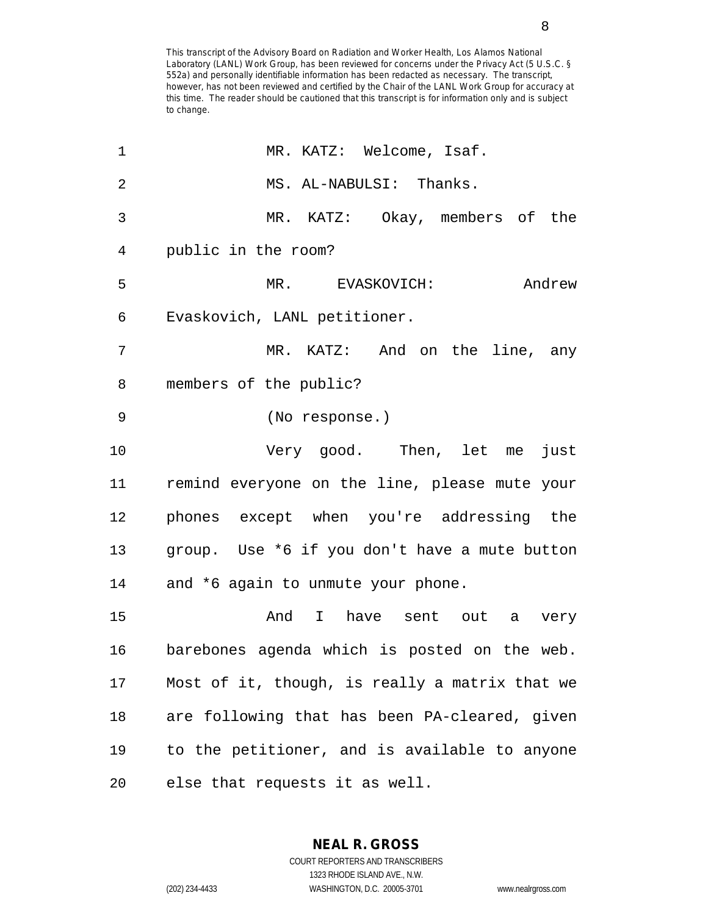| 1              | MR. KATZ: Welcome, Isaf.                       |
|----------------|------------------------------------------------|
| $\overline{2}$ | MS. AL-NABULSI: Thanks.                        |
| 3              | MR. KATZ: Okay, members of the                 |
| 4              | public in the room?                            |
| 5              | MR. EVASKOVICH:<br>Andrew                      |
| 6              | Evaskovich, LANL petitioner.                   |
| 7              | MR. KATZ: And on the line, any                 |
| 8              | members of the public?                         |
| 9              | (No response.)                                 |
| 10             | Very good. Then, let me<br>just                |
| 11             | remind everyone on the line, please mute your  |
| 12             | phones except when you're addressing the       |
| 13             | group. Use *6 if you don't have a mute button  |
| 14             | and *6 again to unmute your phone.             |
| 15             | And I have sent out a<br>very                  |
| 16             | barebones agenda which is posted on the web.   |
| 17             | Most of it, though, is really a matrix that we |
| 18             | are following that has been PA-cleared, given  |
| 19             | to the petitioner, and is available to anyone  |
| 20             | else that requests it as well.                 |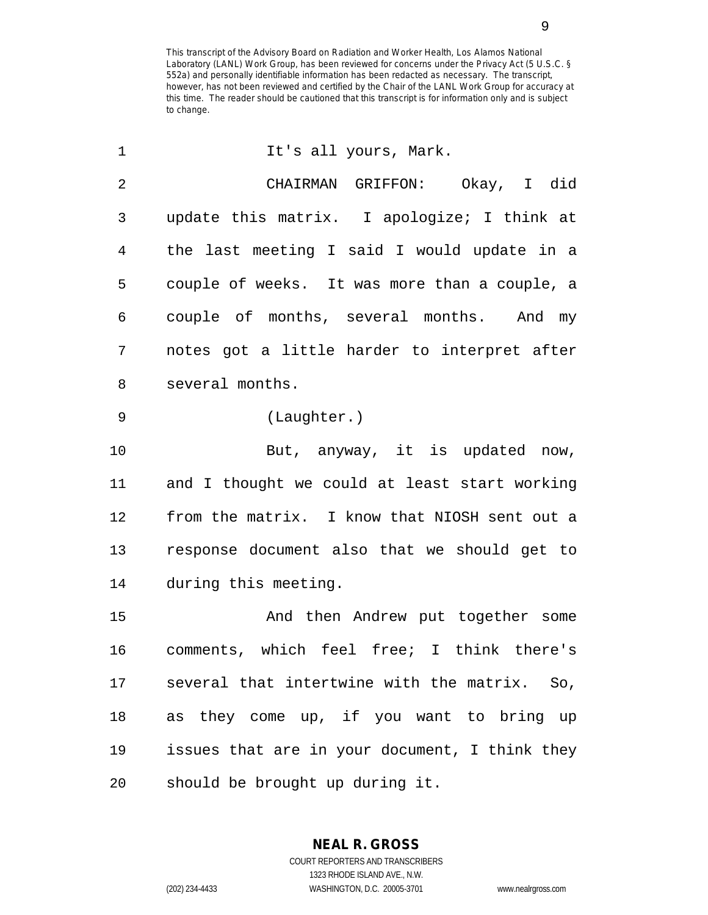| $\mathbf 1$    | It's all yours, Mark.                          |
|----------------|------------------------------------------------|
| $\overline{2}$ | CHAIRMAN GRIFFON: Okay, I did                  |
| 3              | update this matrix. I apologize; I think at    |
| 4              | the last meeting I said I would update in a    |
| 5              | couple of weeks. It was more than a couple, a  |
| 6              | couple of months, several months. And my       |
| 7              | notes got a little harder to interpret after   |
| 8              | several months.                                |
| 9              | (Laughter.)                                    |
| 10             | But, anyway, it is updated now,                |
| 11             | and I thought we could at least start working  |
| 12             | from the matrix. I know that NIOSH sent out a  |
| 13             | response document also that we should get to   |
| 14             | during this meeting.                           |
| 15             | And then Andrew put together some              |
| 16             | comments, which feel free; I think there's     |
| 17             | several that intertwine with the matrix. So,   |
| 18             | as they come up, if you want to bring up       |
| 19             | issues that are in your document, I think they |
| 20             | should be brought up during it.                |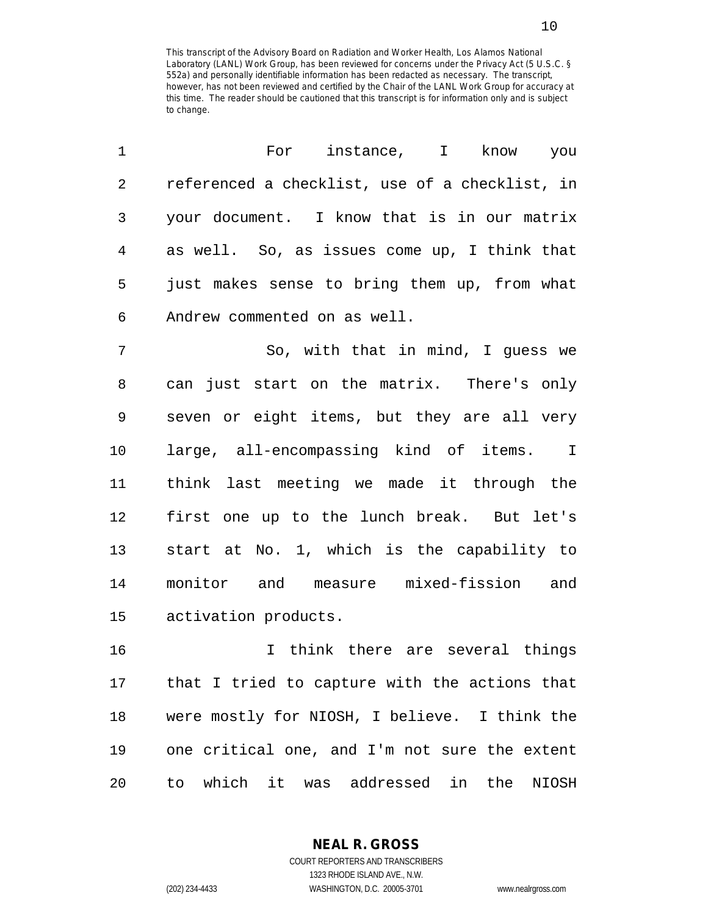| 1              | instance, I<br>know<br>For<br>you                        |
|----------------|----------------------------------------------------------|
| $\overline{2}$ | referenced a checklist, use of a checklist, in           |
| 3              | your document. I know that is in our matrix              |
| $\overline{4}$ | as well. So, as issues come up, I think that             |
| 5              | just makes sense to bring them up, from what             |
| 6              | Andrew commented on as well.                             |
| 7              | So, with that in mind, I guess we                        |
| 8              | can just start on the matrix. There's only               |
| 9              | seven or eight items, but they are all very              |
| 10             | large, all-encompassing kind of items.<br>$\overline{I}$ |
| 11             | think last meeting we made it through the                |
| 12             | first one up to the lunch break. But let's               |
| 13             | start at No. 1, which is the capability to               |
| 14             | monitor and measure mixed-fission and                    |
| 15             | activation products.                                     |
| 16             | I think there are several things                         |
|                |                                                          |

17 that I tried to capture with the actions that 18 were mostly for NIOSH, I believe. I think the 19 one critical one, and I'm not sure the extent 20 to which it was addressed in the NIOSH

> **NEAL R. GROSS** COURT REPORTERS AND TRANSCRIBERS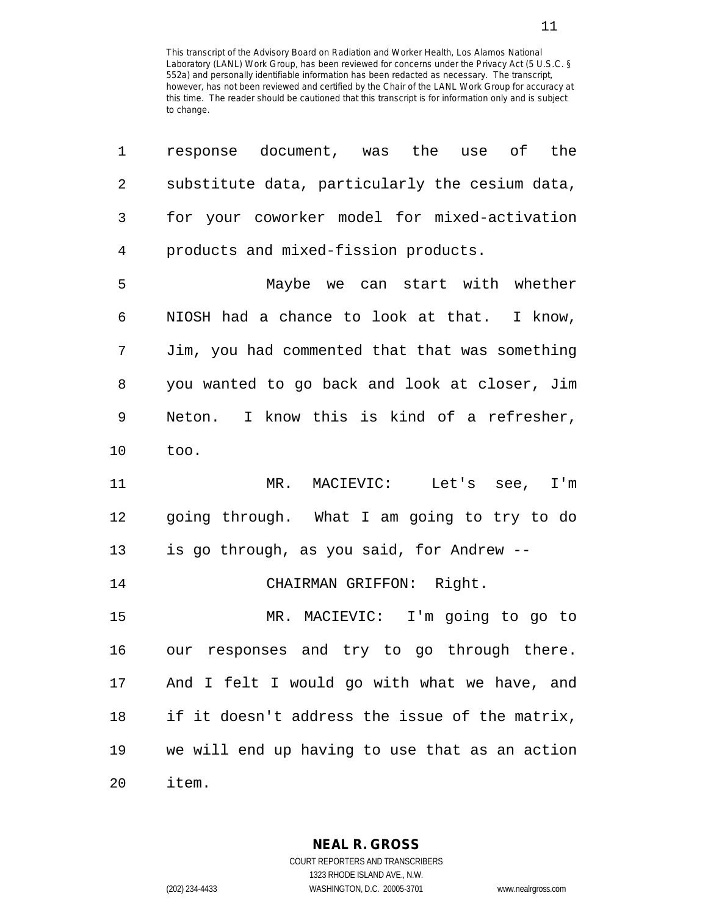| 1              | response document, was the use of the          |
|----------------|------------------------------------------------|
| $\overline{2}$ | substitute data, particularly the cesium data, |
| 3              | for your coworker model for mixed-activation   |
| $\overline{4}$ | products and mixed-fission products.           |
| 5              | Maybe we can start with whether                |
| 6              | NIOSH had a chance to look at that. I know,    |
| 7              | Jim, you had commented that that was something |
| 8              | you wanted to go back and look at closer, Jim  |
| 9              | Neton. I know this is kind of a refresher,     |
| 10             | too.                                           |
| 11             | MR. MACIEVIC: Let's see, I'm                   |
| 12             | going through. What I am going to try to do    |
| 13             | is go through, as you said, for Andrew --      |
| 14             | CHAIRMAN GRIFFON: Right.                       |
| 15             | MR. MACIEVIC: I'm going to go to               |
| 16             | our responses and try to go through there.     |
| 17             | And I felt I would go with what we have, and   |
| 18             | if it doesn't address the issue of the matrix, |
| 19             | we will end up having to use that as an action |
| 20             | item.                                          |

**NEAL R. GROSS** COURT REPORTERS AND TRANSCRIBERS 1323 RHODE ISLAND AVE., N.W.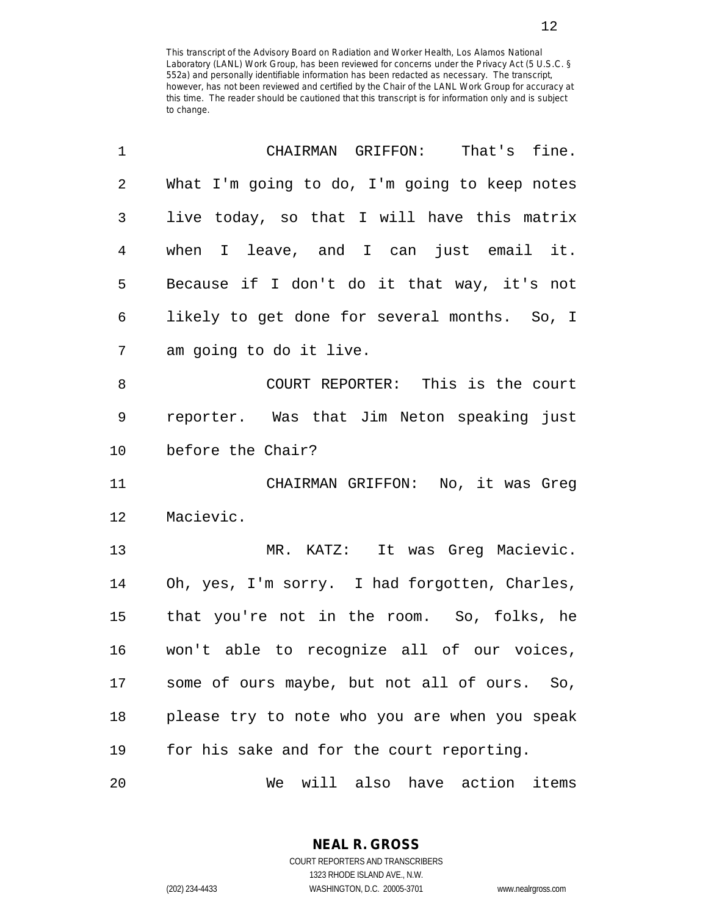| 1          | That's fine.<br>CHAIRMAN GRIFFON:             |
|------------|-----------------------------------------------|
| $\sqrt{2}$ | What I'm going to do, I'm going to keep notes |
| 3          | live today, so that I will have this matrix   |
| 4          | when I leave, and I can just email it.        |
| 5          | Because if I don't do it that way, it's not   |
| 6          | likely to get done for several months. So, I  |
| 7          | am going to do it live.                       |
| 8          | COURT REPORTER: This is the court             |
| 9          | reporter. Was that Jim Neton speaking just    |
| 10         | before the Chair?                             |
| 11         | CHAIRMAN GRIFFON: No, it was Greg             |
| 12         | Macievic.                                     |
| 13         | MR. KATZ: It was Greg Macievic.               |
| 14         | Oh, yes, I'm sorry. I had forgotten, Charles, |
| 15         | that you're not in the room. So, folks, he    |
| 16         | won't able to recognize all of our voices,    |
| 17         | some of ours maybe, but not all of ours. So,  |
| 18         | please try to note who you are when you speak |
| 19         | for his sake and for the court reporting.     |
| 20         | We will also have action items                |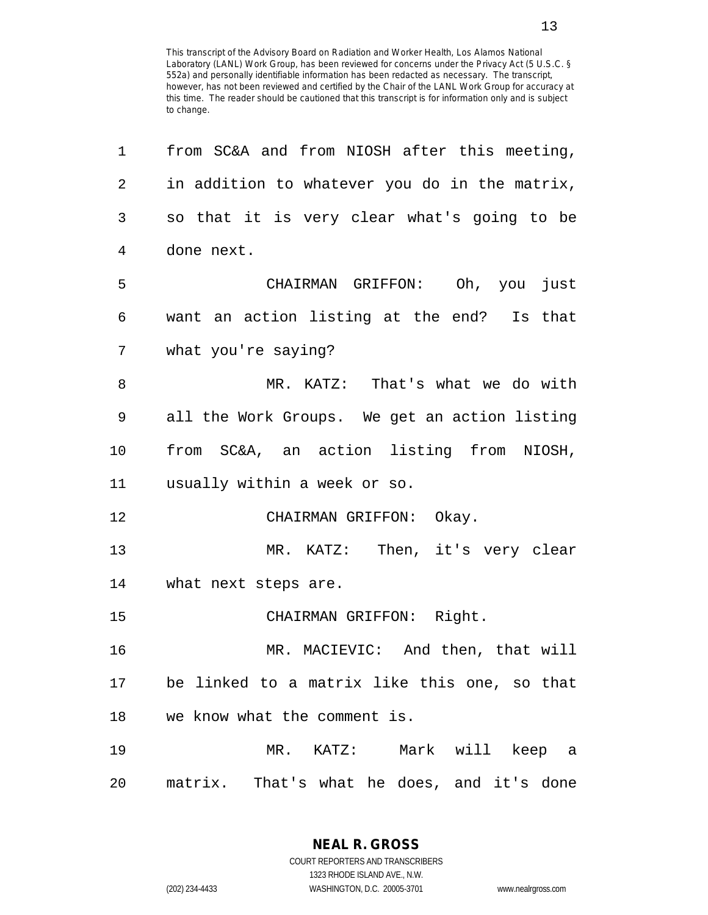| $\mathbf 1$ | from SC&A and from NIOSH after this meeting,  |
|-------------|-----------------------------------------------|
| 2           | in addition to whatever you do in the matrix, |
| 3           | so that it is very clear what's going to be   |
| 4           | done next.                                    |
| 5           | CHAIRMAN GRIFFON: Oh, you just                |
| 6           | want an action listing at the end? Is that    |
| 7           | what you're saying?                           |
| 8           | MR. KATZ: That's what we do with              |
| 9           | all the Work Groups. We get an action listing |
| 10          | from SC&A, an action listing from NIOSH,      |
| 11          | usually within a week or so.                  |
| 12          | CHAIRMAN GRIFFON: Okay.                       |
| 13          | MR. KATZ: Then, it's very clear               |
| 14          | what next steps are.                          |
| 15          | CHAIRMAN GRIFFON: Right.                      |
| 16          | MR. MACIEVIC: And then, that will             |
| 17          | be linked to a matrix like this one, so that  |
| 18          | we know what the comment is.                  |
| 19          | MR. KATZ: Mark will keep a                    |
| 20          | matrix. That's what he does, and it's done    |

**NEAL R. GROSS**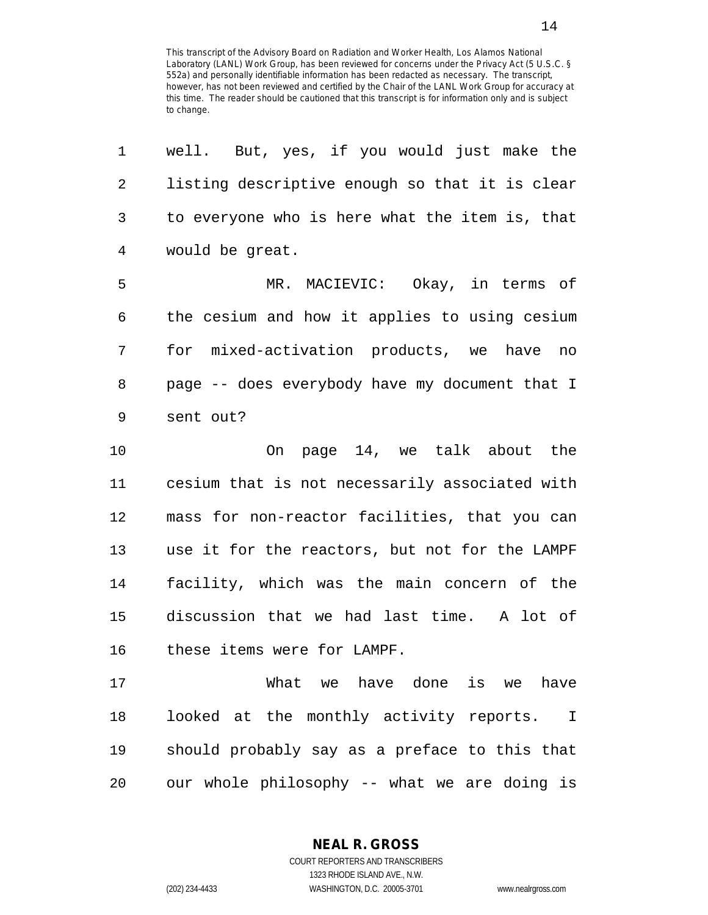1 well. But, yes, if you would just make the 2 listing descriptive enough so that it is clear 3 to everyone who is here what the item is, that 4 would be great. 5 MR. MACIEVIC: Okay, in terms of 6 the cesium and how it applies to using cesium 7 for mixed-activation products, we have no 8 page -- does everybody have my document that I 9 sent out? 10 On page 14, we talk about the 11 cesium that is not necessarily associated with 12 mass for non-reactor facilities, that you can 13 use it for the reactors, but not for the LAMPF

15 discussion that we had last time. A lot of 16 these items were for LAMPF.

14 facility, which was the main concern of the

17 What we have done is we have 18 looked at the monthly activity reports. I 19 should probably say as a preface to this that 20 our whole philosophy -- what we are doing is

**NEAL R. GROSS**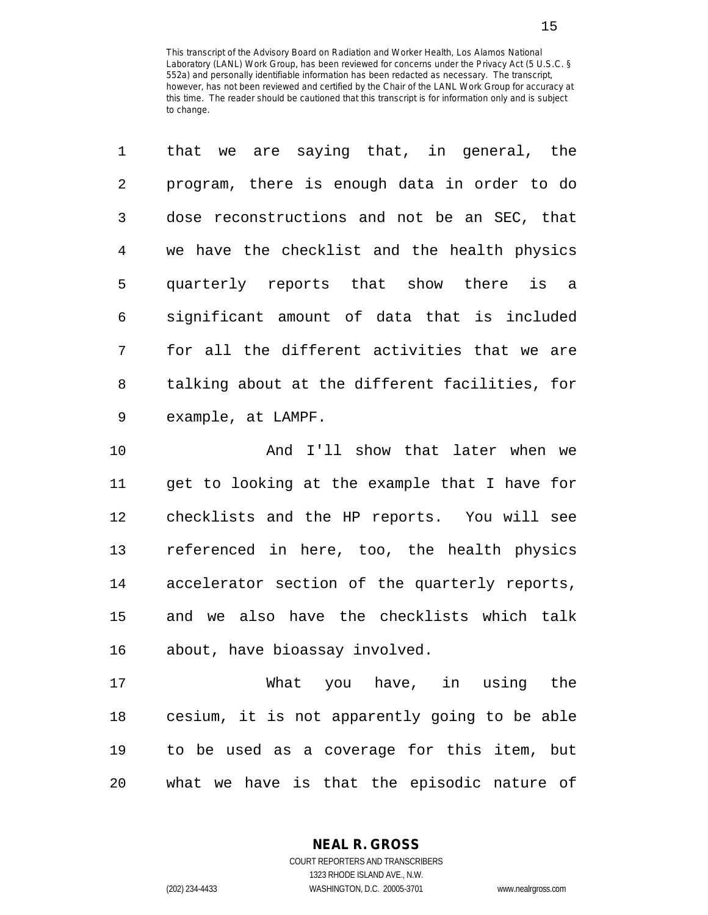| $\mathbf{1}$    | that we are saying that, in general, the       |
|-----------------|------------------------------------------------|
| $2^{\circ}$     | program, there is enough data in order to do   |
| $\mathbf{3}$    | dose reconstructions and not be an SEC, that   |
| $4\overline{ }$ | we have the checklist and the health physics   |
| 5               | quarterly reports that show there is a         |
| 6               | significant amount of data that is included    |
| 7               | for all the different activities that we are   |
| 8               | talking about at the different facilities, for |
| 9               | example, at LAMPF.                             |

10 And I'll show that later when we 11 get to looking at the example that I have for 12 checklists and the HP reports. You will see 13 referenced in here, too, the health physics 14 accelerator section of the quarterly reports, 15 and we also have the checklists which talk 16 about, have bioassay involved.

17 What you have, in using the 18 cesium, it is not apparently going to be able 19 to be used as a coverage for this item, but 20 what we have is that the episodic nature of

> **NEAL R. GROSS** COURT REPORTERS AND TRANSCRIBERS

1323 RHODE ISLAND AVE., N.W. (202) 234-4433 WASHINGTON, D.C. 20005-3701 www.nealrgross.com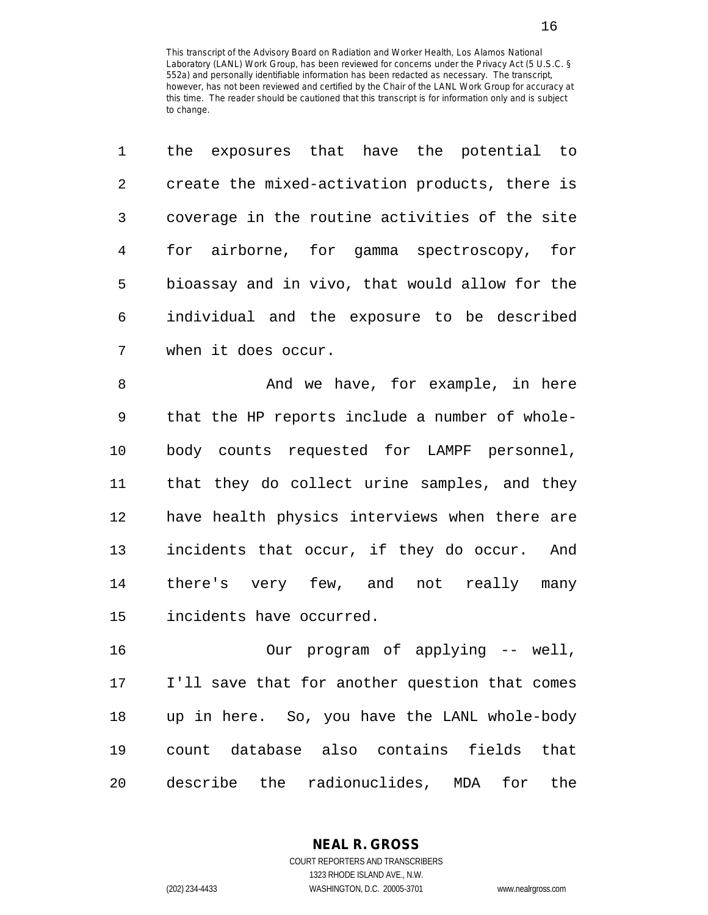16

|                | the exposures that have the potential to       |
|----------------|------------------------------------------------|
| $\overline{2}$ | create the mixed-activation products, there is |
| 3              | coverage in the routine activities of the site |
| 4              | for airborne, for gamma spectroscopy, for      |
| 5              | bioassay and in vivo, that would allow for the |
| 6              | individual and the exposure to be described    |
| 7              | when it does occur.                            |

8 And we have, for example, in here 9 that the HP reports include a number of whole-10 body counts requested for LAMPF personnel, 11 that they do collect urine samples, and they 12 have health physics interviews when there are 13 incidents that occur, if they do occur. And 14 there's very few, and not really many 15 incidents have occurred.

16 Our program of applying -- well, 17 I'll save that for another question that comes 18 up in here. So, you have the LANL whole-body 19 count database also contains fields that 20 describe the radionuclides, MDA for the

> **NEAL R. GROSS** COURT REPORTERS AND TRANSCRIBERS

> > 1323 RHODE ISLAND AVE., N.W.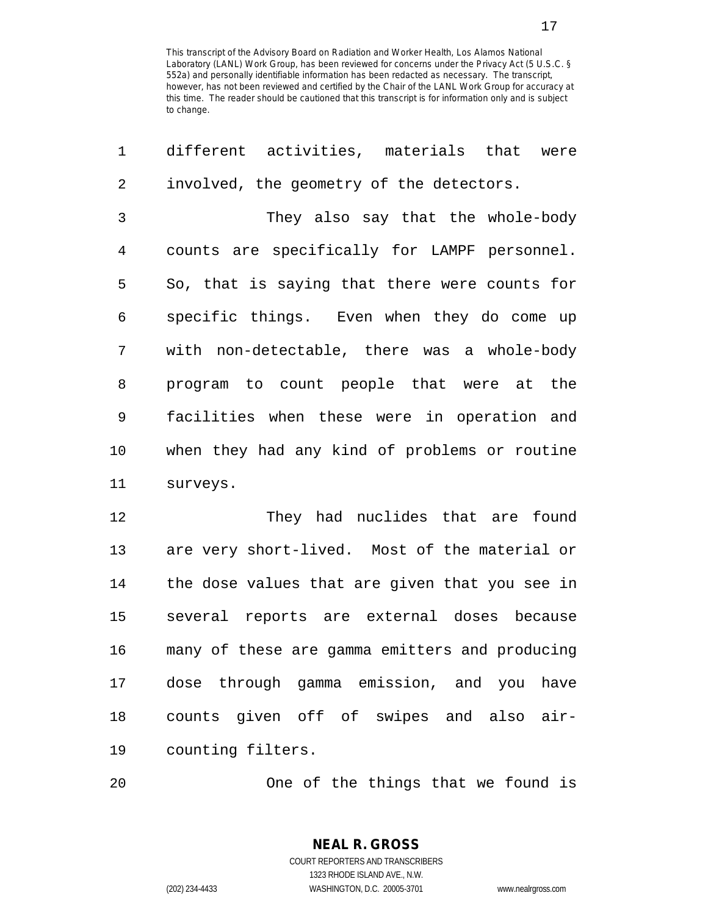| 1              | different activities, materials that were      |
|----------------|------------------------------------------------|
| 2              | involved, the geometry of the detectors.       |
| 3              | They also say that the whole-body              |
| $\overline{4}$ | counts are specifically for LAMPF personnel.   |
| 5              | So, that is saying that there were counts for  |
| 6              | specific things. Even when they do come up     |
| 7              | with non-detectable, there was a whole-body    |
| 8              | program to count people that were at the       |
| 9              | facilities when these were in operation and    |
| 10             | when they had any kind of problems or routine  |
| 11             | surveys.                                       |
| 12             | They had nuclides that are found               |
| 13             | are very short-lived. Most of the material or  |
| 14             | the dose values that are given that you see in |
| 15             | several reports are external doses because     |
| 16             | many of these are gamma emitters and producing |
| 17             | dose through gamma emission, and you have      |
| 18             | counts given off of swipes and also air-       |
| 19             | counting filters.                              |

20 One of the things that we found is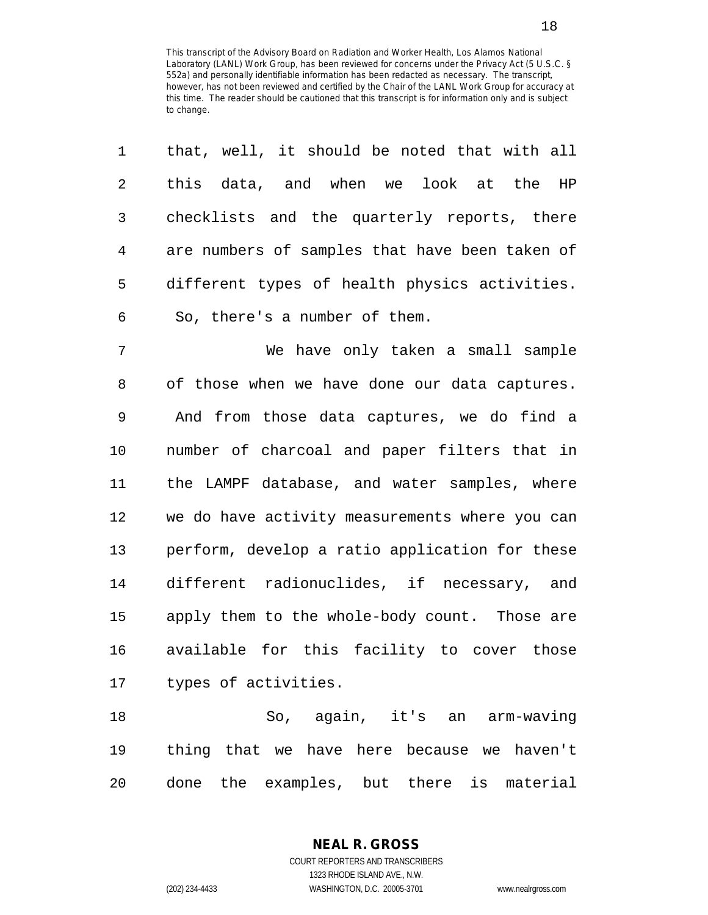|                | that, well, it should be noted that with all   |
|----------------|------------------------------------------------|
| $\overline{2}$ | this data, and when we look at the HP          |
| 3 <sup>7</sup> | checklists and the quarterly reports, there    |
| 4              | are numbers of samples that have been taken of |
| 5              | different types of health physics activities.  |
| 6              | So, there's a number of them.                  |

7 We have only taken a small sample 8 of those when we have done our data captures. 9 And from those data captures, we do find a 10 number of charcoal and paper filters that in 11 the LAMPF database, and water samples, where 12 we do have activity measurements where you can 13 perform, develop a ratio application for these 14 different radionuclides, if necessary, and 15 apply them to the whole-body count. Those are 16 available for this facility to cover those 17 types of activities.

18 So, again, it's an arm-waving 19 thing that we have here because we haven't 20 done the examples, but there is material

**NEAL R. GROSS**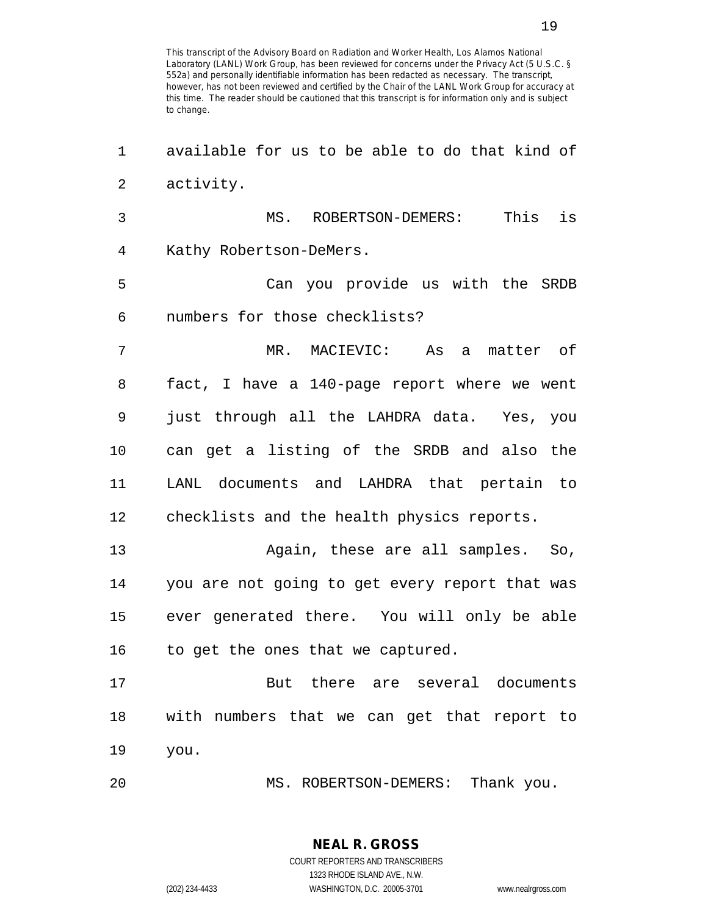1 available for us to be able to do that kind of 2 activity. 3 MS. ROBERTSON-DEMERS: This is 4 Kathy Robertson-DeMers. 5 Can you provide us with the SRDB 6 numbers for those checklists? 7 MR. MACIEVIC: As a matter of 8 fact, I have a 140-page report where we went 9 just through all the LAHDRA data. Yes, you 10 can get a listing of the SRDB and also the 11 LANL documents and LAHDRA that pertain to 12 checklists and the health physics reports. 13 Again, these are all samples. So, 14 you are not going to get every report that was 15 ever generated there. You will only be able 16 to get the ones that we captured. 17 But there are several documents 18 with numbers that we can get that report to 19 you.

> COURT REPORTERS AND TRANSCRIBERS 1323 RHODE ISLAND AVE., N.W. (202) 234-4433 WASHINGTON, D.C. 20005-3701 www.nealrgross.com

**NEAL R. GROSS**

20 MS. ROBERTSON-DEMERS: Thank you.

19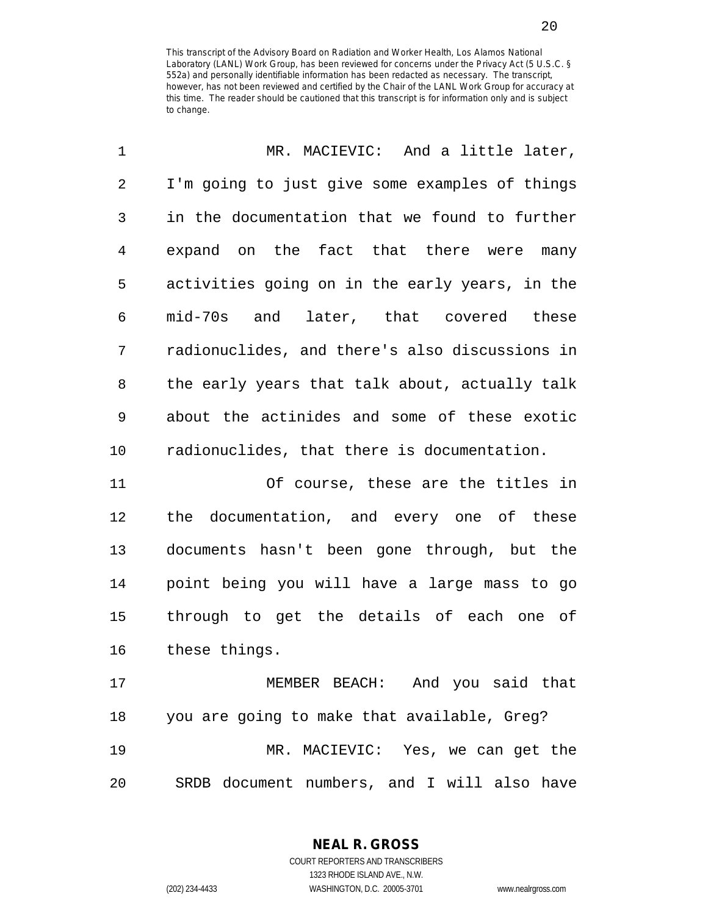| 1  | MR. MACIEVIC: And a little later,              |
|----|------------------------------------------------|
| 2  | I'm going to just give some examples of things |
| 3  | in the documentation that we found to further  |
| 4  | expand on the fact that there were<br>many     |
| 5  | activities going on in the early years, in the |
| 6  | mid-70s and later, that covered these          |
| 7  | radionuclides, and there's also discussions in |
| 8  | the early years that talk about, actually talk |
| 9  | about the actinides and some of these exotic   |
| 10 | radionuclides, that there is documentation.    |
| 11 | Of course, these are the titles in             |
| 12 | the documentation, and every one of these      |
| 13 | documents hasn't been gone through, but the    |
| 14 | point being you will have a large mass to go   |
| 15 | through to get the details of each one of      |
| 16 | these things.                                  |
| 17 | MEMBER BEACH: And you said that                |
| 18 | you are going to make that available, Greg?    |
| 19 | MR. MACIEVIC: Yes, we can get the              |

20 SRDB document numbers, and I will also have

**NEAL R. GROSS**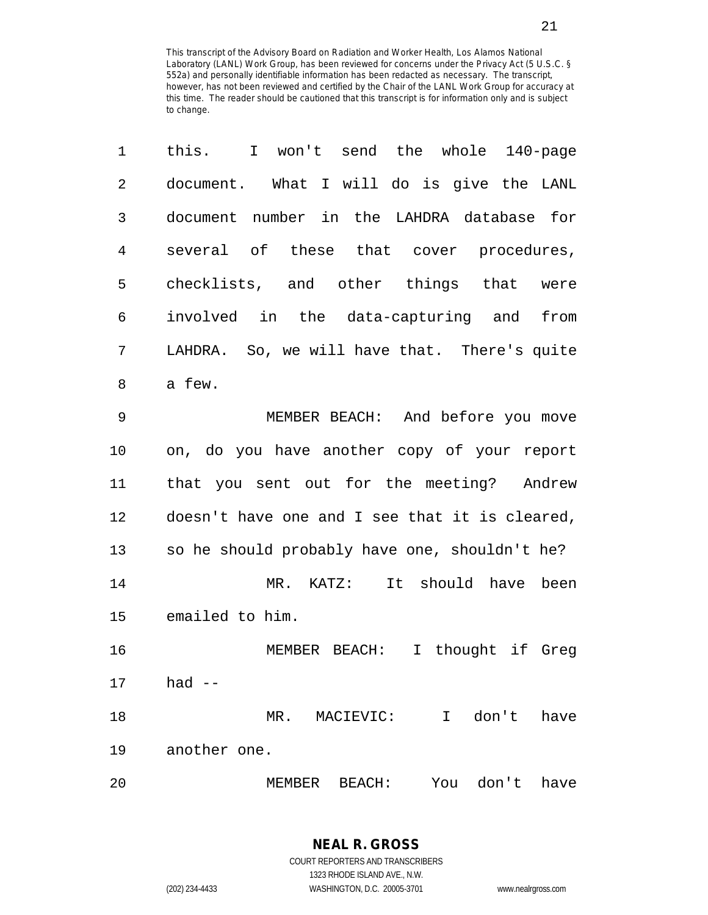| 1  | I won't send the whole 140-page<br>this.       |
|----|------------------------------------------------|
| 2  | document. What I will do is give the LANL      |
| 3  | document number in the LAHDRA database for     |
| 4  | several of these that cover procedures,        |
| 5  | checklists, and other things that were         |
| 6  | involved in the data-capturing and<br>from     |
| 7  | LAHDRA. So, we will have that. There's quite   |
| 8  | a few.                                         |
| 9  | MEMBER BEACH: And before you move              |
| 10 | on, do you have another copy of your report    |
| 11 | that you sent out for the meeting? Andrew      |
| 12 | doesn't have one and I see that it is cleared, |
| 13 | so he should probably have one, shouldn't he?  |
| 14 | It should have<br>MR. KATZ:<br>been            |
| 15 | emailed to him.                                |
| 16 | MEMBER BEACH:<br>I thought if Greg             |
| 17 | had $--$                                       |
| 18 | MR. MACIEVIC: I don't have                     |
| 19 | another one.                                   |
| 20 | MEMBER BEACH: You don't have                   |

**NEAL R. GROSS** COURT REPORTERS AND TRANSCRIBERS 1323 RHODE ISLAND AVE., N.W.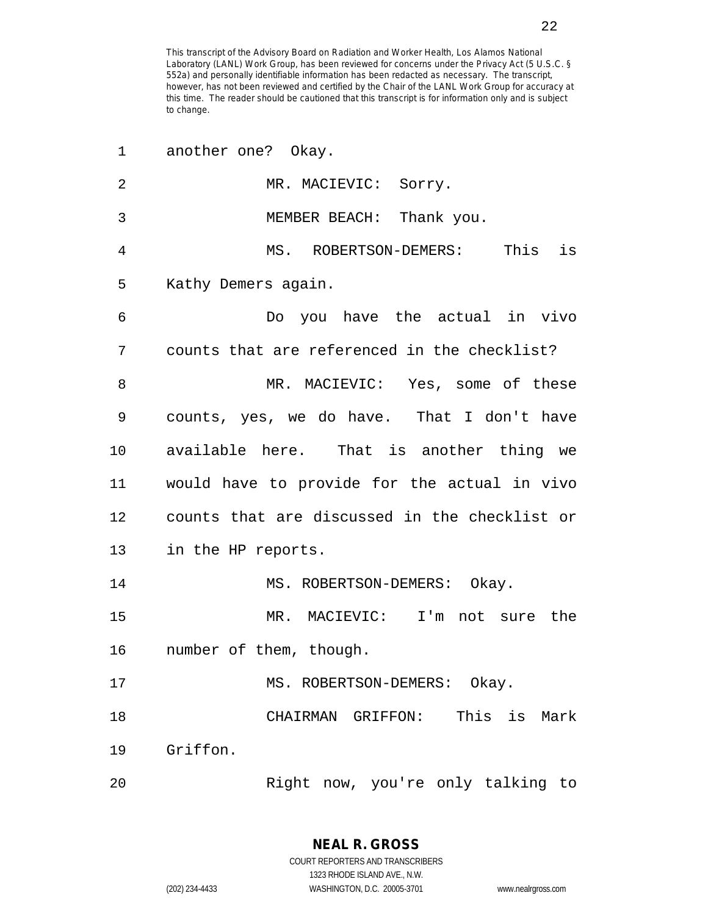| 1              | another one? Okay.                            |
|----------------|-----------------------------------------------|
| $\overline{2}$ | MR. MACIEVIC: Sorry.                          |
| 3              | MEMBER BEACH: Thank you.                      |
| 4              | MS. ROBERTSON-DEMERS: This is                 |
| 5              | Kathy Demers again.                           |
| 6              | Do you have the actual in vivo                |
| 7              | counts that are referenced in the checklist?  |
| 8              | MR. MACIEVIC: Yes, some of these              |
| 9              | counts, yes, we do have. That I don't have    |
| 10             | available here. That is another thing we      |
| 11             | would have to provide for the actual in vivo  |
| 12             | counts that are discussed in the checklist or |
| 13             | in the HP reports.                            |
| 14             | MS. ROBERTSON-DEMERS: Okay.                   |
| 15             | MR. MACIEVIC: I'm not sure the                |
| 16             | number of them, though.                       |
| 17             | MS. ROBERTSON-DEMERS: Okay.                   |
| 18             | CHAIRMAN GRIFFON: This is Mark                |
| 19             | Griffon.                                      |
| 20             | Right now, you're only talking to             |

**NEAL R. GROSS** COURT REPORTERS AND TRANSCRIBERS

1323 RHODE ISLAND AVE., N.W.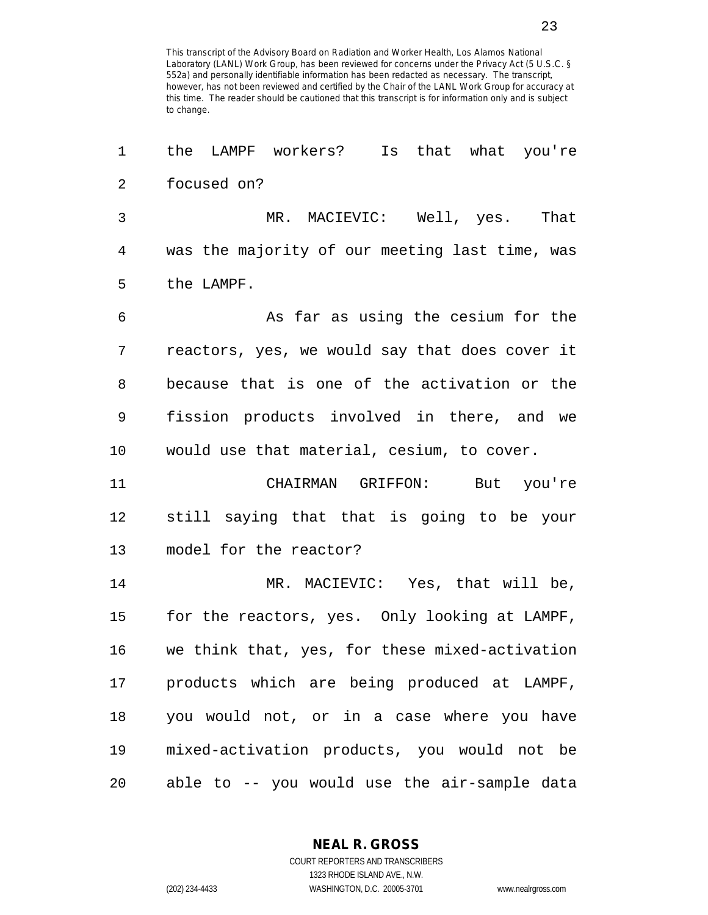1 the LAMPF workers? Is that what you're 2 focused on? 3 MR. MACIEVIC: Well, yes. That 4 was the majority of our meeting last time, was 5 the LAMPF. 6 As far as using the cesium for the 7 reactors, yes, we would say that does cover it 8 because that is one of the activation or the 9 fission products involved in there, and we 10 would use that material, cesium, to cover. 11 CHAIRMAN GRIFFON: But you're 12 still saying that that is going to be your 13 model for the reactor? 14 MR. MACIEVIC: Yes, that will be, 15 for the reactors, yes. Only looking at LAMPF, 16 we think that, yes, for these mixed-activation 17 products which are being produced at LAMPF, 18 you would not, or in a case where you have 19 mixed-activation products, you would not be 20 able to -- you would use the air-sample data

> **NEAL R. GROSS** COURT REPORTERS AND TRANSCRIBERS

> > 1323 RHODE ISLAND AVE., N.W.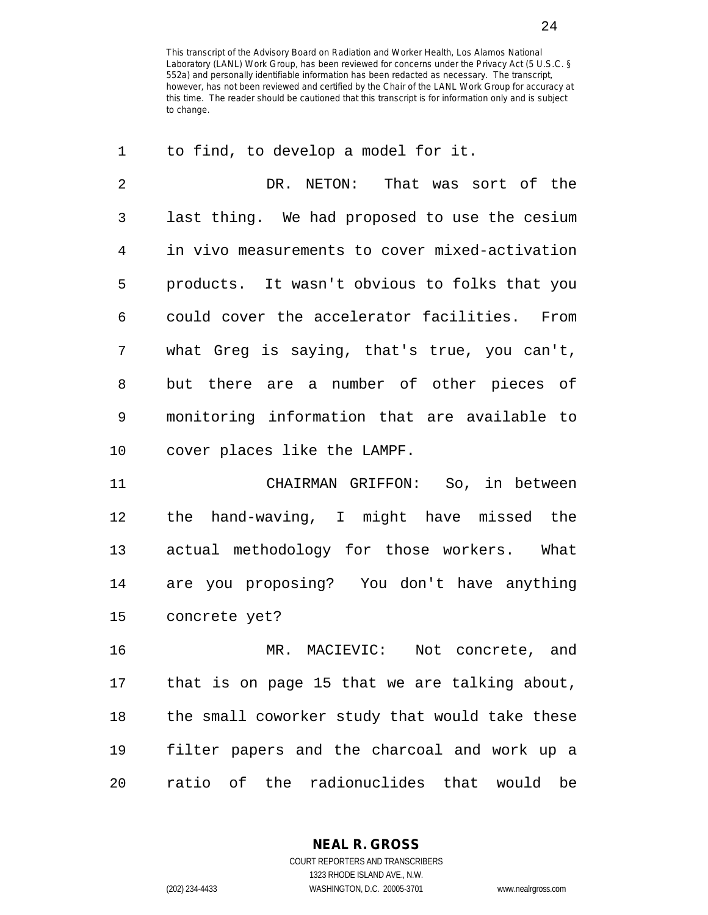24

1 to find, to develop a model for it. 2 DR. NETON: That was sort of the 3 last thing. We had proposed to use the cesium 4 in vivo measurements to cover mixed-activation 5 products. It wasn't obvious to folks that you 6 could cover the accelerator facilities. From 7 what Greg is saying, that's true, you can't, 8 but there are a number of other pieces of 9 monitoring information that are available to 10 cover places like the LAMPF. 11 CHAIRMAN GRIFFON: So, in between 12 the hand-waving, I might have missed the 13 actual methodology for those workers. What 14 are you proposing? You don't have anything 15 concrete yet? 16 MR. MACIEVIC: Not concrete, and 17 that is on page 15 that we are talking about, 18 the small coworker study that would take these 19 filter papers and the charcoal and work up a

20 ratio of the radionuclides that would be

**NEAL R. GROSS**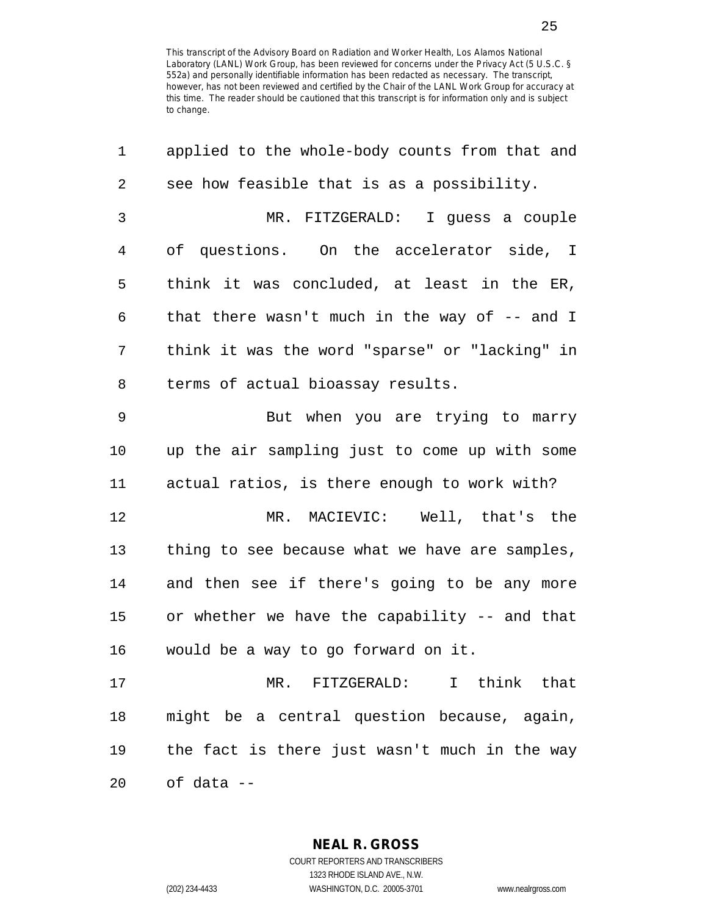| 1              | applied to the whole-body counts from that and |
|----------------|------------------------------------------------|
| 2              | see how feasible that is as a possibility.     |
| $\mathfrak{Z}$ | MR. FITZGERALD: I guess a couple               |
| $\overline{4}$ | of questions. On the accelerator side, I       |
| 5              | think it was concluded, at least in the ER,    |
| 6              | that there wasn't much in the way of $-$ and I |
| 7              | think it was the word "sparse" or "lacking" in |
| 8              | terms of actual bioassay results.              |
| 9              | But when you are trying to marry               |
| 10             | up the air sampling just to come up with some  |
| 11             | actual ratios, is there enough to work with?   |
| 12             | MR. MACIEVIC: Well, that's the                 |
| 13             | thing to see because what we have are samples, |
| 14             | and then see if there's going to be any more   |
| 15             | or whether we have the capability -- and that  |
| 16             | would be a way to go forward on it.            |
| 17             | MR. FITZGERALD: I think that                   |
| 18             | might be a central question because, again,    |
| 19             | the fact is there just wasn't much in the way  |
| 20             | of data --                                     |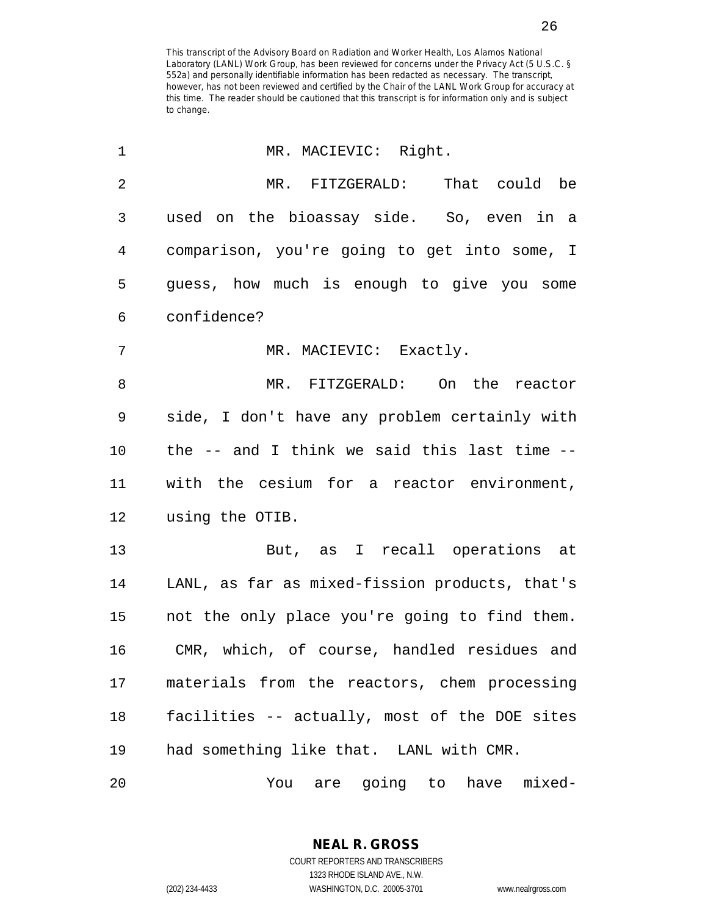| 1              | MR. MACIEVIC: Right.                           |
|----------------|------------------------------------------------|
| $\overline{2}$ | MR. FITZGERALD: That could be                  |
| 3              | used on the bioassay side. So, even in a       |
| 4              | comparison, you're going to get into some, I   |
| 5              | guess, how much is enough to give you some     |
| 6              | confidence?                                    |
| 7              | MR. MACIEVIC: Exactly.                         |
| 8              | MR. FITZGERALD: On the reactor                 |
| 9              | side, I don't have any problem certainly with  |
| 10             | the -- and I think we said this last time --   |
| 11             | with the cesium for a reactor environment,     |
| 12             | using the OTIB.                                |
| 13             | But, as I recall operations at                 |
| 14             | LANL, as far as mixed-fission products, that's |
| 15             | not the only place you're going to find them.  |
| 16             | CMR, which, of course, handled residues and    |
| 17             | materials from the reactors, chem processing   |
| 18             | facilities -- actually, most of the DOE sites  |
| 19             | had something like that. LANL with CMR.        |
| 20             | are going to<br>You<br>have mixed-             |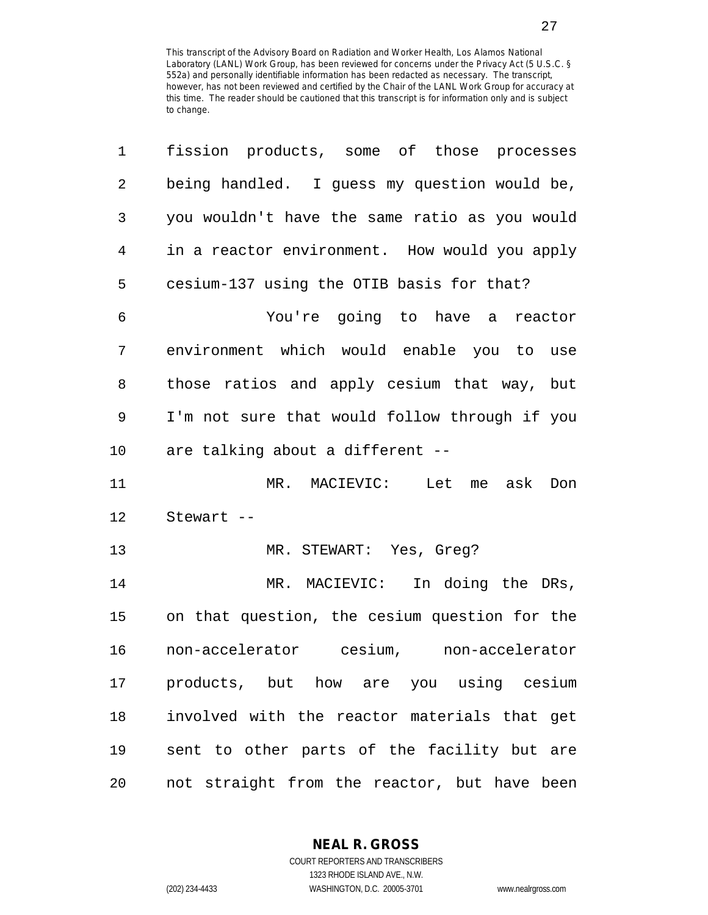| 1  | fission products, some of those processes     |
|----|-----------------------------------------------|
| 2  | being handled. I guess my question would be,  |
| 3  | you wouldn't have the same ratio as you would |
| 4  | in a reactor environment. How would you apply |
| 5  | cesium-137 using the OTIB basis for that?     |
| 6  | You're going to have a reactor                |
| 7  | environment which would enable you to use     |
| 8  | those ratios and apply cesium that way, but   |
| 9  | I'm not sure that would follow through if you |
| 10 | are talking about a different --              |
| 11 | MR. MACIEVIC: Let me ask<br>Don               |
| 12 | Stewart --                                    |
| 13 | MR. STEWART: Yes, Greg?                       |
| 14 | MR. MACIEVIC:<br>In doing the DRs,            |
| 15 | on that question, the cesium question for the |
| 16 | non-accelerator cesium, non-accelerator       |
| 17 | products, but how are you using cesium        |
| 18 | involved with the reactor materials that get  |
| 19 | sent to other parts of the facility but are   |
| 20 | not straight from the reactor, but have been  |

**NEAL R. GROSS** COURT REPORTERS AND TRANSCRIBERS

1323 RHODE ISLAND AVE., N.W.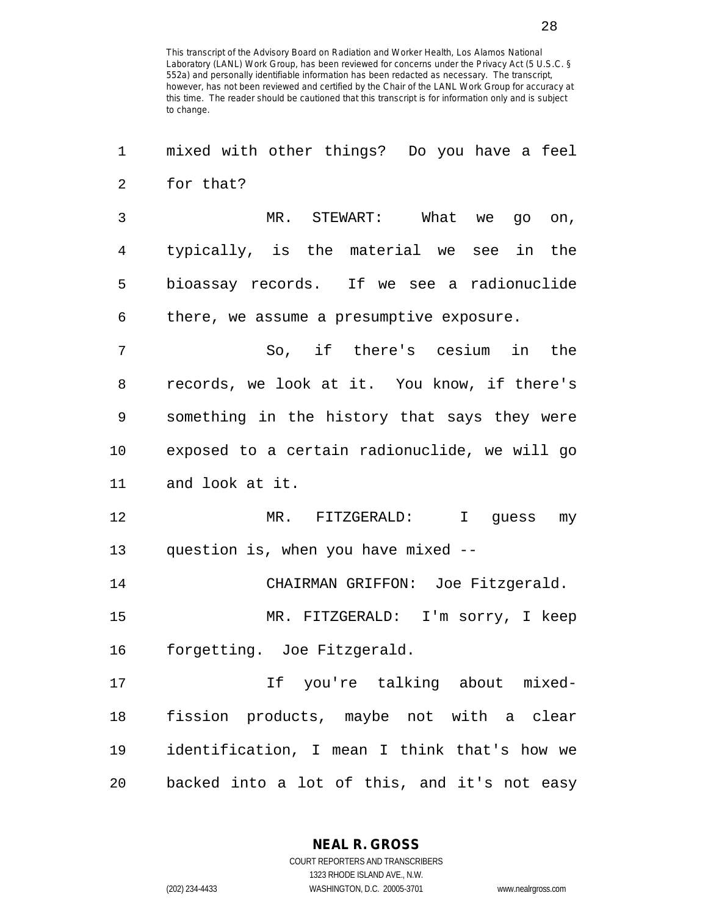| 1  | mixed with other things? Do you have a feel   |
|----|-----------------------------------------------|
| 2  | for that?                                     |
| 3  | MR. STEWART: What we go on,                   |
| 4  | typically, is the material we see in the      |
| 5  | bioassay records. If we see a radionuclide    |
| 6  | there, we assume a presumptive exposure.      |
| 7  | So, if there's cesium in the                  |
| 8  | records, we look at it. You know, if there's  |
| 9  | something in the history that says they were  |
| 10 | exposed to a certain radionuclide, we will go |
| 11 | and look at it.                               |
| 12 | MR. FITZGERALD: I guess my                    |
| 13 | question is, when you have mixed --           |
| 14 | CHAIRMAN GRIFFON: Joe Fitzgerald.             |
| 15 | MR. FITZGERALD: I'm sorry, I keep             |
| 16 | forgetting. Joe Fitzgerald.                   |
| 17 | If you're talking about mixed-                |
| 18 | fission products, maybe not with a clear      |
| 19 | identification, I mean I think that's how we  |
| 20 | backed into a lot of this, and it's not easy  |

**NEAL R. GROSS**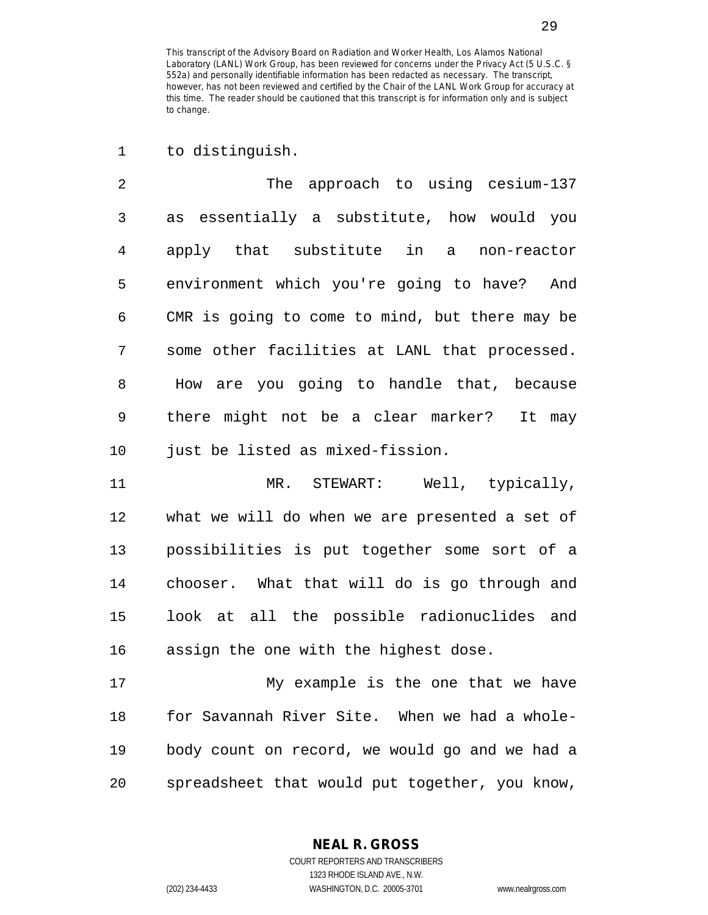1 to distinguish.

2 The approach to using cesium-137 3 as essentially a substitute, how would you 4 apply that substitute in a non-reactor 5 environment which you're going to have? And 6 CMR is going to come to mind, but there may be 7 some other facilities at LANL that processed. 8 How are you going to handle that, because 9 there might not be a clear marker? It may 10 just be listed as mixed-fission.

11 MR. STEWART: Well, typically, 12 what we will do when we are presented a set of 13 possibilities is put together some sort of a 14 chooser. What that will do is go through and 15 look at all the possible radionuclides and 16 assign the one with the highest dose.

17 My example is the one that we have 18 for Savannah River Site. When we had a whole-19 body count on record, we would go and we had a 20 spreadsheet that would put together, you know,

**NEAL R. GROSS**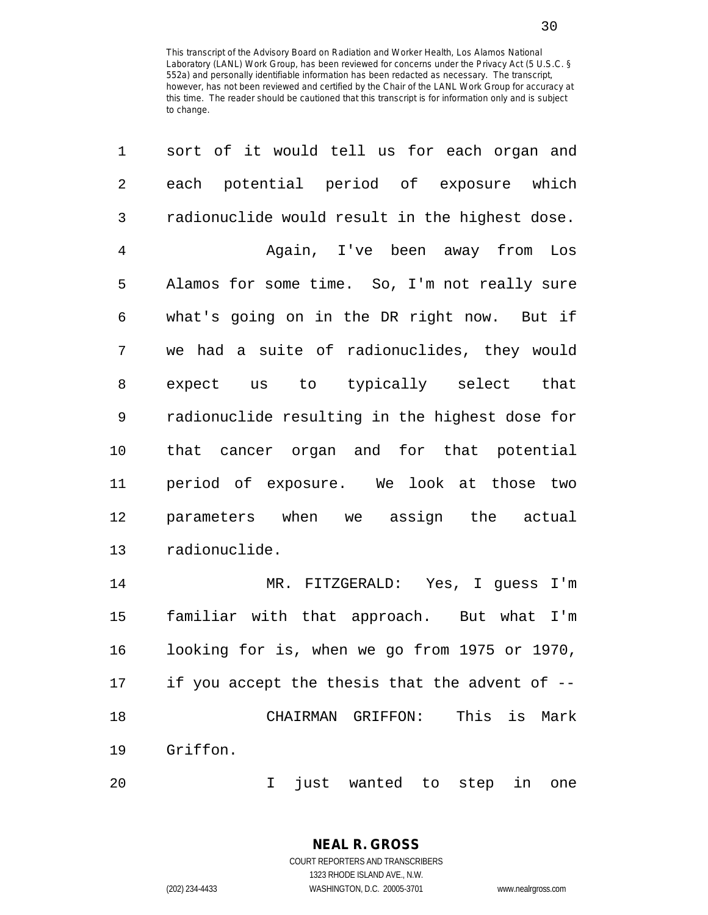| 1              | sort of it would tell us for each organ and    |
|----------------|------------------------------------------------|
| $\overline{2}$ | each potential period of exposure which        |
| 3              | radionuclide would result in the highest dose. |
| $\overline{4}$ | Again, I've been away from Los                 |
| 5              | Alamos for some time. So, I'm not really sure  |
| 6              | what's going on in the DR right now. But if    |
| 7              | we had a suite of radionuclides, they would    |
| 8              | expect us to typically select that             |
| $\mathsf 9$    | radionuclide resulting in the highest dose for |
| 10             | that cancer organ and for that potential       |
| 11             | period of exposure. We look at those two       |
| 12             | parameters when we assign the<br>actual        |
| 13             | radionuclide.                                  |
| 14             | MR. FITZGERALD: Yes, I guess I'm               |
| 15             | familiar with that approach. But what I'm      |
| 16             | looking for is, when we go from 1975 or 1970,  |
| 17             | if you accept the thesis that the advent of -- |
| 18             | CHAIRMAN GRIFFON: This is<br>Mark              |
| 19             | Griffon.                                       |
| 20             | just wanted to step in<br>I.<br>one            |

**NEAL R. GROSS** COURT REPORTERS AND TRANSCRIBERS

1323 RHODE ISLAND AVE., N.W.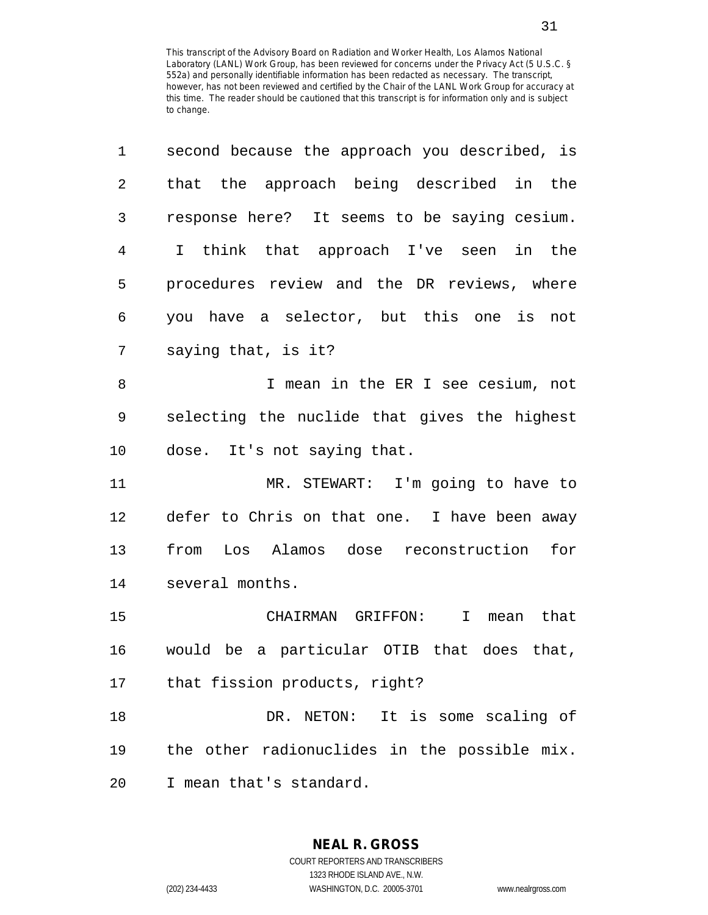| 1  | second because the approach you described, is |
|----|-----------------------------------------------|
| 2  | that the approach being described in the      |
| 3  | response here? It seems to be saying cesium.  |
| 4  | I think that approach I've seen<br>in the     |
| 5  | procedures review and the DR reviews, where   |
| 6  | you have a selector, but this one is not      |
| 7  | saying that, is it?                           |
| 8  | I mean in the ER I see cesium, not            |
| 9  | selecting the nuclide that gives the highest  |
| 10 | dose. It's not saying that.                   |
| 11 | MR. STEWART: I'm going to have to             |
| 12 | defer to Chris on that one. I have been away  |
| 13 | Los Alamos dose reconstruction<br>from<br>for |
| 14 | several months.                               |
| 15 | CHAIRMAN GRIFFON:<br>$\mathbf I$<br>mean that |
| 16 | would be a particular OTIB that does that,    |
| 17 | that fission products, right?                 |
| 18 | DR. NETON: It is some scaling of              |
| 19 | the other radionuclides in the possible mix.  |
| 20 | I mean that's standard.                       |

**NEAL R. GROSS** COURT REPORTERS AND TRANSCRIBERS 1323 RHODE ISLAND AVE., N.W.

(202) 234-4433 WASHINGTON, D.C. 20005-3701 www.nealrgross.com

31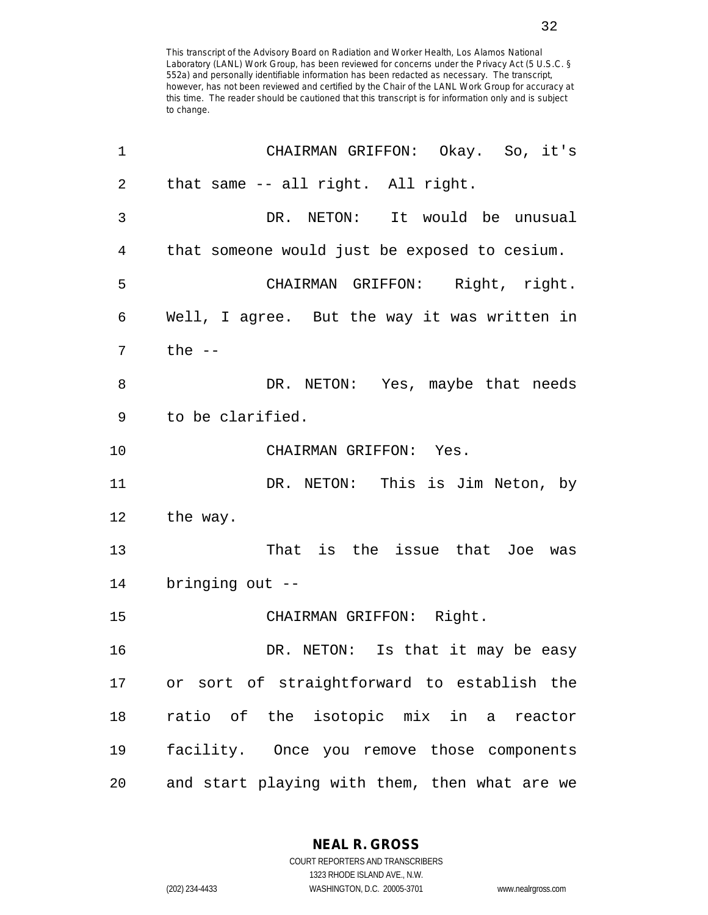| 1  | CHAIRMAN GRIFFON: Okay. So, it's              |
|----|-----------------------------------------------|
| 2  | that same -- all right. All right.            |
| 3  | DR. NETON: It would be unusual                |
| 4  | that someone would just be exposed to cesium. |
| 5  | CHAIRMAN GRIFFON: Right, right.               |
| 6  | Well, I agree. But the way it was written in  |
| 7  | the $--$                                      |
| 8  | DR. NETON: Yes, maybe that needs              |
| 9  | to be clarified.                              |
| 10 | CHAIRMAN GRIFFON: Yes.                        |
| 11 | DR. NETON: This is Jim Neton, by              |
| 12 | the way.                                      |
| 13 | That is the issue that Joe was                |
| 14 | bringing out --                               |
| 15 | CHAIRMAN GRIFFON: Right.                      |
| 16 | DR. NETON: Is that it may be easy             |
| 17 | or sort of straightforward to establish the   |
| 18 | ratio of the isotopic mix in a reactor        |
| 19 | facility. Once you remove those components    |
| 20 | and start playing with them, then what are we |

**NEAL R. GROSS**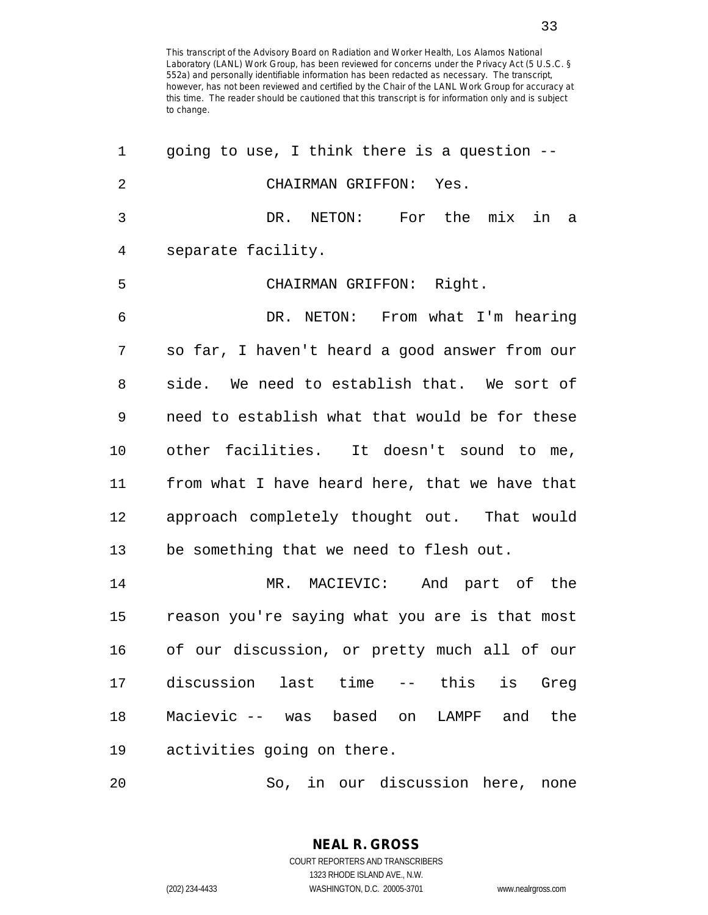| 1  | going to use, I think there is a question --   |
|----|------------------------------------------------|
| 2  | CHAIRMAN GRIFFON: Yes.                         |
| 3  | DR. NETON: For the mix in<br>a a               |
| 4  | separate facility.                             |
| 5  | CHAIRMAN GRIFFON: Right.                       |
| 6  | DR. NETON: From what I'm hearing               |
| 7  | so far, I haven't heard a good answer from our |
| 8  | side. We need to establish that. We sort of    |
| 9  | need to establish what that would be for these |
| 10 | other facilities. It doesn't sound to me,      |
| 11 | from what I have heard here, that we have that |
| 12 | approach completely thought out. That would    |
| 13 | be something that we need to flesh out.        |
| 14 | MR. MACIEVIC: And part of the                  |
| 15 | reason you're saying what you are is that most |
| 16 | of our discussion, or pretty much all of our   |
| 17 | discussion last time -- this<br>is<br>Greg     |
| 18 | Macievic -- was based on LAMPF and<br>the      |
| 19 | activities going on there.                     |
| 20 | So, in our discussion here, none               |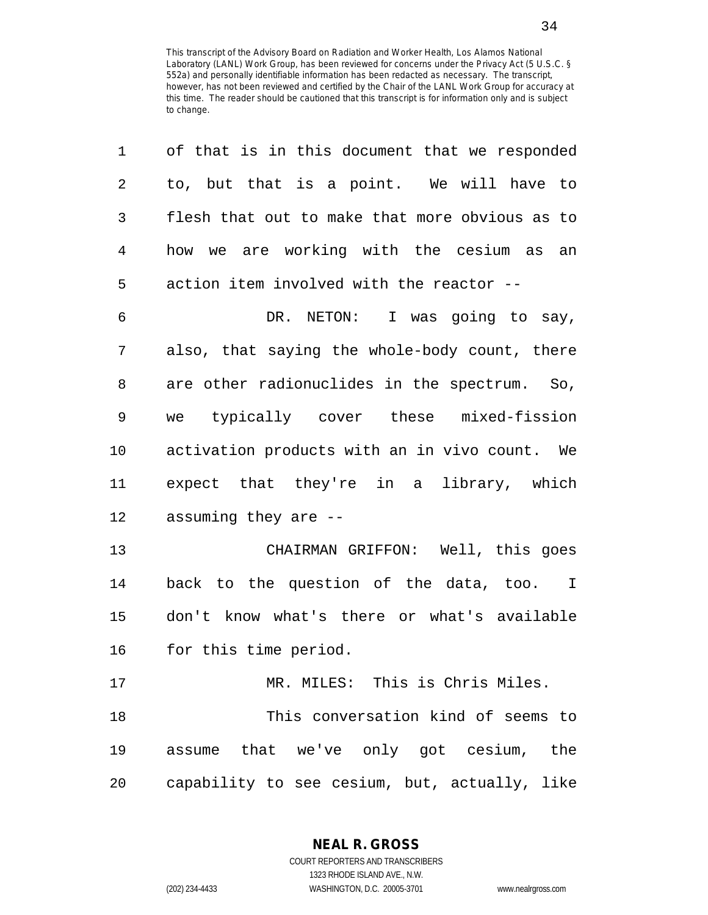| 1  | of that is in this document that we responded  |
|----|------------------------------------------------|
| 2  | to, but that is a point. We will have to       |
| 3  | flesh that out to make that more obvious as to |
| 4  | how we are working with the cesium as an       |
| 5  | action item involved with the reactor --       |
| 6  | DR. NETON: I was going to say,                 |
| 7  | also, that saying the whole-body count, there  |
| 8  | are other radionuclides in the spectrum. So,   |
| 9  | we typically cover these mixed-fission         |
| 10 | activation products with an in vivo count. We  |
| 11 | expect that they're in a library, which        |
| 12 | assuming they are --                           |
| 13 | CHAIRMAN GRIFFON: Well, this goes              |
| 14 | back to the question of the data, too. I       |
| 15 | don't know what's there or what's available    |
| 16 | for this time period.                          |
| 17 | MR. MILES: This is Chris Miles.                |
| 18 | This conversation kind of seems to             |
| 19 | assume that we've only got cesium, the         |
| 20 | capability to see cesium, but, actually, like  |

**NEAL R. GROSS**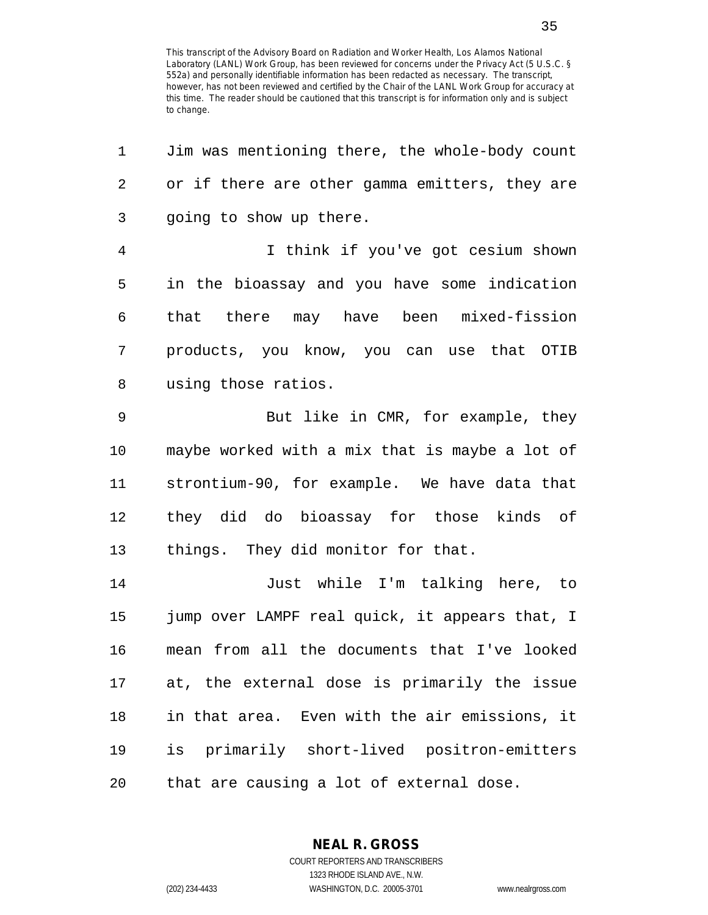| 1  | Jim was mentioning there, the whole-body count |
|----|------------------------------------------------|
| 2  | or if there are other gamma emitters, they are |
| 3  | going to show up there.                        |
| 4  | I think if you've got cesium shown             |
| 5  | in the bioassay and you have some indication   |
| 6  | that there may have been mixed-fission         |
| 7  | products, you know, you can use that OTIB      |
| 8  | using those ratios.                            |
| 9  | But like in CMR, for example, they             |
| 10 | maybe worked with a mix that is maybe a lot of |
| 11 | strontium-90, for example. We have data that   |
| 12 | they did do bioassay for those kinds of        |
| 13 | things. They did monitor for that.             |
| 14 | Just while I'm talking here, to                |
| 15 | jump over LAMPF real quick, it appears that, I |
| 16 | mean from all the documents that I've looked   |
| 17 | at, the external dose is primarily the issue   |
| 18 | in that area. Even with the air emissions, it  |
| 19 | is primarily short-lived positron-emitters     |
| 20 | that are causing a lot of external dose.       |

**NEAL R. GROSS** COURT REPORTERS AND TRANSCRIBERS

1323 RHODE ISLAND AVE., N.W. (202) 234-4433 WASHINGTON, D.C. 20005-3701 www.nealrgross.com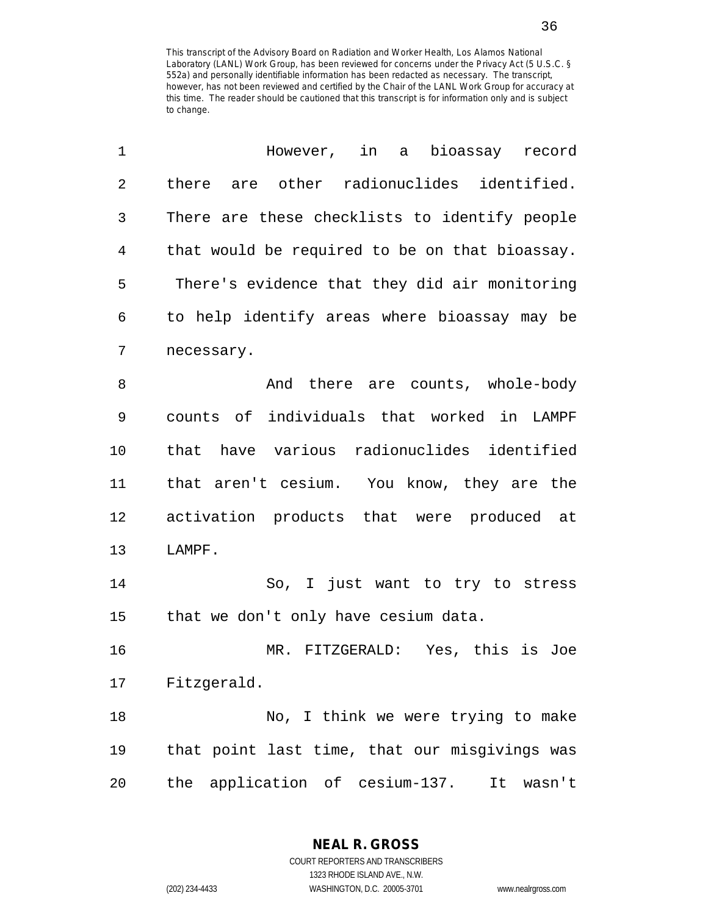| 1              | However, in a bioassay record                  |
|----------------|------------------------------------------------|
| $\overline{2}$ | there are other radionuclides identified.      |
| 3              | There are these checklists to identify people  |
| 4              | that would be required to be on that bioassay. |
| 5              | There's evidence that they did air monitoring  |
| 6              | to help identify areas where bioassay may be   |
| 7              | necessary.                                     |
| 8              | there are counts, whole-body<br>And            |
| 9              | counts of individuals that worked in LAMPF     |
| 10             | have various radionuclides identified<br>that  |
| 11             | that aren't cesium. You know, they are the     |
| 12             | activation products that were produced at      |
| 13             | LAMPF.                                         |
| 14             | So, I just want to try to stress               |
| 15             | that we don't only have cesium data.           |
| 16             | MR. FITZGERALD: Yes, this is Joe               |
| 17             | Fitzgerald.                                    |
| 18             | No, I think we were trying to make             |
| 19             | that point last time, that our misgivings was  |
| 20             | the application of cesium-137.<br>It<br>wasn't |

**NEAL R. GROSS**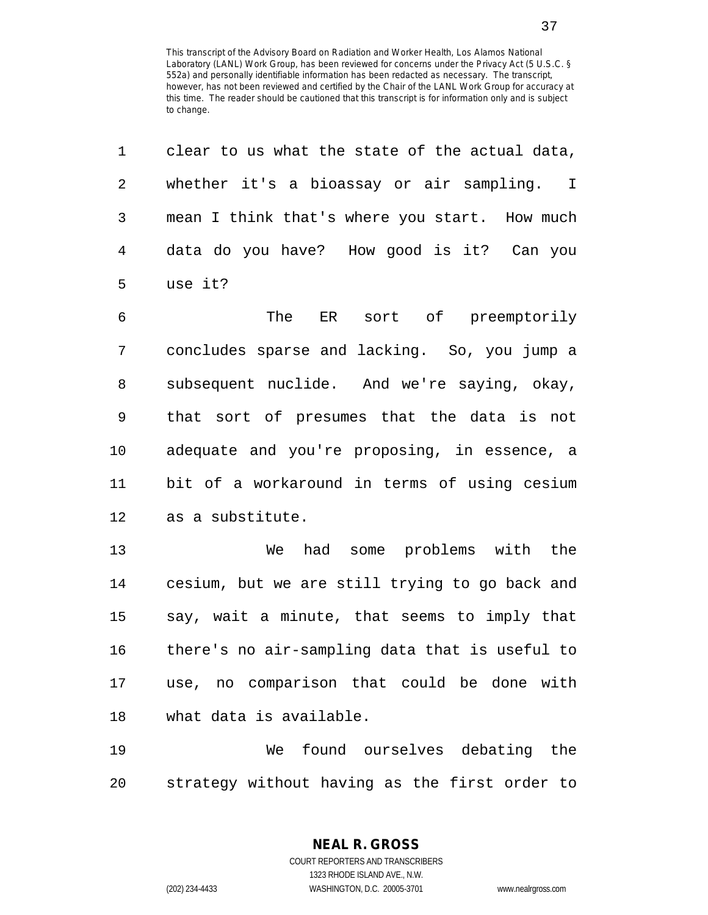| $1 \quad \blacksquare$ | clear to us what the state of the actual data, |
|------------------------|------------------------------------------------|
| $2 \rightarrow$        | whether it's a bioassay or air sampling. I     |
| $\mathbf{3}$           | mean I think that's where you start. How much  |
| $4\degree$             | data do you have? How good is it? Can you      |
|                        | 5 use it?                                      |

6 The ER sort of preemptorily 7 concludes sparse and lacking. So, you jump a 8 subsequent nuclide. And we're saying, okay, 9 that sort of presumes that the data is not 10 adequate and you're proposing, in essence, a 11 bit of a workaround in terms of using cesium 12 as a substitute.

13 We had some problems with the 14 cesium, but we are still trying to go back and 15 say, wait a minute, that seems to imply that 16 there's no air-sampling data that is useful to 17 use, no comparison that could be done with 18 what data is available.

19 We found ourselves debating the 20 strategy without having as the first order to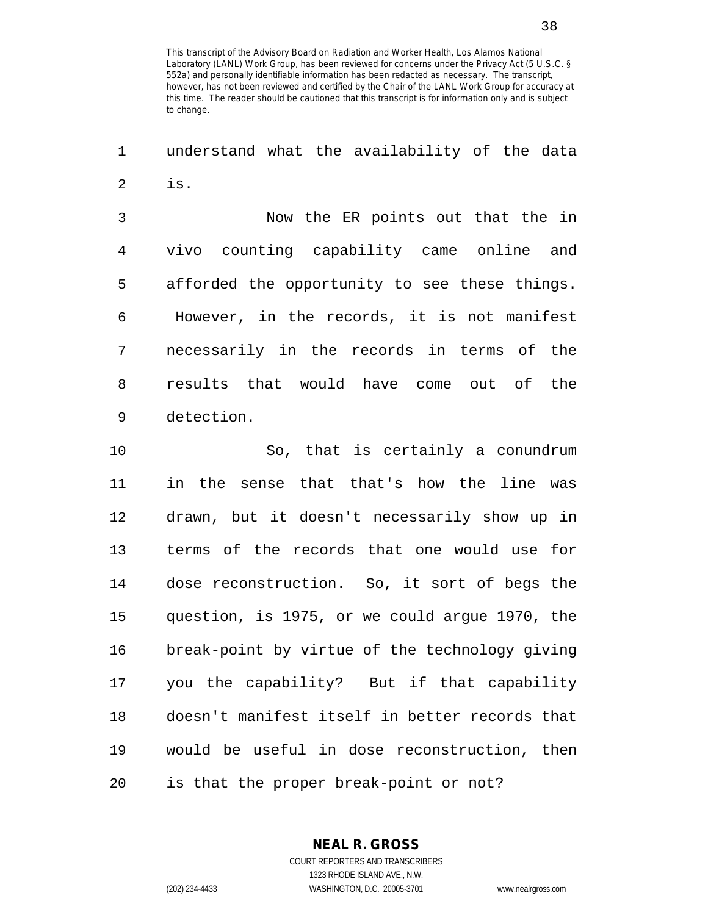1 understand what the availability of the data 2 is.

3 Now the ER points out that the in 4 vivo counting capability came online and 5 afforded the opportunity to see these things. 6 However, in the records, it is not manifest 7 necessarily in the records in terms of the 8 results that would have come out of the 9 detection.

10 So, that is certainly a conundrum 11 in the sense that that's how the line was 12 drawn, but it doesn't necessarily show up in 13 terms of the records that one would use for 14 dose reconstruction. So, it sort of begs the 15 question, is 1975, or we could argue 1970, the 16 break-point by virtue of the technology giving 17 you the capability? But if that capability 18 doesn't manifest itself in better records that 19 would be useful in dose reconstruction, then 20 is that the proper break-point or not?

> COURT REPORTERS AND TRANSCRIBERS 1323 RHODE ISLAND AVE., N.W. (202) 234-4433 WASHINGTON, D.C. 20005-3701 www.nealrgross.com

**NEAL R. GROSS**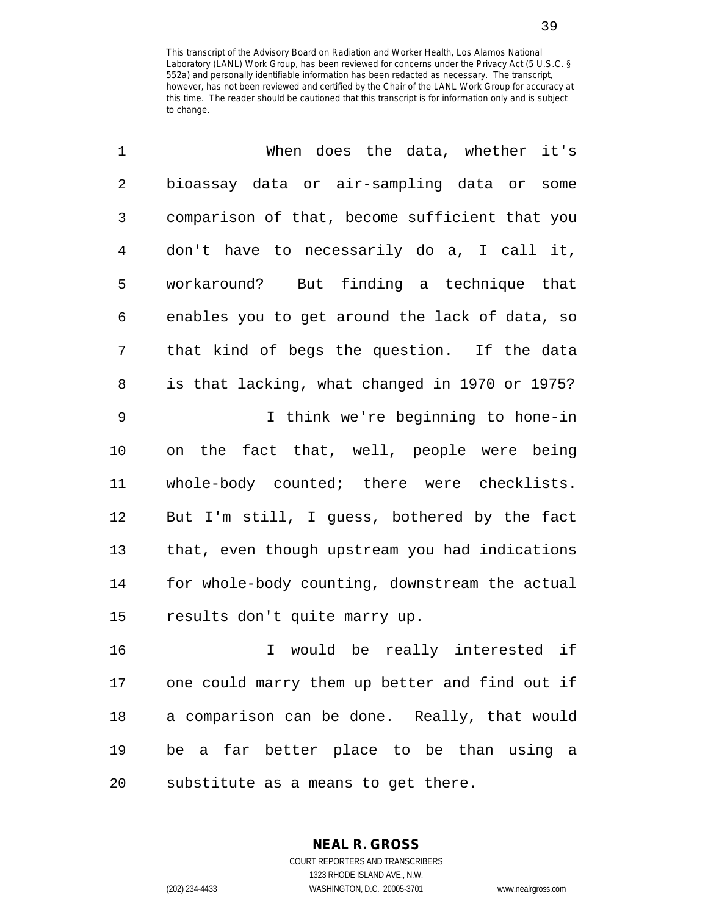| $\mathbf 1$    | When does the data, whether it's               |
|----------------|------------------------------------------------|
| $\overline{c}$ | bioassay data or air-sampling data or some     |
| 3              | comparison of that, become sufficient that you |
| $\overline{4}$ | don't have to necessarily do a, I call it,     |
| 5              | workaround? But finding a technique that       |
| 6              | enables you to get around the lack of data, so |
| 7              | that kind of begs the question. If the data    |
| 8              | is that lacking, what changed in 1970 or 1975? |
| 9              | I think we're beginning to hone-in             |
| 10             | on the fact that, well, people were being      |
| 11             | whole-body counted; there were checklists.     |
| 12             | But I'm still, I guess, bothered by the fact   |
| 13             | that, even though upstream you had indications |
| 14             | for whole-body counting, downstream the actual |
| 15             | results don't quite marry up.                  |
| 16             | I would be really interested if                |
| 17             | one could marry them up better and find out if |
| 18             | a comparison can be done. Really, that would   |
| 19             | be a far better place to be than using a       |
| 20             | substitute as a means to get there.            |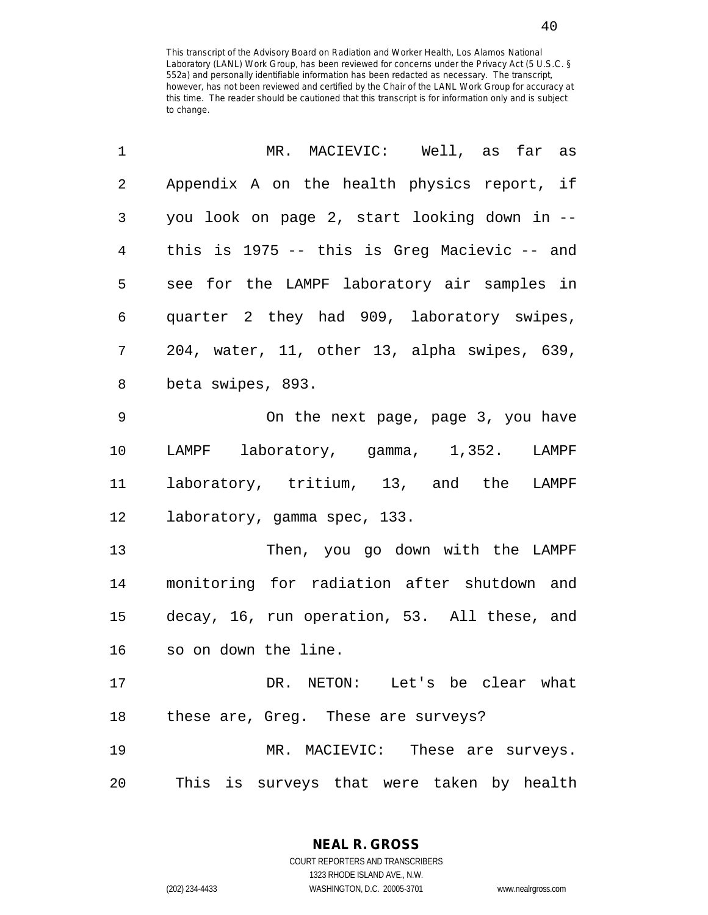| 1              | MR. MACIEVIC: Well, as far as                |
|----------------|----------------------------------------------|
| 2              | Appendix A on the health physics report, if  |
| 3              | you look on page 2, start looking down in -- |
| $\overline{4}$ | this is 1975 -- this is Greg Macievic -- and |
| 5              | see for the LAMPF laboratory air samples in  |
| 6              | quarter 2 they had 909, laboratory swipes,   |
| 7              | 204, water, 11, other 13, alpha swipes, 639, |
| 8              | beta swipes, 893.                            |
| 9              | On the next page, page 3, you have           |
| 10             | LAMPF laboratory, gamma, 1,352. LAMPF        |
| 11             | laboratory, tritium, 13, and the LAMPF       |
| 12             | laboratory, gamma spec, 133.                 |
| 13             | Then, you go down with the LAMPF             |
| 14             | monitoring for radiation after shutdown and  |
| 15             | decay, 16, run operation, 53. All these, and |
| 16             | so on down the line.                         |
| 17             | DR. NETON: Let's be clear what               |
| 18             | these are, Greg. These are surveys?          |
| 19             | MR. MACIEVIC: These are surveys.             |
| 20             | This is surveys that were taken by health    |

**NEAL R. GROSS**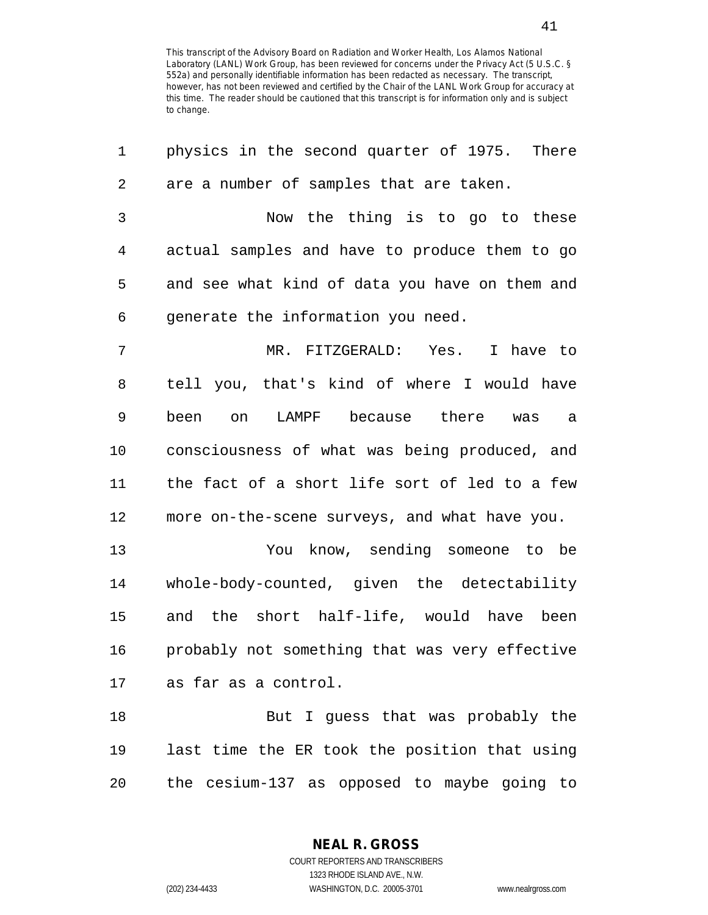| 1              | physics in the second quarter of 1975. There   |
|----------------|------------------------------------------------|
| $\overline{2}$ | are a number of samples that are taken.        |
| 3              | Now the thing is to go to these                |
| $\overline{4}$ | actual samples and have to produce them to go  |
| 5              | and see what kind of data you have on them and |
| 6              | generate the information you need.             |
| 7              | MR. FITZGERALD: Yes. I have to                 |
| 8              | tell you, that's kind of where I would have    |
| 9              | been<br>LAMPF because there was<br>on<br>a a   |
| 10             | consciousness of what was being produced, and  |
| 11             | the fact of a short life sort of led to a few  |
| 12             | more on-the-scene surveys, and what have you.  |
| 13             | You know, sending someone to be                |
| 14             | whole-body-counted, given the detectability    |
| 15             | and the short half-life, would have been       |
| 16             | probably not something that was very effective |
| 17             | as far as a control.                           |
| 18             | But I guess that was probably the              |
| 19             | last time the ER took the position that using  |
| 20             | the cesium-137 as opposed to maybe going to    |

**NEAL R. GROSS**

COURT REPORTERS AND TRANSCRIBERS 1323 RHODE ISLAND AVE., N.W. (202) 234-4433 WASHINGTON, D.C. 20005-3701 www.nealrgross.com

41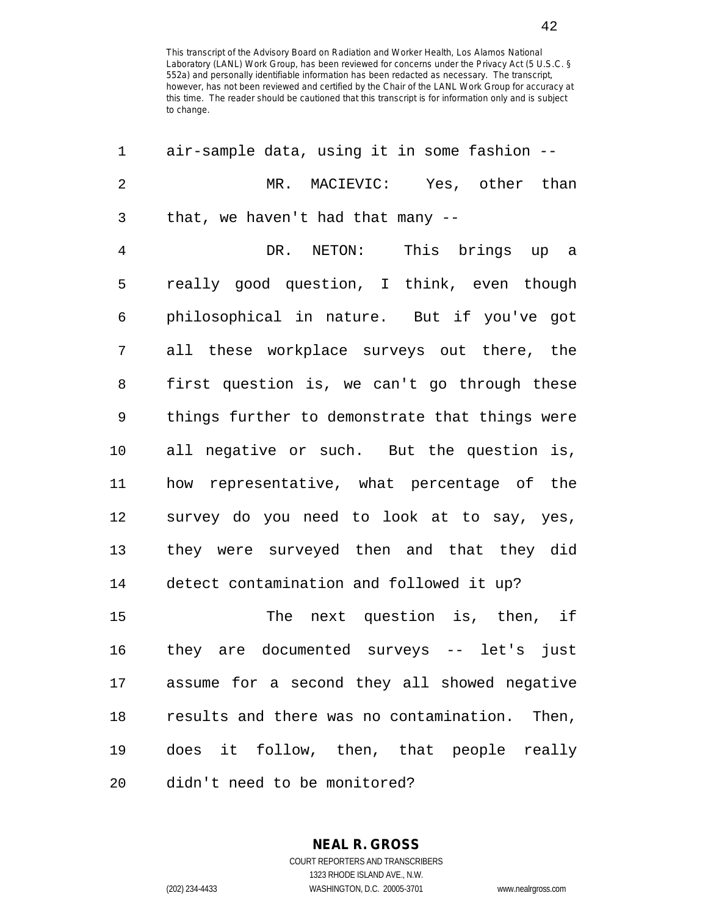| 1           | air-sample data, using it in some fashion --   |
|-------------|------------------------------------------------|
| 2           | MR. MACIEVIC: Yes, other than                  |
| 3           | that, we haven't had that many --              |
| 4           | DR. NETON:<br>This brings up a                 |
| 5           | really good question, I think, even though     |
| 6           | philosophical in nature. But if you've got     |
| 7           | all these workplace surveys out there, the     |
| 8           | first question is, we can't go through these   |
| $\mathsf 9$ | things further to demonstrate that things were |
| 10          | all negative or such. But the question is,     |
| 11          | how representative, what percentage of the     |
| 12          | survey do you need to look at to say, yes,     |
| 13          | they were surveyed then and that they did      |
| 14          | detect contamination and followed it up?       |
| 15          | The next question is, then, if                 |
| 16          | they are documented surveys -- let's just      |
| 17          | assume for a second they all showed negative   |
| 18          | results and there was no contamination. Then,  |
| 19          | does it follow, then, that people really       |
| 20          | didn't need to be monitored?                   |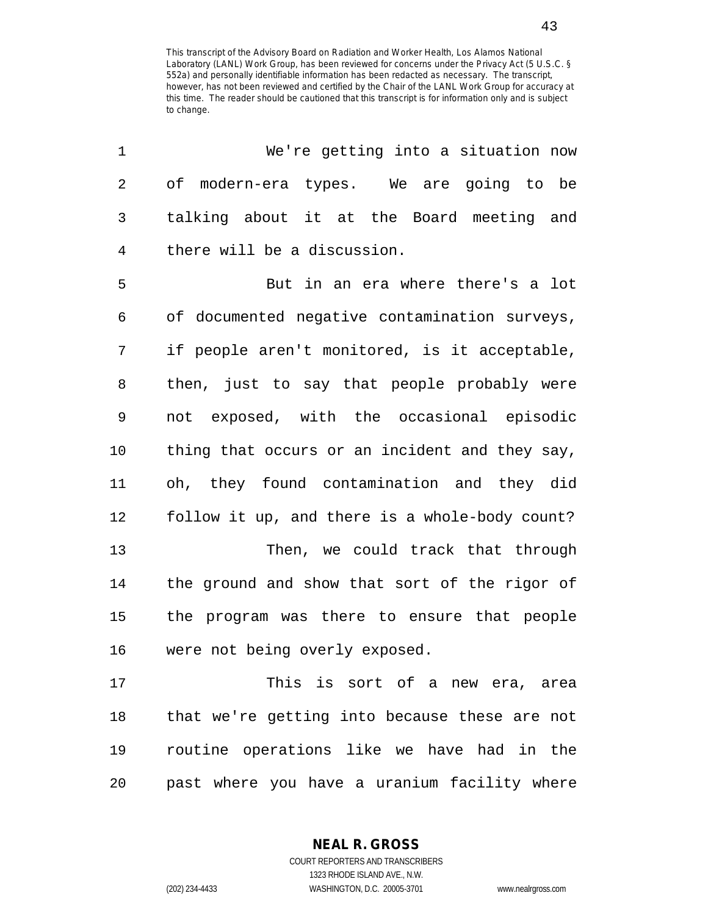| 1              | We're getting into a situation now             |
|----------------|------------------------------------------------|
| $\sqrt{2}$     | of modern-era types. We are going to be        |
| 3              | talking about it at the Board meeting and      |
| $\overline{4}$ | there will be a discussion.                    |
| 5              | But in an era where there's a lot              |
| 6              | of documented negative contamination surveys,  |
| 7              | if people aren't monitored, is it acceptable,  |
| 8              | then, just to say that people probably were    |
| 9              | not exposed, with the occasional episodic      |
| 10             | thing that occurs or an incident and they say, |
| 11             | oh, they found contamination and they did      |
| 12             | follow it up, and there is a whole-body count? |
| 13             | Then, we could track that through              |
| 14             | the ground and show that sort of the rigor of  |
| 15             | the program was there to ensure that people    |
| 16             | were not being overly exposed.                 |
| 17             | This is sort of a new era, area                |
| 18             | that we're getting into because these are not  |
| 19             | routine operations like we have had in the     |
| 20             | past where you have a uranium facility where   |

**NEAL R. GROSS**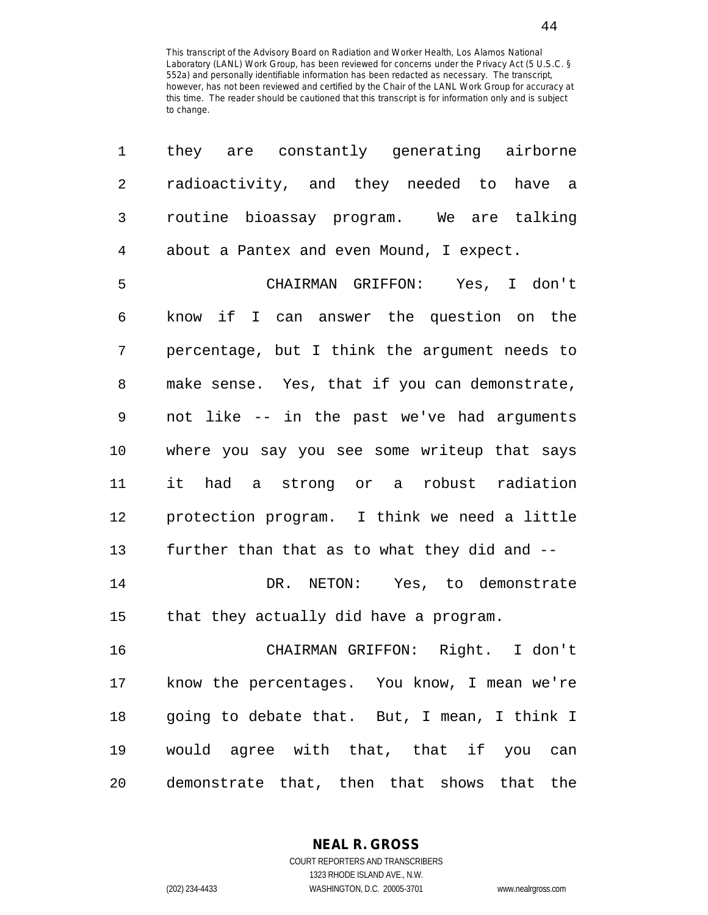| 1  | they are constantly generating airborne       |
|----|-----------------------------------------------|
| 2  | radioactivity, and they needed to<br>have a   |
| 3  | routine bioassay program. We are talking      |
| 4  | about a Pantex and even Mound, I expect.      |
| 5  | CHAIRMAN GRIFFON: Yes, I don't                |
| 6  | know if I can answer the question on the      |
| 7  | percentage, but I think the argument needs to |
| 8  | make sense. Yes, that if you can demonstrate, |
| 9  | not like -- in the past we've had arguments   |
| 10 | where you say you see some writeup that says  |
| 11 | it had a strong or a robust radiation         |
| 12 | protection program. I think we need a little  |
| 13 | further than that as to what they did and --  |
| 14 | DR. NETON: Yes, to demonstrate                |
| 15 | that they actually did have a program.        |
| 16 | CHAIRMAN GRIFFON: Right. I don't              |
| 17 | know the percentages. You know, I mean we're  |
| 18 | going to debate that. But, I mean, I think I  |
| 19 | would agree with that, that if you can        |
| 20 | demonstrate that, then that shows that the    |

**NEAL R. GROSS**

COURT REPORTERS AND TRANSCRIBERS 1323 RHODE ISLAND AVE., N.W. (202) 234-4433 WASHINGTON, D.C. 20005-3701 www.nealrgross.com

44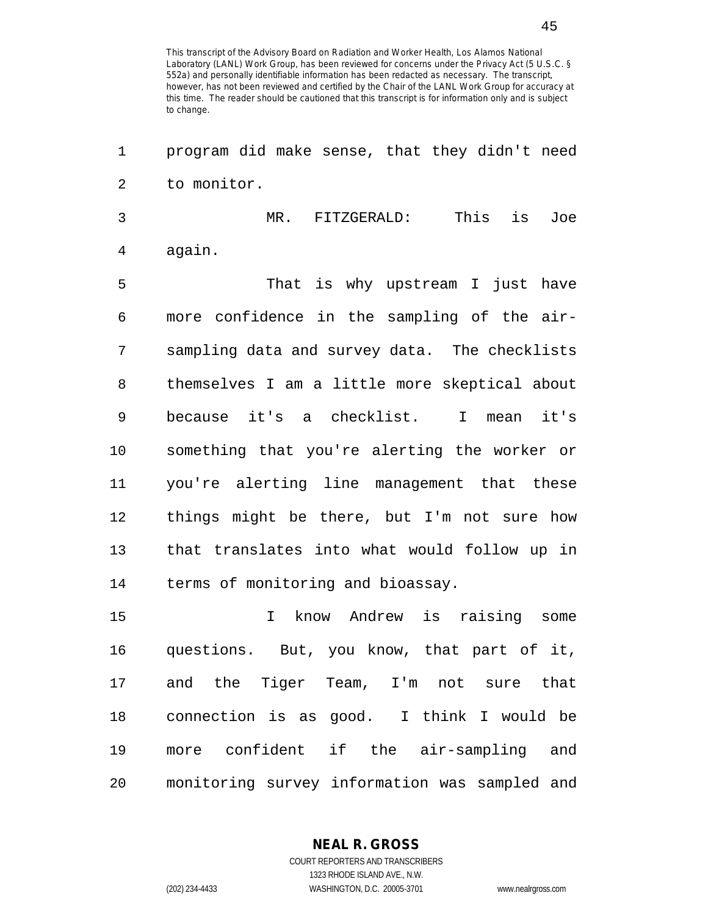1 program did make sense, that they didn't need 2 to monitor. 3 MR. FITZGERALD: This is Joe 4 again. 5 That is why upstream I just have 6 more confidence in the sampling of the air-7 sampling data and survey data. The checklists 8 themselves I am a little more skeptical about 9 because it's a checklist. I mean it's 10 something that you're alerting the worker or 11 you're alerting line management that these 12 things might be there, but I'm not sure how 13 that translates into what would follow up in 14 terms of monitoring and bioassay. 15 I know Andrew is raising some 16 questions. But, you know, that part of it, 17 and the Tiger Team, I'm not sure that

18 connection is as good. I think I would be 19 more confident if the air-sampling and 20 monitoring survey information was sampled and

> **NEAL R. GROSS** COURT REPORTERS AND TRANSCRIBERS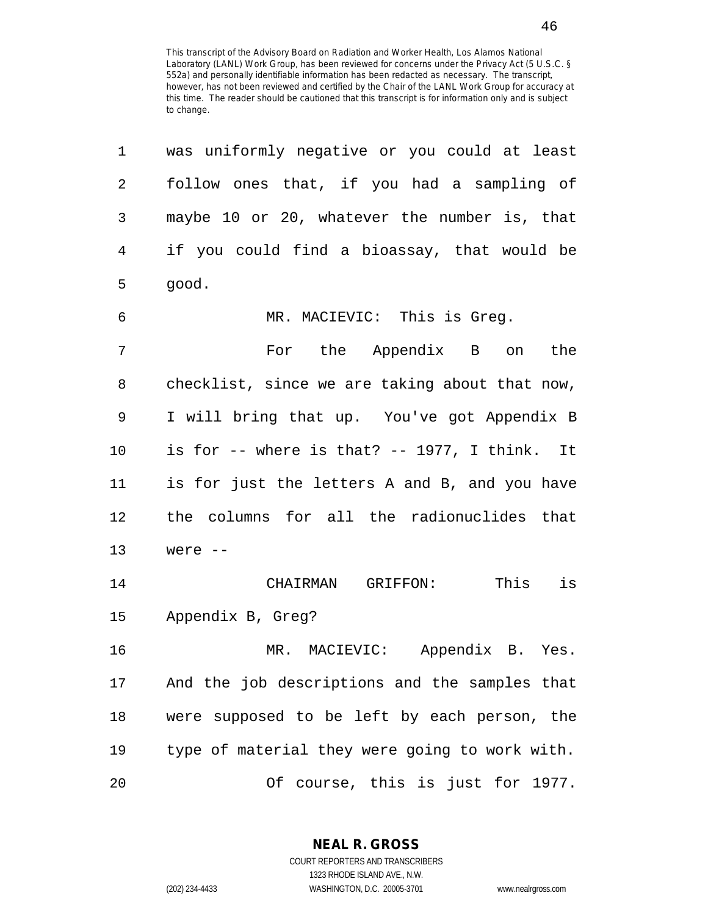| 1              | was uniformly negative or you could at least   |
|----------------|------------------------------------------------|
| $\overline{2}$ | follow ones that, if you had a sampling of     |
| 3              | maybe 10 or 20, whatever the number is, that   |
| $\overline{4}$ | if you could find a bioassay, that would be    |
| 5              | good.                                          |
| 6              | MR. MACIEVIC: This is Greg.                    |
| 7              | For the Appendix B on<br>the                   |
| 8              | checklist, since we are taking about that now, |
| 9              | I will bring that up. You've got Appendix B    |
| 10             | is for -- where is that? -- 1977, I think. It  |
| 11             | is for just the letters A and B, and you have  |
| 12             | the columns for all the radionuclides that     |
| 13             | were $--$                                      |
| 14             | CHAIRMAN GRIFFON:<br>This<br>is                |
| 15             | Appendix B, Greg?                              |
| 16             | MR. MACIEVIC: Appendix B. Yes.                 |
| 17             | And the job descriptions and the samples that  |
| 18             | were supposed to be left by each person, the   |
| 19             | type of material they were going to work with. |
| 20             | Of course, this is just for 1977.              |

**NEAL R. GROSS** COURT REPORTERS AND TRANSCRIBERS

1323 RHODE ISLAND AVE., N.W.

(202) 234-4433 WASHINGTON, D.C. 20005-3701 www.nealrgross.com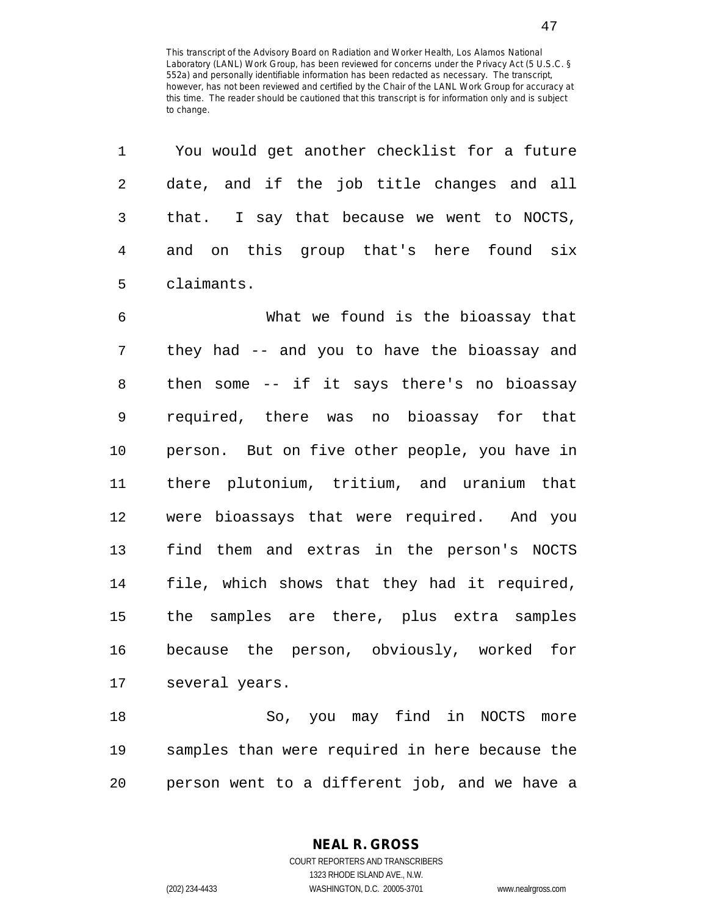1 You would get another checklist for a future 2 date, and if the job title changes and all 3 that. I say that because we went to NOCTS, 4 and on this group that's here found six 5 claimants.

6 What we found is the bioassay that 7 they had -- and you to have the bioassay and 8 then some -- if it says there's no bioassay 9 required, there was no bioassay for that 10 person. But on five other people, you have in 11 there plutonium, tritium, and uranium that 12 were bioassays that were required. And you 13 find them and extras in the person's NOCTS 14 file, which shows that they had it required, 15 the samples are there, plus extra samples 16 because the person, obviously, worked for 17 several years.

18 So, you may find in NOCTS more 19 samples than were required in here because the 20 person went to a different job, and we have a

> COURT REPORTERS AND TRANSCRIBERS 1323 RHODE ISLAND AVE., N.W. (202) 234-4433 WASHINGTON, D.C. 20005-3701 www.nealrgross.com

**NEAL R. GROSS**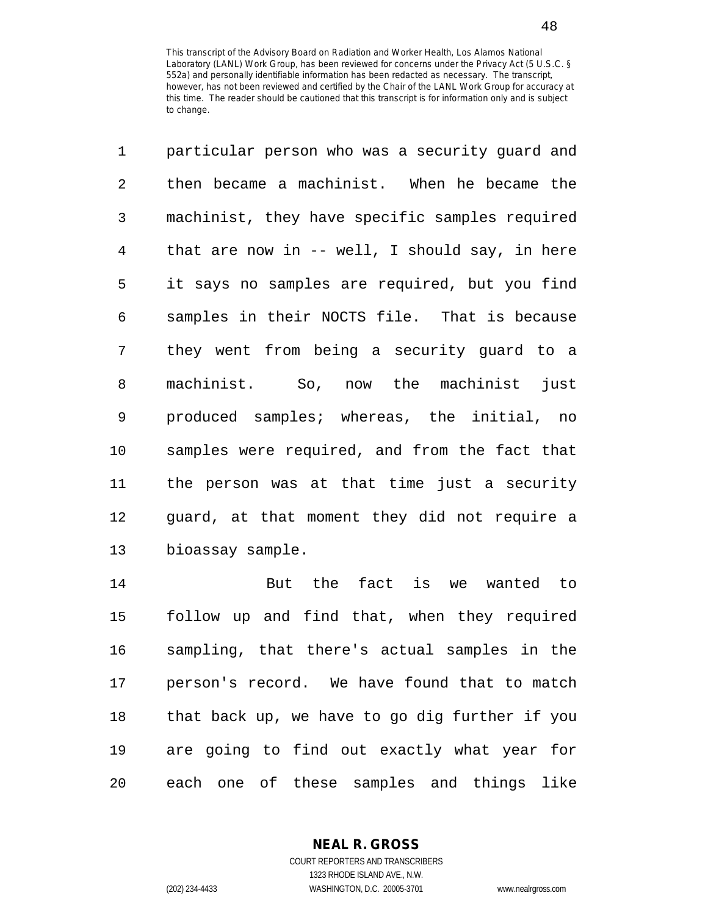| 1       | particular person who was a security guard and |
|---------|------------------------------------------------|
| 2       | then became a machinist. When he became the    |
| 3       | machinist, they have specific samples required |
| 4       | that are now in -- well, I should say, in here |
| 5       | it says no samples are required, but you find  |
| 6       | samples in their NOCTS file. That is because   |
| 7       | they went from being a security guard to a     |
| 8       | machinist. So, now the machinist just          |
| 9       | produced samples; whereas, the initial, no     |
| $10 \,$ | samples were required, and from the fact that  |
| 11      | the person was at that time just a security    |
| 12      | guard, at that moment they did not require a   |
| 13      | bioassay sample.                               |
|         |                                                |

14 But the fact is we wanted to 15 follow up and find that, when they required 16 sampling, that there's actual samples in the 17 person's record. We have found that to match 18 that back up, we have to go dig further if you 19 are going to find out exactly what year for 20 each one of these samples and things like

> **NEAL R. GROSS** COURT REPORTERS AND TRANSCRIBERS

> > 1323 RHODE ISLAND AVE., N.W.

(202) 234-4433 WASHINGTON, D.C. 20005-3701 www.nealrgross.com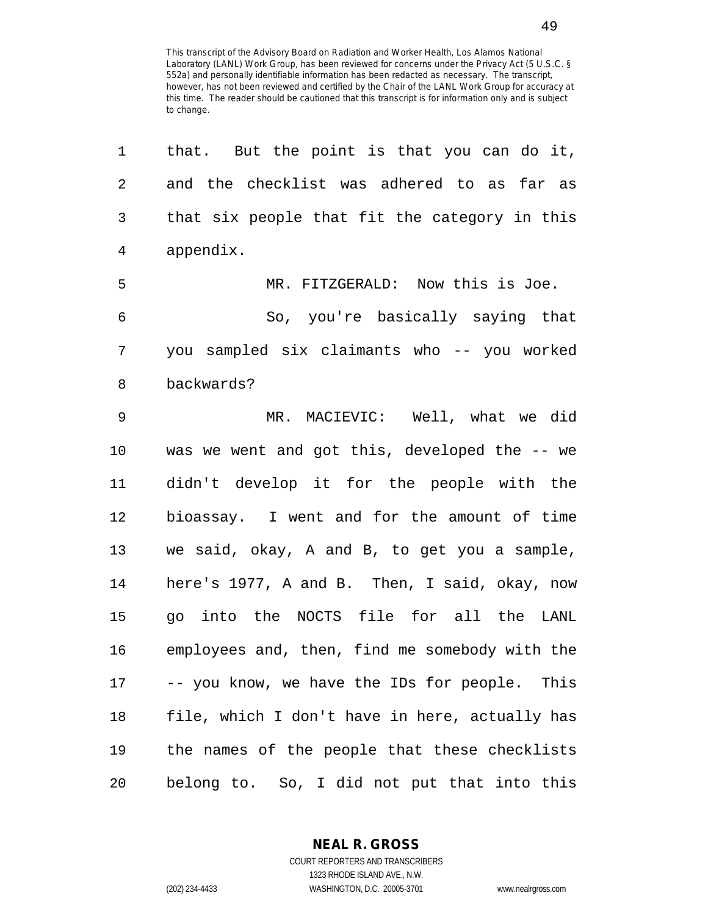1 that. But the point is that you can do it, 2 and the checklist was adhered to as far as 3 that six people that fit the category in this 4 appendix. 5 MR. FITZGERALD: Now this is Joe. 6 So, you're basically saying that 7 you sampled six claimants who -- you worked 8 backwards? 9 MR. MACIEVIC: Well, what we did 10 was we went and got this, developed the -- we 11 didn't develop it for the people with the 12 bioassay. I went and for the amount of time 13 we said, okay, A and B, to get you a sample, 14 here's 1977, A and B. Then, I said, okay, now 15 go into the NOCTS file for all the LANL 16 employees and, then, find me somebody with the 17 -- you know, we have the IDs for people. This 18 file, which I don't have in here, actually has 19 the names of the people that these checklists 20 belong to. So, I did not put that into this

**NEAL R. GROSS**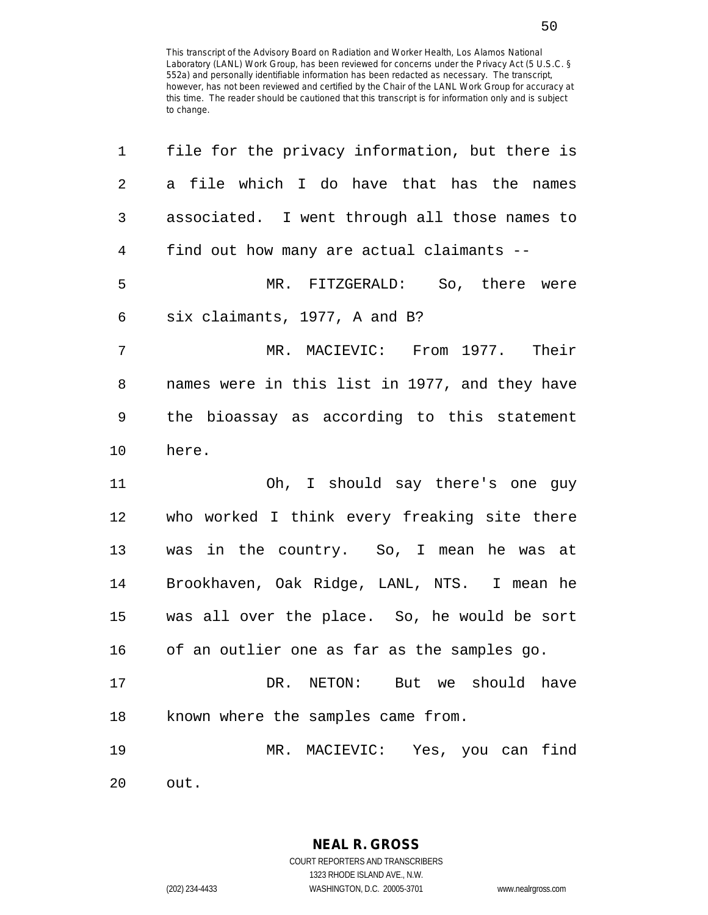| 1              | file for the privacy information, but there is |
|----------------|------------------------------------------------|
| 2              | a file which I do have that has the names      |
| 3              | associated. I went through all those names to  |
| $\overline{4}$ | find out how many are actual claimants --      |
| 5              | MR. FITZGERALD: So, there were                 |
| 6              | six claimants, 1977, A and B?                  |
| 7              | MR. MACIEVIC: From 1977. Their                 |
| 8              | names were in this list in 1977, and they have |
| 9              | the bioassay as according to this statement    |
| 10             | here.                                          |
| 11             | Oh, I should say there's one guy               |
| 12             | who worked I think every freaking site there   |
| 13             | was in the country. So, I mean he was at       |
| 14             | Brookhaven, Oak Ridge, LANL, NTS. I mean he    |
| 15             | was all over the place. So, he would be sort   |
| 16             | of an outlier one as far as the samples go.    |
| 17             | DR. NETON: But we should have                  |
| 18             | known where the samples came from.             |
| 19             | MR. MACIEVIC: Yes, you can find                |
| 20             | $\sim$ 011t.                                   |

**NEAL R. GROSS** COURT REPORTERS AND TRANSCRIBERS

1323 RHODE ISLAND AVE., N.W. (202) 234-4433 WASHINGTON, D.C. 20005-3701 www.nealrgross.com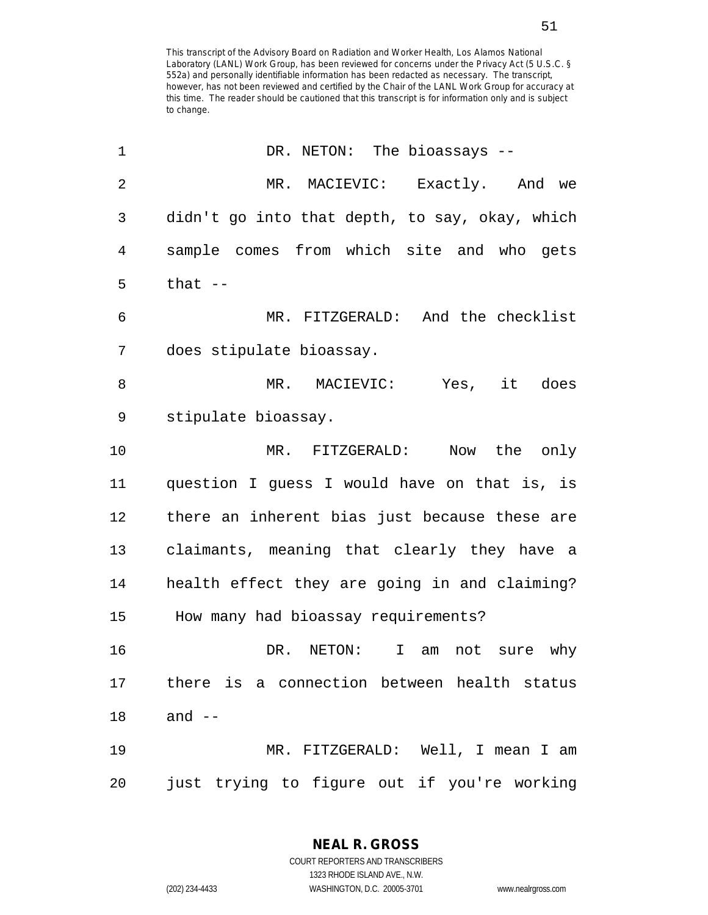| 1  | DR. NETON: The bioassays --                         |
|----|-----------------------------------------------------|
| 2  | MR. MACIEVIC: Exactly. And we                       |
| 3  | didn't go into that depth, to say, okay, which      |
| 4  | sample comes from which site and who gets           |
| 5  | that $-$                                            |
| 6  | MR. FITZGERALD: And the checklist                   |
| 7  | does stipulate bioassay.                            |
| 8  | Yes, it<br>does<br>MR. MACIEVIC:                    |
| 9  | stipulate bioassay.                                 |
| 10 | MR. FITZGERALD:<br>Now the only                     |
| 11 | question I guess I would have on that is, is        |
| 12 | there an inherent bias just because these are       |
| 13 | claimants, meaning that clearly they have a         |
| 14 | health effect they are going in and claiming?       |
| 15 | How many had bioassay requirements?                 |
| 16 | DR.<br>NETON:<br>$\mathbf{I}$<br>not sure why<br>am |
| 17 | there is a connection between health status         |
| 18 | and $--$                                            |
| 19 | MR. FITZGERALD: Well, I mean I am                   |
| 20 | just trying to figure out if you're working         |

**NEAL R. GROSS**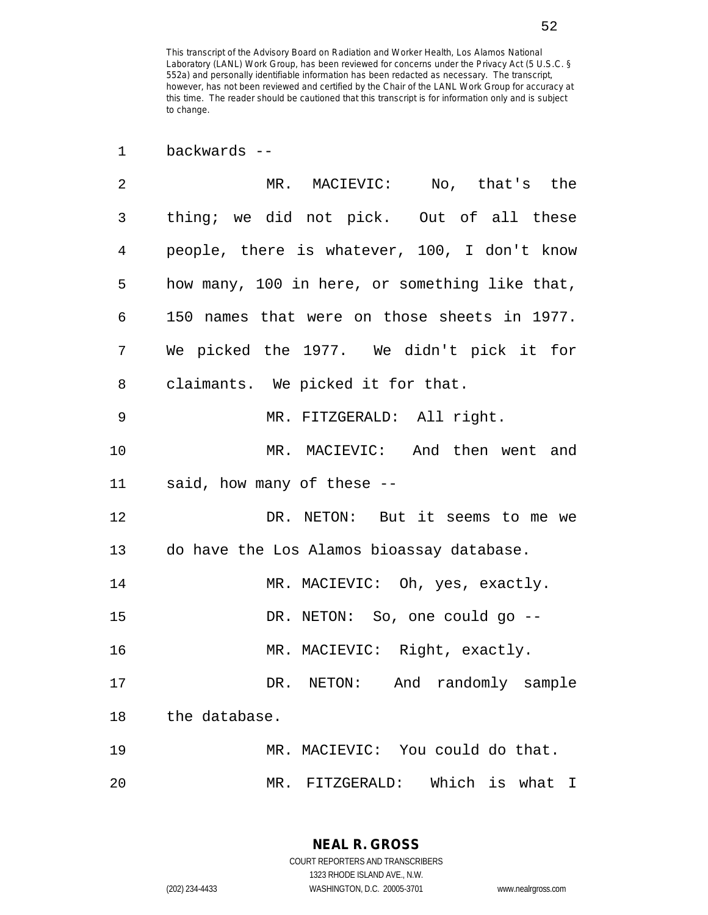1 backwards --

| $\overline{2}$ | MR. MACIEVIC: No, that's the                                    |
|----------------|-----------------------------------------------------------------|
| 3              | thing; we did not pick. Out of all these                        |
| 4              | people, there is whatever, 100, I don't know                    |
| 5              | how many, 100 in here, or something like that,                  |
| 6              | 150 names that were on those sheets in 1977.                    |
| 7              | We picked the 1977. We didn't pick it for                       |
| 8              | claimants. We picked it for that.                               |
| 9              | MR. FITZGERALD: All right.                                      |
| 10             | MR. MACIEVIC: And then went and                                 |
| 11             | said, how many of these --                                      |
| 12             | DR. NETON: But it seems to me we                                |
| 13             | do have the Los Alamos bioassay database.                       |
| 14             | MR. MACIEVIC: Oh, yes, exactly.                                 |
| 15             | DR. NETON: So, one could go --                                  |
| 16             | MR. MACIEVIC: Right, exactly.                                   |
| 17             | DR. NETON: And randomly sample                                  |
| 18             | the database.                                                   |
| 19             | MR. MACIEVIC: You could do that.                                |
| 20             | Which is what<br>MR.<br>FITZGERALD:<br>$\mathbf{\mathbf{\bot}}$ |

**NEAL R. GROSS**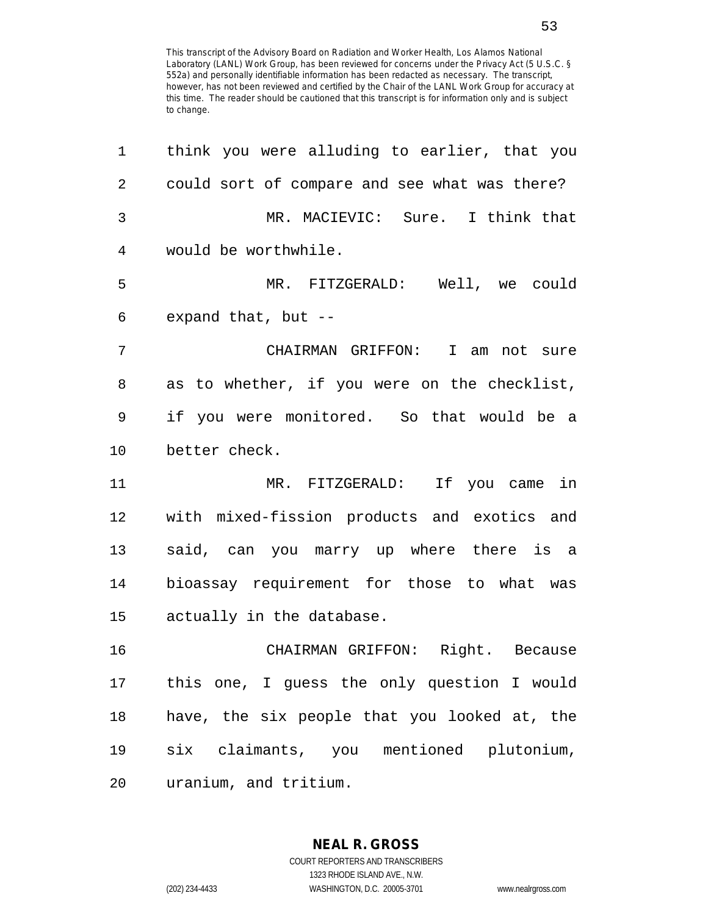| 1              | think you were alluding to earlier, that you  |
|----------------|-----------------------------------------------|
| $\overline{2}$ | could sort of compare and see what was there? |
| 3              | MR. MACIEVIC: Sure. I think that              |
| 4              | would be worthwhile.                          |
| 5              | MR. FITZGERALD: Well, we could                |
| 6              | expand that, but $-$                          |
| 7              | CHAIRMAN GRIFFON: I am not sure               |
| 8              | as to whether, if you were on the checklist,  |
| 9              | if you were monitored. So that would be a     |
| 10             | better check.                                 |
| 11             | MR. FITZGERALD: If you came in                |
| 12             | with mixed-fission products and exotics and   |
| 13             | said, can you marry up where there is a       |
| 14             | bioassay requirement for those to what was    |
| 15             | actually in the database.                     |
| 16             | CHAIRMAN GRIFFON: Right. Because              |
| 17             | this one, I guess the only question I would   |
| 18             | have, the six people that you looked at, the  |
| 19             | six claimants, you mentioned plutonium,       |
| 20             | uranium, and tritium.                         |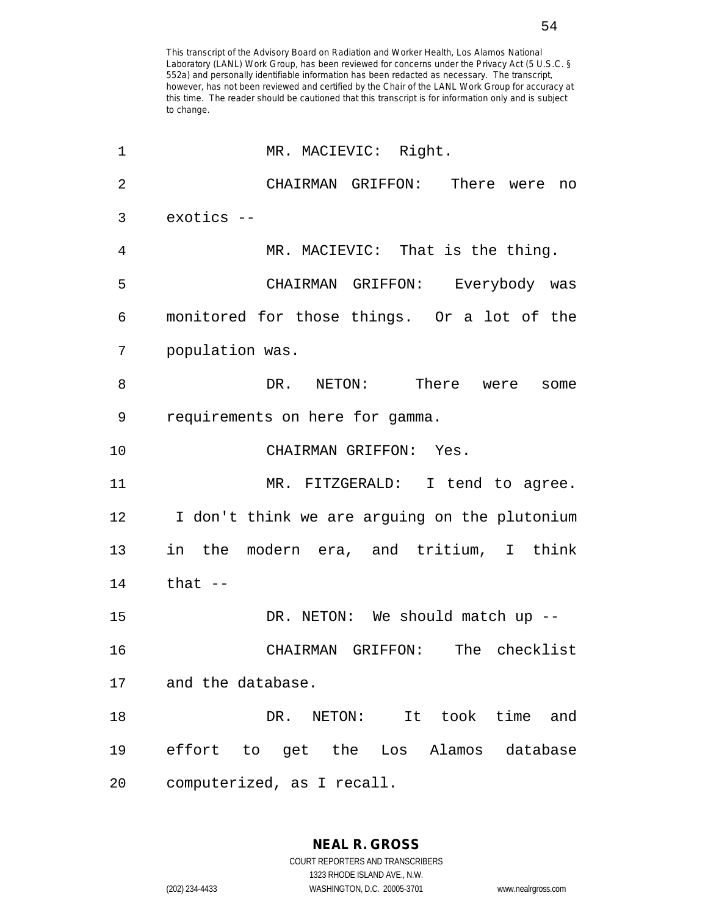| 1              | MR. MACIEVIC: Right.                          |
|----------------|-----------------------------------------------|
| $\overline{2}$ | CHAIRMAN GRIFFON: There were<br>no            |
| 3              | $exotics --$                                  |
| 4              | MR. MACIEVIC: That is the thing.              |
| 5              | CHAIRMAN GRIFFON: Everybody was               |
| 6              | monitored for those things. Or a lot of the   |
| 7              | population was.                               |
| 8              | DR. NETON: There were<br>some                 |
| 9              | requirements on here for gamma.               |
| 10             | CHAIRMAN GRIFFON: Yes.                        |
| 11             | MR. FITZGERALD: I tend to agree.              |
| 12             | I don't think we are arguing on the plutonium |
| 13             | in the modern era, and tritium, I think       |
| 14             | that --                                       |
| 15             | DR. NETON: We should match up --              |
| 16             | The checklist<br>CHAIRMAN GRIFFON:            |
| 17             | and the database.                             |
| 18             | NETON: It took time and<br>DR.                |
| 19             | effort to get the Los Alamos database         |
| 20             | computerized, as I recall.                    |

**NEAL R. GROSS** COURT REPORTERS AND TRANSCRIBERS

1323 RHODE ISLAND AVE., N.W.

(202) 234-4433 WASHINGTON, D.C. 20005-3701 www.nealrgross.com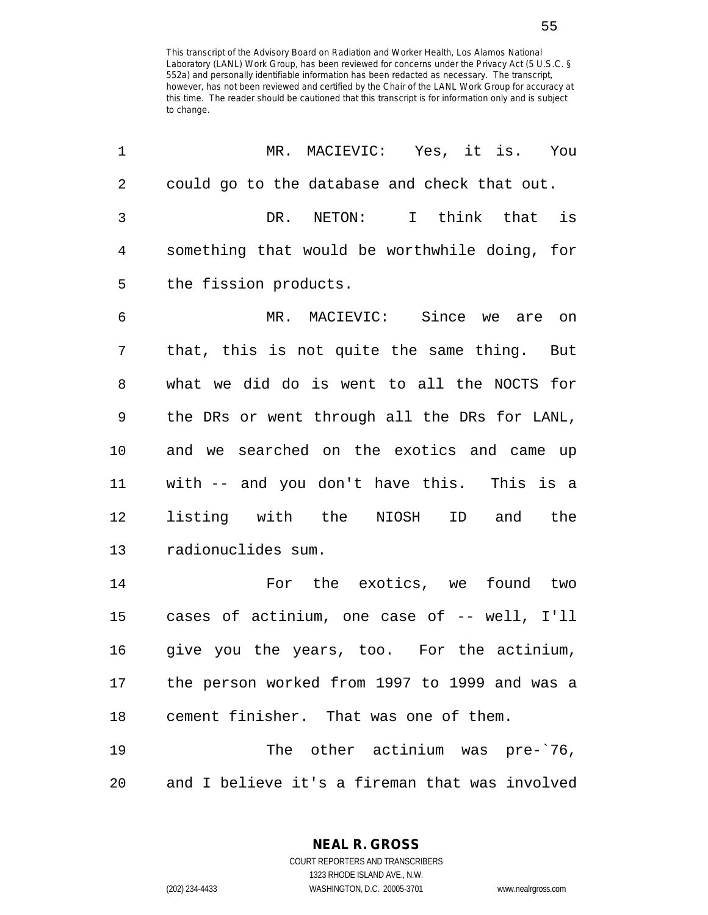| 1  | MR. MACIEVIC: Yes, it is. You                  |
|----|------------------------------------------------|
| 2  | could go to the database and check that out.   |
| 3  | DR. NETON: I think that is                     |
| 4  | something that would be worthwhile doing, for  |
| 5  | the fission products.                          |
| 6  | MR. MACIEVIC: Since we are on                  |
| 7  | that, this is not quite the same thing. But    |
| 8  | what we did do is went to all the NOCTS for    |
| 9  | the DRs or went through all the DRs for LANL,  |
| 10 | and we searched on the exotics and came up     |
| 11 | with -- and you don't have this. This is a     |
| 12 | listing with the NIOSH ID and the              |
| 13 | radionuclides sum.                             |
| 14 | For the exotics, we found two                  |
| 15 | cases of actinium, one case of -- well, I'll   |
| 16 | give you the years, too. For the actinium,     |
| 17 | the person worked from 1997 to 1999 and was a  |
| 18 | cement finisher. That was one of them.         |
| 19 | The other actinium was pre-'76,                |
| 20 | and I believe it's a fireman that was involved |

**NEAL R. GROSS**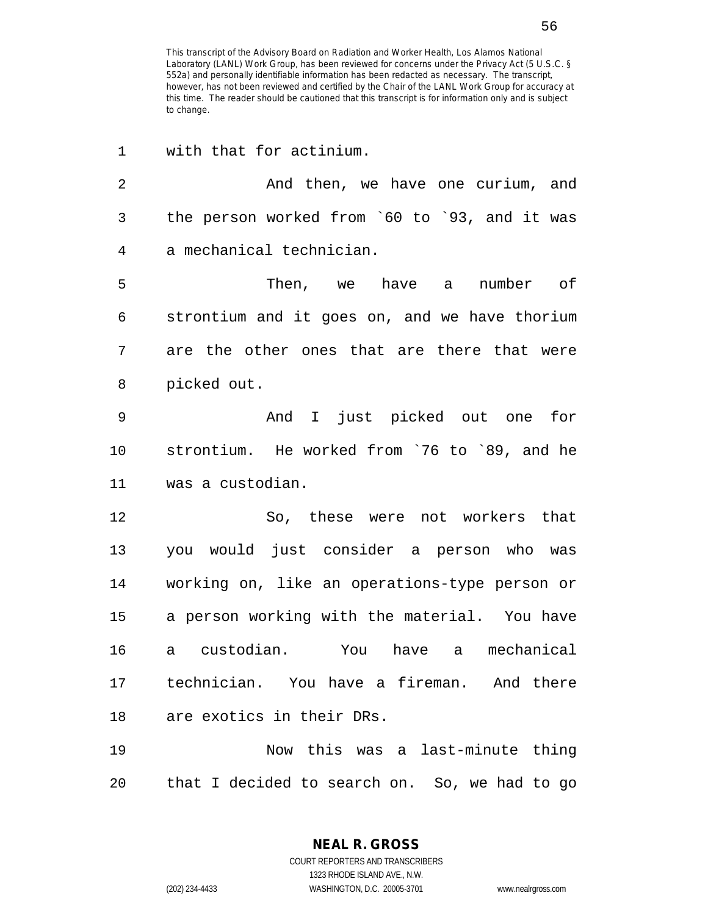1 with that for actinium. 2 And then, we have one curium, and 3 the person worked from `60 to `93, and it was 4 a mechanical technician. 5 Then, we have a number of 6 strontium and it goes on, and we have thorium 7 are the other ones that are there that were 8 picked out. 9 And I just picked out one for 10 strontium. He worked from `76 to `89, and he 11 was a custodian. 12 So, these were not workers that 13 you would just consider a person who was 14 working on, like an operations-type person or 15 a person working with the material. You have 16 a custodian. You have a mechanical 17 technician. You have a fireman. And there 18 are exotics in their DRs. 19 Now this was a last-minute thing 20 that I decided to search on. So, we had to go

> COURT REPORTERS AND TRANSCRIBERS 1323 RHODE ISLAND AVE., N.W. (202) 234-4433 WASHINGTON, D.C. 20005-3701 www.nealrgross.com

**NEAL R. GROSS**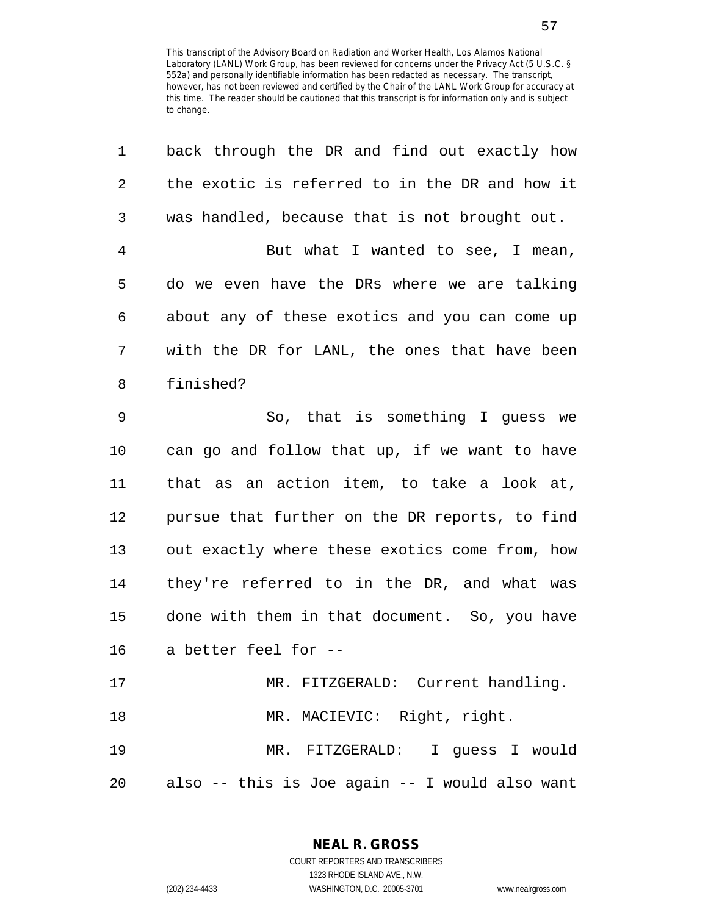| 1              | back through the DR and find out exactly how   |
|----------------|------------------------------------------------|
| 2              | the exotic is referred to in the DR and how it |
| 3              | was handled, because that is not brought out.  |
| $\overline{4}$ | But what I wanted to see, I mean,              |
| 5              | do we even have the DRs where we are talking   |
| 6              | about any of these exotics and you can come up |
| 7              | with the DR for LANL, the ones that have been  |
| 8              | finished?                                      |
| 9              | So, that is something I guess we               |
| 10             | can go and follow that up, if we want to have  |
| 11             | that as an action item, to take a look at,     |
| 12             | pursue that further on the DR reports, to find |
| 13             | out exactly where these exotics come from, how |
| 14             | they're referred to in the DR, and what was    |
| 15             | done with them in that document. So, you have  |
| 16             | a better feel for --                           |
| 17             | MR. FITZGERALD: Current handling.              |
| 18             | MR. MACIEVIC: Right, right.                    |
| 19             | MR. FITZGERALD: I guess I would                |
| 20             | also -- this is Joe again -- I would also want |

**NEAL R. GROSS**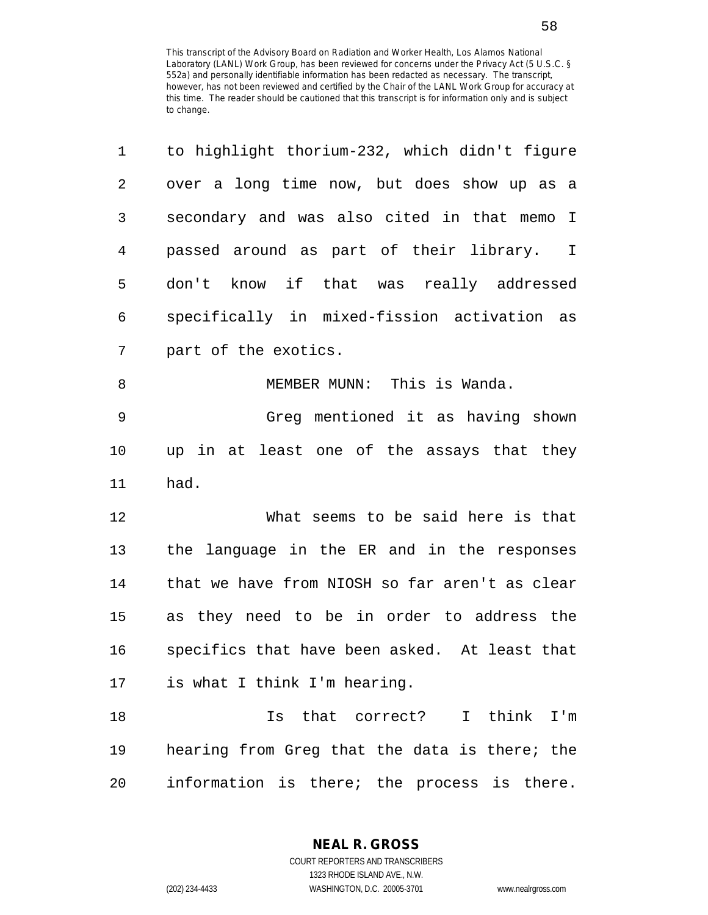| 1              | to highlight thorium-232, which didn't figure  |
|----------------|------------------------------------------------|
| 2              | over a long time now, but does show up as a    |
| 3              | secondary and was also cited in that memo I    |
| $\overline{4}$ | passed around as part of their library. I      |
| 5              | don't know if that was really addressed        |
| 6              | specifically in mixed-fission activation as    |
| 7              | part of the exotics.                           |
| 8              | MEMBER MUNN: This is Wanda.                    |
| 9              | Greg mentioned it as having shown              |
| 10             | up in at least one of the assays that they     |
| 11             | had.                                           |
| 12             | What seems to be said here is that             |
| 13             | the language in the ER and in the responses    |
| 14             | that we have from NIOSH so far aren't as clear |
| 15             | as they need to be in order to address the     |
| 16             | specifics that have been asked. At least that  |
| 17             | is what I think I'm hearing.                   |
| 18             | Is that correct? I think I'm                   |
| 19             | hearing from Greg that the data is there; the  |
| 20             | information is there; the process is there.    |

**NEAL R. GROSS**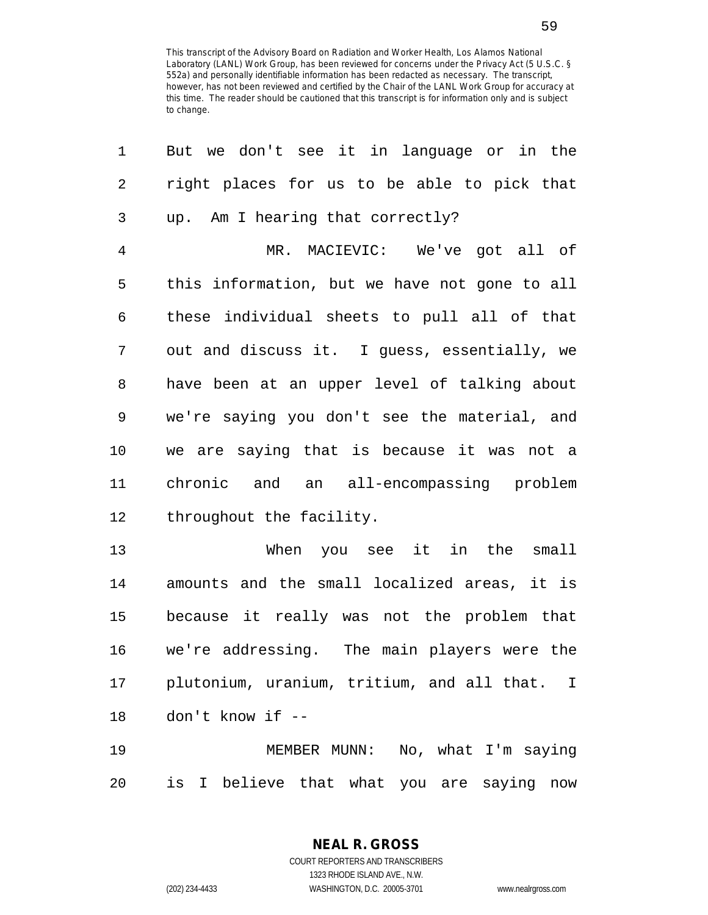| 1           | But we don't see it in language or in the       |
|-------------|-------------------------------------------------|
| 2           | right places for us to be able to pick that     |
| 3           | up. Am I hearing that correctly?                |
| 4           | MR. MACIEVIC: We've got all of                  |
| 5           | this information, but we have not gone to all   |
| 6           | these individual sheets to pull all of that     |
| 7           | out and discuss it. I guess, essentially, we    |
| 8           | have been at an upper level of talking about    |
| $\mathsf 9$ | we're saying you don't see the material, and    |
| 10          | we are saying that is because it was not a      |
| 11          | chronic and an all-encompassing problem         |
| 12          | throughout the facility.                        |
| 13          | When you see it in the small                    |
| 14          | amounts and the small localized areas, it is    |
| 15          | because it really was not the problem that      |
| 16          | we're addressing. The main players were the     |
| 17          | plutonium, uranium, tritium, and all that.<br>I |
| 18          | don't know if --                                |
| 19          | MEMBER MUNN: No, what I'm saying                |
| 20          | is I believe that what you are saying<br>now    |

**NEAL R. GROSS**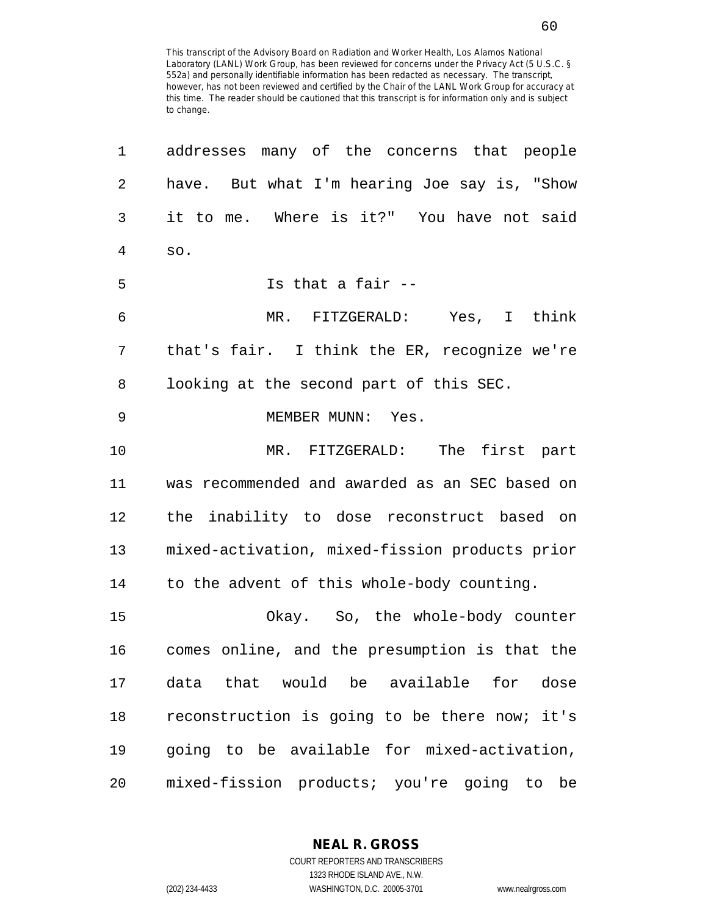| 1  | addresses many of the concerns that people     |
|----|------------------------------------------------|
| 2  | have. But what I'm hearing Joe say is, "Show   |
| 3  | it to me. Where is it?" You have not said      |
| 4  | SO.                                            |
| 5  | Is that a fair --                              |
| 6  | MR. FITZGERALD: Yes, I think                   |
| 7  | that's fair. I think the ER, recognize we're   |
| 8  | looking at the second part of this SEC.        |
| 9  | MEMBER MUNN: Yes.                              |
| 10 | MR. FITZGERALD: The first part                 |
| 11 | was recommended and awarded as an SEC based on |
| 12 | the inability to dose reconstruct based on     |
| 13 | mixed-activation, mixed-fission products prior |
| 14 | to the advent of this whole-body counting.     |
| 15 | Okay. So, the whole-body counter               |
| 16 | comes online, and the presumption is that the  |
| 17 | data that would be available for<br>dose       |
| 18 | reconstruction is going to be there now; it's  |
| 19 | going to be available for mixed-activation,    |
| 20 | mixed-fission products; you're going to be     |

**NEAL R. GROSS**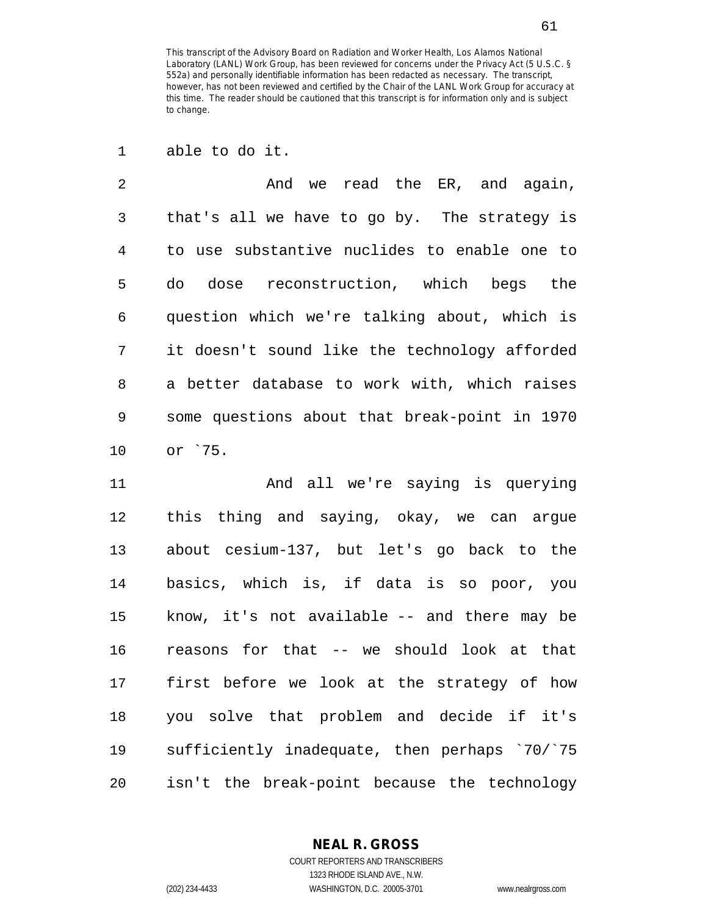1 able to do it.

2 And we read the ER, and again, 3 that's all we have to go by. The strategy is 4 to use substantive nuclides to enable one to 5 do dose reconstruction, which begs the 6 question which we're talking about, which is 7 it doesn't sound like the technology afforded 8 a better database to work with, which raises 9 some questions about that break-point in 1970 10 or `75.

11 And all we're saying is querying 12 this thing and saying, okay, we can argue 13 about cesium-137, but let's go back to the 14 basics, which is, if data is so poor, you 15 know, it's not available -- and there may be 16 reasons for that -- we should look at that 17 first before we look at the strategy of how 18 you solve that problem and decide if it's 19 sufficiently inadequate, then perhaps `70/`75 20 isn't the break-point because the technology

> **NEAL R. GROSS** COURT REPORTERS AND TRANSCRIBERS

> > 1323 RHODE ISLAND AVE., N.W.

(202) 234-4433 WASHINGTON, D.C. 20005-3701 www.nealrgross.com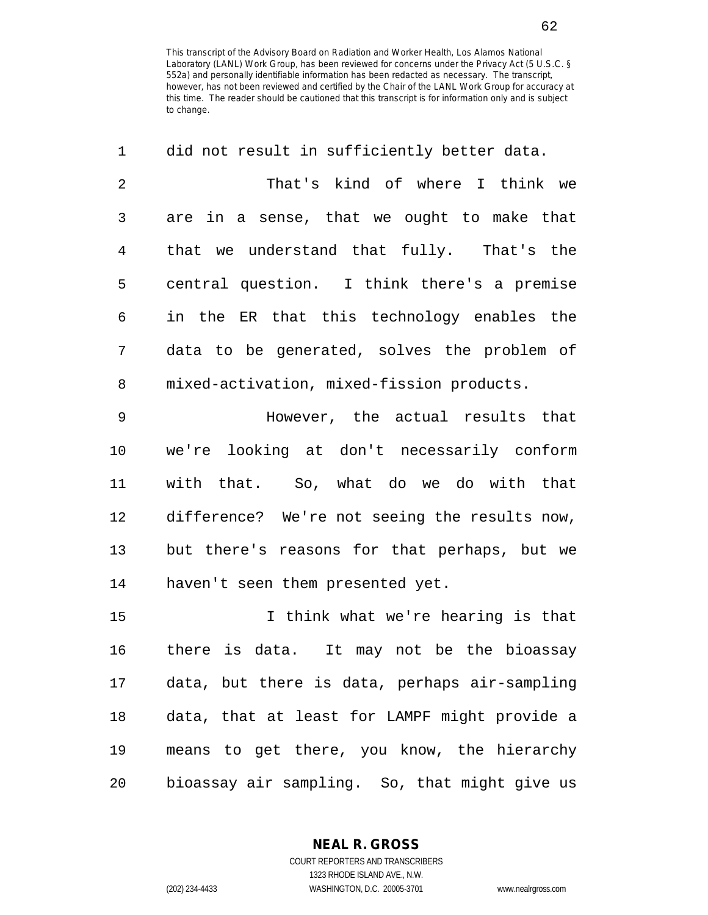|   | 1 did not result in sufficiently better data. |
|---|-----------------------------------------------|
| 2 | That's kind of where I think we               |
| 3 | are in a sense, that we ought to make that    |
| 4 | that we understand that fully. That's the     |
| 5 | central question. I think there's a premise   |
| 6 | in the ER that this technology enables the    |
| 7 | data to be generated, solves the problem of   |
| 8 | mixed-activation, mixed-fission products.     |
| 9 | However, the actual results that              |
|   | 10 we're looking at don't necessarily conform |

11 with that. So, what do we do with that 12 difference? We're not seeing the results now, 13 but there's reasons for that perhaps, but we 14 haven't seen them presented yet.

15 I think what we're hearing is that 16 there is data. It may not be the bioassay 17 data, but there is data, perhaps air-sampling 18 data, that at least for LAMPF might provide a 19 means to get there, you know, the hierarchy 20 bioassay air sampling. So, that might give us

**NEAL R. GROSS**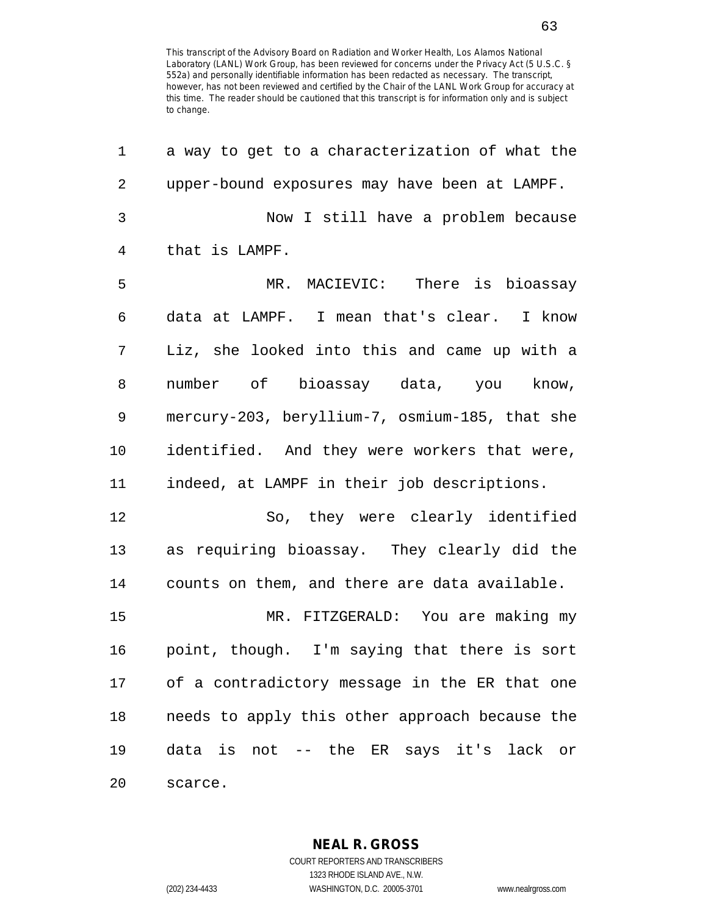| 1              | a way to get to a characterization of what the |
|----------------|------------------------------------------------|
| 2              | upper-bound exposures may have been at LAMPF.  |
| $\mathfrak{Z}$ | Now I still have a problem because             |
| 4              | that is LAMPF.                                 |
| 5              | MR. MACIEVIC: There is bioassay                |
| 6              | data at LAMPF. I mean that's clear. I know     |
| 7              | Liz, she looked into this and came up with a   |
| 8              | number of bioassay data, you know,             |
| 9              | mercury-203, beryllium-7, osmium-185, that she |
| 10             | identified. And they were workers that were,   |
| 11             | indeed, at LAMPF in their job descriptions.    |
| 12             | So, they were clearly identified               |
| 13             | as requiring bioassay. They clearly did the    |
| 14             | counts on them, and there are data available.  |
| 15             | MR. FITZGERALD: You are making my              |
| 16             | point, though. I'm saying that there is sort   |
| 17             | of a contradictory message in the ER that one  |
| $18\,$         | needs to apply this other approach because the |
| 19             | data is not -- the ER says it's lack or        |
| 20             | scarce.                                        |

**NEAL R. GROSS** COURT REPORTERS AND TRANSCRIBERS

1323 RHODE ISLAND AVE., N.W.

(202) 234-4433 WASHINGTON, D.C. 20005-3701 www.nealrgross.com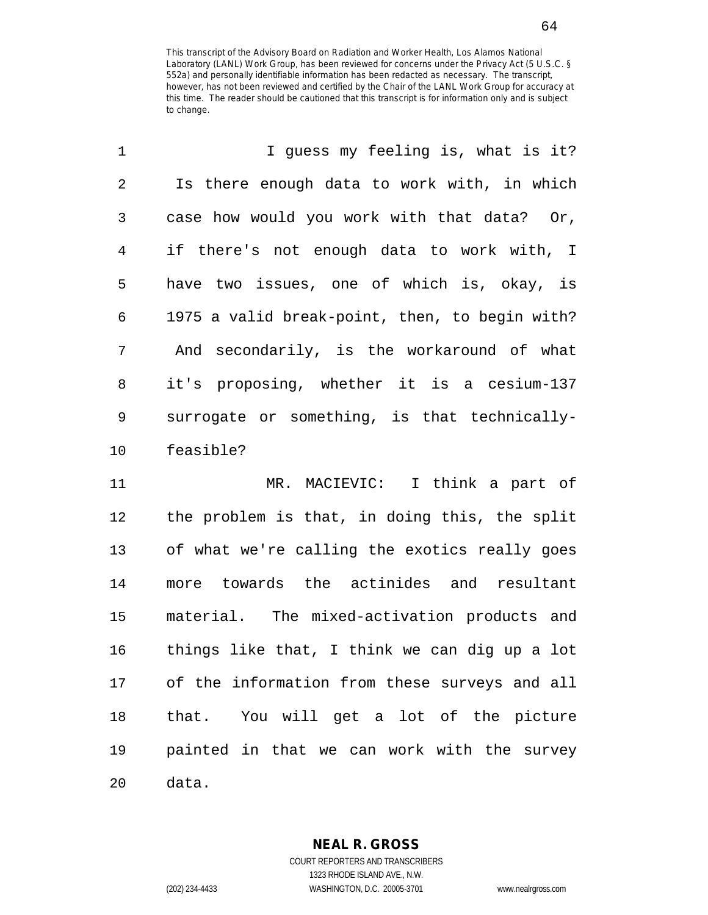| $\mathbf{1}$ | I guess my feeling is, what is it?             |
|--------------|------------------------------------------------|
| 2            | Is there enough data to work with, in which    |
| 3            | case how would you work with that data? Or,    |
| 4            | if there's not enough data to work with, I     |
| 5            | have two issues, one of which is, okay, is     |
| 6            | 1975 a valid break-point, then, to begin with? |
| 7            | And secondarily, is the workaround of what     |
| 8            | it's proposing, whether it is a cesium-137     |
| 9            | surrogate or something, is that technically-   |
| 10           | feasible?                                      |

11 MR. MACIEVIC: I think a part of 12 the problem is that, in doing this, the split 13 of what we're calling the exotics really goes 14 more towards the actinides and resultant 15 material. The mixed-activation products and 16 things like that, I think we can dig up a lot 17 of the information from these surveys and all 18 that. You will get a lot of the picture 19 painted in that we can work with the survey 20 data.

**NEAL R. GROSS**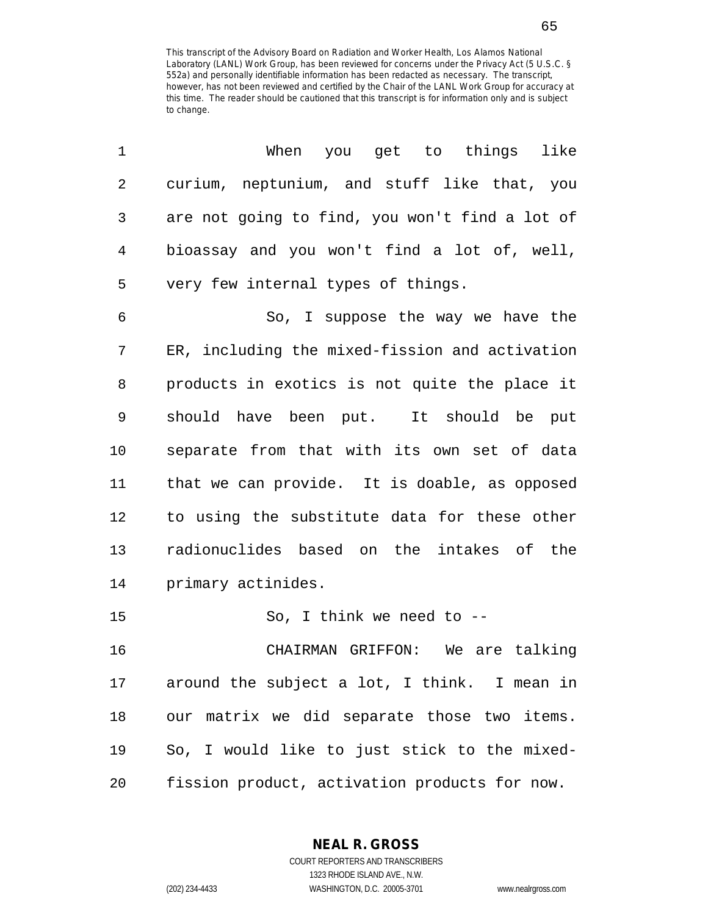| curium, neptunium, and stuff like that, you<br>are not going to find, you won't find a lot of<br>bioassay and you won't find a lot of, well, |
|----------------------------------------------------------------------------------------------------------------------------------------------|
|                                                                                                                                              |
|                                                                                                                                              |
|                                                                                                                                              |
|                                                                                                                                              |
| So, I suppose the way we have the                                                                                                            |
| ER, including the mixed-fission and activation                                                                                               |
| products in exotics is not quite the place it                                                                                                |
| should have been put. It should be put                                                                                                       |
| separate from that with its own set of data                                                                                                  |
| that we can provide. It is doable, as opposed                                                                                                |
| to using the substitute data for these other                                                                                                 |
| radionuclides based on the intakes of the                                                                                                    |
|                                                                                                                                              |
|                                                                                                                                              |
|                                                                                                                                              |
| CHAIRMAN GRIFFON: We are talking                                                                                                             |
| around the subject a lot, I think. I mean in                                                                                                 |
| our matrix we did separate those two items.                                                                                                  |
|                                                                                                                                              |

20 fission product, activation products for now.

**NEAL R. GROSS** COURT REPORTERS AND TRANSCRIBERS

1323 RHODE ISLAND AVE., N.W. (202) 234-4433 WASHINGTON, D.C. 20005-3701 www.nealrgross.com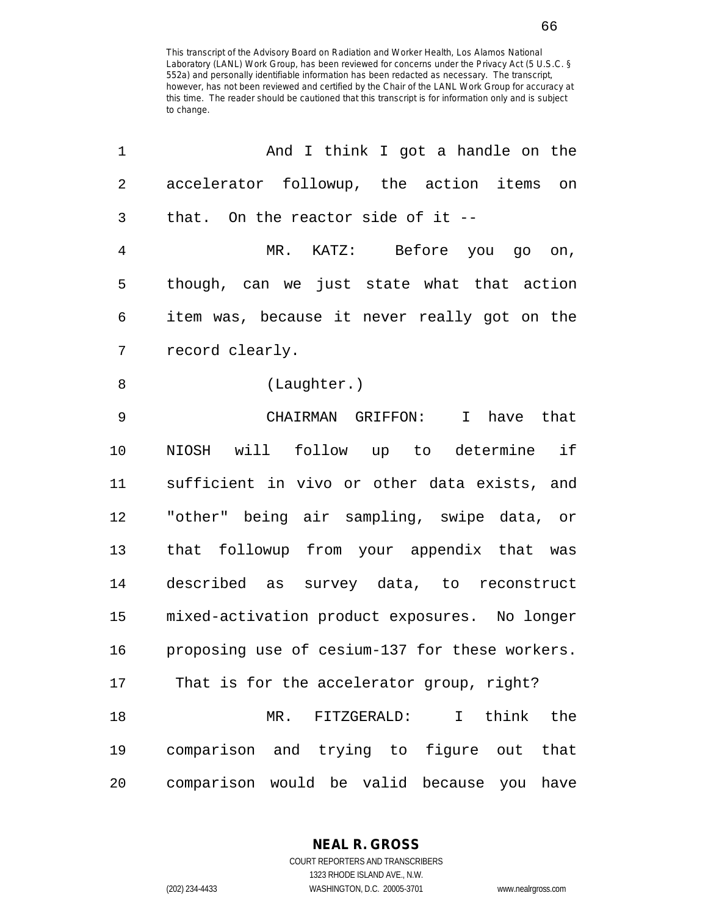| 1              | And I think I got a handle on the                  |
|----------------|----------------------------------------------------|
| 2              | accelerator followup, the action items<br>on       |
| 3              | that. On the reactor side of it $-$ -              |
| $\overline{4}$ | MR. KATZ: Before you go<br>on,                     |
| 5              | though, can we just state what that action         |
| 6              | item was, because it never really got on the       |
| 7              | record clearly.                                    |
| 8              | (Laughter.)                                        |
| 9              | CHAIRMAN GRIFFON:<br>I have that                   |
| 10             | NIOSH will follow up to determine if               |
| 11             | sufficient in vivo or other data exists, and       |
| 12             | "other" being air sampling, swipe data, or         |
| 13             | that followup from your appendix that was          |
| 14             | described as survey data, to reconstruct           |
| 15             | mixed-activation product exposures. No longer      |
| 16             | proposing use of cesium-137 for these workers.     |
| 17             | That is for the accelerator group, right?          |
| 18             | think<br>the<br>FITZGERALD:<br>$\mathbf{I}$<br>MR. |
| 19             | comparison and trying to figure out<br>that        |
| 20             | comparison would be valid because you<br>have      |

**NEAL R. GROSS**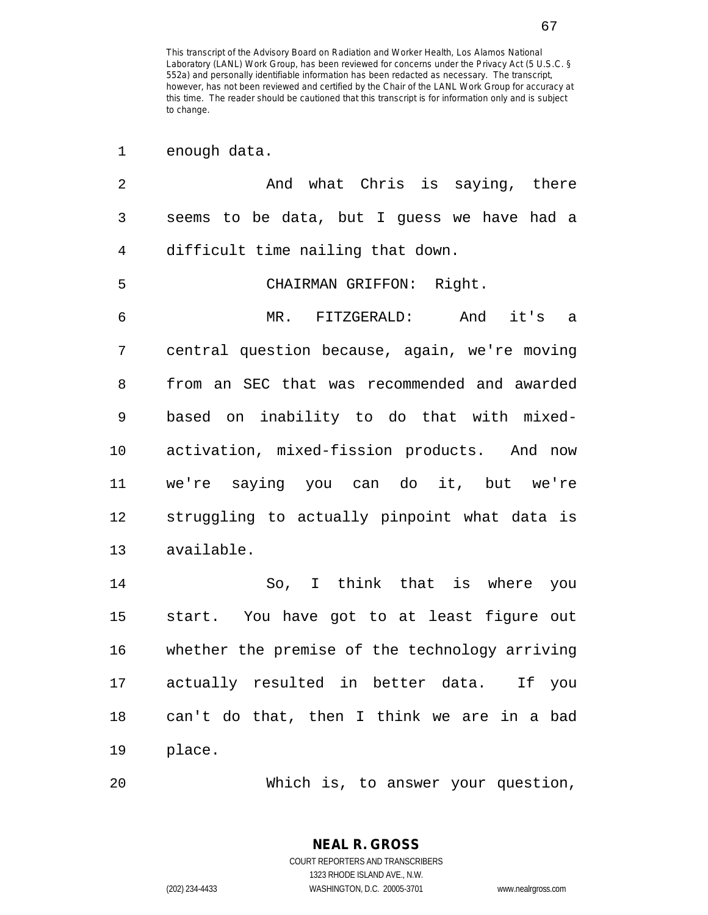2 And what Chris is saying, there

3 seems to be data, but I guess we have had a

6 MR. FITZGERALD: And it's a

7 central question because, again, we're moving

8 from an SEC that was recommended and awarded

9 based on inability to do that with mixed-

10 activation, mixed-fission products. And now

11 we're saying you can do it, but we're

12 struggling to actually pinpoint what data is

14 So, I think that is where you

15 start. You have got to at least figure out

16 whether the premise of the technology arriving

17 actually resulted in better data. If you

18 can't do that, then I think we are in a bad

4 difficult time nailing that down.

5 CHAIRMAN GRIFFON: Right.

19 place.

13 available.

1 enough data.

20 Which is, to answer your question,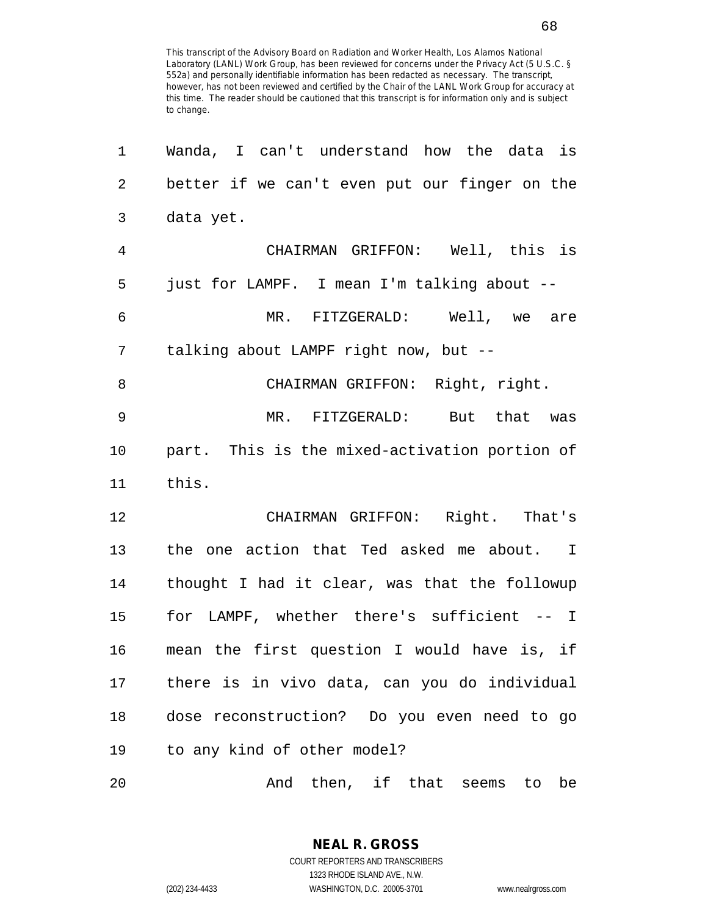| 1  | Wanda, I can't understand how the data is     |
|----|-----------------------------------------------|
| 2  | better if we can't even put our finger on the |
| 3  | data yet.                                     |
| 4  | CHAIRMAN GRIFFON: Well, this is               |
| 5  | just for LAMPF. I mean I'm talking about --   |
| 6  | MR. FITZGERALD: Well, we are                  |
| 7  | talking about LAMPF right now, but --         |
| 8  | CHAIRMAN GRIFFON: Right, right.               |
| 9  | MR. FITZGERALD: But that was                  |
| 10 | part. This is the mixed-activation portion of |
| 11 | this.                                         |
| 12 | CHAIRMAN GRIFFON: Right. That's               |
| 13 | the one action that Ted asked me about. I     |
| 14 | thought I had it clear, was that the followup |
| 15 | for LAMPF, whether there's sufficient -- I    |
| 16 | mean the first question I would have is, if   |
| 17 | there is in vivo data, can you do individual  |
| 18 | dose reconstruction? Do you even need to go   |
| 19 | to any kind of other model?                   |
| 20 | And then, if that seems to be                 |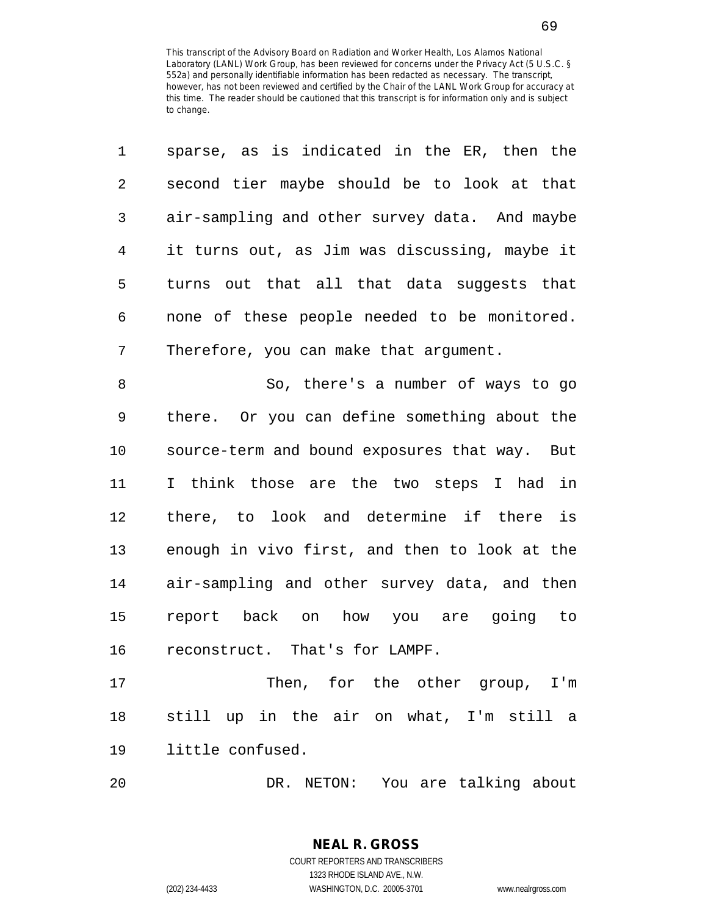| 1              | sparse, as is indicated in the ER, then the   |
|----------------|-----------------------------------------------|
| $\overline{a}$ | second tier maybe should be to look at that   |
| 3              | air-sampling and other survey data. And maybe |
| $\overline{4}$ | it turns out, as Jim was discussing, maybe it |
| 5              | turns out that all that data suggests that    |
| 6              | none of these people needed to be monitored.  |
| 7              | Therefore, you can make that argument.        |
| 8              | So, there's a number of ways to go            |
| 9              | there. Or you can define something about the  |
| 10             | source-term and bound exposures that way. But |
| 11             | I think those are the two steps I had in      |
| 12             | there, to look and determine if there is      |
| 13             | enough in vivo first, and then to look at the |
| 14             | air-sampling and other survey data, and then  |
| 15             | report back on how you are going to           |
| 16             | reconstruct. That's for LAMPF.                |
| 17             | Then, for the other group, I'm                |
| 18             | still up in the air on what, I'm still a      |
| 19             | little confused.                              |

20 DR. NETON: You are talking about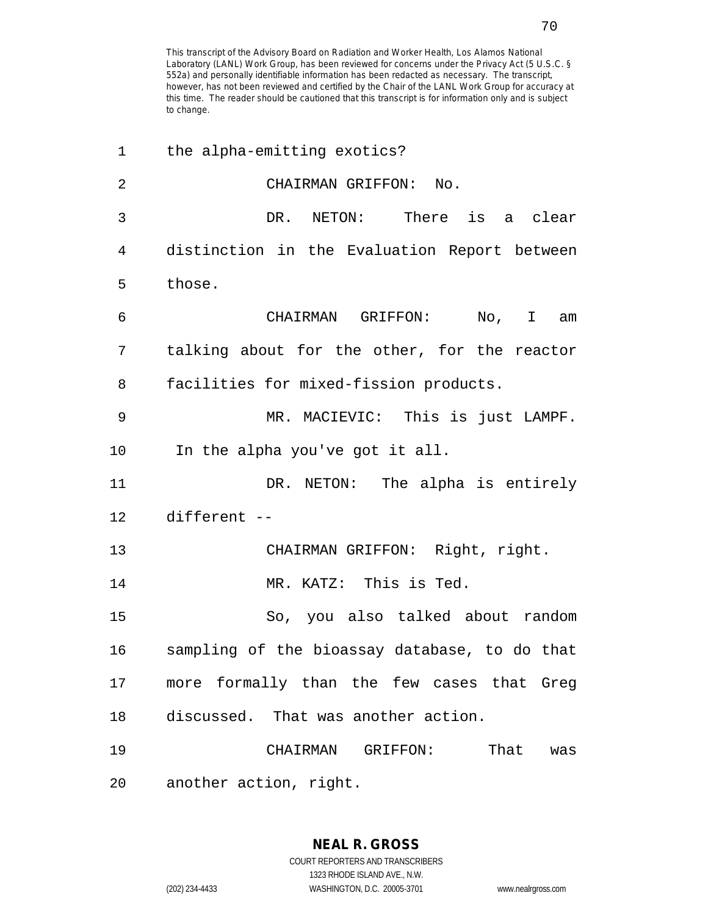| 1              | the alpha-emitting exotics?                   |
|----------------|-----------------------------------------------|
| $\overline{2}$ | CHAIRMAN GRIFFON: No.                         |
| 3              | NETON: There is a clear<br>DR.                |
| 4              | distinction in the Evaluation Report between  |
| 5              | those.                                        |
| 6              | CHAIRMAN GRIFFON: No, I am                    |
| 7              | talking about for the other, for the reactor  |
| 8              | facilities for mixed-fission products.        |
| 9              | MR. MACIEVIC: This is just LAMPF.             |
| 10             | In the alpha you've got it all.               |
| 11             | DR. NETON: The alpha is entirely              |
| $12 \,$        | different --                                  |
| 13             | CHAIRMAN GRIFFON: Right, right.               |
| 14             | MR. KATZ: This is Ted.                        |
| 15             | So, you also talked about random              |
| 16             | sampling of the bioassay database, to do that |
| 17             | more formally than the few cases that Greg    |
| 18             | discussed. That was another action.           |
| 19             | That<br>CHAIRMAN GRIFFON:<br>was              |
| 20             | another action, right.                        |

**NEAL R. GROSS** COURT REPORTERS AND TRANSCRIBERS

1323 RHODE ISLAND AVE., N.W.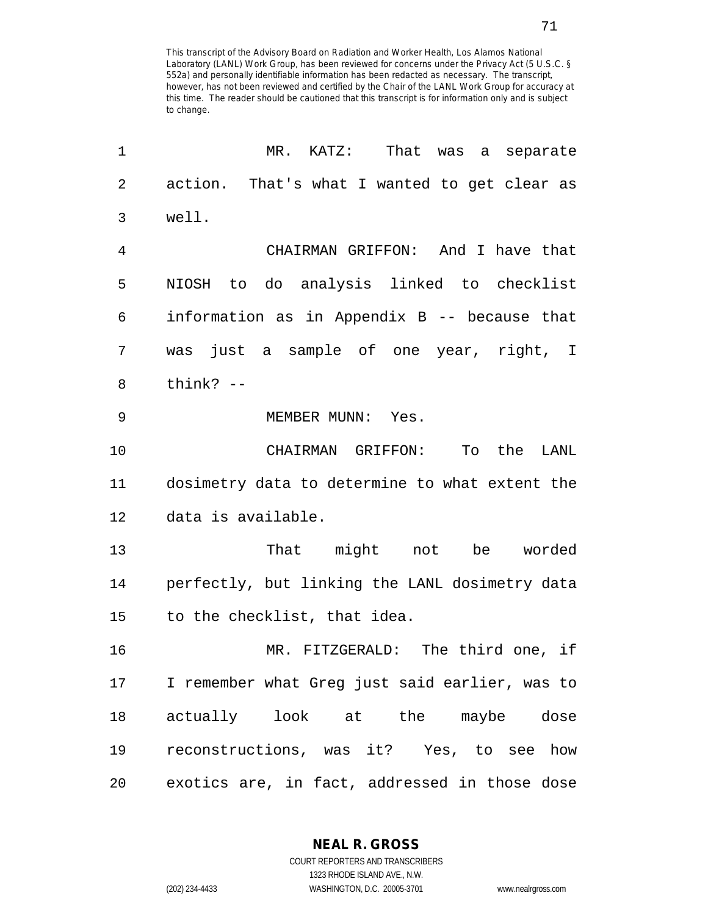71

| 1    | MR.<br>$\mathtt{KATZ}$ :<br>That<br>was a separate |
|------|----------------------------------------------------|
| 2    | action. That's what I wanted to get clear as       |
| 3    | well.                                              |
| 4    | CHAIRMAN GRIFFON: And I have that                  |
| 5    | NIOSH to do analysis linked to checklist           |
| 6    | information as in Appendix B -- because that       |
| 7    | just a sample of one year, right, I<br>was         |
| 8    | $think? --$                                        |
| 9    | MEMBER MUNN: Yes.                                  |
| 10   | CHAIRMAN GRIFFON:<br>the<br>To<br>LANL             |
| 11   | dosimetry data to determine to what extent the     |
| 12   | data is available.                                 |
| 13   | That might not be worded                           |
| 14   | perfectly, but linking the LANL dosimetry data     |
| 15   | to the checklist, that idea.                       |
| 16   | MR. FITZGERALD: The third one, if                  |
| 17   | I remember what Greg just said earlier, was to     |
| $18$ | actually look at the maybe dose                    |
| 19   | reconstructions, was it? Yes, to see how           |
| 20   | exotics are, in fact, addressed in those dose      |

**NEAL R. GROSS**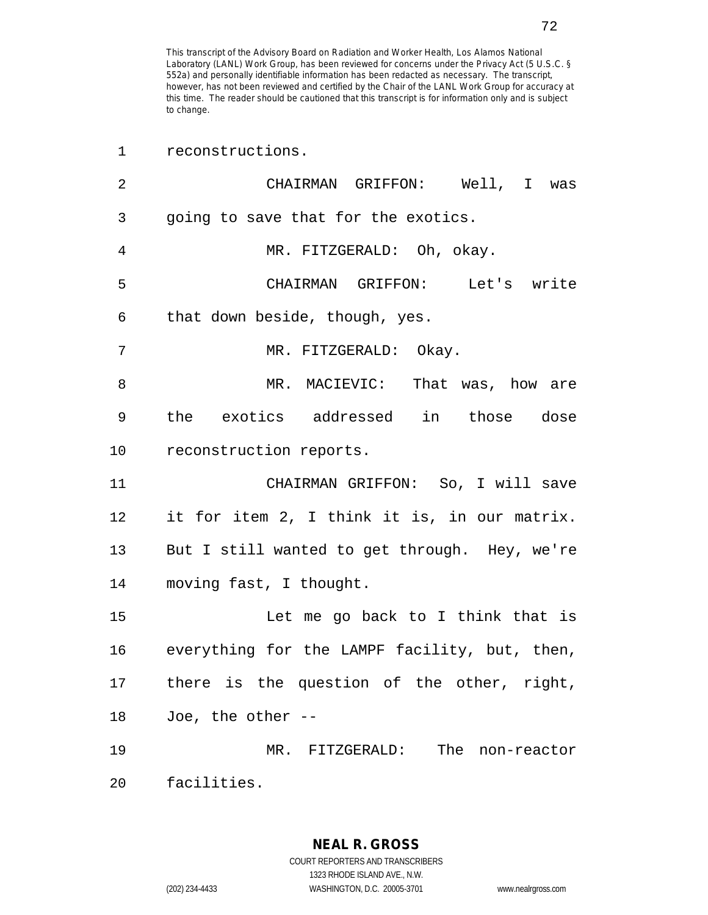1 reconstructions.

| $\overline{2}$ | CHAIRMAN GRIFFON: Well, I was                 |
|----------------|-----------------------------------------------|
| 3              | going to save that for the exotics.           |
| $\overline{4}$ | MR. FITZGERALD: Oh, okay.                     |
| 5              | CHAIRMAN GRIFFON: Let's write                 |
| 6              | that down beside, though, yes.                |
| 7              | MR. FITZGERALD: Okay.                         |
| 8              | MR. MACIEVIC: That was, how are               |
| $\mathsf 9$    | the exotics addressed in those dose           |
| 10             | reconstruction reports.                       |
| 11             | CHAIRMAN GRIFFON: So, I will save             |
| 12             | it for item 2, I think it is, in our matrix.  |
| 13             | But I still wanted to get through. Hey, we're |
| 14             | moving fast, I thought.                       |
| 15             | Let me go back to I think that is             |
| 16             | everything for the LAMPF facility, but, then, |
| 17             | there is the question of the other, right,    |
| 18             | Joe, the other --                             |
| 19             | The<br>MR. FITZGERALD:<br>non-reactor         |
| 20             | facilities.                                   |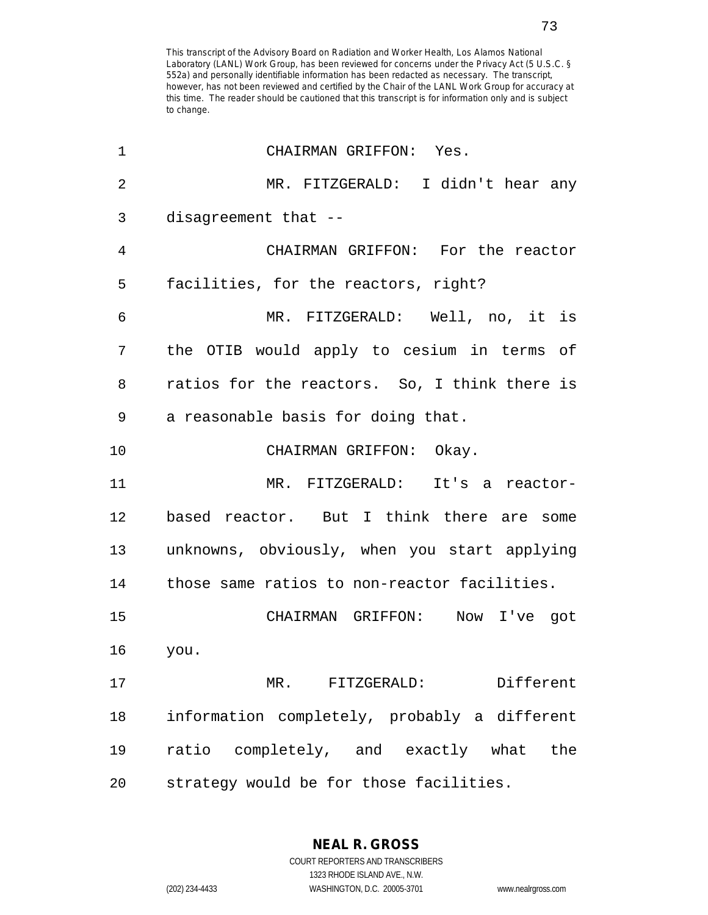| 1  | CHAIRMAN GRIFFON: Yes.                        |
|----|-----------------------------------------------|
| 2  | MR. FITZGERALD: I didn't hear any             |
| 3  | disagreement that --                          |
| 4  | CHAIRMAN GRIFFON: For the reactor             |
| 5  | facilities, for the reactors, right?          |
| 6  | MR. FITZGERALD: Well, no, it is               |
| 7  | the OTIB would apply to cesium in terms of    |
| 8  | ratios for the reactors. So, I think there is |
| 9  | a reasonable basis for doing that.            |
| 10 | CHAIRMAN GRIFFON: Okay.                       |
| 11 | MR. FITZGERALD: It's a reactor-               |
| 12 | based reactor. But I think there are some     |
| 13 | unknowns, obviously, when you start applying  |
| 14 | those same ratios to non-reactor facilities.  |
| 15 | CHAIRMAN GRIFFON: Now I've got                |
| 16 | you.                                          |
| 17 | Different<br>MR. FITZGERALD:                  |
| 18 | information completely, probably a different  |
| 19 | ratio completely, and exactly what the        |
| 20 | strategy would be for those facilities.       |

**NEAL R. GROSS**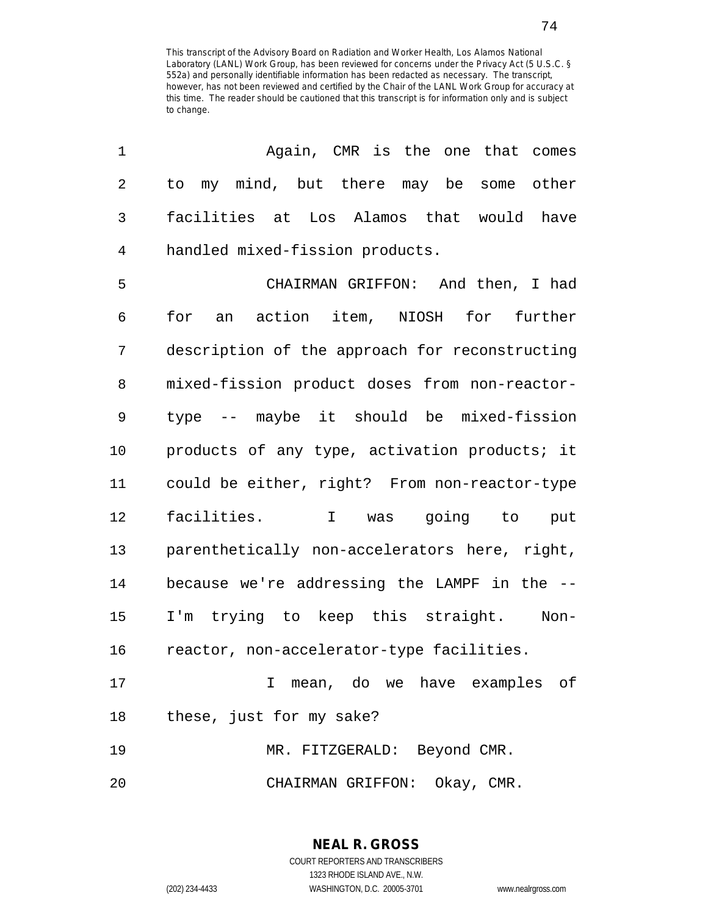| 1  | Again, CMR is the one that comes               |
|----|------------------------------------------------|
| 2  | to my mind, but there may be some other        |
| 3  | facilities at Los Alamos that would<br>have    |
| 4  | handled mixed-fission products.                |
| 5  | CHAIRMAN GRIFFON: And then, I had              |
| 6  | an action item, NIOSH for further<br>for       |
| 7  | description of the approach for reconstructing |
| 8  | mixed-fission product doses from non-reactor-  |
| 9  | type -- maybe it should be mixed-fission       |
| 10 | products of any type, activation products; it  |
| 11 | could be either, right? From non-reactor-type  |
| 12 | facilities.<br>I was going to<br>put           |
| 13 | parenthetically non-accelerators here, right,  |
| 14 | because we're addressing the LAMPF in the --   |
| 15 | I'm trying to keep this straight.<br>Non-      |
| 16 | reactor, non-accelerator-type facilities.      |
| 17 | I mean, do we have examples of                 |
| 18 | these, just for my sake?                       |
| 19 | MR. FITZGERALD: Beyond CMR.                    |
| 20 | CHAIRMAN GRIFFON: Okay, CMR.                   |

**NEAL R. GROSS** COURT REPORTERS AND TRANSCRIBERS

1323 RHODE ISLAND AVE., N.W.

(202) 234-4433 WASHINGTON, D.C. 20005-3701 www.nealrgross.com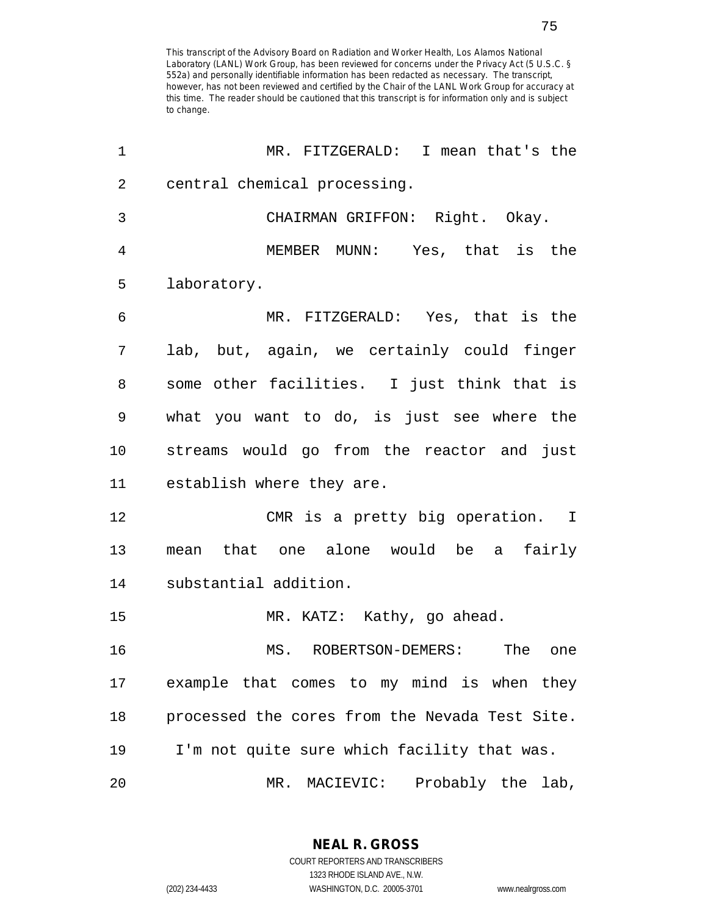| $\mathbf 1$    | MR. FITZGERALD: I mean that's the              |
|----------------|------------------------------------------------|
| $\overline{2}$ | central chemical processing.                   |
| 3              | CHAIRMAN GRIFFON: Right. Okay.                 |
| 4              | MEMBER MUNN: Yes, that is the                  |
| 5              | laboratory.                                    |
| 6              | MR. FITZGERALD: Yes, that is the               |
| 7              | lab, but, again, we certainly could finger     |
| 8              | some other facilities. I just think that is    |
| 9              | what you want to do, is just see where the     |
| 10             | streams would go from the reactor and just     |
| 11             | establish where they are.                      |
| 12             | CMR is a pretty big operation. I               |
| 13             | mean that one alone would be a fairly          |
| 14             | substantial addition.                          |
| 15             | MR. KATZ: Kathy, go ahead.                     |
| 16             | MS. ROBERTSON-DEMERS:<br>The<br>one            |
| 17             | example that comes to my mind is when they     |
| 18             | processed the cores from the Nevada Test Site. |
| 19             | I'm not quite sure which facility that was.    |
| 20             | Probably the<br>MACIEVIC:<br>lab,<br>MR.       |

**NEAL R. GROSS** COURT REPORTERS AND TRANSCRIBERS 1323 RHODE ISLAND AVE., N.W.

(202) 234-4433 WASHINGTON, D.C. 20005-3701 www.nealrgross.com

75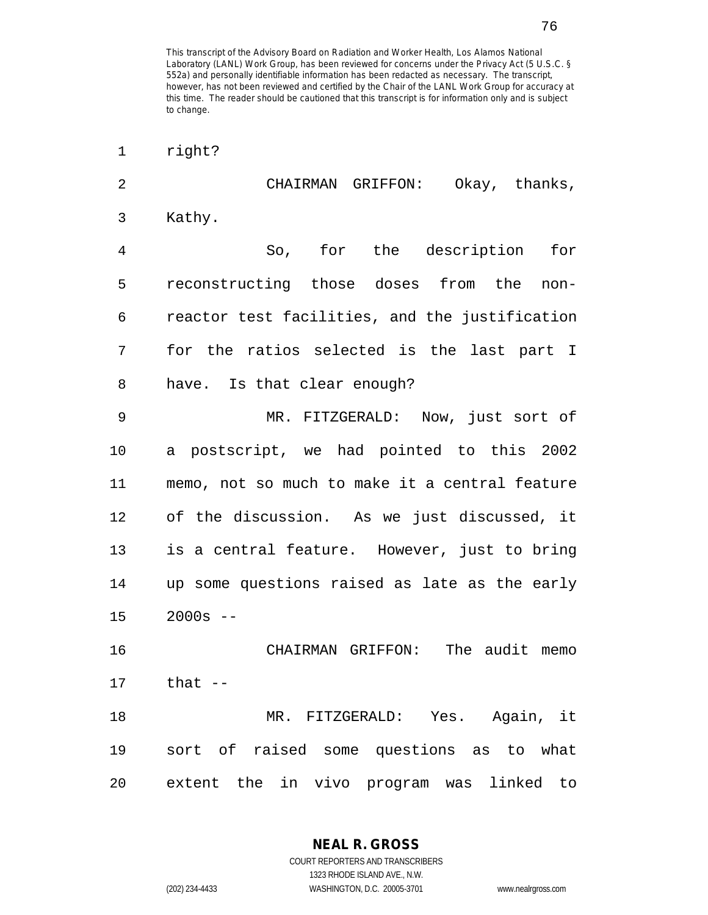76

1 right?

2 CHAIRMAN GRIFFON: Okay, thanks, 3 Kathy. 4 So, for the description for 5 reconstructing those doses from the non-6 reactor test facilities, and the justification 7 for the ratios selected is the last part I 8 have. Is that clear enough? 9 MR. FITZGERALD: Now, just sort of

10 a postscript, we had pointed to this 2002 11 memo, not so much to make it a central feature 12 of the discussion. As we just discussed, it 13 is a central feature. However, just to bring 14 up some questions raised as late as the early 15 2000s --

16 CHAIRMAN GRIFFON: The audit memo 17 that --

18 MR. FITZGERALD: Yes. Again, it 19 sort of raised some questions as to what 20 extent the in vivo program was linked to

**NEAL R. GROSS**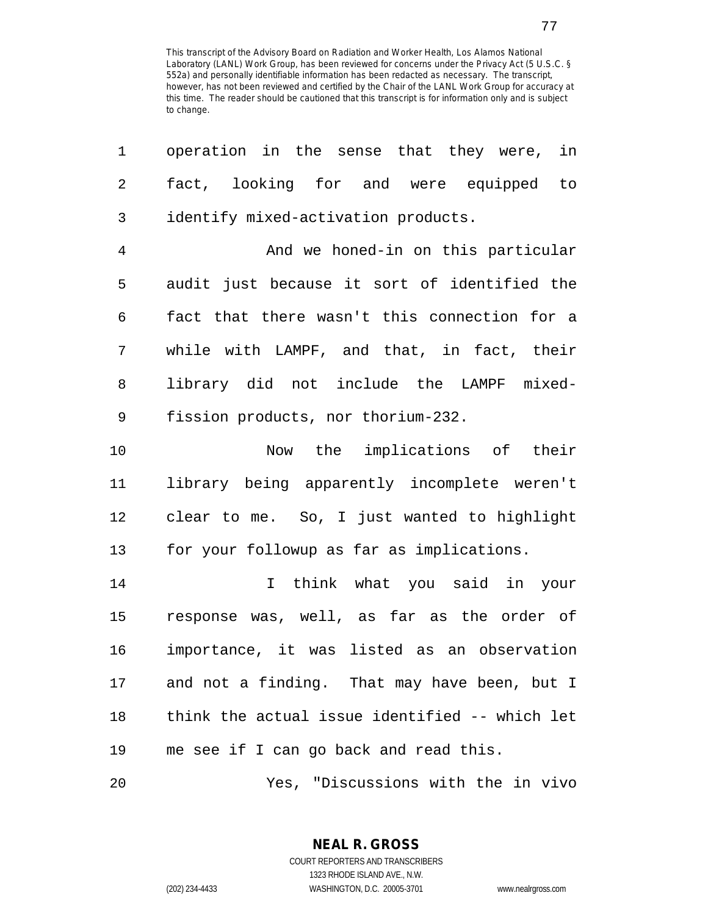77

| 1  | operation in the sense that they were, in      |
|----|------------------------------------------------|
| 2  | fact, looking for and were equipped to         |
| 3  | identify mixed-activation products.            |
| 4  | And we honed-in on this particular             |
| 5  | audit just because it sort of identified the   |
| 6  | fact that there wasn't this connection for a   |
| 7  | while with LAMPF, and that, in fact, their     |
| 8  | library did not include the LAMPF mixed-       |
| 9  | fission products, nor thorium-232.             |
| 10 | Now the implications of their                  |
| 11 | library being apparently incomplete weren't    |
| 12 | clear to me. So, I just wanted to highlight    |
| 13 | for your followup as far as implications.      |
| 14 | I think what you said in your                  |
| 15 | response was, well, as far as the order of     |
| 16 | importance, it was listed as an observation    |
| 17 | and not a finding. That may have been, but I   |
| 18 | think the actual issue identified -- which let |
| 19 | me see if I can go back and read this.         |
| 20 | Yes, "Discussions with the in vivo             |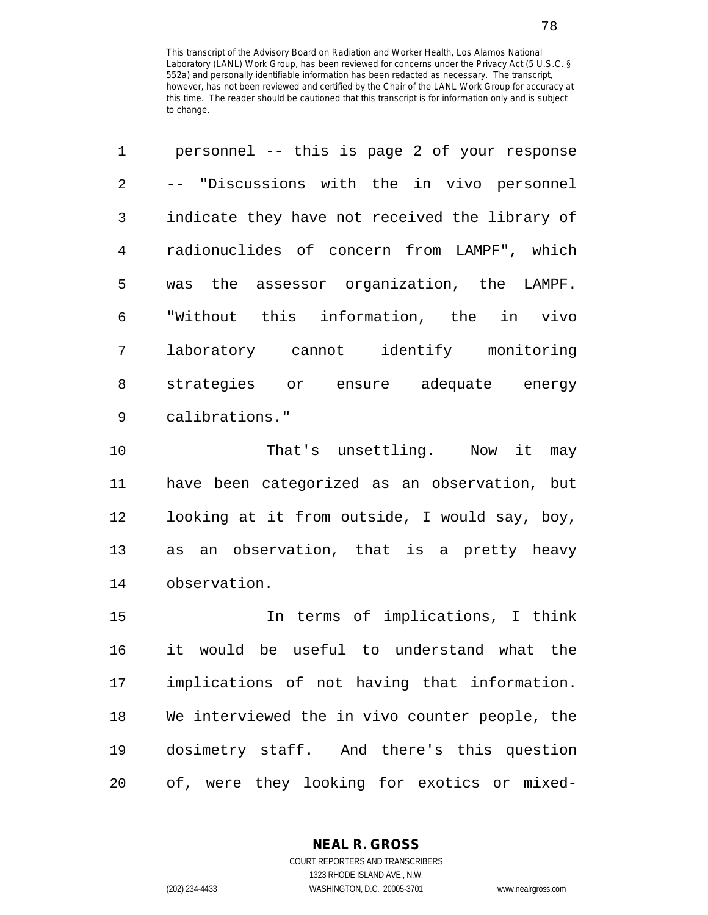| $\mathbf{1}$ | personnel -- this is page 2 of your response   |
|--------------|------------------------------------------------|
| 2            | -- "Discussions with the in vivo personnel     |
| 3            | indicate they have not received the library of |
| 4            | radionuclides of concern from LAMPF", which    |
| 5            | was the assessor organization, the LAMPF.      |
| 6            | "Without this information, the in vivo         |
| 7            | identify monitoring<br>laboratory cannot       |
| 8            | strategies or ensure<br>adequate energy        |
| 9            | calibrations."                                 |

10 That's unsettling. Now it may 11 have been categorized as an observation, but 12 looking at it from outside, I would say, boy, 13 as an observation, that is a pretty heavy 14 observation.

15 In terms of implications, I think 16 it would be useful to understand what the 17 implications of not having that information. 18 We interviewed the in vivo counter people, the 19 dosimetry staff. And there's this question 20 of, were they looking for exotics or mixed-

**NEAL R. GROSS**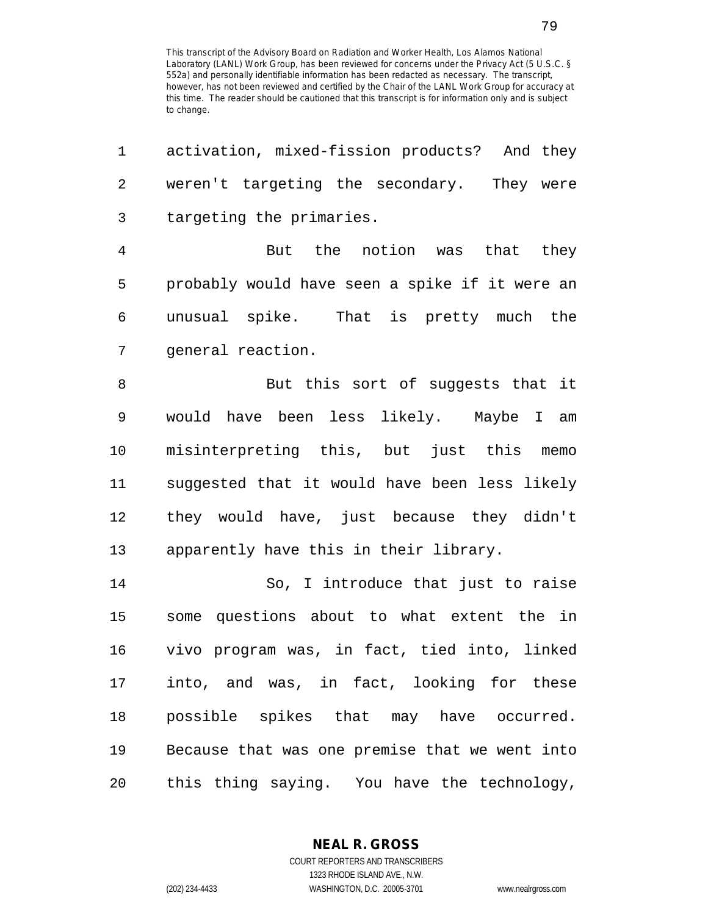| 1              | activation, mixed-fission products? And they   |
|----------------|------------------------------------------------|
| $\overline{2}$ | weren't targeting the secondary. They were     |
| 3              | targeting the primaries.                       |
| $\overline{4}$ | But the notion was that they                   |
| 5              | probably would have seen a spike if it were an |
| 6              | unusual spike. That is pretty much the         |
| 7              | general reaction.                              |
| 8              | But this sort of suggests that it              |
| 9              | would have been less likely. Maybe I am        |
| 10             | misinterpreting this, but just this memo       |
| 11             | suggested that it would have been less likely  |
| 12             | they would have, just because they didn't      |
| 13             | apparently have this in their library.         |
| 14             | So, I introduce that just to raise             |
| 15             | some questions about to what extent the in     |
| 16             | vivo program was, in fact, tied into, linked   |
| 17             | into, and was, in fact, looking for these      |
| 18             | possible spikes that may have occurred.        |
| 19             | Because that was one premise that we went into |
| 20             | this thing saying. You have the technology,    |

**NEAL R. GROSS** COURT REPORTERS AND TRANSCRIBERS

1323 RHODE ISLAND AVE., N.W. (202) 234-4433 WASHINGTON, D.C. 20005-3701 www.nealrgross.com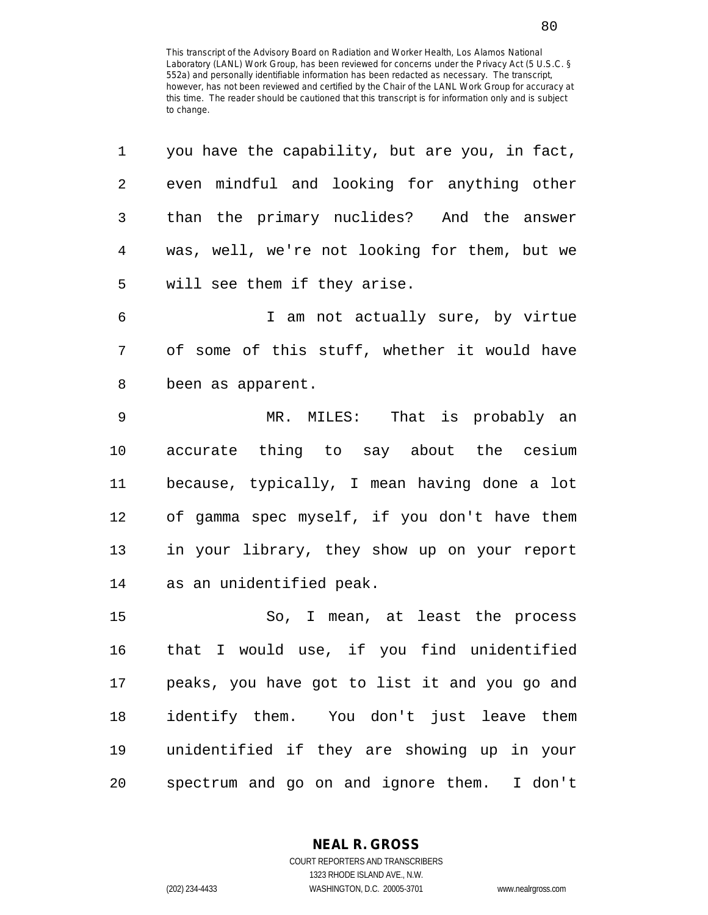| 1<br>you have the capability, but are you, in fact,             |
|-----------------------------------------------------------------|
| even mindful and looking for anything other<br>2                |
| than the primary nuclides? And the answer<br>3                  |
| was, well, we're not looking for them, but we<br>$\overline{4}$ |
| 5<br>will see them if they arise.                               |
| I am not actually sure, by virtue<br>6                          |
| of some of this stuff, whether it would have<br>7               |
| 8<br>been as apparent.                                          |
| 9<br>MR. MILES: That is probably an                             |
| accurate thing to say about the cesium<br>10                    |
| because, typically, I mean having done a lot<br>11              |
| of gamma spec myself, if you don't have them<br>12              |
| in your library, they show up on your report<br>13              |
| as an unidentified peak.<br>14                                  |
| 15<br>So, I mean, at least the process                          |
| I would use, if you find unidentified<br>16<br>that             |
| peaks, you have got to list it and you go and<br>17             |
| identify them. You don't just leave them<br>18                  |
| unidentified if they are showing up in your<br>19               |
| spectrum and go on and ignore them. I don't<br>20               |

**NEAL R. GROSS** COURT REPORTERS AND TRANSCRIBERS

1323 RHODE ISLAND AVE., N.W.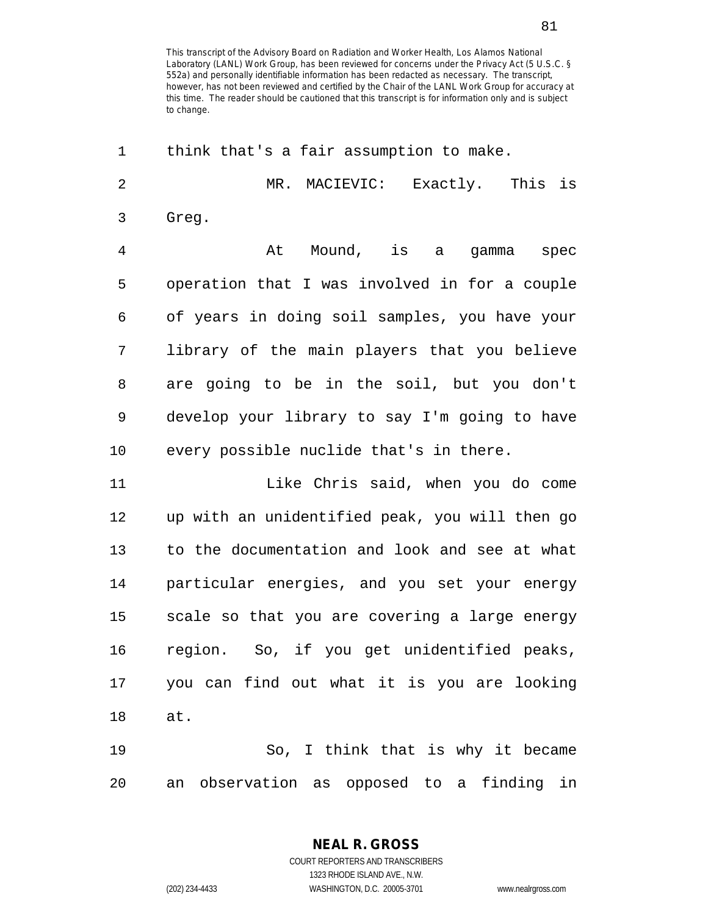| 1              | think that's a fair assumption to make.        |
|----------------|------------------------------------------------|
| $\overline{2}$ | MR. MACIEVIC: Exactly. This is                 |
| 3              | Greg.                                          |
| 4              | Mound, is a gamma spec<br>At                   |
| 5              | operation that I was involved in for a couple  |
| 6              | of years in doing soil samples, you have your  |
| 7              | library of the main players that you believe   |
| 8              | are going to be in the soil, but you don't     |
| 9              | develop your library to say I'm going to have  |
| 10             | every possible nuclide that's in there.        |
| 11             | Like Chris said, when you do come              |
| 12             | up with an unidentified peak, you will then go |
| 13             | to the documentation and look and see at what  |
| 14             | particular energies, and you set your energy   |
| 15             | scale so that you are covering a large energy  |
| 16             | region. So, if you get unidentified peaks,     |
| 17             | you can find out what it is you are looking    |
| 18             | at.                                            |
| 19             | So, I think that is why it became              |
| 20             | an observation as opposed to a finding in      |

**NEAL R. GROSS**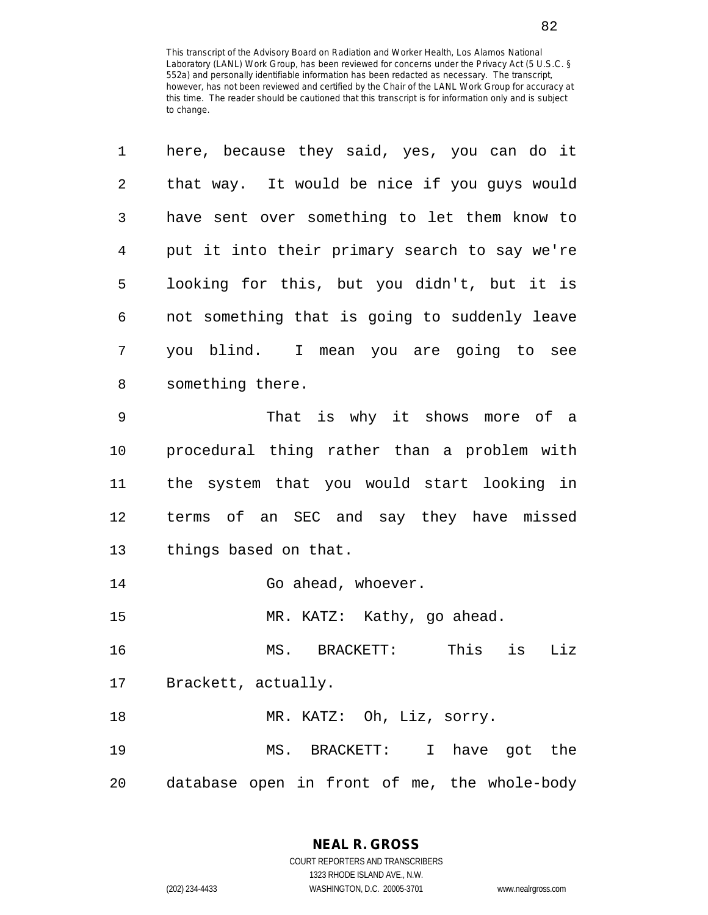| 1              | here, because they said, yes, you can do it   |
|----------------|-----------------------------------------------|
| $\overline{a}$ | that way. It would be nice if you guys would  |
| 3              | have sent over something to let them know to  |
| 4              | put it into their primary search to say we're |
| 5              | looking for this, but you didn't, but it is   |
| 6              | not something that is going to suddenly leave |
| 7              | you blind. I mean you are going to see        |
| 8              | something there.                              |
| $\mathsf 9$    | That is why it shows more of a                |
| 10             | procedural thing rather than a problem with   |
| 11             | the system that you would start looking in    |
| 12             | terms of an SEC and say they have missed      |
| 13             | things based on that.                         |
| 14             | Go ahead, whoever.                            |
| 15             | MR. KATZ: Kathy, go ahead.                    |
| 16             | MS. BRACKETT: This is<br>Liz                  |
| 17             | Brackett, actually.                           |
| 18             | MR. KATZ: Oh, Liz, sorry.                     |
| 19             | MS. BRACKETT: I have got the                  |
| 20             | database open in front of me, the whole-body  |

**NEAL R. GROSS**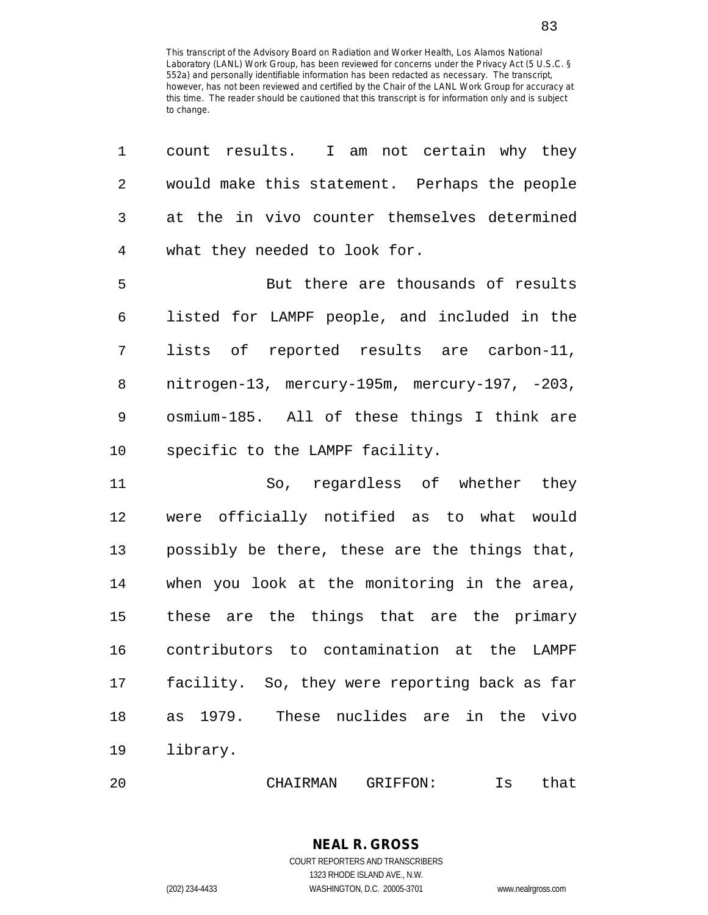| 1              | count results. I am not certain why they      |
|----------------|-----------------------------------------------|
| $\overline{2}$ | would make this statement. Perhaps the people |
| $\mathsf 3$    | at the in vivo counter themselves determined  |
| $\overline{4}$ | what they needed to look for.                 |
| 5              | But there are thousands of results            |
| 6              | listed for LAMPF people, and included in the  |
| 7              | lists of reported results are carbon-11,      |
| 8              | nitrogen-13, mercury-195m, mercury-197, -203, |
| $\mathsf 9$    | osmium-185. All of these things I think are   |
| 10             | specific to the LAMPF facility.               |
| 11             | So, regardless of whether they                |
| 12             | were officially notified as to what would     |
| 13             | possibly be there, these are the things that, |
| 14             | when you look at the monitoring in the area,  |
| 15             | these are the things that are the primary     |
| 16             | contributors to contamination at the LAMPF    |
| 17             | facility. So, they were reporting back as far |
| 18             | as 1979. These nuclides are in the vivo       |
| 19             | library.                                      |
| 20             | CHAIRMAN GRIFFON: Is that                     |

**NEAL R. GROSS** COURT REPORTERS AND TRANSCRIBERS

1323 RHODE ISLAND AVE., N.W.

(202) 234-4433 WASHINGTON, D.C. 20005-3701 www.nealrgross.com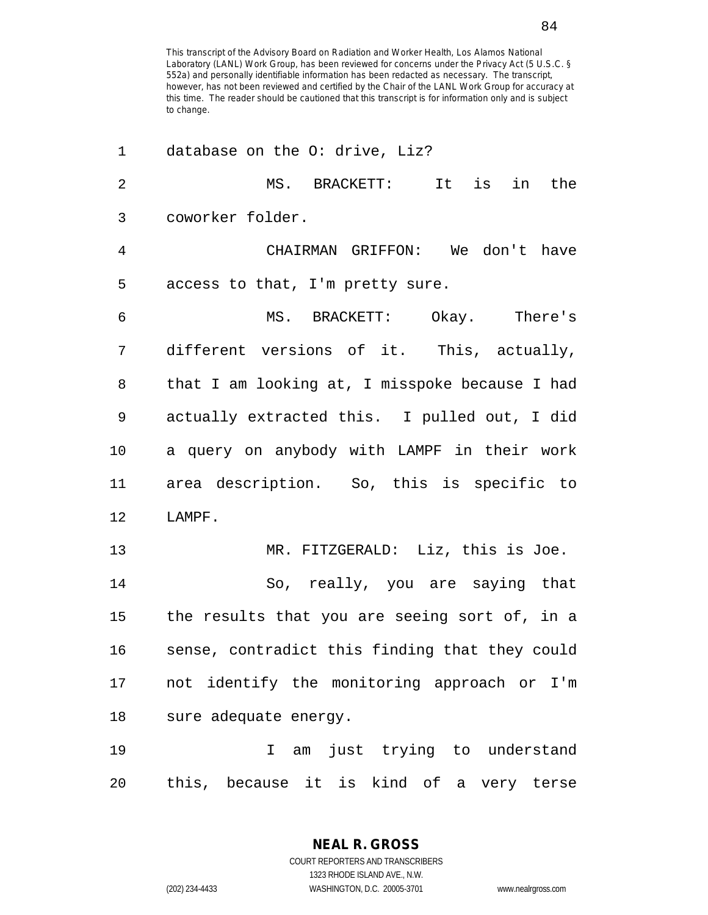| 1              | database on the O: drive, Liz?                 |
|----------------|------------------------------------------------|
| $\overline{2}$ | MS. BRACKETT: It is in the                     |
| $\mathbf{3}$   | coworker folder.                               |
| 4              | CHAIRMAN GRIFFON: We don't have                |
| 5              | access to that, I'm pretty sure.               |
| 6              | MS. BRACKETT: Okay. There's                    |
| 7              | different versions of it. This, actually,      |
| 8              | that I am looking at, I misspoke because I had |
| 9              | actually extracted this. I pulled out, I did   |
| 10             | a query on anybody with LAMPF in their work    |
| 11             | area description. So, this is specific to      |
| 12             | LAMPF.                                         |
| 13             | MR. FITZGERALD: Liz, this is Joe.              |
| 14             | So, really, you are saying that                |
| 15             | the results that you are seeing sort of, in a  |
| 16             | sense, contradict this finding that they could |
| 17             | not identify the monitoring approach or I'm    |
| 18             | sure adequate energy.                          |
| 19             | am just trying to understand<br>$\mathbf{I}$   |
| 20             | this, because it is kind of a very terse       |

**NEAL R. GROSS**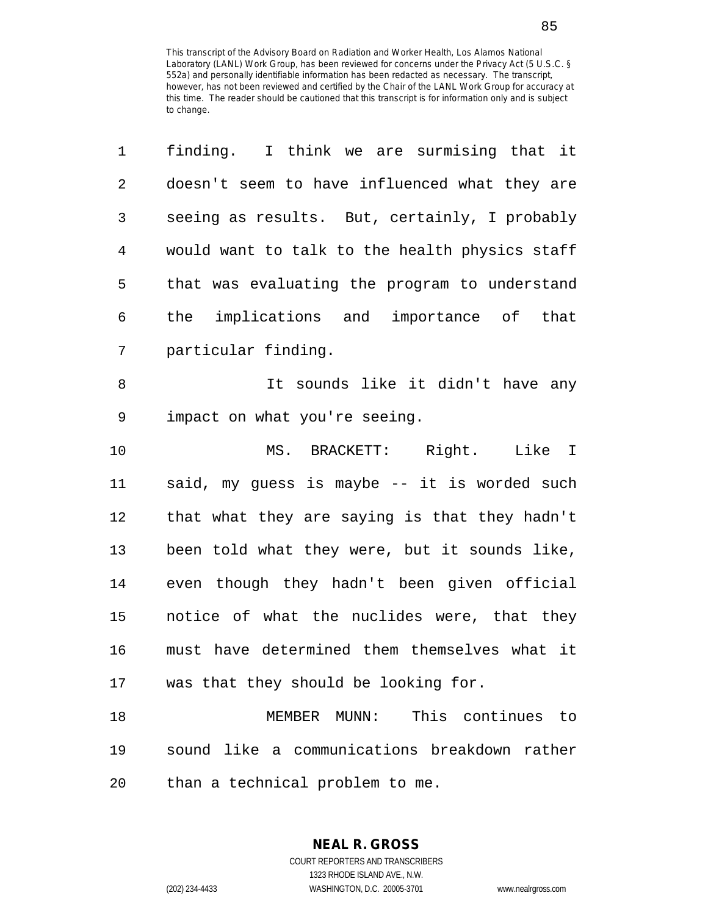| 1              | finding. I think we are surmising that it      |
|----------------|------------------------------------------------|
| $\overline{2}$ | doesn't seem to have influenced what they are  |
| 3              | seeing as results. But, certainly, I probably  |
| $\overline{4}$ | would want to talk to the health physics staff |
| 5              | that was evaluating the program to understand  |
| 6              | the implications and importance of that        |
| 7              | particular finding.                            |
| 8              | It sounds like it didn't have any              |
| $\mathsf 9$    | impact on what you're seeing.                  |
| 10             | MS. BRACKETT: Right. Like I                    |
| 11             | said, my guess is maybe -- it is worded such   |
| 12             | that what they are saying is that they hadn't  |
| 13             | been told what they were, but it sounds like,  |
| 14             | even though they hadn't been given official    |
| 15             | notice of what the nuclides were, that they    |
| 16             | must have determined them themselves what it   |
| 17             | was that they should be looking for.           |
| 18             | This continues to<br>MEMBER MUNN:              |
| 19             | sound like a communications breakdown rather   |
| 20             | than a technical problem to me.                |

**NEAL R. GROSS**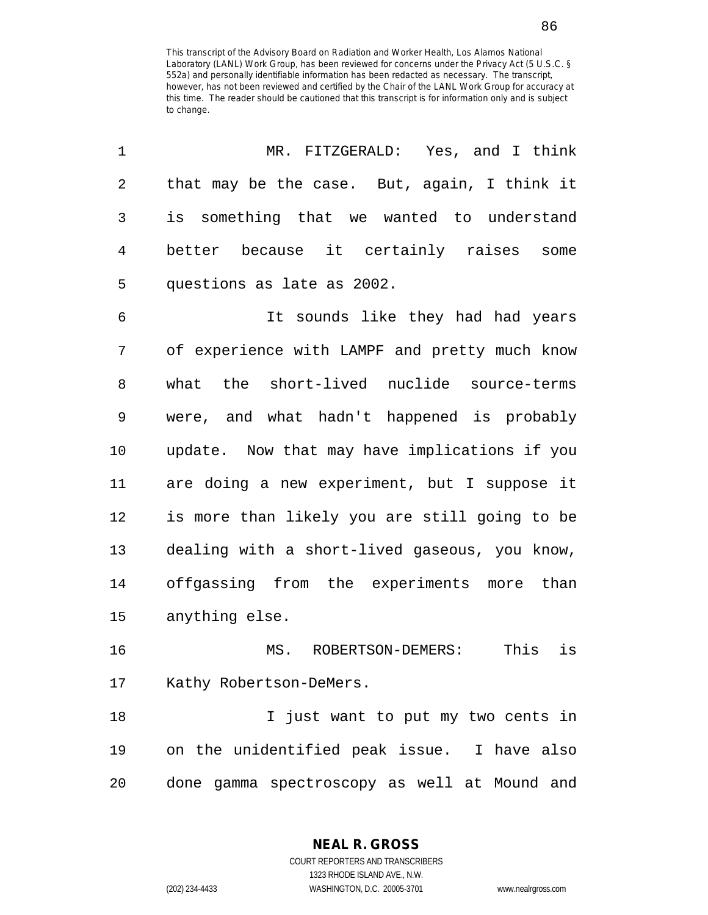| 1              | MR. FITZGERALD: Yes, and I think              |
|----------------|-----------------------------------------------|
| $\overline{2}$ | that may be the case. But, again, I think it  |
| 3              | is something that we wanted to understand     |
| $\overline{4}$ | better because it certainly raises<br>some    |
| 5              | questions as late as 2002.                    |
| 6              | It sounds like they had had years             |
| 7              | of experience with LAMPF and pretty much know |
| 8              | what the short-lived nuclide source-terms     |
| $\mathsf 9$    | were, and what hadn't happened is probably    |
| 10             | update. Now that may have implications if you |
| 11             | are doing a new experiment, but I suppose it  |
| 12             | is more than likely you are still going to be |
| 13             | dealing with a short-lived gaseous, you know, |
| 14             | offgassing from the experiments more than     |
| 15             | anything else.                                |
| 16             | This is<br>MS. ROBERTSON-DEMERS:              |
| 17             | Kathy Robertson-DeMers.                       |
| 18             | I just want to put my two cents in            |
| 19             | on the unidentified peak issue. I have also   |

20 done gamma spectroscopy as well at Mound and

**NEAL R. GROSS**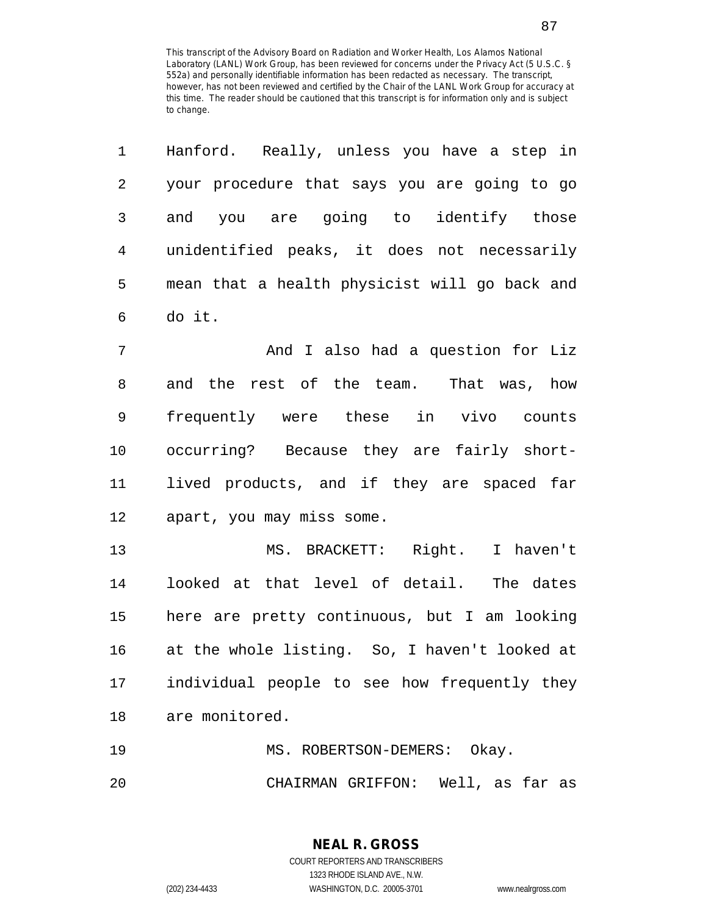| 1           | Hanford. Really, unless you have a step in    |
|-------------|-----------------------------------------------|
| 2           | your procedure that says you are going to go  |
| 3           | and you are going to identify those           |
| 4           | unidentified peaks, it does not necessarily   |
| 5           | mean that a health physicist will go back and |
| 6           | do it.                                        |
| 7           | And I also had a question for Liz             |
| 8           | and the rest of the team. That was, how       |
| $\mathsf 9$ | frequently were these in vivo counts          |
| 10          | occurring? Because they are fairly short-     |
| 11          | lived products, and if they are spaced far    |
| 12          | apart, you may miss some.                     |
| 13          | MS. BRACKETT: Right. I haven't                |
| 14          | looked at that level of detail. The dates     |
| 15          | here are pretty continuous, but I am looking  |
| 16          | at the whole listing. So, I haven't looked at |
| 17          | individual people to see how frequently they  |
| 18          | are monitored.                                |
| 19          | MS. ROBERTSON-DEMERS: Okay.                   |

20 CHAIRMAN GRIFFON: Well, as far as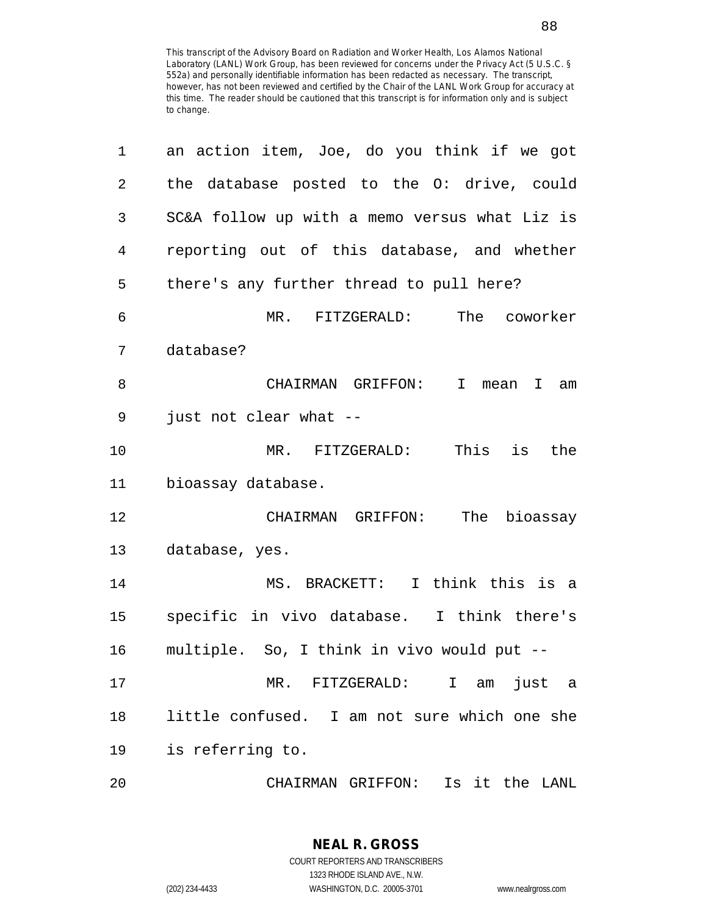88

| 1  | an action item, Joe, do you think if we got   |
|----|-----------------------------------------------|
| 2  | the database posted to the 0: drive, could    |
| 3  | SC&A follow up with a memo versus what Liz is |
| 4  | reporting out of this database, and whether   |
| 5  | there's any further thread to pull here?      |
| 6  | MR. FITZGERALD: The coworker                  |
| 7  | database?                                     |
| 8  | CHAIRMAN GRIFFON: I<br>mean I<br>am           |
| 9  | just not clear what --                        |
| 10 | MR. FITZGERALD:<br>This<br>the<br>is          |
| 11 | bioassay database.                            |
| 12 | The<br>CHAIRMAN GRIFFON:<br>bioassay          |
| 13 | database, yes.                                |
| 14 | MS. BRACKETT: I think this is a               |
| 15 | specific in vivo database. I think there's    |
| 16 | multiple. So, I think in vivo would put --    |
| 17 | MR. FITZGERALD: I<br>am just a                |
| 18 | little confused. I am not sure which one she  |
| 19 | is referring to.                              |
| 20 | CHAIRMAN GRIFFON: Is it the LANL              |

**NEAL R. GROSS** COURT REPORTERS AND TRANSCRIBERS

1323 RHODE ISLAND AVE., N.W. (202) 234-4433 WASHINGTON, D.C. 20005-3701 www.nealrgross.com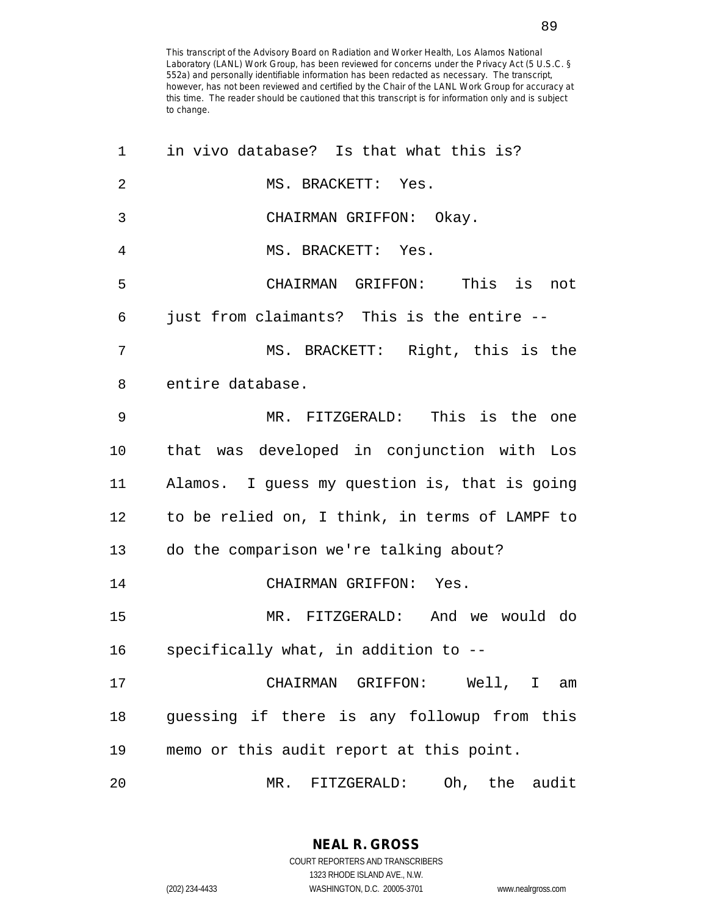89

| 1              | in vivo database? Is that what this is?        |
|----------------|------------------------------------------------|
| $\overline{2}$ | MS. BRACKETT: Yes.                             |
| 3              | CHAIRMAN GRIFFON: Okay.                        |
| 4              | MS. BRACKETT: Yes.                             |
| 5              | CHAIRMAN GRIFFON: This is not                  |
| 6              | just from claimants? This is the entire --     |
| 7              | MS. BRACKETT: Right, this is the               |
| 8              | entire database.                               |
| 9              | MR. FITZGERALD: This is the one                |
| 10             | that was developed in conjunction with Los     |
| 11             | Alamos. I guess my question is, that is going  |
| 12             | to be relied on, I think, in terms of LAMPF to |
| 13             | do the comparison we're talking about?         |
| 14             | CHAIRMAN GRIFFON: Yes.                         |
| 15             | MR. FITZGERALD: And we would do                |
| 16             | specifically what, in addition to --           |
| 17             | CHAIRMAN GRIFFON: Well, I am                   |
| 18             | guessing if there is any followup from this    |
| 19             | memo or this audit report at this point.       |
| 20             | MR. FITZGERALD: Oh, the audit                  |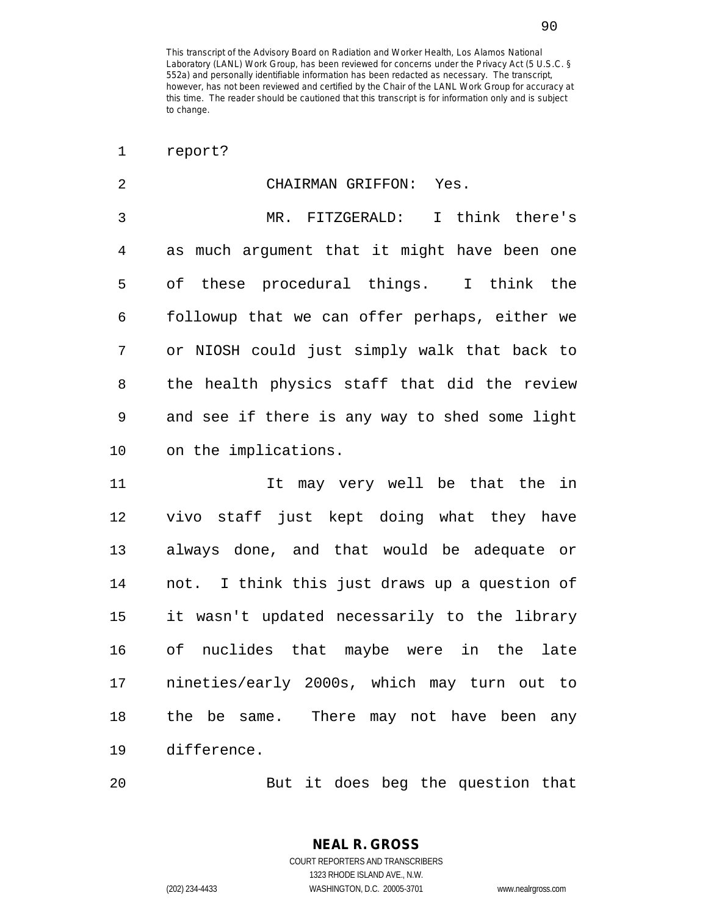1 report?

2 CHAIRMAN GRIFFON: Yes. 3 MR. FITZGERALD: I think there's 4 as much argument that it might have been one 5 of these procedural things. I think the 6 followup that we can offer perhaps, either we 7 or NIOSH could just simply walk that back to 8 the health physics staff that did the review 9 and see if there is any way to shed some light 10 on the implications.

11 It may very well be that the in 12 vivo staff just kept doing what they have 13 always done, and that would be adequate or 14 not. I think this just draws up a question of 15 it wasn't updated necessarily to the library 16 of nuclides that maybe were in the late 17 nineties/early 2000s, which may turn out to 18 the be same. There may not have been any 19 difference.

20 But it does beg the question that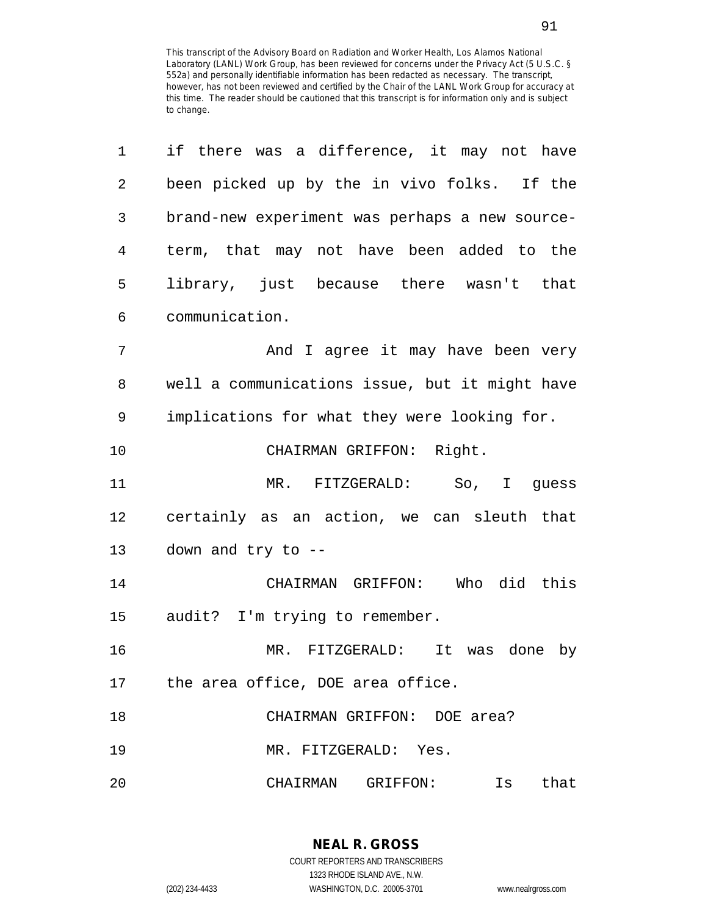| 1  | if there was a difference, it may not have     |
|----|------------------------------------------------|
| 2  | been picked up by the in vivo folks. If the    |
| 3  | brand-new experiment was perhaps a new source- |
| 4  | term, that may not have been added to the      |
| 5  | library, just because there wasn't that        |
| 6  | communication.                                 |
| 7  | And I agree it may have been very              |
| 8  | well a communications issue, but it might have |
| 9  | implications for what they were looking for.   |
| 10 | CHAIRMAN GRIFFON: Right.                       |
| 11 | MR. FITZGERALD: So, I guess                    |
| 12 | certainly as an action, we can sleuth that     |
| 13 | down and try to --                             |
| 14 | CHAIRMAN GRIFFON: Who did this                 |
| 15 | audit? I'm trying to remember.                 |
| 16 | MR. FITZGERALD: It was done by                 |
| 17 | the area office, DOE area office.              |
| 18 | CHAIRMAN GRIFFON: DOE area?                    |
| 19 | MR. FITZGERALD: Yes.                           |
| 20 | that<br>CHAIRMAN GRIFFON:<br>Is                |

**NEAL R. GROSS**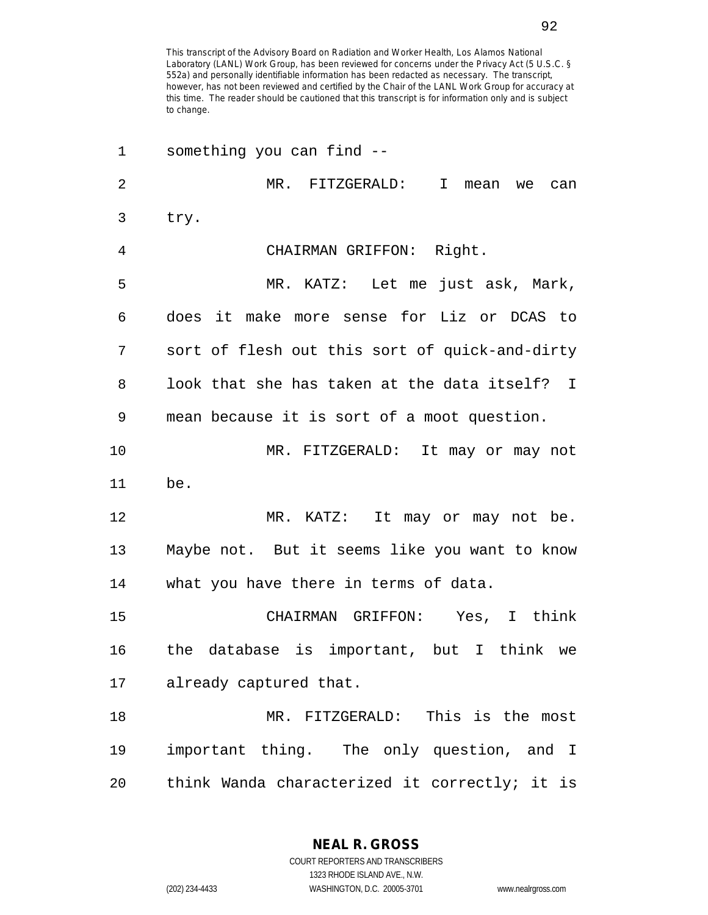| 1              | something you can find --                      |
|----------------|------------------------------------------------|
| $\overline{2}$ | MR. FITZGERALD: I<br>mean<br>we<br>can         |
| 3              | try.                                           |
| 4              | CHAIRMAN GRIFFON: Right.                       |
| 5              | MR. KATZ: Let me just ask, Mark,               |
| 6              | does it make more sense for Liz or DCAS to     |
| 7              | sort of flesh out this sort of quick-and-dirty |
| 8              | look that she has taken at the data itself? I  |
| 9              | mean because it is sort of a moot question.    |
| 10             | MR. FITZGERALD: It may or may not              |
| 11             | be.                                            |
| 12             | MR. KATZ: It may or may not be.                |
| 13             | Maybe not. But it seems like you want to know  |
| 14             | what you have there in terms of data.          |
| 15             | CHAIRMAN GRIFFON: Yes, I think                 |
| 16             | the database is important, but I think we      |
| 17             | already captured that.                         |
| 18             | This is the most<br>MR. FITZGERALD:            |
| 19             | important thing. The only question, and I      |
| 20             | think Wanda characterized it correctly; it is  |

**NEAL R. GROSS**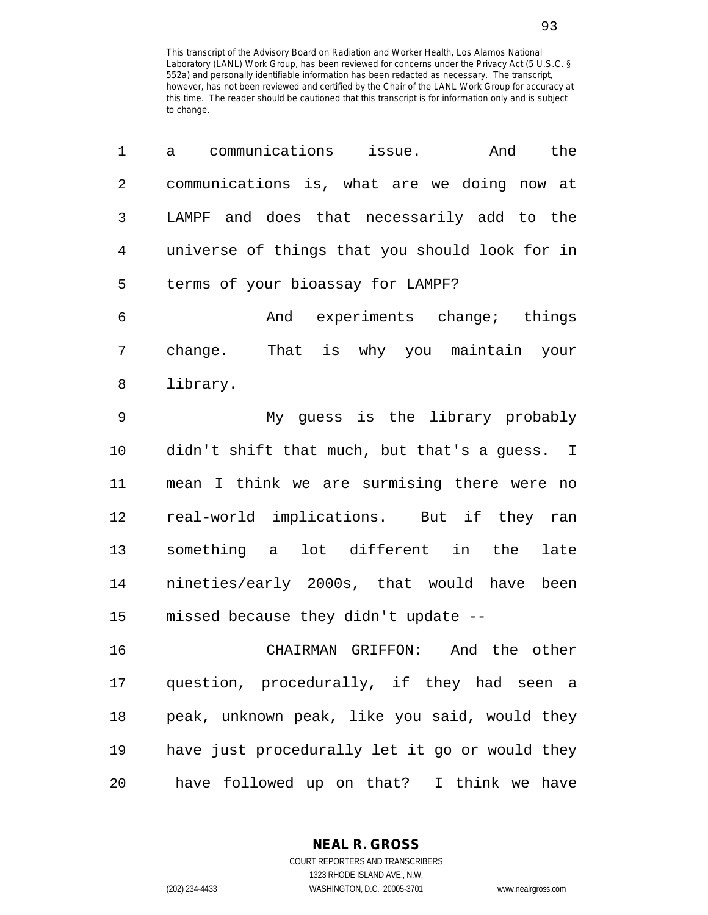1 a communications issue. And the

| 2       | communications is, what are we doing now at    |
|---------|------------------------------------------------|
| 3       | LAMPF and does that necessarily add to the     |
| 4       | universe of things that you should look for in |
| 5       | terms of your bioassay for LAMPF?              |
| 6       | And experiments change; things                 |
| 7       | change. That is why you maintain your          |
| 8       | library.                                       |
| 9       | My guess is the library probably               |
| $10 \,$ | didn't shift that much, but that's a guess. I  |
| 11      | mean I think we are surmising there were no    |
| 12      | real-world implications. But if they ran       |
| 13      | something a lot different in the<br>late       |
| 14      | nineties/early 2000s, that would have been     |
| 15      | missed because they didn't update --           |
| 16      | And the other<br>CHAIRMAN GRIFFON:             |
| 17      | question, procedurally, if they had seen a     |
| 18      | peak, unknown peak, like you said, would they  |
| 19      | have just procedurally let it go or would they |

20 have followed up on that? I think we have

**NEAL R. GROSS**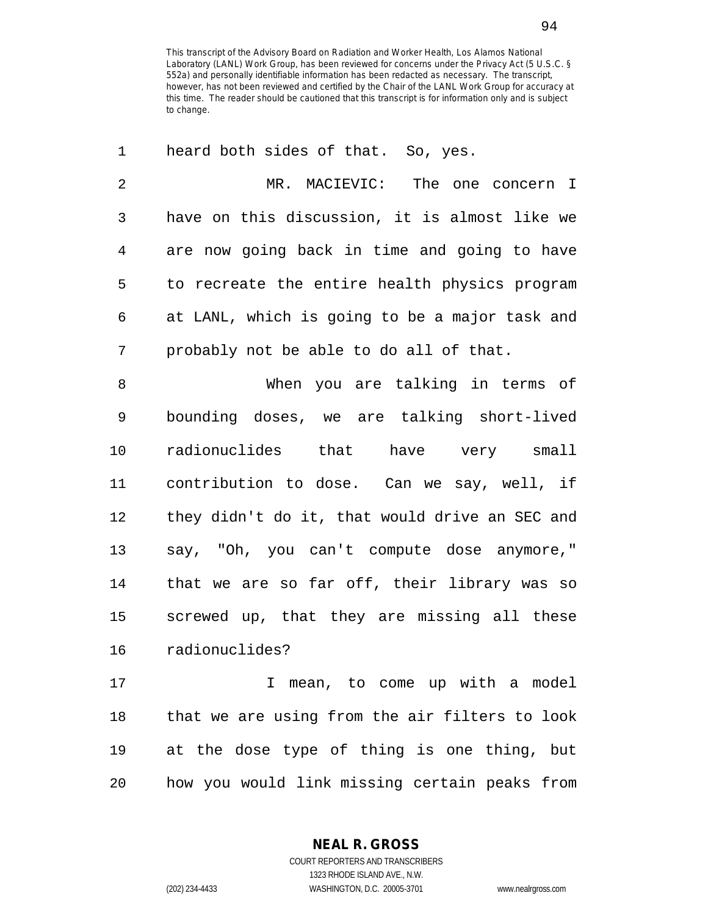| 1              | heard both sides of that. So, yes.             |
|----------------|------------------------------------------------|
| $\overline{2}$ | MR. MACIEVIC: The one concern I                |
| 3              | have on this discussion, it is almost like we  |
| $\overline{4}$ | are now going back in time and going to have   |
| 5              | to recreate the entire health physics program  |
| 6              | at LANL, which is going to be a major task and |
| 7              | probably not be able to do all of that.        |
| 8              | When you are talking in terms of               |
| 9              | bounding doses, we are talking short-lived     |
| $10 \,$        | radionuclides that have very small             |
| 11             | contribution to dose. Can we say, well, if     |
| 12             | they didn't do it, that would drive an SEC and |
| 13             | say, "Oh, you can't compute dose anymore,"     |
| 14             | that we are so far off, their library was so   |
| 15             | screwed up, that they are missing all these    |
| 16             | radionuclides?                                 |
| 17             | I mean, to come up with a model                |
| 18             | that we are using from the air filters to look |
| 19             | at the dose type of thing is one thing, but    |

20 how you would link missing certain peaks from

**NEAL R. GROSS**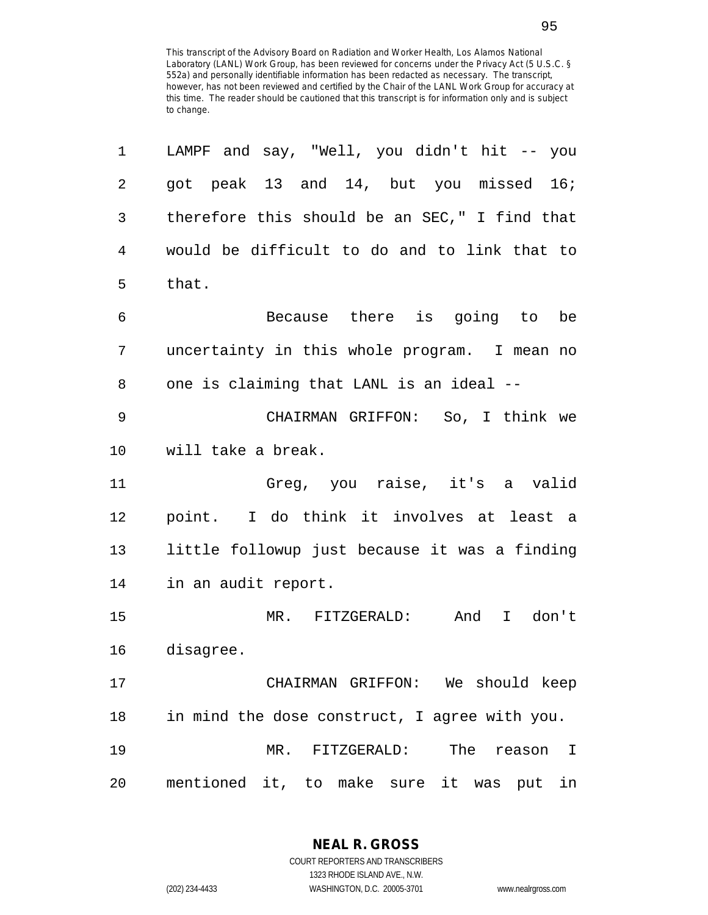| 1  | LAMPF and say, "Well, you didn't hit -- you    |
|----|------------------------------------------------|
| 2  | got peak 13 and 14, but you missed 16;         |
| 3  | therefore this should be an SEC," I find that  |
| 4  | would be difficult to do and to link that to   |
| 5  | that.                                          |
| 6  | Because there is going to be                   |
| 7  | uncertainty in this whole program. I mean no   |
| 8  | one is claiming that LANL is an ideal --       |
| 9  | CHAIRMAN GRIFFON: So, I think we               |
| 10 | will take a break.                             |
| 11 | Greg, you raise, it's a valid                  |
| 12 | point. I do think it involves at least a       |
| 13 | little followup just because it was a finding  |
| 14 | in an audit report.                            |
| 15 | MR. FITZGERALD: And<br>I don't                 |
| 16 | disagree.                                      |
| 17 | CHAIRMAN GRIFFON: We should keep               |
| 18 | in mind the dose construct, I agree with you.  |
| 19 | The reason<br>MR. FITZGERALD:<br>$\mathbb{I}$  |
| 20 | mentioned it, to make sure it was<br>in<br>put |

**NEAL R. GROSS**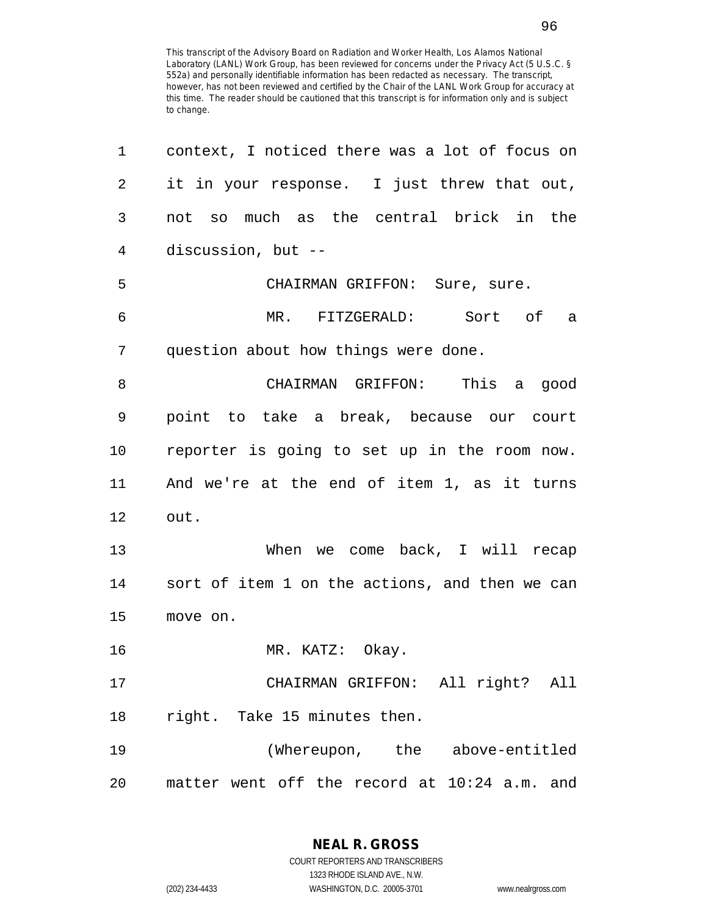| $\mathbf 1$    | context, I noticed there was a lot of focus on  |
|----------------|-------------------------------------------------|
| $\overline{2}$ | it in your response. I just threw that out,     |
| 3              | not so much as the central brick in the         |
| 4              | discussion, but --                              |
| 5              | CHAIRMAN GRIFFON: Sure, sure.                   |
| 6              | MR. FITZGERALD: Sort of a                       |
| 7              | question about how things were done.            |
| 8              | CHAIRMAN GRIFFON: This a good                   |
| 9              | point to take a break, because our court        |
| 10             | reporter is going to set up in the room now.    |
| 11             | And we're at the end of item 1, as it turns     |
| 12             | out.                                            |
| 13             | When we come back, I will recap                 |
| 14             | sort of item 1 on the actions, and then we can  |
| 15             | move on.                                        |
| 16             | MR. KATZ: Okay.                                 |
| 17             | CHAIRMAN GRIFFON: All right? All                |
| 18             | right. Take 15 minutes then.                    |
| 19             | (Whereupon, the above-entitled                  |
| 20             | matter went off the record at 10:24 a.m.<br>and |

**NEAL R. GROSS**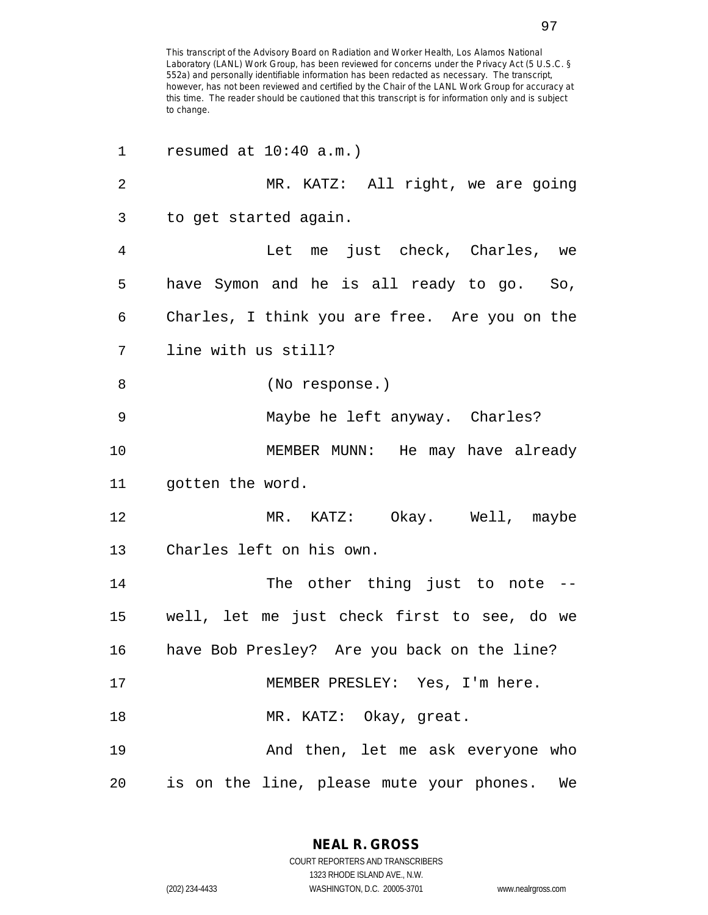| 1              | resumed at $10:40$ a.m.)                       |
|----------------|------------------------------------------------|
| $\overline{2}$ | MR. KATZ: All right, we are going              |
| 3              | to get started again.                          |
| 4              | Let me just check, Charles, we                 |
| 5              | have Symon and he is all ready to go. So,      |
| 6              | Charles, I think you are free. Are you on the  |
| 7              | line with us still?                            |
| 8              | (No response.)                                 |
| $\mathsf 9$    | Maybe he left anyway. Charles?                 |
| 10             | MEMBER MUNN: He may have already               |
| 11             | gotten the word.                               |
| 12             | MR. KATZ: Okay. Well, maybe                    |
| 13             | Charles left on his own.                       |
| 14             | The other thing just to note $-$               |
| 15             | well, let me just check first to see, do we    |
| 16             | have Bob Presley? Are you back on the line?    |
| 17             | MEMBER PRESLEY: Yes, I'm here.                 |
| 18             | MR. KATZ: Okay, great.                         |
| 19             | And then, let me ask everyone who              |
| 20             | is on the line, please mute your phones.<br>We |

**NEAL R. GROSS**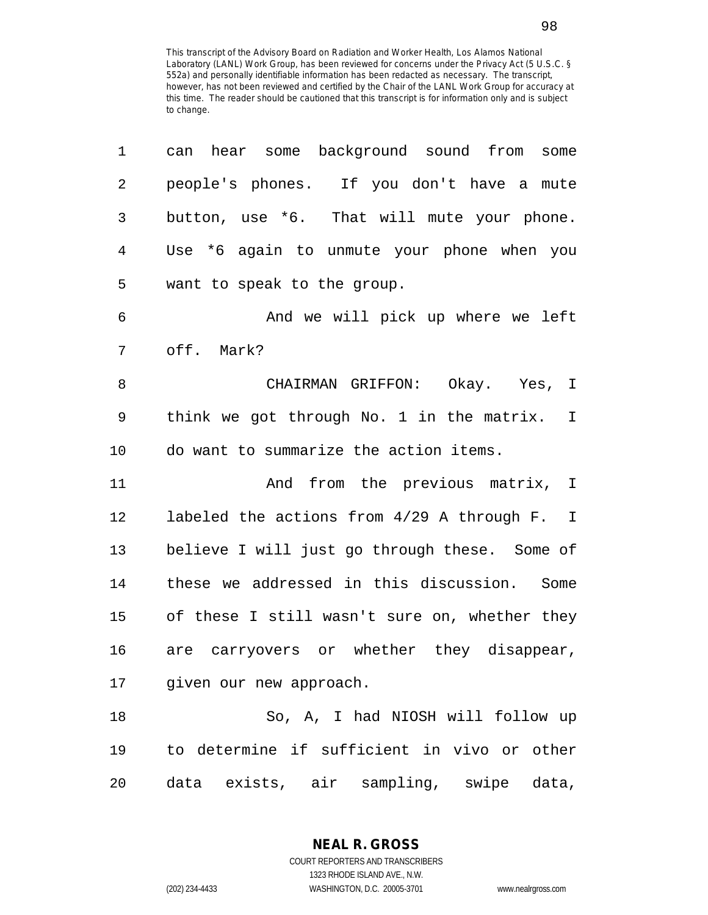| 1              | hear some background sound from<br>some<br>can           |
|----------------|----------------------------------------------------------|
| $\overline{2}$ | people's phones. If you don't have a mute                |
| 3              | button, use *6. That will mute your phone.               |
| 4              | Use *6 again to unmute your phone when you               |
| 5              | want to speak to the group.                              |
| 6              | And we will pick up where we left                        |
| 7              | off. Mark?                                               |
| 8              | CHAIRMAN GRIFFON: Okay. Yes, I                           |
| 9              | think we got through No. 1 in the matrix.<br>$\mathbf I$ |
| 10             | do want to summarize the action items.                   |
| 11             | And from the previous matrix, I                          |
| 12             | labeled the actions from 4/29 A through F. I             |
| 13             | believe I will just go through these. Some of            |
| 14             | these we addressed in this discussion. Some              |
| 15             | of these I still wasn't sure on, whether they            |
| 16             | are carryovers or whether they disappear,                |
| 17             | given our new approach.                                  |
| 18             | So, A, I had NIOSH will follow up                        |
| 19             | to determine if sufficient in vivo or other              |
| 20             | data exists, air sampling, swipe data,                   |

**NEAL R. GROSS**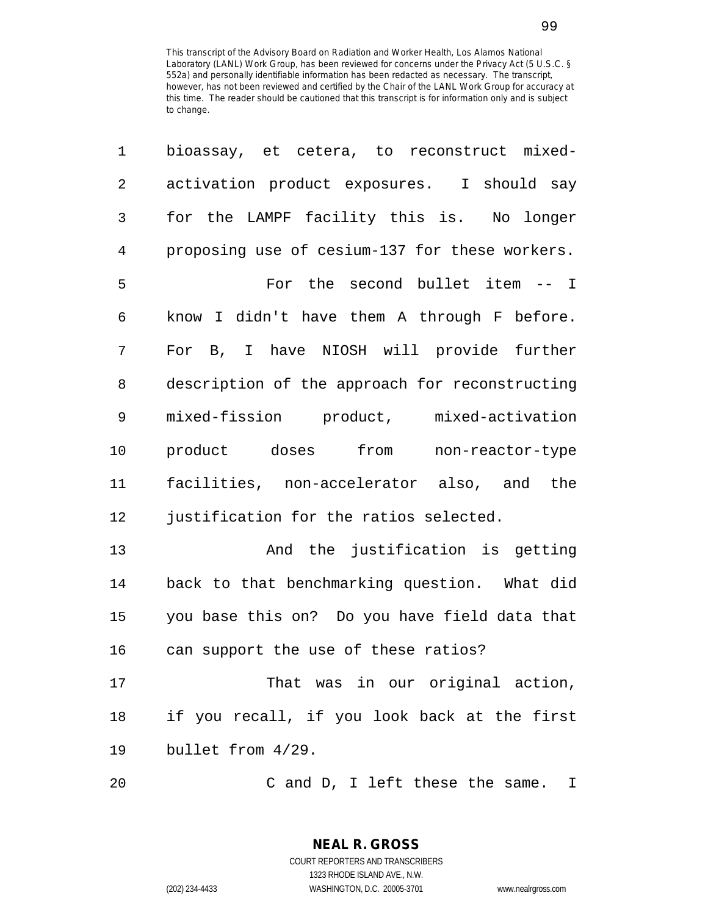| 1              | bioassay, et cetera, to reconstruct mixed-     |
|----------------|------------------------------------------------|
| $\overline{2}$ | activation product exposures. I should say     |
| 3              | for the LAMPF facility this is. No longer      |
| $\overline{4}$ | proposing use of cesium-137 for these workers. |
| 5              | For the second bullet item -- I                |
| 6              | know I didn't have them A through F before.    |
| 7              | For B, I have NIOSH will provide further       |
| 8              | description of the approach for reconstructing |
| 9              | mixed-fission product, mixed-activation        |
| 10             | product doses from<br>non-reactor-type         |
| 11             | facilities, non-accelerator also, and the      |
| 12             | justification for the ratios selected.         |
| 13             | And the justification is getting               |
| 14             | back to that benchmarking question. What did   |
| 15             | you base this on? Do you have field data that  |
| 16             | can support the use of these ratios?           |
| 17             | That was in our original action,               |
| 18             | if you recall, if you look back at the first   |
| 19             | bullet from 4/29.                              |
| 20             | C and D, I left these the same. I              |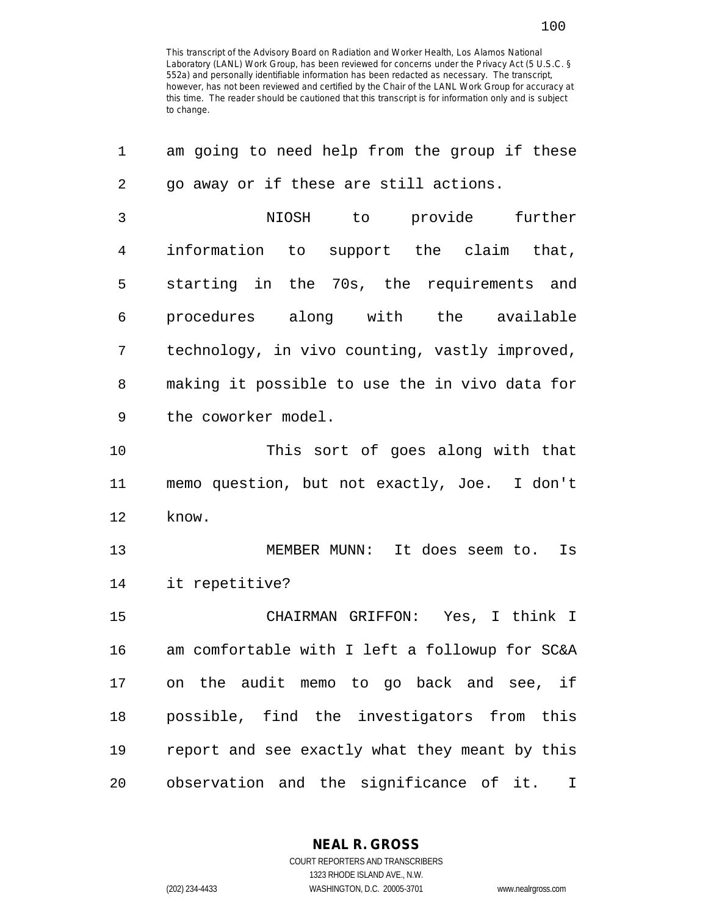| 1  | am going to need help from the group if these  |
|----|------------------------------------------------|
| 2  | go away or if these are still actions.         |
| 3  | NIOSH to provide further                       |
| 4  | information to support the claim that,         |
| 5  | starting in the 70s, the requirements and      |
| 6  | procedures along with the available            |
| 7  | technology, in vivo counting, vastly improved, |
| 8  | making it possible to use the in vivo data for |
| 9  | the coworker model.                            |
| 10 | This sort of goes along with that              |
| 11 | memo question, but not exactly, Joe. I don't   |
| 12 | know.                                          |
| 13 | MEMBER MUNN: It does seem to. Is               |
| 14 | it repetitive?                                 |
| 15 | CHAIRMAN GRIFFON: Yes, I think I               |
| 16 | am comfortable with I left a followup for SC&A |
| 17 | on the audit memo to go back and see, if       |
| 18 | possible, find the investigators from this     |
| 19 | report and see exactly what they meant by this |
| 20 | observation and the significance of it.<br>I   |

**NEAL R. GROSS**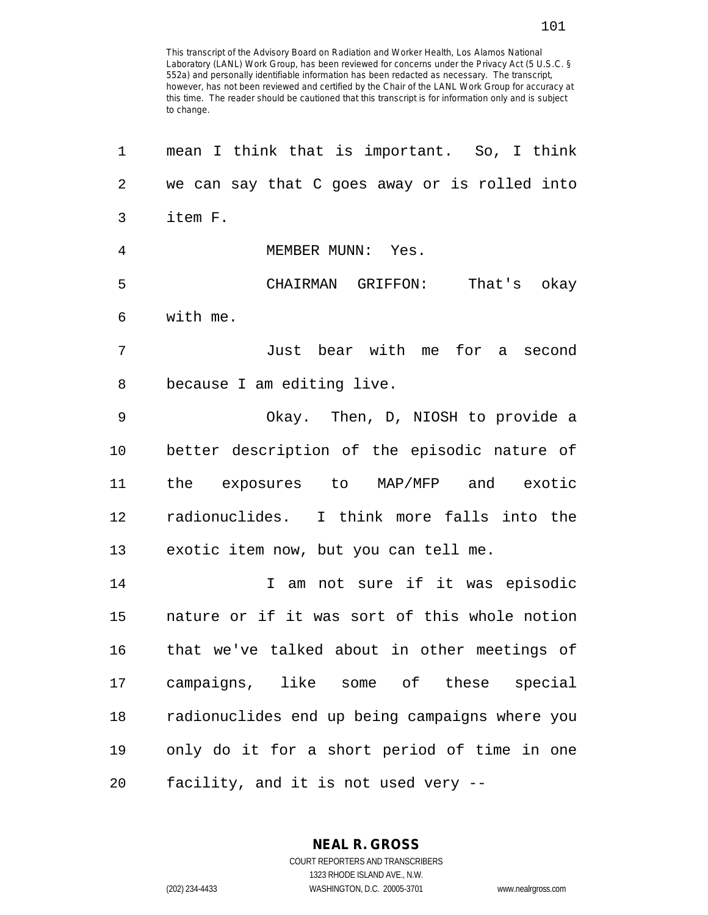| 1              | mean I think that is important. So, I think    |
|----------------|------------------------------------------------|
| $\overline{2}$ | we can say that C goes away or is rolled into  |
| 3              | item F.                                        |
| 4              | MEMBER MUNN: Yes.                              |
| 5              | CHAIRMAN GRIFFON:<br>That's okay               |
| 6              | with me.                                       |
| 7              | Just bear with me for a second                 |
| 8              | because I am editing live.                     |
| 9              | Okay. Then, D, NIOSH to provide a              |
| 10             | better description of the episodic nature of   |
| 11             | the exposures to MAP/MFP and exotic            |
| 12             | radionuclides. I think more falls into the     |
| 13             | exotic item now, but you can tell me.          |
| 14             | I am not sure if it was episodic               |
| 15             | nature or if it was sort of this whole notion  |
| 16             | that we've talked about in other meetings of   |
| 17             | campaigns, like some of these special          |
| 18             | radionuclides end up being campaigns where you |
| 19             | only do it for a short period of time in one   |
| 20             | facility, and it is not used very --           |

**NEAL R. GROSS** COURT REPORTERS AND TRANSCRIBERS

1323 RHODE ISLAND AVE., N.W.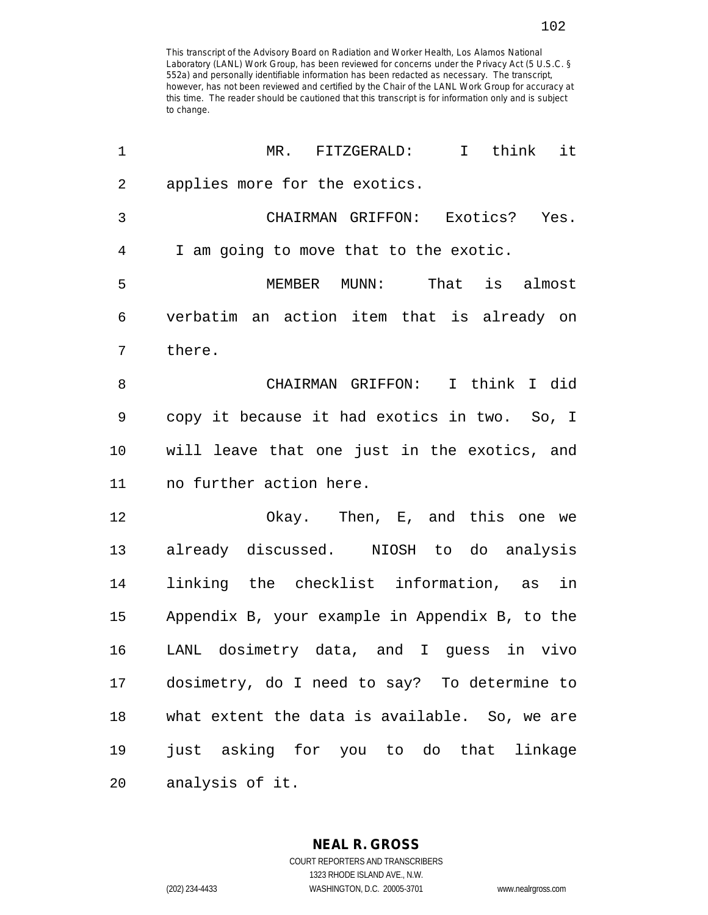| 1              | FITZGERALD: I<br>think it<br>$MR$ .            |
|----------------|------------------------------------------------|
| $\overline{2}$ | applies more for the exotics.                  |
| 3              | CHAIRMAN GRIFFON: Exotics? Yes.                |
| 4              | I am going to move that to the exotic.         |
| 5              | MEMBER MUNN: That is almost                    |
| 6              | verbatim an action item that is already on     |
| 7              | there.                                         |
| 8              | CHAIRMAN GRIFFON: I think I did                |
| 9              | copy it because it had exotics in two. So, I   |
| 10             | will leave that one just in the exotics, and   |
| 11             | no further action here.                        |
| 12             | Okay. Then, E, and this one we                 |
| 13             | already discussed. NIOSH to do analysis        |
| 14             | linking the checklist information, as in       |
| 15             | Appendix B, your example in Appendix B, to the |
| 16             | LANL dosimetry data, and I guess in vivo       |
| 17             | dosimetry, do I need to say? To determine to   |
| 18             | what extent the data is available. So, we are  |
| 19             | just asking for you to do that linkage         |
| 20             | analysis of it.                                |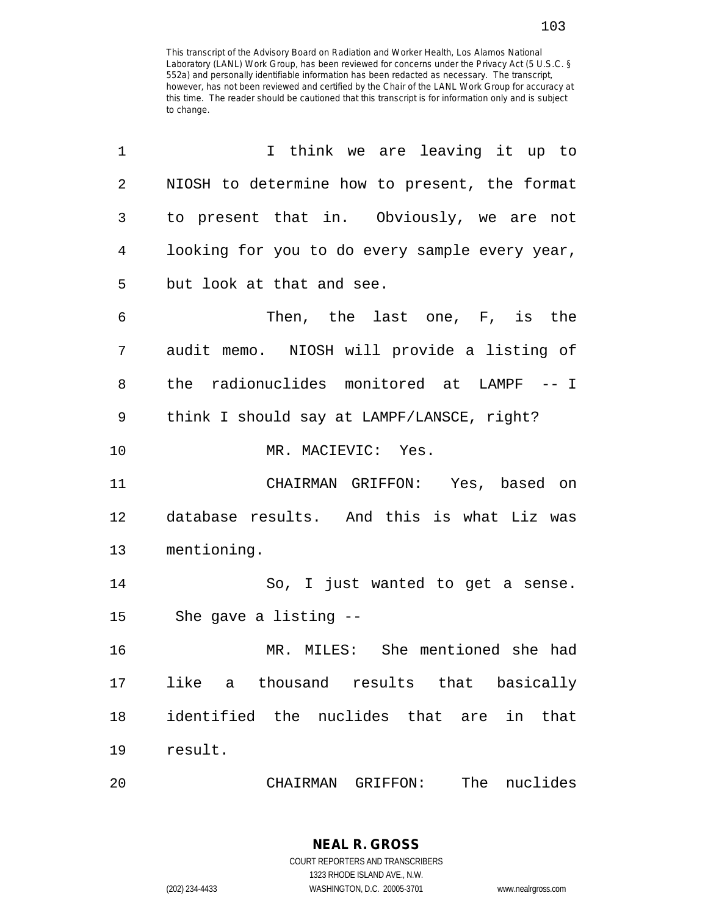| 1  | I think we are leaving it up to                |
|----|------------------------------------------------|
| 2  | NIOSH to determine how to present, the format  |
| 3  | to present that in. Obviously, we are not      |
| 4  | looking for you to do every sample every year, |
| 5  | but look at that and see.                      |
| 6  | Then, the last one, F, is the                  |
| 7  | audit memo. NIOSH will provide a listing of    |
| 8  | the radionuclides monitored at LAMPF -- I      |
| 9  | think I should say at LAMPF/LANSCE, right?     |
| 10 | MR. MACIEVIC: Yes.                             |
| 11 | CHAIRMAN GRIFFON: Yes, based on                |
| 12 | database results. And this is what Liz was     |
| 13 | mentioning.                                    |
| 14 | So, I just wanted to get a sense.              |
| 15 | She gave a listing --                          |
| 16 | MR. MILES: She mentioned she had               |
| 17 | like a thousand results that basically         |
| 18 | identified the nuclides that are<br>in<br>that |
| 19 | result.                                        |
| 20 | CHAIRMAN GRIFFON: The nuclides                 |

1323 RHODE ISLAND AVE., N.W.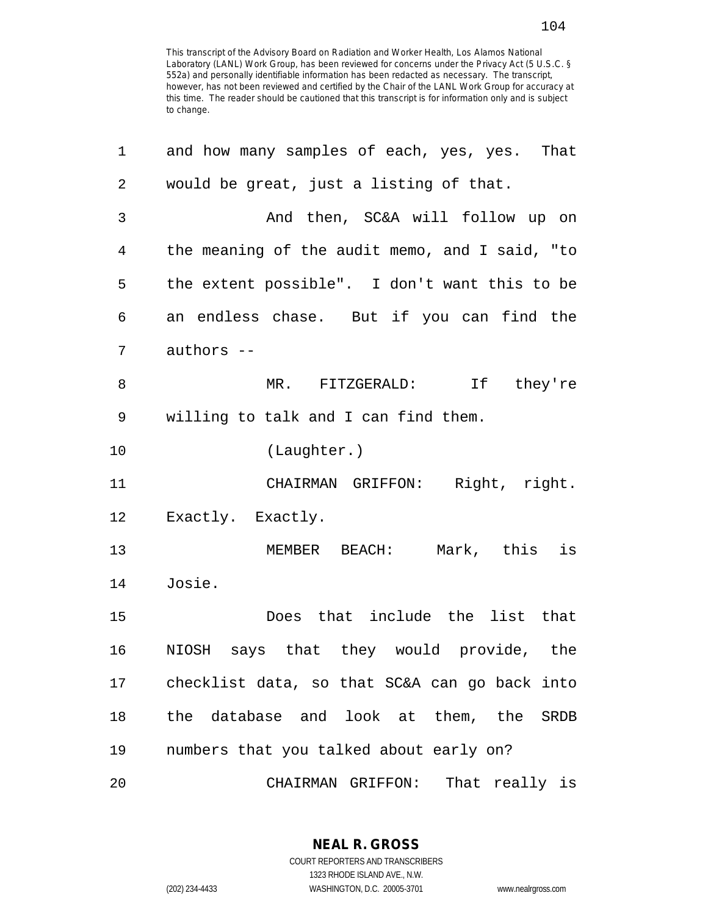| 1<br>and how many samples of each, yes, yes. That   |
|-----------------------------------------------------|
| would be great, just a listing of that.<br>2        |
| $\mathsf{3}$<br>And then, SC&A will follow up on    |
| the meaning of the audit memo, and I said, "to<br>4 |
| the extent possible". I don't want this to be<br>5  |
| an endless chase. But if you can find the<br>6      |
| authors --<br>7                                     |
| 8<br>MR. FITZGERALD: If they're                     |
| 9<br>willing to talk and I can find them.           |
| (Laughter.)<br>10                                   |
| CHAIRMAN GRIFFON: Right, right.<br>11               |
| 12<br>Exactly. Exactly.                             |
| MEMBER BEACH: Mark, this is<br>13                   |
| Josie.<br>14                                        |
| Does that include the list that<br>15               |
| NIOSH says that they would provide, the<br>16       |
| checklist data, so that SC&A can go back into<br>17 |
| the database and look at them, the SRDB<br>18       |
| numbers that you talked about early on?<br>19       |
| 20<br>That really is<br>CHAIRMAN GRIFFON:           |

**NEAL R. GROSS**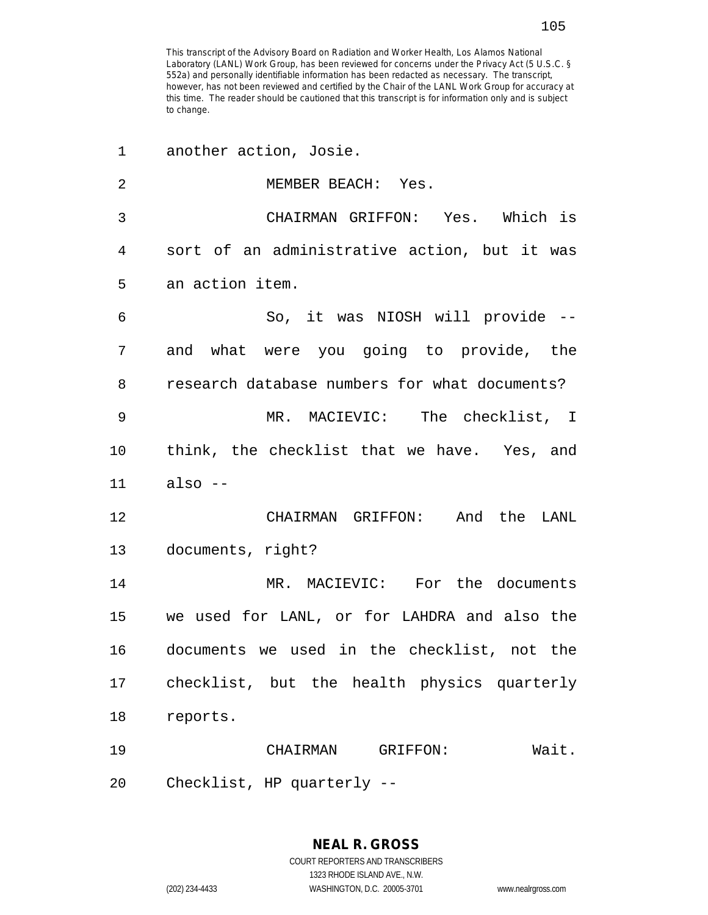1 another action, Josie. 2 MEMBER BEACH: Yes. 3 CHAIRMAN GRIFFON: Yes. Which is 4 sort of an administrative action, but it was 5 an action item. 6 So, it was NIOSH will provide -- 7 and what were you going to provide, the 8 research database numbers for what documents? 9 MR. MACIEVIC: The checklist, I 10 think, the checklist that we have. Yes, and 11 also -- 12 CHAIRMAN GRIFFON: And the LANL 13 documents, right? 14 MR. MACIEVIC: For the documents 15 we used for LANL, or for LAHDRA and also the 16 documents we used in the checklist, not the 17 checklist, but the health physics quarterly 18 reports. 19 CHAIRMAN GRIFFON: Wait. 20 Checklist, HP quarterly --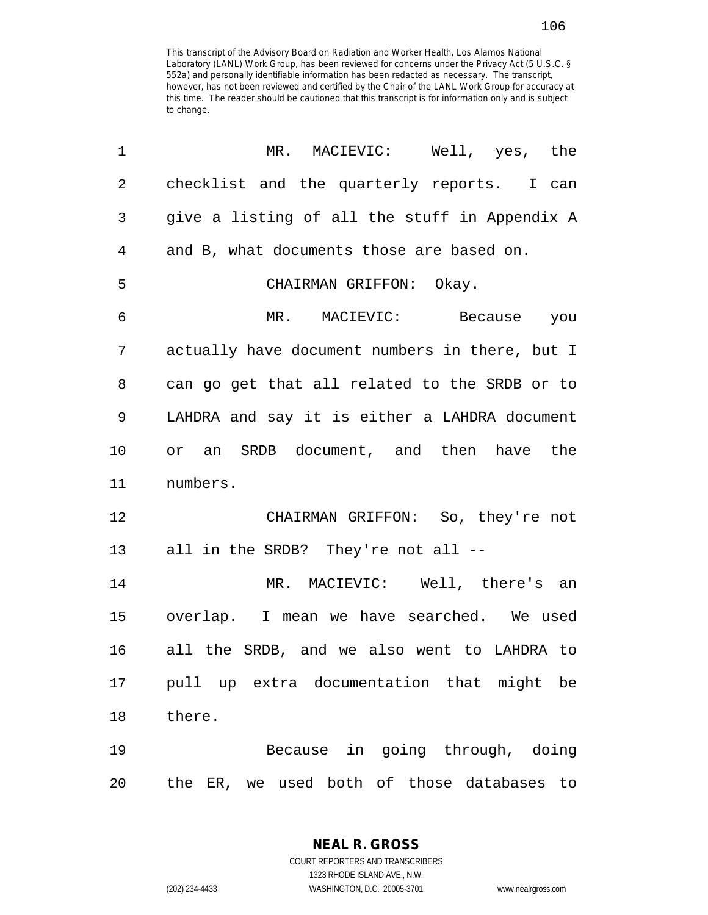| 1          | MR. MACIEVIC: Well, yes, the                   |
|------------|------------------------------------------------|
| $\sqrt{2}$ | checklist and the quarterly reports. I can     |
| 3          | give a listing of all the stuff in Appendix A  |
| 4          | and B, what documents those are based on.      |
| 5          | CHAIRMAN GRIFFON: Okay.                        |
| 6          | MR. MACIEVIC: Because you                      |
| 7          | actually have document numbers in there, but I |
| 8          | can go get that all related to the SRDB or to  |
| 9          | LAHDRA and say it is either a LAHDRA document  |
| 10         | or an SRDB document, and then have the         |
| 11         | numbers.                                       |
| 12         | CHAIRMAN GRIFFON: So, they're not              |
| 13         | all in the SRDB? They're not all --            |
| 14         | MR. MACIEVIC: Well, there's an                 |
| 15         | overlap. I mean we have searched. We used      |
| 16         | all the SRDB, and we also went to LAHDRA to    |
| 17         | pull up extra documentation that might be      |
| 18         | there.                                         |
| 19         | Because in going through, doing                |
| 20         | the ER, we used both of those databases to     |

**NEAL R. GROSS**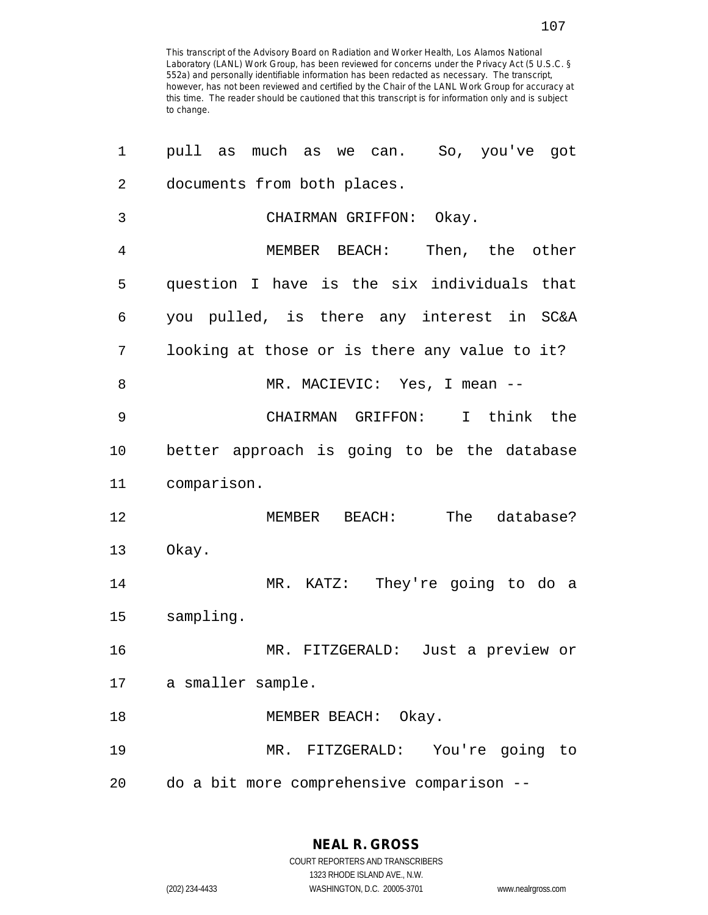| 1  | pull as much as we can.<br>So, you've got     |
|----|-----------------------------------------------|
| 2  | documents from both places.                   |
| 3  | CHAIRMAN GRIFFON: Okay.                       |
| 4  | MEMBER BEACH:<br>Then, the other              |
| 5  | question I have is the six individuals that   |
| 6  | you pulled, is there any interest in SC&A     |
| 7  | looking at those or is there any value to it? |
| 8  | MR. MACIEVIC: Yes, I mean --                  |
| 9  | CHAIRMAN GRIFFON:<br>I think the              |
| 10 | better approach is going to be the database   |
| 11 | comparison.                                   |
| 12 | The database?<br>MEMBER BEACH:                |
| 13 | Okay.                                         |
| 14 | They're going to do a<br>MR. KATZ:            |
| 15 | sampling.                                     |
| 16 | MR. FITZGERALD: Just a preview or             |
| 17 | a smaller sample.                             |
| 18 | MEMBER BEACH: Okay.                           |
| 19 | MR. FITZGERALD: You're going to               |
| 20 | do a bit more comprehensive comparison --     |

**NEAL R. GROSS**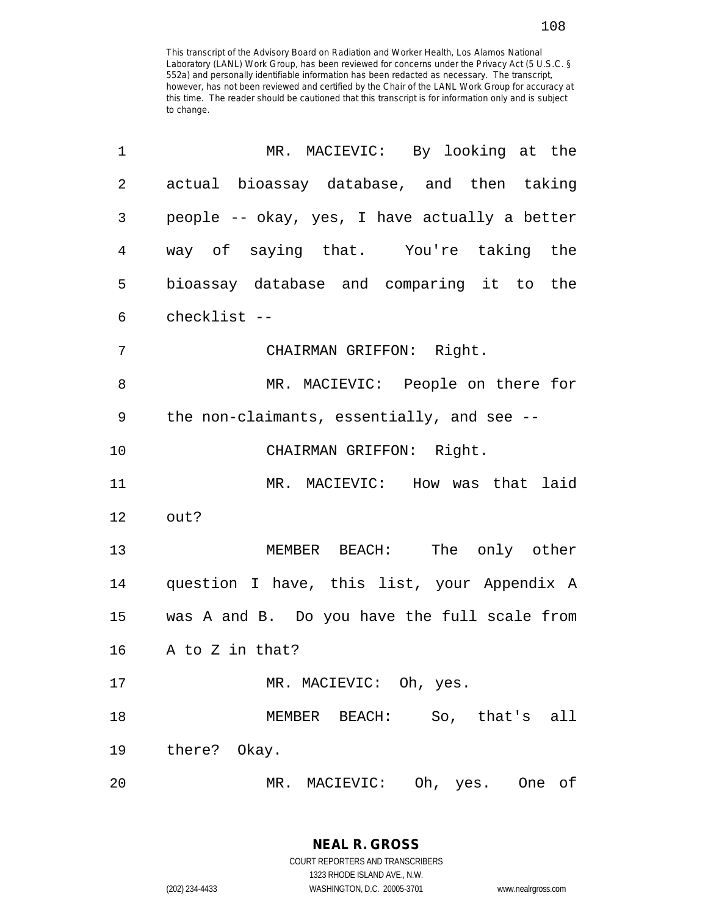| $\mathbf 1$    | MR. MACIEVIC: By looking at the               |
|----------------|-----------------------------------------------|
| $\overline{2}$ | actual bioassay database, and then taking     |
| 3              | people -- okay, yes, I have actually a better |
| $\overline{4}$ | way of saying that. You're taking the         |
| 5              | bioassay database and comparing it to the     |
| 6              | checklist --                                  |
| 7              | CHAIRMAN GRIFFON: Right.                      |
| 8              | MR. MACIEVIC: People on there for             |
| 9              | the non-claimants, essentially, and see --    |
| 10             | CHAIRMAN GRIFFON: Right.                      |
| 11             | MR. MACIEVIC: How was that laid               |
| 12             | out?                                          |
| 13             | MEMBER BEACH: The only other                  |
| 14             | question I have, this list, your Appendix A   |
| 15             | was A and B. Do you have the full scale from  |
| 16             | A to Z in that?                               |
| 17             | MR. MACIEVIC: Oh, yes.                        |
| 18             | MEMBER BEACH: So, that's all                  |
| 19             | there? Okay.                                  |
| 20             | MR. MACIEVIC: Oh, yes.<br>One of              |

**NEAL R. GROSS** COURT REPORTERS AND TRANSCRIBERS 1323 RHODE ISLAND AVE., N.W.

(202) 234-4433 WASHINGTON, D.C. 20005-3701 www.nealrgross.com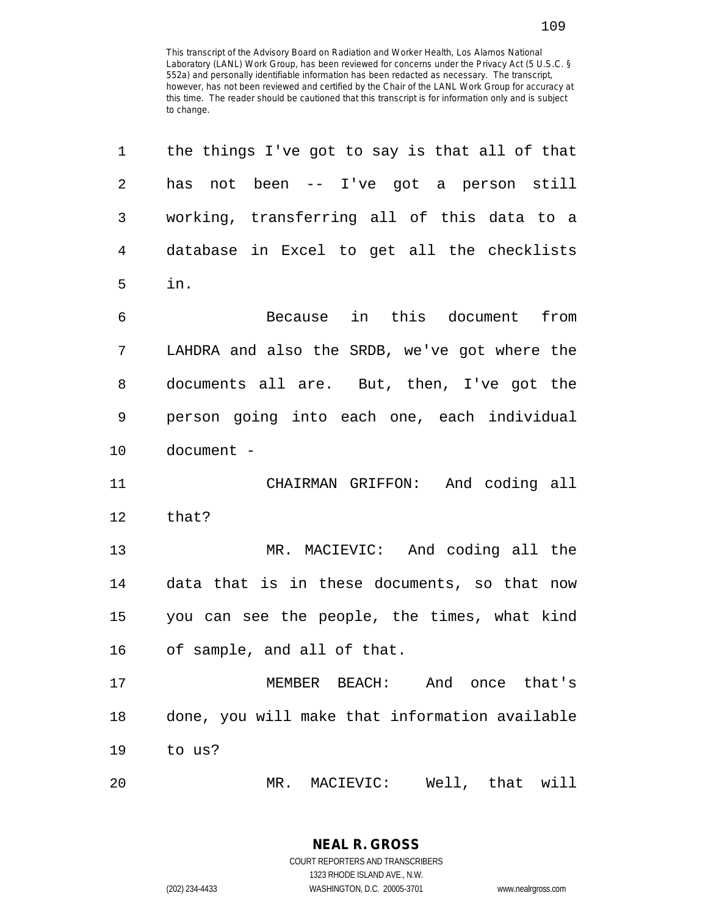| 1              | the things I've got to say is that all of that |
|----------------|------------------------------------------------|
| $\overline{2}$ | not been -- I've got a person still<br>has     |
| 3              | working, transferring all of this data to a    |
| $\overline{4}$ | database in Excel to get all the checklists    |
| 5              | in.                                            |
| 6              | Because in this document from                  |
| 7              | LAHDRA and also the SRDB, we've got where the  |
| 8              | documents all are. But, then, I've got the     |
| 9              | person going into each one, each individual    |
| 10             | document -                                     |
| 11             | CHAIRMAN GRIFFON: And coding all               |
| 12             | that?                                          |
| 13             | MR. MACIEVIC: And coding all the               |
| 14             | data that is in these documents, so that now   |
| 15             | you can see the people, the times, what kind   |
| 16             | of sample, and all of that.                    |
| 17             | And once that's<br>MEMBER BEACH:               |
| 18             | done, you will make that information available |
| 19             | to us?                                         |
| 20             | MR. MACIEVIC: Well, that will                  |

**NEAL R. GROSS** COURT REPORTERS AND TRANSCRIBERS 1323 RHODE ISLAND AVE., N.W.

(202) 234-4433 WASHINGTON, D.C. 20005-3701 www.nealrgross.com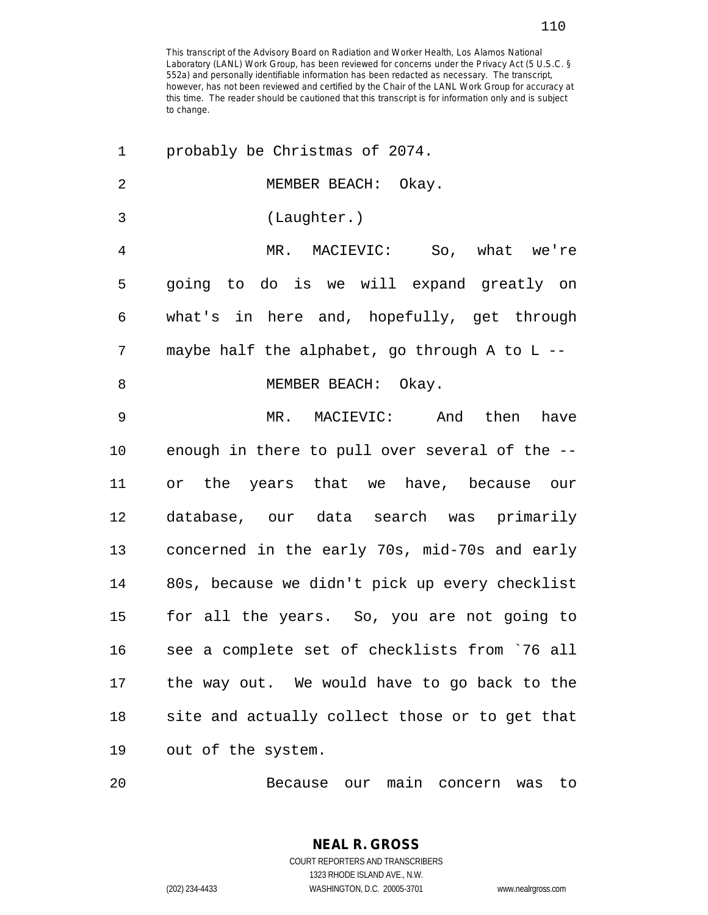$\overline{a}$ 

| 1              | probably be Christmas of 2074.                  |
|----------------|-------------------------------------------------|
| $\overline{2}$ | MEMBER BEACH: Okay.                             |
| 3              | (Laughter.)                                     |
| $\overline{4}$ | MR. MACIEVIC: So, what we're                    |
| 5              | going to do is we will expand greatly on        |
| 6              | what's in here and, hopefully, get through      |
| 7              | maybe half the alphabet, go through A to $L$ -- |
| 8              | MEMBER BEACH: Okay.                             |
| $\mathsf 9$    | MR. MACIEVIC: And then have                     |
| 10             | enough in there to pull over several of the --  |
| 11             | or the years that we have, because our          |
| 12             | database, our data search was primarily         |
| 13             | concerned in the early 70s, mid-70s and early   |
| 14             | 80s, because we didn't pick up every checklist  |
| 15             | for all the years. So, you are not going to     |
| 16             | see a complete set of checklists from `76 all   |
| 17             | the way out. We would have to go back to the    |
| 18             | site and actually collect those or to get that  |
| 19             | out of the system.                              |
|                |                                                 |

20 Because our main concern was to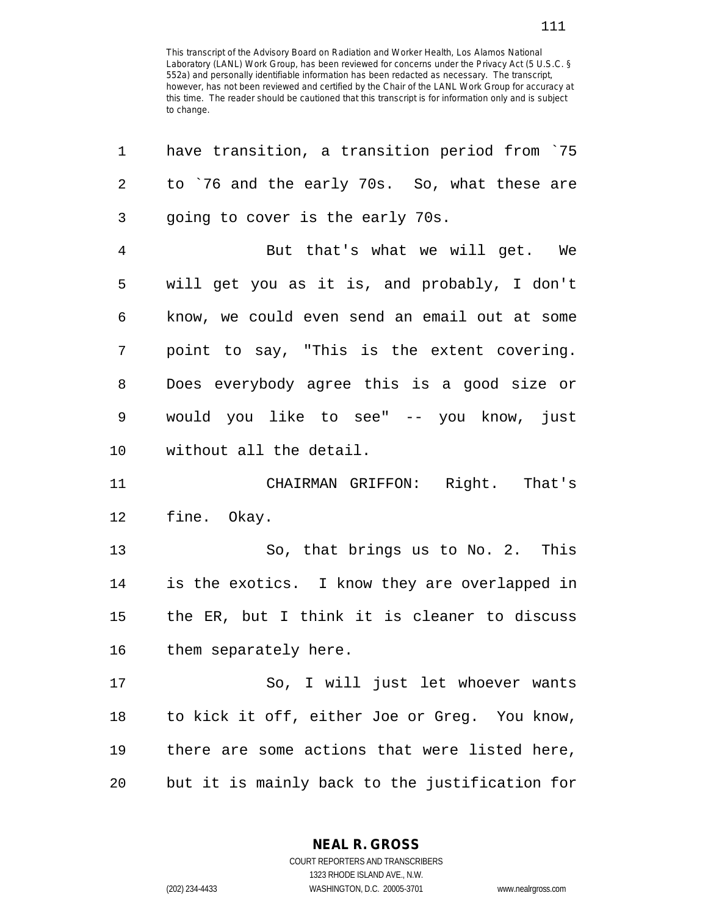| 1              | have transition, a transition period from 175  |
|----------------|------------------------------------------------|
| 2              | to `76 and the early 70s. So, what these are   |
| 3              | going to cover is the early 70s.               |
| $\overline{4}$ | But that's what we will get. We                |
| 5              | will get you as it is, and probably, I don't   |
| 6              | know, we could even send an email out at some  |
| 7              | point to say, "This is the extent covering.    |
| 8              | Does everybody agree this is a good size or    |
| 9              | would you like to see" -- you know, just       |
| 10             | without all the detail.                        |
| 11             | CHAIRMAN GRIFFON: Right. That's                |
| 12             | fine. Okay.                                    |
| 13             | So, that brings us to No. 2. This              |
| 14             | is the exotics. I know they are overlapped in  |
| 15             | the ER, but I think it is cleaner to discuss   |
| 16             | them separately here.                          |
| 17             | So, I will just let whoever wants              |
| 18             | to kick it off, either Joe or Greg. You know,  |
| 19             | there are some actions that were listed here,  |
| 20             | but it is mainly back to the justification for |

**NEAL R. GROSS**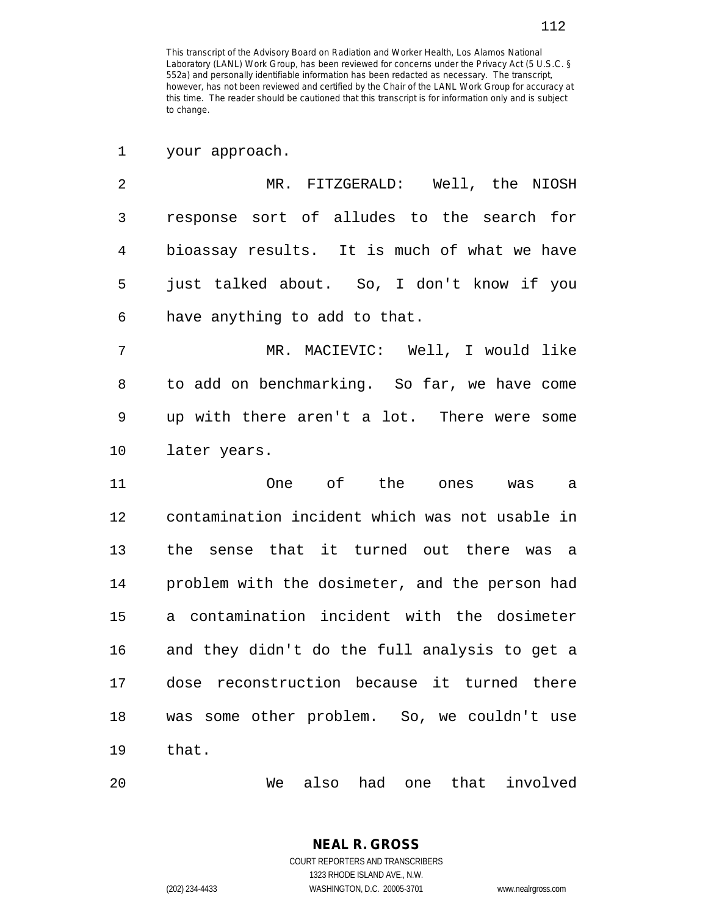1 your approach.

2 MR. FITZGERALD: Well, the NIOSH 3 response sort of alludes to the search for 4 bioassay results. It is much of what we have 5 just talked about. So, I don't know if you 6 have anything to add to that.

7 MR. MACIEVIC: Well, I would like 8 to add on benchmarking. So far, we have come 9 up with there aren't a lot. There were some 10 later years.

11 One of the ones was a 12 contamination incident which was not usable in 13 the sense that it turned out there was a 14 problem with the dosimeter, and the person had 15 a contamination incident with the dosimeter 16 and they didn't do the full analysis to get a 17 dose reconstruction because it turned there 18 was some other problem. So, we couldn't use 19 that.

20 We also had one that involved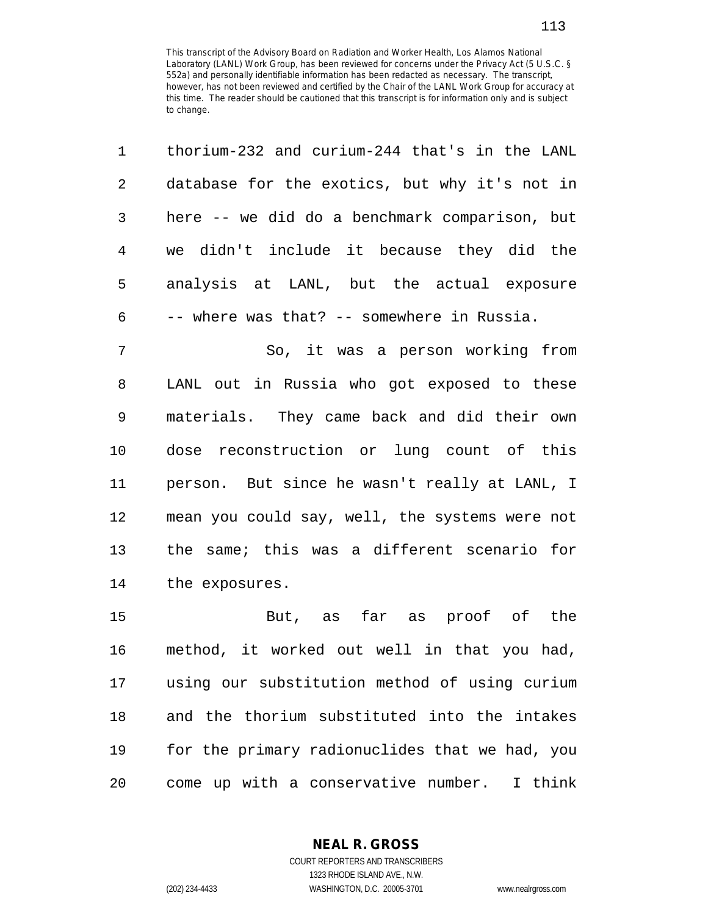| $\mathbf{1}$   | thorium-232 and curium-244 that's in the LANL |
|----------------|-----------------------------------------------|
| $\overline{2}$ | database for the exotics, but why it's not in |
| 3              | here -- we did do a benchmark comparison, but |
| 4              | we didn't include it because they did the     |
| 5              | analysis at LANL, but the actual exposure     |
| 6              | -- where was that? -- somewhere in Russia.    |
| 7              | So, it was a person working from              |
| 8              | LANL out in Russia who got exposed to these   |

9 materials. They came back and did their own 10 dose reconstruction or lung count of this 11 person. But since he wasn't really at LANL, I 12 mean you could say, well, the systems were not 13 the same; this was a different scenario for 14 the exposures.

15 But, as far as proof of the 16 method, it worked out well in that you had, 17 using our substitution method of using curium 18 and the thorium substituted into the intakes 19 for the primary radionuclides that we had, you 20 come up with a conservative number. I think

**NEAL R. GROSS**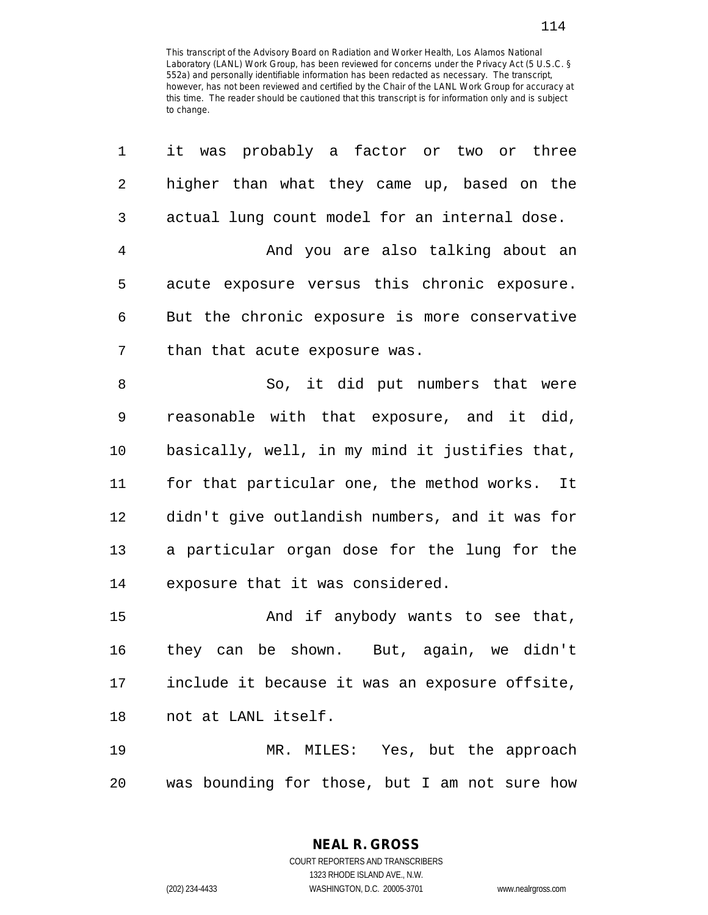| 1              | it was probably a factor or two or three       |
|----------------|------------------------------------------------|
| 2              | higher than what they came up, based on the    |
| 3              | actual lung count model for an internal dose.  |
| $\overline{4}$ | And you are also talking about an              |
| 5              | acute exposure versus this chronic exposure.   |
| 6              | But the chronic exposure is more conservative  |
| 7              | than that acute exposure was.                  |
| 8              | So, it did put numbers that were               |
| 9              | reasonable with that exposure, and it did,     |
| $10 \,$        | basically, well, in my mind it justifies that, |
| 11             | for that particular one, the method works. It  |
| 12             | didn't give outlandish numbers, and it was for |
| 13             | a particular organ dose for the lung for the   |
| 14             | exposure that it was considered.               |
| 15             | And if anybody wants to see that,              |
| 16             | they can be shown. But, again, we didn't       |
| 17             | include it because it was an exposure offsite, |
| 18             | not at LANL itself.                            |
| 19             | MR. MILES: Yes, but the approach               |
| 20             | was bounding for those, but I am not sure how  |

**NEAL R. GROSS**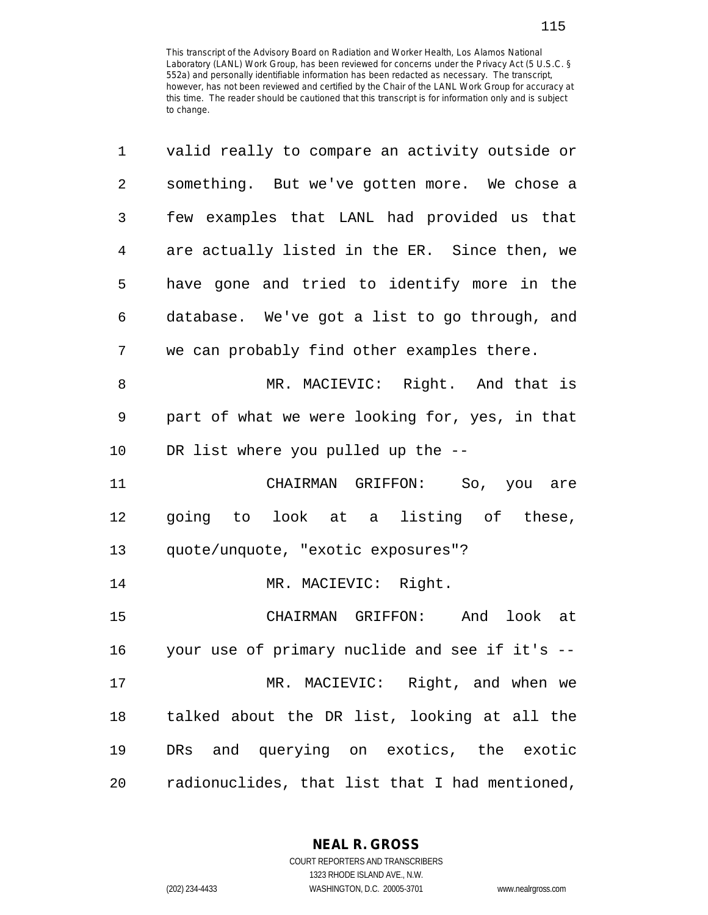| valid really to compare an activity outside or |
|------------------------------------------------|
| something. But we've gotten more. We chose a   |
| few examples that LANL had provided us that    |
| are actually listed in the ER. Since then, we  |
| have gone and tried to identify more in the    |
| database. We've got a list to go through, and  |
| we can probably find other examples there.     |
| MR. MACIEVIC: Right. And that is               |
| part of what we were looking for, yes, in that |
| DR list where you pulled up the --             |
| CHAIRMAN GRIFFON: So, you are                  |
| going to look at a listing of these,           |
| quote/unquote, "exotic exposures"?             |
| MR. MACIEVIC: Right.                           |
| CHAIRMAN GRIFFON: And look at                  |
| your use of primary nuclide and see if it's -- |
| MR. MACIEVIC: Right, and when we               |
| talked about the DR list, looking at all the   |
| DRs and querying on exotics, the exotic        |
| radionuclides, that list that I had mentioned, |
|                                                |

**NEAL R. GROSS**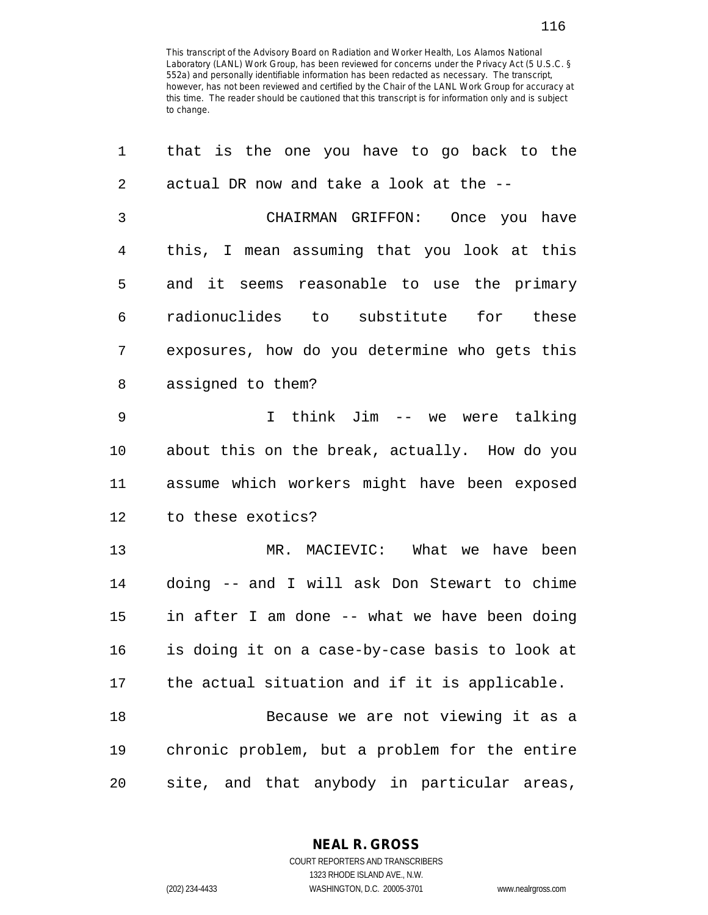| 1  | that is the one you have to go back to the     |
|----|------------------------------------------------|
| 2  | actual DR now and take a look at the --        |
| 3  | CHAIRMAN GRIFFON: Once you have                |
| 4  | this, I mean assuming that you look at this    |
| 5  | and it seems reasonable to use the primary     |
| 6  | radionuclides to substitute for these          |
| 7  | exposures, how do you determine who gets this  |
| 8  | assigned to them?                              |
| 9  | I think Jim -- we were talking                 |
| 10 | about this on the break, actually. How do you  |
| 11 | assume which workers might have been exposed   |
| 12 | to these exotics?                              |
| 13 | MR. MACIEVIC: What we have been                |
| 14 | doing -- and I will ask Don Stewart to chime   |
| 15 | in after I am done -- what we have been doing  |
| 16 | is doing it on a case-by-case basis to look at |
| 17 | the actual situation and if it is applicable.  |
| 18 | Because we are not viewing it as a             |
| 19 | chronic problem, but a problem for the entire  |
| 20 | site, and that anybody in particular areas,    |

**NEAL R. GROSS**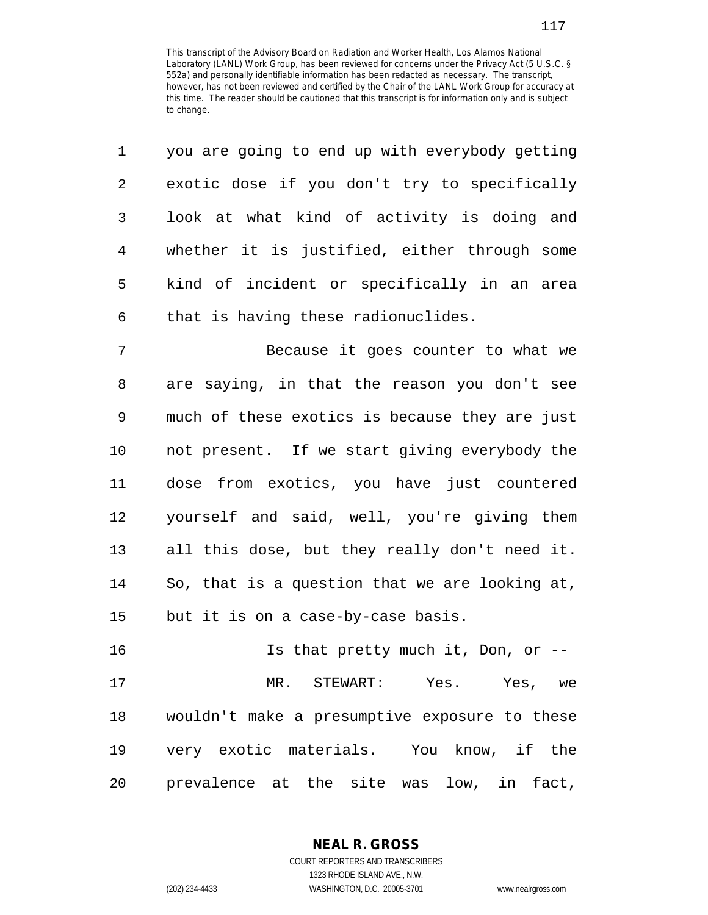| $\mathbf{1}$ | you are going to end up with everybody getting |
|--------------|------------------------------------------------|
| 2            | exotic dose if you don't try to specifically   |
| 3            | look at what kind of activity is doing and     |
| 4            | whether it is justified, either through some   |
| 5            | kind of incident or specifically in an area    |
| 6            | that is having these radionuclides.            |

7 Because it goes counter to what we 8 are saying, in that the reason you don't see 9 much of these exotics is because they are just 10 not present. If we start giving everybody the 11 dose from exotics, you have just countered 12 yourself and said, well, you're giving them 13 all this dose, but they really don't need it. 14 So, that is a question that we are looking at, 15 but it is on a case-by-case basis.

16 **Is that pretty much it, Don, or** --17 MR. STEWART: Yes. Yes, we 18 wouldn't make a presumptive exposure to these 19 very exotic materials. You know, if the 20 prevalence at the site was low, in fact,

**NEAL R. GROSS**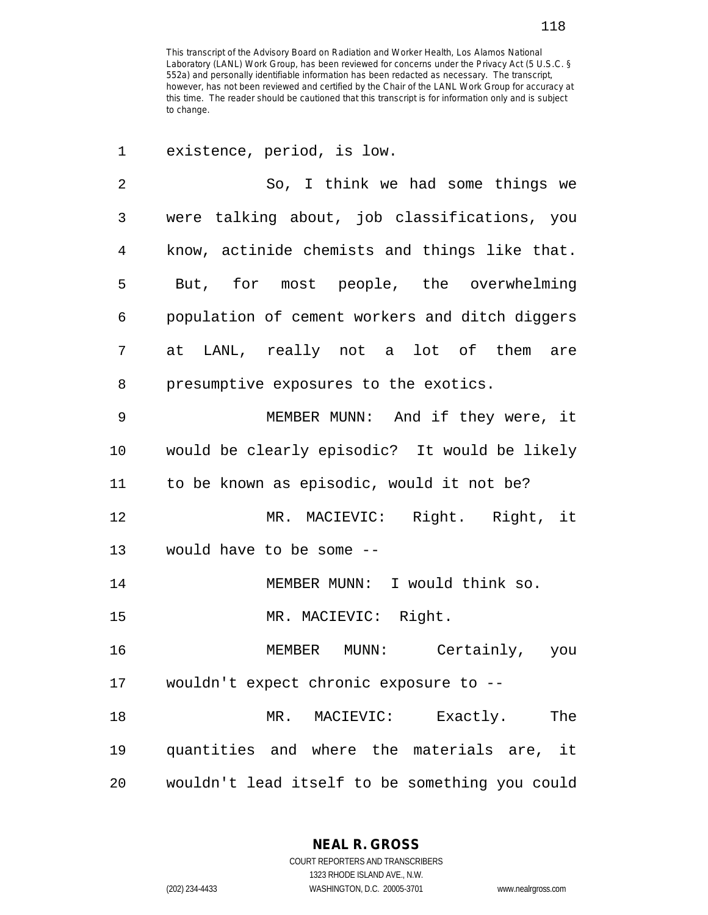1 existence, period, is low. 2 So, I think we had some things we 3 were talking about, job classifications, you 4 know, actinide chemists and things like that. 5 But, for most people, the overwhelming 6 population of cement workers and ditch diggers 7 at LANL, really not a lot of them are 8 presumptive exposures to the exotics. 9 MEMBER MUNN: And if they were, it 10 would be clearly episodic? It would be likely 11 to be known as episodic, would it not be? 12 MR. MACIEVIC: Right. Right, it 13 would have to be some -- 14 MEMBER MUNN: I would think so. 15 MR. MACIEVIC: Right. 16 MEMBER MUNN: Certainly, you 17 wouldn't expect chronic exposure to -- 18 MR. MACIEVIC: Exactly. The 19 quantities and where the materials are, it 20 wouldn't lead itself to be something you could

**NEAL R. GROSS**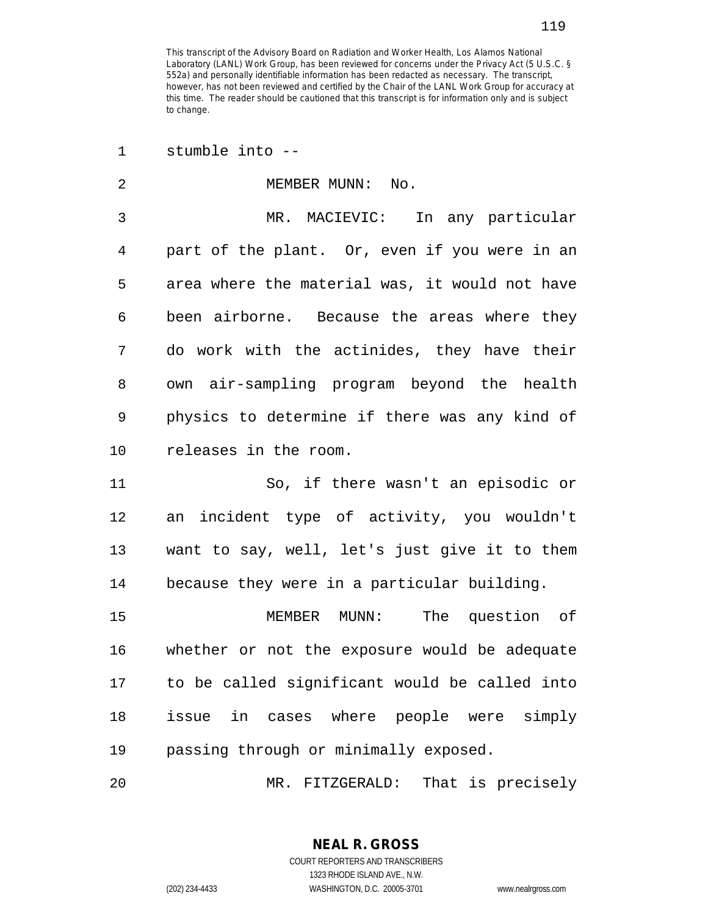1 stumble into --

2 MEMBER MUNN: No. 3 MR. MACIEVIC: In any particular 4 part of the plant. Or, even if you were in an 5 area where the material was, it would not have 6 been airborne. Because the areas where they 7 do work with the actinides, they have their 8 own air-sampling program beyond the health 9 physics to determine if there was any kind of 10 releases in the room.

11 So, if there wasn't an episodic or 12 an incident type of activity, you wouldn't 13 want to say, well, let's just give it to them 14 because they were in a particular building.

15 MEMBER MUNN: The question of 16 whether or not the exposure would be adequate 17 to be called significant would be called into 18 issue in cases where people were simply 19 passing through or minimally exposed.

20 MR. FITZGERALD: That is precisely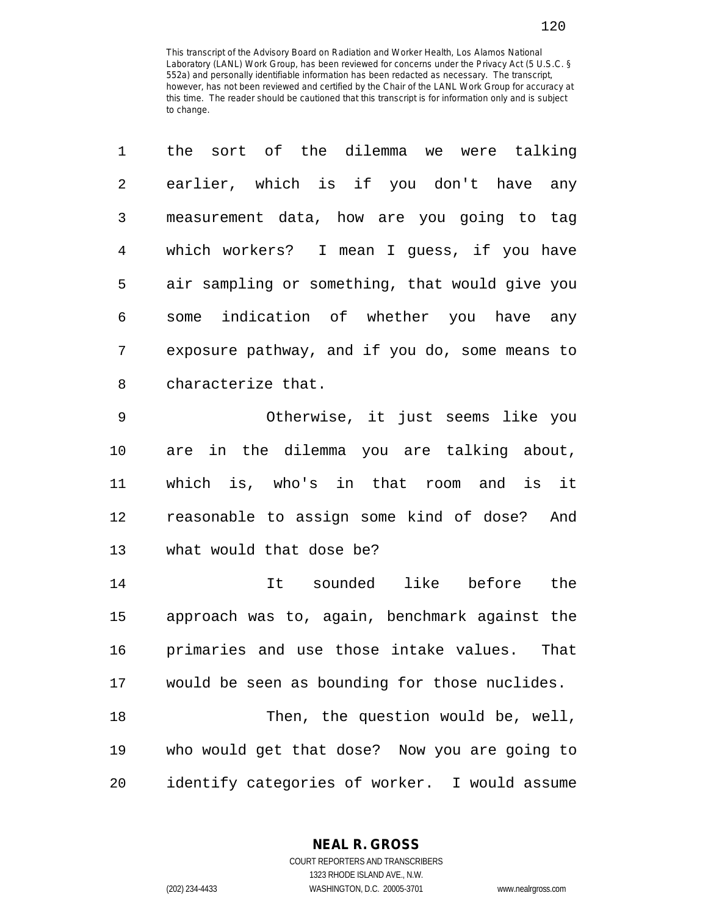| $\mathbf{1}$  | the sort of the dilemma we were talking        |
|---------------|------------------------------------------------|
| $\mathcal{L}$ | earlier, which is if you don't have any        |
| 3             | measurement data, how are you going to tag     |
| 4             | which workers? I mean I guess, if you have     |
| 5             | air sampling or something, that would give you |
| 6             | some indication of whether you have any        |
| 7             | exposure pathway, and if you do, some means to |
| 8             | characterize that.                             |

9 Otherwise, it just seems like you 10 are in the dilemma you are talking about, 11 which is, who's in that room and is it 12 reasonable to assign some kind of dose? And 13 what would that dose be?

14 It sounded like before the 15 approach was to, again, benchmark against the 16 primaries and use those intake values. That 17 would be seen as bounding for those nuclides. 18 Then, the question would be, well, 19 who would get that dose? Now you are going to 20 identify categories of worker. I would assume

**NEAL R. GROSS**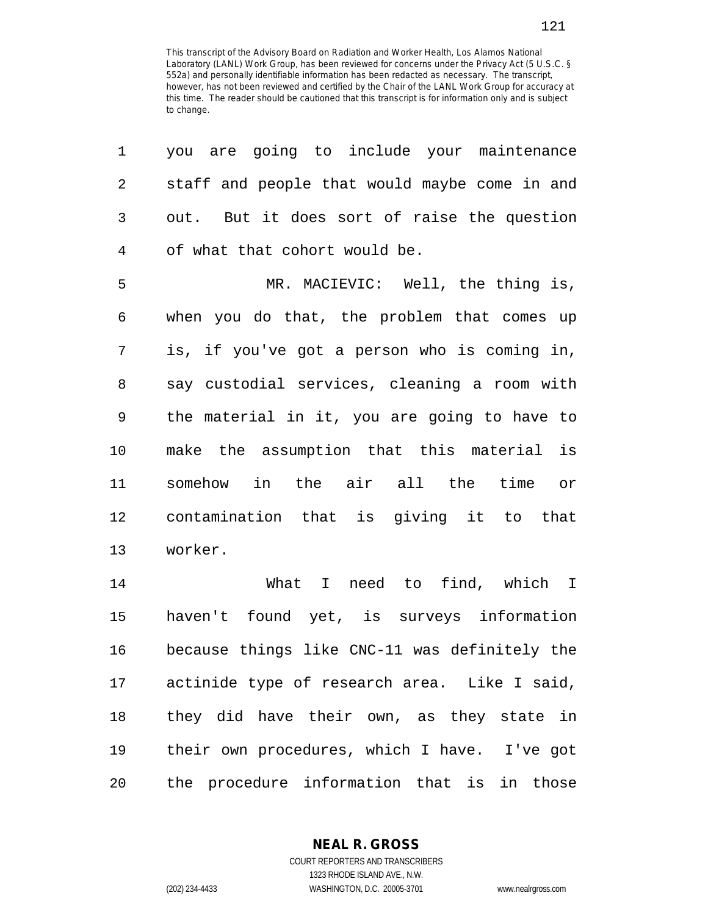| 1              | you are going to include your maintenance     |
|----------------|-----------------------------------------------|
| $\overline{2}$ | staff and people that would maybe come in and |
| 3              | out. But it does sort of raise the question   |
| $\overline{4}$ | of what that cohort would be.                 |
| 5              | MR. MACIEVIC: Well, the thing is,             |
| 6              | when you do that, the problem that comes up   |
| 7              | is, if you've got a person who is coming in,  |
| 8              | say custodial services, cleaning a room with  |
| $\mathsf 9$    | the material in it, you are going to have to  |
| 10             | make the assumption that this material is     |
| 11             | somehow in the air all the time or            |
| 12             | contamination that is giving it to that       |
| 13             | worker.                                       |
| 14             | What I need to find, which I                  |
| 15             | haven't found yet, is surveys information     |
| 16             | because things like CNC-11 was definitely the |
| 17             | actinide type of research area. Like I said,  |
| 18             | they did have their own, as they state in     |
| 19             | their own procedures, which I have. I've got  |

20 the procedure information that is in those

**NEAL R. GROSS**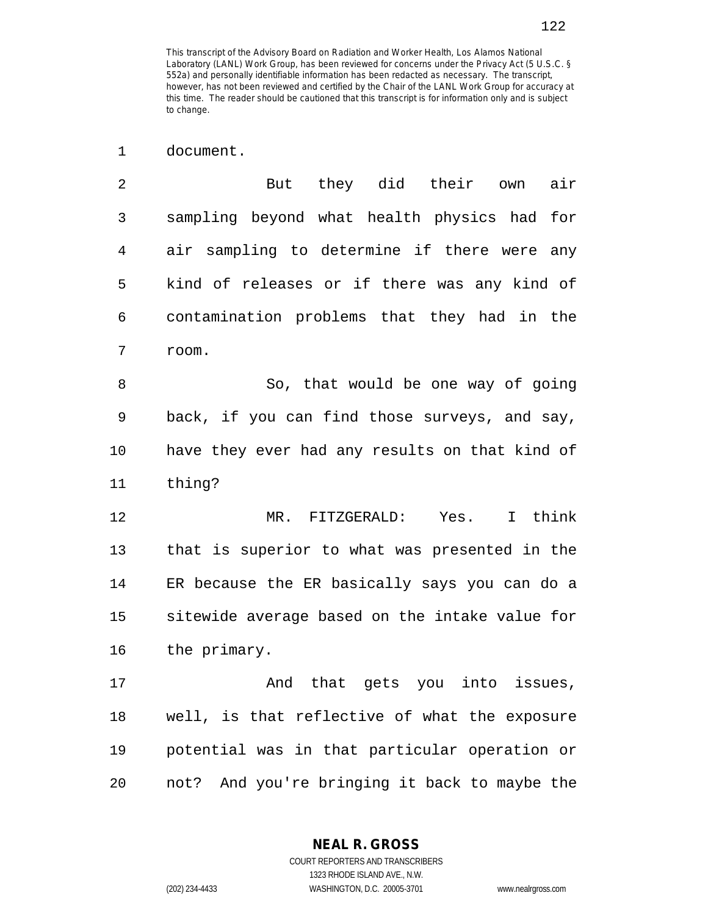1 document.

| 2            |                                              | But they did their own air |  |  |
|--------------|----------------------------------------------|----------------------------|--|--|
| $\mathbf{3}$ | sampling beyond what health physics had for  |                            |  |  |
| 4            | air sampling to determine if there were any  |                            |  |  |
| 5            | kind of releases or if there was any kind of |                            |  |  |
| 6            | contamination problems that they had in the  |                            |  |  |
| 7            | room.                                        |                            |  |  |
|              |                                              |                            |  |  |

8 So, that would be one way of going 9 back, if you can find those surveys, and say, 10 have they ever had any results on that kind of 11 thing?

12 MR. FITZGERALD: Yes. I think 13 that is superior to what was presented in the 14 ER because the ER basically says you can do a 15 sitewide average based on the intake value for 16 the primary.

17 The Mand that gets you into issues, 18 well, is that reflective of what the exposure 19 potential was in that particular operation or 20 not? And you're bringing it back to maybe the

**NEAL R. GROSS**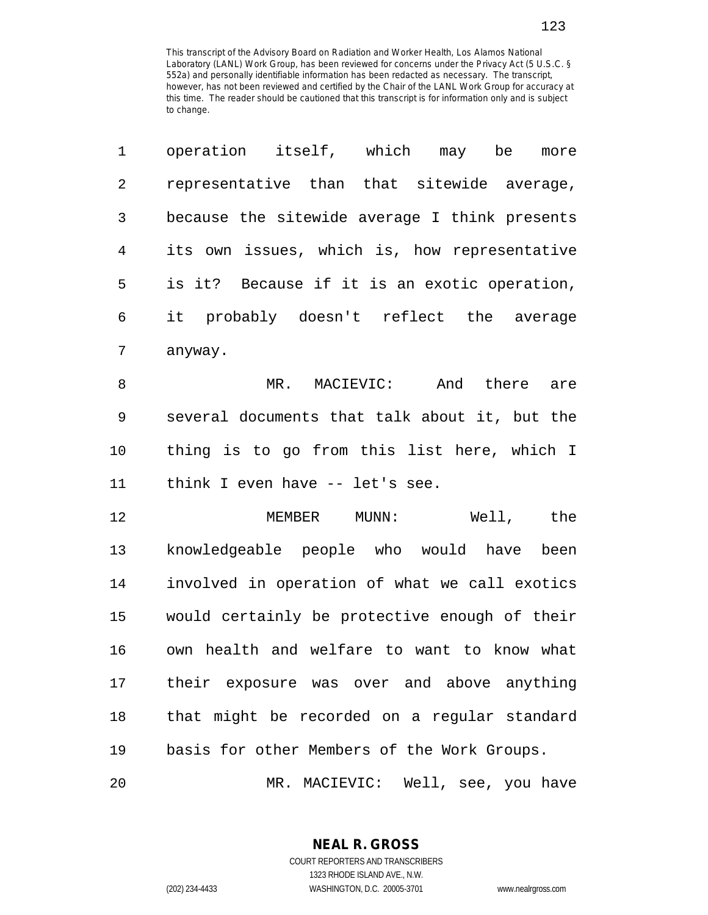1 operation itself, which may be more

| $\overline{2}$ | representative than that sitewide average,    |
|----------------|-----------------------------------------------|
| 3              | because the sitewide average I think presents |
| $\overline{4}$ | its own issues, which is, how representative  |
| 5              | is it? Because if it is an exotic operation,  |
| 6              | it probably doesn't reflect the average       |
| 7              | anyway.                                       |
| 8              | MR. MACIEVIC: And there<br>are                |
| $\mathsf 9$    | several documents that talk about it, but the |
| 10             | thing is to go from this list here, which I   |
| 11             | think I even have -- let's see.               |
| 12             | MEMBER MUNN:<br>Well, the                     |
| 13             | knowledgeable people who would have<br>been   |
| 14             | involved in operation of what we call exotics |
| 15             | would certainly be protective enough of their |
| 16             | own health and welfare to want to know what   |
| 17             | their exposure was over and above anything    |
| 18             | that might be recorded on a regular standard  |
| 19             | basis for other Members of the Work Groups.   |

20 MR. MACIEVIC: Well, see, you have

**NEAL R. GROSS** COURT REPORTERS AND TRANSCRIBERS 1323 RHODE ISLAND AVE., N.W.

(202) 234-4433 WASHINGTON, D.C. 20005-3701 www.nealrgross.com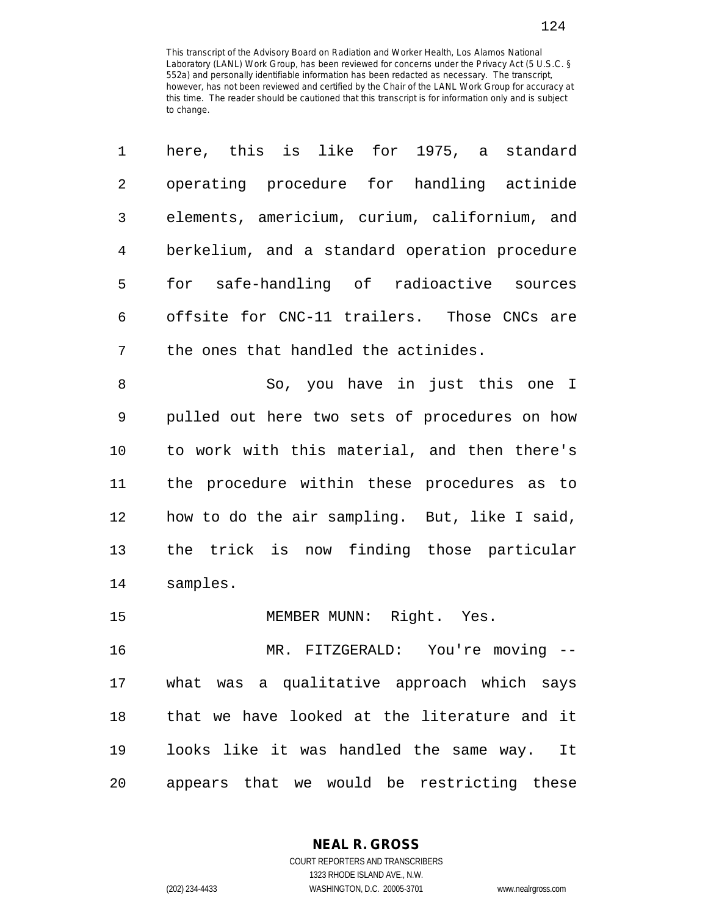| $1 \quad$     | here, this is like for 1975, a standard       |
|---------------|-----------------------------------------------|
| $\mathcal{L}$ | operating procedure for handling actinide     |
| 3             | elements, americium, curium, californium, and |
| 4             | berkelium, and a standard operation procedure |
| 5             | for safe-handling of radioactive sources      |
| 6             | offsite for CNC-11 trailers. Those CNCs are   |
| 7             | the ones that handled the actinides.          |

8 So, you have in just this one I 9 pulled out here two sets of procedures on how 10 to work with this material, and then there's 11 the procedure within these procedures as to 12 how to do the air sampling. But, like I said, 13 the trick is now finding those particular 14 samples.

15 MEMBER MUNN: Right. Yes.

16 MR. FITZGERALD: You're moving -- 17 what was a qualitative approach which says 18 that we have looked at the literature and it 19 looks like it was handled the same way. It 20 appears that we would be restricting these

> **NEAL R. GROSS** COURT REPORTERS AND TRANSCRIBERS

> > 1323 RHODE ISLAND AVE., N.W.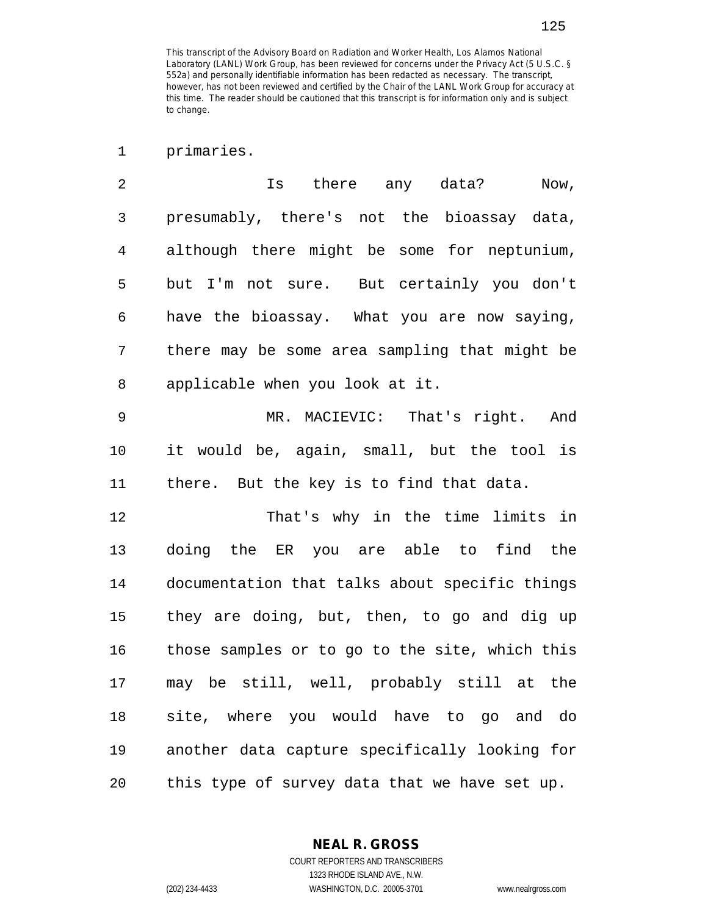2 Is there any data? Now, 3 presumably, there's not the bioassay data, 4 although there might be some for neptunium, 5 but I'm not sure. But certainly you don't 6 have the bioassay. What you are now saying, 7 there may be some area sampling that might be 8 applicable when you look at it.

9 MR. MACIEVIC: That's right. And 10 it would be, again, small, but the tool is 11 there. But the key is to find that data.

12 That's why in the time limits in 13 doing the ER you are able to find the 14 documentation that talks about specific things 15 they are doing, but, then, to go and dig up 16 those samples or to go to the site, which this 17 may be still, well, probably still at the 18 site, where you would have to go and do 19 another data capture specifically looking for 20 this type of survey data that we have set up.

> **NEAL R. GROSS** COURT REPORTERS AND TRANSCRIBERS

> > 1323 RHODE ISLAND AVE., N.W.

(202) 234-4433 WASHINGTON, D.C. 20005-3701 www.nealrgross.com

<sup>1</sup> primaries.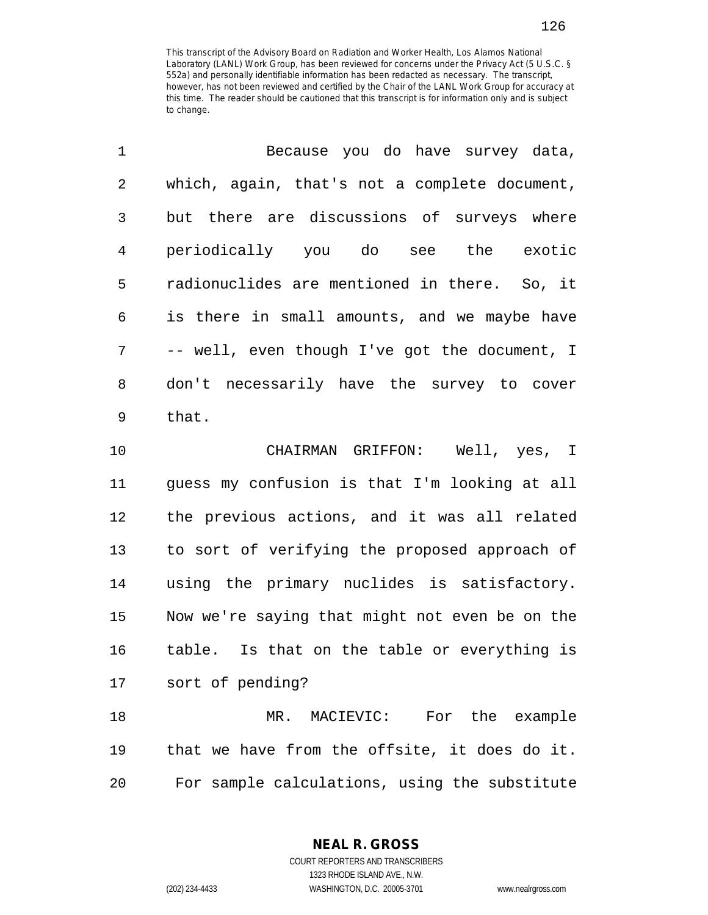| $\mathbf 1$ | Because you do have survey data,              |
|-------------|-----------------------------------------------|
| 2           | which, again, that's not a complete document, |
| 3           | but there are discussions of surveys where    |
| 4           | periodically you do see the exotic            |
| 5           | radionuclides are mentioned in there. So, it  |
| 6           | is there in small amounts, and we maybe have  |
| 7           | -- well, even though I've got the document, I |
| 8           | don't necessarily have the survey to cover    |
| 9           | that.                                         |
| 10          | CHAIRMAN GRIFFON: Well, yes, I                |
| 11          | guess my confusion is that I'm looking at all |
| 12          | the previous actions, and it was all related  |

13 to sort of verifying the proposed approach of 14 using the primary nuclides is satisfactory. 15 Now we're saying that might not even be on the 16 table. Is that on the table or everything is 17 sort of pending?

18 MR. MACIEVIC: For the example 19 that we have from the offsite, it does do it. 20 For sample calculations, using the substitute

**NEAL R. GROSS**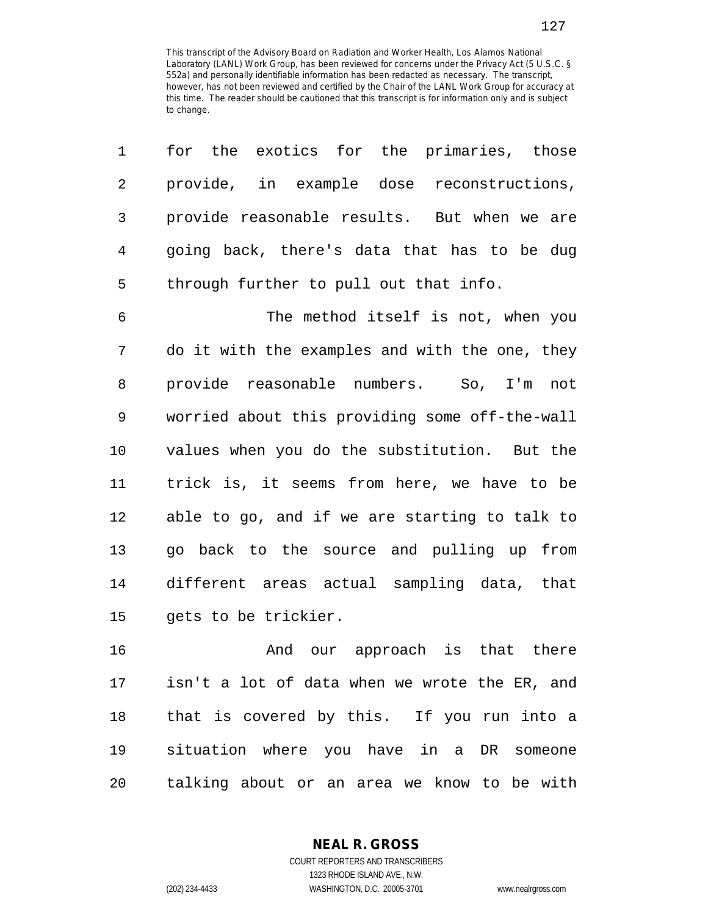|                | for the exotics for the primaries, those    |
|----------------|---------------------------------------------|
| 2              | provide, in example dose reconstructions,   |
| $\overline{3}$ | provide reasonable results. But when we are |
| 4              | going back, there's data that has to be dug |
| 5              | through further to pull out that info.      |
| 6              | The method itself is not, when you          |

7 do it with the examples and with the one, they 8 provide reasonable numbers. So, I'm not 9 worried about this providing some off-the-wall 10 values when you do the substitution. But the 11 trick is, it seems from here, we have to be 12 able to go, and if we are starting to talk to 13 go back to the source and pulling up from 14 different areas actual sampling data, that 15 gets to be trickier.

16 **And our approach is that there** 17 isn't a lot of data when we wrote the ER, and 18 that is covered by this. If you run into a 19 situation where you have in a DR someone 20 talking about or an area we know to be with

> **NEAL R. GROSS** COURT REPORTERS AND TRANSCRIBERS

1323 RHODE ISLAND AVE., N.W. (202) 234-4433 WASHINGTON, D.C. 20005-3701 www.nealrgross.com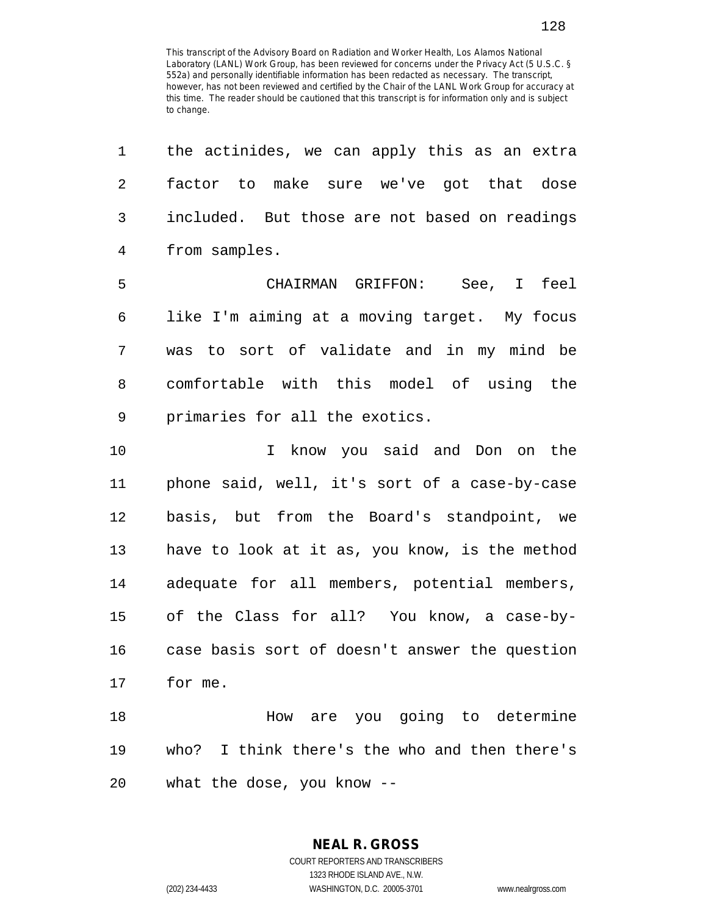| 1              | the actinides, we can apply this as an extra   |
|----------------|------------------------------------------------|
| $\overline{2}$ | factor to make sure we've got that dose        |
| $\mathfrak{Z}$ | included. But those are not based on readings  |
| $\overline{4}$ | from samples.                                  |
| 5              | CHAIRMAN GRIFFON: See, I feel                  |
| 6              | like I'm aiming at a moving target. My focus   |
| 7              | was to sort of validate and in my mind be      |
| 8              | comfortable with this model of using the       |
| $\mathsf 9$    | primaries for all the exotics.                 |
| 10             | I know you said and Don on the                 |
| 11             | phone said, well, it's sort of a case-by-case  |
| 12             | basis, but from the Board's standpoint, we     |
| 13             | have to look at it as, you know, is the method |
| 14             | adequate for all members, potential members,   |
| 15             | of the Class for all? You know, a case-by-     |
| 16             | case basis sort of doesn't answer the question |
| 17             | for me.                                        |
| 18             | How are you going to determine                 |
| 19             | who? I think there's the who and then there's  |
|                |                                                |

20 what the dose, you know --

**NEAL R. GROSS**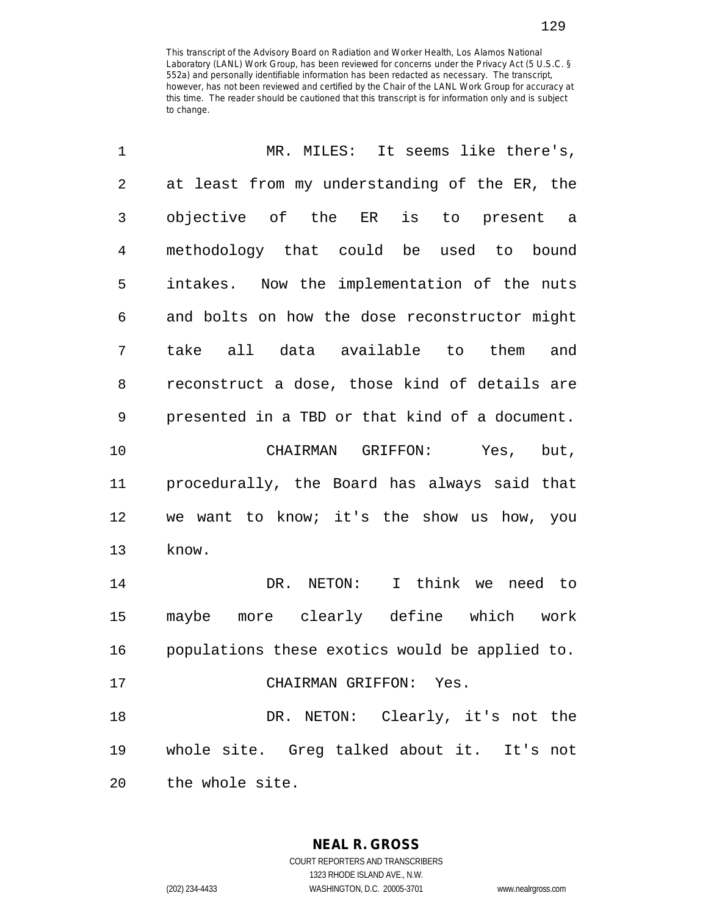| $\mathbf 1$    | MR. MILES: It seems like there's,              |
|----------------|------------------------------------------------|
| 2              | at least from my understanding of the ER, the  |
| 3              | is to present a<br>objective of the ER         |
| $\overline{4}$ | methodology that could be used to bound        |
| 5              | intakes. Now the implementation of the nuts    |
| 6              | and bolts on how the dose reconstructor might  |
| 7              | take all data available to<br>them<br>and      |
| 8              | reconstruct a dose, those kind of details are  |
| 9              | presented in a TBD or that kind of a document. |
| 10             | CHAIRMAN GRIFFON: Yes,<br>but,                 |
| 11             | procedurally, the Board has always said that   |
| 12             | we want to know; it's the show us how, you     |
| 13             | know.                                          |
| 14             | DR. NETON: I think we need to                  |
| 15             | maybe more clearly define which work           |
| 16             | populations these exotics would be applied to. |
| 17             | CHAIRMAN GRIFFON: Yes.                         |
| 18             | DR. NETON: Clearly, it's not the               |
| 19             | whole site. Greg talked about it. It's not     |
|                | 20 the whole site.                             |

**NEAL R. GROSS**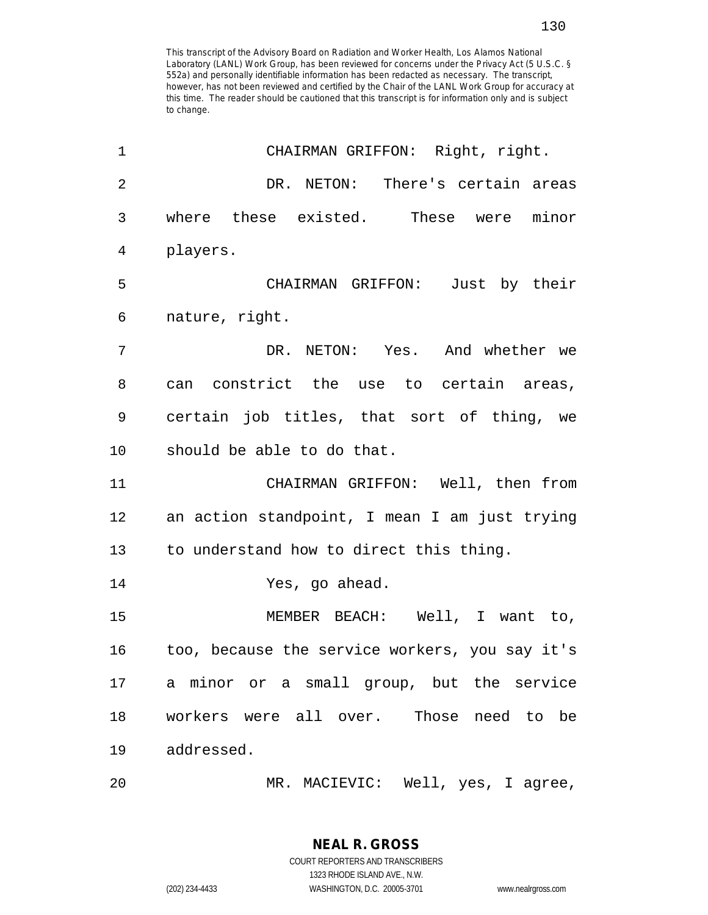| 1              | CHAIRMAN GRIFFON: Right, right.                |
|----------------|------------------------------------------------|
| $\overline{2}$ | DR. NETON: There's certain areas               |
| 3              | where these existed. These were minor          |
| 4              | players.                                       |
| 5              | Just by their<br>CHAIRMAN GRIFFON:             |
| 6              | nature, right.                                 |
| 7              | DR. NETON: Yes. And whether we                 |
| 8              | can constrict the use to certain areas,        |
| 9              | certain job titles, that sort of thing, we     |
| $10 \,$        | should be able to do that.                     |
| 11             | CHAIRMAN GRIFFON: Well, then from              |
| 12             | an action standpoint, I mean I am just trying  |
| 13             | to understand how to direct this thing.        |
| 14             | Yes, go ahead.                                 |
| 15             | MEMBER BEACH: Well, I want to,                 |
| 16             | too, because the service workers, you say it's |
| 17             | a minor or a small group, but the service      |
| 18             | workers were all over. Those need to be        |
| 19             | addressed.                                     |
|                |                                                |

20 MR. MACIEVIC: Well, yes, I agree,

**NEAL R. GROSS** COURT REPORTERS AND TRANSCRIBERS

1323 RHODE ISLAND AVE., N.W.

(202) 234-4433 WASHINGTON, D.C. 20005-3701 www.nealrgross.com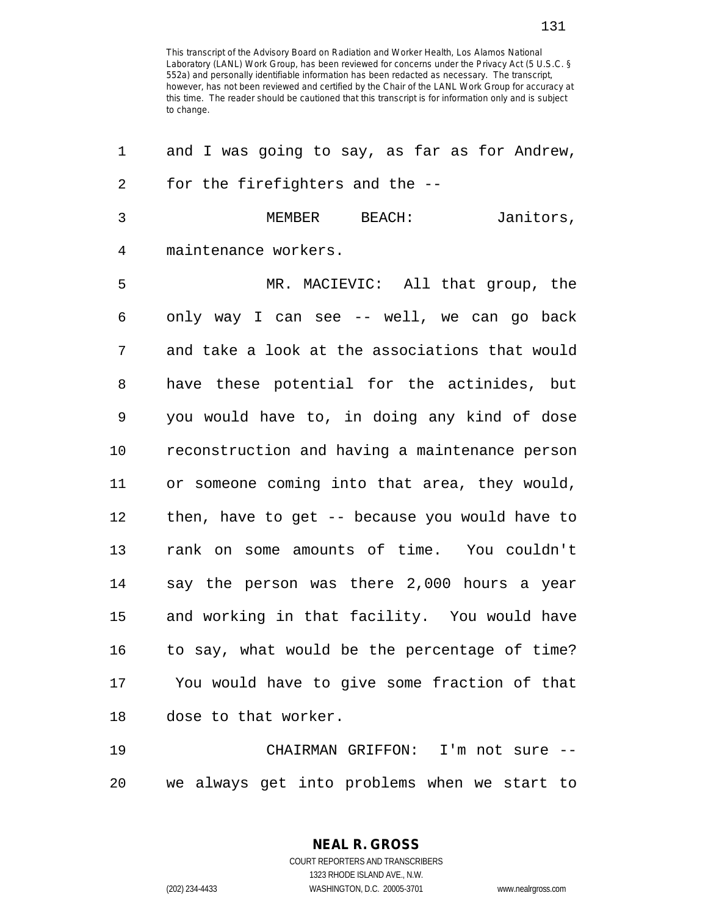| 1              | and I was going to say, as far as for Andrew,  |
|----------------|------------------------------------------------|
| $\mathbf{2}$   | for the firefighters and the --                |
| 3              | Janitors,<br>MEMBER BEACH:                     |
| $\overline{4}$ | maintenance workers.                           |
| 5              | MR. MACIEVIC: All that group, the              |
| 6              | only way I can see -- well, we can go back     |
| 7              | and take a look at the associations that would |
| 8              | have these potential for the actinides, but    |
| 9              | you would have to, in doing any kind of dose   |
| 10             | reconstruction and having a maintenance person |
| 11             | or someone coming into that area, they would,  |
| 12             | then, have to get -- because you would have to |
| 13             | rank on some amounts of time. You couldn't     |
| 14             | say the person was there 2,000 hours a year    |
| 15             | and working in that facility. You would have   |
| 16             | to say, what would be the percentage of time?  |
| 17             | You would have to give some fraction of that   |
| 18             | dose to that worker.                           |
| 19             | CHAIRMAN GRIFFON: I'm not sure --              |
| 20             | we always get into problems when we start to   |

**NEAL R. GROSS** COURT REPORTERS AND TRANSCRIBERS

1323 RHODE ISLAND AVE., N.W.

(202) 234-4433 WASHINGTON, D.C. 20005-3701 www.nealrgross.com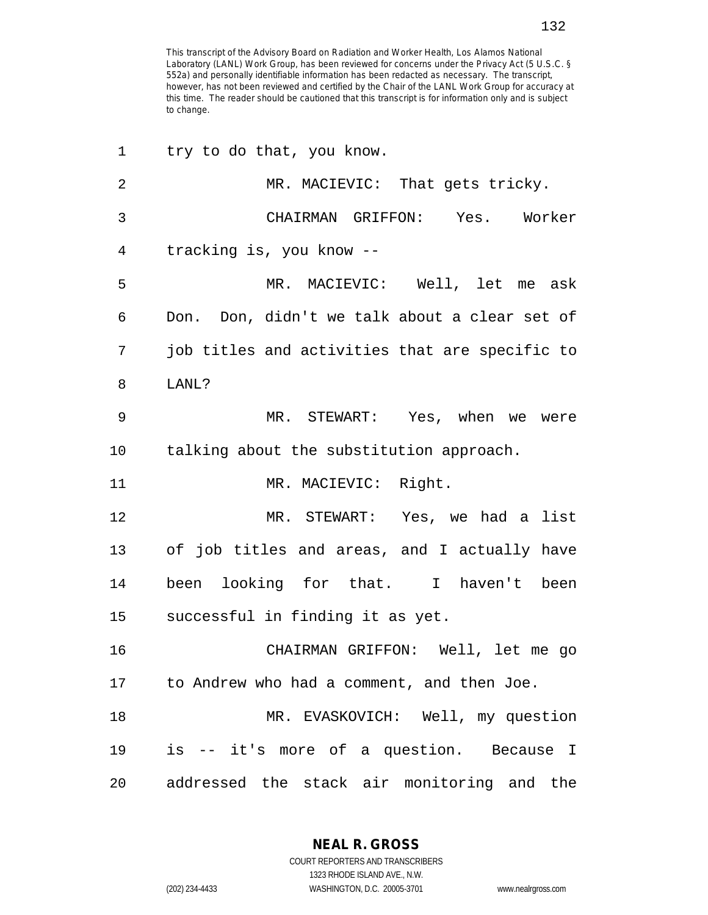| 1              | try to do that, you know.                      |
|----------------|------------------------------------------------|
| $\overline{2}$ | MR. MACIEVIC: That gets tricky.                |
| 3              | CHAIRMAN GRIFFON: Yes. Worker                  |
| 4              | tracking is, you know --                       |
| 5              | MR. MACIEVIC: Well, let me ask                 |
| 6              | Don. Don, didn't we talk about a clear set of  |
| 7              | job titles and activities that are specific to |
| 8              | LANL?                                          |
| $\mathsf 9$    | MR. STEWART: Yes, when we were                 |
| 10             | talking about the substitution approach.       |
| 11             | MR. MACIEVIC: Right.                           |
| 12             | MR. STEWART: Yes, we had a list                |
| 13             | of job titles and areas, and I actually have   |
| 14             | been looking for that. I haven't been          |
|                | 15 successful in finding it as yet.            |
| 16             | CHAIRMAN GRIFFON: Well, let me go              |
| 17             | to Andrew who had a comment, and then Joe.     |
| 18             | MR. EVASKOVICH: Well, my question              |
| 19             | is -- it's more of a question. Because I       |
| 20             | addressed the stack air monitoring and the     |

**NEAL R. GROSS**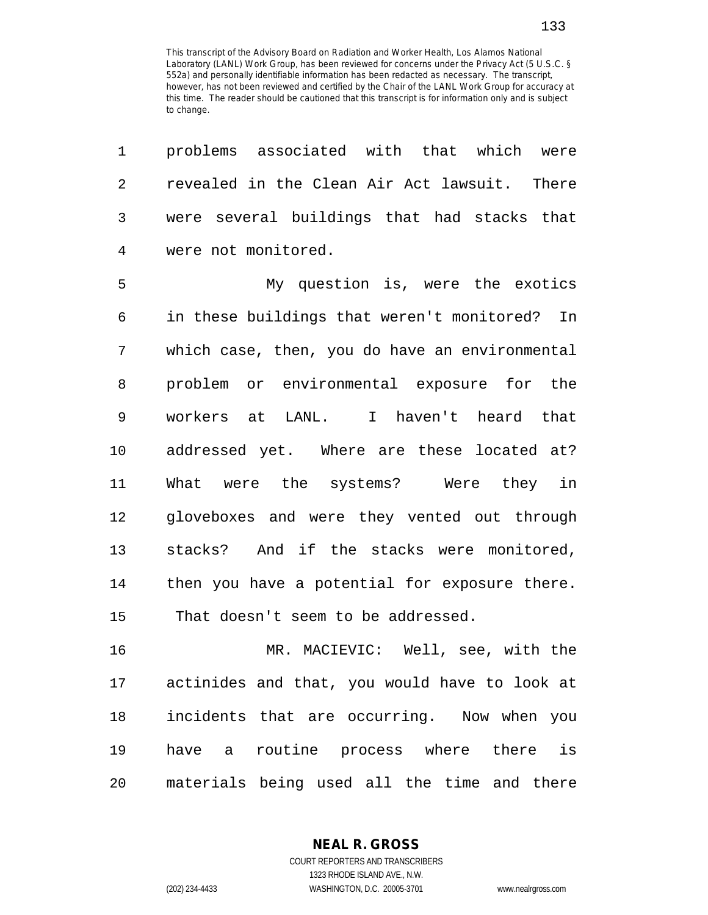1 problems associated with that which were 2 revealed in the Clean Air Act lawsuit. There 3 were several buildings that had stacks that 4 were not monitored.

5 My question is, were the exotics 6 in these buildings that weren't monitored? In 7 which case, then, you do have an environmental 8 problem or environmental exposure for the 9 workers at LANL. I haven't heard that 10 addressed yet. Where are these located at? 11 What were the systems? Were they in 12 gloveboxes and were they vented out through 13 stacks? And if the stacks were monitored, 14 then you have a potential for exposure there. 15 That doesn't seem to be addressed.

16 MR. MACIEVIC: Well, see, with the 17 actinides and that, you would have to look at 18 incidents that are occurring. Now when you 19 have a routine process where there is 20 materials being used all the time and there

> **NEAL R. GROSS** COURT REPORTERS AND TRANSCRIBERS

1323 RHODE ISLAND AVE., N.W. (202) 234-4433 WASHINGTON, D.C. 20005-3701 www.nealrgross.com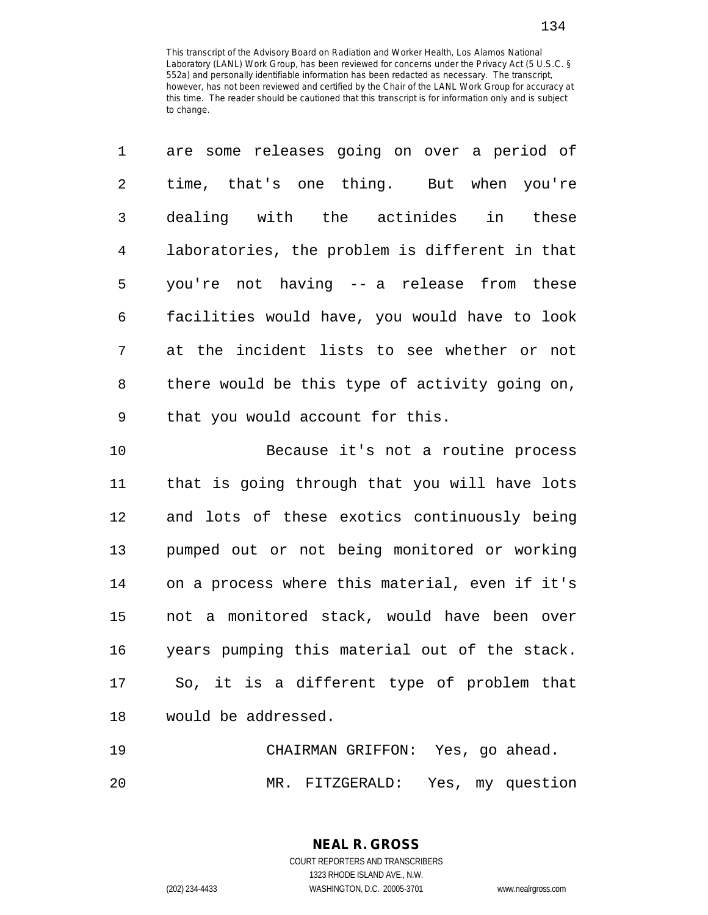| $1 \quad \blacksquare$ | are some releases going on over a period of    |
|------------------------|------------------------------------------------|
| $2^{\circ}$            | time, that's one thing. But when you're        |
| 3                      | dealing with the actinides in these            |
| $\overline{4}$         | laboratories, the problem is different in that |
| 5                      | you're not having -- a release from these      |
| 6                      | facilities would have, you would have to look  |
| 7                      | at the incident lists to see whether or not    |
| 8                      | there would be this type of activity going on, |
| 9                      | that you would account for this.               |

10 Because it's not a routine process 11 that is going through that you will have lots 12 and lots of these exotics continuously being 13 pumped out or not being monitored or working 14 on a process where this material, even if it's 15 not a monitored stack, would have been over 16 years pumping this material out of the stack. 17 So, it is a different type of problem that 18 would be addressed.

19 CHAIRMAN GRIFFON: Yes, go ahead. 20 MR. FITZGERALD: Yes, my question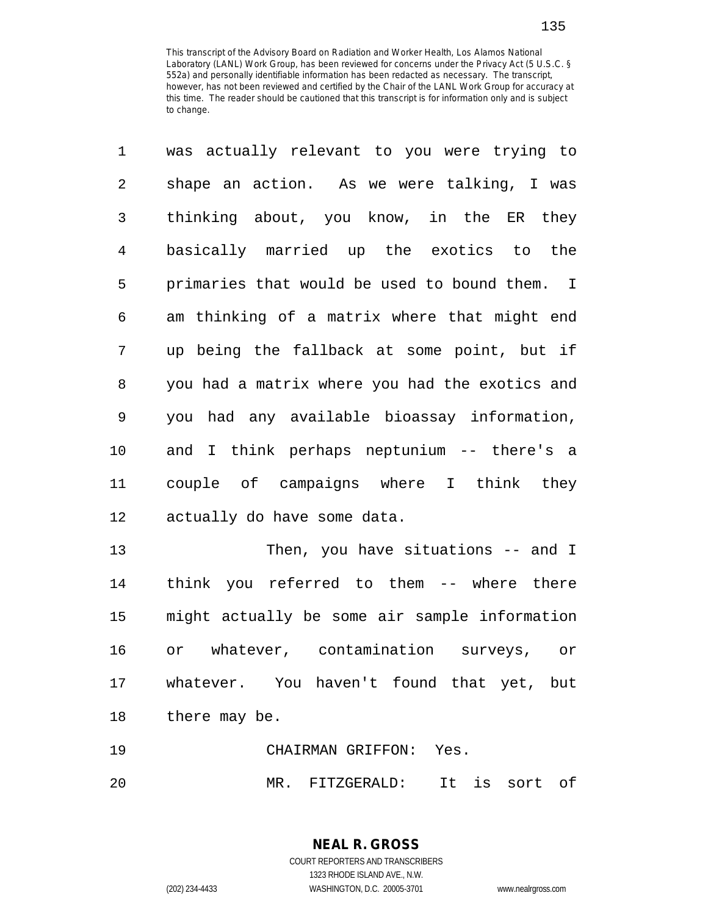| 1              | was actually relevant to you were trying to    |
|----------------|------------------------------------------------|
| 2              | shape an action. As we were talking, I was     |
| 3              | thinking about, you know, in the ER they       |
| $\overline{4}$ | basically married up the exotics to the        |
| 5              | primaries that would be used to bound them. I  |
| 6              | am thinking of a matrix where that might end   |
| 7              | up being the fallback at some point, but if    |
| 8              | you had a matrix where you had the exotics and |
| 9              | you had any available bioassay information,    |
| 10             | and I think perhaps neptunium -- there's a     |
| 11             | couple of campaigns where I think they         |
| 12             | actually do have some data.                    |
| 13             | Then, you have situations -- and I             |
| 14             | think you referred to them -- where there      |
| 15             | might actually be some air sample information  |
| 16             | or whatever, contamination surveys, or         |
| 17             | whatever. You haven't found that yet, but      |
| 18             | there may be.                                  |
| 19             | CHAIRMAN GRIFFON: Yes.                         |
|                |                                                |

20 MR. FITZGERALD: It is sort of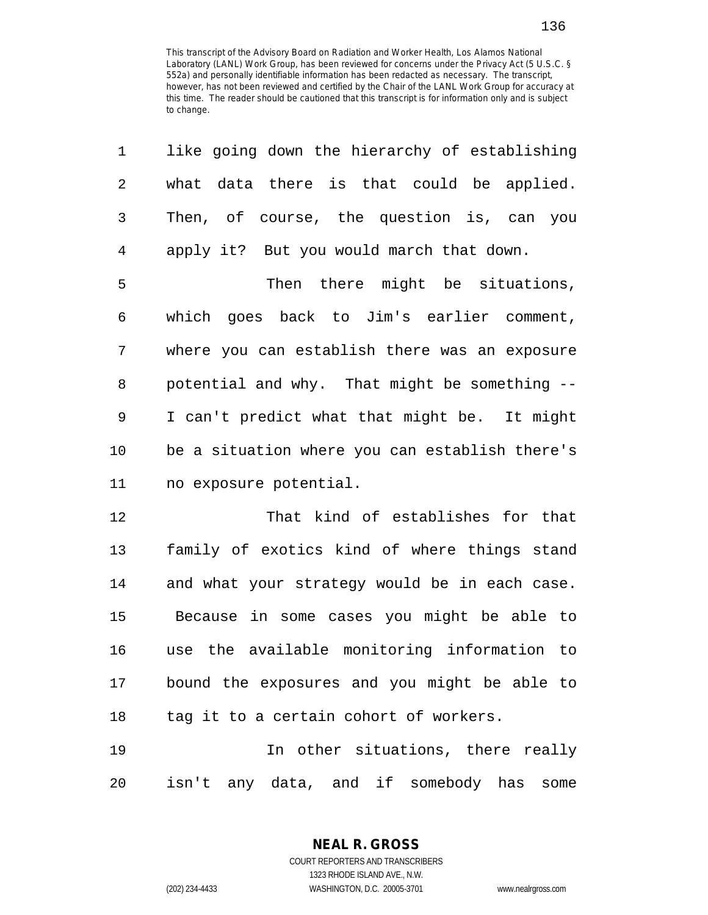| 1              | like going down the hierarchy of establishing  |
|----------------|------------------------------------------------|
| 2              | data there is that could be applied.<br>what   |
| 3              | Then, of course, the question is, can you      |
| $\overline{4}$ | apply it? But you would march that down.       |
| 5              | Then there might be situations,                |
| 6              | which goes back to Jim's earlier comment,      |
| 7              | where you can establish there was an exposure  |
| 8              | potential and why. That might be something --  |
| 9              | I can't predict what that might be. It might   |
| 10             | be a situation where you can establish there's |
| 11             | no exposure potential.                         |
| 12             | That kind of establishes for that              |
| 13             | family of exotics kind of where things stand   |
| 14             | and what your strategy would be in each case.  |
| 15             | Because in some cases you might be able to     |
| 16             | use the available monitoring information to    |
| 17             | bound the exposures and you might be able to   |
| 18             | tag it to a certain cohort of workers.         |
| 19             | In other situations, there really              |
| 20             | isn't any data, and if somebody has some       |

**NEAL R. GROSS**

COURT REPORTERS AND TRANSCRIBERS 1323 RHODE ISLAND AVE., N.W. (202) 234-4433 WASHINGTON, D.C. 20005-3701 www.nealrgross.com

136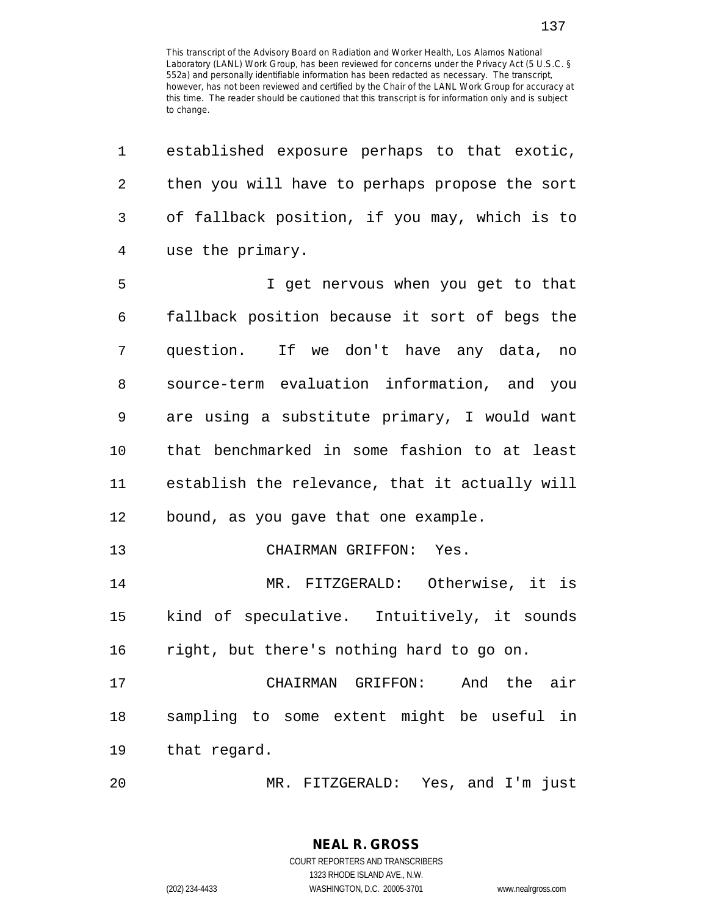| 1              | established exposure perhaps to that exotic,   |
|----------------|------------------------------------------------|
| $\overline{2}$ | then you will have to perhaps propose the sort |
| 3              | of fallback position, if you may, which is to  |
| 4              | use the primary.                               |
| 5              | I get nervous when you get to that             |
| 6              | fallback position because it sort of begs the  |
| 7              | question. If we don't have any data, no        |
| 8              | source-term evaluation information, and you    |
| 9              | are using a substitute primary, I would want   |
| 10             | that benchmarked in some fashion to at least   |
| 11             | establish the relevance, that it actually will |
| 12             | bound, as you gave that one example.           |
| 13             | CHAIRMAN GRIFFON: Yes.                         |
| 14             | MR. FITZGERALD: Otherwise, it is               |
| 15             | kind of speculative. Intuitively, it sounds    |
| 16             | right, but there's nothing hard to go on.      |
| 17             | CHAIRMAN GRIFFON: And the air                  |
| 18             | sampling to some extent might be useful in     |
| 19             | that regard.                                   |
| 20             | MR. FITZGERALD: Yes, and I'm just              |

**NEAL R. GROSS** COURT REPORTERS AND TRANSCRIBERS 1323 RHODE ISLAND AVE., N.W.

(202) 234-4433 WASHINGTON, D.C. 20005-3701 www.nealrgross.com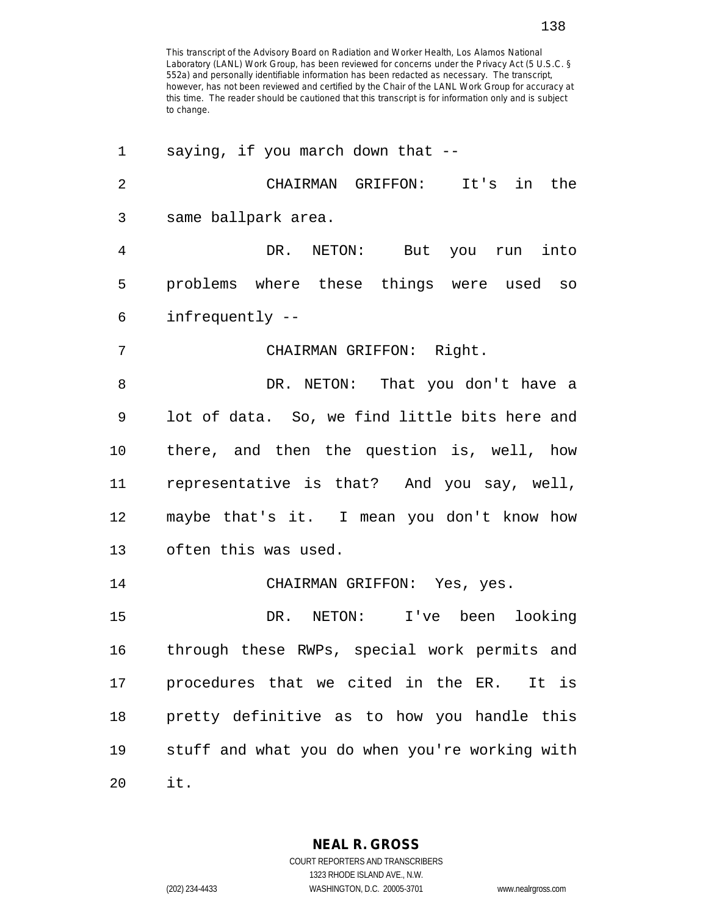| 1              | saying, if you march down that --              |
|----------------|------------------------------------------------|
| $\overline{2}$ | CHAIRMAN GRIFFON: It's<br>in the               |
| 3              | same ballpark area.                            |
| $\overline{4}$ | DR.<br>NETON:<br>But you run<br>into           |
| 5              | problems where these things were used so       |
| 6              | infrequently --                                |
| 7              | CHAIRMAN GRIFFON: Right.                       |
| 8              | DR. NETON: That you don't have a               |
| 9              | lot of data. So, we find little bits here and  |
| 10             | there, and then the question is, well, how     |
| 11             | representative is that? And you say, well,     |
| 12             | maybe that's it. I mean you don't know how     |
| 13             | often this was used.                           |
| 14             | CHAIRMAN GRIFFON: Yes, yes.                    |
| 15             | DR. NETON: I've been looking                   |
| 16             | through these RWPs, special work permits and   |
| 17             | procedures that we cited in the ER. It is      |
| 18             | pretty definitive as to how you handle this    |
| 19             | stuff and what you do when you're working with |
| 20             | it.                                            |

**NEAL R. GROSS**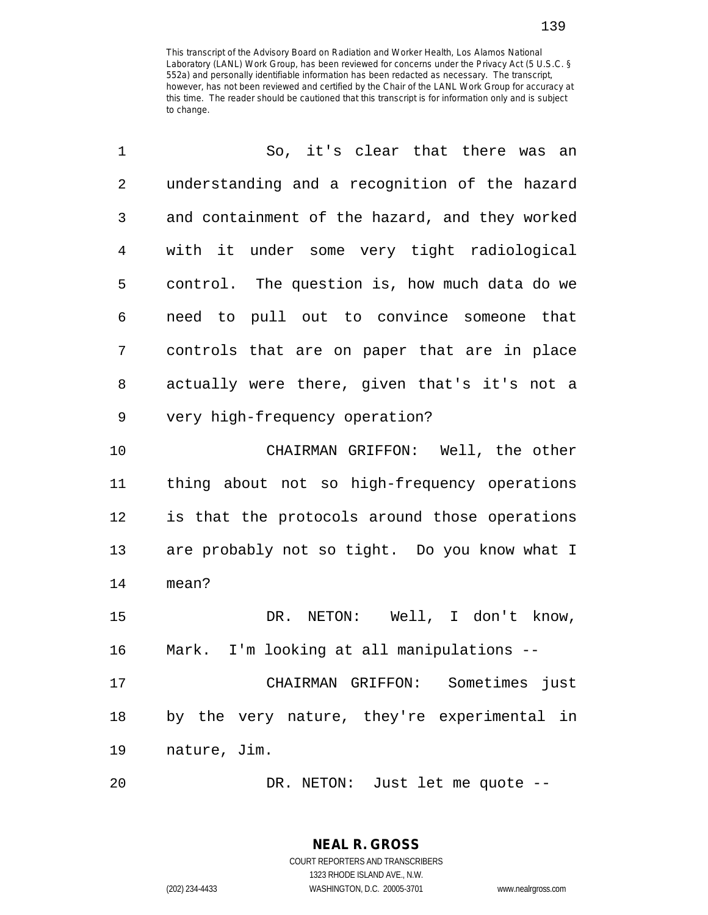| $\mathbf 1$ | So, it's clear that there was<br>an            |
|-------------|------------------------------------------------|
| $\sqrt{2}$  | understanding and a recognition of the hazard  |
| 3           | and containment of the hazard, and they worked |
| 4           | with it under some very tight radiological     |
| 5           | control. The question is, how much data do we  |
| 6           | need to pull out to convince someone that      |
| 7           | controls that are on paper that are in place   |
| 8           | actually were there, given that's it's not a   |
| 9           | very high-frequency operation?                 |
| 10          | CHAIRMAN GRIFFON: Well, the other              |
| 11          | thing about not so high-frequency operations   |
| 12          | is that the protocols around those operations  |
| 13          | are probably not so tight. Do you know what I  |
| 14          | mean?                                          |
| 15          | NETON: Well, I don't know,<br>DR.              |
| 16          | Mark. I'm looking at all manipulations --      |
| 17          | CHAIRMAN GRIFFON: Sometimes just               |
| 18          | by the very nature, they're experimental in    |
| 19          | nature, Jim.                                   |
| 20          | DR. NETON: Just let me quote --                |

**NEAL R. GROSS** COURT REPORTERS AND TRANSCRIBERS

1323 RHODE ISLAND AVE., N.W. (202) 234-4433 WASHINGTON, D.C. 20005-3701 www.nealrgross.com

139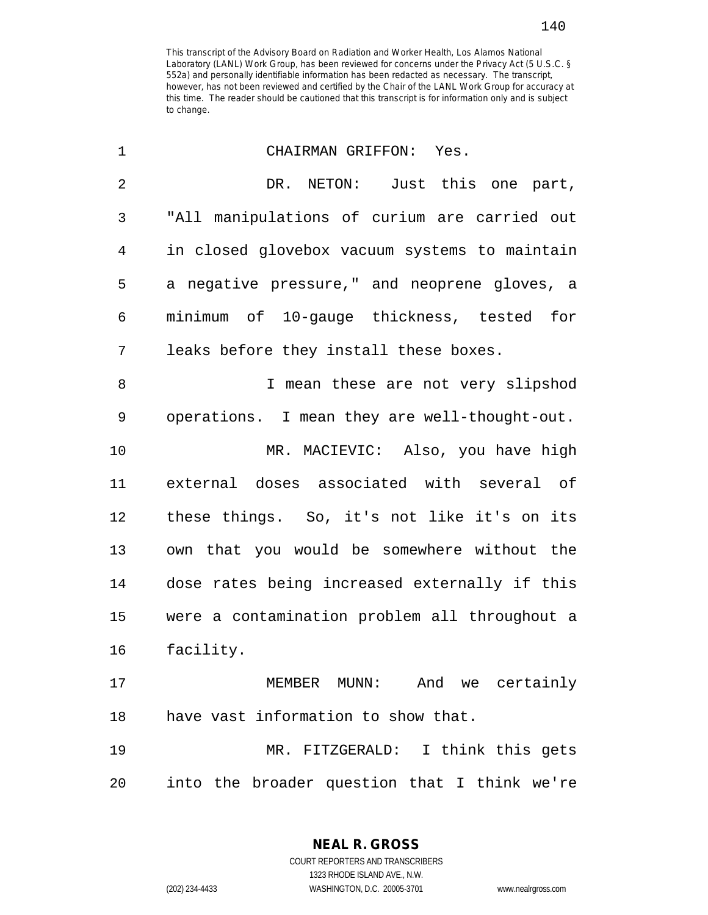| $\mathbf 1$ | CHAIRMAN GRIFFON: Yes.                        |
|-------------|-----------------------------------------------|
| 2           | DR. NETON: Just this one part,                |
| 3           | "All manipulations of curium are carried out  |
| 4           | in closed glovebox vacuum systems to maintain |
| 5           | a negative pressure," and neoprene gloves, a  |
| 6           | minimum of 10-gauge thickness, tested for     |
| 7           | leaks before they install these boxes.        |
| 8           | I mean these are not very slipshod            |
| 9           | operations. I mean they are well-thought-out. |
| 10          | MR. MACIEVIC: Also, you have high             |
| 11          | external doses associated with several of     |
| 12          | these things. So, it's not like it's on its   |
| 13          | own that you would be somewhere without the   |
| 14          | dose rates being increased externally if this |
| 15          | were a contamination problem all throughout a |
| 16          | facility.                                     |
| 17          | MEMBER MUNN: And we certainly                 |
| 18          | have vast information to show that.           |
| 19          | MR. FITZGERALD: I think this gets             |
| 20          | into the broader question that I think we're  |

**NEAL R. GROSS**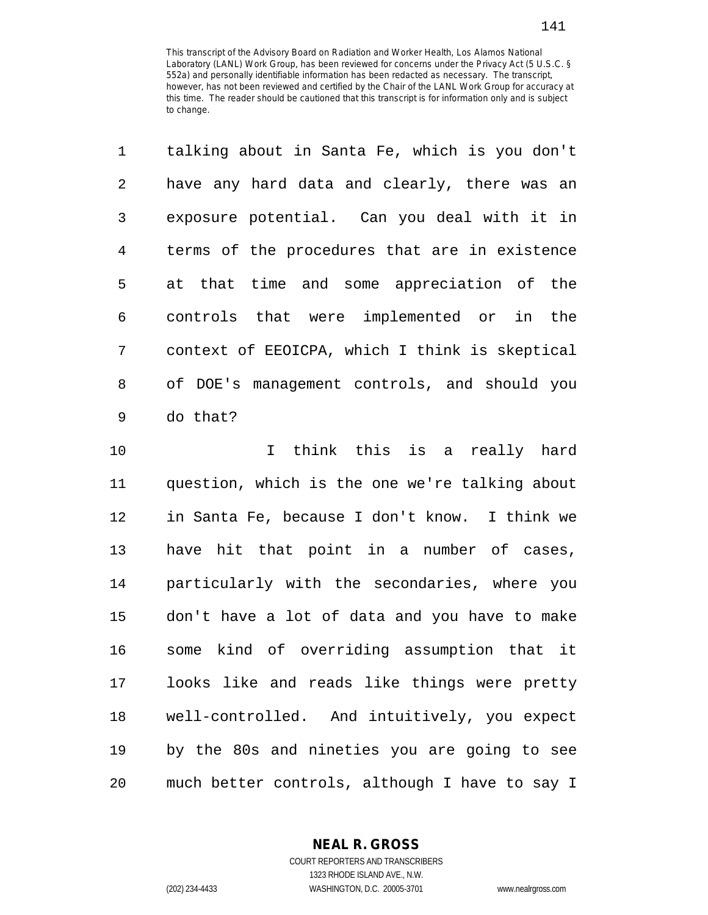1 talking about in Santa Fe, which is you don't 2 have any hard data and clearly, there was an 3 exposure potential. Can you deal with it in 4 terms of the procedures that are in existence 5 at that time and some appreciation of the 6 controls that were implemented or in the 7 context of EEOICPA, which I think is skeptical 8 of DOE's management controls, and should you 9 do that?

10 I think this is a really hard 11 question, which is the one we're talking about 12 in Santa Fe, because I don't know. I think we 13 have hit that point in a number of cases, 14 particularly with the secondaries, where you 15 don't have a lot of data and you have to make 16 some kind of overriding assumption that it 17 looks like and reads like things were pretty 18 well-controlled. And intuitively, you expect 19 by the 80s and nineties you are going to see 20 much better controls, although I have to say I

**NEAL R. GROSS**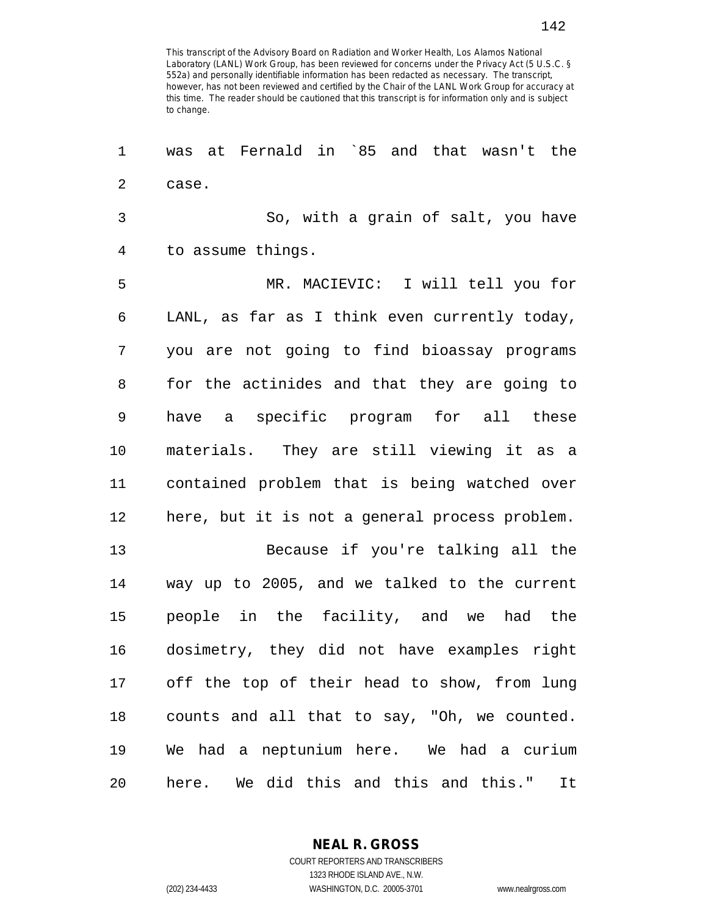1 was at Fernald in `85 and that wasn't the 2 case. 3 So, with a grain of salt, you have 4 to assume things. 5 MR. MACIEVIC: I will tell you for 6 LANL, as far as I think even currently today, 7 you are not going to find bioassay programs 8 for the actinides and that they are going to 9 have a specific program for all these 10 materials. They are still viewing it as a 11 contained problem that is being watched over 12 here, but it is not a general process problem. 13 Because if you're talking all the 14 way up to 2005, and we talked to the current 15 people in the facility, and we had the 16 dosimetry, they did not have examples right 17 off the top of their head to show, from lung 18 counts and all that to say, "Oh, we counted. 19 We had a neptunium here. We had a curium 20 here. We did this and this and this." It

> **NEAL R. GROSS** COURT REPORTERS AND TRANSCRIBERS

> > 1323 RHODE ISLAND AVE., N.W.

(202) 234-4433 WASHINGTON, D.C. 20005-3701 www.nealrgross.com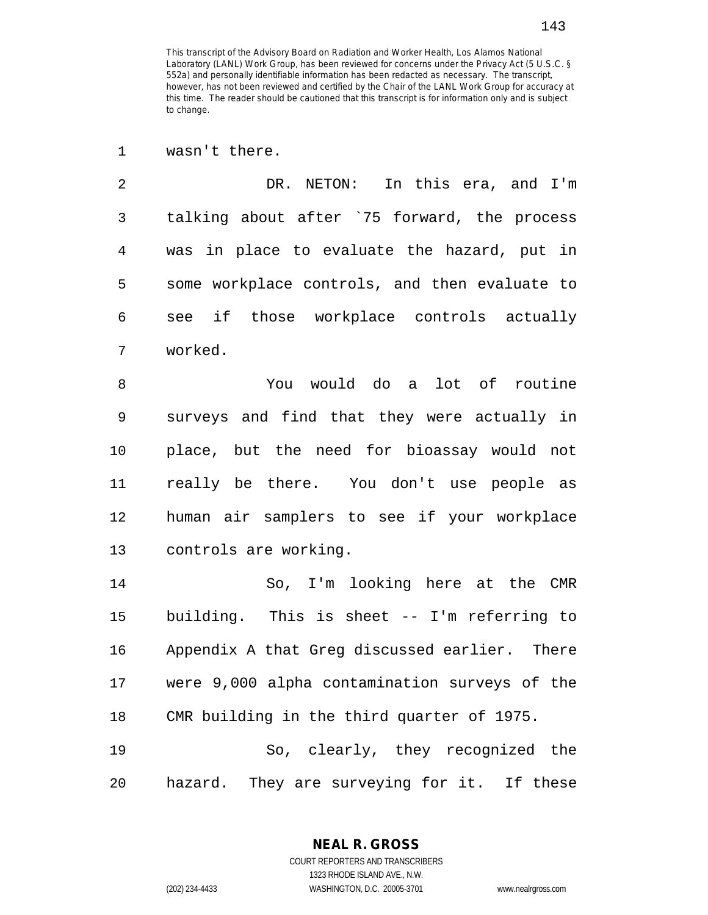1 wasn't there.

2 DR. NETON: In this era, and I'm 3 talking about after `75 forward, the process 4 was in place to evaluate the hazard, put in 5 some workplace controls, and then evaluate to 6 see if those workplace controls actually 7 worked.

8 You would do a lot of routine 9 surveys and find that they were actually in 10 place, but the need for bioassay would not 11 really be there. You don't use people as 12 human air samplers to see if your workplace 13 controls are working.

14 So, I'm looking here at the CMR 15 building. This is sheet -- I'm referring to 16 Appendix A that Greg discussed earlier. There 17 were 9,000 alpha contamination surveys of the 18 CMR building in the third quarter of 1975. 19 So, clearly, they recognized the

20 hazard. They are surveying for it. If these

**NEAL R. GROSS**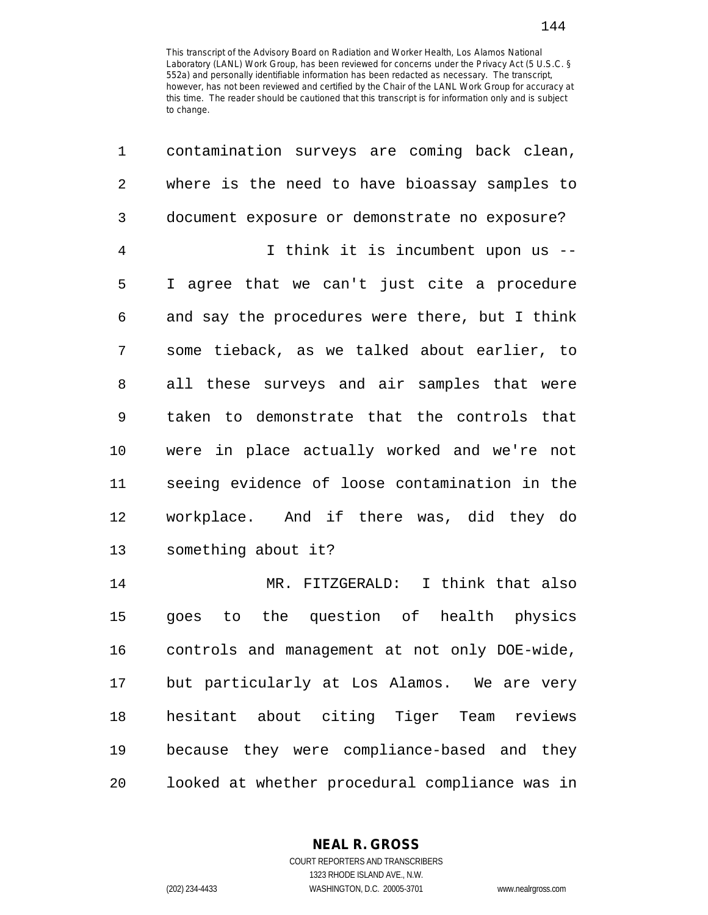| 1  | contamination surveys are coming back clean,   |
|----|------------------------------------------------|
| 2  | where is the need to have bioassay samples to  |
| 3  | document exposure or demonstrate no exposure?  |
| 4  | I think it is incumbent upon us --             |
| 5  | I agree that we can't just cite a procedure    |
| 6  | and say the procedures were there, but I think |
| 7  | some tieback, as we talked about earlier, to   |
| 8  | all these surveys and air samples that were    |
| 9  | taken to demonstrate that the controls that    |
| 10 | were in place actually worked and we're not    |
| 11 | seeing evidence of loose contamination in the  |
| 12 | workplace. And if there was, did they do       |
| 13 | something about it?                            |
| 14 | MR. FITZGERALD: I think that also              |
| 15 | to the question of health physics<br>goes      |
| 16 | controls and management at not only DOE-wide,  |
| 17 | but particularly at Los Alamos. We are very    |
| 18 | hesitant about citing Tiger Team reviews       |
| 19 | because they were compliance-based and they    |

20 looked at whether procedural compliance was in

**NEAL R. GROSS** COURT REPORTERS AND TRANSCRIBERS

1323 RHODE ISLAND AVE., N.W. (202) 234-4433 WASHINGTON, D.C. 20005-3701 www.nealrgross.com

144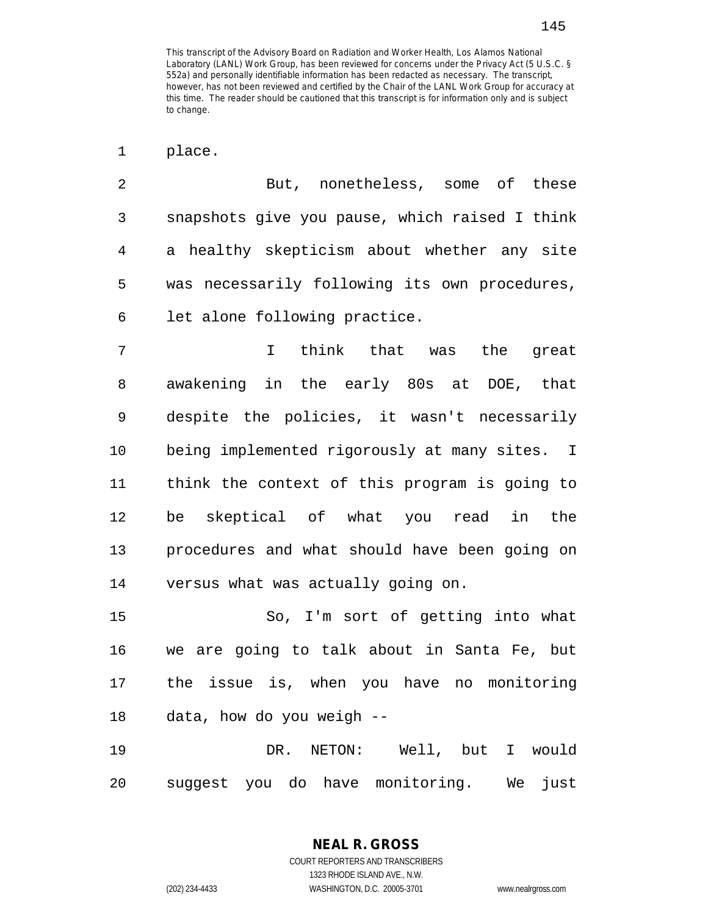2 But, nonetheless, some of these 3 snapshots give you pause, which raised I think 4 a healthy skepticism about whether any site 5 was necessarily following its own procedures, 6 let alone following practice.

7 I think that was the great 8 awakening in the early 80s at DOE, that 9 despite the policies, it wasn't necessarily 10 being implemented rigorously at many sites. I 11 think the context of this program is going to 12 be skeptical of what you read in the 13 procedures and what should have been going on 14 versus what was actually going on.

15 So, I'm sort of getting into what 16 we are going to talk about in Santa Fe, but 17 the issue is, when you have no monitoring 18 data, how do you weigh --

19 DR. NETON: Well, but I would 20 suggest you do have monitoring. We just

1323 RHODE ISLAND AVE., N.W.

<sup>1</sup> place.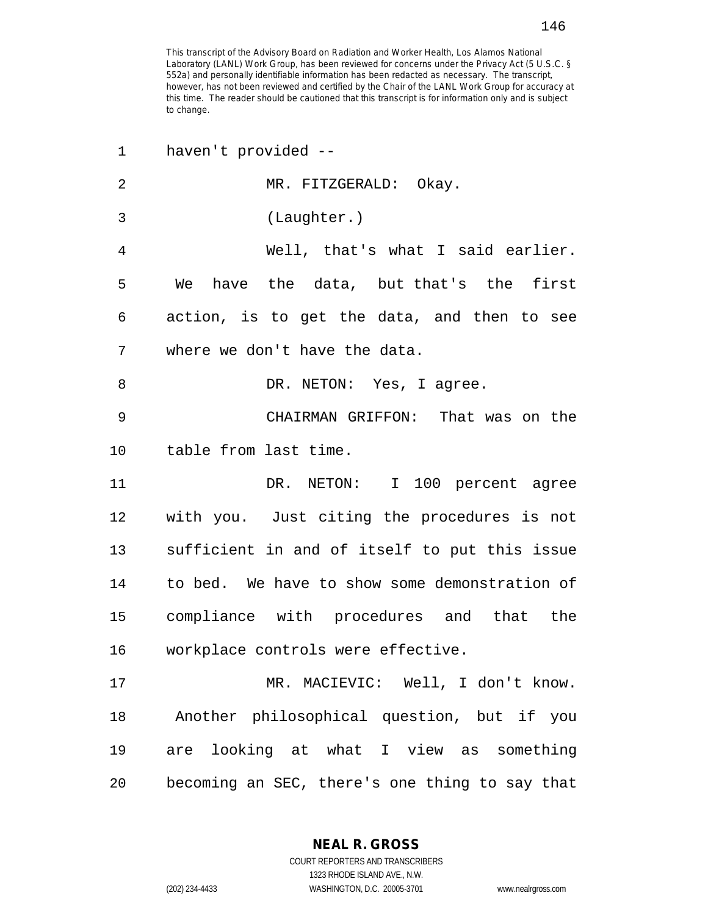| 1              | haven't provided --                            |
|----------------|------------------------------------------------|
| $\overline{2}$ | MR. FITZGERALD: Okay.                          |
| 3              | (Laughter.)                                    |
| 4              | Well, that's what I said earlier.              |
| 5              | have the data, but that's the first<br>We      |
| 6              | action, is to get the data, and then to see    |
| 7              | where we don't have the data.                  |
| 8              | DR. NETON: Yes, I agree.                       |
| 9              | CHAIRMAN GRIFFON: That was on the              |
| 10             | table from last time.                          |
| 11             | DR. NETON: I 100 percent agree                 |
| 12             | with you. Just citing the procedures is not    |
| 13             | sufficient in and of itself to put this issue  |
| 14             | to bed. We have to show some demonstration of  |
| 15             | compliance with procedures and that the        |
| 16             | workplace controls were effective.             |
| 17             | MR. MACIEVIC: Well, I don't know.              |
| 18             | Another philosophical question, but if you     |
| 19             | are looking at what I view as something        |
| 20             | becoming an SEC, there's one thing to say that |

**NEAL R. GROSS**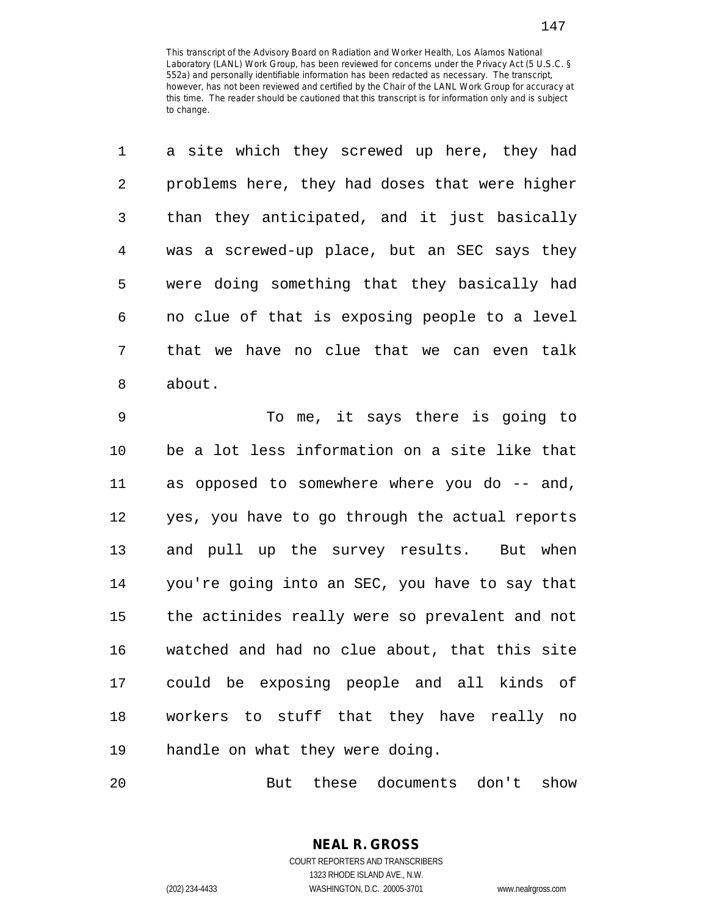1 a site which they screwed up here, they had 2 problems here, they had doses that were higher 3 than they anticipated, and it just basically 4 was a screwed-up place, but an SEC says they 5 were doing something that they basically had 6 no clue of that is exposing people to a level 7 that we have no clue that we can even talk 8 about.

9 To me, it says there is going to 10 be a lot less information on a site like that 11 as opposed to somewhere where you do -- and, 12 yes, you have to go through the actual reports 13 and pull up the survey results. But when 14 you're going into an SEC, you have to say that 15 the actinides really were so prevalent and not 16 watched and had no clue about, that this site 17 could be exposing people and all kinds of 18 workers to stuff that they have really no 19 handle on what they were doing.

20 But these documents don't show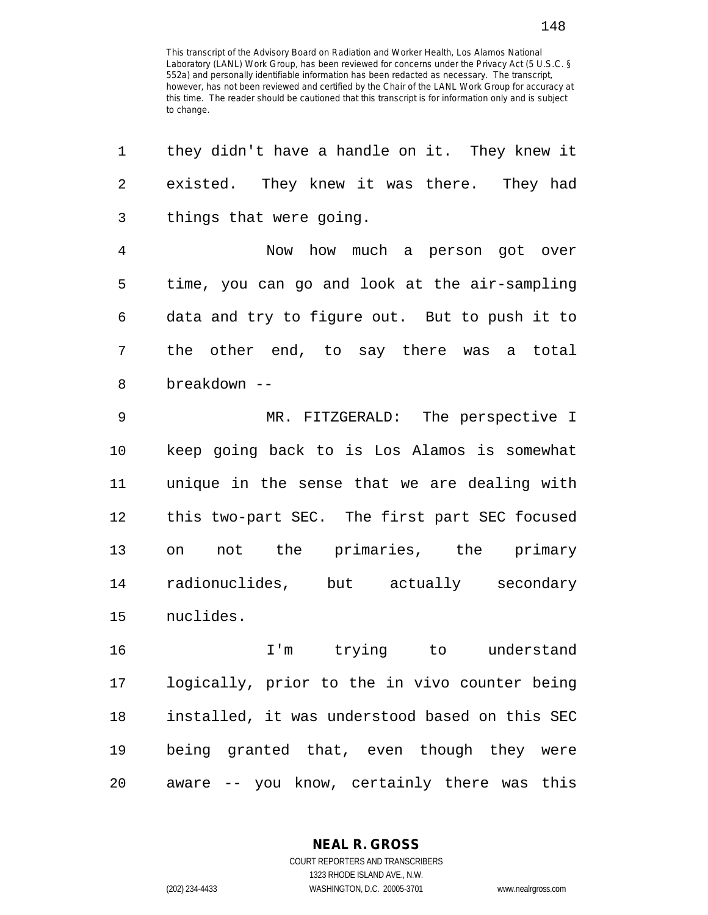| they didn't have a handle on it. They knew it<br>1          |  |
|-------------------------------------------------------------|--|
| $\overline{2}$<br>existed. They knew it was there. They had |  |
| things that were going.<br>3                                |  |
| 4<br>Now how much a person got over                         |  |
| time, you can go and look at the air-sampling<br>5          |  |
| data and try to figure out. But to push it to<br>6          |  |
| 7<br>the other end, to say there was a total                |  |
| breakdown --<br>8                                           |  |
| 9<br>MR. FITZGERALD: The perspective I                      |  |
| keep going back to is Los Alamos is somewhat<br>10          |  |
| unique in the sense that we are dealing with<br>11          |  |
| this two-part SEC. The first part SEC focused<br>12         |  |
| not the primaries, the primary<br>13<br>on                  |  |
| radionuclides, but actually secondary<br>14                 |  |
| nuclides.<br>15                                             |  |
| I'm trying to understand<br>16                              |  |
| logically, prior to the in vivo counter being<br>17         |  |
| installed, it was understood based on this SEC<br>18        |  |
| being granted that, even though they were<br>19             |  |
| 20<br>aware -- you know, certainly there was this           |  |

**NEAL R. GROSS** COURT REPORTERS AND TRANSCRIBERS

1323 RHODE ISLAND AVE., N.W.

(202) 234-4433 WASHINGTON, D.C. 20005-3701 www.nealrgross.com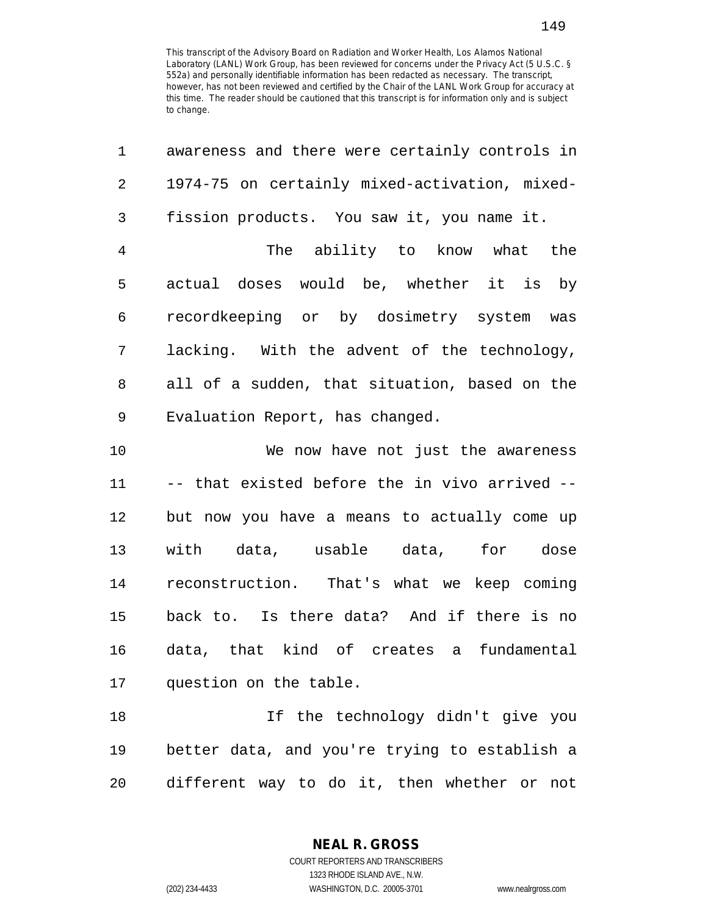| 1              | awareness and there were certainly controls in |
|----------------|------------------------------------------------|
| $\overline{2}$ | 1974-75 on certainly mixed-activation, mixed-  |
| 3              | fission products. You saw it, you name it.     |
| $\overline{4}$ | The ability to know what the                   |
| 5              | actual doses would be, whether it is by        |
| 6              | recordkeeping or by dosimetry system was       |
| 7              | lacking. With the advent of the technology,    |
| 8              | all of a sudden, that situation, based on the  |
| 9              | Evaluation Report, has changed.                |
| 10             | We now have not just the awareness             |
| 11             | -- that existed before the in vivo arrived --  |
| 12             | but now you have a means to actually come up   |
| 13             | with data, usable data, for dose               |
| 14             | reconstruction. That's what we keep coming     |
| 15             | back to. Is there data? And if there is no     |
| 16             | data, that kind of creates a<br>fundamental    |
| 17             | question on the table.                         |
| 18             | If the technology didn't give you              |
| 19             | better data, and you're trying to establish a  |
| 20             | different way to do it, then whether or not    |

**NEAL R. GROSS**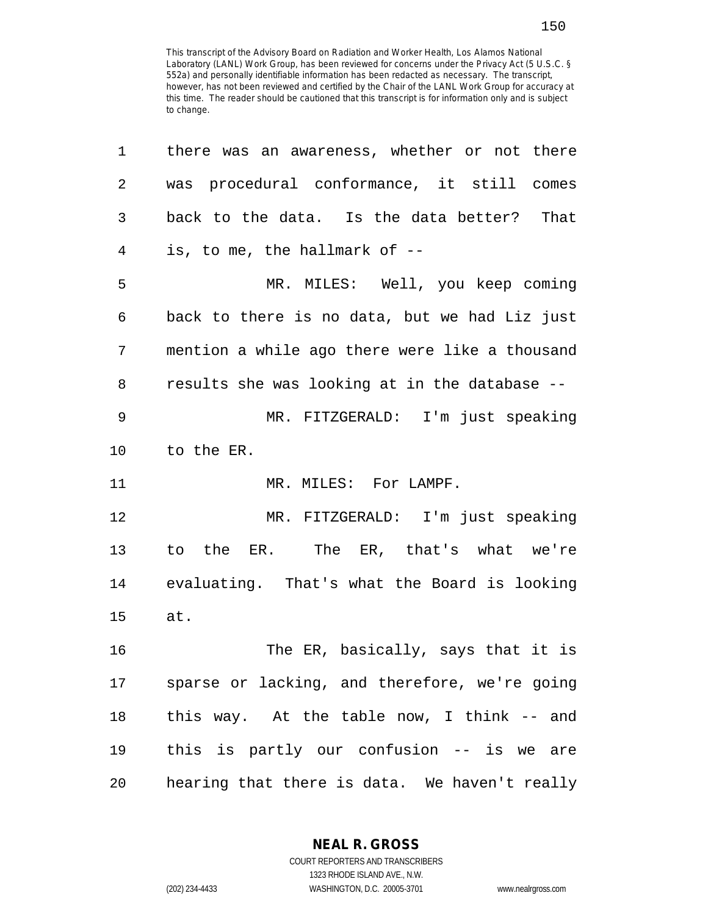| 1  | there was an awareness, whether or not there   |
|----|------------------------------------------------|
| 2  | was procedural conformance, it still comes     |
| 3  | back to the data. Is the data better? That     |
| 4  | is, to me, the hallmark of --                  |
| 5  | MR. MILES: Well, you keep coming               |
| 6  | back to there is no data, but we had Liz just  |
| 7  | mention a while ago there were like a thousand |
| 8  | results she was looking at in the database --  |
| 9  | MR. FITZGERALD: I'm just speaking              |
| 10 | to the ER.                                     |
| 11 | MR. MILES: For LAMPF.                          |
| 12 | MR. FITZGERALD: I'm just speaking              |
| 13 | to the ER. The ER, that's what we're           |
| 14 | evaluating. That's what the Board is looking   |
| 15 | at.                                            |
| 16 | The ER, basically, says that it is             |
| 17 | sparse or lacking, and therefore, we're going  |
| 18 | this way. At the table now, I think -- and     |
| 19 | this is partly our confusion -- is we are      |
| 20 | hearing that there is data. We haven't really  |

**NEAL R. GROSS** COURT REPORTERS AND TRANSCRIBERS

1323 RHODE ISLAND AVE., N.W.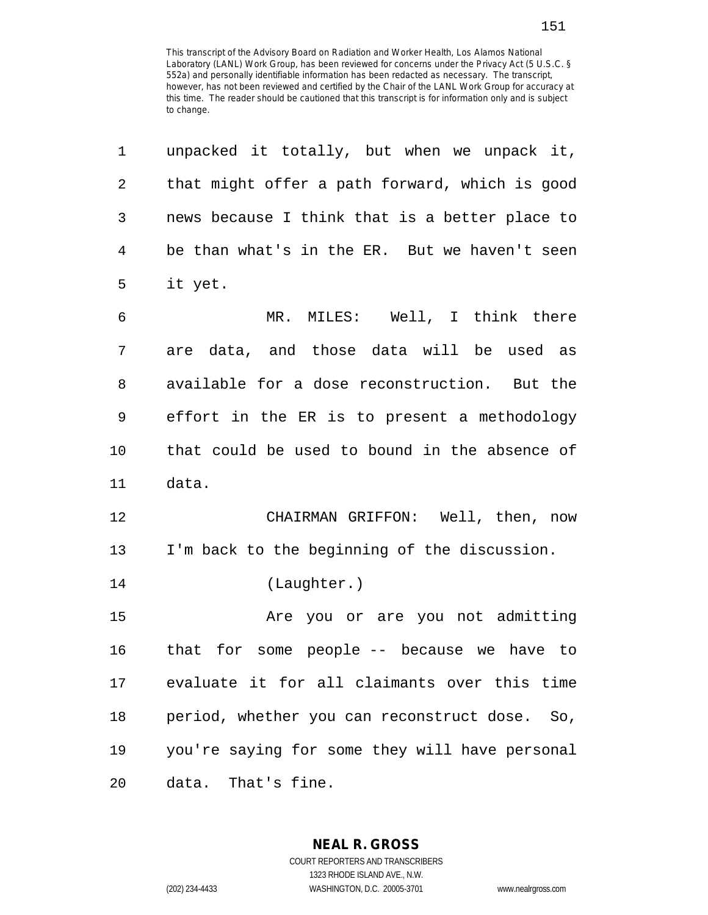| 1              | unpacked it totally, but when we unpack it,    |
|----------------|------------------------------------------------|
| $\overline{2}$ | that might offer a path forward, which is good |
| 3              | news because I think that is a better place to |
| $\overline{4}$ | be than what's in the ER. But we haven't seen  |
| 5              | it yet.                                        |
| 6              | MR. MILES: Well, I think there                 |
| 7              | are data, and those data will be used as       |
| 8              | available for a dose reconstruction. But the   |
| 9              | effort in the ER is to present a methodology   |
| 10             | that could be used to bound in the absence of  |
| 11             | data.                                          |
| 12             | CHAIRMAN GRIFFON: Well, then, now              |
| 13             | I'm back to the beginning of the discussion.   |
| 14             | (Laughter.)                                    |
| 15             | Are you or are you not admitting               |
| 16             | that for some people -- because we have to     |
| 17             | evaluate it for all claimants over this time   |
| 18             | period, whether you can reconstruct dose. So,  |
| 19             | you're saying for some they will have personal |
| 20             | data. That's fine.                             |

**NEAL R. GROSS** COURT REPORTERS AND TRANSCRIBERS 1323 RHODE ISLAND AVE., N.W.

(202) 234-4433 WASHINGTON, D.C. 20005-3701 www.nealrgross.com

151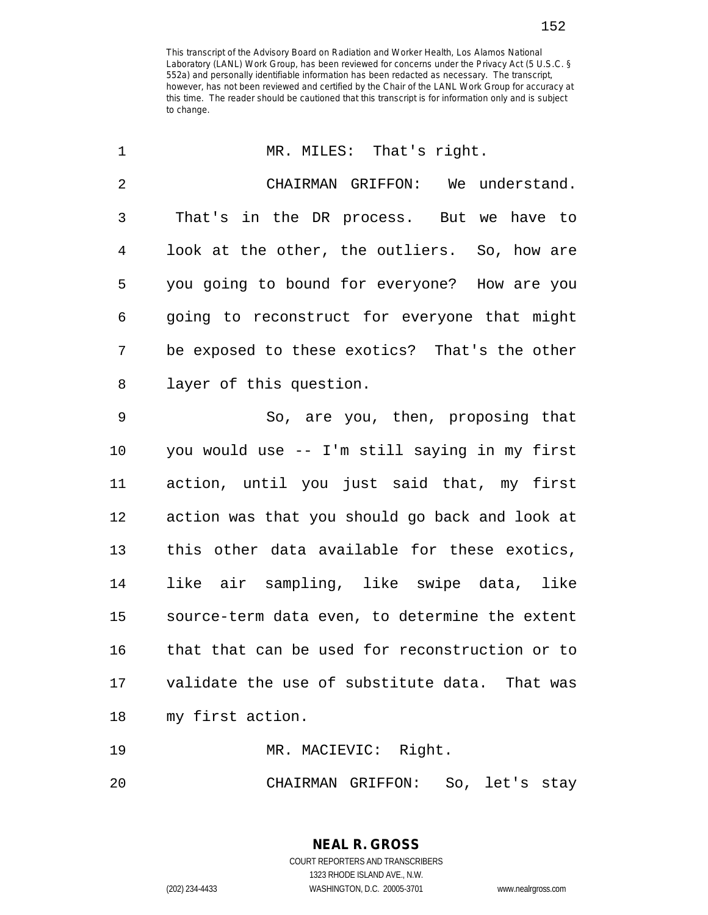| $\mathbf 1$    | MR. MILES: That's right.                       |
|----------------|------------------------------------------------|
| $\overline{2}$ | CHAIRMAN GRIFFON: We understand.               |
| 3              | That's in the DR process. But we have to       |
| 4              | look at the other, the outliers. So, how are   |
| 5              | you going to bound for everyone? How are you   |
| 6              | going to reconstruct for everyone that might   |
| 7              | be exposed to these exotics? That's the other  |
| 8              | layer of this question.                        |
| 9              | So, are you, then, proposing that              |
| 10             | you would use -- I'm still saying in my first  |
| 11             | action, until you just said that, my first     |
| 12             | action was that you should go back and look at |
| 13             | this other data available for these exotics,   |
| 14             | like air sampling, like swipe data, like       |
| 15             | source-term data even, to determine the extent |
| 16             | that that can be used for reconstruction or to |
| 17             | validate the use of substitute data. That was  |
| 18             | my first action.                               |
| 19             | MR. MACIEVIC: Right.                           |

20 CHAIRMAN GRIFFON: So, let's stay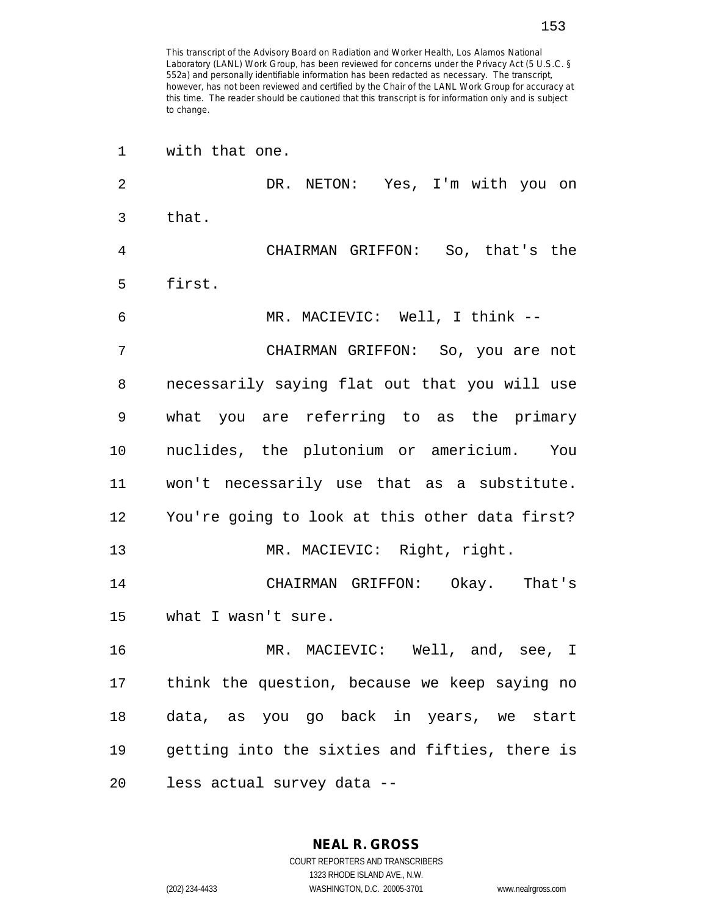1 with that one. 2 DR. NETON: Yes, I'm with you on 3 that. 4 CHAIRMAN GRIFFON: So, that's the 5 first. 6 MR. MACIEVIC: Well, I think -- 7 CHAIRMAN GRIFFON: So, you are not 8 necessarily saying flat out that you will use 9 what you are referring to as the primary 10 nuclides, the plutonium or americium. You 11 won't necessarily use that as a substitute. 12 You're going to look at this other data first? 13 MR. MACIEVIC: Right, right. 14 CHAIRMAN GRIFFON: Okay. That's 15 what I wasn't sure. 16 MR. MACIEVIC: Well, and, see, I 17 think the question, because we keep saying no 18 data, as you go back in years, we start 19 getting into the sixties and fifties, there is 20 less actual survey data --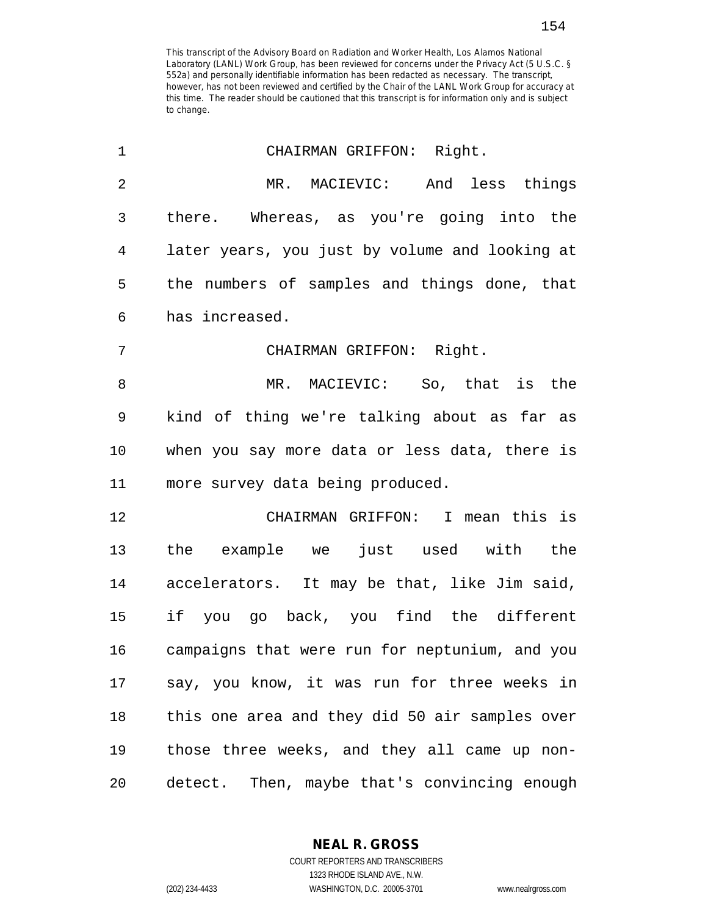| $\mathbf 1$ | CHAIRMAN GRIFFON: Right.                       |
|-------------|------------------------------------------------|
| 2           | MR. MACIEVIC: And less things                  |
| 3           | there. Whereas, as you're going into the       |
| 4           | later years, you just by volume and looking at |
| 5           | the numbers of samples and things done, that   |
| 6           | has increased.                                 |
| 7           | CHAIRMAN GRIFFON: Right.                       |
| 8           | MR. MACIEVIC: So, that is the                  |
| 9           | kind of thing we're talking about as far as    |
| 10          | when you say more data or less data, there is  |
| 11          | more survey data being produced.               |
| 12          | CHAIRMAN GRIFFON: I mean this is               |
| 13          | the example we just used with the              |
| 14          | accelerators. It may be that, like Jim said,   |
| 15          | if you go back, you find the different         |
| 16          | campaigns that were run for neptunium, and you |
| 17          | say, you know, it was run for three weeks in   |
| 18          | this one area and they did 50 air samples over |
| 19          | those three weeks, and they all came up non-   |
| 20          | detect. Then, maybe that's convincing enough   |

**NEAL R. GROSS**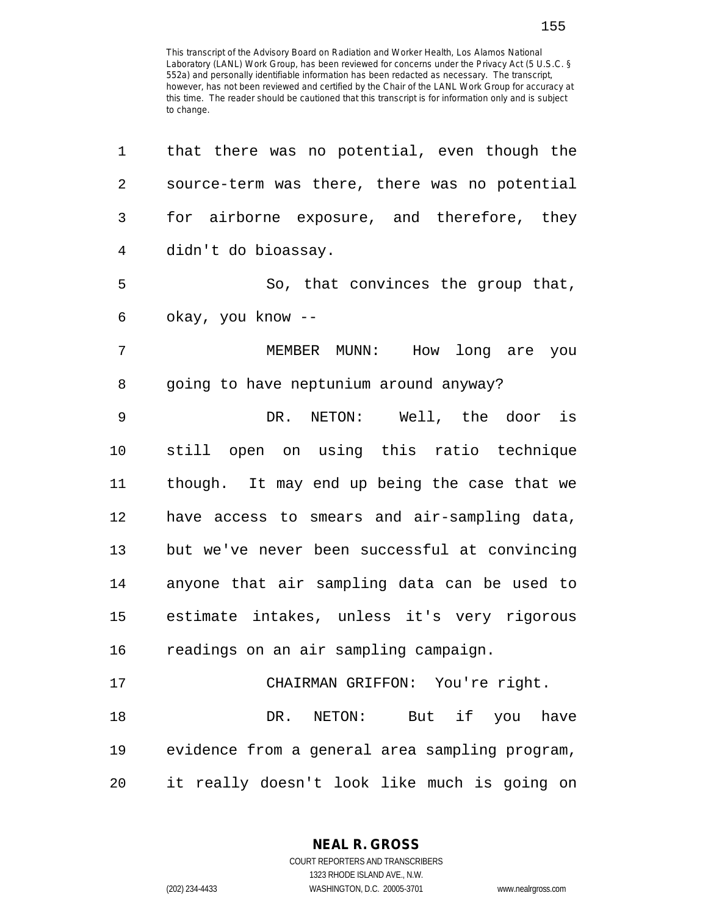| 1           | that there was no potential, even though the   |
|-------------|------------------------------------------------|
| 2           | source-term was there, there was no potential  |
| 3           | for airborne exposure, and therefore, they     |
| 4           | didn't do bioassay.                            |
| 5           | So, that convinces the group that,             |
| 6           | okay, you know --                              |
| 7           | MEMBER MUNN: How long are you                  |
| 8           | going to have neptunium around anyway?         |
| $\mathsf 9$ | DR. NETON: Well, the door is                   |
| 10          | still open on using this ratio technique       |
| 11          | though. It may end up being the case that we   |
| 12          | have access to smears and air-sampling data,   |
| 13          | but we've never been successful at convincing  |
| 14          | anyone that air sampling data can be used to   |
| 15          | estimate intakes, unless it's very rigorous    |
| 16          | readings on an air sampling campaign.          |
| 17          | CHAIRMAN GRIFFON: You're right.                |
| 18          | NETON: But if you have<br>DR.                  |
| 19          | evidence from a general area sampling program, |
| 20          | it really doesn't look like much is going on   |

**NEAL R. GROSS**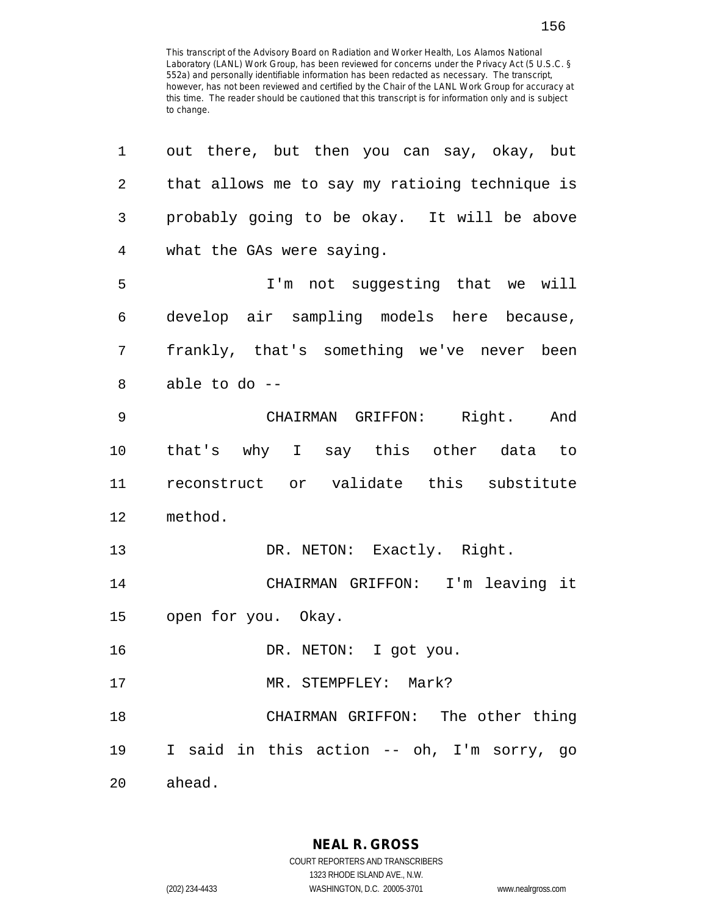| 1              | out there, but then you can say, okay, but     |
|----------------|------------------------------------------------|
| $\overline{2}$ | that allows me to say my ratioing technique is |
| 3              | probably going to be okay. It will be above    |
| 4              | what the GAs were saying.                      |
| 5              | I'm not suggesting that we will                |
| 6              | develop air sampling models here because,      |
| 7              | frankly, that's something we've never been     |
| 8              | able to do --                                  |
| $\mathsf 9$    | CHAIRMAN GRIFFON: Right. And                   |
| 10             | that's why I say this other data to            |
| 11             | reconstruct or validate this substitute        |
| 12             | method.                                        |
| 13             | DR. NETON: Exactly. Right.                     |
| 14             | CHAIRMAN GRIFFON: I'm leaving it               |
| 15             | open for you. Okay.                            |
| 16             | DR. NETON: I got you.                          |
| 17             | MR. STEMPFLEY: Mark?                           |
| 18             | CHAIRMAN GRIFFON: The other thing              |
| 19             | I said in this action -- oh, I'm sorry, go     |
|                | 20 ahead.                                      |

**NEAL R. GROSS**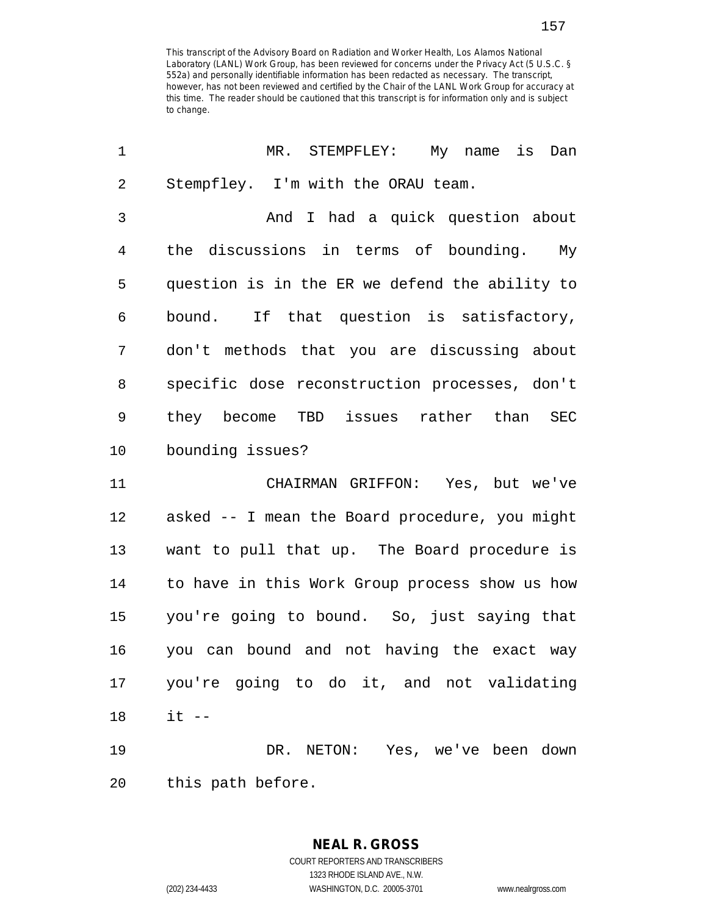| 1  | MR. STEMPFLEY: My name is Dan                  |
|----|------------------------------------------------|
| 2  | Stempfley. I'm with the ORAU team.             |
| 3  | And I had a quick question about               |
| 4  | the discussions in terms of bounding. My       |
| 5  | question is in the ER we defend the ability to |
| 6  | bound. If that question is satisfactory,       |
| 7  | don't methods that you are discussing about    |
| 8  | specific dose reconstruction processes, don't  |
| 9  | they become TBD issues rather than SEC         |
| 10 | bounding issues?                               |
| 11 | CHAIRMAN GRIFFON: Yes, but we've               |
| 12 | asked -- I mean the Board procedure, you might |
| 13 | want to pull that up. The Board procedure is   |
| 14 | to have in this Work Group process show us how |
| 15 | you're going to bound. So, just saying that    |
| 16 | you can bound and not having the exact way     |
| 17 | you're going to do it, and not validating      |
| 18 | $it$ $-$                                       |
| 19 | DR. NETON: Yes, we've been down                |
| 20 | this path before.                              |

**NEAL R. GROSS** COURT REPORTERS AND TRANSCRIBERS 1323 RHODE ISLAND AVE., N.W.

(202) 234-4433 WASHINGTON, D.C. 20005-3701 www.nealrgross.com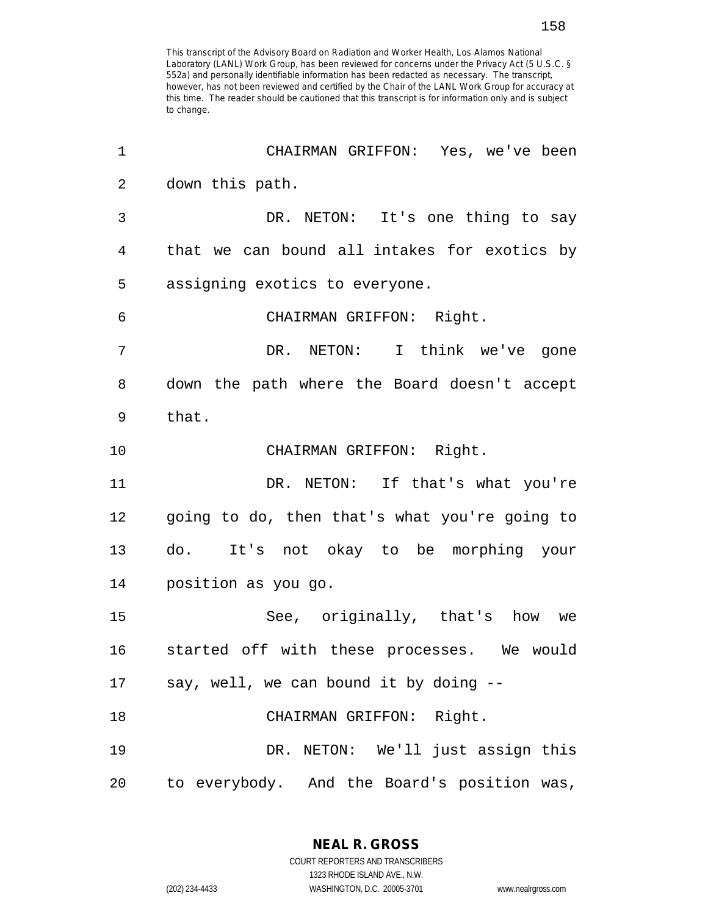| 1              | CHAIRMAN GRIFFON: Yes, we've been             |
|----------------|-----------------------------------------------|
| $\overline{2}$ | down this path.                               |
| 3              | DR. NETON: It's one thing to say              |
| 4              | that we can bound all intakes for exotics by  |
| 5              | assigning exotics to everyone.                |
| 6              | CHAIRMAN GRIFFON: Right.                      |
| 7              | DR. NETON: I think we've gone                 |
| 8              | down the path where the Board doesn't accept  |
| 9              | that.                                         |
| 10             | CHAIRMAN GRIFFON: Right.                      |
| 11             | DR. NETON: If that's what you're              |
| 12             | going to do, then that's what you're going to |
| 13             | do. It's not okay to be morphing your         |
| 14             | position as you go.                           |
| 15             | See, originally, that's how we                |
| 16             | started off with these processes. We would    |
| 17             | say, well, we can bound it by doing --        |
| 18             | CHAIRMAN GRIFFON: Right.                      |
| 19             | DR. NETON: We'll just assign this             |
| 20             | to everybody. And the Board's position was,   |

**NEAL R. GROSS**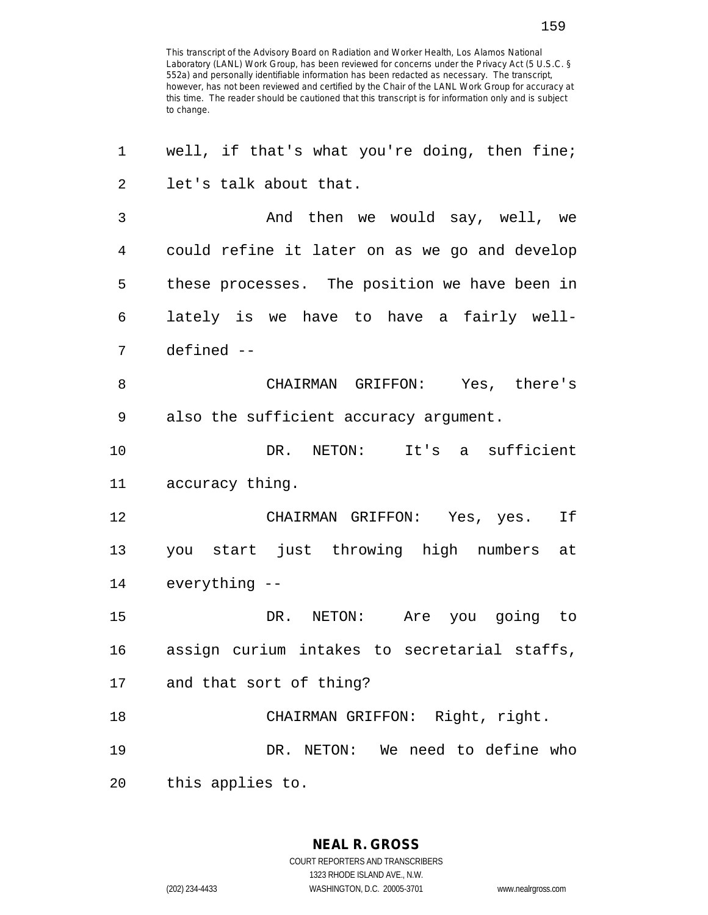| $\mathbf 1$    | well, if that's what you're doing, then fine; |
|----------------|-----------------------------------------------|
| 2              | let's talk about that.                        |
| 3              | And then we would say, well, we               |
| $\overline{4}$ | could refine it later on as we go and develop |
| 5              | these processes. The position we have been in |
| 6              | lately is we have to have a fairly well-      |
| 7              | defined --                                    |
| 8              | CHAIRMAN GRIFFON: Yes, there's                |
| 9              | also the sufficient accuracy argument.        |
| 10             | DR. NETON: It's a sufficient                  |
| 11             | accuracy thing.                               |
| 12             | CHAIRMAN GRIFFON: Yes, yes. If                |
| 13             | you start just throwing high numbers at       |
| 14             | everything --                                 |
| 15             | DR. NETON:<br>Are you going to                |
| 16             | assign curium intakes to secretarial staffs,  |
|                | 17 and that sort of thing?                    |
| 18             | CHAIRMAN GRIFFON: Right, right.               |
| 19             | DR. NETON: We need to define who              |
| 20             | this applies to.                              |

**NEAL R. GROSS** COURT REPORTERS AND TRANSCRIBERS

1323 RHODE ISLAND AVE., N.W. (202) 234-4433 WASHINGTON, D.C. 20005-3701 www.nealrgross.com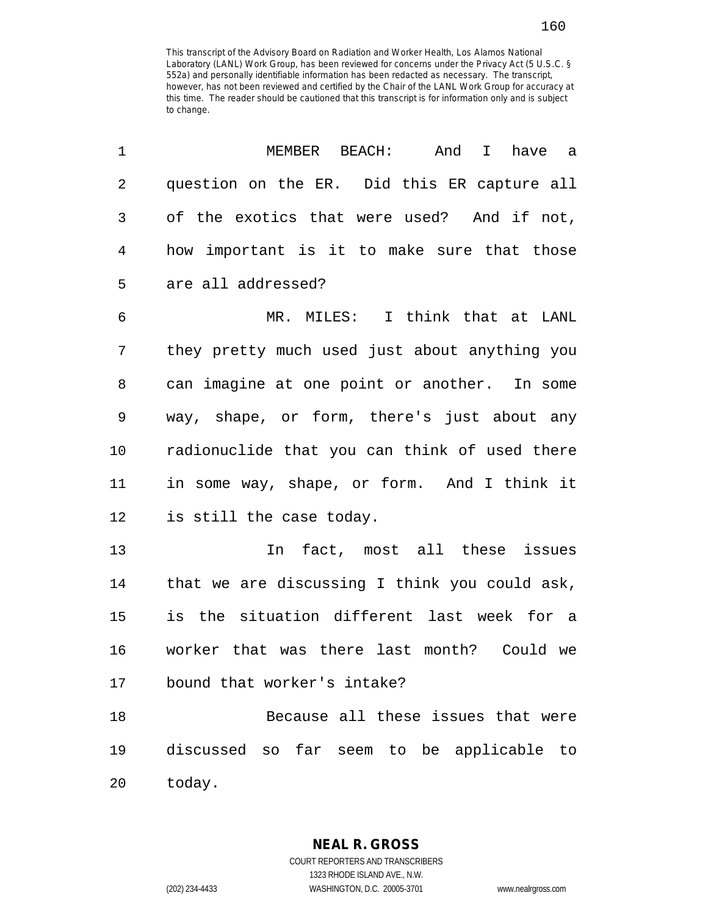| 1              | And<br>MEMBER<br>$BEACH$ :<br>I.<br>have a    |
|----------------|-----------------------------------------------|
| $\overline{2}$ | question on the ER. Did this ER capture all   |
| 3              | of the exotics that were used? And if not,    |
| 4              | how important is it to make sure that those   |
| 5              | are all addressed?                            |
| 6              | MR. MILES: I think that at LANL               |
| 7              | they pretty much used just about anything you |
| 8              | can imagine at one point or another. In some  |
| 9              | way, shape, or form, there's just about any   |
| 10             | radionuclide that you can think of used there |
| 11             | in some way, shape, or form. And I think it   |
| 12             | is still the case today.                      |
| 13             | In fact, most all these issues                |
| 14             | that we are discussing I think you could ask, |
| 15             | is the situation different last week for a    |
| 16             | worker that was there last month? Could we    |
| 17             | bound that worker's intake?                   |
| 18             | Because all these issues that were            |

19 discussed so far seem to be applicable to 20 today.

> **NEAL R. GROSS** COURT REPORTERS AND TRANSCRIBERS 1323 RHODE ISLAND AVE., N.W.

(202) 234-4433 WASHINGTON, D.C. 20005-3701 www.nealrgross.com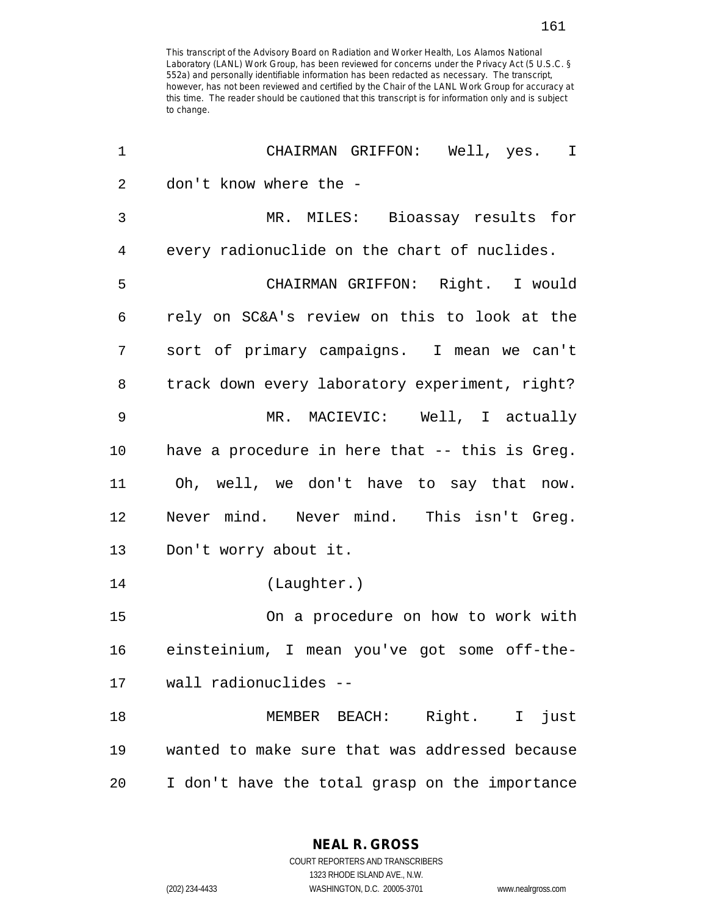161

| 1              | CHAIRMAN GRIFFON: Well, yes. I                 |
|----------------|------------------------------------------------|
| $\overline{2}$ | don't know where the -                         |
| 3              | MR. MILES: Bioassay results for                |
| 4              | every radionuclide on the chart of nuclides.   |
| 5              | CHAIRMAN GRIFFON: Right. I would               |
| 6              | rely on SC&A's review on this to look at the   |
| 7              | sort of primary campaigns. I mean we can't     |
| 8              | track down every laboratory experiment, right? |
| 9              | MR. MACIEVIC: Well, I actually                 |
| 10             | have a procedure in here that -- this is Greg. |
| 11             | Oh, well, we don't have to say that now.       |
| 12             | Never mind. Never mind. This isn't Greg.       |
| 13             | Don't worry about it.                          |
| 14             | (Laughter.)                                    |
| 15             | On a procedure on how to work with             |
| 16             | einsteinium, I mean you've got some off-the-   |
| 17             | wall radionuclides --                          |
| 18             | Right. I just<br>MEMBER BEACH:                 |
| 19             | wanted to make sure that was addressed because |
| 20             | I don't have the total grasp on the importance |

**NEAL R. GROSS**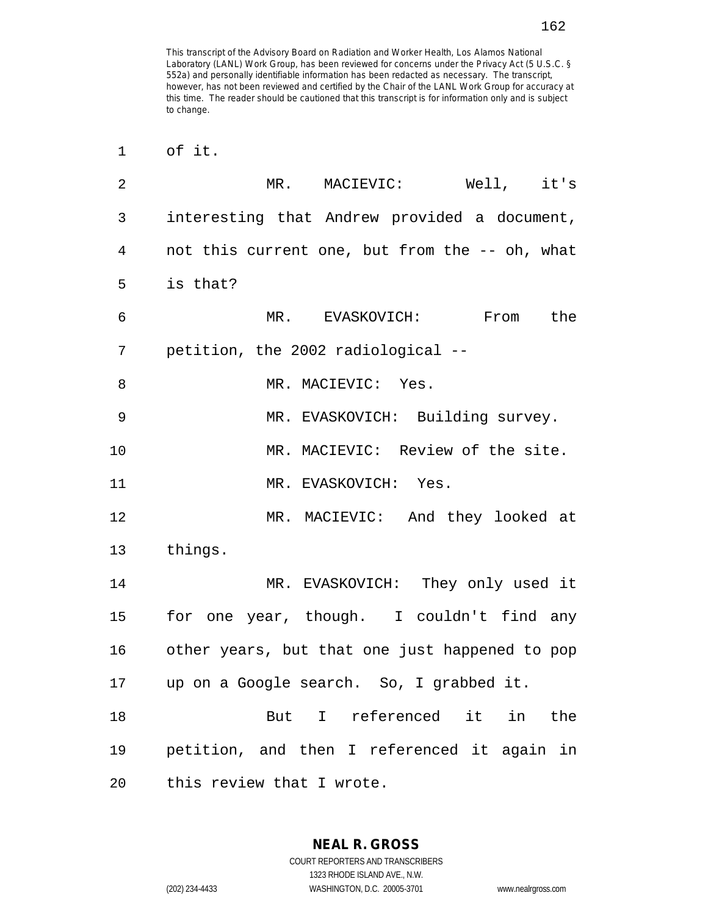<sup>1</sup> of it.

| $\overline{2}$ | MR. MACIEVIC: Well, it's                       |
|----------------|------------------------------------------------|
| 3              | interesting that Andrew provided a document,   |
| 4              | not this current one, but from the -- oh, what |
| 5              | is that?                                       |
| 6              | MR. EVASKOVICH: From the                       |
| 7              | petition, the 2002 radiological --             |
| 8              | MR. MACIEVIC: Yes.                             |
| 9              | MR. EVASKOVICH: Building survey.               |
| 10             | MR. MACIEVIC: Review of the site.              |
| 11             | MR. EVASKOVICH: Yes.                           |
| 12             | MR. MACIEVIC: And they looked at               |
| 13             | things.                                        |
| 14             | MR. EVASKOVICH: They only used it              |
| 15             | for one year, though. I couldn't find any      |
| 16             | other years, but that one just happened to pop |
| 17             | up on a Google search. So, I grabbed it.       |
| 18             | But I referenced<br>it in<br>the               |
| 19             | petition, and then I referenced it again in    |
| 20             | this review that I wrote.                      |

**NEAL R. GROSS** COURT REPORTERS AND TRANSCRIBERS

1323 RHODE ISLAND AVE., N.W.

(202) 234-4433 WASHINGTON, D.C. 20005-3701 www.nealrgross.com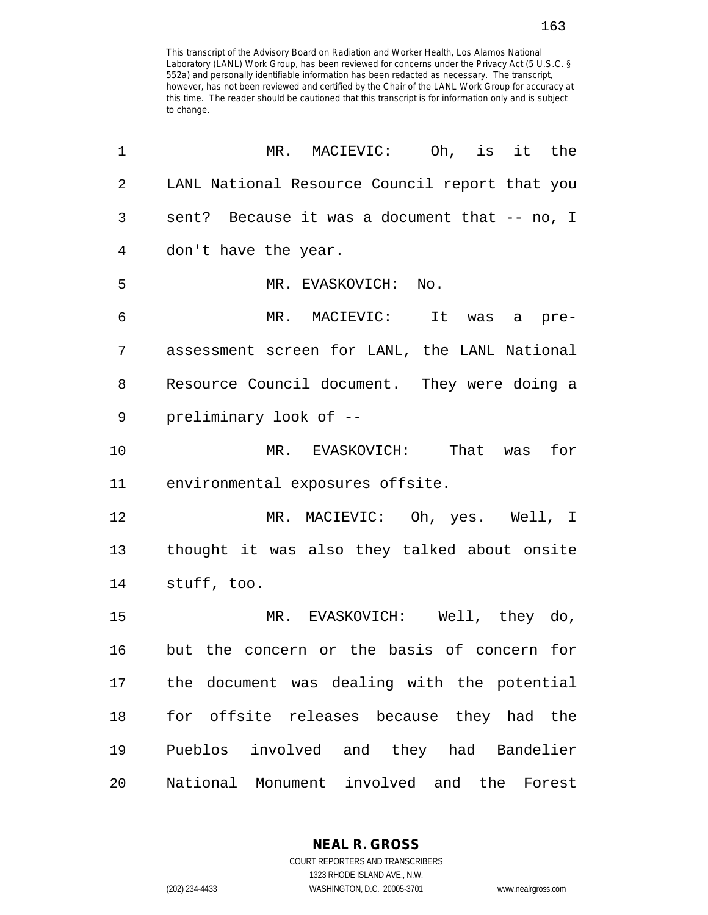| 1  | MR. MACIEVIC: Oh, is it the                    |
|----|------------------------------------------------|
| 2  | LANL National Resource Council report that you |
| 3  | sent? Because it was a document that -- no, I  |
| 4  | don't have the year.                           |
| 5  | MR. EVASKOVICH: No.                            |
| 6  | MR. MACIEVIC: It was a pre-                    |
| 7  | assessment screen for LANL, the LANL National  |
| 8  | Resource Council document. They were doing a   |
| 9  | preliminary look of --                         |
| 10 | MR. EVASKOVICH: That was<br>for                |
| 11 | environmental exposures offsite.               |
| 12 | MR. MACIEVIC: Oh, yes. Well, I                 |
| 13 | thought it was also they talked about onsite   |
| 14 | stuff, too.                                    |
| 15 | MR. EVASKOVICH: Well, they do,                 |
| 16 | but the concern or the basis of concern for    |
| 17 | the document was dealing with the potential    |
| 18 | for offsite releases because they had the      |
| 19 | Pueblos involved and they had Bandelier        |
| 20 | National Monument involved and the Forest      |

**NEAL R. GROSS**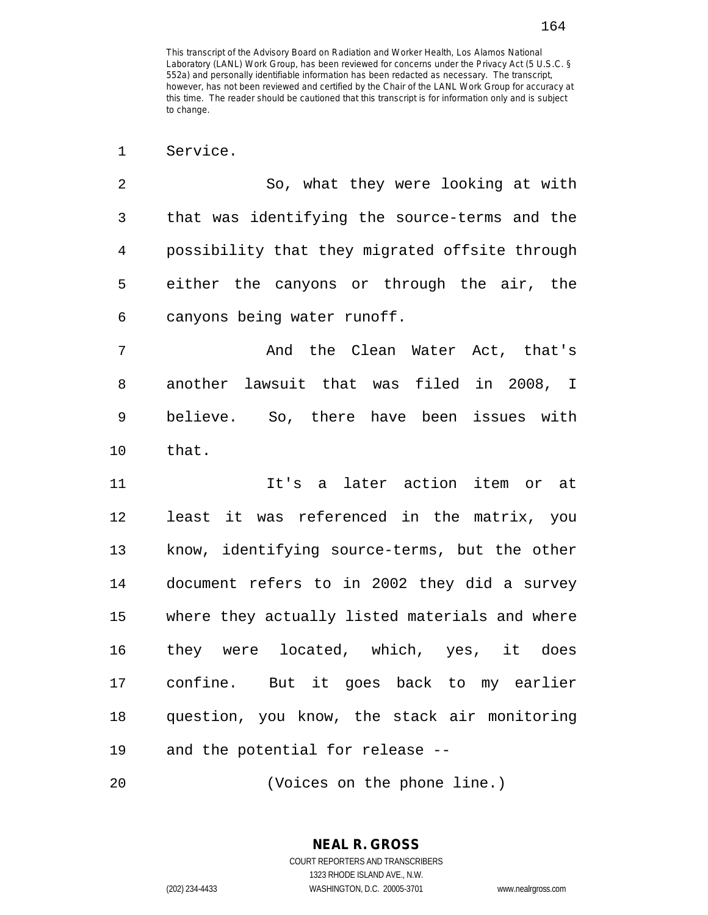2 So, what they were looking at with 3 that was identifying the source-terms and the 4 possibility that they migrated offsite through 5 either the canyons or through the air, the 6 canyons being water runoff.

7 And the Clean Water Act, that's 8 another lawsuit that was filed in 2008, I 9 believe. So, there have been issues with 10 that.

11 It's a later action item or at 12 least it was referenced in the matrix, you 13 know, identifying source-terms, but the other 14 document refers to in 2002 they did a survey 15 where they actually listed materials and where 16 they were located, which, yes, it does 17 confine. But it goes back to my earlier 18 question, you know, the stack air monitoring 19 and the potential for release --

20 (Voices on the phone line.)

**NEAL R. GROSS** COURT REPORTERS AND TRANSCRIBERS

1323 RHODE ISLAND AVE., N.W. (202) 234-4433 WASHINGTON, D.C. 20005-3701 www.nealrgross.com

<sup>1</sup> Service.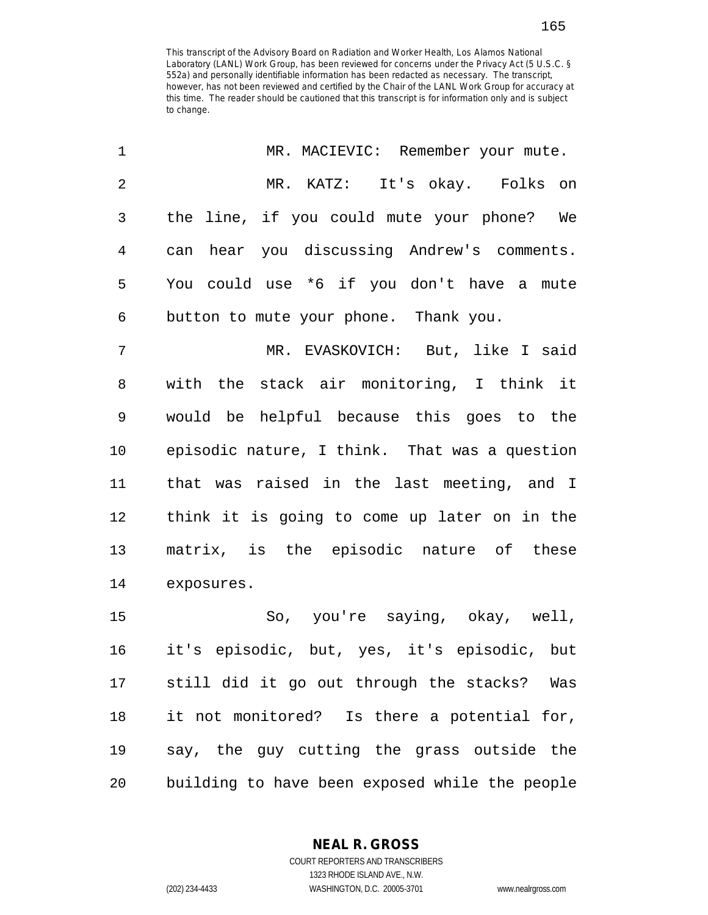| $\mathbf{1}$ | MR. MACIEVIC: Remember your mute.          |
|--------------|--------------------------------------------|
| 2            | MR. KATZ: It's okay. Folks on              |
| 3            | the line, if you could mute your phone? We |
| 4            | can hear you discussing Andrew's comments. |
| 5            | You could use *6 if you don't have a mute  |
| 6            | button to mute your phone. Thank you.      |
| 7            | MR. EVASKOVICH: But, like I said           |
| 8            | with the stack air monitoring, I think it  |

9 would be helpful because this goes to the 10 episodic nature, I think. That was a question 11 that was raised in the last meeting, and I 12 think it is going to come up later on in the 13 matrix, is the episodic nature of these 14 exposures.

15 So, you're saying, okay, well, 16 it's episodic, but, yes, it's episodic, but 17 still did it go out through the stacks? Was 18 it not monitored? Is there a potential for, 19 say, the guy cutting the grass outside the 20 building to have been exposed while the people

**NEAL R. GROSS**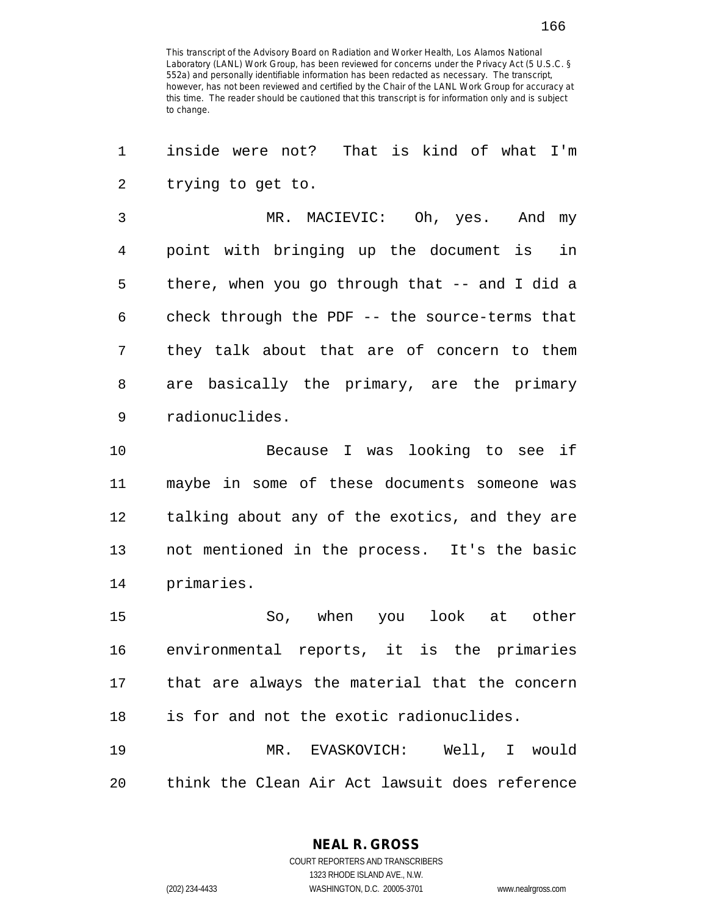1 inside were not? That is kind of what I'm 2 trying to get to. 3 MR. MACIEVIC: Oh, yes. And my 4 point with bringing up the document is in 5 there, when you go through that -- and I did a 6 check through the PDF -- the source-terms that 7 they talk about that are of concern to them 8 are basically the primary, are the primary 9 radionuclides. 10 Because I was looking to see if 11 maybe in some of these documents someone was 12 talking about any of the exotics, and they are 13 not mentioned in the process. It's the basic 14 primaries.

15 So, when you look at other 16 environmental reports, it is the primaries 17 that are always the material that the concern 18 is for and not the exotic radionuclides. 19 MR. EVASKOVICH: Well, I would

20 think the Clean Air Act lawsuit does reference

**NEAL R. GROSS**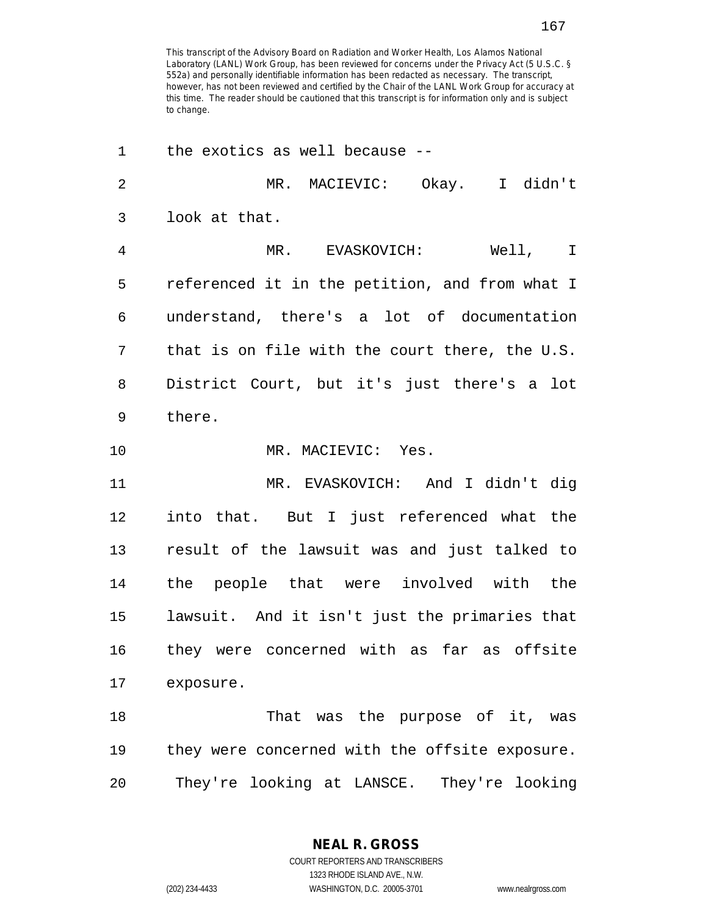| 1              | the exotics as well because $-$ -              |
|----------------|------------------------------------------------|
| $\overline{2}$ | MR. MACIEVIC: Okay. I didn't                   |
| 3              | look at that.                                  |
| $\overline{4}$ | MR. EVASKOVICH: Well, I                        |
| 5              | referenced it in the petition, and from what I |
| 6              | understand, there's a lot of documentation     |
| 7              | that is on file with the court there, the U.S. |
| 8              | District Court, but it's just there's a lot    |
| 9              | there.                                         |
| 10             | MR. MACIEVIC: Yes.                             |
| 11             | MR. EVASKOVICH: And I didn't dig               |
| 12             | into that. But I just referenced what the      |
| 13             | result of the lawsuit was and just talked to   |
| 14             | the people that were involved with the         |
| 15             | lawsuit. And it isn't just the primaries that  |
| 16             | they were concerned with as far as offsite     |
| 17             | exposure.                                      |
| 18             | That was the purpose of it, was                |
| 19             | they were concerned with the offsite exposure. |
| 20             | They're looking at LANSCE. They're looking     |

**NEAL R. GROSS**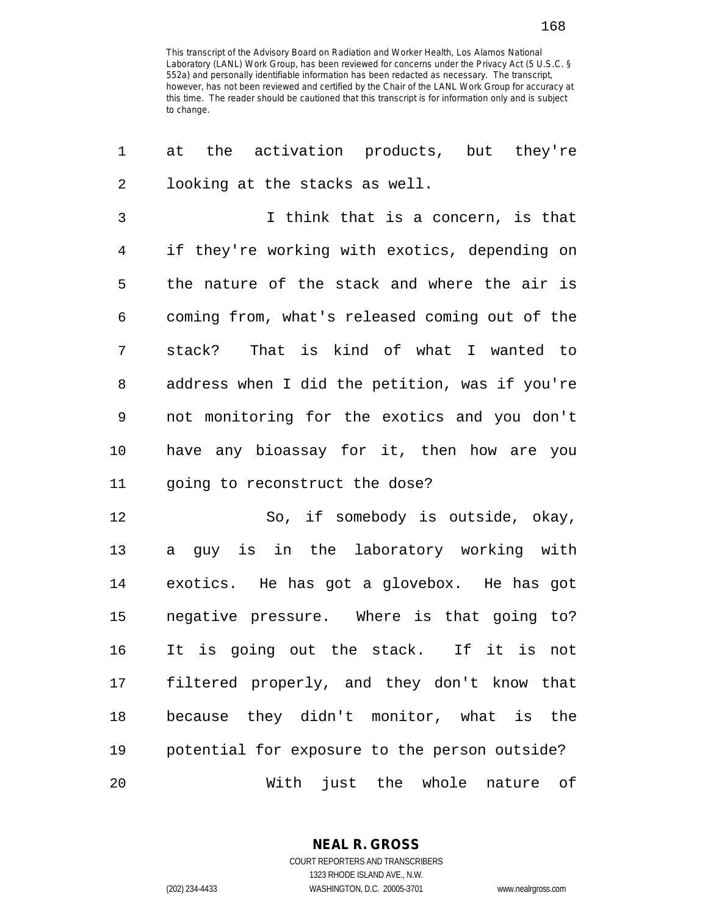| 1              | at<br>the activation products, but they're     |
|----------------|------------------------------------------------|
| 2              | looking at the stacks as well.                 |
| $\mathfrak{Z}$ | I think that is a concern, is that             |
| 4              | if they're working with exotics, depending on  |
| 5              | the nature of the stack and where the air is   |
| 6              | coming from, what's released coming out of the |
| 7              | stack? That is kind of what I wanted to        |
| 8              | address when I did the petition, was if you're |
| 9              | not monitoring for the exotics and you don't   |
| 10             | have any bioassay for it, then how are you     |
| 11             | going to reconstruct the dose?                 |
| 12             | So, if somebody is outside, okay,              |
| 13             | a guy is in the laboratory working with        |
| 14             | exotics. He has got a glovebox. He has got     |
| 15             | negative pressure. Where is that going to?     |
| 16             | It is going out the stack. If it is not        |
| 17             | filtered properly, and they don't know that    |
| 18             | because they didn't monitor, what is the       |
| 19             | potential for exposure to the person outside?  |
| 20             | With just the whole nature of                  |

**NEAL R. GROSS** COURT REPORTERS AND TRANSCRIBERS

1323 RHODE ISLAND AVE., N.W.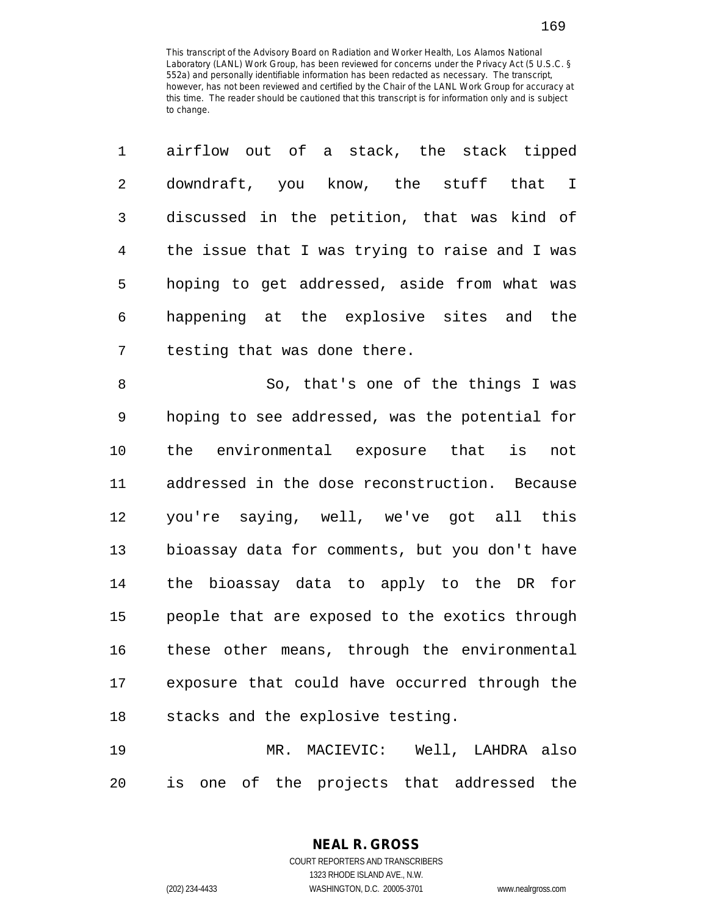|   | airflow out of a stack, the stack tipped       |
|---|------------------------------------------------|
| 2 | downdraft, you know, the stuff that I          |
| 3 | discussed in the petition, that was kind of    |
| 4 | the issue that I was trying to raise and I was |
| 5 | hoping to get addressed, aside from what was   |
| 6 | happening at the explosive sites and the       |
| 7 | testing that was done there.                   |

8 So, that's one of the things I was 9 hoping to see addressed, was the potential for 10 the environmental exposure that is not 11 addressed in the dose reconstruction. Because 12 you're saying, well, we've got all this 13 bioassay data for comments, but you don't have 14 the bioassay data to apply to the DR for 15 people that are exposed to the exotics through 16 these other means, through the environmental 17 exposure that could have occurred through the 18 stacks and the explosive testing.

19 MR. MACIEVIC: Well, LAHDRA also 20 is one of the projects that addressed the

> COURT REPORTERS AND TRANSCRIBERS 1323 RHODE ISLAND AVE., N.W. (202) 234-4433 WASHINGTON, D.C. 20005-3701 www.nealrgross.com

**NEAL R. GROSS**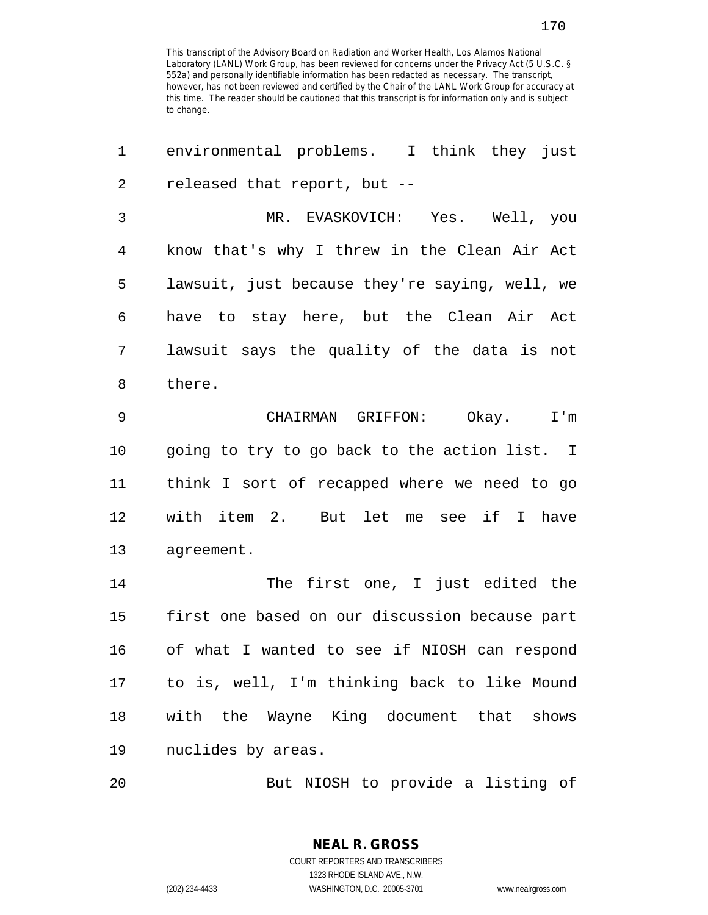| 1              | environmental problems. I think they just      |
|----------------|------------------------------------------------|
| 2              | released that report, but --                   |
| 3              | MR. EVASKOVICH: Yes. Well, you                 |
| $\overline{4}$ | know that's why I threw in the Clean Air Act   |
| 5              | lawsuit, just because they're saying, well, we |
| 6              | have to stay here, but the Clean Air Act       |
| 7              | lawsuit says the quality of the data is not    |
| 8              | there.                                         |
| $\mathsf 9$    | CHAIRMAN GRIFFON: Okay. I'm                    |
| 10             | going to try to go back to the action list. I  |
| 11             | think I sort of recapped where we need to go   |
| 12             | with item 2. But let me see if I<br>have       |
| 13             | agreement.                                     |
| 14             | The first one, I just edited the               |
| 15             | first one based on our discussion because part |
| 16             | of what I wanted to see if NIOSH can respond   |
| 17             | to is, well, I'm thinking back to like Mound   |
| 18             | with the Wayne King document that shows        |
| 19             | nuclides by areas.                             |
| 20             | But NIOSH to provide a listing of              |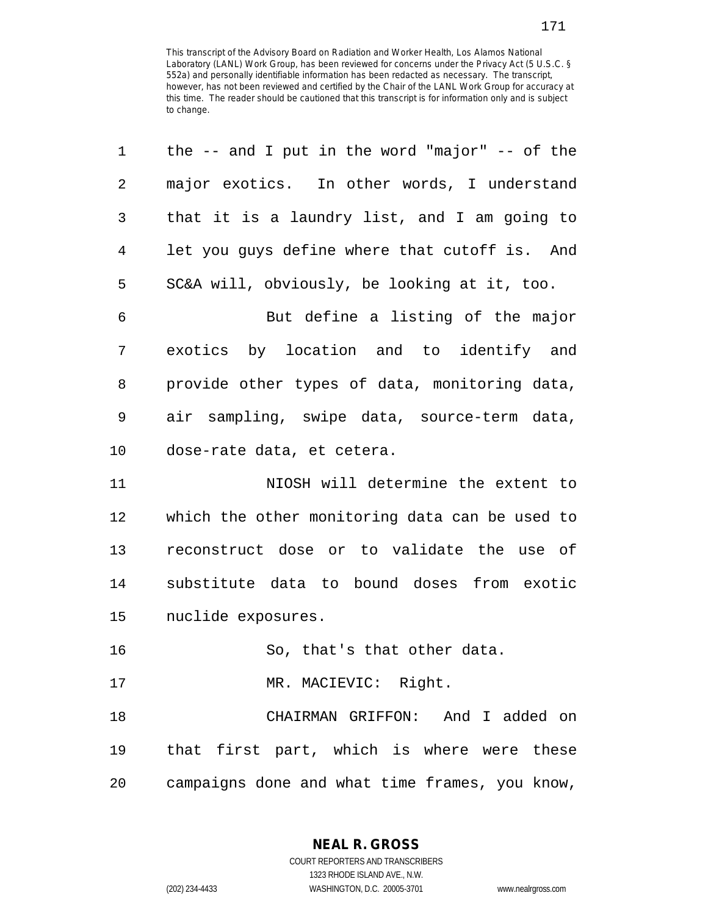| 1              | the -- and I put in the word "major" -- of the |
|----------------|------------------------------------------------|
| $\overline{2}$ | major exotics. In other words, I understand    |
| 3              | that it is a laundry list, and I am going to   |
| $\overline{4}$ | let you guys define where that cutoff is. And  |
| 5              | SC&A will, obviously, be looking at it, too.   |
| 6              | But define a listing of the major              |
| 7              | exotics by location and to identify and        |
| 8              | provide other types of data, monitoring data,  |
| 9              | air sampling, swipe data, source-term data,    |
| 10             | dose-rate data, et cetera.                     |
| 11             | NIOSH will determine the extent to             |
| 12             | which the other monitoring data can be used to |
| 13             | reconstruct dose or to validate the use of     |
| 14             | substitute data to bound doses from exotic     |
| 15             | nuclide exposures.                             |
| 16             | So, that's that other data.                    |
| 17             | MR. MACIEVIC: Right.                           |
| 18             | CHAIRMAN GRIFFON: And I added on               |
| 19             | that first part, which is where were these     |
| 20             | campaigns done and what time frames, you know, |

**NEAL R. GROSS**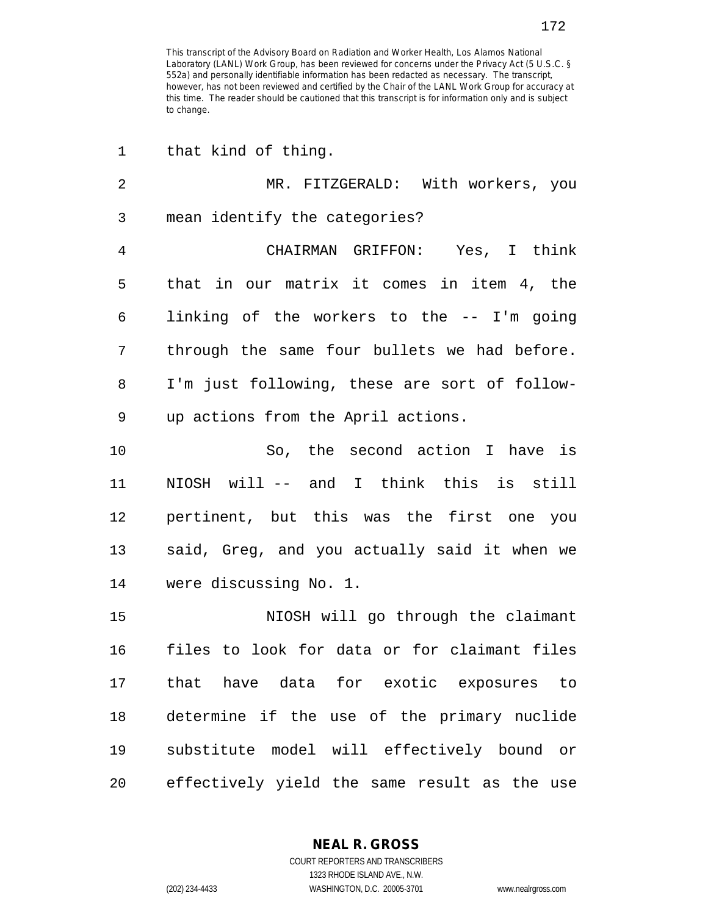| 1              | that kind of thing.                           |
|----------------|-----------------------------------------------|
| $\overline{2}$ | MR. FITZGERALD: With workers, you             |
| 3              | mean identify the categories?                 |
| 4              | CHAIRMAN GRIFFON: Yes, I think                |
| 5              | that in our matrix it comes in item 4, the    |
| 6              | linking of the workers to the -- I'm going    |
| 7              | through the same four bullets we had before.  |
| 8              | I'm just following, these are sort of follow- |
| 9              | up actions from the April actions.            |
| 10             | So, the second action I have is               |
| 11             | NIOSH will -- and I think this is still       |
| 12             | pertinent, but this was the first one you     |
| 13             | said, Greg, and you actually said it when we  |
| 14             | were discussing No. 1.                        |
| 15             | NIOSH will go through the claimant            |
| 16             | files to look for data or for claimant files  |
| 17             | that have data for exotic exposures to        |
| 18             | determine if the use of the primary nuclide   |
| 19             | substitute model will effectively bound or    |
| 20             | effectively yield the same result as the use  |

**NEAL R. GROSS**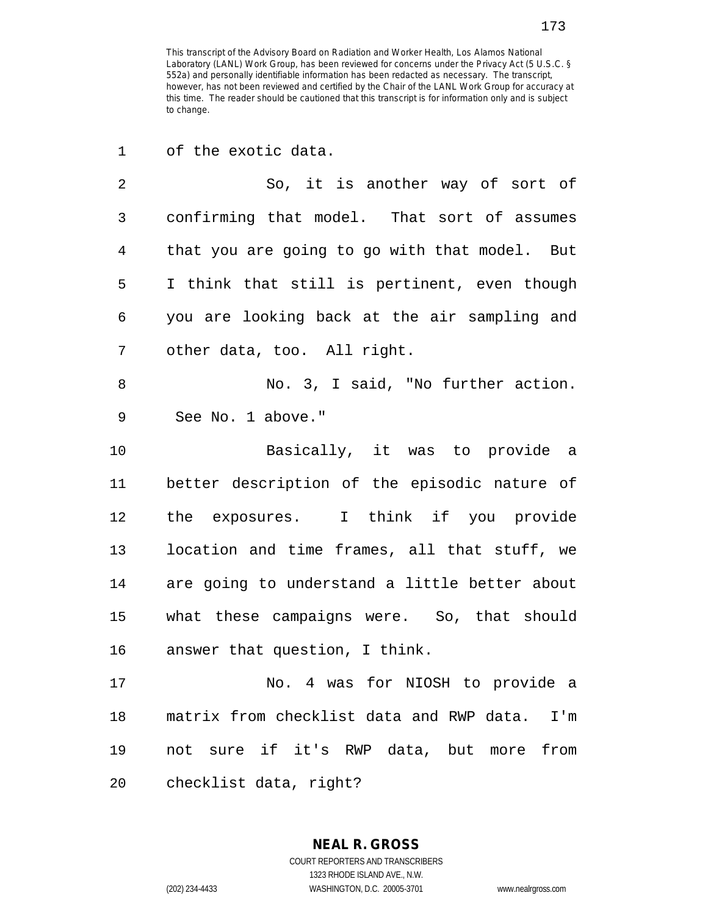1 of the exotic data.

2 So, it is another way of sort of 3 confirming that model. That sort of assumes 4 that you are going to go with that model. But 5 I think that still is pertinent, even though 6 you are looking back at the air sampling and 7 other data, too. All right.

8 No. 3, I said, "No further action. 9 See No. 1 above."

10 Basically, it was to provide a 11 better description of the episodic nature of 12 the exposures. I think if you provide 13 location and time frames, all that stuff, we 14 are going to understand a little better about 15 what these campaigns were. So, that should 16 answer that question, I think.

17 No. 4 was for NIOSH to provide a 18 matrix from checklist data and RWP data. I'm 19 not sure if it's RWP data, but more from 20 checklist data, right?

> **NEAL R. GROSS** COURT REPORTERS AND TRANSCRIBERS 1323 RHODE ISLAND AVE., N.W. (202) 234-4433 WASHINGTON, D.C. 20005-3701 www.nealrgross.com

173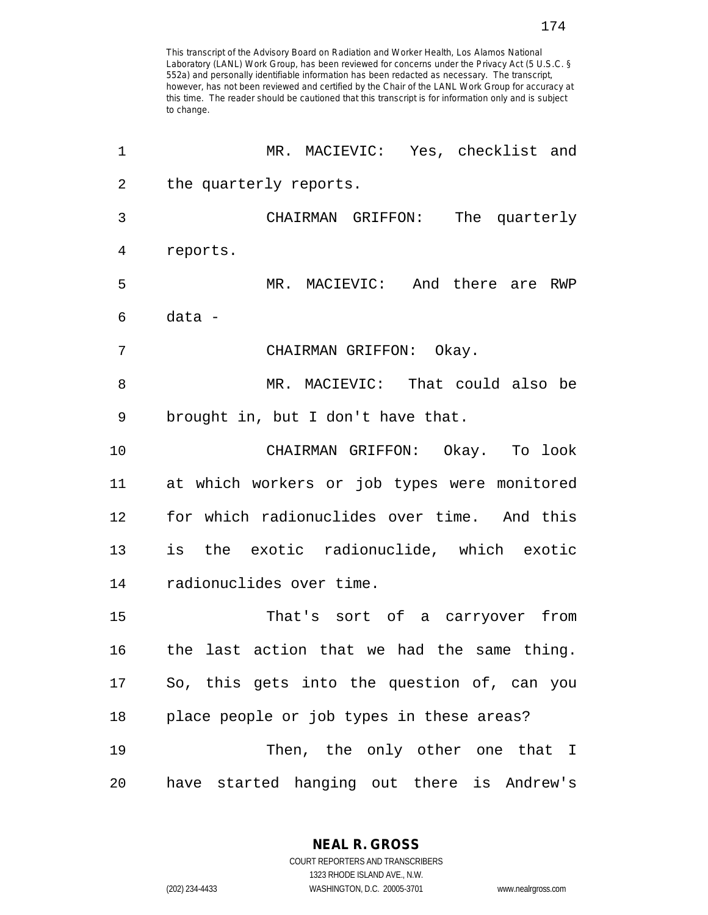1 MR. MACIEVIC: Yes, checklist and 2 the quarterly reports. 3 CHAIRMAN GRIFFON: The quarterly 4 reports. 5 MR. MACIEVIC: And there are RWP 6 data - 7 CHAIRMAN GRIFFON: Okay. 8 MR. MACIEVIC: That could also be 9 brought in, but I don't have that. 10 CHAIRMAN GRIFFON: Okay. To look 11 at which workers or job types were monitored 12 for which radionuclides over time. And this 13 is the exotic radionuclide, which exotic 14 radionuclides over time. 15 That's sort of a carryover from 16 the last action that we had the same thing. 17 So, this gets into the question of, can you 18 place people or job types in these areas? 19 Then, the only other one that I 20 have started hanging out there is Andrew's

**NEAL R. GROSS**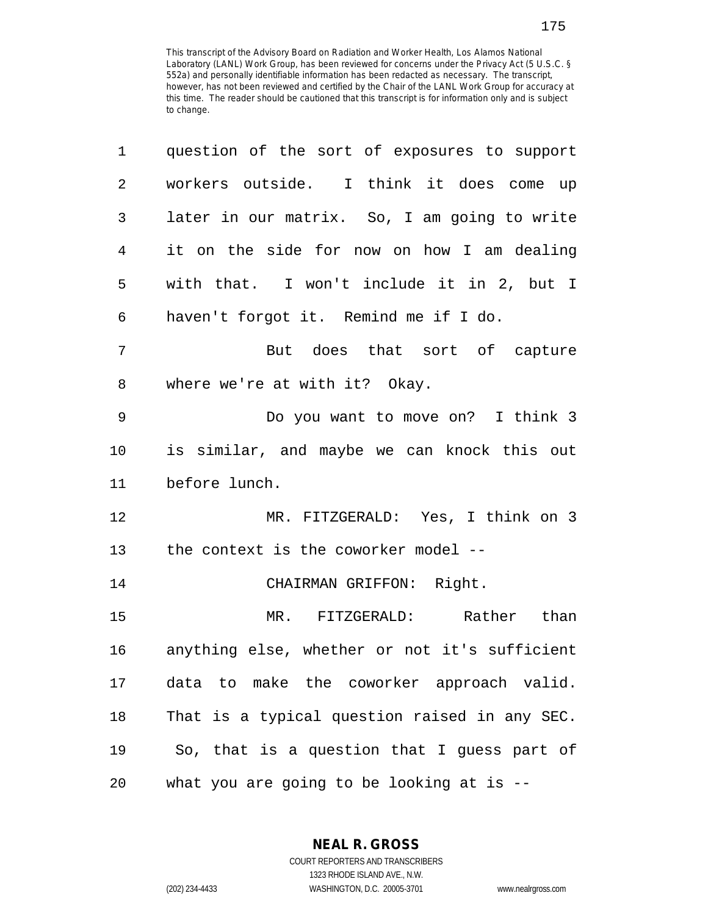| 1  | question of the sort of exposures to support  |
|----|-----------------------------------------------|
| 2  | workers outside. I think it does come up      |
| 3  | later in our matrix. So, I am going to write  |
| 4  | it on the side for now on how I am dealing    |
| 5  | with that. I won't include it in 2, but I     |
| 6  | haven't forgot it. Remind me if I do.         |
| 7  | But does that sort of capture                 |
| 8  | where we're at with it? Okay.                 |
| 9  | Do you want to move on? I think 3             |
| 10 | is similar, and maybe we can knock this out   |
| 11 | before lunch.                                 |
| 12 | MR. FITZGERALD: Yes, I think on 3             |
| 13 | the context is the coworker model --          |
| 14 | CHAIRMAN GRIFFON: Right.                      |
| 15 | MR. FITZGERALD: Rather than                   |
| 16 | anything else, whether or not it's sufficient |
| 17 | data to make the coworker approach valid.     |
| 18 | That is a typical question raised in any SEC. |
| 19 | So, that is a question that I guess part of   |
| 20 | what you are going to be looking at is --     |

**NEAL R. GROSS**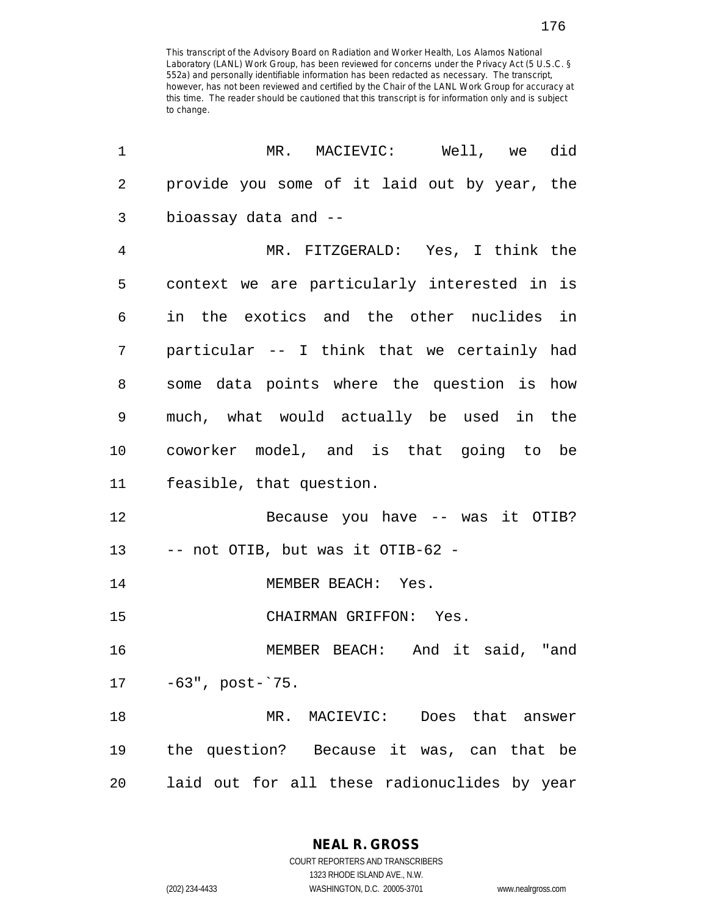| 1  | MR. MACIEVIC: Well, we did                   |
|----|----------------------------------------------|
| 2  | provide you some of it laid out by year, the |
| 3  | bioassay data and --                         |
| 4  | MR. FITZGERALD: Yes, I think the             |
| 5  | context we are particularly interested in is |
| 6  | in the exotics and the other nuclides in     |
| 7  | particular -- I think that we certainly had  |
| 8  | some data points where the question is how   |
| 9  | much, what would actually be used in the     |
| 10 | coworker model, and is that going to be      |
| 11 | feasible, that question.                     |
| 12 | Because you have -- was it OTIB?             |
| 13 | -- not OTIB, but was it OTIB-62 -            |
| 14 | MEMBER BEACH: Yes.                           |
| 15 | CHAIRMAN GRIFFON: Yes.                       |
| 16 | MEMBER BEACH: And it said, "and              |
|    | 17 -63", post-'75.                           |
| 18 | MR. MACIEVIC: Does that answer               |
| 19 | the question? Because it was, can that be    |
| 20 | laid out for all these radionuclides by year |

**NEAL R. GROSS**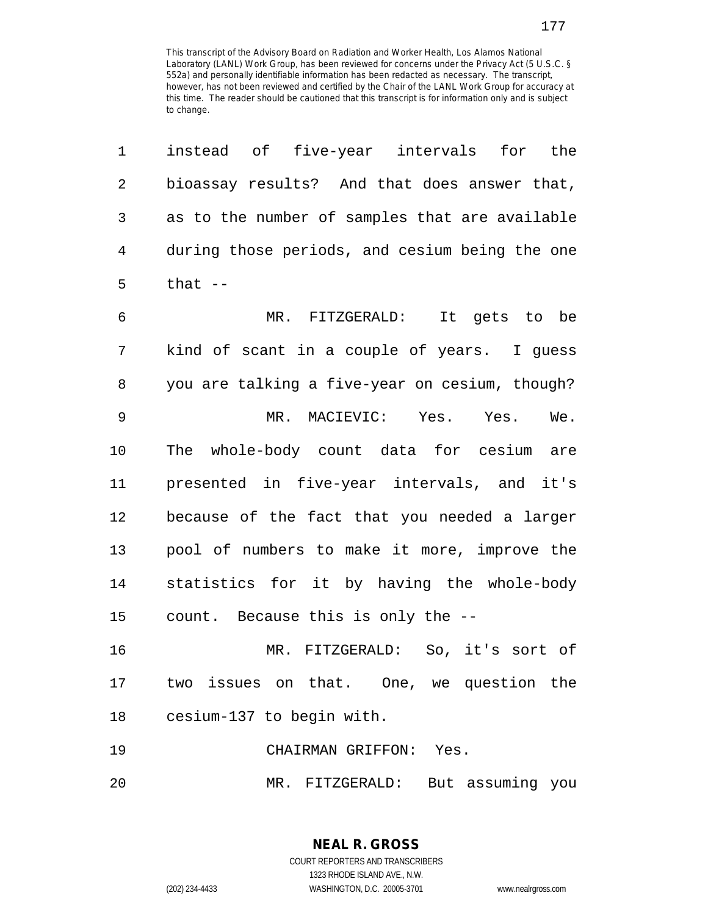| 1  | instead of five-year intervals for the         |
|----|------------------------------------------------|
| 2  | bioassay results? And that does answer that,   |
| 3  | as to the number of samples that are available |
| 4  | during those periods, and cesium being the one |
| 5  | that $-$                                       |
| 6  | MR. FITZGERALD: It gets to be                  |
| 7  | kind of scant in a couple of years. I guess    |
| 8  | you are talking a five-year on cesium, though? |
| 9  | MR. MACIEVIC: Yes. Yes.<br>We.                 |
| 10 | The whole-body count data for cesium are       |
| 11 | presented in five-year intervals, and it's     |
| 12 | because of the fact that you needed a larger   |
| 13 | pool of numbers to make it more, improve the   |
| 14 | statistics for it by having the whole-body     |
| 15 | count. Because this is only the --             |
| 16 | MR. FITZGERALD: So, it's sort of               |
| 17 | two issues on that. One, we question the       |
| 18 | cesium-137 to begin with.                      |
| 19 | CHAIRMAN GRIFFON: Yes.                         |
| 20 | MR. FITZGERALD: But assuming you               |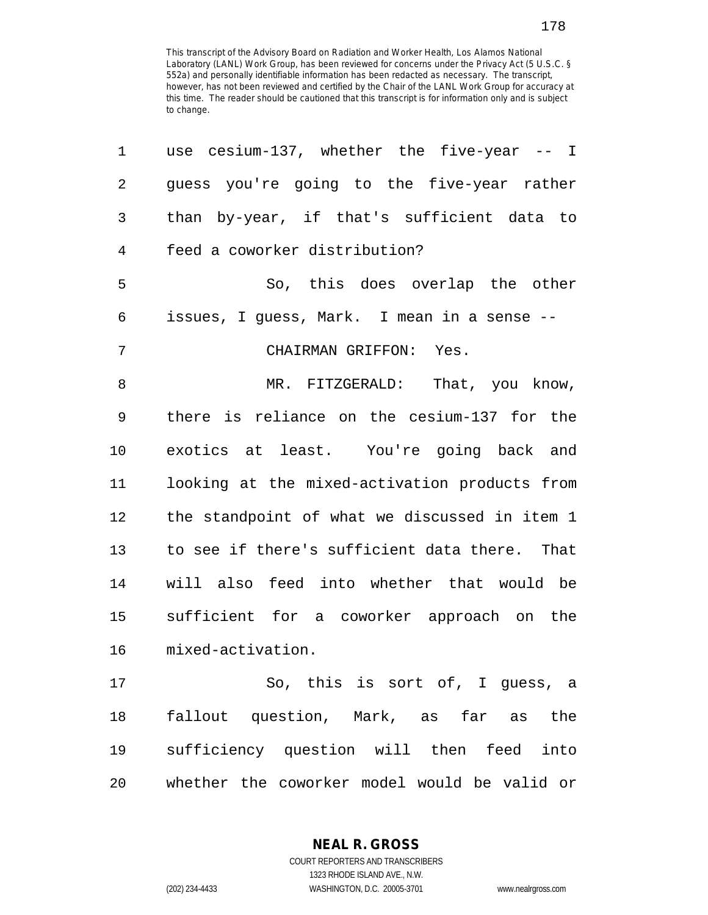| 1              | use $cesium-137$ , whether the five-year -- I |
|----------------|-----------------------------------------------|
| $\mathbf{2}$   | guess you're going to the five-year rather    |
| 3              | than by-year, if that's sufficient data to    |
| $\overline{4}$ | feed a coworker distribution?                 |
| 5              | So, this does overlap the other               |
| 6              | issues, I guess, Mark. I mean in a sense --   |
| 7              | CHAIRMAN GRIFFON: Yes.                        |
| 8              | MR. FITZGERALD: That, you know,               |
| 9              | there is reliance on the cesium-137 for the   |
| 10             | exotics at least. You're going back and       |
| 11             | looking at the mixed-activation products from |
| 12             | the standpoint of what we discussed in item 1 |
| 13             | to see if there's sufficient data there. That |
| 14             | will also feed into whether that would be     |
| 15             | sufficient for a coworker approach on the     |
| 16             | mixed-activation.                             |
| 17             | So, this is sort of, I guess, a               |
| 18             | fallout question, Mark, as far as the         |
| 19             | sufficiency question will then feed<br>into   |
| 20             | whether the coworker model would be valid or  |

**NEAL R. GROSS**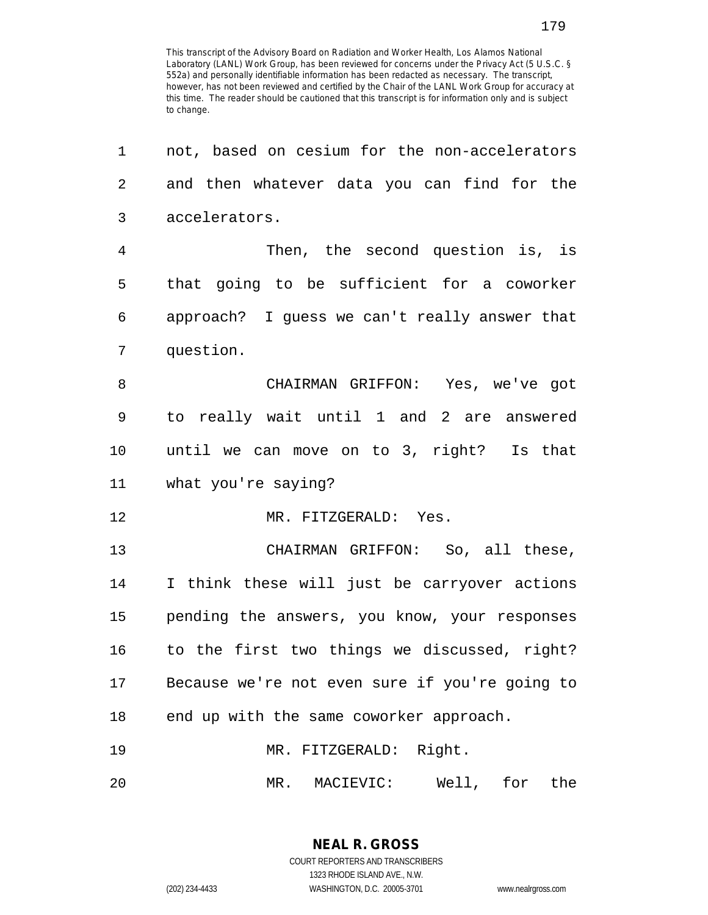| 1  | not, based on cesium for the non-accelerators  |
|----|------------------------------------------------|
| 2  | and then whatever data you can find for the    |
| 3  | accelerators.                                  |
| 4  | Then, the second question is, is               |
| 5  | that going to be sufficient for a coworker     |
| 6  | approach? I guess we can't really answer that  |
| 7  | question.                                      |
| 8  | CHAIRMAN GRIFFON: Yes, we've got               |
| 9  | to really wait until 1 and 2 are answered      |
| 10 | until we can move on to 3, right? Is that      |
| 11 | what you're saying?                            |
| 12 | MR. FITZGERALD: Yes.                           |
| 13 | CHAIRMAN GRIFFON: So, all these,               |
| 14 | I think these will just be carryover actions   |
| 15 | pending the answers, you know, your responses  |
| 16 | to the first two things we discussed, right?   |
| 17 | Because we're not even sure if you're going to |
| 18 | end up with the same coworker approach.        |
| 19 | MR. FITZGERALD: Right.                         |
| 20 | MR. MACIEVIC: Well, for the                    |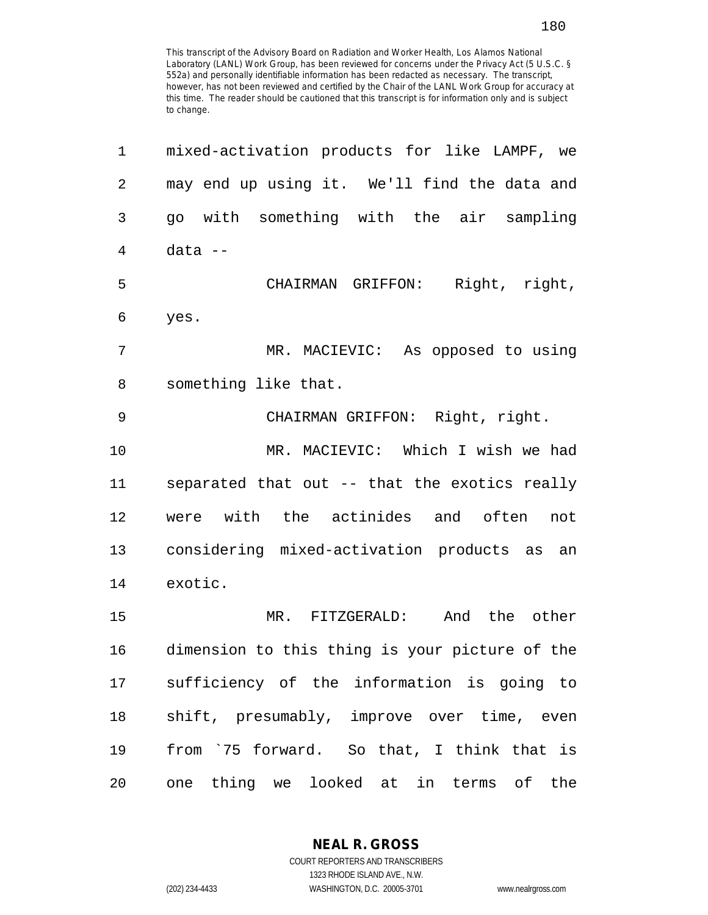| 1  | mixed-activation products for like LAMPF, we   |
|----|------------------------------------------------|
| 2  | may end up using it. We'll find the data and   |
| 3  | go with something with the air sampling        |
| 4  | data --                                        |
| 5  | Right, right,<br>CHAIRMAN GRIFFON:             |
| 6  | yes.                                           |
| 7  | MR. MACIEVIC: As opposed to using              |
| 8  | something like that.                           |
| 9  | CHAIRMAN GRIFFON: Right, right.                |
| 10 | MR. MACIEVIC: Which I wish we had              |
| 11 | separated that out -- that the exotics really  |
| 12 | were with the actinides and often<br>not       |
| 13 | considering mixed-activation products as an    |
| 14 | exotic.                                        |
| 15 | MR. FITZGERALD: And the other                  |
| 16 | dimension to this thing is your picture of the |
| 17 | sufficiency of the information is going to     |
| 18 | shift, presumably, improve over time, even     |
| 19 | from `75 forward. So that, I think that is     |
| 20 | one thing we looked at in terms of the         |

**NEAL R. GROSS**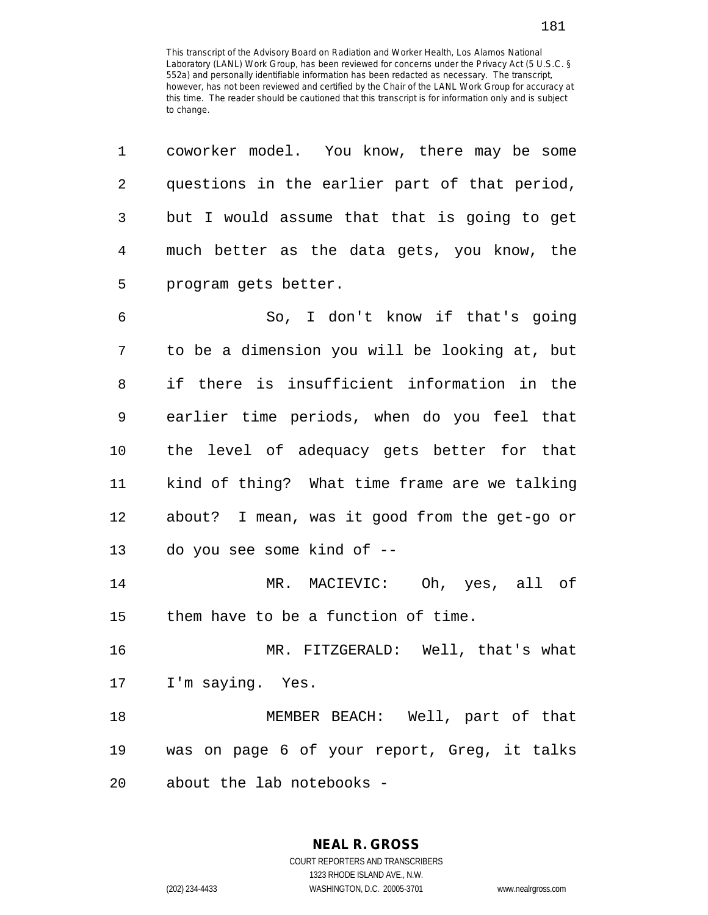| 1              | coworker model. You know, there may be some   |
|----------------|-----------------------------------------------|
| 2              | questions in the earlier part of that period, |
| $\mathfrak{Z}$ | but I would assume that that is going to get  |
| $\overline{4}$ | much better as the data gets, you know, the   |
| 5              | program gets better.                          |
| 6              | So, I don't know if that's going              |
| 7              | to be a dimension you will be looking at, but |
| 8              | if there is insufficient information in the   |
| 9              | earlier time periods, when do you feel that   |
| 10             | the level of adequacy gets better for that    |
| 11             | kind of thing? What time frame are we talking |
| 12             | about? I mean, was it good from the get-go or |
| 13             | do you see some kind of --                    |
| 14             | MR. MACIEVIC: Oh, yes, all of                 |
| 15             | them have to be a function of time.           |
| 16             | MR. FITZGERALD: Well, that's what             |
|                | 17 I'm saying. Yes.                           |
| 18             | MEMBER BEACH: Well, part of that              |
| 19             | was on page 6 of your report, Greg, it talks  |
| 20             | about the lab notebooks -                     |

**NEAL R. GROSS**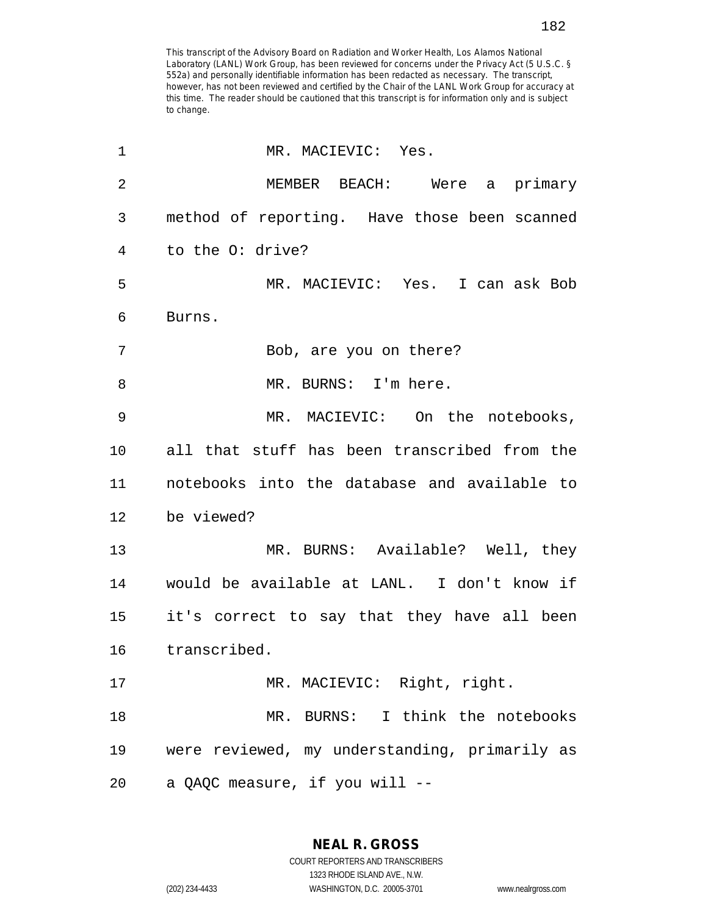| 1              | MR. MACIEVIC: Yes.                            |
|----------------|-----------------------------------------------|
| $\overline{2}$ | MEMBER BEACH: Were a primary                  |
| 3              | method of reporting. Have those been scanned  |
| 4              | to the O: drive?                              |
| 5              | MR. MACIEVIC: Yes. I can ask Bob              |
| 6              | Burns.                                        |
| 7              | Bob, are you on there?                        |
| 8              | MR. BURNS: I'm here.                          |
| 9              | MR. MACIEVIC: On the notebooks,               |
| 10             | all that stuff has been transcribed from the  |
| 11             | notebooks into the database and available to  |
| 12             | be viewed?                                    |
| 13             | MR. BURNS: Available? Well, they              |
| 14             | would be available at LANL. I don't know if   |
| 15             | it's correct to say that they have all been   |
| 16             | transcribed.                                  |
| 17             | MR. MACIEVIC: Right, right.                   |
| 18             | MR. BURNS: I think the notebooks              |
| 19             | were reviewed, my understanding, primarily as |
| 20             | a QAQC measure, if you will --                |

**NEAL R. GROSS**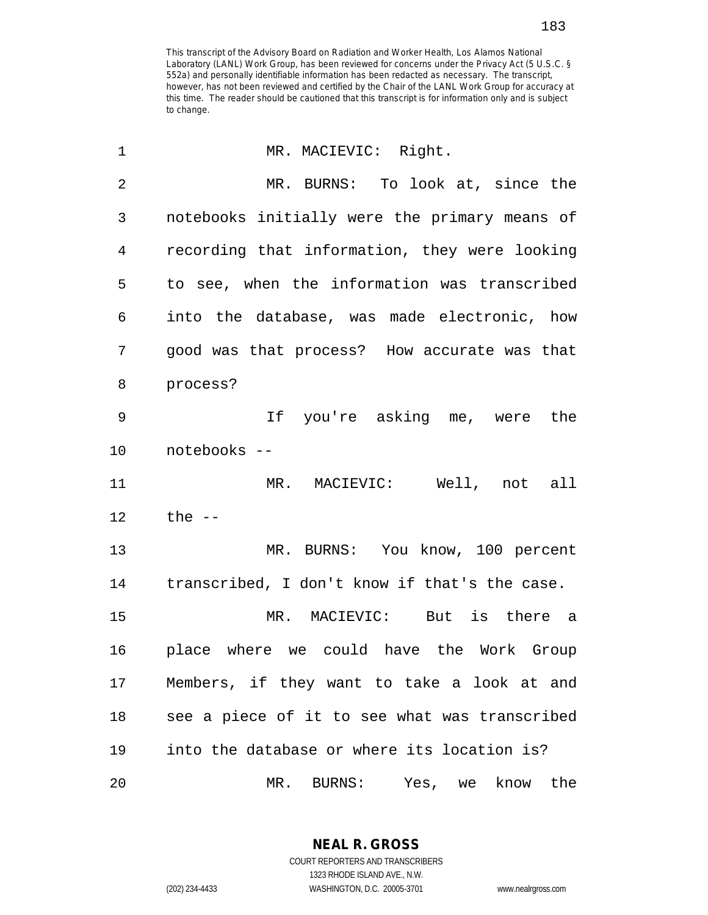| $\mathbf 1$    | MR. MACIEVIC: Right.                          |
|----------------|-----------------------------------------------|
| $\overline{2}$ | MR. BURNS: To look at, since the              |
| 3              | notebooks initially were the primary means of |
| 4              | recording that information, they were looking |
| 5              | to see, when the information was transcribed  |
| 6              | into the database, was made electronic, how   |
| 7              | good was that process? How accurate was that  |
| 8              | process?                                      |
| 9              | If you're asking me, were the                 |
| 10             | notebooks --                                  |
| 11             | MR. MACIEVIC: Well, not all                   |
| 12             | the --                                        |
| 13             | MR. BURNS: You know, 100 percent              |
| 14             | transcribed, I don't know if that's the case. |
| 15             | MR. MACIEVIC: But is there a                  |
| 16             | place where we could have the Work Group      |
| 17             | Members, if they want to take a look at and   |
| 18             | see a piece of it to see what was transcribed |
| 19             | into the database or where its location is?   |
| 20             | MR. BURNS:<br>Yes, we know the                |

**NEAL R. GROSS** COURT REPORTERS AND TRANSCRIBERS 1323 RHODE ISLAND AVE., N.W.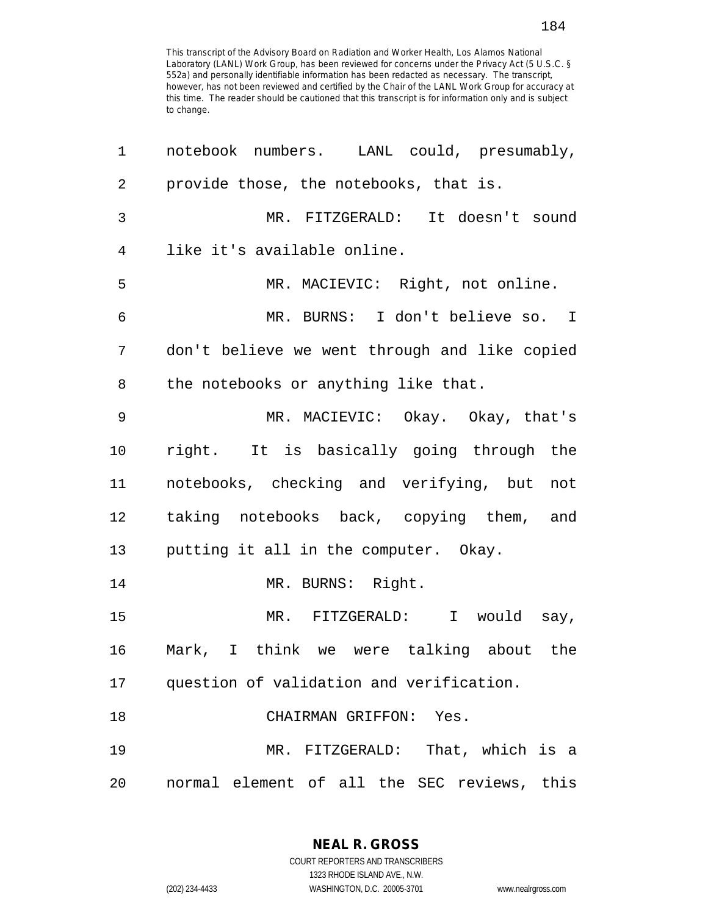| 1              | notebook numbers. LANL could, presumably,     |
|----------------|-----------------------------------------------|
| $\overline{2}$ | provide those, the notebooks, that is.        |
| $\mathfrak{Z}$ | MR. FITZGERALD: It doesn't sound              |
| 4              | like it's available online.                   |
| 5              | MR. MACIEVIC: Right, not online.              |
| 6              | MR. BURNS: I don't believe so. I              |
| 7              | don't believe we went through and like copied |
| 8              | the notebooks or anything like that.          |
| 9              | MR. MACIEVIC: Okay. Okay, that's              |
| 10             | right. It is basically going through the      |
| 11             | notebooks, checking and verifying, but not    |
| 12             | taking notebooks back, copying them, and      |
| 13             | putting it all in the computer. Okay.         |
| 14             | MR. BURNS: Right.                             |
| 15             | MR. FITZGERALD: I would say,                  |
| 16             | Mark, I think we were talking about the       |
| 17             | question of validation and verification.      |
| 18             | CHAIRMAN GRIFFON: Yes.                        |
| 19             | MR. FITZGERALD: That, which is a              |
| 20             | normal element of all the SEC reviews, this   |

**NEAL R. GROSS**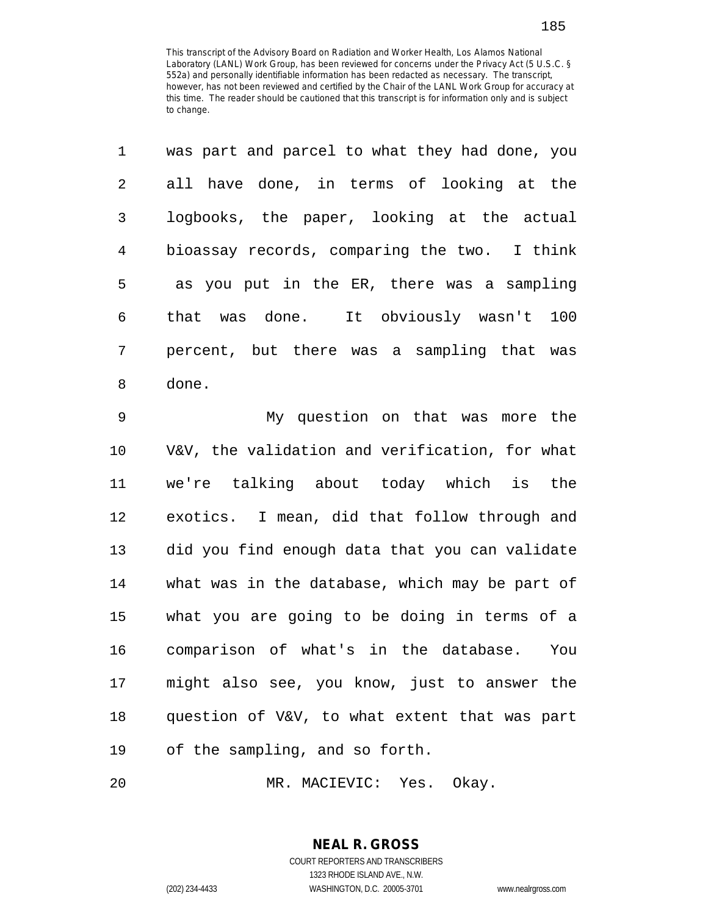| $\mathbf{1}$ | was part and parcel to what they had done, you |
|--------------|------------------------------------------------|
| 2            | all have done, in terms of looking at the      |
| 3            | logbooks, the paper, looking at the actual     |
| 4            | bioassay records, comparing the two. I think   |
| 5            | as you put in the ER, there was a sampling     |
| 6            | that was done. It obviously wasn't 100         |
| 7            | percent, but there was a sampling that was     |
| 8            | done.                                          |

9 My question on that was more the 10 V&V, the validation and verification, for what 11 we're talking about today which is the 12 exotics. I mean, did that follow through and 13 did you find enough data that you can validate 14 what was in the database, which may be part of 15 what you are going to be doing in terms of a 16 comparison of what's in the database. You 17 might also see, you know, just to answer the 18 question of V&V, to what extent that was part 19 of the sampling, and so forth.

20 MR. MACIEVIC: Yes. Okay.

**NEAL R. GROSS** COURT REPORTERS AND TRANSCRIBERS 1323 RHODE ISLAND AVE., N.W.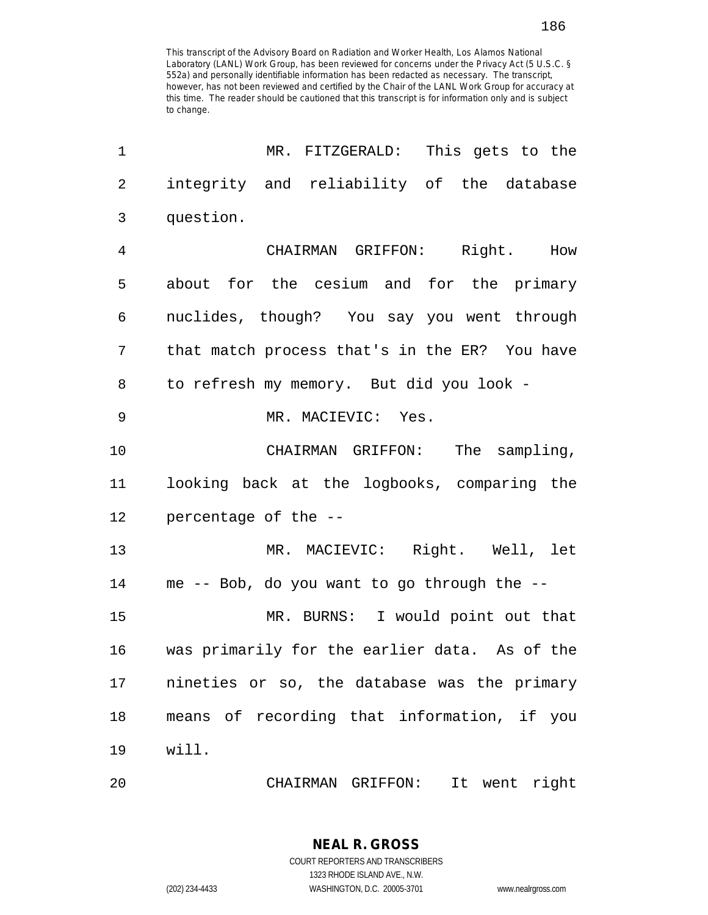| 1  | MR. FITZGERALD: This gets to the              |
|----|-----------------------------------------------|
| 2  | integrity and reliability of the database     |
| 3  | question.                                     |
| 4  | CHAIRMAN GRIFFON: Right. How                  |
| 5  | about for the cesium and for the primary      |
| 6  | nuclides, though? You say you went through    |
| 7  | that match process that's in the ER? You have |
| 8  | to refresh my memory. But did you look -      |
| 9  | MR. MACIEVIC: Yes.                            |
| 10 | CHAIRMAN GRIFFON: The sampling,               |
| 11 | looking back at the logbooks, comparing the   |
| 12 | percentage of the --                          |
| 13 | MR. MACIEVIC: Right. Well, let                |
| 14 | me -- Bob, do you want to go through the --   |
| 15 | MR. BURNS: I would point out that             |
| 16 | was primarily for the earlier data. As of the |
| 17 | nineties or so, the database was the primary  |
| 18 | means of recording that information, if you   |
| 19 | will.                                         |
| 20 | It went right<br>CHAIRMAN GRIFFON:            |

**NEAL R. GROSS** COURT REPORTERS AND TRANSCRIBERS 1323 RHODE ISLAND AVE., N.W.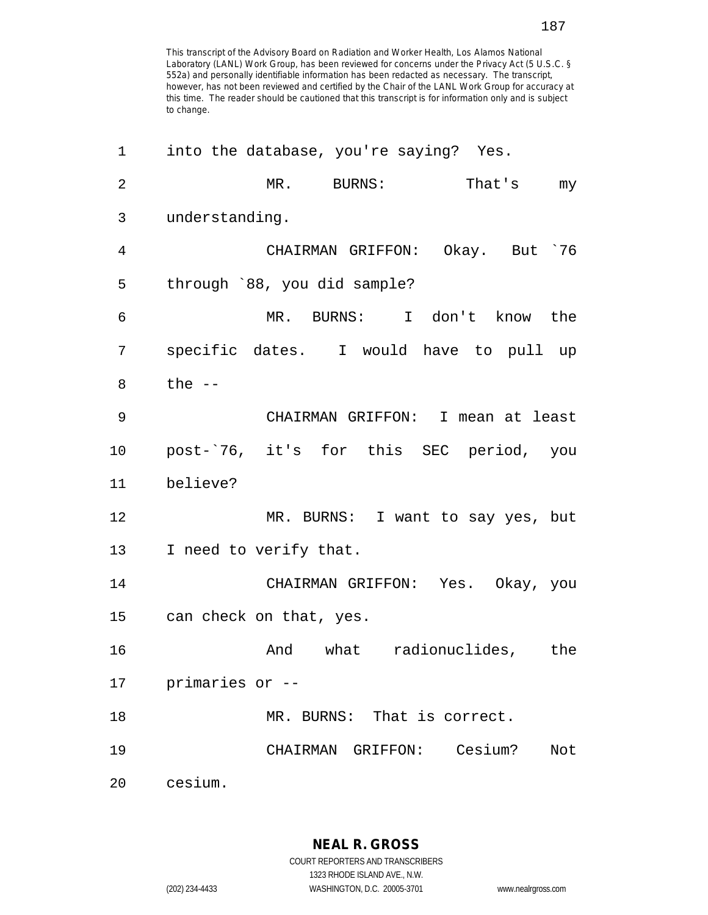| 1      | into the database, you're saying? Yes.  |
|--------|-----------------------------------------|
| 2      | That's<br>MR. BURNS:<br>my              |
| 3      | understanding.                          |
| 4      | CHAIRMAN GRIFFON: Okay. But `76         |
| 5      | through `88, you did sample?            |
| 6      | MR. BURNS: I don't know the             |
| 7      | specific dates. I would have to pull up |
| 8      | the $--$                                |
| 9      | CHAIRMAN GRIFFON: I mean at least       |
| 10     | post-'76, it's for this SEC period, you |
| 11     | believe?                                |
| 12     | MR. BURNS: I want to say yes, but       |
| 13     | I need to verify that.                  |
| 14     | CHAIRMAN GRIFFON: Yes. Okay, you        |
| 15     | can check on that, yes.                 |
| 16     | And what radionuclides, the             |
|        | 17 primaries or --                      |
| 18     | MR. BURNS: That is correct.             |
| 19     | CHAIRMAN GRIFFON: Cesium?<br>Not        |
| $20 -$ | cesium.                                 |

**NEAL R. GROSS**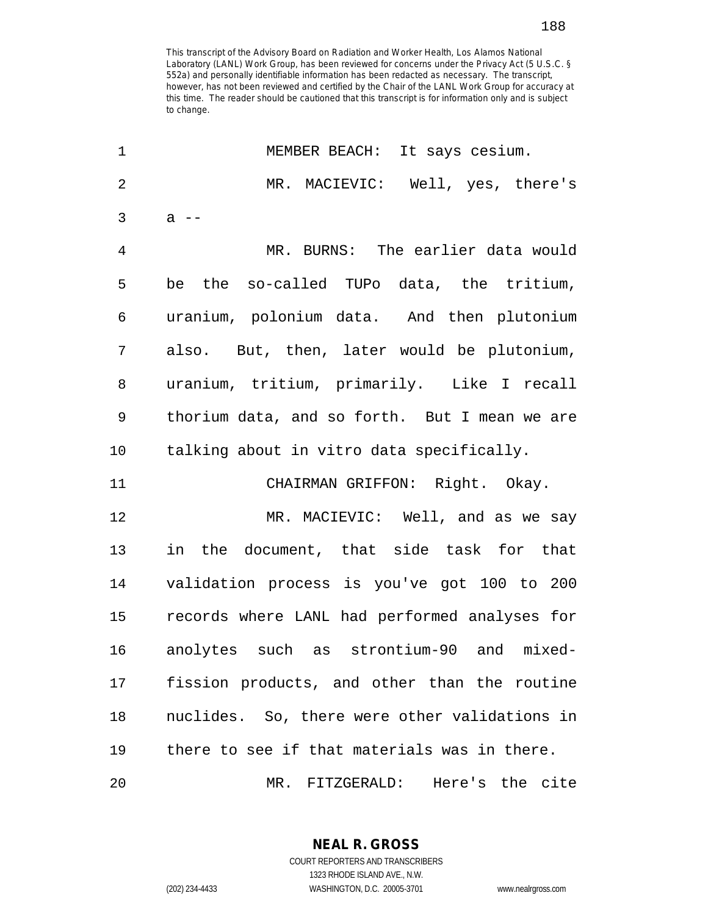| 1              | MEMBER BEACH: It says cesium.                 |
|----------------|-----------------------------------------------|
| $\overline{2}$ | MR. MACIEVIC: Well, yes, there's              |
| 3              | $a$ --                                        |
| 4              | MR. BURNS: The earlier data would             |
| 5              | be the so-called TUPo data, the tritium,      |
| 6              | uranium, polonium data. And then plutonium    |
| 7              | also. But, then, later would be plutonium,    |
| 8              | uranium, tritium, primarily. Like I recall    |
| 9              | thorium data, and so forth. But I mean we are |
| 10             | talking about in vitro data specifically.     |
| 11             | CHAIRMAN GRIFFON: Right. Okay.                |
| 12             | MR. MACIEVIC: Well, and as we say             |
| 13             | in the document, that side task for that      |
| 14             | validation process is you've got 100 to 200   |
| 15             | records where LANL had performed analyses for |
| 16             | anolytes such as strontium-90 and mixed-      |
| 17             | fission products, and other than the routine  |
| 18             | nuclides. So, there were other validations in |
| 19             | there to see if that materials was in there.  |
| 20             | MR. FITZGERALD: Here's the cite               |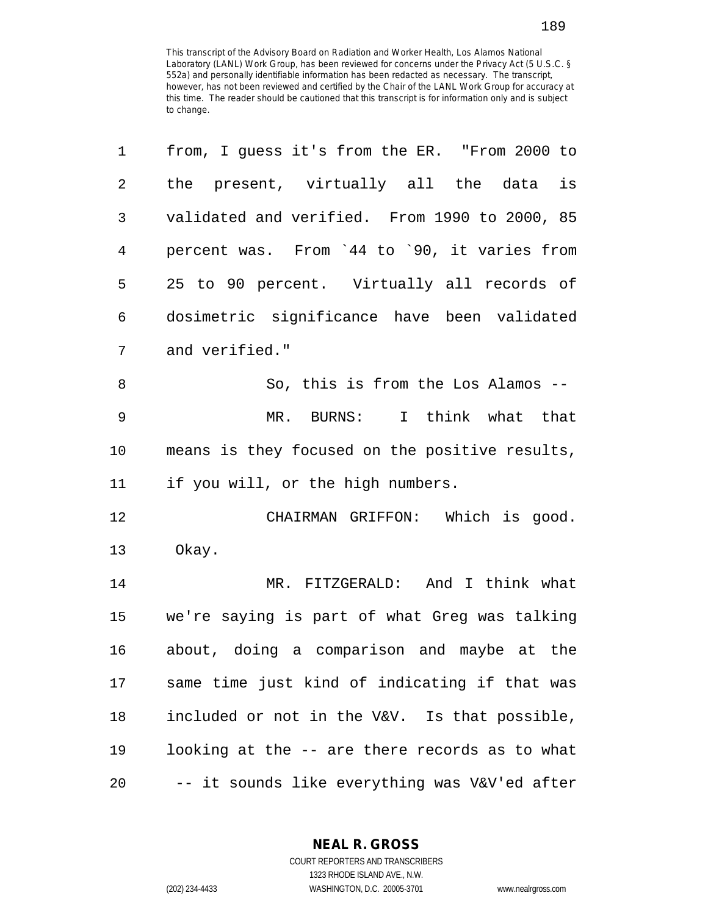| 1              | from, I guess it's from the ER. "From 2000 to  |
|----------------|------------------------------------------------|
| 2              | the present, virtually all the data is         |
| 3              | validated and verified. From 1990 to 2000, 85  |
| $\overline{4}$ | percent was. From '44 to '90, it varies from   |
| 5              | 25 to 90 percent. Virtually all records of     |
| 6              | dosimetric significance have been validated    |
| 7              | and verified."                                 |
| 8              | So, this is from the Los Alamos --             |
| $\mathsf 9$    | MR. BURNS: I think what that                   |
| 10             | means is they focused on the positive results, |
| 11             | if you will, or the high numbers.              |
| 12             | CHAIRMAN GRIFFON: Which is good.               |
| 13             | Okay.                                          |
| 14             | MR. FITZGERALD: And I think what               |
| 15             | we're saying is part of what Greg was talking  |
| 16             | about, doing a comparison and maybe at the     |
| 17             | same time just kind of indicating if that was  |
| 18             | included or not in the V&V. Is that possible,  |
| 19             | looking at the -- are there records as to what |
| 20             | -- it sounds like everything was V&V'ed after  |

**NEAL R. GROSS**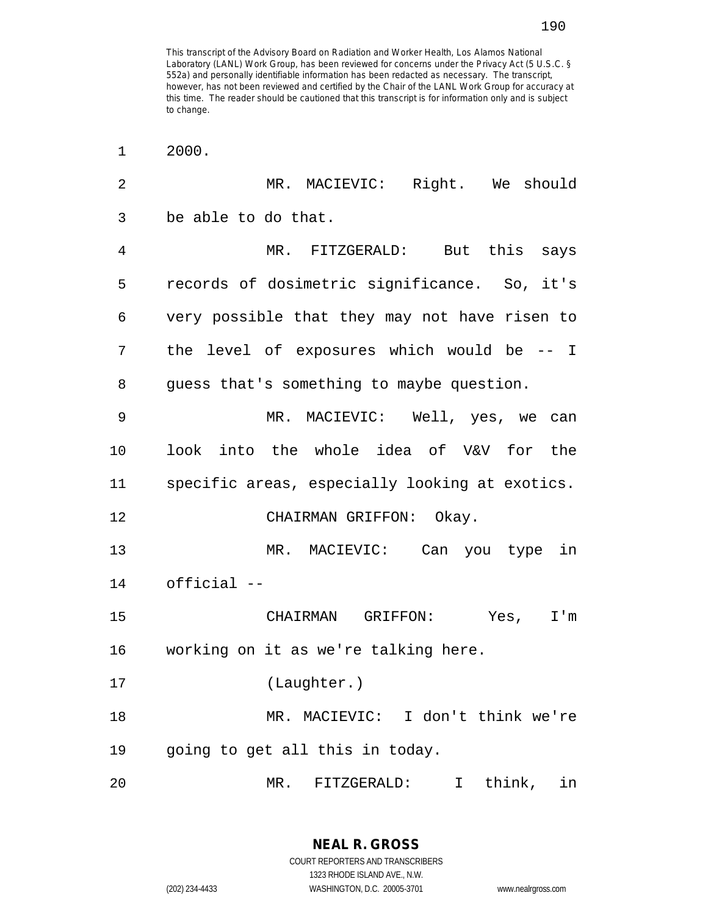| 2000. |
|-------|
|       |

| $\overline{2}$ | MR. MACIEVIC: Right. We should                 |
|----------------|------------------------------------------------|
| 3              | be able to do that.                            |
| 4              | MR. FITZGERALD: But this says                  |
| 5              | records of dosimetric significance. So, it's   |
| 6              | very possible that they may not have risen to  |
| 7              | the level of exposures which would be -- I     |
| 8              | guess that's something to maybe question.      |
| 9              | MR. MACIEVIC: Well, yes, we can                |
| 10             | look into the whole idea of V&V for the        |
| 11             | specific areas, especially looking at exotics. |
| 12             | CHAIRMAN GRIFFON: Okay.                        |
| 13             | MR. MACIEVIC: Can you type in                  |
| 14             | official --                                    |
| 15             | CHAIRMAN GRIFFON: Yes, I'm                     |
| 16             | working on it as we're talking here.           |
| 17             | (Laughter.)                                    |
| 18             | MR. MACIEVIC: I don't think we're              |
| 19             | going to get all this in today.                |
| 20             | I think, in<br>MR.<br>FITZGERALD:              |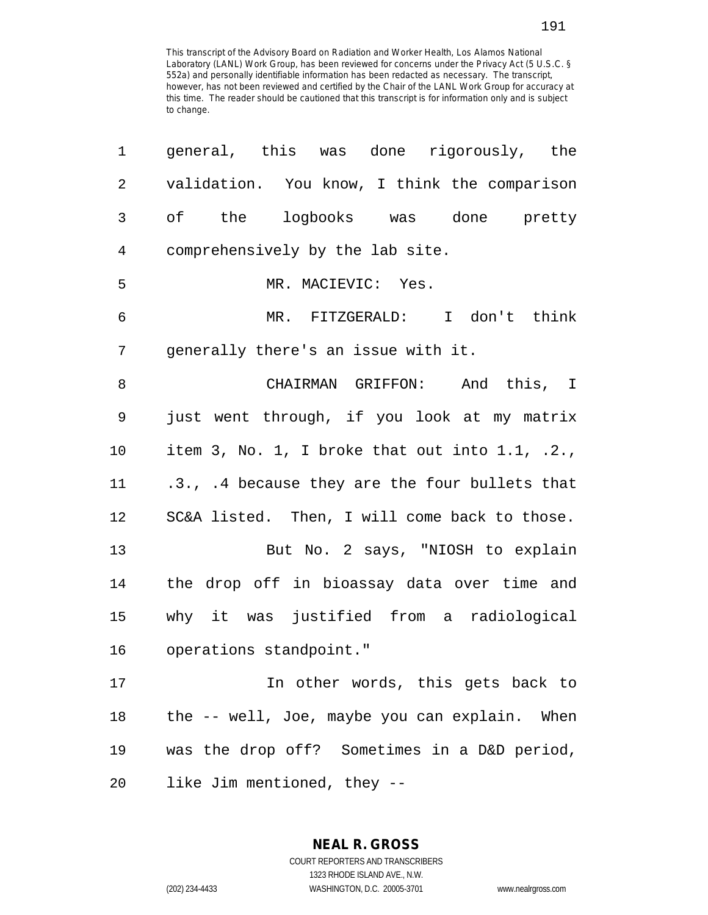| 1              | general, this was done rigorously, the               |
|----------------|------------------------------------------------------|
| 2              | validation. You know, I think the comparison         |
| 3              | of the logbooks was done pretty                      |
| $\overline{4}$ | comprehensively by the lab site.                     |
| 5              | MR. MACIEVIC: Yes.                                   |
| 6              | MR. FITZGERALD: I don't think                        |
| 7              | generally there's an issue with it.                  |
| 8              | CHAIRMAN GRIFFON: And this, I                        |
| 9              | just went through, if you look at my matrix          |
| 10             | item $3$ , No. 1, I broke that out into $1.1$ , .2., |
| 11             | .3., .4 because they are the four bullets that       |
| 12             | SC&A listed. Then, I will come back to those.        |
| 13             | But No. 2 says, "NIOSH to explain                    |
| 14             | the drop off in bioassay data over time and          |
| 15             | why it was justified from a radiological             |
| 16             | operations standpoint."                              |
| 17             | In other words, this gets back to                    |
| 18             | the -- well, Joe, maybe you can explain. When        |
| 19             | was the drop off? Sometimes in a D&D period,         |
| 20             | like Jim mentioned, they --                          |

**NEAL R. GROSS** COURT REPORTERS AND TRANSCRIBERS

1323 RHODE ISLAND AVE., N.W.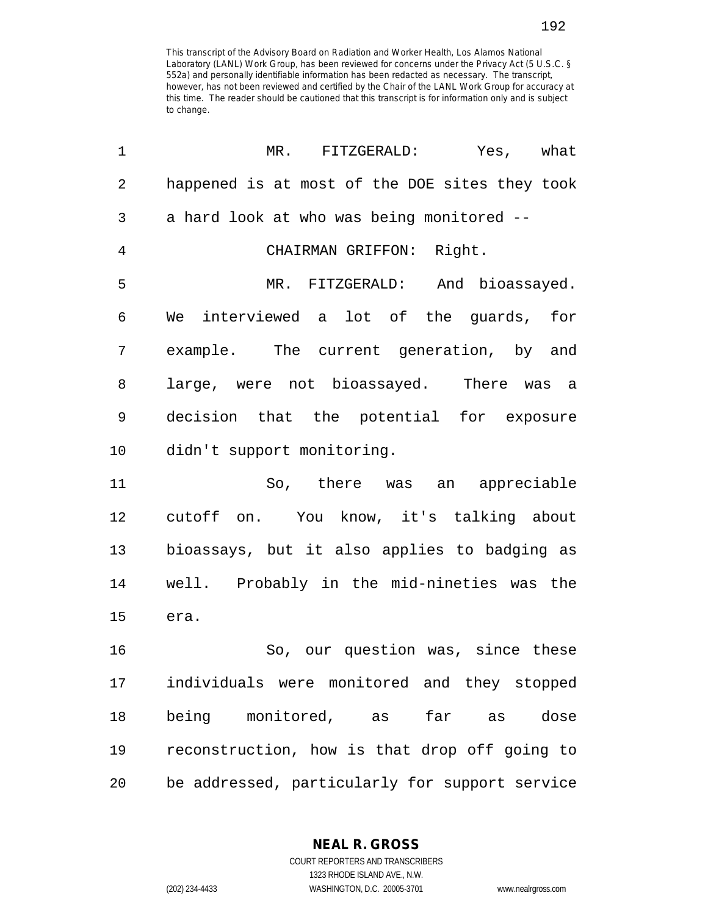| 1              | FITZGERALD:<br>MR.<br>Yes, what                |
|----------------|------------------------------------------------|
| $\overline{2}$ | happened is at most of the DOE sites they took |
| 3              | a hard look at who was being monitored --      |
| $\overline{4}$ | CHAIRMAN GRIFFON: Right.                       |
| 5              | MR. FITZGERALD: And bioassayed.                |
| 6              | We interviewed a lot of the guards, for        |
| 7              | example. The current generation, by and        |
| 8              | large, were not bioassayed. There was a        |
| 9              | decision that the potential for exposure       |
| 10             | didn't support monitoring.                     |
| 11             | So, there was an appreciable                   |
| 12             | cutoff on. You know, it's talking about        |
| 13             | bioassays, but it also applies to badging as   |
| 14             | well. Probably in the mid-nineties was the     |
| 15             | era.                                           |
| 16             | So, our question was, since these              |
| 17             | individuals were monitored and they stopped    |
| 18             | being monitored, as far<br>dose<br>as          |
| 19             | reconstruction, how is that drop off going to  |
| 20             | be addressed, particularly for support service |

**NEAL R. GROSS**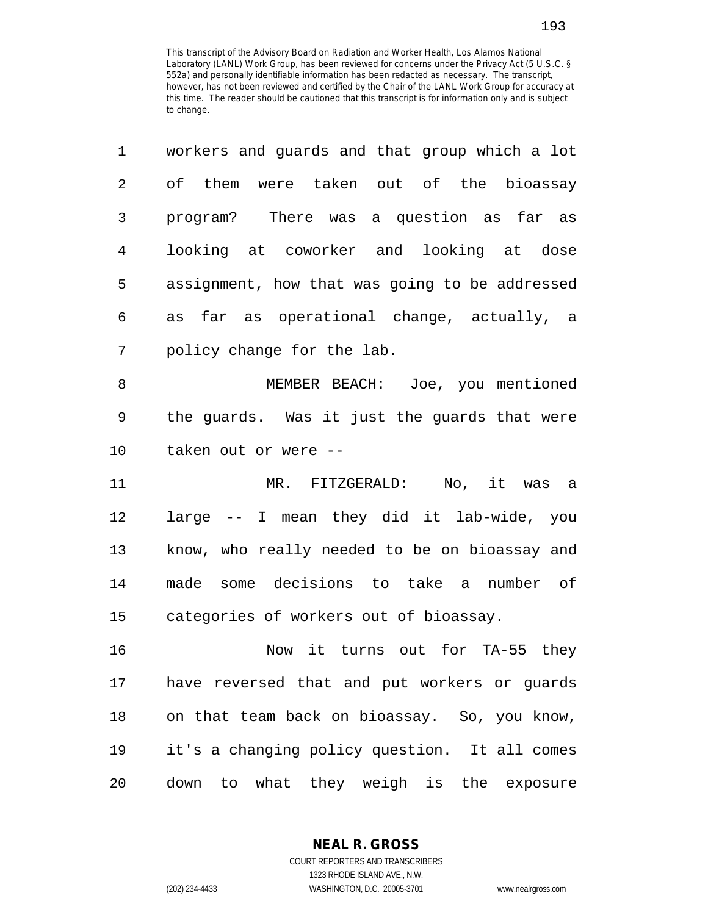| 1       | workers and guards and that group which a lot  |
|---------|------------------------------------------------|
| 2       | were taken out of the bioassay<br>of them      |
| 3       | program? There was a question as far as        |
| 4       | looking at coworker and looking at dose        |
| 5       | assignment, how that was going to be addressed |
| 6       | as far as operational change, actually, a      |
| 7       | policy change for the lab.                     |
| 8       | MEMBER BEACH: Joe, you mentioned               |
| 9       | the guards. Was it just the guards that were   |
| $10 \,$ | taken out or were --                           |
| 11      | MR. FITZGERALD: No, it was a                   |
| 12      | large -- I mean they did it lab-wide, you      |
| 13      | know, who really needed to be on bioassay and  |
| 14      | made some decisions to take a number of        |
| 15      | categories of workers out of bioassay.         |
| 16      | Now it turns out for TA-55 they                |
| 17      | have reversed that and put workers or guards   |
| 18      | on that team back on bioassay. So, you know,   |
| 19      | it's a changing policy question. It all comes  |
| 20      | down to what they weigh is the exposure        |

**NEAL R. GROSS**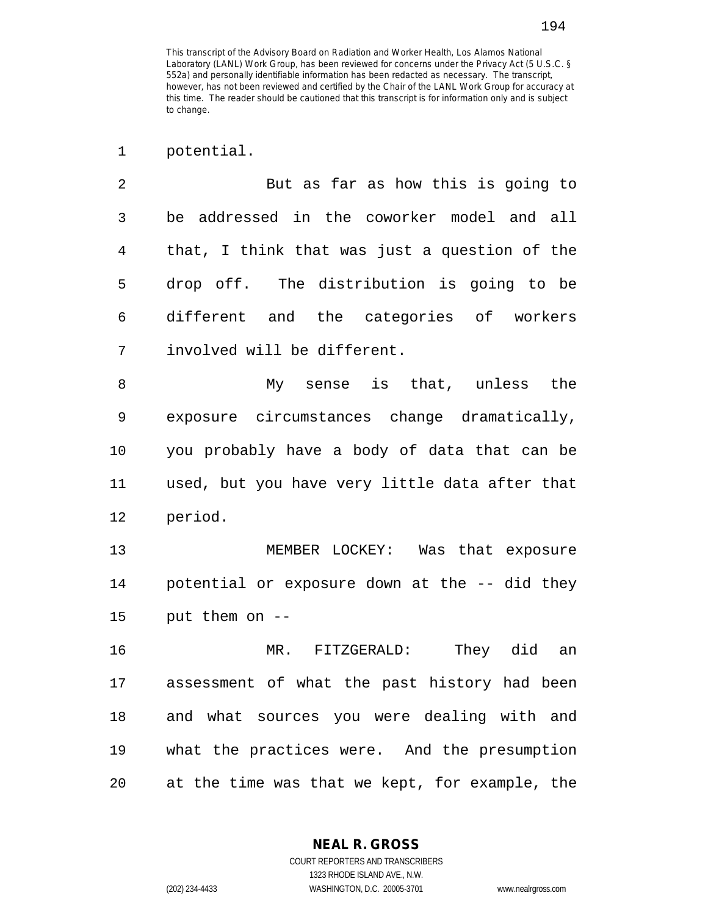2 But as far as how this is going to 3 be addressed in the coworker model and all 4 that, I think that was just a question of the 5 drop off. The distribution is going to be 6 different and the categories of workers 7 involved will be different.

8 My sense is that, unless the 9 exposure circumstances change dramatically, 10 you probably have a body of data that can be 11 used, but you have very little data after that 12 period.

13 MEMBER LOCKEY: Was that exposure 14 potential or exposure down at the -- did they 15 put them on --

16 MR. FITZGERALD: They did an 17 assessment of what the past history had been 18 and what sources you were dealing with and 19 what the practices were. And the presumption 20 at the time was that we kept, for example, the

> **NEAL R. GROSS** COURT REPORTERS AND TRANSCRIBERS

> > 1323 RHODE ISLAND AVE., N.W.

<sup>1</sup> potential.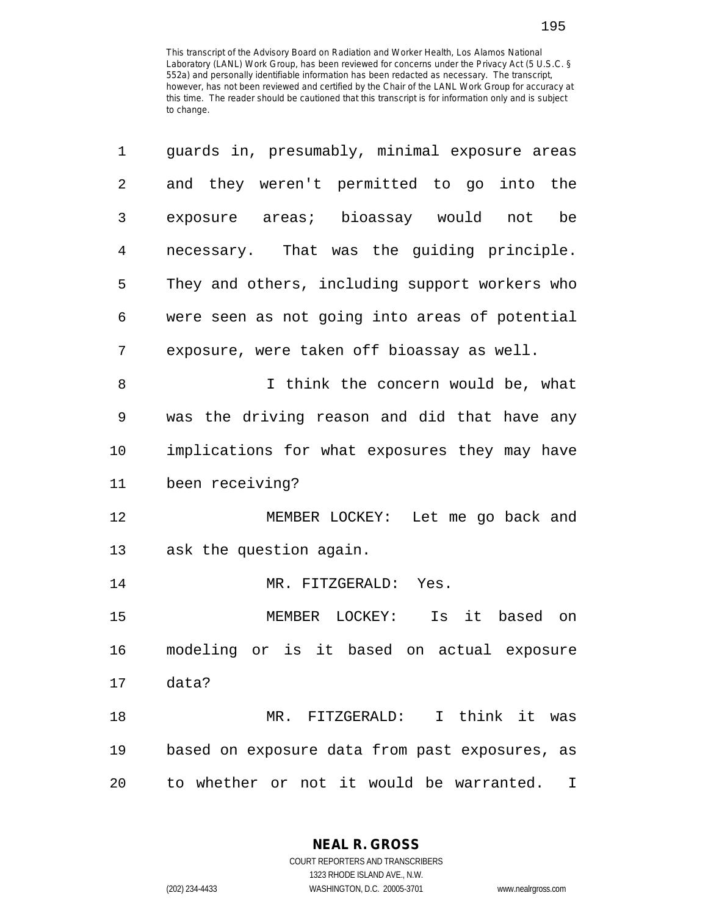| 1              | guards in, presumably, minimal exposure areas  |
|----------------|------------------------------------------------|
| $\overline{2}$ | and they weren't permitted to go into the      |
| 3              | exposure areas; bioassay would not<br>be       |
| 4              | necessary. That was the guiding principle.     |
| 5              | They and others, including support workers who |
| 6              | were seen as not going into areas of potential |
| 7              | exposure, were taken off bioassay as well.     |
| 8              | I think the concern would be, what             |
| 9              | was the driving reason and did that have any   |
| 10             | implications for what exposures they may have  |
| 11             | been receiving?                                |
| 12             | MEMBER LOCKEY: Let me go back and              |
| 13             | ask the question again.                        |
| 14             | MR. FITZGERALD: Yes.                           |
| 15             | it based on<br>MEMBER LOCKEY:<br>Is            |
| 16             | modeling or is it based on actual exposure     |
| 17             | data?                                          |
| 18             | MR. FITZGERALD: I think it was                 |
| 19             | based on exposure data from past exposures, as |
| 20             | to whether or not it would be warranted.<br>I  |

**NEAL R. GROSS**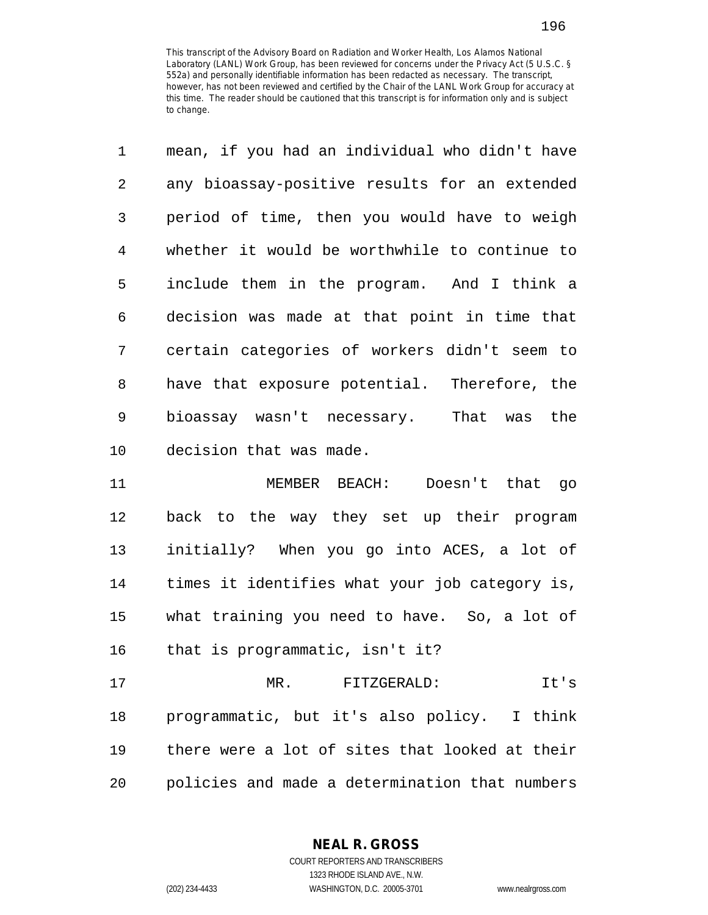| $\mathbf{1}$ | mean, if you had an individual who didn't have |
|--------------|------------------------------------------------|
| 2            | any bioassay-positive results for an extended  |
| 3            | period of time, then you would have to weigh   |
| 4            | whether it would be worthwhile to continue to  |
| 5            | include them in the program. And I think a     |
| 6            | decision was made at that point in time that   |
| 7            | certain categories of workers didn't seem to   |
| 8            | have that exposure potential. Therefore, the   |
| 9            | bioassay wasn't necessary.<br>That was the     |
| 10           | decision that was made.                        |
| 11           | MEMBER BEACH:<br>Doesn't that go               |
| 12           | back to the way they set up their program      |

13 initially? When you go into ACES, a lot of 14 times it identifies what your job category is, 15 what training you need to have. So, a lot of 16 that is programmatic, isn't it?

17 MR. FITZGERALD: It's 18 programmatic, but it's also policy. I think 19 there were a lot of sites that looked at their 20 policies and made a determination that numbers

> **NEAL R. GROSS** COURT REPORTERS AND TRANSCRIBERS

> > 1323 RHODE ISLAND AVE., N.W.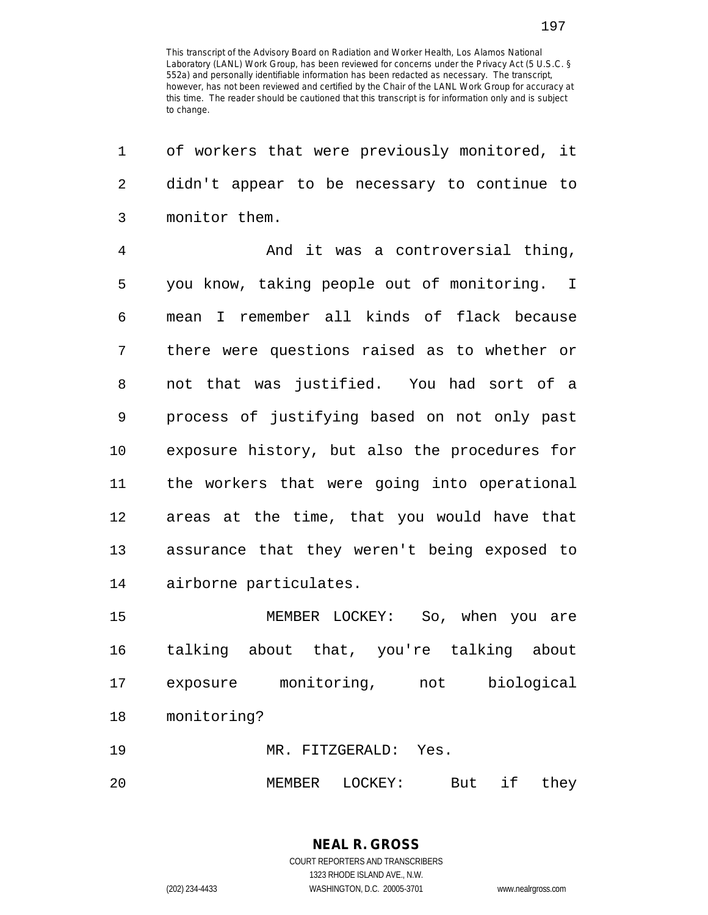| 1              | of workers that were previously monitored, it |
|----------------|-----------------------------------------------|
| $\overline{2}$ | didn't appear to be necessary to continue to  |
| 3              | monitor them.                                 |
| 4              | And it was a controversial thing,             |
| 5              | you know, taking people out of monitoring. I  |
| 6              | mean I remember all kinds of flack because    |
| 7              | there were questions raised as to whether or  |
| 8              | not that was justified. You had sort of a     |
| 9              | process of justifying based on not only past  |
| 10             | exposure history, but also the procedures for |
| 11             | the workers that were going into operational  |
| 12             | areas at the time, that you would have that   |
| 13             | assurance that they weren't being exposed to  |
| 14             | airborne particulates.                        |
| 15             | MEMBER LOCKEY: So, when you are               |
| 16             | talking about that, you're talking about      |
| 17             | monitoring,<br>biological<br>not<br>exposure  |
| 18             | monitoring?                                   |
| 19             | MR. FITZGERALD:<br>Yes.                       |
| 20             | if<br>MEMBER<br>LOCKEY:<br>But<br>they        |

COURT REPORTERS AND TRANSCRIBERS 1323 RHODE ISLAND AVE., N.W. (202) 234-4433 WASHINGTON, D.C. 20005-3701 www.nealrgross.com

**NEAL R. GROSS**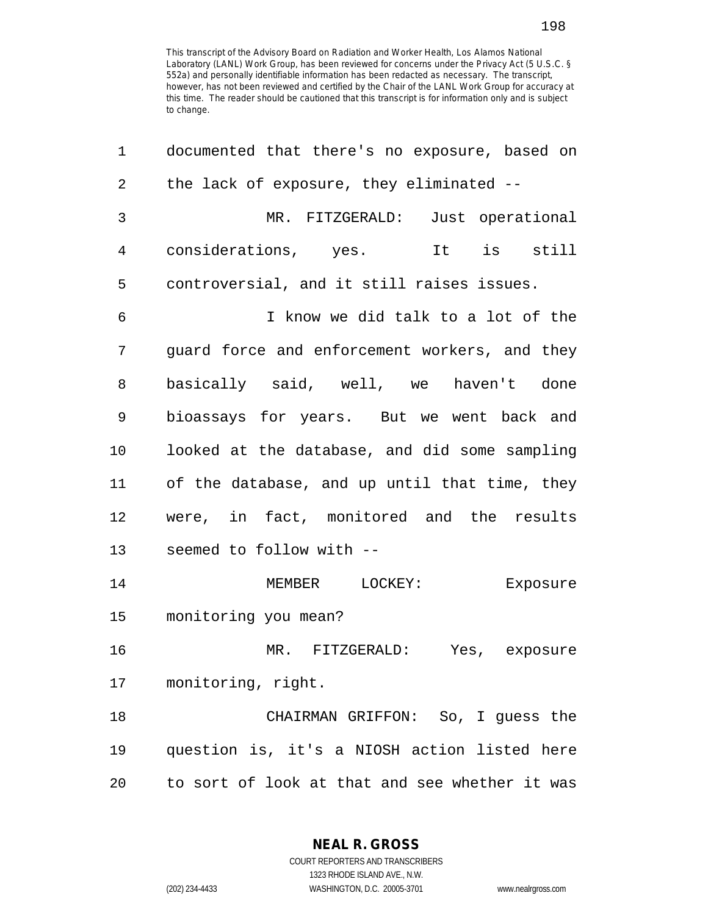| 1<br>documented that there's no exposure, based on   |
|------------------------------------------------------|
| 2<br>the lack of exposure, they eliminated --        |
| 3<br>MR. FITZGERALD: Just operational                |
| considerations, yes. It is still<br>$\overline{4}$   |
| controversial, and it still raises issues.<br>5      |
| I know we did talk to a lot of the<br>6              |
| 7<br>guard force and enforcement workers, and they   |
| basically said, well, we haven't done<br>8           |
| bioassays for years. But we went back and<br>9       |
| looked at the database, and did some sampling<br>10  |
| of the database, and up until that time, they<br>11  |
| were, in fact, monitored and the results<br>12       |
| seemed to follow with --<br>13                       |
| MEMBER LOCKEY:<br>14<br>Exposure                     |
| monitoring you mean?<br>15                           |
| 16<br>MR. FITZGERALD:<br>Yes, exposure               |
| monitoring, right.<br>17                             |
| CHAIRMAN GRIFFON: So, I guess the<br>18              |
| question is, it's a NIOSH action listed here<br>19   |
| to sort of look at that and see whether it was<br>20 |

**NEAL R. GROSS**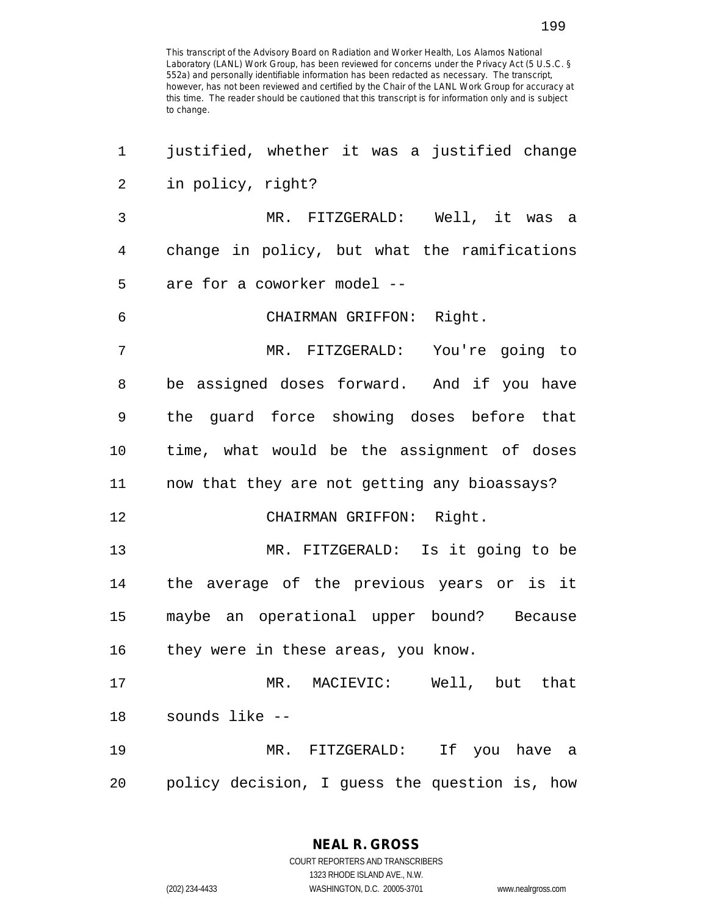| 1  | justified, whether it was a justified change  |
|----|-----------------------------------------------|
| 2  | in policy, right?                             |
| 3  | MR. FITZGERALD: Well, it was a                |
| 4  | change in policy, but what the ramifications  |
| 5  | are for a coworker model --                   |
| 6  | CHAIRMAN GRIFFON: Right.                      |
| 7  | MR. FITZGERALD: You're going to               |
| 8  | be assigned doses forward. And if you have    |
| 9  | the guard force showing doses before that     |
| 10 | time, what would be the assignment of doses   |
| 11 | now that they are not getting any bioassays?  |
| 12 | CHAIRMAN GRIFFON: Right.                      |
| 13 | MR. FITZGERALD: Is it going to be             |
| 14 | the average of the previous years or is it    |
| 15 | maybe an operational upper bound? Because     |
| 16 | they were in these areas, you know.           |
| 17 | MR. MACIEVIC: Well, but that                  |
| 18 | sounds like --                                |
| 19 | MR. FITZGERALD: If you have a                 |
| 20 | policy decision, I guess the question is, how |

**NEAL R. GROSS**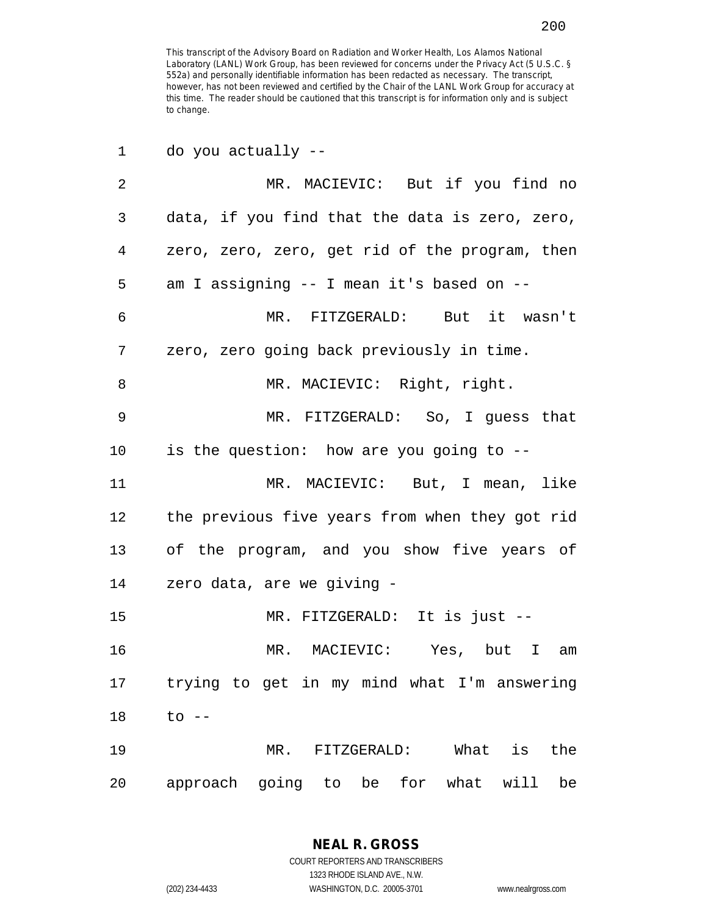1 do you actually -- 2 MR. MACIEVIC: But if you find no 3 data, if you find that the data is zero, zero, 4 zero, zero, zero, get rid of the program, then 5 am I assigning -- I mean it's based on -- 6 MR. FITZGERALD: But it wasn't 7 zero, zero going back previously in time. 8 MR. MACIEVIC: Right, right. 9 MR. FITZGERALD: So, I guess that 10 is the question: how are you going to -- 11 MR. MACIEVIC: But, I mean, like 12 the previous five years from when they got rid 13 of the program, and you show five years of 14 zero data, are we giving - 15 MR. FITZGERALD: It is just -- 16 MR. MACIEVIC: Yes, but I am 17 trying to get in my mind what I'm answering 18 to -- 19 MR. FITZGERALD: What is the 20 approach going to be for what will be

**NEAL R. GROSS**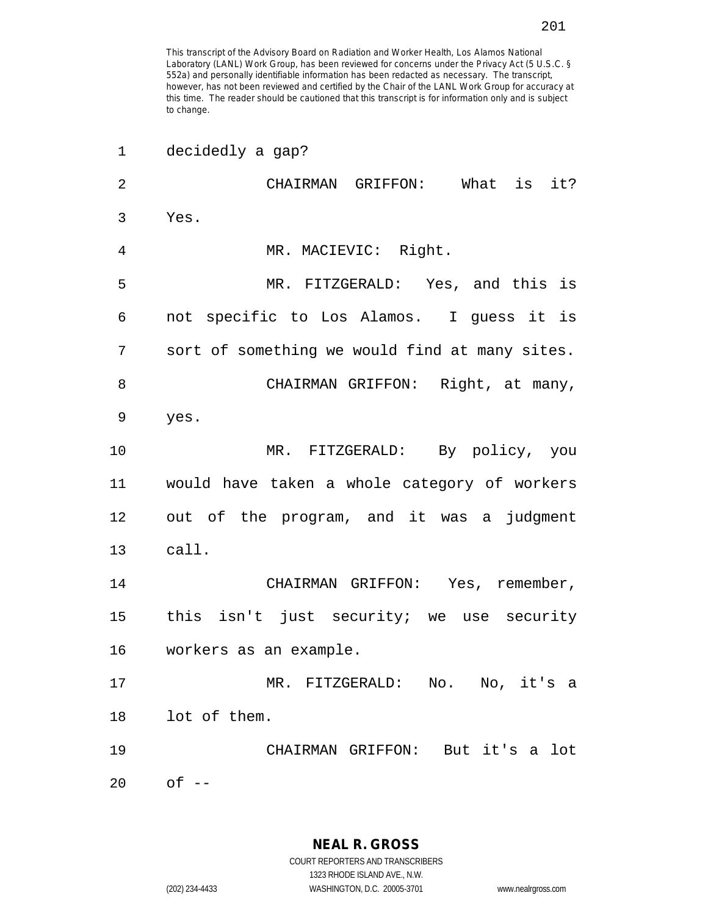| $\mathbf 1$ | decidedly a gap?                               |
|-------------|------------------------------------------------|
| 2           | CHAIRMAN GRIFFON: What is it?                  |
| 3           | Yes.                                           |
| 4           | MR. MACIEVIC: Right.                           |
| 5           | MR. FITZGERALD: Yes, and this is               |
| 6           | not specific to Los Alamos. I guess it is      |
| 7           | sort of something we would find at many sites. |
| 8           | CHAIRMAN GRIFFON: Right, at many,              |
| 9           | yes.                                           |
| 10          | MR. FITZGERALD: By policy, you                 |
| 11          | would have taken a whole category of workers   |
| 12          | out of the program, and it was a judgment      |
| 13          | call.                                          |
| 14          | CHAIRMAN GRIFFON: Yes, remember,               |
| 15          | this isn't just security; we use security      |
| 16          | workers as an example.                         |
| 17          | MR. FITZGERALD: No. No, it's a                 |
| 18          | lot of them.                                   |
| 19          | CHAIRMAN GRIFFON: But it's a lot               |
| 20          | $of --$                                        |

**NEAL R. GROSS**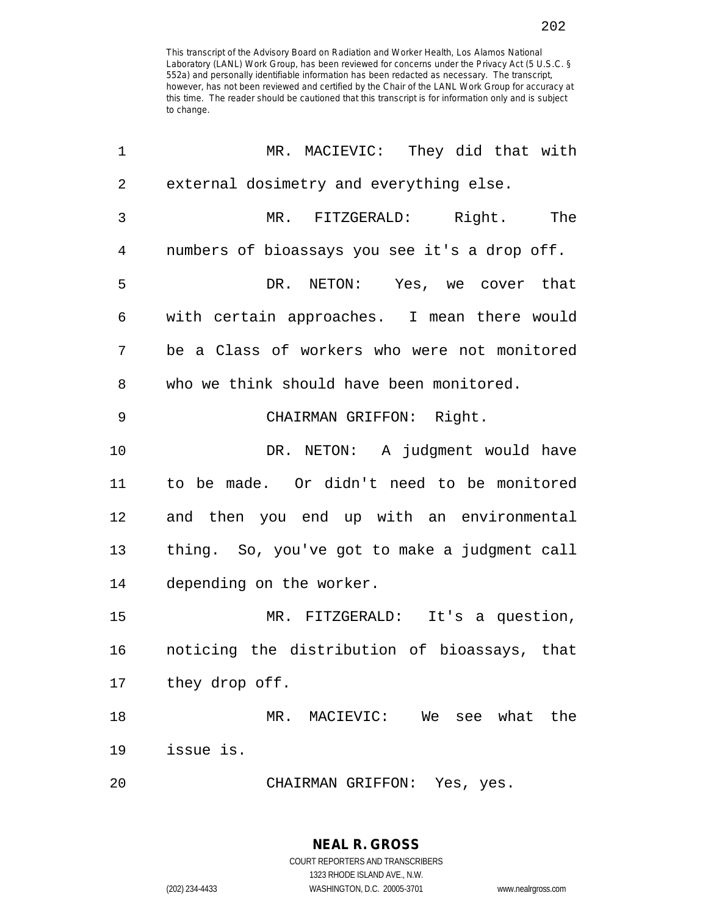| 1  | MR. MACIEVIC: They did that with              |
|----|-----------------------------------------------|
| 2  | external dosimetry and everything else.       |
| 3  | MR. FITZGERALD: Right. The                    |
| 4  | numbers of bioassays you see it's a drop off. |
| 5  | DR. NETON: Yes, we cover that                 |
| 6  | with certain approaches. I mean there would   |
| 7  | be a Class of workers who were not monitored  |
| 8  | who we think should have been monitored.      |
| 9  | CHAIRMAN GRIFFON: Right.                      |
| 10 | DR. NETON: A judgment would have              |
| 11 | to be made. Or didn't need to be monitored    |
| 12 | and then you end up with an environmental     |
| 13 | thing. So, you've got to make a judgment call |
| 14 | depending on the worker.                      |
| 15 | MR. FITZGERALD: It's a question,              |
| 16 | noticing the distribution of bioassays, that  |
| 17 | they drop off.                                |
| 18 | MR. MACIEVIC: We see what the                 |
| 19 | issue is.                                     |
| 20 | CHAIRMAN GRIFFON: Yes, yes.                   |

**NEAL R. GROSS** COURT REPORTERS AND TRANSCRIBERS

1323 RHODE ISLAND AVE., N.W.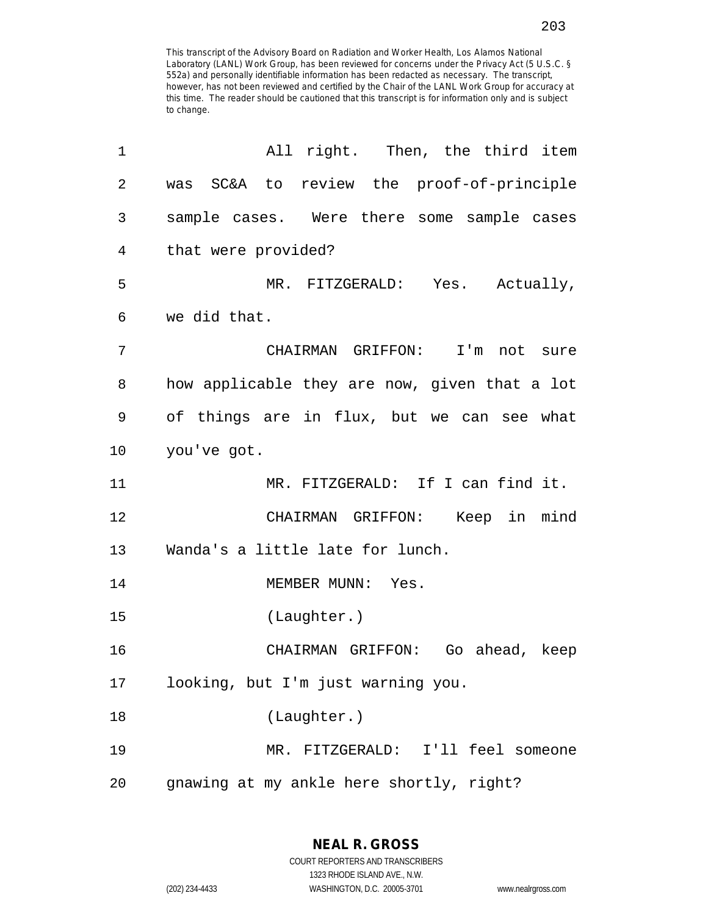| 1              | All right. Then, the third item               |
|----------------|-----------------------------------------------|
| $\overline{2}$ | was SC&A to review the proof-of-principle     |
| 3              | sample cases. Were there some sample cases    |
| 4              | that were provided?                           |
| 5              | MR. FITZGERALD: Yes. Actually,                |
| 6              | we did that.                                  |
| 7              | CHAIRMAN GRIFFON: I'm not<br>sure             |
| 8              | how applicable they are now, given that a lot |
| 9              | of things are in flux, but we can see what    |
| 10             | you've got.                                   |
| 11             | MR. FITZGERALD: If I can find it.             |
| 12             | CHAIRMAN GRIFFON: Keep in<br>mind             |
| 13             | Wanda's a little late for lunch.              |
| 14             | MEMBER MUNN: Yes.                             |
| 15             | (Laughter.)                                   |
| 16             | CHAIRMAN GRIFFON:<br>Go ahead, keep           |
| 17             | looking, but I'm just warning you.            |
| 18             | (Laughter.)                                   |
| 19             | MR. FITZGERALD: I'll feel someone             |
| 20             | gnawing at my ankle here shortly, right?      |

**NEAL R. GROSS**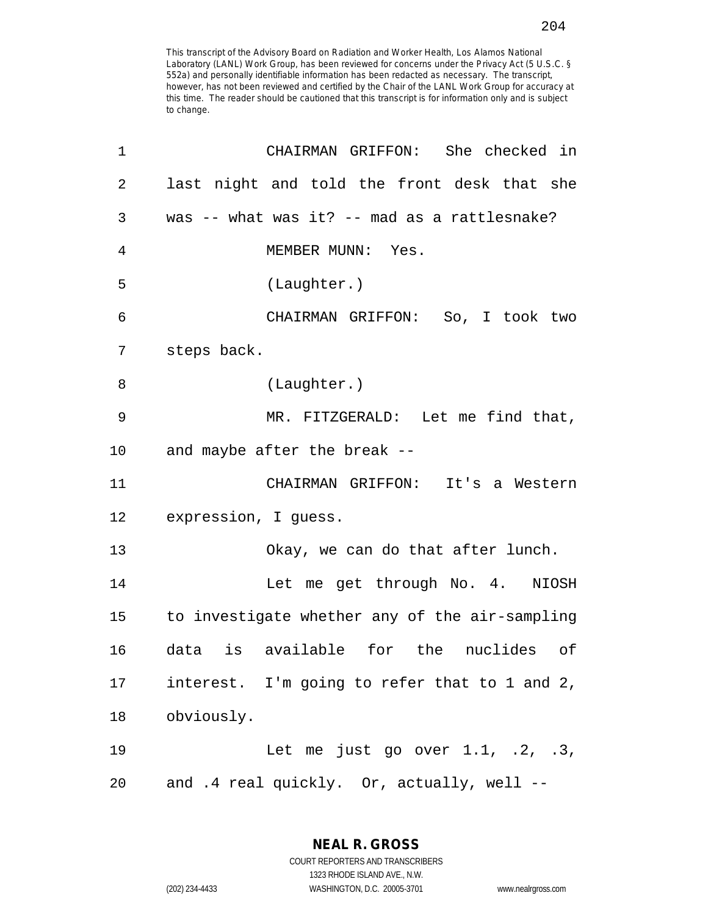| 1  | CHAIRMAN GRIFFON: She checked in               |
|----|------------------------------------------------|
| 2  | last night and told the front desk that she    |
| 3  | was -- what was it? -- mad as a rattlesnake?   |
| 4  | MEMBER MUNN: Yes.                              |
| 5  | (Laughter.)                                    |
| 6  | CHAIRMAN GRIFFON: So, I took two               |
| 7  | steps back.                                    |
| 8  | (Laughter.)                                    |
| 9  | MR. FITZGERALD: Let me find that,              |
| 10 | and maybe after the break --                   |
| 11 | CHAIRMAN GRIFFON: It's a Western               |
| 12 | expression, I guess.                           |
| 13 | Okay, we can do that after lunch.              |
| 14 | Let me get through No. 4. NIOSH                |
| 15 | to investigate whether any of the air-sampling |
| 16 | data is available for the<br>nuclides of       |
| 17 | interest. I'm going to refer that to 1 and 2,  |
| 18 | obviously.                                     |
| 19 | Let me just go over $1.1$ , $.2$ , $.3$ ,      |
| 20 | and .4 real quickly. Or, actually, well --     |

**NEAL R. GROSS**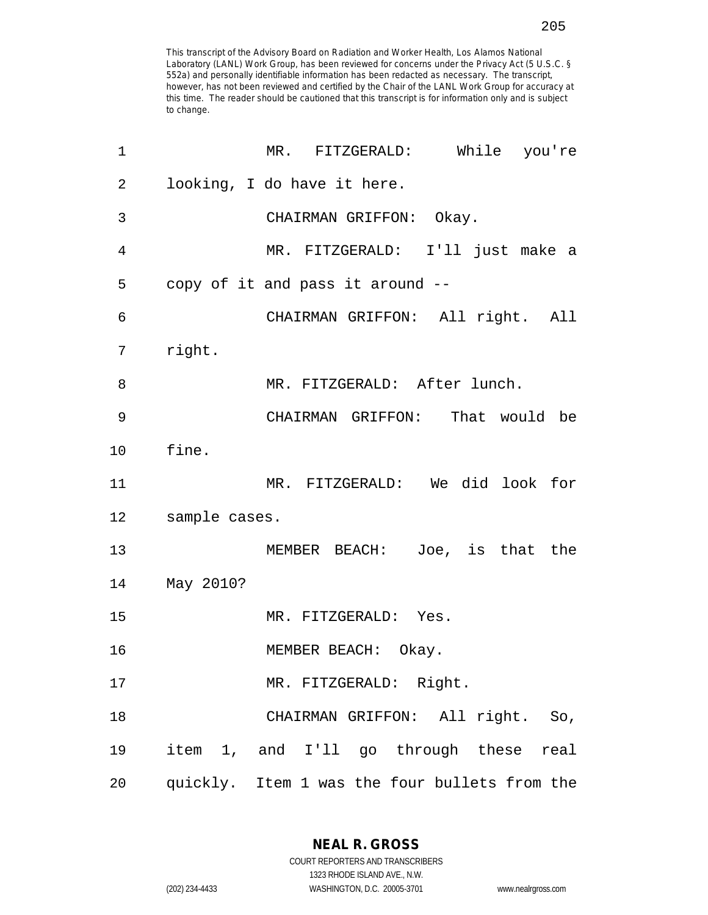| 1               | MR. FITZGERALD: While you're                  |
|-----------------|-----------------------------------------------|
| 2               | looking, I do have it here.                   |
| 3               | CHAIRMAN GRIFFON: Okay.                       |
| 4               | MR. FITZGERALD: I'll just make a              |
| 5               | copy of it and pass it around --              |
| 6               | CHAIRMAN GRIFFON: All right. All              |
| 7               | right.                                        |
| 8               | MR. FITZGERALD: After lunch.                  |
| 9               | CHAIRMAN GRIFFON: That would be               |
| 10              | fine.                                         |
| 11              | MR. FITZGERALD: We did look for               |
| 12 <sub>2</sub> | sample cases.                                 |
| 13              | MEMBER BEACH: Joe, is that the                |
| 14              | May 2010?                                     |
| 15              | MR. FITZGERALD: Yes.                          |
| 16              | MEMBER BEACH: Okay.                           |
| 17              | MR. FITZGERALD: Right.                        |
| 18              | CHAIRMAN GRIFFON: All right. So,              |
| 19              | item 1, and I'll go through these<br>real     |
| 20              | quickly. Item 1 was the four bullets from the |

**NEAL R. GROSS**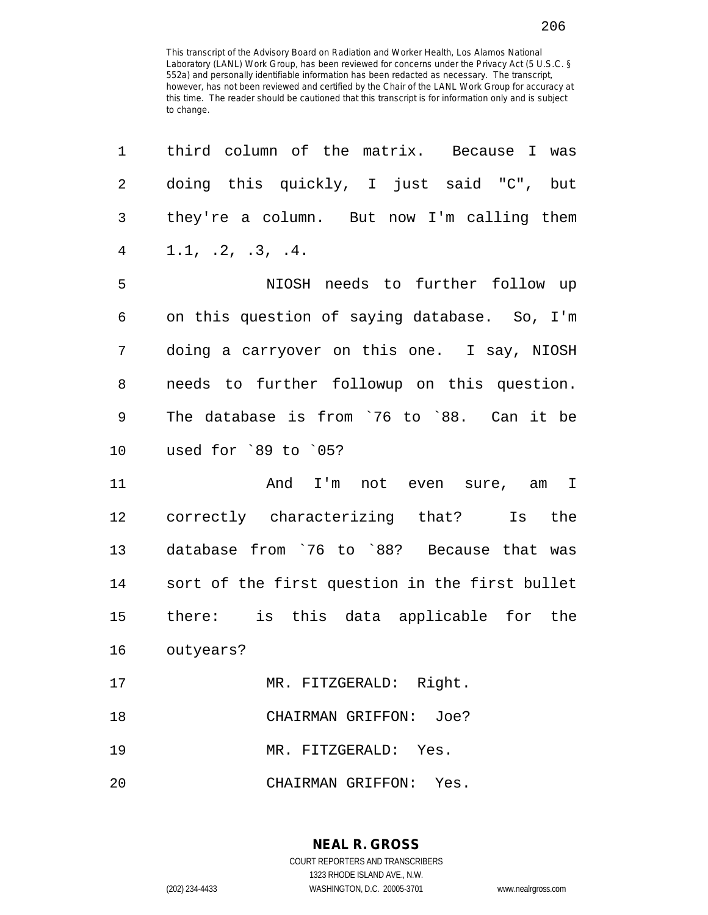| 1  | third column of the matrix. Because I was      |
|----|------------------------------------------------|
| 2  | doing this quickly, I just said "C", but       |
| 3  | they're a column. But now I'm calling them     |
| 4  | 1.1, .2, .3, .4.                               |
| 5  | NIOSH needs to further follow up               |
| 6  | on this question of saying database. So, I'm   |
| 7  | doing a carryover on this one. I say, NIOSH    |
| 8  | needs to further followup on this question.    |
| 9  | The database is from '76 to '88. Can it be     |
| 10 | used for `89 to `05?                           |
| 11 | And I'm not even sure, am I                    |
| 12 | correctly characterizing that? Is the          |
| 13 | database from '76 to '88? Because that was     |
| 14 | sort of the first question in the first bullet |
| 15 | there: is this data applicable for the         |
| 16 | outyears?                                      |
| 17 | MR. FITZGERALD: Right.                         |
| 18 | CHAIRMAN GRIFFON: Joe?                         |
| 19 | MR. FITZGERALD: Yes.                           |
| 20 | CHAIRMAN GRIFFON: Yes.                         |

**NEAL R. GROSS**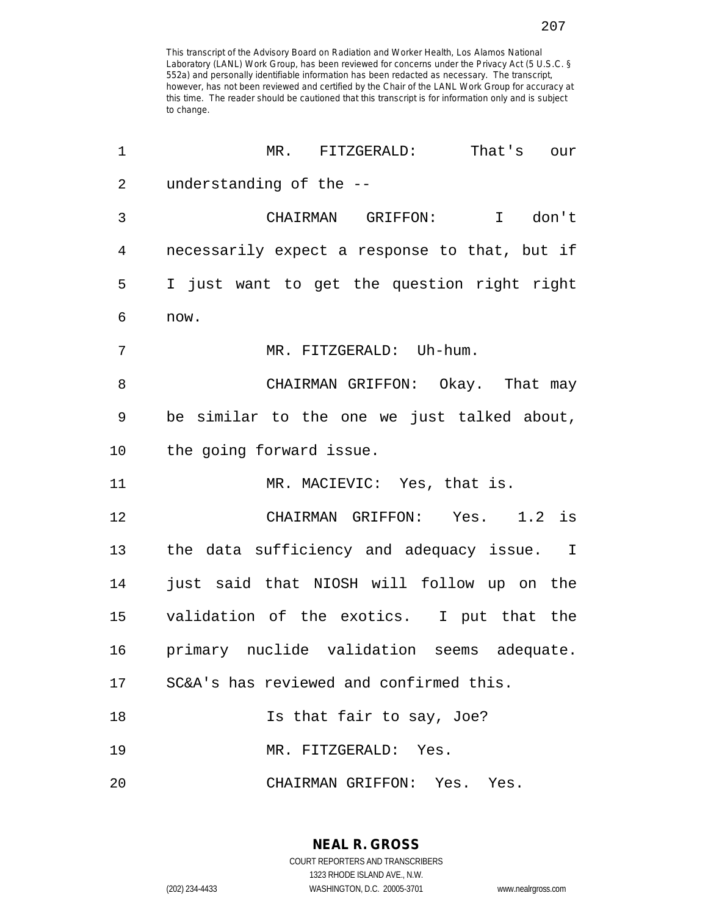| 1              | FITZGERALD:<br>That's<br>MR.<br>our           |
|----------------|-----------------------------------------------|
| $\overline{2}$ | understanding of the --                       |
| 3              | CHAIRMAN GRIFFON:<br>I don't                  |
| 4              | necessarily expect a response to that, but if |
| 5              | I just want to get the question right right   |
| 6              | now.                                          |
| 7              | MR. FITZGERALD: Uh-hum.                       |
| 8              | CHAIRMAN GRIFFON: Okay. That may              |
| 9              | be similar to the one we just talked about,   |
| 10             | the going forward issue.                      |
| 11             | MR. MACIEVIC: Yes, that is.                   |
| 12             | CHAIRMAN GRIFFON: Yes. 1.2 is                 |
| 13             | the data sufficiency and adequacy issue. I    |
| 14             | just said that NIOSH will follow up on the    |
| 15             | validation of the exotics. I put that the     |
| 16             | primary nuclide validation seems adequate.    |
| 17             | SC&A's has reviewed and confirmed this.       |
| 18             | Is that fair to say, Joe?                     |
| 19             | MR. FITZGERALD: Yes.                          |
| 20             | CHAIRMAN GRIFFON: Yes. Yes.                   |

**NEAL R. GROSS** COURT REPORTERS AND TRANSCRIBERS

1323 RHODE ISLAND AVE., N.W.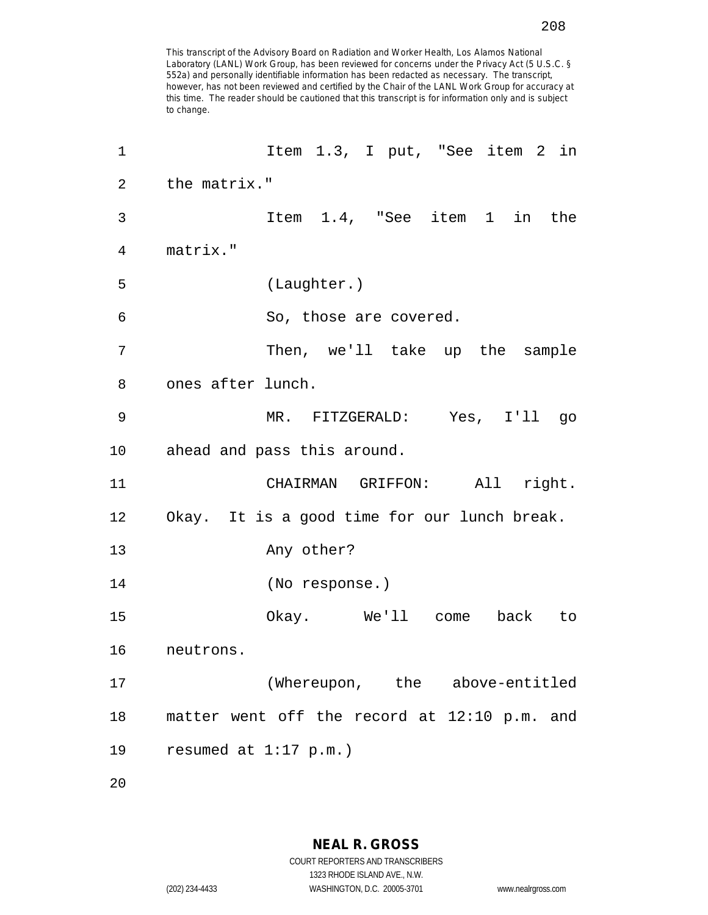1 1 Item 1.3, I put, "See item 2 in 2 the matrix." 3 Item 1.4, "See item 1 in the 4 matrix." 5 (Laughter.) 6 So, those are covered. 7 Then, we'll take up the sample 8 ones after lunch. 9 MR. FITZGERALD: Yes, I'll go 10 ahead and pass this around. 11 CHAIRMAN GRIFFON: All right. 12 Okay. It is a good time for our lunch break. 13 Any other? 14 (No response.) 15 Okay. We'll come back to 16 neutrons. 17 (Whereupon, the above-entitled 18 matter went off the record at 12:10 p.m. and 19 resumed at 1:17 p.m.) 20

**NEAL R. GROSS**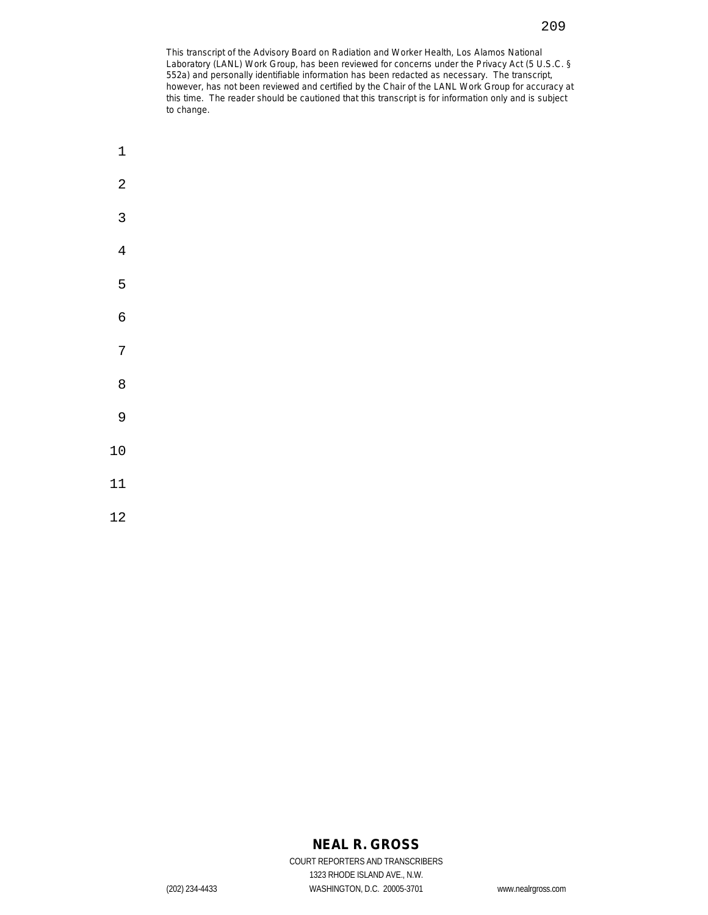- 1 2 3 4 5 6 7 8 9 10 11
- 12

## **NEAL R. GROSS**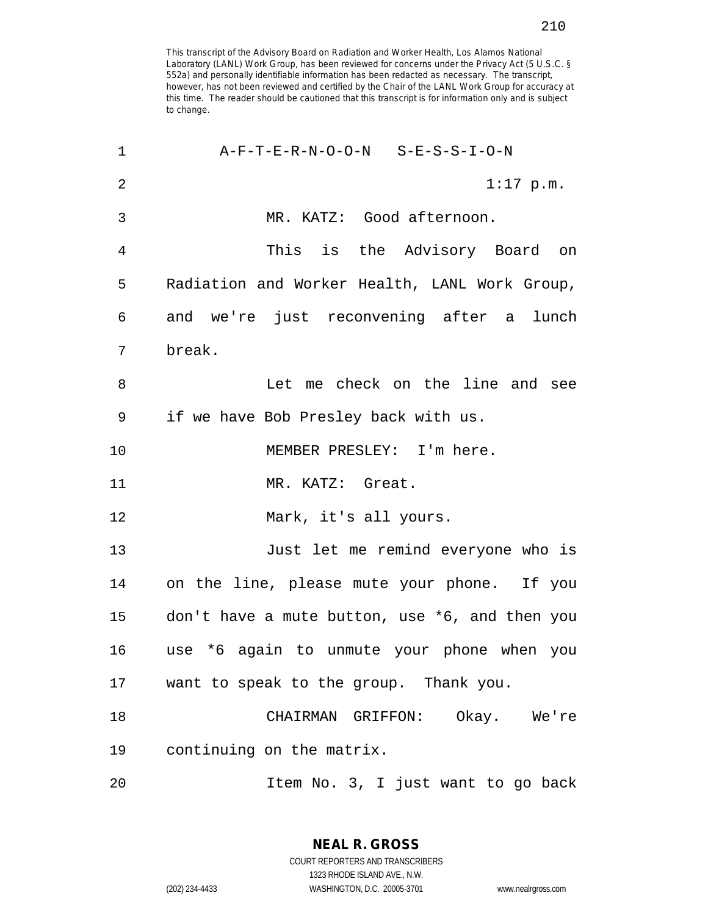| 1              | A-F-T-E-R-N-O-O-N S-E-S-S-I-O-N                |
|----------------|------------------------------------------------|
| $\overline{2}$ | $1:17$ p.m.                                    |
| 3              | MR. KATZ: Good afternoon.                      |
| 4              | This is the Advisory Board on                  |
| 5              | Radiation and Worker Health, LANL Work Group,  |
| 6              | and we're just reconvening after a lunch       |
| 7              | break.                                         |
| 8              | Let me check on the line and see               |
| 9              | if we have Bob Presley back with us.           |
| 10             | MEMBER PRESLEY: I'm here.                      |
| 11             | MR. KATZ: Great.                               |
| 12             | Mark, it's all yours.                          |
| 13             | Just let me remind everyone who is             |
| 14             | on the line, please mute your phone. If you    |
| 15             | don't have a mute button, use *6, and then you |
| 16             | use *6 again to unmute your phone when you     |
| 17             | want to speak to the group. Thank you.         |
| 18             | CHAIRMAN GRIFFON: Okay. We're                  |
| 19             | continuing on the matrix.                      |
| 20             | Item No. 3, I just want to go back             |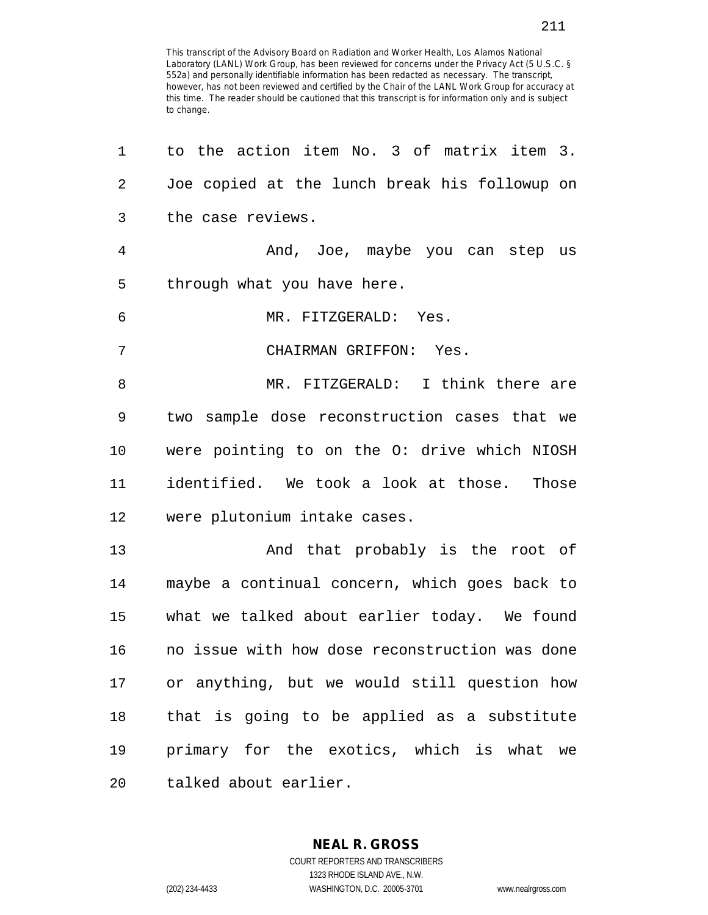| 1              | to the action item No. 3 of matrix item 3.     |
|----------------|------------------------------------------------|
| 2              | Joe copied at the lunch break his followup on  |
| 3              | the case reviews.                              |
| $\overline{4}$ | And, Joe, maybe you can step us                |
| 5              | through what you have here.                    |
| 6              | MR. FITZGERALD: Yes.                           |
| 7              | CHAIRMAN GRIFFON: Yes.                         |
| 8              | MR. FITZGERALD: I think there are              |
| 9              | two sample dose reconstruction cases that we   |
| 10             | were pointing to on the O: drive which NIOSH   |
| 11             | identified. We took a look at those. Those     |
| 12             | were plutonium intake cases.                   |
| 13             | And that probably is the root of               |
| 14             | maybe a continual concern, which goes back to  |
| 15             | what we talked about earlier today. We found   |
| 16             | no issue with how dose reconstruction was done |
| 17             | or anything, but we would still question how   |
| 18             | that is going to be applied as a substitute    |
| 19             | primary for the exotics, which is what we      |
| 20             | talked about earlier.                          |

**NEAL R. GROSS** COURT REPORTERS AND TRANSCRIBERS

1323 RHODE ISLAND AVE., N.W.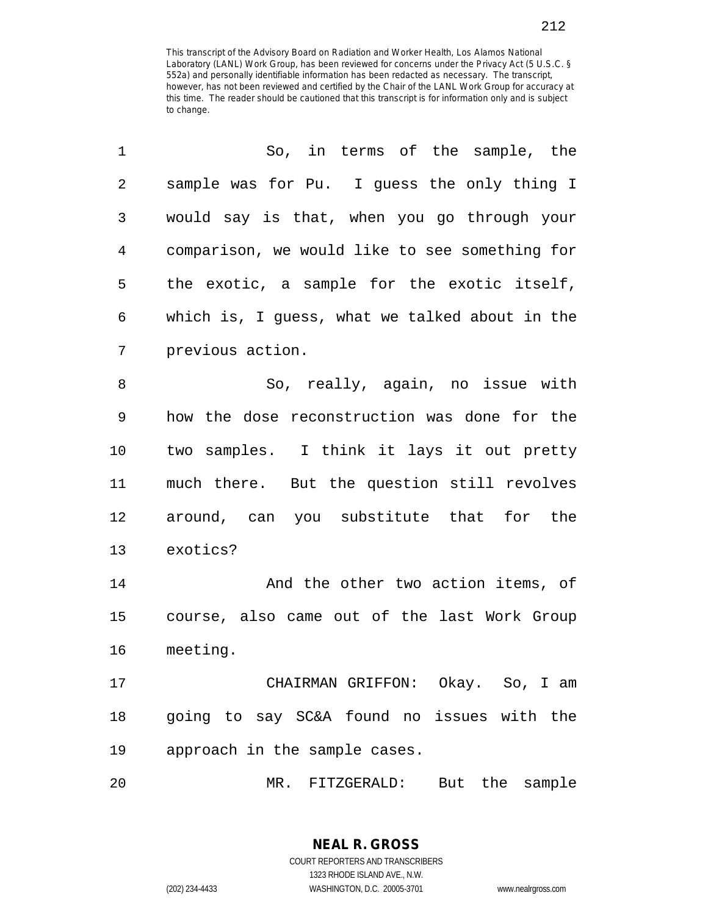| 1              | So, in terms of the sample, the                |
|----------------|------------------------------------------------|
| $\sqrt{2}$     | sample was for Pu. I guess the only thing I    |
| 3              | would say is that, when you go through your    |
| $\overline{4}$ | comparison, we would like to see something for |
| 5              | the exotic, a sample for the exotic itself,    |
| 6              | which is, I guess, what we talked about in the |
| 7              | previous action.                               |
| 8              | So, really, again, no issue with               |
| 9              | how the dose reconstruction was done for the   |
| 10             | two samples. I think it lays it out pretty     |
| 11             | much there. But the question still revolves    |
| 12             | around, can you substitute that for the        |
| 13             | exotics?                                       |
| 14             | And the other two action items, of             |
| 15             | course, also came out of the last Work Group   |
| 16             | meeting.                                       |
| 17             | CHAIRMAN GRIFFON: Okay. So, I am               |
| 18             | going to say SC&A found no issues with the     |
| 19             | approach in the sample cases.                  |
| 20             | MR. FITZGERALD: But the sample                 |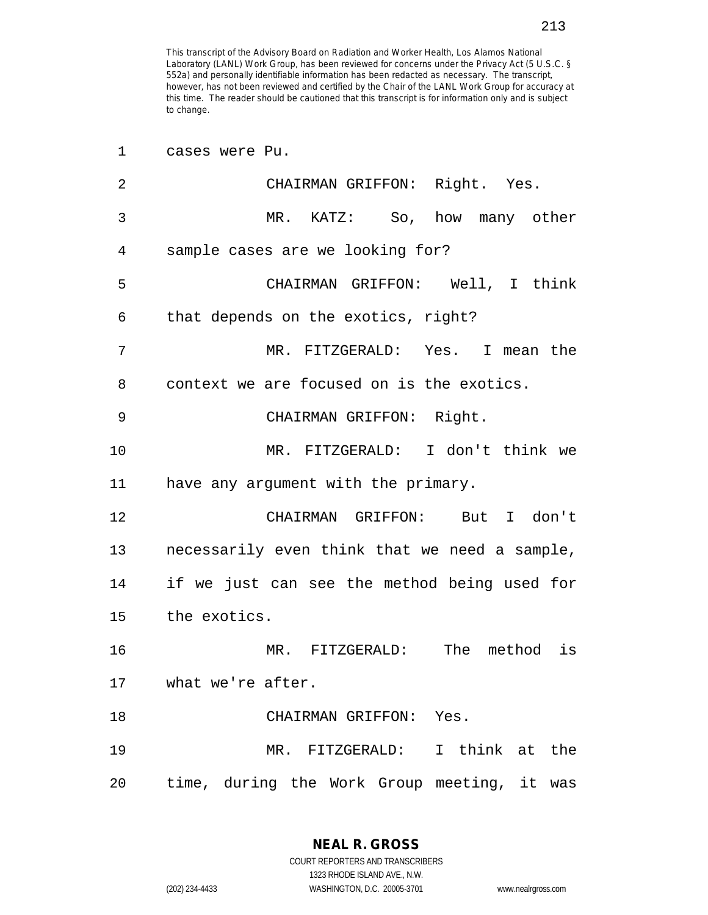| $\mathbf 1$ | cases were Pu.                                |
|-------------|-----------------------------------------------|
| 2           | CHAIRMAN GRIFFON: Right. Yes.                 |
| 3           | MR. KATZ: So, how many other                  |
| 4           | sample cases are we looking for?              |
| 5           | CHAIRMAN GRIFFON: Well, I think               |
| 6           | that depends on the exotics, right?           |
| 7           | MR. FITZGERALD: Yes. I mean the               |
| 8           | context we are focused on is the exotics.     |
| 9           | CHAIRMAN GRIFFON: Right.                      |
| 10          | MR. FITZGERALD: I don't think we              |
| 11          | have any argument with the primary.           |
| 12          | CHAIRMAN GRIFFON: But I don't                 |
| 13          | necessarily even think that we need a sample, |
| 14          | if we just can see the method being used for  |
| 15          | the exotics.                                  |
| 16          | The method is<br>MR. FITZGERALD:              |
|             | 17 what we're after.                          |
| 18          | CHAIRMAN GRIFFON: Yes.                        |
| 19          | MR. FITZGERALD: I think at the                |
| 20          | time, during the Work Group meeting, it was   |

**NEAL R. GROSS**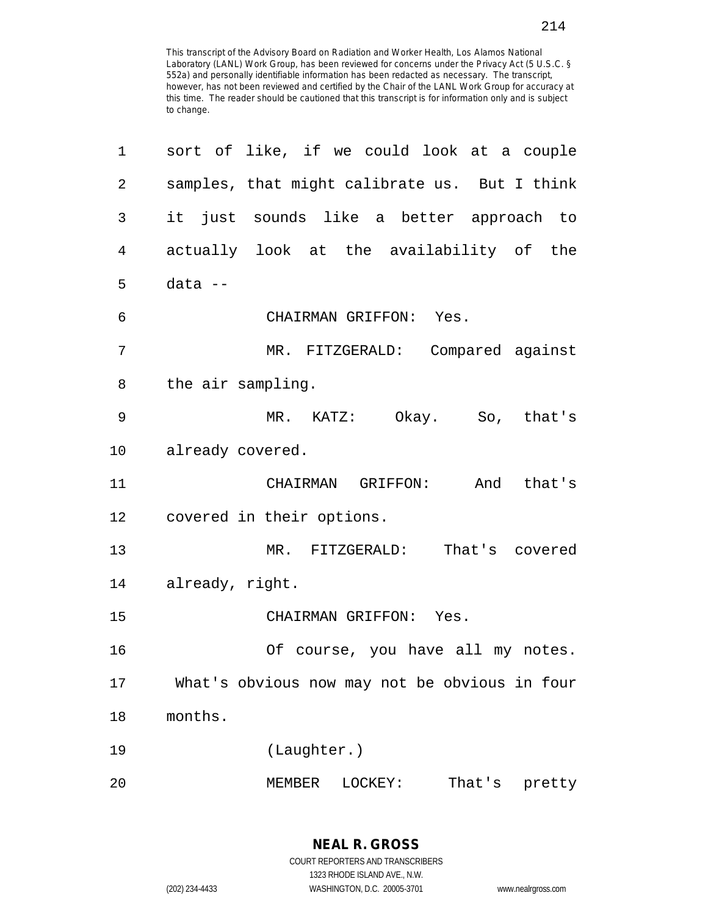| 1       | sort of like, if we could look at a couple    |
|---------|-----------------------------------------------|
|         |                                               |
| 2       | samples, that might calibrate us. But I think |
| 3       | it just sounds like a better approach to      |
| 4       | actually look at the availability of the      |
| 5       | data --                                       |
| 6       | CHAIRMAN GRIFFON: Yes.                        |
| 7       | MR. FITZGERALD: Compared against              |
| 8       | the air sampling.                             |
| 9       | MR. KATZ: Okay. So, that's                    |
| $10 \,$ | already covered.                              |
| 11      | CHAIRMAN GRIFFON: And that's                  |
| 12      | covered in their options.                     |
| 13      | MR. FITZGERALD: That's covered                |
| 14      | already, right.                               |
| 15      | CHAIRMAN GRIFFON: Yes.                        |
| 16      | Of course, you have all my notes.             |
| 17      | What's obvious now may not be obvious in four |
| 18      | months.                                       |
| 19      | (Laughter.)                                   |
| 20      | MEMBER<br>LOCKEY:<br>That's pretty            |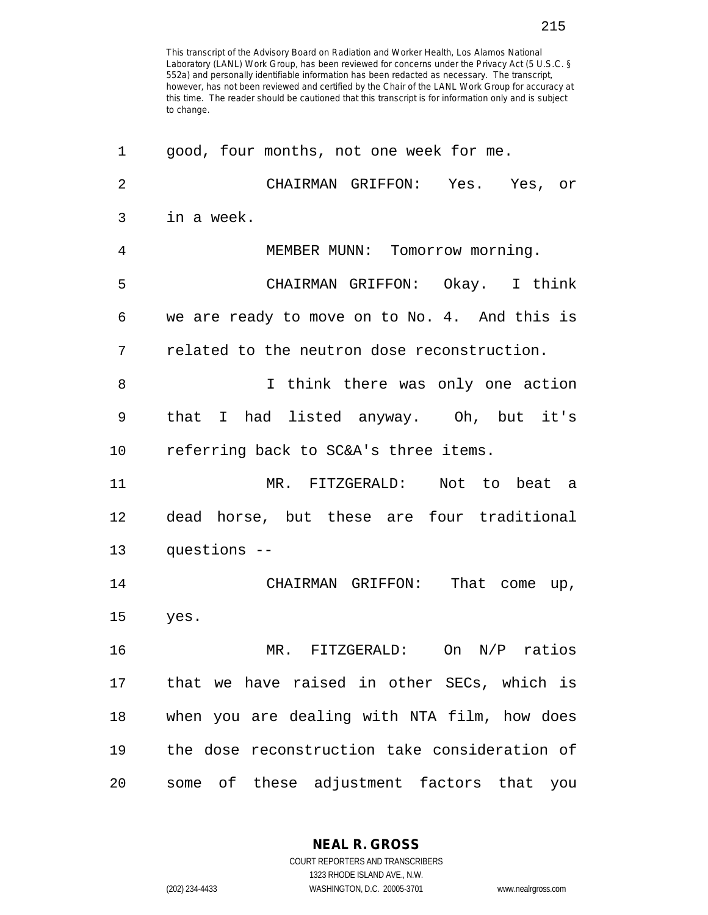215

| 1              | good, four months, not one week for me.       |
|----------------|-----------------------------------------------|
| $\overline{2}$ | CHAIRMAN GRIFFON: Yes. Yes, or                |
| 3              | in a week.                                    |
| 4              | MEMBER MUNN: Tomorrow morning.                |
| 5              | CHAIRMAN GRIFFON: Okay. I think               |
| 6              | we are ready to move on to No. 4. And this is |
| 7              | related to the neutron dose reconstruction.   |
| 8              | I think there was only one action             |
| 9              | that I had listed anyway. Oh, but it's        |
| 10             | referring back to SC&A's three items.         |
| 11             | MR. FITZGERALD: Not to beat a                 |
| 12             | dead horse, but these are four traditional    |
| 13             | questions --                                  |
| 14             | CHAIRMAN GRIFFON: That come up,               |
| 15             | yes.                                          |
| 16             | MR. FITZGERALD:<br>On<br>$N/P$ ratios         |
| 17             | that we have raised in other SECs, which is   |
| 18             | when you are dealing with NTA film, how does  |
| 19             | the dose reconstruction take consideration of |
| 20             | some of these adjustment factors that you     |

**NEAL R. GROSS**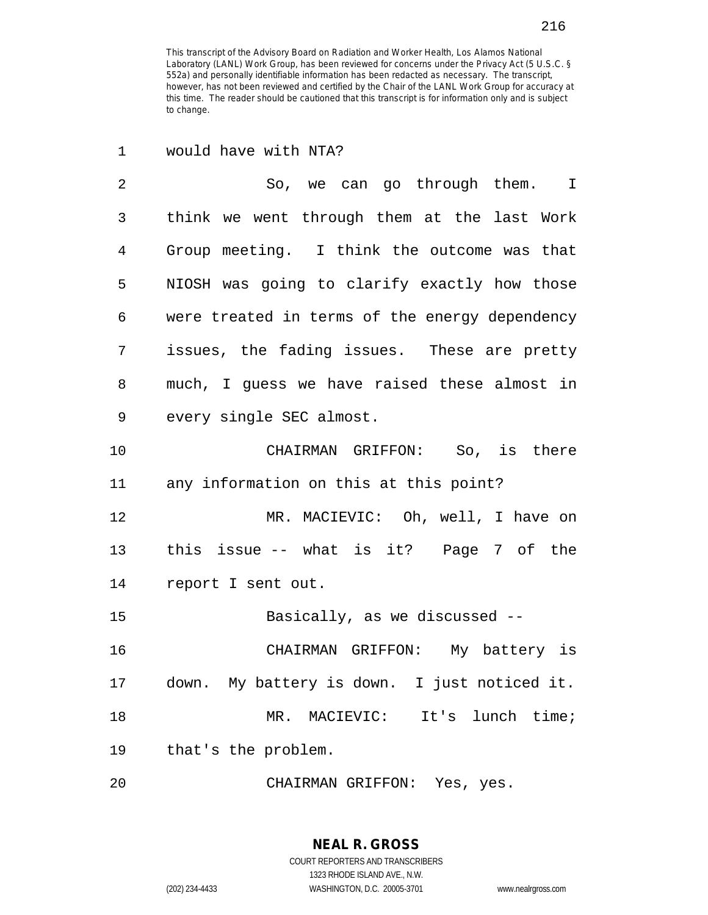1 would have with NTA?

2 So, we can go through them. I 3 think we went through them at the last Work 4 Group meeting. I think the outcome was that 5 NIOSH was going to clarify exactly how those 6 were treated in terms of the energy dependency 7 issues, the fading issues. These are pretty 8 much, I guess we have raised these almost in 9 every single SEC almost.

10 CHAIRMAN GRIFFON: So, is there 11 any information on this at this point?

12 MR. MACIEVIC: Oh, well, I have on 13 this issue -- what is it? Page 7 of the 14 report I sent out.

15 Basically, as we discussed --

16 CHAIRMAN GRIFFON: My battery is 17 down. My battery is down. I just noticed it. 18 MR. MACIEVIC: It's lunch time; 19 that's the problem.

20 CHAIRMAN GRIFFON: Yes, yes.

**NEAL R. GROSS**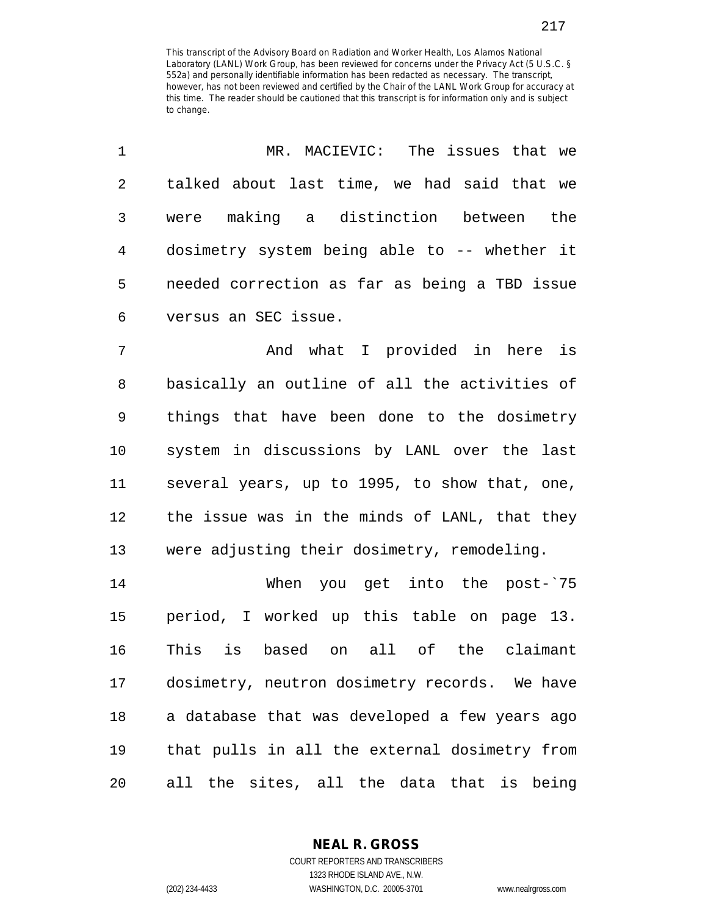|               | MR. MACIEVIC: The issues that we              |
|---------------|-----------------------------------------------|
| $\mathcal{L}$ | talked about last time, we had said that we   |
| 3             | were making a distinction between<br>the      |
| 4             | dosimetry system being able to -- whether it  |
| 5             | needed correction as far as being a TBD issue |
| 6             | versus an SEC issue.                          |
|               |                                               |

7 And what I provided in here is 8 basically an outline of all the activities of 9 things that have been done to the dosimetry 10 system in discussions by LANL over the last 11 several years, up to 1995, to show that, one, 12 the issue was in the minds of LANL, that they 13 were adjusting their dosimetry, remodeling.

14 When you get into the post-`75 15 period, I worked up this table on page 13. 16 This is based on all of the claimant 17 dosimetry, neutron dosimetry records. We have 18 a database that was developed a few years ago 19 that pulls in all the external dosimetry from 20 all the sites, all the data that is being

**NEAL R. GROSS**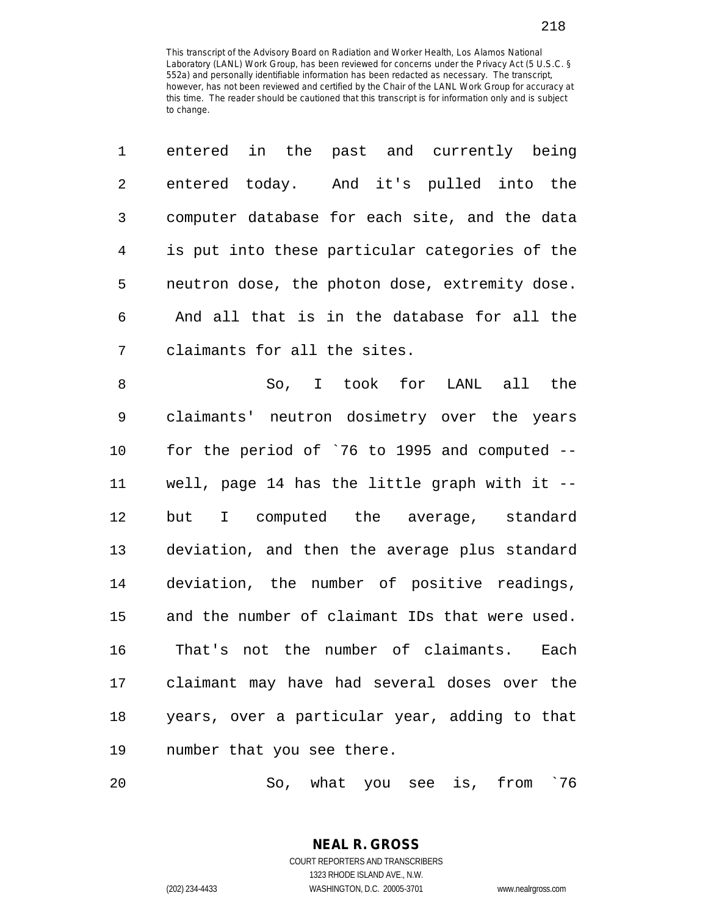| $\mathbf{1}$ | entered in the past and currently being        |
|--------------|------------------------------------------------|
| 2            | entered today. And it's pulled into the        |
| 3            | computer database for each site, and the data  |
| 4            | is put into these particular categories of the |
| 5            | neutron dose, the photon dose, extremity dose. |
| 6            | And all that is in the database for all the    |
| 7            | claimants for all the sites.                   |

8 So, I took for LANL all the 9 claimants' neutron dosimetry over the years 10 for the period of `76 to 1995 and computed -- 11 well, page 14 has the little graph with it -- 12 but I computed the average, standard 13 deviation, and then the average plus standard 14 deviation, the number of positive readings, 15 and the number of claimant IDs that were used. 16 That's not the number of claimants. Each 17 claimant may have had several doses over the 18 years, over a particular year, adding to that 19 number that you see there.

20 So, what you see is, from `76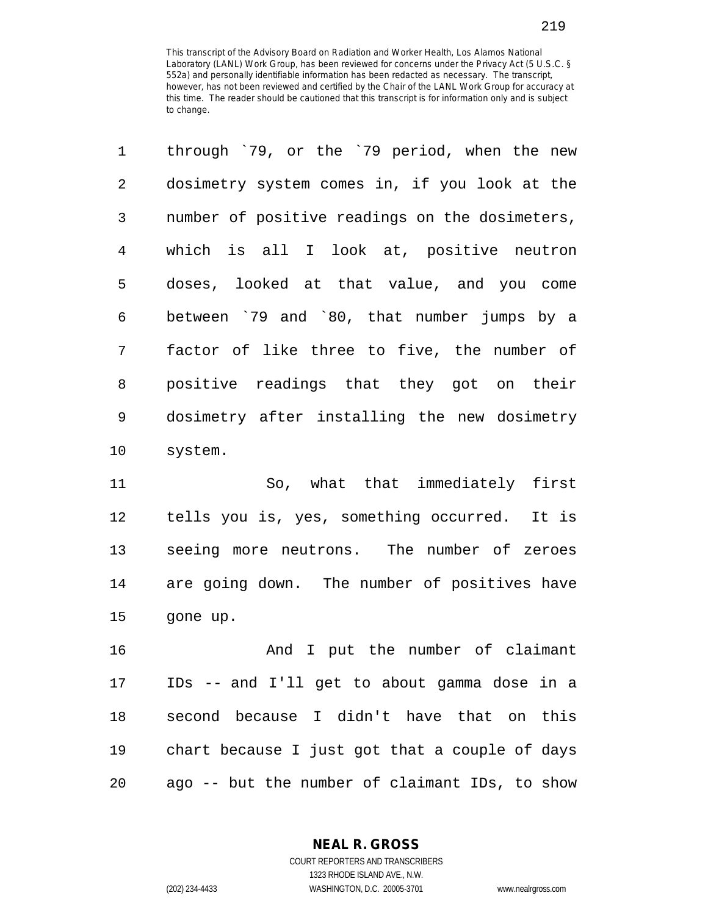| $\mathbf{1}$   | through `79, or the `79 period, when the new   |
|----------------|------------------------------------------------|
| $\overline{2}$ | dosimetry system comes in, if you look at the  |
| 3              | number of positive readings on the dosimeters, |
| 4              | which is all I look at, positive neutron       |
| 5              | doses, looked at that value, and you come      |
| 6              | between `79 and `80, that number jumps by a    |
| 7              | factor of like three to five, the number of    |
| 8              | positive readings that they got on their       |
| 9              | dosimetry after installing the new dosimetry   |
| 10             | system.                                        |

11 So, what that immediately first 12 tells you is, yes, something occurred. It is 13 seeing more neutrons. The number of zeroes 14 are going down. The number of positives have 15 gone up.

16 And I put the number of claimant 17 IDs -- and I'll get to about gamma dose in a 18 second because I didn't have that on this 19 chart because I just got that a couple of days 20 ago -- but the number of claimant IDs, to show

**NEAL R. GROSS**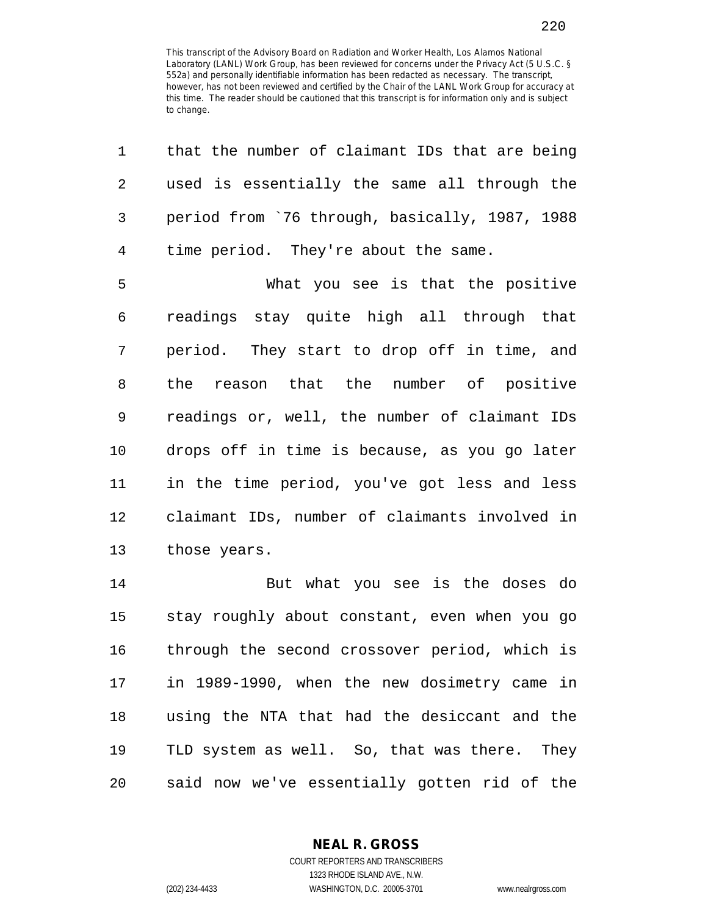| 1              | that the number of claimant IDs that are being |
|----------------|------------------------------------------------|
| $\overline{2}$ | used is essentially the same all through the   |
| 3              | period from '76 through, basically, 1987, 1988 |
| $\overline{4}$ | time period. They're about the same.           |
| 5              | What you see is that the positive              |
| 6              | readings stay quite high all through that      |
| 7              | period. They start to drop off in time, and    |
| 8              | the reason that the number of positive         |
| 9              | readings or, well, the number of claimant IDs  |
| 10             | drops off in time is because, as you go later  |
| 11             | in the time period, you've got less and less   |
| 12             | claimant IDs, number of claimants involved in  |
| 13             | those years.                                   |
| 14             | But what you see is the doses do               |
| 15             | stay roughly about constant, even when you go  |
| 16             | through the second crossover period, which is  |
| 17             | in 1989-1990, when the new dosimetry came in   |
| $18\,$         | using the NTA that had the desiccant and the   |
| 19             | TLD system as well. So, that was there. They   |

20 said now we've essentially gotten rid of the

**NEAL R. GROSS**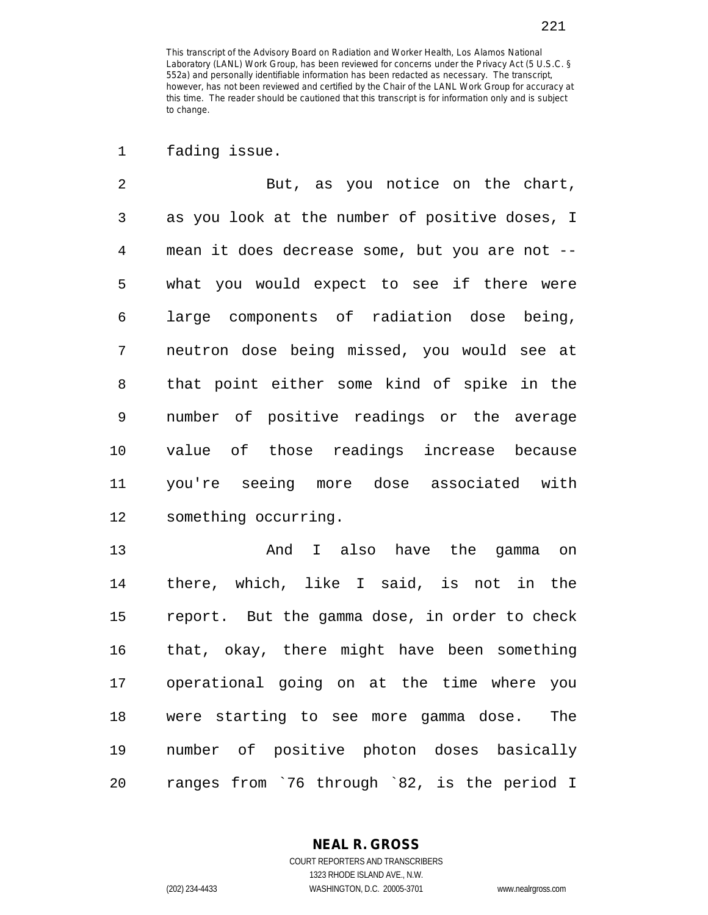1 fading issue.

2 But, as you notice on the chart, 3 as you look at the number of positive doses, I 4 mean it does decrease some, but you are not -- 5 what you would expect to see if there were 6 large components of radiation dose being, 7 neutron dose being missed, you would see at 8 that point either some kind of spike in the 9 number of positive readings or the average 10 value of those readings increase because 11 you're seeing more dose associated with 12 something occurring.

13 And I also have the gamma on 14 there, which, like I said, is not in the 15 report. But the gamma dose, in order to check 16 that, okay, there might have been something 17 operational going on at the time where you 18 were starting to see more gamma dose. The 19 number of positive photon doses basically 20 ranges from `76 through `82, is the period I

> **NEAL R. GROSS** COURT REPORTERS AND TRANSCRIBERS 1323 RHODE ISLAND AVE., N.W.

(202) 234-4433 WASHINGTON, D.C. 20005-3701 www.nealrgross.com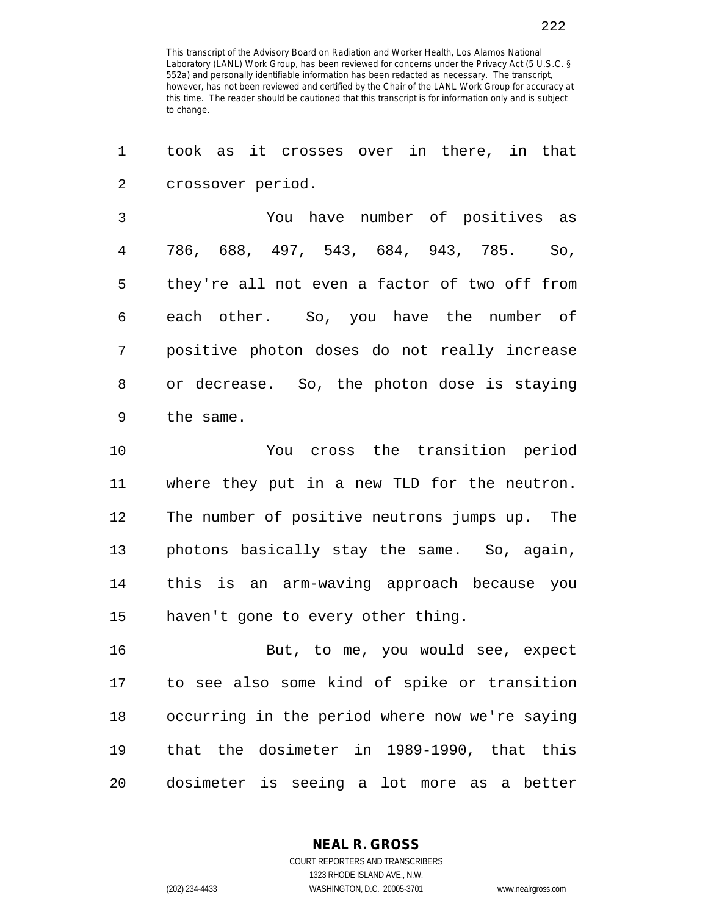1 took as it crosses over in there, in that 2 crossover period.

3 You have number of positives as 4 786, 688, 497, 543, 684, 943, 785. So, 5 they're all not even a factor of two off from 6 each other. So, you have the number of 7 positive photon doses do not really increase 8 or decrease. So, the photon dose is staying 9 the same.

10 You cross the transition period 11 where they put in a new TLD for the neutron. 12 The number of positive neutrons jumps up. The 13 photons basically stay the same. So, again, 14 this is an arm-waving approach because you 15 haven't gone to every other thing.

16 But, to me, you would see, expect 17 to see also some kind of spike or transition 18 occurring in the period where now we're saying 19 that the dosimeter in 1989-1990, that this 20 dosimeter is seeing a lot more as a better

> **NEAL R. GROSS** COURT REPORTERS AND TRANSCRIBERS

> > 1323 RHODE ISLAND AVE., N.W.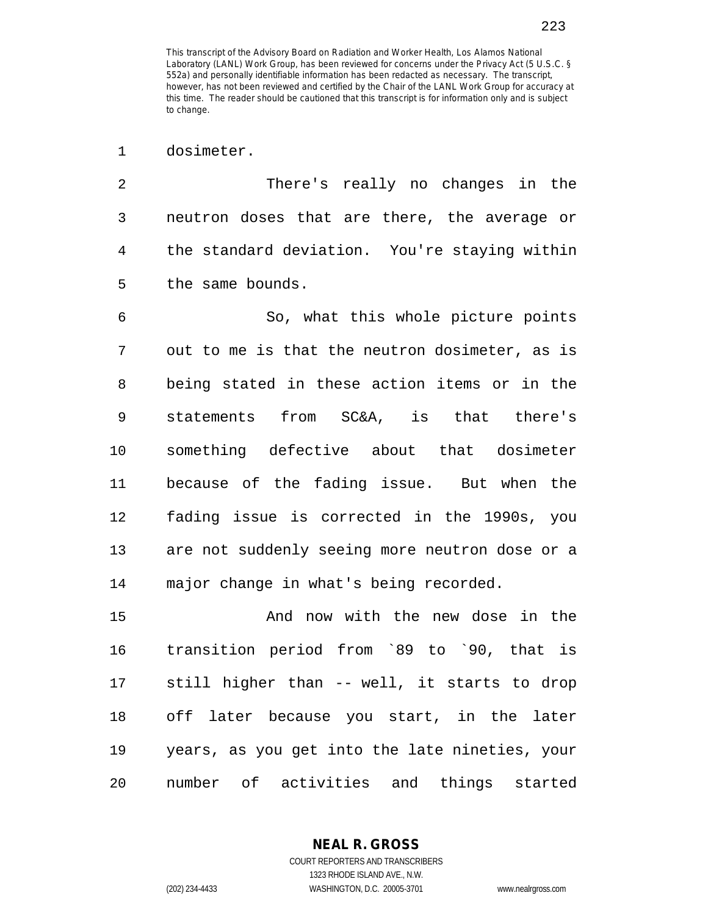2 There's really no changes in the 3 neutron doses that are there, the average or 4 the standard deviation. You're staying within 5 the same bounds.

6 So, what this whole picture points 7 out to me is that the neutron dosimeter, as is 8 being stated in these action items or in the 9 statements from SC&A, is that there's 10 something defective about that dosimeter 11 because of the fading issue. But when the 12 fading issue is corrected in the 1990s, you 13 are not suddenly seeing more neutron dose or a 14 major change in what's being recorded.

15 And now with the new dose in the 16 transition period from `89 to `90, that is 17 still higher than -- well, it starts to drop 18 off later because you start, in the later 19 years, as you get into the late nineties, your 20 number of activities and things started

**NEAL R. GROSS**

<sup>1</sup> dosimeter.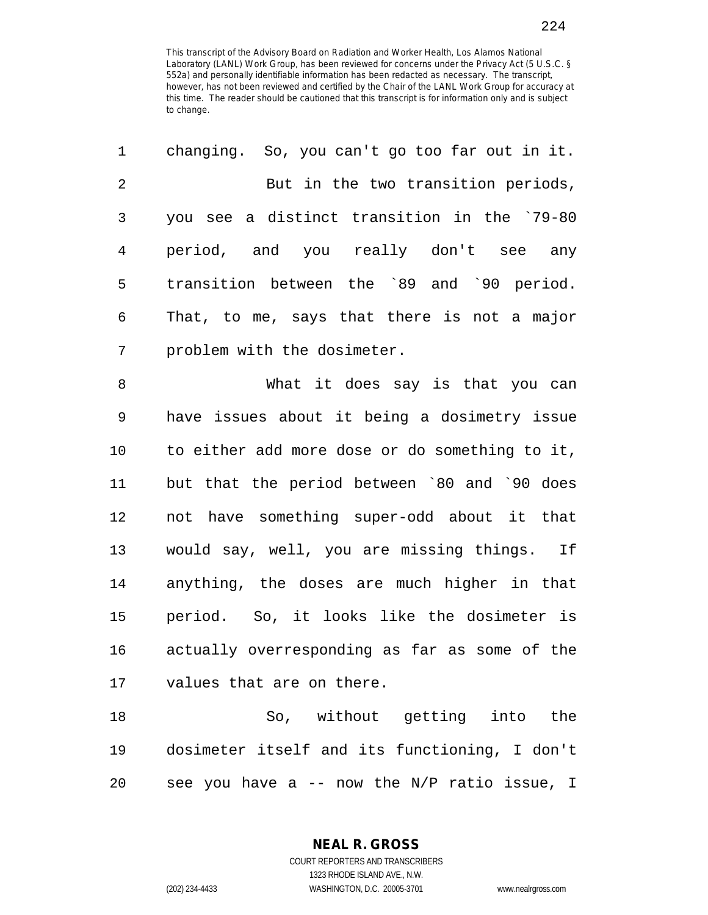|   | changing. So, you can't go too far out in it. |
|---|-----------------------------------------------|
| 2 | But in the two transition periods,            |
| 3 | you see a distinct transition in the `79-80   |
| 4 | period, and you really don't see any          |
| 5 | transition between the `89 and `90 period.    |
| 6 | That, to me, says that there is not a major   |
| 7 | problem with the dosimeter.                   |

8 What it does say is that you can 9 have issues about it being a dosimetry issue 10 to either add more dose or do something to it, 11 but that the period between `80 and `90 does 12 not have something super-odd about it that 13 would say, well, you are missing things. If 14 anything, the doses are much higher in that 15 period. So, it looks like the dosimeter is 16 actually overresponding as far as some of the 17 values that are on there.

18 So, without getting into the 19 dosimeter itself and its functioning, I don't 20 see you have a -- now the N/P ratio issue, I

> COURT REPORTERS AND TRANSCRIBERS 1323 RHODE ISLAND AVE., N.W. (202) 234-4433 WASHINGTON, D.C. 20005-3701 www.nealrgross.com

**NEAL R. GROSS**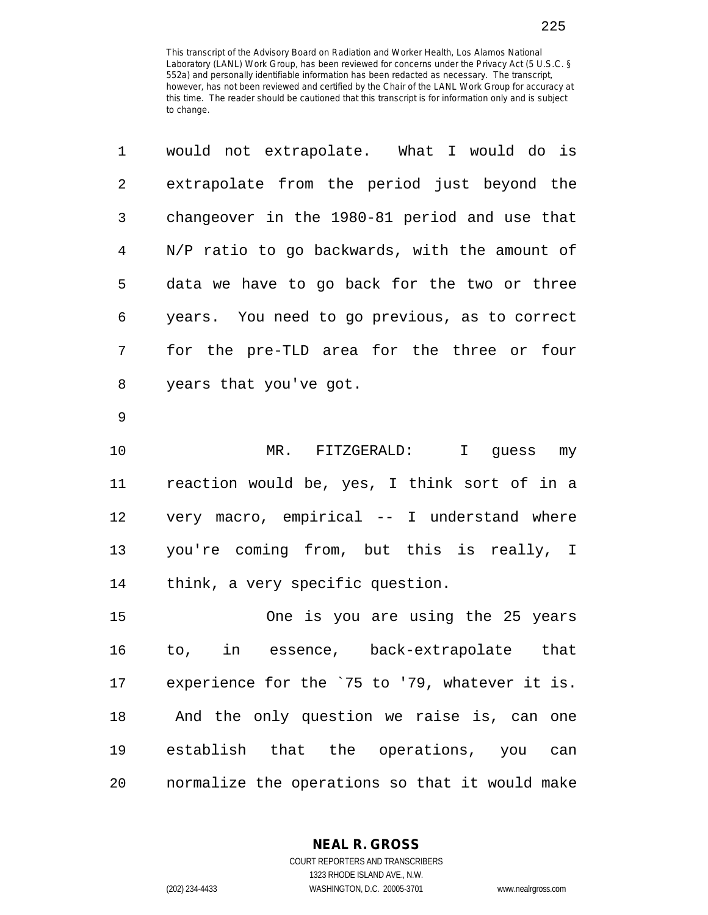| $\mathbf 1$  | would not extrapolate. What I would do is     |
|--------------|-----------------------------------------------|
| 2            | extrapolate from the period just beyond the   |
| 3            | changeover in the 1980-81 period and use that |
| 4            | N/P ratio to go backwards, with the amount of |
| 5            | data we have to go back for the two or three  |
| 6            | years. You need to go previous, as to correct |
| 7            | for the pre-TLD area for the three or four    |
| 8            | years that you've got.                        |
| $\mathsf{Q}$ |                                               |

10 MR. FITZGERALD: I guess my 11 reaction would be, yes, I think sort of in a 12 very macro, empirical -- I understand where 13 you're coming from, but this is really, I 14 think, a very specific question.

15 One is you are using the 25 years 16 to, in essence, back-extrapolate that 17 experience for the `75 to '79, whatever it is. 18 And the only question we raise is, can one 19 establish that the operations, you can 20 normalize the operations so that it would make

**NEAL R. GROSS**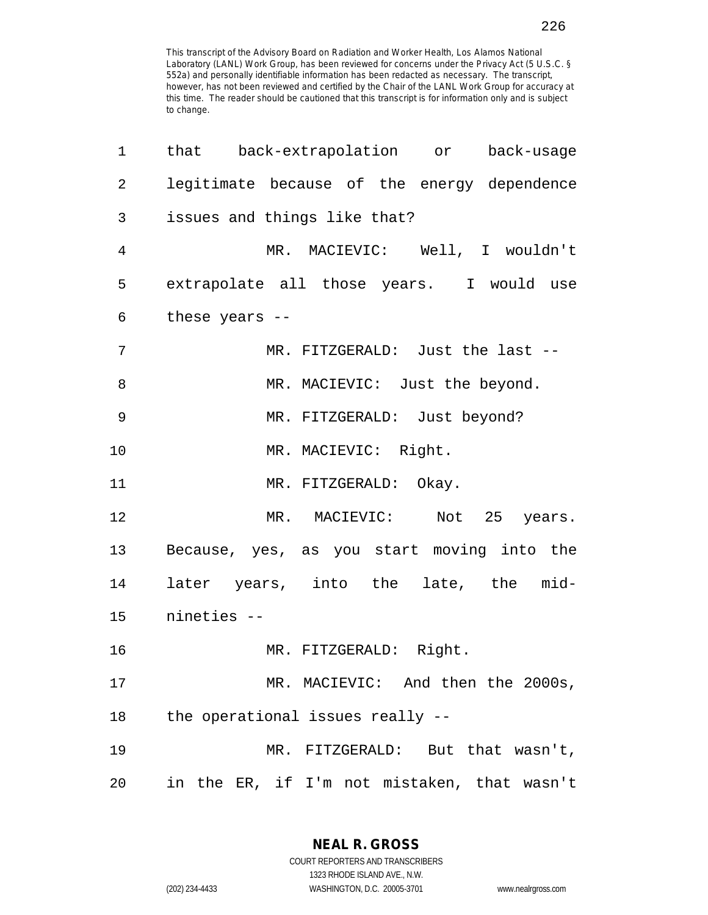226

| 1  | that back-extrapolation or back-usage       |
|----|---------------------------------------------|
| 2  | legitimate because of the energy dependence |
| 3  | issues and things like that?                |
| 4  | MR. MACIEVIC: Well, I wouldn't              |
| 5  | extrapolate all those years. I would use    |
| 6  | these years --                              |
| 7  | MR. FITZGERALD: Just the last --            |
| 8  | MR. MACIEVIC: Just the beyond.              |
| 9  | MR. FITZGERALD: Just beyond?                |
| 10 | MR. MACIEVIC: Right.                        |
| 11 | MR. FITZGERALD: Okay.                       |
| 12 | MR. MACIEVIC: Not 25 years.                 |
| 13 | Because, yes, as you start moving into the  |
| 14 | later years, into the late, the mid-        |
| 15 | nineties --                                 |
| 16 | MR. FITZGERALD: Right.                      |
| 17 | MR. MACIEVIC: And then the 2000s,           |
| 18 | the operational issues really --            |
| 19 | MR. FITZGERALD: But that wasn't,            |
| 20 | in the ER, if I'm not mistaken, that wasn't |

**NEAL R. GROSS** COURT REPORTERS AND TRANSCRIBERS

1323 RHODE ISLAND AVE., N.W. (202) 234-4433 WASHINGTON, D.C. 20005-3701 www.nealrgross.com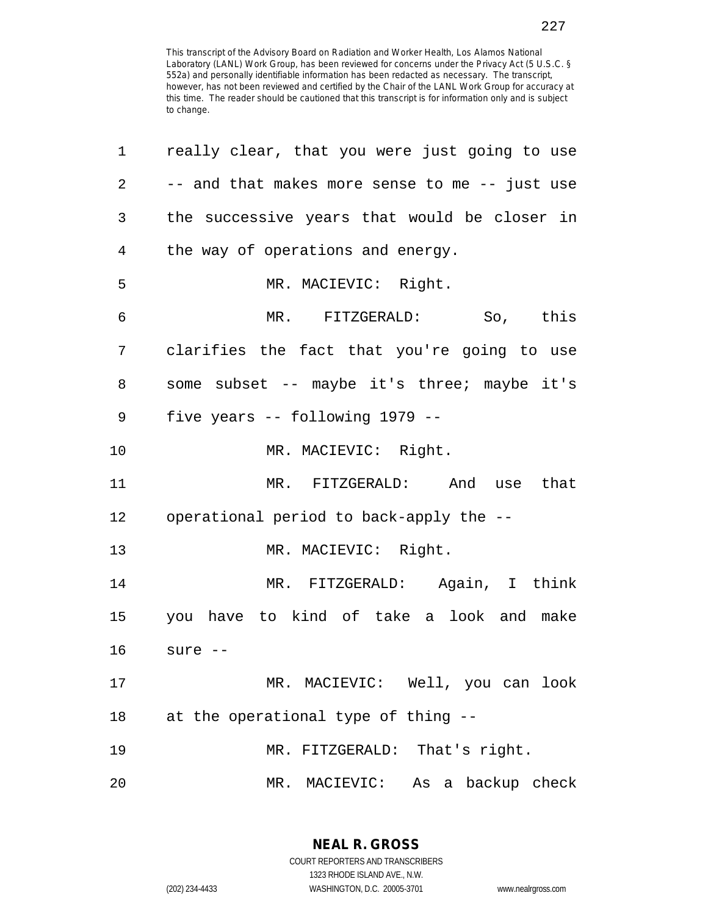| 1      | really clear, that you were just going to use  |
|--------|------------------------------------------------|
| 2      | -- and that makes more sense to me -- just use |
| 3      | the successive years that would be closer in   |
| 4      | the way of operations and energy.              |
| 5      | MR. MACIEVIC: Right.                           |
| 6      | MR. FITZGERALD: So, this                       |
| 7      | clarifies the fact that you're going to use    |
| 8      | some subset -- maybe it's three; maybe it's    |
| 9      | five years -- following 1979 --                |
| 10     | MR. MACIEVIC: Right.                           |
| 11     | MR. FITZGERALD: And use that                   |
| 12     | operational period to back-apply the --        |
| 13     | MR. MACIEVIC: Right.                           |
| 14     | MR. FITZGERALD: Again, I think                 |
| 15     | you have to kind of take a look and make       |
| 16     | sure $--$                                      |
| 17     | MR. MACIEVIC: Well, you can look               |
| $18\,$ | at the operational type of thing --            |
| 19     | MR. FITZGERALD: That's right.                  |
| 20     | As a backup check<br>MR. MACIEVIC:             |

**NEAL R. GROSS** COURT REPORTERS AND TRANSCRIBERS 1323 RHODE ISLAND AVE., N.W.

(202) 234-4433 WASHINGTON, D.C. 20005-3701 www.nealrgross.com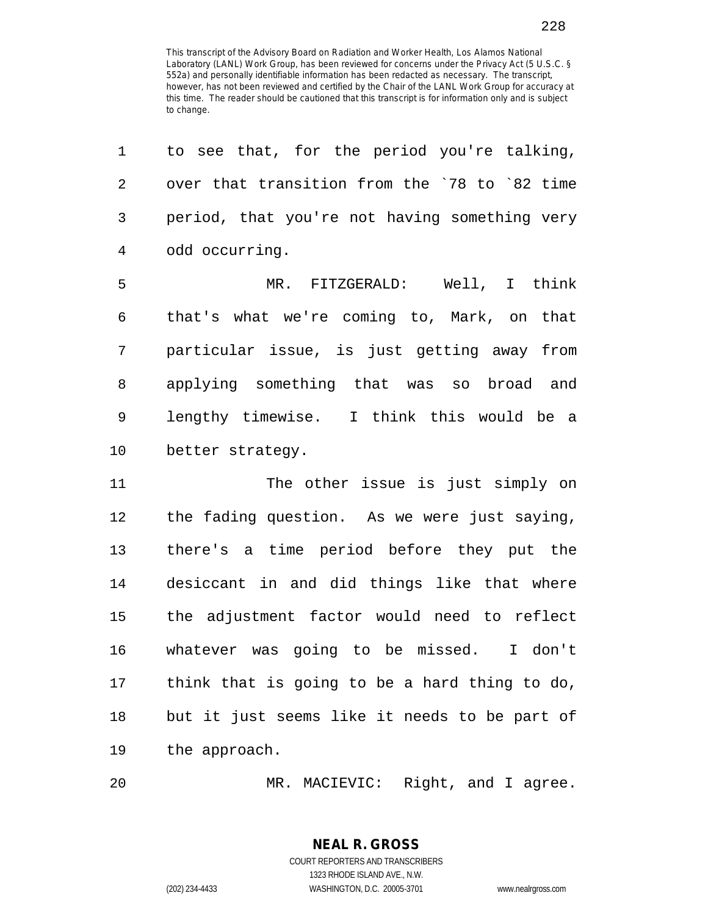1 to see that, for the period you're talking, 2 over that transition from the `78 to `82 time 3 period, that you're not having something very 4 odd occurring.

5 MR. FITZGERALD: Well, I think 6 that's what we're coming to, Mark, on that 7 particular issue, is just getting away from 8 applying something that was so broad and 9 lengthy timewise. I think this would be a 10 better strategy.

11 The other issue is just simply on 12 the fading question. As we were just saying, 13 there's a time period before they put the 14 desiccant in and did things like that where 15 the adjustment factor would need to reflect 16 whatever was going to be missed. I don't 17 think that is going to be a hard thing to do, 18 but it just seems like it needs to be part of 19 the approach.

20 MR. MACIEVIC: Right, and I agree.

**NEAL R. GROSS** COURT REPORTERS AND TRANSCRIBERS 1323 RHODE ISLAND AVE., N.W.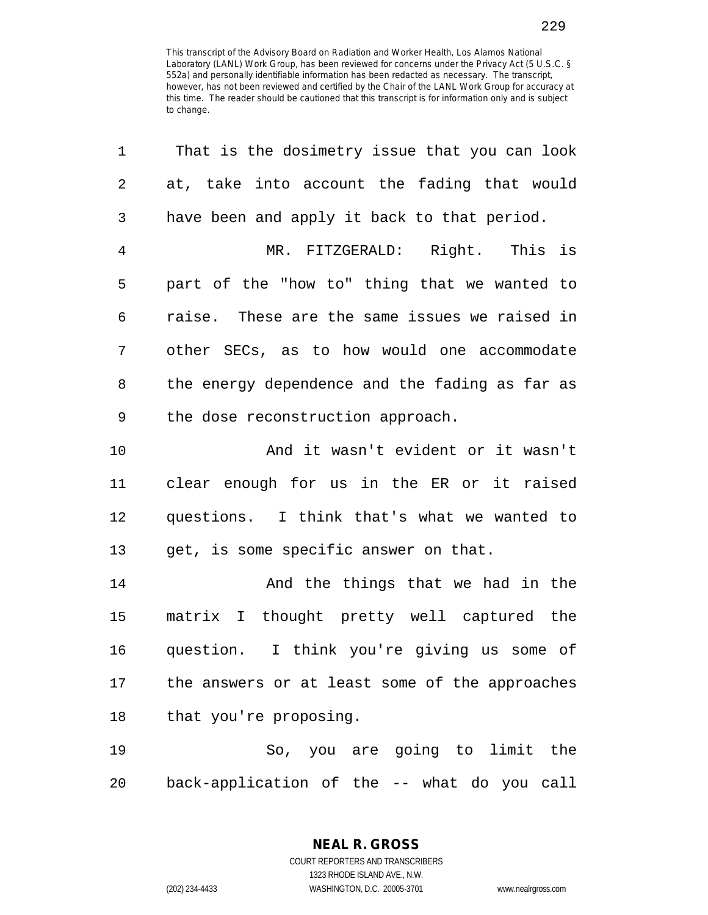| 1              | That is the dosimetry issue that you can look  |
|----------------|------------------------------------------------|
| 2              | at, take into account the fading that would    |
| 3              | have been and apply it back to that period.    |
| $\overline{4}$ | MR. FITZGERALD: Right. This is                 |
| 5              | part of the "how to" thing that we wanted to   |
| 6              | raise. These are the same issues we raised in  |
| 7              | other SECs, as to how would one accommodate    |
| 8              | the energy dependence and the fading as far as |
| 9              | the dose reconstruction approach.              |
| 10             | And it wasn't evident or it wasn't             |
| 11             | clear enough for us in the ER or it raised     |
| 12             | questions. I think that's what we wanted to    |
| 13             | get, is some specific answer on that.          |
| 14             | And the things that we had in the              |
| 15             | matrix I thought pretty well captured the      |
| 16             | question. I think you're giving us some of     |
| 17             | the answers or at least some of the approaches |
| 18             | that you're proposing.                         |
| 19             | So, you are going to limit the                 |
| 20             | back-application of the -- what do you call    |

**NEAL R. GROSS** COURT REPORTERS AND TRANSCRIBERS 1323 RHODE ISLAND AVE., N.W.

(202) 234-4433 WASHINGTON, D.C. 20005-3701 www.nealrgross.com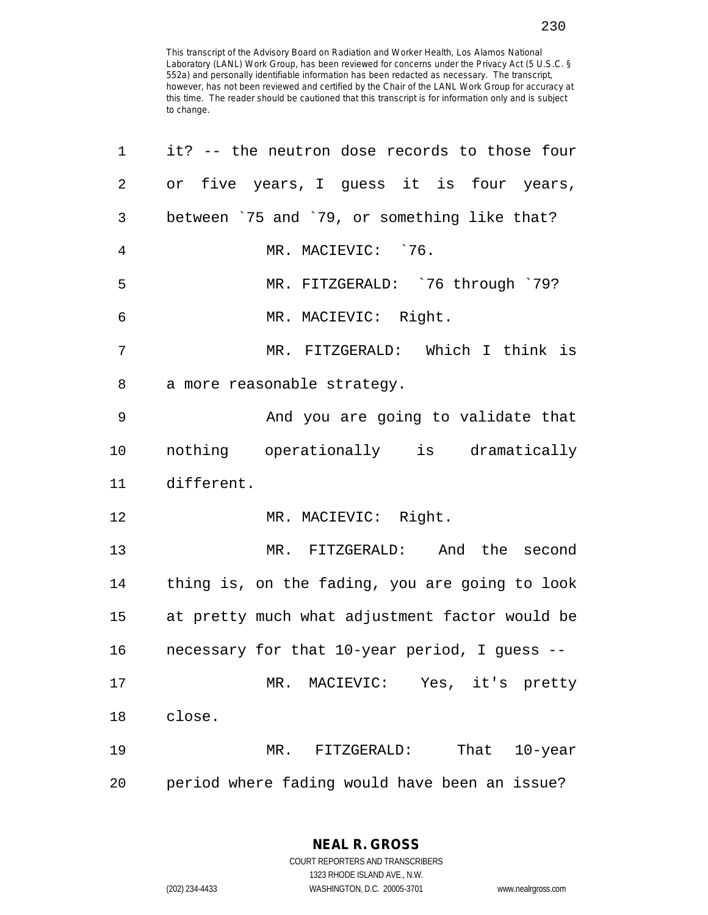| 1              | it? -- the neutron dose records to those four  |
|----------------|------------------------------------------------|
| $\overline{2}$ | or five years, I guess it is four years,       |
| 3              | between '75 and '79, or something like that?   |
| 4              | MR. MACIEVIC: `76.                             |
| 5              | MR. FITZGERALD: '76 through '79?               |
| 6              | MR. MACIEVIC: Right.                           |
| 7              | MR. FITZGERALD: Which I think is               |
| 8              | a more reasonable strategy.                    |
| 9              | And you are going to validate that             |
| 10             | nothing operationally is dramatically          |
| 11             | different.                                     |
| 12             | MR. MACIEVIC: Right.                           |
| 13             | MR. FITZGERALD: And the second                 |
| 14             | thing is, on the fading, you are going to look |
| 15             | at pretty much what adjustment factor would be |
| 16             | necessary for that 10-year period, I guess --  |
| 17             | MR. MACIEVIC: Yes, it's pretty                 |
| 18             | close.                                         |
| 19             | That<br>$10$ -year<br>MR. FITZGERALD:          |
| 20             | period where fading would have been an issue?  |

**NEAL R. GROSS**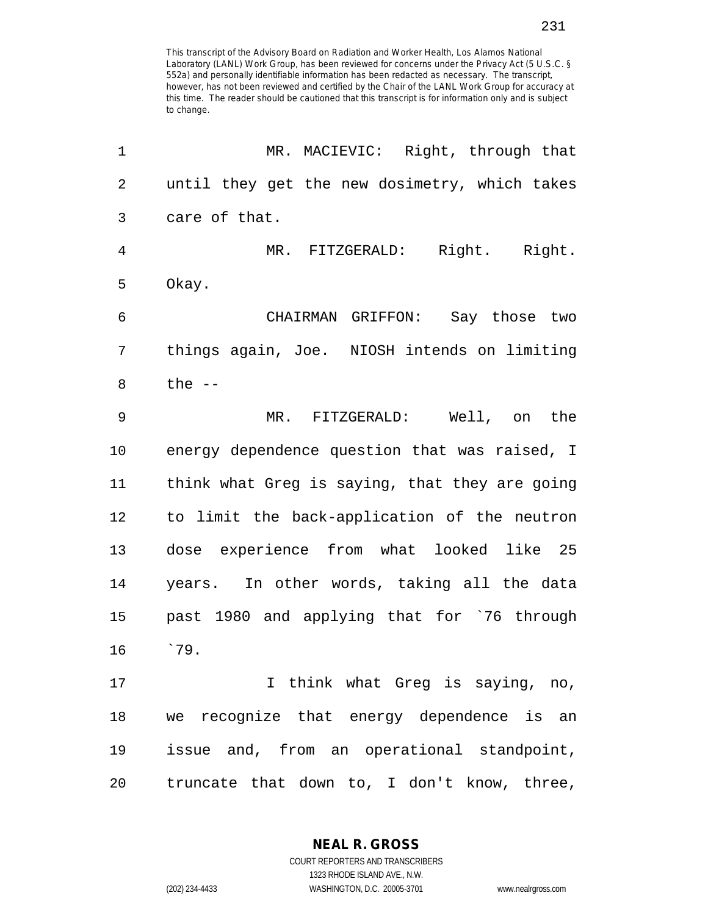$\overline{a}$ 

| 1              | MR. MACIEVIC: Right, through that              |
|----------------|------------------------------------------------|
| $\sqrt{2}$     | until they get the new dosimetry, which takes  |
| 3              | care of that.                                  |
| $\overline{4}$ | MR. FITZGERALD: Right. Right.                  |
| 5              | Okay.                                          |
| 6              | CHAIRMAN GRIFFON: Say those two                |
| 7              | things again, Joe. NIOSH intends on limiting   |
| 8              | the $--$                                       |
| $\mathsf 9$    | MR. FITZGERALD: Well, on the                   |
| 10             | energy dependence question that was raised, I  |
| 11             | think what Greg is saying, that they are going |
| 12             | to limit the back-application of the neutron   |
| 13             | dose experience from what looked like 25       |
| 14             | years. In other words, taking all the data     |
| 15             | past 1980 and applying that for `76 through    |
| 16             | $^{\circ}79.$                                  |
| 17             | I think what Greg is saying, no,               |
| 18             | we recognize that energy dependence is an      |
| 19             | issue and, from an operational standpoint,     |
| 20             | truncate that down to, I don't know, three,    |

**NEAL R. GROSS**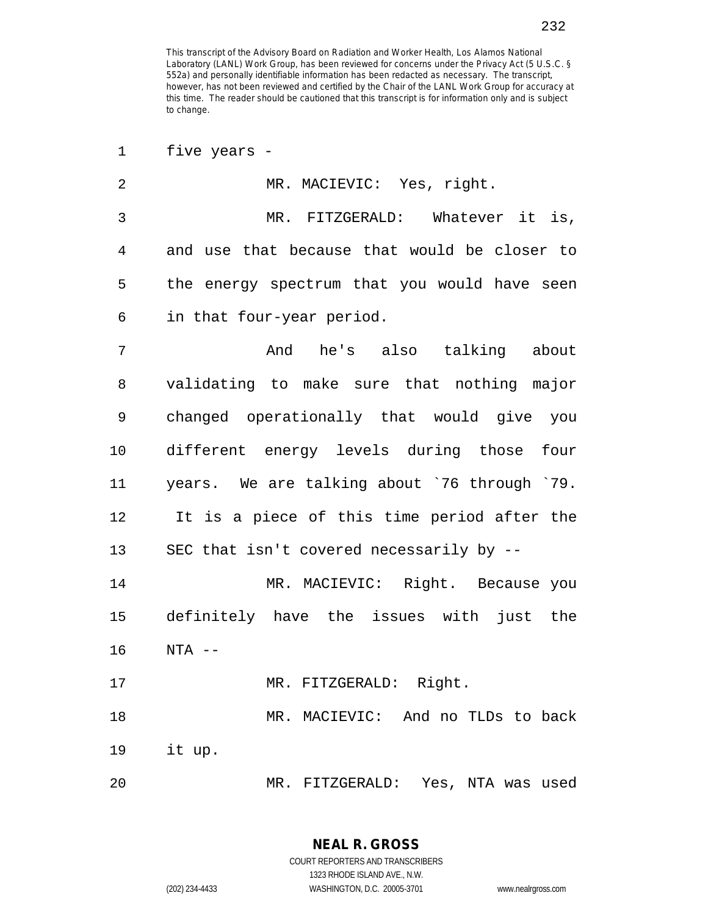1 five years -

2 MR. MACIEVIC: Yes, right. 3 MR. FITZGERALD: Whatever it is, 4 and use that because that would be closer to 5 the energy spectrum that you would have seen 6 in that four-year period.

7 And he's also talking about 8 validating to make sure that nothing major 9 changed operationally that would give you 10 different energy levels during those four 11 years. We are talking about `76 through `79. 12 It is a piece of this time period after the 13 SEC that isn't covered necessarily by --

14 MR. MACIEVIC: Right. Because you 15 definitely have the issues with just the 16 NTA --

17 MR. FITZGERALD: Right.

18 MR. MACIEVIC: And no TLDs to back 19 it up.

20 MR. FITZGERALD: Yes, NTA was used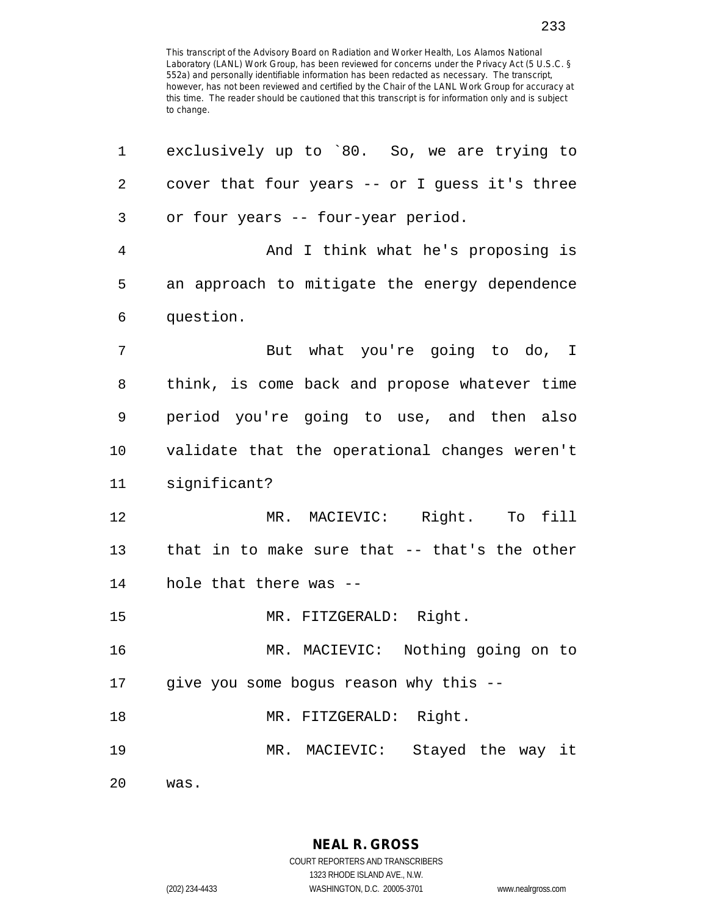| 1  | exclusively up to 80. So, we are trying to     |
|----|------------------------------------------------|
| 2  | cover that four years -- or I quess it's three |
| 3  | or four years -- four-year period.             |
| 4  | And I think what he's proposing is             |
| 5  | an approach to mitigate the energy dependence  |
| 6  | question.                                      |
| 7  | But what you're going to do, I                 |
| 8  | think, is come back and propose whatever time  |
| 9  | period you're going to use, and then also      |
| 10 | validate that the operational changes weren't  |
| 11 | significant?                                   |
| 12 | MR. MACIEVIC: Right. To fill                   |
| 13 | that in to make sure that -- that's the other  |
| 14 | hole that there was --                         |
| 15 | MR. FITZGERALD: Right.                         |
| 16 | MR. MACIEVIC: Nothing going on to              |
| 17 | give you some bogus reason why this --         |
| 18 | MR. FITZGERALD: Right.                         |
| 19 | MR. MACIEVIC: Stayed the way it                |
| 20 | was.                                           |

**NEAL R. GROSS**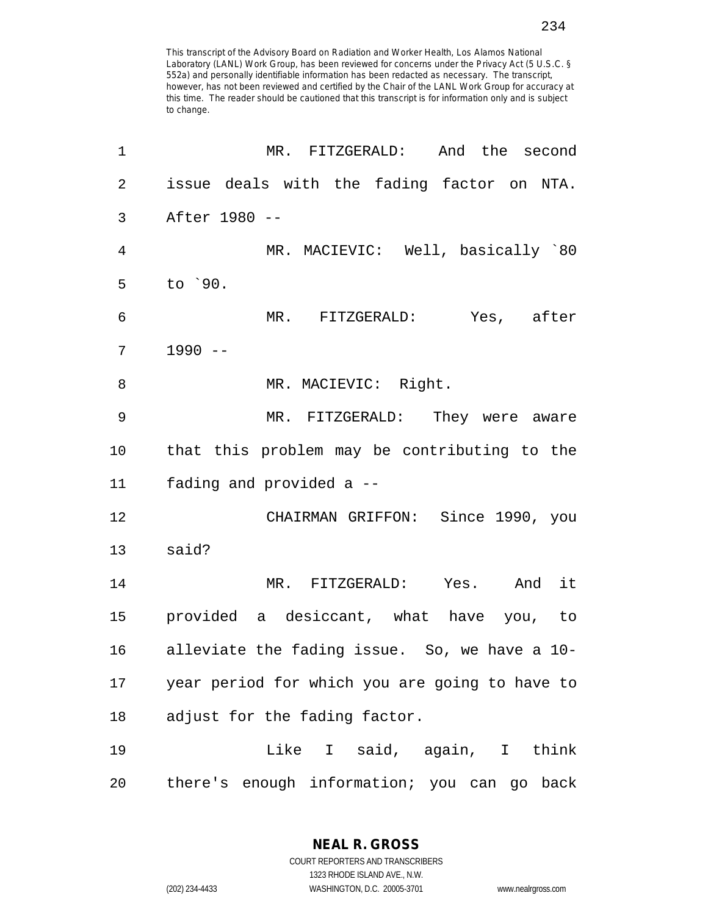| 1              | MR. FITZGERALD: And the second                 |
|----------------|------------------------------------------------|
| $\overline{2}$ | issue deals with the fading factor on NTA.     |
| 3              | After 1980 --                                  |
| 4              | MR. MACIEVIC: Well, basically `80              |
| 5              | to `90.                                        |
| 6              | MR. FITZGERALD: Yes, after                     |
| 7              | $1990 - -$                                     |
| 8              | MR. MACIEVIC: Right.                           |
| $\mathsf 9$    | MR. FITZGERALD: They were aware                |
| 10             | that this problem may be contributing to the   |
| 11             | fading and provided a --                       |
| 12             | CHAIRMAN GRIFFON: Since 1990, you              |
| 13             | said?                                          |
| 14             | MR. FITZGERALD: Yes. And it                    |
| 15             | provided a desiccant, what have you, to        |
| 16             | alleviate the fading issue. So, we have a 10-  |
| 17             | year period for which you are going to have to |
| 18             | adjust for the fading factor.                  |
| 19             | Like I said, again, I think                    |
| 20             | there's enough information; you can go back    |

**NEAL R. GROSS**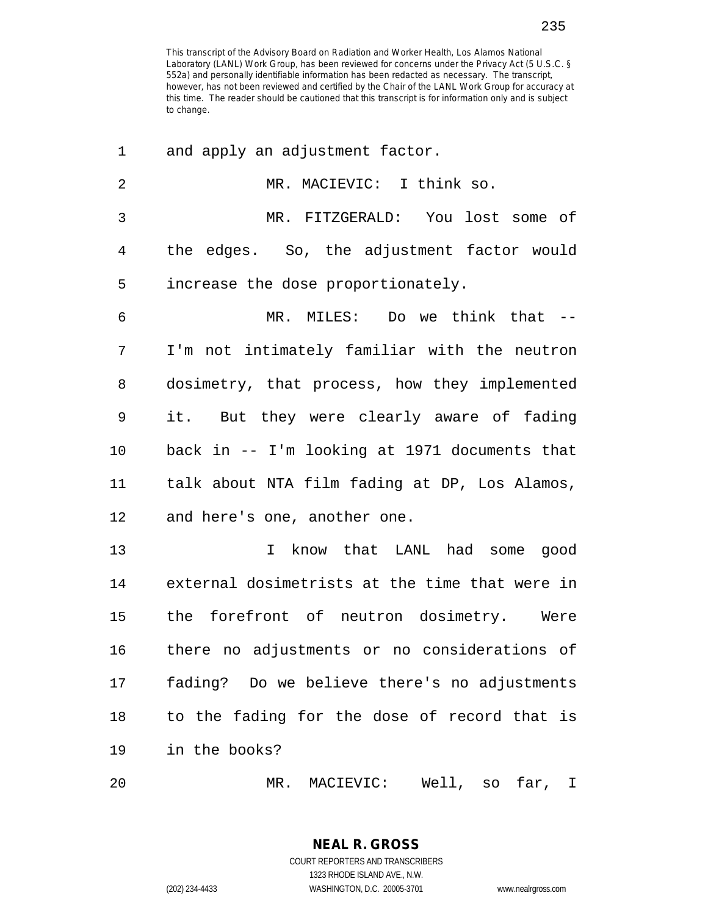1 and apply an adjustment factor. 2 MR. MACIEVIC: I think so. 3 MR. FITZGERALD: You lost some of 4 the edges. So, the adjustment factor would 5 increase the dose proportionately. 6 MR. MILES: Do we think that -- 7 I'm not intimately familiar with the neutron 8 dosimetry, that process, how they implemented 9 it. But they were clearly aware of fading 10 back in -- I'm looking at 1971 documents that 11 talk about NTA film fading at DP, Los Alamos, 12 and here's one, another one. 13 I know that LANL had some good 14 external dosimetrists at the time that were in 15 the forefront of neutron dosimetry. Were 16 there no adjustments or no considerations of 17 fading? Do we believe there's no adjustments 18 to the fading for the dose of record that is 19 in the books? 20 MR. MACIEVIC: Well, so far, I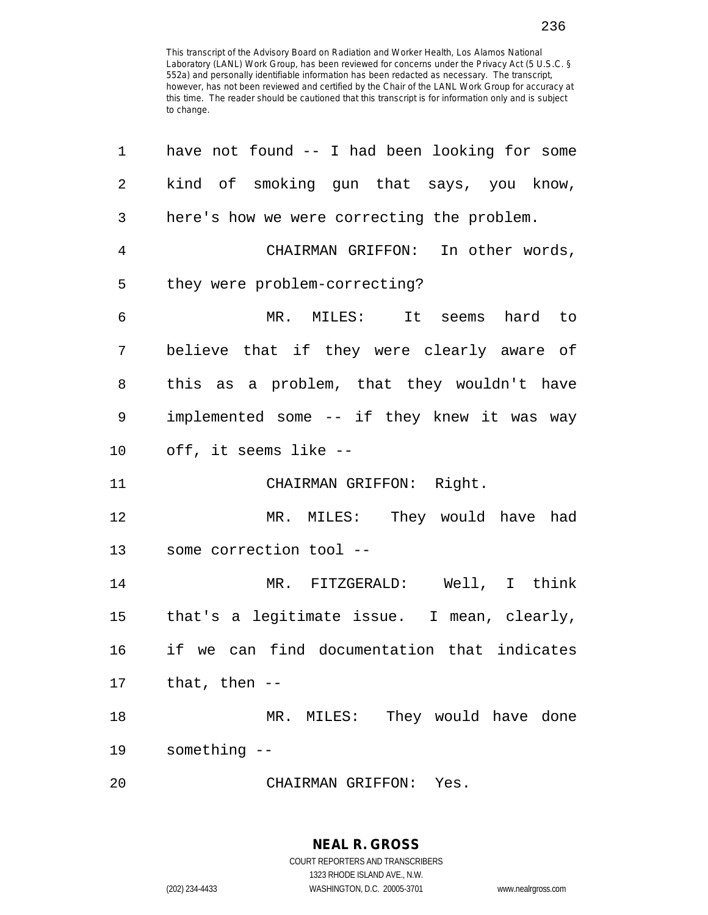| 1              | have not found $-$ I had been looking for some |
|----------------|------------------------------------------------|
| $\overline{2}$ | kind of smoking gun that says, you know,       |
| $\mathbf{3}$   | here's how we were correcting the problem.     |
| 4              | CHAIRMAN GRIFFON: In other words,              |
| 5              | they were problem-correcting?                  |
| 6              | MR. MILES: It seems hard to                    |
| 7              | believe that if they were clearly aware of     |
| 8              | this as a problem, that they wouldn't have     |
| 9              | implemented some -- if they knew it was way    |
| 10             | off, it seems like --                          |
| 11             | CHAIRMAN GRIFFON: Right.                       |
| 12             | MR. MILES: They would have had                 |
| 13             | some correction tool --                        |
| 14             | MR. FITZGERALD: Well, I think                  |
| 15             | that's a legitimate issue. I mean, clearly,    |
| 16             | if we can find documentation that indicates    |
|                | 17 that, then --                               |
| 18             | MR. MILES: They would have done                |
| 19             | something --                                   |
| 20             | CHAIRMAN GRIFFON: Yes.                         |

**NEAL R. GROSS**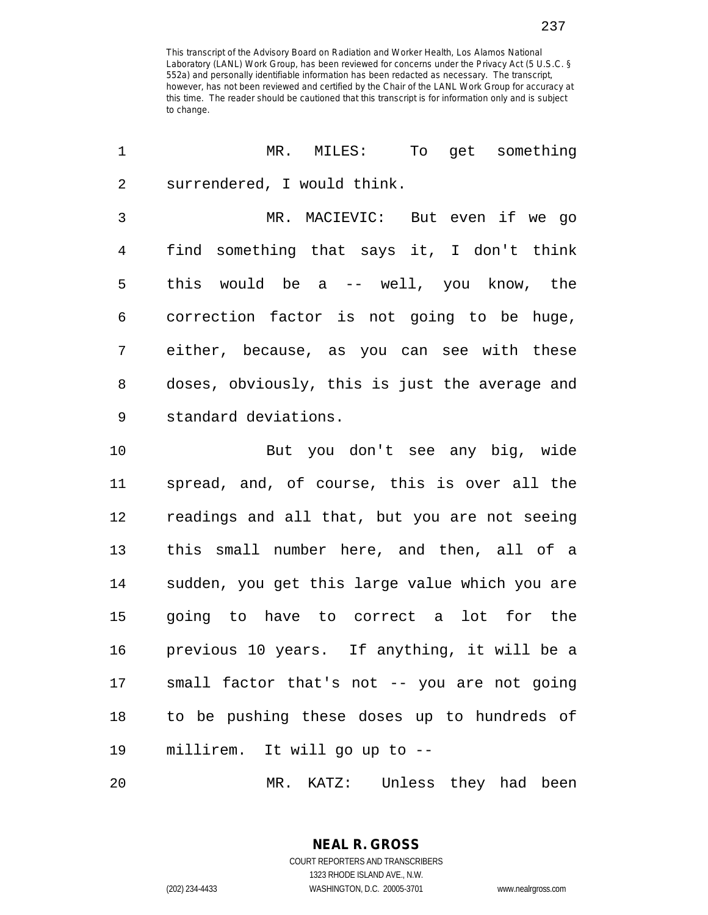237

| 1              | MR. MILES: To get something                    |
|----------------|------------------------------------------------|
| 2              | surrendered, I would think.                    |
| 3              | MR. MACIEVIC: But even if we go                |
| $\overline{4}$ | find something that says it, I don't think     |
| 5              | this would be a -- well, you know, the         |
| 6              | correction factor is not going to be huge,     |
| 7              | either, because, as you can see with these     |
| 8              | doses, obviously, this is just the average and |
| $\mathsf 9$    | standard deviations.                           |
| 10             | But you don't see any big, wide                |
| 11             | spread, and, of course, this is over all the   |
| 12             | readings and all that, but you are not seeing  |
| 13             | this small number here, and then, all of a     |
| 14             | sudden, you get this large value which you are |
| 15             | going to have to correct a lot for the         |
| 16             | previous 10 years. If anything, it will be a   |
| 17             | small factor that's not -- you are not going   |
| 18             | to be pushing these doses up to hundreds of    |
| 19             | millirem. It will go up to --                  |
|                |                                                |

20 MR. KATZ: Unless they had been

**NEAL R. GROSS** COURT REPORTERS AND TRANSCRIBERS

1323 RHODE ISLAND AVE., N.W. (202) 234-4433 WASHINGTON, D.C. 20005-3701 www.nealrgross.com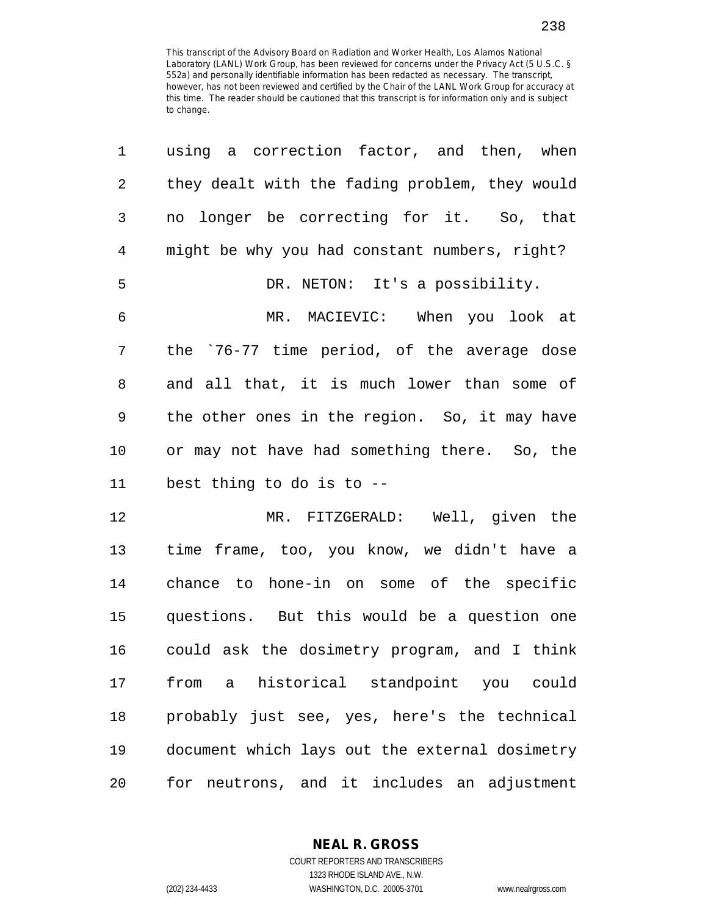| 1          | using a correction factor, and then, when      |
|------------|------------------------------------------------|
| 2          | they dealt with the fading problem, they would |
| 3          | no longer be correcting for it. So, that       |
| 4          | might be why you had constant numbers, right?  |
| 5          | DR. NETON: It's a possibility.                 |
| 6          | MR. MACIEVIC: When you look at                 |
| 7          | the '76-77 time period, of the average dose    |
| 8          | and all that, it is much lower than some of    |
| 9          | the other ones in the region. So, it may have  |
| 10         | or may not have had something there. So, the   |
| 11         | best thing to do is to --                      |
| 12         | MR. FITZGERALD: Well, given the                |
| 13         | time frame, too, you know, we didn't have a    |
| 14         | chance to hone-in on some of the specific      |
| 15         | questions. But this would be a question one    |
| 16         | could ask the dosimetry program, and I think   |
| from<br>17 | a historical standpoint you could              |
| 18         | probably just see, yes, here's the technical   |
| 19         | document which lays out the external dosimetry |
| 20         | for neutrons, and it includes an adjustment    |

**NEAL R. GROSS** COURT REPORTERS AND TRANSCRIBERS

1323 RHODE ISLAND AVE., N.W. (202) 234-4433 WASHINGTON, D.C. 20005-3701 www.nealrgross.com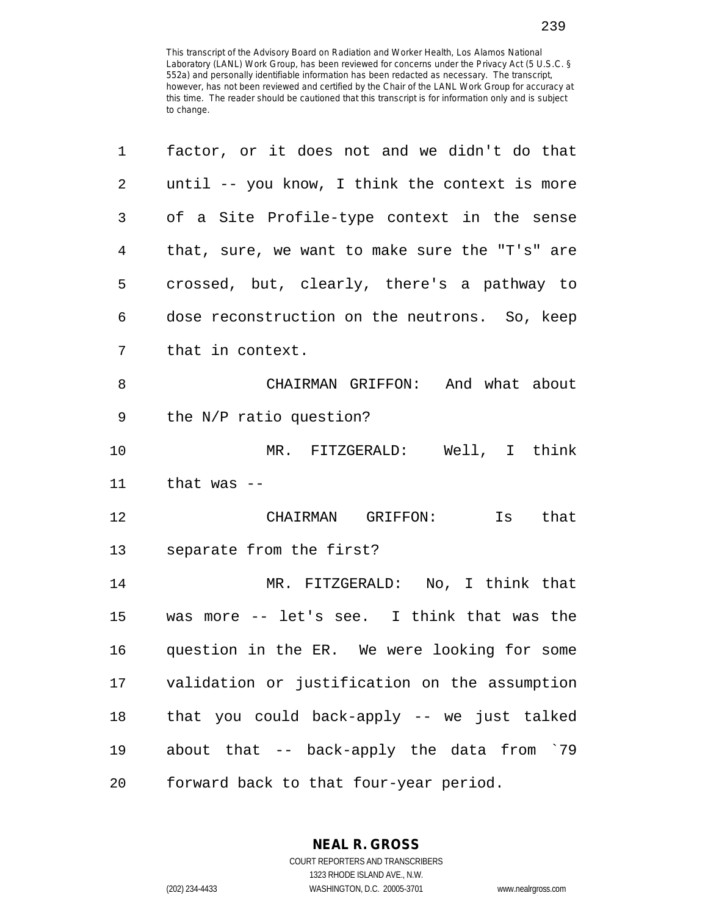| 1              | factor, or it does not and we didn't do that   |
|----------------|------------------------------------------------|
| $\overline{2}$ | until -- you know, I think the context is more |
| 3              | of a Site Profile-type context in the sense    |
| 4              | that, sure, we want to make sure the "T's" are |
| 5              | crossed, but, clearly, there's a pathway to    |
| 6              | dose reconstruction on the neutrons. So, keep  |
| 7              | that in context.                               |
| 8              | CHAIRMAN GRIFFON: And what about               |
| 9              | the N/P ratio question?                        |
| 10             | MR. FITZGERALD: Well, I think                  |
| 11             | that was --                                    |
| 12             | CHAIRMAN GRIFFON: Is that                      |
| 13             | separate from the first?                       |
| 14             | MR. FITZGERALD: No, I think that               |
| 15             | was more -- let's see. I think that was the    |
| 16             | question in the ER. We were looking for some   |
| 17             | validation or justification on the assumption  |
| 18             | that you could back-apply -- we just talked    |
| 19             | about that -- back-apply the data from `79     |
| 20             | forward back to that four-year period.         |

**NEAL R. GROSS**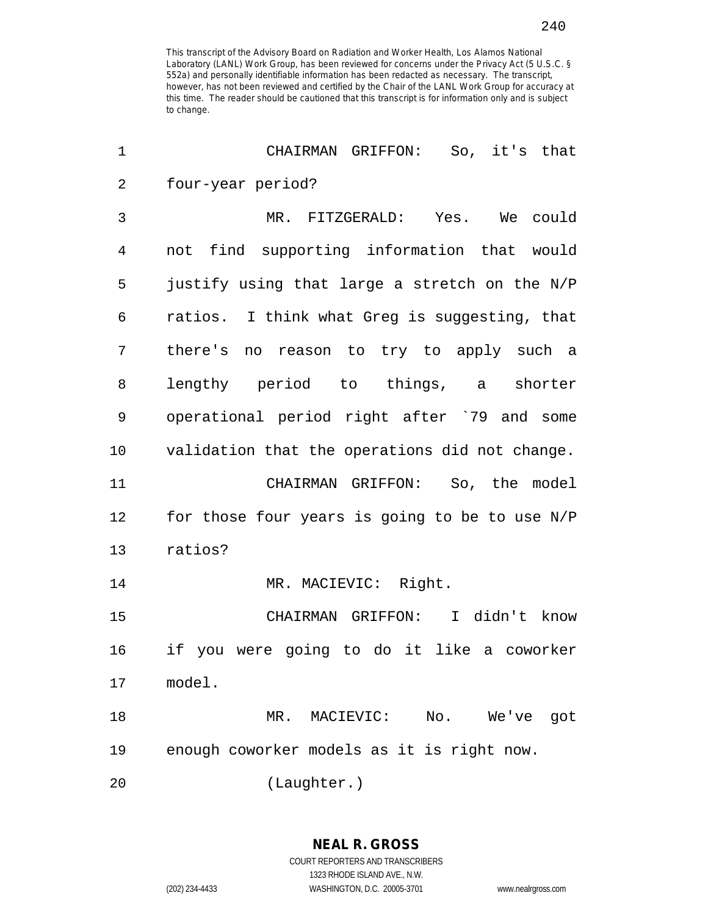| $\mathbf 1$ | CHAIRMAN GRIFFON: So, it's that                |
|-------------|------------------------------------------------|
| 2           | four-year period?                              |
| 3           | MR. FITZGERALD: Yes. We could                  |
| 4           | not find supporting information that would     |
| 5           | justify using that large a stretch on the N/P  |
| 6           | ratios. I think what Greg is suggesting, that  |
| 7           | there's no reason to try to apply such a       |
| 8           | lengthy period to things, a<br>shorter         |
| 9           | operational period right after '79 and some    |
| 10          | validation that the operations did not change. |
| 11          | CHAIRMAN GRIFFON: So, the model                |
| 12          | for those four years is going to be to use N/P |
| 13          | ratios?                                        |
| 14          | MR. MACIEVIC: Right.                           |
| 15          | CHAIRMAN GRIFFON: I didn't know                |
| 16          | if you were going to do it like a coworker     |
| 17          | model.                                         |
| 18          | No. We've got<br>$MR$ .<br>MACIEVIC:           |
| 19          | enough coworker models as it is right now.     |
| 20          | (Laughter.)                                    |

**NEAL R. GROSS** COURT REPORTERS AND TRANSCRIBERS

1323 RHODE ISLAND AVE., N.W.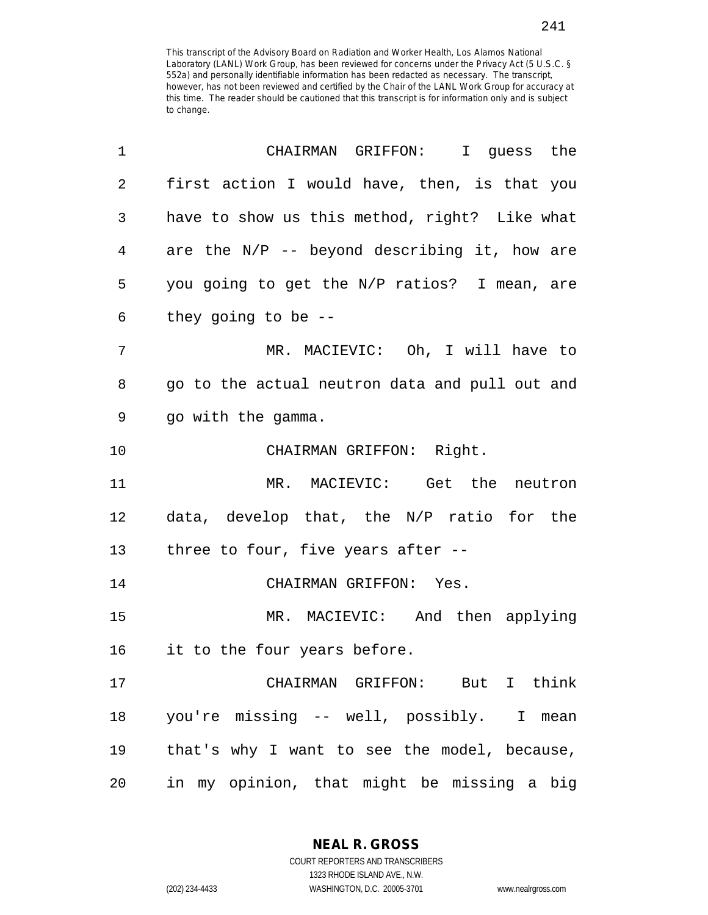| 1              | CHAIRMAN GRIFFON: I guess the                  |
|----------------|------------------------------------------------|
| $\overline{a}$ | first action I would have, then, is that you   |
| 3              | have to show us this method, right? Like what  |
| 4              | are the $N/P$ -- beyond describing it, how are |
| 5              | you going to get the N/P ratios? I mean, are   |
| 6              | they going to be $-$ -                         |
| 7              | MR. MACIEVIC: Oh, I will have to               |
| 8              | go to the actual neutron data and pull out and |
| 9              | go with the gamma.                             |
| 10             | CHAIRMAN GRIFFON: Right.                       |
| 11             | MR. MACIEVIC: Get the neutron                  |
| 12             | data, develop that, the N/P ratio for the      |
| 13             | three to four, five years after --             |
| 14             | CHAIRMAN GRIFFON: Yes.                         |
| 15             | MR. MACIEVIC: And then applying                |
| 16             | it to the four years before.                   |
| 17             | CHAIRMAN GRIFFON: But I think                  |
| 18             | you're missing -- well, possibly. I mean       |
| 19             | that's why I want to see the model, because,   |
| 20             | in my opinion, that might be missing a big     |

**NEAL R. GROSS**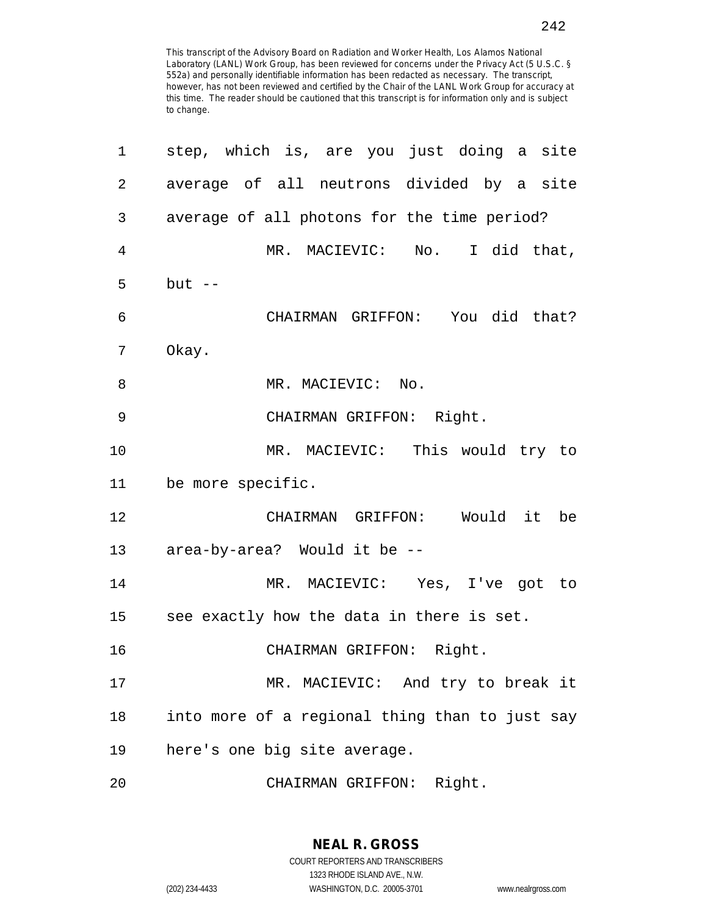| 1  | step, which is, are you just doing a site      |
|----|------------------------------------------------|
| 2  | average of all neutrons divided by a site      |
| 3  | average of all photons for the time period?    |
| 4  | MR. MACIEVIC: No. I did that,                  |
| 5  | $but --$                                       |
| 6  | CHAIRMAN GRIFFON: You did that?                |
| 7  | Okay.                                          |
| 8  | MR. MACIEVIC: No.                              |
| 9  | CHAIRMAN GRIFFON: Right.                       |
| 10 | MR. MACIEVIC: This would try to                |
| 11 | be more specific.                              |
| 12 | CHAIRMAN GRIFFON: Would it be                  |
| 13 | area-by-area? Would it be --                   |
| 14 | MR. MACIEVIC: Yes, I've got to                 |
| 15 | see exactly how the data in there is set.      |
| 16 | CHAIRMAN GRIFFON: Right.                       |
| 17 | MR. MACIEVIC: And try to break it              |
| 18 | into more of a regional thing than to just say |
| 19 | here's one big site average.                   |
| 20 | CHAIRMAN GRIFFON: Right.                       |

**NEAL R. GROSS**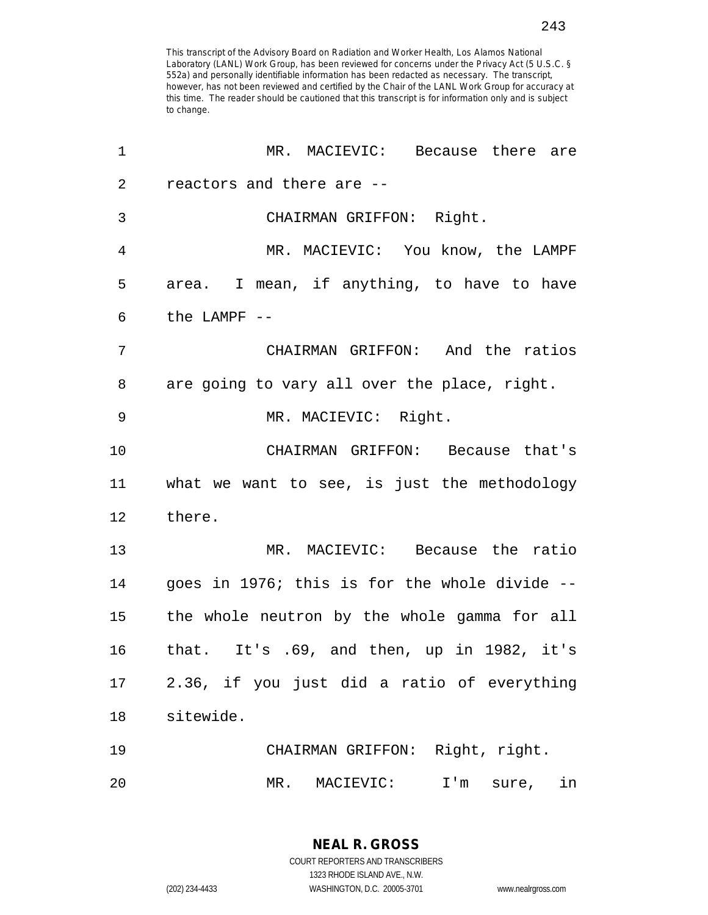| 1              | MR. MACIEVIC: Because there are               |
|----------------|-----------------------------------------------|
| $\overline{a}$ | reactors and there are --                     |
| 3              | CHAIRMAN GRIFFON: Right.                      |
| $\overline{4}$ | MR. MACIEVIC: You know, the LAMPF             |
| 5              | area. I mean, if anything, to have to have    |
| 6              | the LAMPF --                                  |
| 7              | CHAIRMAN GRIFFON: And the ratios              |
| 8              | are going to vary all over the place, right.  |
| 9              | MR. MACIEVIC: Right.                          |
| 10             | CHAIRMAN GRIFFON: Because that's              |
| 11             | what we want to see, is just the methodology  |
| 12             | there.                                        |
| 13             | MR. MACIEVIC: Because the ratio               |
| 14             | goes in 1976; this is for the whole divide -- |
| 15             | the whole neutron by the whole gamma for all  |
| 16             | that. It's .69, and then, up in 1982, it's    |
| 17             | 2.36, if you just did a ratio of everything   |
| 18             | sitewide.                                     |
| 19             | CHAIRMAN GRIFFON: Right, right.               |
| 20             | $MR$ .<br>MACIEVIC:<br>$I'$ m<br>in<br>sure,  |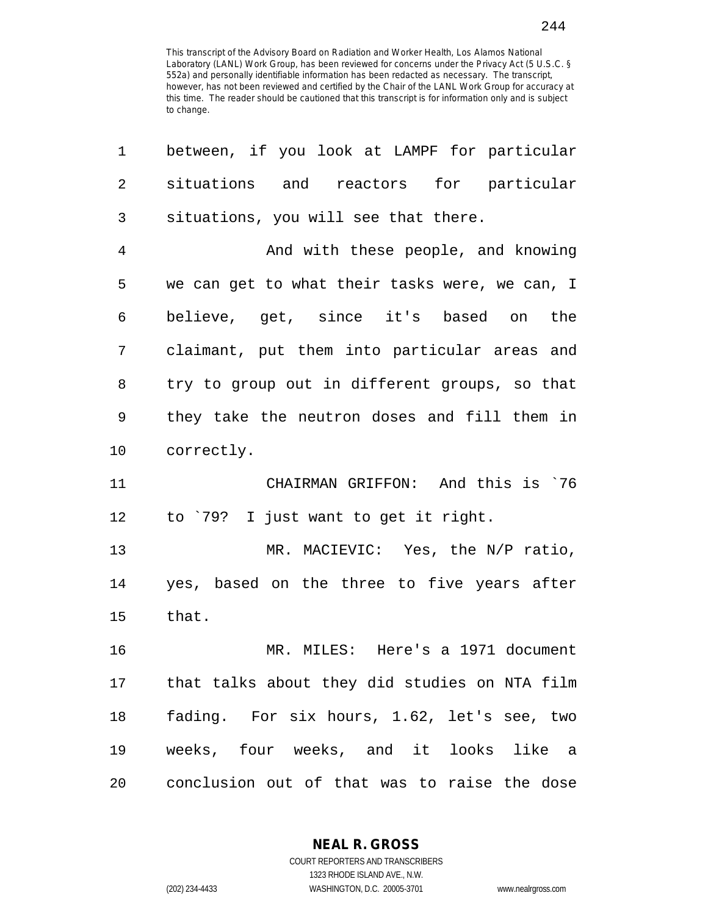| 1              | between, if you look at LAMPF for particular   |
|----------------|------------------------------------------------|
| $\overline{2}$ | situations and reactors for particular         |
| 3              | situations, you will see that there.           |
| $\overline{4}$ | And with these people, and knowing             |
| 5              | we can get to what their tasks were, we can, I |
| 6              | believe, get, since it's based on the          |
| 7              | claimant, put them into particular areas and   |
| 8              | try to group out in different groups, so that  |
| 9              | they take the neutron doses and fill them in   |
| 10             | correctly.                                     |
| 11             | CHAIRMAN GRIFFON: And this is `76              |
| 12             | to `79? I just want to get it right.           |
| 13             | MR. MACIEVIC: Yes, the N/P ratio,              |
| 14             | yes, based on the three to five years after    |
| 15             | that.                                          |
| 16             | MR. MILES: Here's a 1971 document              |
| 17             | that talks about they did studies on NTA film  |
| 18             | fading. For six hours, 1.62, let's see, two    |
| 19             | weeks, four weeks, and it looks like a         |
| 20             | conclusion out of that was to raise the dose   |

**NEAL R. GROSS**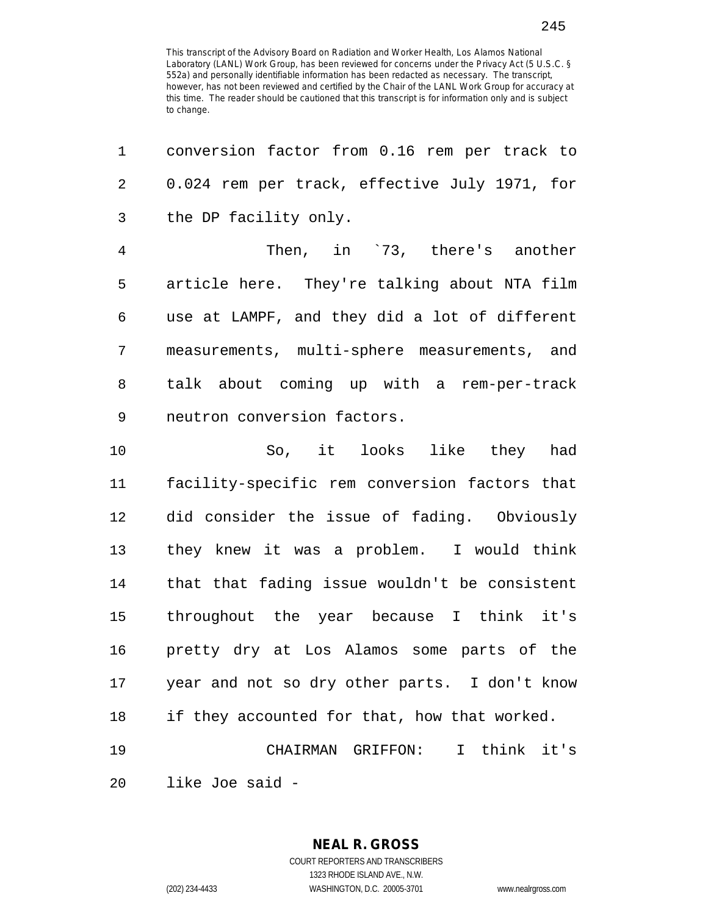| 1              | conversion factor from 0.16 rem per track to  |
|----------------|-----------------------------------------------|
| $\overline{2}$ | 0.024 rem per track, effective July 1971, for |
| 3              | the DP facility only.                         |
| 4              | Then, in `73, there's another                 |
| 5              | article here. They're talking about NTA film  |
| 6              | use at LAMPF, and they did a lot of different |
| 7              | measurements, multi-sphere measurements, and  |
| 8              | talk about coming up with a rem-per-track     |
| 9              | neutron conversion factors.                   |
| 10             | So, it looks like they had                    |
| 11             | facility-specific rem conversion factors that |
| 12             | did consider the issue of fading. Obviously   |
| 13             | they knew it was a problem. I would think     |
| 14             | that that fading issue wouldn't be consistent |
| 15             | throughout the year because I think it's      |
| 16             | pretty dry at Los Alamos some parts of the    |
| 17             | year and not so dry other parts. I don't know |
| 18             | if they accounted for that, how that worked.  |
| 19             | CHAIRMAN GRIFFON: I think it's                |
| 20             | like Joe said -                               |

**NEAL R. GROSS** COURT REPORTERS AND TRANSCRIBERS

1323 RHODE ISLAND AVE., N.W. (202) 234-4433 WASHINGTON, D.C. 20005-3701 www.nealrgross.com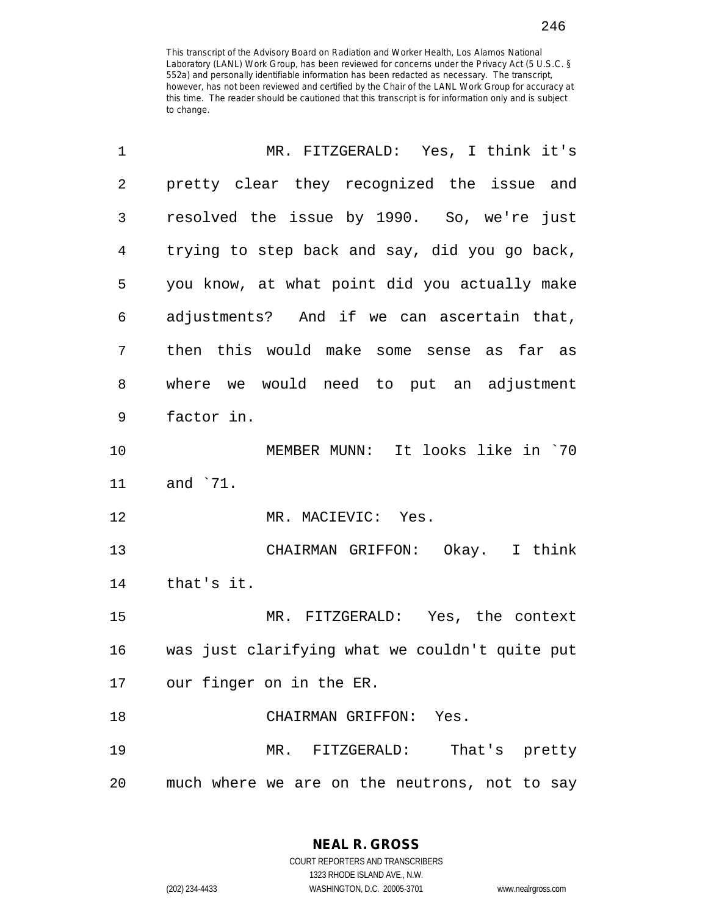| 1              | MR. FITZGERALD: Yes, I think it's              |
|----------------|------------------------------------------------|
| $\overline{2}$ | pretty clear they recognized the issue and     |
| 3              | resolved the issue by 1990. So, we're just     |
| 4              | trying to step back and say, did you go back,  |
| 5              | you know, at what point did you actually make  |
| 6              | adjustments? And if we can ascertain that,     |
| 7              | then this would make some sense as far as      |
| 8              | where we would need to put an adjustment       |
| 9              | factor in.                                     |
| 10             | MEMBER MUNN: It looks like in `70              |
| 11             | and $71.$                                      |
| 12             | MR. MACIEVIC: Yes.                             |
| 13             | CHAIRMAN GRIFFON: Okay. I think                |
| 14             | that's it.                                     |
| 15             | MR. FITZGERALD: Yes, the context               |
| 16             | was just clarifying what we couldn't quite put |
| 17             | our finger on in the ER.                       |
| 18             | CHAIRMAN GRIFFON: Yes.                         |
| 19             | MR. FITZGERALD: That's pretty                  |
| 20             | much where we are on the neutrons, not to say  |

**NEAL R. GROSS**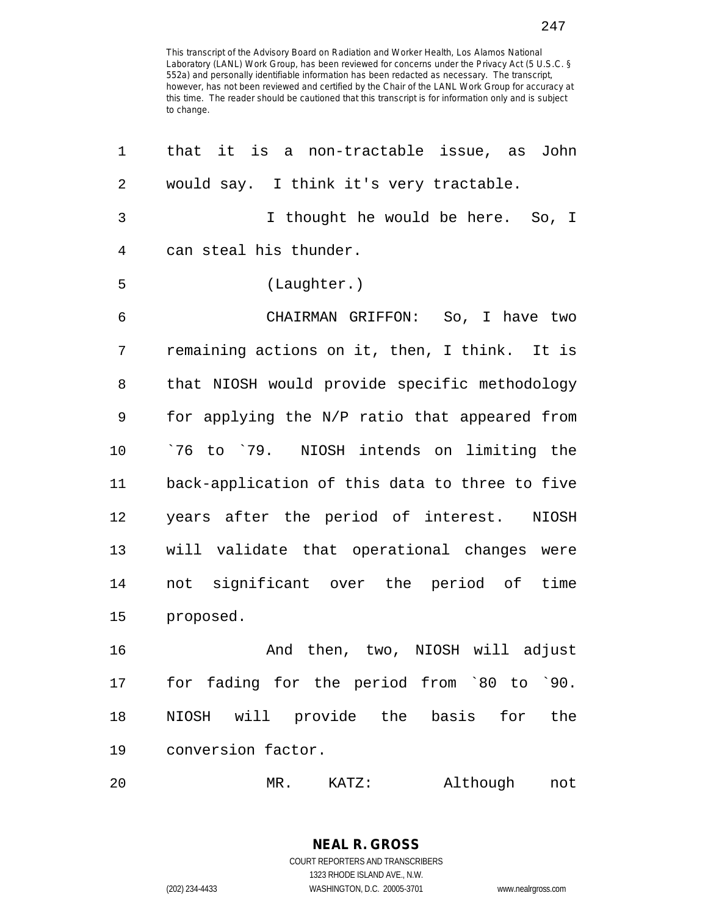| 1              | that it is a non-tractable issue, as<br>John   |
|----------------|------------------------------------------------|
| 2              | would say. I think it's very tractable.        |
| $\mathfrak{Z}$ | I thought he would be here. So, I              |
| 4              | can steal his thunder.                         |
| 5              | (Laughter.)                                    |
| 6              | CHAIRMAN GRIFFON: So, I have two               |
| 7              | remaining actions on it, then, I think. It is  |
| 8              | that NIOSH would provide specific methodology  |
| 9              | for applying the N/P ratio that appeared from  |
| 10             | '76 to '79. NIOSH intends on limiting the      |
| 11             | back-application of this data to three to five |
| 12             | years after the period of interest. NIOSH      |
| 13             | will validate that operational changes were    |
| 14             | not significant over the period of time        |
| 15             | proposed.                                      |
| 16             | And then, two, NIOSH will adjust               |
| 17             | for fading for the period from `80 to `90.     |
| 18             | NIOSH will provide the basis for<br>the        |
| 19             | conversion factor.                             |
| 20             | Although<br>$MR$ .<br>KATZ:<br>not             |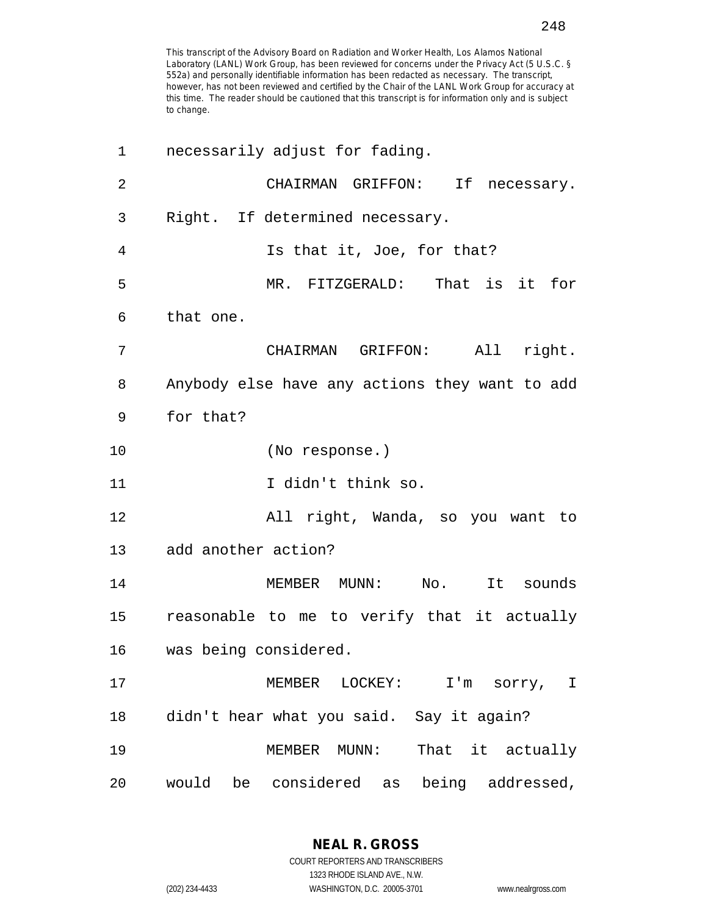| 1  | necessarily adjust for fading.                 |
|----|------------------------------------------------|
| 2  | CHAIRMAN GRIFFON: If<br>necessary.             |
| 3  | Right. If determined necessary.                |
| 4  | Is that it, Joe, for that?                     |
| 5  | MR. FITZGERALD: That is it for                 |
| 6  | that one.                                      |
| 7  | CHAIRMAN GRIFFON: All right.                   |
| 8  | Anybody else have any actions they want to add |
| 9  | for that?                                      |
| 10 | (No response.)                                 |
| 11 | I didn't think so.                             |
| 12 | All right, Wanda, so you want to               |
| 13 | add another action?                            |
| 14 | MEMBER MUNN: No. It sounds                     |
| 15 | reasonable to me to verify that it actually    |
| 16 | was being considered.                          |
| 17 | MEMBER LOCKEY:<br>I'm sorry, I                 |
| 18 | didn't hear what you said. Say it again?       |
| 19 | That it actually<br>MEMBER MUNN:               |
| 20 | be considered as being addressed,<br>would     |

**NEAL R. GROSS**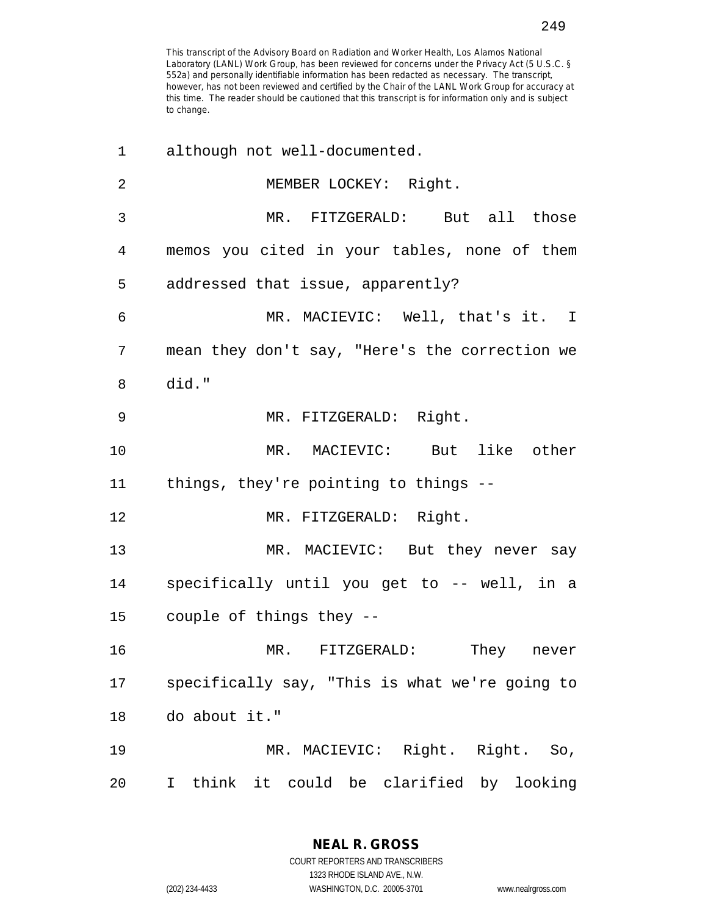| 1              | although not well-documented.                          |
|----------------|--------------------------------------------------------|
| $\overline{2}$ | MEMBER LOCKEY: Right.                                  |
| 3              | MR. FITZGERALD: But all those                          |
| 4              | memos you cited in your tables, none of them           |
| 5              | addressed that issue, apparently?                      |
| 6              | MR. MACIEVIC: Well, that's it. I                       |
| 7              | mean they don't say, "Here's the correction we         |
| 8              | did."                                                  |
| 9              | MR. FITZGERALD: Right.                                 |
| 10             | MR. MACIEVIC: But like other                           |
| 11             | things, they're pointing to things --                  |
| 12             | MR. FITZGERALD: Right.                                 |
| 13             | MR. MACIEVIC: But they never say                       |
| 14             | specifically until you get to -- well, in a            |
|                | 15 couple of things they --                            |
| 16             | MR. FITZGERALD:<br>They never                          |
| 17             | specifically say, "This is what we're going to         |
| 18             | do about it."                                          |
| 19             | MR. MACIEVIC: Right. Right. So,                        |
| 20             | think it could be clarified by looking<br>$\mathbf{I}$ |

**NEAL R. GROSS**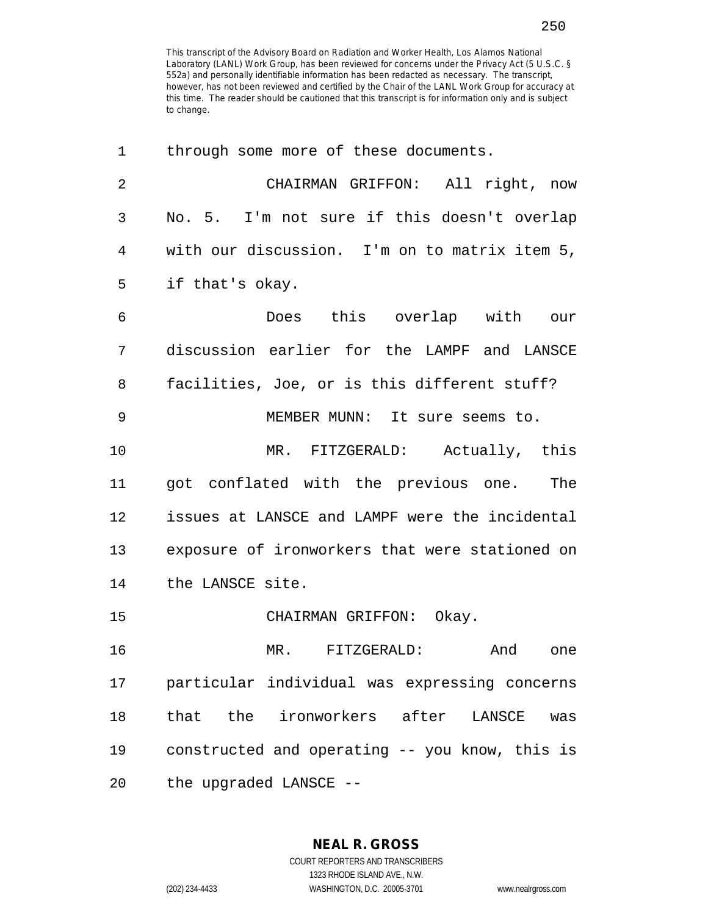| 1  | through some more of these documents.          |
|----|------------------------------------------------|
| 2  | CHAIRMAN GRIFFON: All right, now               |
| 3  | No. 5. I'm not sure if this doesn't overlap    |
| 4  | with our discussion. I'm on to matrix item 5,  |
| 5  | if that's okay.                                |
| 6  | Does this overlap with our                     |
| 7  | discussion earlier for the LAMPF and LANSCE    |
| 8  | facilities, Joe, or is this different stuff?   |
| 9  | MEMBER MUNN: It sure seems to.                 |
| 10 | MR. FITZGERALD: Actually, this                 |
| 11 | got conflated with the previous one. The       |
| 12 | issues at LANSCE and LAMPF were the incidental |
| 13 | exposure of ironworkers that were stationed on |
| 14 | the LANSCE site.                               |
| 15 | CHAIRMAN GRIFFON: Okay.                        |
| 16 | MR. FITZGERALD:<br>And one                     |
| 17 | particular individual was expressing concerns  |
| 18 | that the ironworkers after LANSCE<br>was       |
| 19 | constructed and operating -- you know, this is |
| 20 | the upgraded LANSCE --                         |

**NEAL R. GROSS** COURT REPORTERS AND TRANSCRIBERS

1323 RHODE ISLAND AVE., N.W.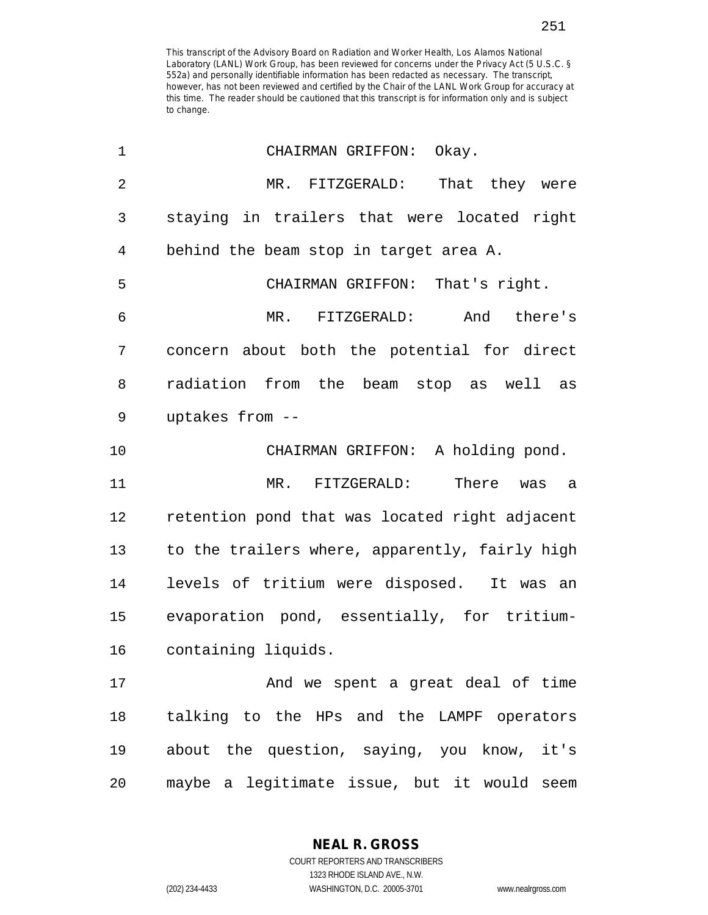| $\mathbf 1$    | CHAIRMAN GRIFFON: Okay.                        |
|----------------|------------------------------------------------|
| $\overline{2}$ | MR. FITZGERALD:<br>That they were              |
| 3              | staying in trailers that were located right    |
| 4              | behind the beam stop in target area A.         |
| 5              | CHAIRMAN GRIFFON: That's right.                |
| 6              | MR. FITZGERALD: And there's                    |
| 7              | concern about both the potential for direct    |
| 8              | radiation from the beam stop as well as        |
| 9              | uptakes from --                                |
| 10             | CHAIRMAN GRIFFON: A holding pond.              |
| 11             | MR. FITZGERALD:<br>There was a                 |
| 12             | retention pond that was located right adjacent |
| 13             | to the trailers where, apparently, fairly high |
| 14             | levels of tritium were disposed. It was an     |
| 15             | evaporation pond, essentially, for tritium-    |
| 16             | containing liquids.                            |
| 17             | And we spent a great deal of time              |
| 18             | talking to the HPs and the LAMPF operators     |
| 19             | about the question, saying, you know, it's     |
| 20             | maybe a legitimate issue, but it would seem    |

**NEAL R. GROSS**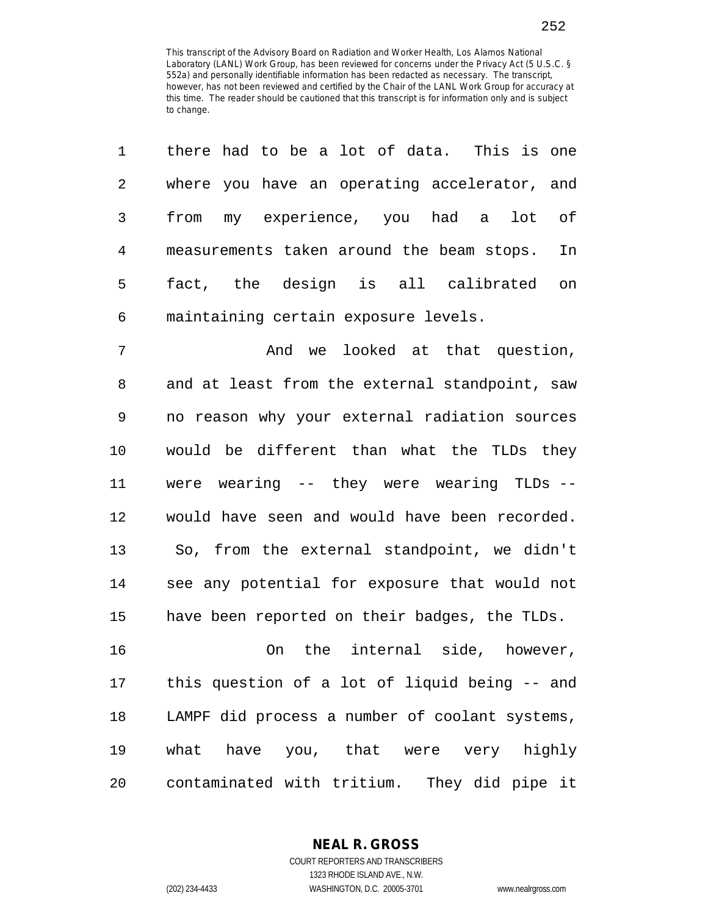|   | there had to be a lot of data. This is one      |
|---|-------------------------------------------------|
| 2 | where you have an operating accelerator, and    |
| 3 | from my experience, you had a lot of            |
| 4 | measurements taken around the beam stops.<br>In |
| 5 | fact, the design is all calibrated on           |
| 6 | maintaining certain exposure levels.            |

7 And we looked at that question, 8 and at least from the external standpoint, saw 9 no reason why your external radiation sources 10 would be different than what the TLDs they 11 were wearing -- they were wearing TLDs -- 12 would have seen and would have been recorded. 13 So, from the external standpoint, we didn't 14 see any potential for exposure that would not 15 have been reported on their badges, the TLDs.

16 On the internal side, however, 17 this question of a lot of liquid being -- and 18 LAMPF did process a number of coolant systems, 19 what have you, that were very highly 20 contaminated with tritium. They did pipe it

**NEAL R. GROSS**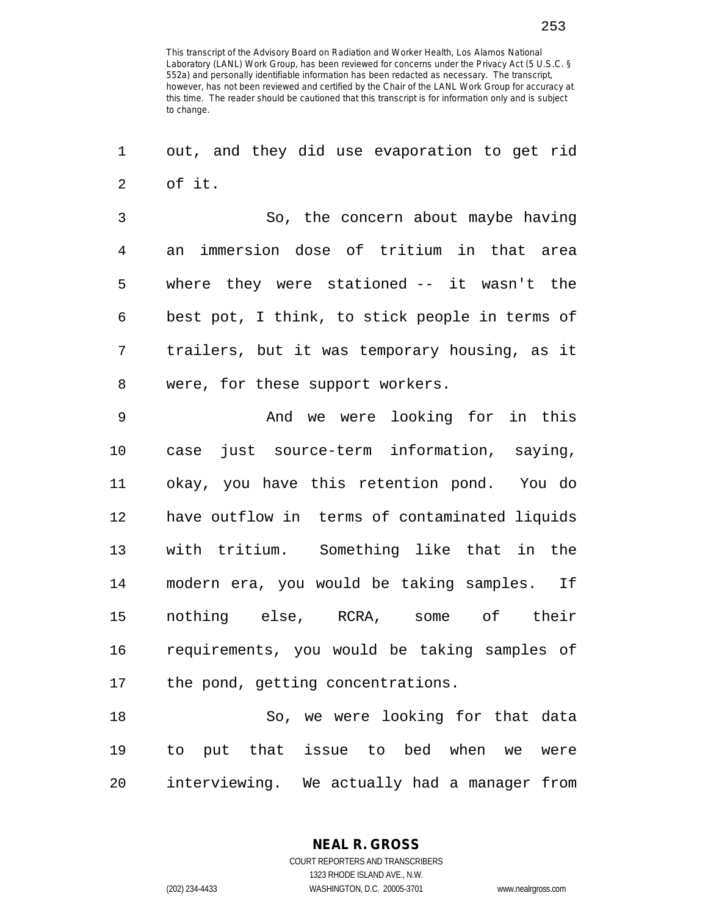1 out, and they did use evaporation to get rid 2 of it.

3 So, the concern about maybe having 4 an immersion dose of tritium in that area 5 where they were stationed -- it wasn't the 6 best pot, I think, to stick people in terms of 7 trailers, but it was temporary housing, as it 8 were, for these support workers.

9 And we were looking for in this 10 case just source-term information, saying, 11 okay, you have this retention pond. You do 12 have outflow in terms of contaminated liquids 13 with tritium. Something like that in the 14 modern era, you would be taking samples. If 15 nothing else, RCRA, some of their 16 requirements, you would be taking samples of 17 the pond, getting concentrations.

18 So, we were looking for that data 19 to put that issue to bed when we were 20 interviewing. We actually had a manager from

**NEAL R. GROSS**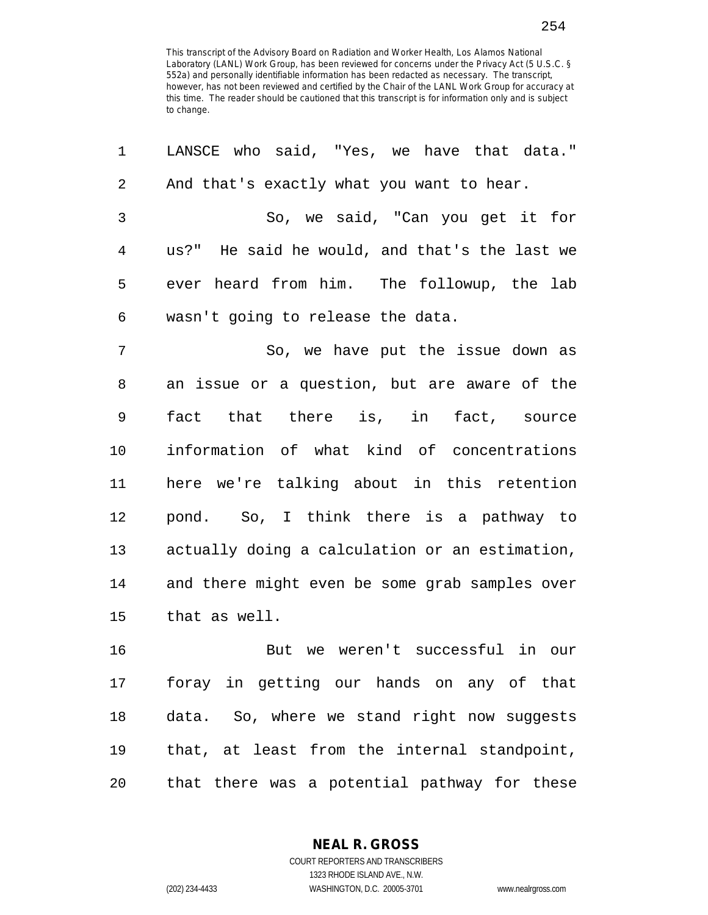| $\mathbf 1$    | LANSCE who said, "Yes, we have that data."     |
|----------------|------------------------------------------------|
| $\overline{2}$ | And that's exactly what you want to hear.      |
| 3              | So, we said, "Can you get it for               |
| $\overline{4}$ | us?" He said he would, and that's the last we  |
| 5              | ever heard from him. The followup, the lab     |
| 6              | wasn't going to release the data.              |
| 7              | So, we have put the issue down as              |
| 8              | an issue or a question, but are aware of the   |
| 9              | fact that there is, in fact, source            |
| 10             | information of what kind of concentrations     |
| 11             | here we're talking about in this retention     |
| 12             | pond. So, I think there is a pathway to        |
| 13             | actually doing a calculation or an estimation, |
| 14             | and there might even be some grab samples over |
| 15             | that as well.                                  |
| 16             | But we weren't successful in our               |
| 17             | foray in getting our hands on any of that      |

18 data. So, where we stand right now suggests 19 that, at least from the internal standpoint, 20 that there was a potential pathway for these

> **NEAL R. GROSS** COURT REPORTERS AND TRANSCRIBERS

1323 RHODE ISLAND AVE., N.W. (202) 234-4433 WASHINGTON, D.C. 20005-3701 www.nealrgross.com

254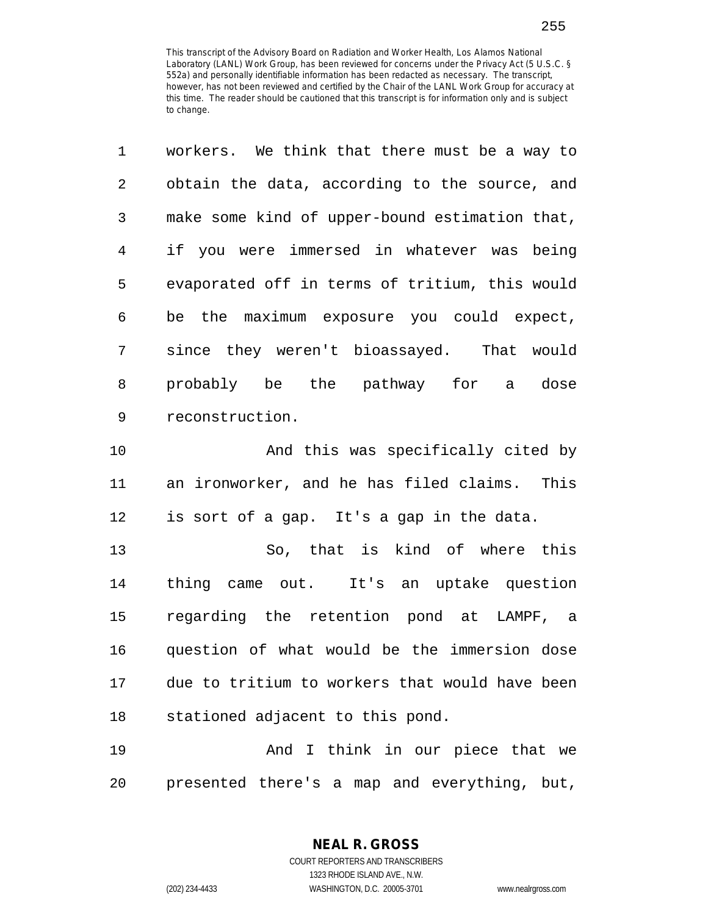| $\mathbf{1}$   | workers. We think that there must be a way to  |
|----------------|------------------------------------------------|
| $\overline{2}$ | obtain the data, according to the source, and  |
| 3              | make some kind of upper-bound estimation that, |
| 4              | if you were immersed in whatever was being     |
| 5              | evaporated off in terms of tritium, this would |
| 6              | be the maximum exposure you could expect,      |
| 7              | since they weren't bioassayed. That would      |
| 8              | probably be the pathway for a dose             |
| 9              | reconstruction.                                |

10 And this was specifically cited by 11 an ironworker, and he has filed claims. This 12 is sort of a gap. It's a gap in the data.

13 So, that is kind of where this 14 thing came out. It's an uptake question 15 regarding the retention pond at LAMPF, a 16 question of what would be the immersion dose 17 due to tritium to workers that would have been 18 stationed adjacent to this pond.

19 **And I** think in our piece that we 20 presented there's a map and everything, but,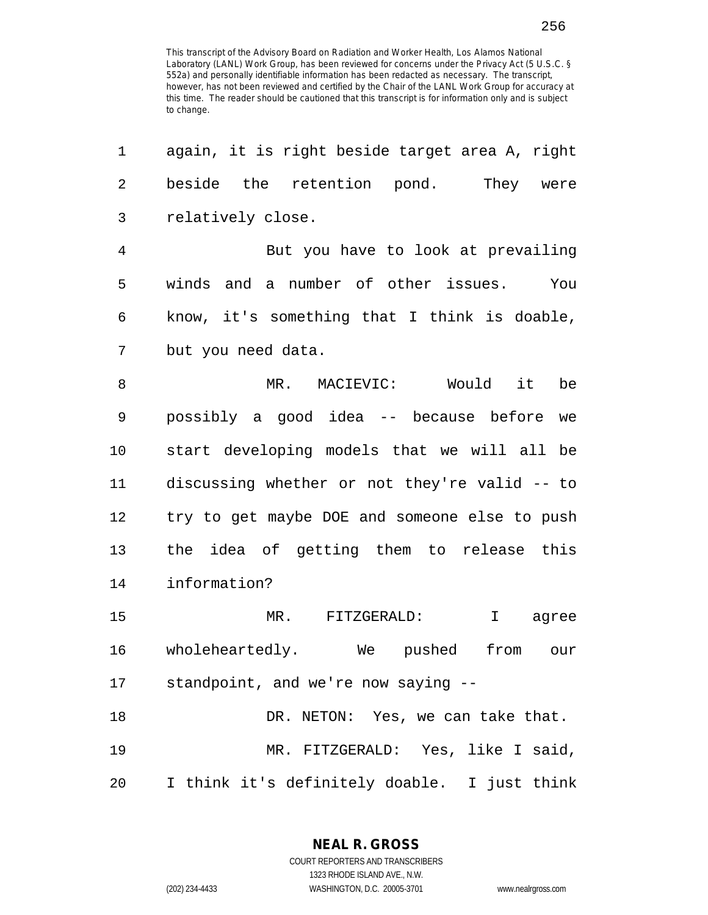| $\mathbf 1$ | again, it is right beside target area A, right |
|-------------|------------------------------------------------|
| 2           | beside the retention pond. They were           |
| 3           | relatively close.                              |
| 4           | But you have to look at prevailing             |
| 5           | winds and a number of other issues. You        |
| 6           | know, it's something that I think is doable,   |
| 7           | but you need data.                             |
| 8           | MR. MACIEVIC: Would it<br>be                   |
| 9           | possibly a good idea -- because before<br>we   |
| 10          | start developing models that we will all be    |
| 11          | discussing whether or not they're valid -- to  |
| 12          | try to get maybe DOE and someone else to push  |
| 13          | the idea of getting them to release this       |
| 14          | information?                                   |
| 15          | MR.<br>FITZGERALD:<br>I agree                  |
| 16          | wholeheartedly.<br>We pushed from our          |
| 17          | standpoint, and we're now saying --            |
| 18          | DR. NETON: Yes, we can take that.              |
| 19          | MR. FITZGERALD: Yes, like I said,              |
| 20          | I think it's definitely doable. I just think   |

**NEAL R. GROSS**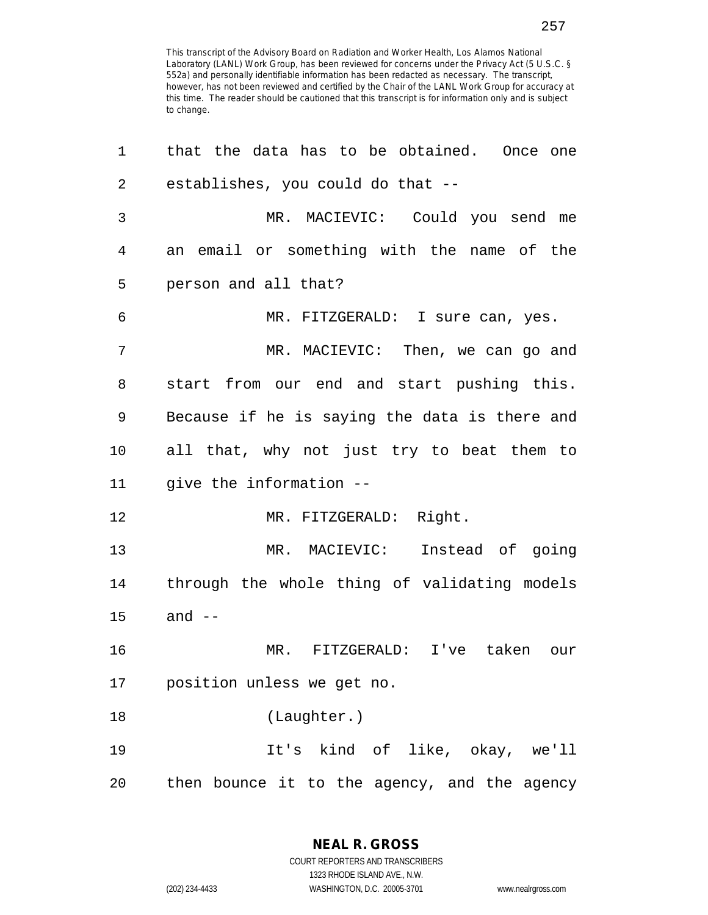| 1              | that the data has to be obtained. Once one    |
|----------------|-----------------------------------------------|
| $\overline{2}$ | establishes, you could do that --             |
| 3              | MR. MACIEVIC: Could you send me               |
| $\overline{4}$ | an email or something with the name of the    |
| 5              | person and all that?                          |
| 6              | MR. FITZGERALD: I sure can, yes.              |
| 7              | MR. MACIEVIC: Then, we can go and             |
| 8              | start from our end and start pushing this.    |
| 9              | Because if he is saying the data is there and |
| 10             | all that, why not just try to beat them to    |
| 11             | give the information --                       |
| 12             | MR. FITZGERALD: Right.                        |
| 13             | MR. MACIEVIC: Instead of going                |
| 14             | through the whole thing of validating models  |
| 15             | and $--$                                      |
| 16             | MR. FITZGERALD: I've taken our                |
| 17             | position unless we get no.                    |
| 18             | (Laughter.)                                   |
| 19             | It's kind of like, okay, we'll                |
| 20             | then bounce it to the agency, and the agency  |

**NEAL R. GROSS**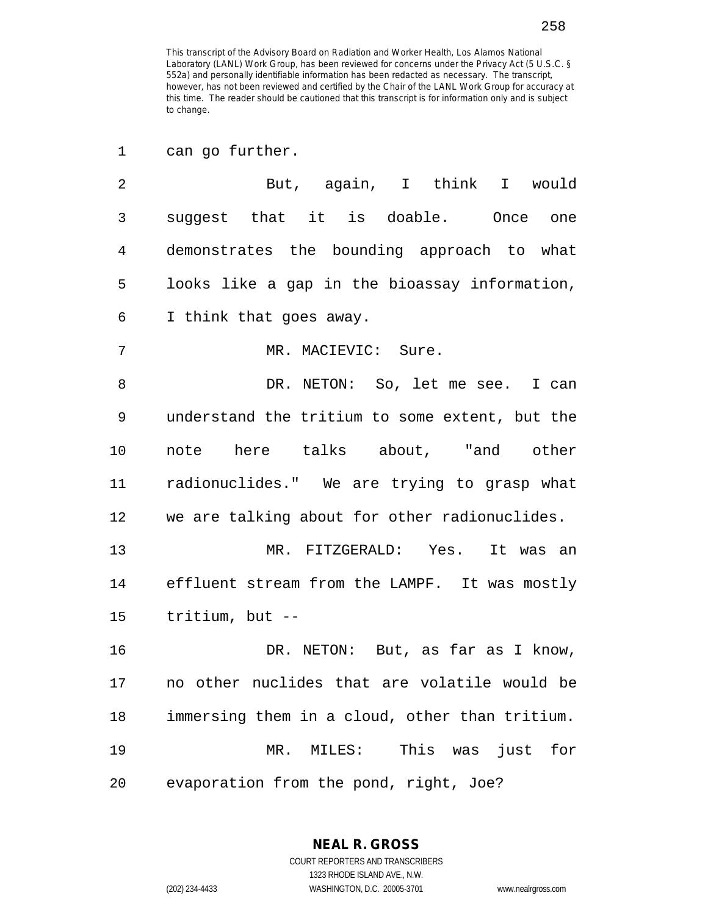1 can go further.

| $\overline{2}$ | But, again, I think I would                    |
|----------------|------------------------------------------------|
| 3              | suggest that it is doable. Once one            |
| 4              | demonstrates the bounding approach to what     |
| 5              | looks like a gap in the bioassay information,  |
| 6              | I think that goes away.                        |
| 7              | MR. MACIEVIC: Sure.                            |
| 8              | DR. NETON: So, let me see. I can               |
| 9              | understand the tritium to some extent, but the |
| 10             | note here talks about, "and other              |
| 11             | radionuclides." We are trying to grasp what    |
| 12             | we are talking about for other radionuclides.  |
| 13             | MR. FITZGERALD: Yes. It was an                 |
| 14             | effluent stream from the LAMPF. It was mostly  |
| 15             | tritium, but --                                |
| 16             | DR. NETON: But, as far as I know,              |
| 17             | no other nuclides that are volatile would be   |
| 18             | immersing them in a cloud, other than tritium. |
| 19             | This was<br>MILES:<br>just<br>for<br>MR.       |
| 20             | evaporation from the pond, right, Joe?         |

**NEAL R. GROSS**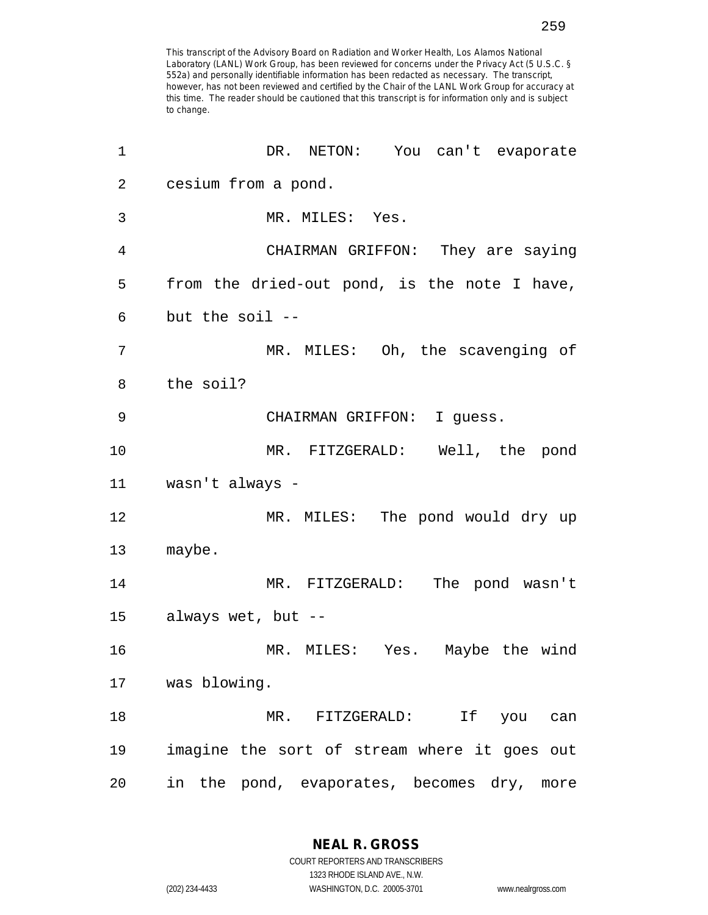| 1              | DR. NETON: You can't evaporate                |
|----------------|-----------------------------------------------|
| $\overline{2}$ | cesium from a pond.                           |
| 3              | MR. MILES: Yes.                               |
| 4              | CHAIRMAN GRIFFON: They are saying             |
| 5              | from the dried-out pond, is the note I have,  |
| 6              | but the soil $-$                              |
| 7              | MR. MILES: Oh, the scavenging of              |
| 8              | the soil?                                     |
| 9              | CHAIRMAN GRIFFON: I guess.                    |
| 10             | MR. FITZGERALD: Well, the pond                |
| 11             | wasn't always -                               |
| 12             | MR. MILES: The pond would dry up              |
| 13             | maybe.                                        |
| 14             | MR. FITZGERALD: The pond wasn't               |
| 15             | always wet, but --                            |
| 16             | MR. MILES: Yes. Maybe the wind                |
| 17             | was blowing.                                  |
| 18             | MR. FITZGERALD: If you can                    |
| 19             | imagine the sort of stream where it goes out  |
| 20             | in the pond, evaporates, becomes dry,<br>more |

**NEAL R. GROSS**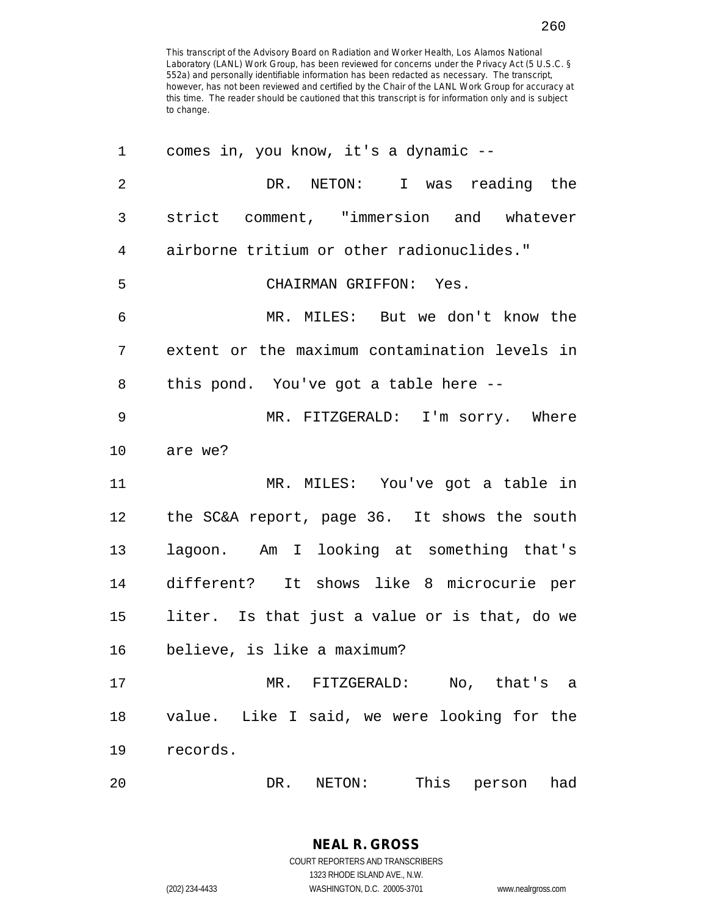| 1              | comes in, you know, it's a dynamic --         |
|----------------|-----------------------------------------------|
| $\overline{2}$ | DR. NETON: I was reading the                  |
| 3              | strict comment, "immersion and whatever       |
| 4              | airborne tritium or other radionuclides."     |
| 5              | CHAIRMAN GRIFFON: Yes.                        |
| 6              | MR. MILES: But we don't know the              |
| 7              | extent or the maximum contamination levels in |
| 8              | this pond. You've got a table here --         |
| $\mathsf 9$    | MR. FITZGERALD: I'm sorry. Where              |
| 10             | are we?                                       |
| 11             | MR. MILES: You've got a table in              |
| 12             | the SC&A report, page 36. It shows the south  |
| 13             | lagoon. Am I looking at something that's      |
| 14             | different? It shows like 8 microcurie per     |
| 15             | liter. Is that just a value or is that, do we |
| 16             | believe, is like a maximum?                   |
| 17             | MR.<br>FITZGERALD:<br>No, that's a            |
| 18             | value. Like I said, we were looking for the   |
| 19             | records.                                      |
| 20             | This person<br>DR.<br>NETON:<br>had           |

**NEAL R. GROSS** COURT REPORTERS AND TRANSCRIBERS 1323 RHODE ISLAND AVE., N.W.

(202) 234-4433 WASHINGTON, D.C. 20005-3701 www.nealrgross.com

260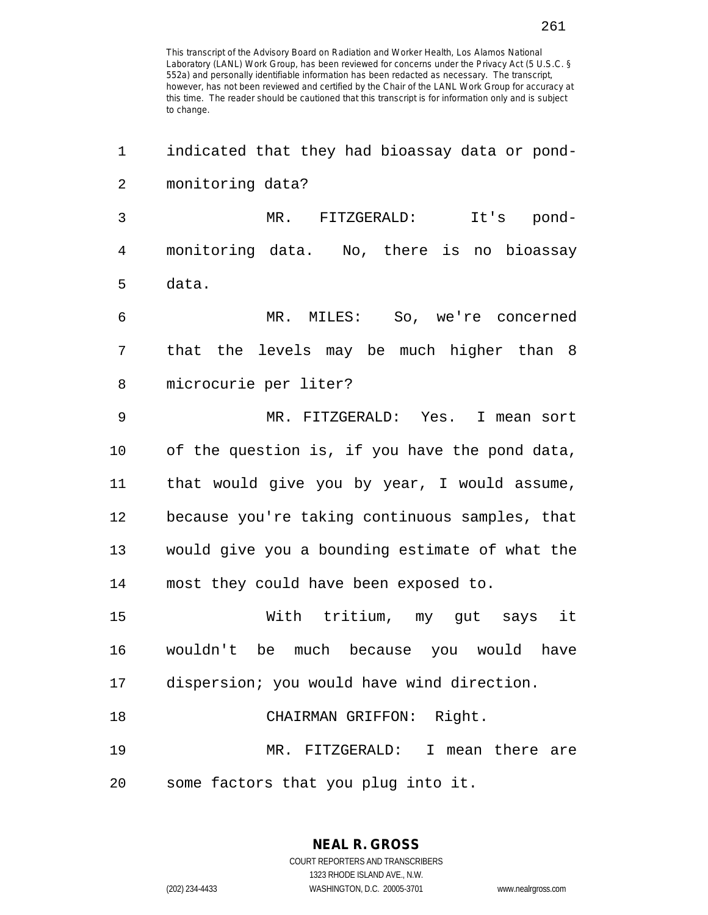| 1  | indicated that they had bioassay data or pond- |
|----|------------------------------------------------|
| 2  | monitoring data?                               |
| 3  | MR. FITZGERALD: It's pond-                     |
| 4  | monitoring data. No, there is no bioassay      |
| 5  | data.                                          |
| 6  | MR. MILES: So, we're concerned                 |
| 7  | that the levels may be much higher than 8      |
| 8  | microcurie per liter?                          |
| 9  | MR. FITZGERALD: Yes. I mean sort               |
| 10 | of the question is, if you have the pond data, |
| 11 | that would give you by year, I would assume,   |
| 12 | because you're taking continuous samples, that |
| 13 | would give you a bounding estimate of what the |
| 14 | most they could have been exposed to.          |
| 15 | With tritium, my gut says it                   |
| 16 | wouldn't be much because you would have        |
| 17 | dispersion; you would have wind direction.     |
| 18 | CHAIRMAN GRIFFON: Right.                       |
| 19 | MR. FITZGERALD:<br>I mean there are            |
| 20 | some factors that you plug into it.            |

**NEAL R. GROSS**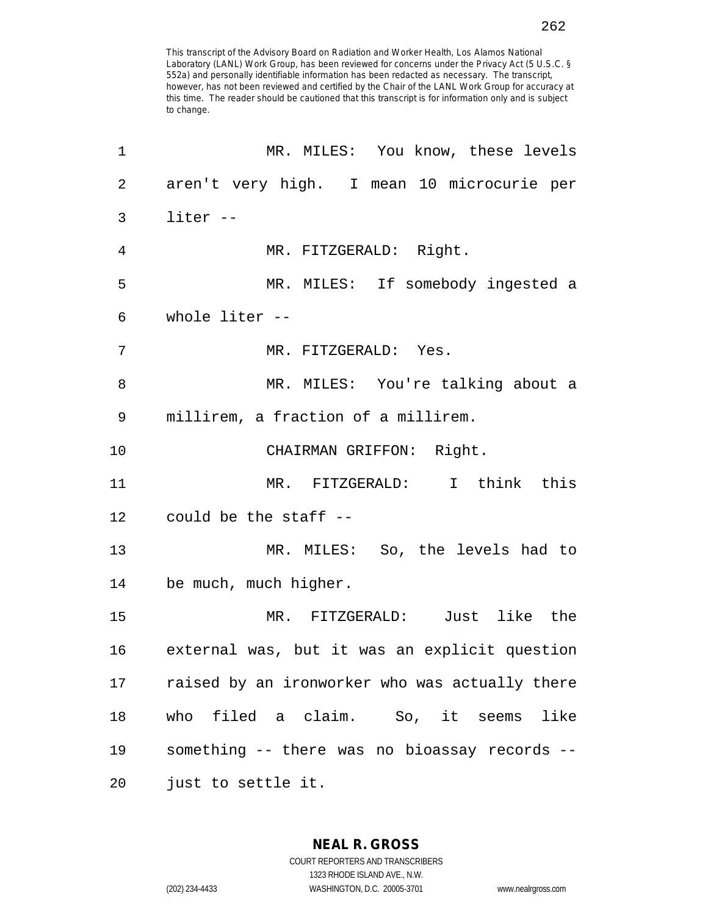| 1              | MR. MILES: You know, these levels              |
|----------------|------------------------------------------------|
| $\overline{2}$ | aren't very high. I mean 10 microcurie per     |
| 3              | liter --                                       |
| 4              | MR. FITZGERALD: Right.                         |
| 5              | MR. MILES: If somebody ingested a              |
| 6              | whole liter --                                 |
| 7              | MR. FITZGERALD: Yes.                           |
| 8              | MR. MILES: You're talking about a              |
| 9              | millirem, a fraction of a millirem.            |
| 10             | CHAIRMAN GRIFFON: Right.                       |
| 11             | MR. FITZGERALD: I think this                   |
|                | 12 could be the staff --                       |
| 13             | MR. MILES: So, the levels had to               |
| 14             | be much, much higher.                          |
| 15             | MR. FITZGERALD: Just like the                  |
| 16             | external was, but it was an explicit question  |
| 17             | raised by an ironworker who was actually there |
| 18             | who filed a claim. So, it seems<br>like        |
| 19             | something -- there was no bioassay records --  |
| 20             | just to settle it.                             |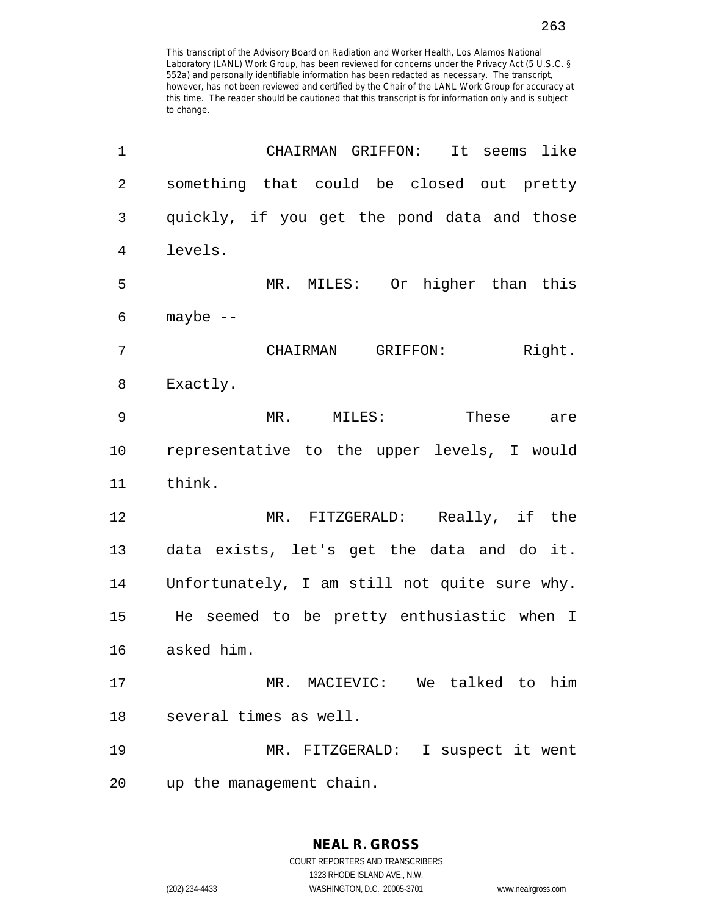| 1  | CHAIRMAN GRIFFON: It seems like               |
|----|-----------------------------------------------|
| 2  | something that could be closed out pretty     |
| 3  | quickly, if you get the pond data and those   |
| 4  | levels.                                       |
| 5  | MR. MILES: Or higher than this                |
| 6  | $maybe$ --                                    |
| 7  | CHAIRMAN GRIFFON:<br>Right.                   |
| 8  | Exactly.                                      |
| 9  | MR. MILES:<br>These are                       |
| 10 | representative to the upper levels, I would   |
| 11 | think.                                        |
| 12 | MR. FITZGERALD: Really, if the                |
| 13 | data exists, let's get the data and do it.    |
| 14 | Unfortunately, I am still not quite sure why. |
| 15 | He seemed to be pretty enthusiastic when I    |
| 16 | asked him.                                    |
| 17 | MR. MACIEVIC: We talked to him                |
| 18 | several times as well.                        |
| 19 | MR. FITZGERALD: I suspect it went             |
| 20 | up the management chain.                      |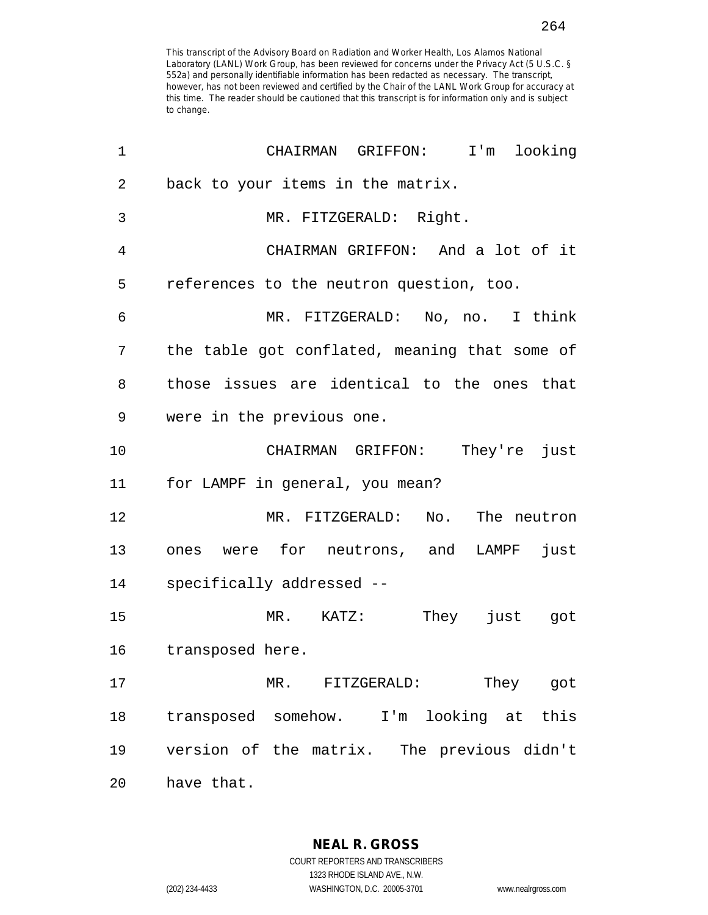| 1  | CHAIRMAN GRIFFON:<br>$I'$ m<br>looking        |
|----|-----------------------------------------------|
| 2  | back to your items in the matrix.             |
| 3  | MR. FITZGERALD: Right.                        |
| 4  | CHAIRMAN GRIFFON: And a lot of it             |
| 5  | references to the neutron question, too.      |
| 6  | MR. FITZGERALD: No, no. I think               |
| 7  | the table got conflated, meaning that some of |
| 8  | those issues are identical to the ones that   |
| 9  | were in the previous one.                     |
| 10 | They're<br>CHAIRMAN GRIFFON:<br>just          |
| 11 | for LAMPF in general, you mean?               |
| 12 | MR. FITZGERALD:<br>The neutron<br>No.         |
| 13 | just<br>were for neutrons, and LAMPF<br>ones  |
| 14 | specifically addressed --                     |
| 15 | $MR.$ $KATZ:$<br>They<br>just<br>got          |
| 16 | transposed here.                              |
| 17 | MR. FITZGERALD: They got                      |
| 18 | transposed somehow. I'm looking at this       |
| 19 | version of the matrix. The previous didn't    |
| 20 | have that.                                    |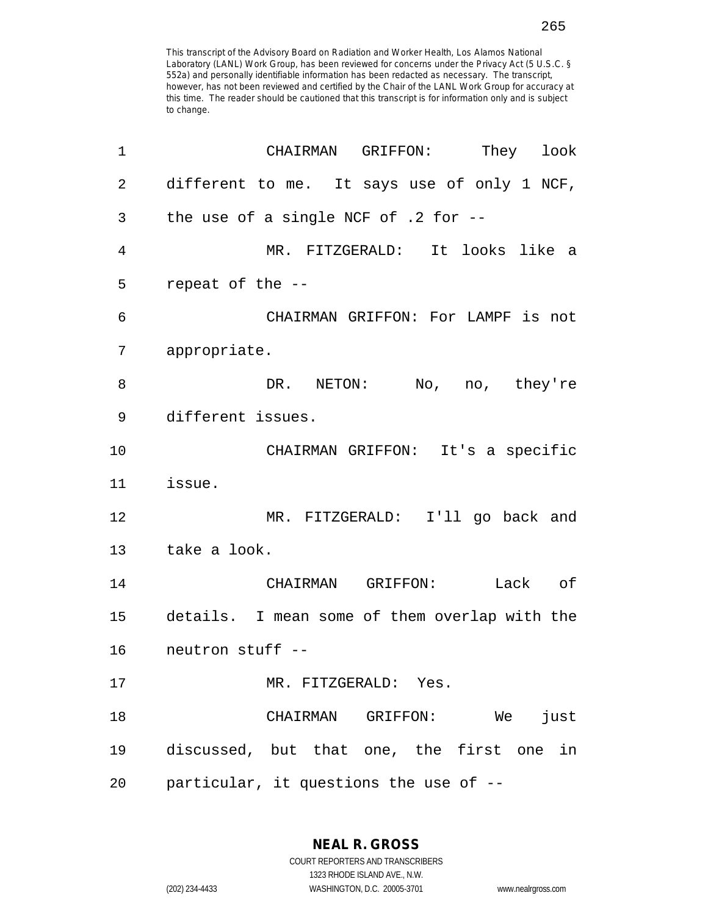| 1  | CHAIRMAN GRIFFON: They<br>look                |
|----|-----------------------------------------------|
| 2  | different to me. It says use of only 1 NCF,   |
| 3  | the use of a single NCF of $.2$ for $-$ -     |
| 4  | MR. FITZGERALD: It looks like a               |
| 5  | repeat of the --                              |
| 6  | CHAIRMAN GRIFFON: For LAMPF is not            |
| 7  | appropriate.                                  |
| 8  | DR. NETON: No, no, they're                    |
| 9  | different issues.                             |
| 10 | CHAIRMAN GRIFFON: It's a specific             |
| 11 | issue.                                        |
| 12 | MR. FITZGERALD: I'll go back and              |
| 13 | take a look.                                  |
| 14 | CHAIRMAN GRIFFON: Lack of                     |
| 15 | details. I mean some of them overlap with the |
| 16 | neutron stuff --                              |
| 17 | MR. FITZGERALD: Yes.                          |
| 18 | just<br>CHAIRMAN<br>GRIFFON:<br>We            |
| 19 | discussed, but that one, the first one<br>in  |
| 20 | particular, it questions the use of --        |

**NEAL R. GROSS**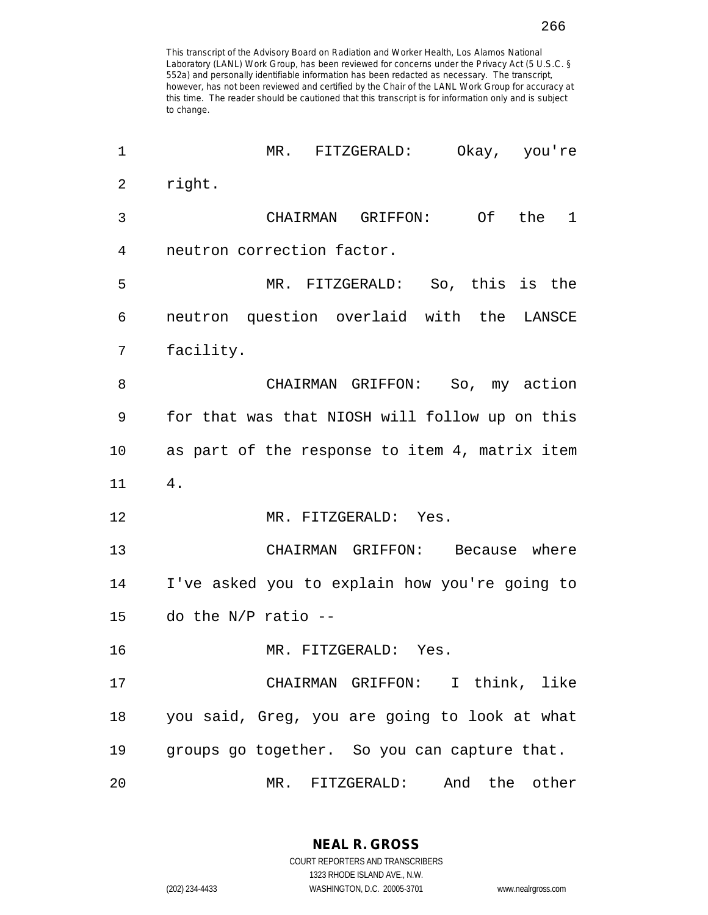| 1       | MR. FITZGERALD:<br>Okay, you're                |
|---------|------------------------------------------------|
| 2       | right.                                         |
| 3       | CHAIRMAN GRIFFON: Of the<br>$\mathbf{1}$       |
| 4       | neutron correction factor.                     |
| 5       | MR. FITZGERALD: So, this is the                |
| 6       | neutron question overlaid with the LANSCE      |
| 7       | facility.                                      |
| 8       | CHAIRMAN GRIFFON: So, my action                |
| 9       | for that was that NIOSH will follow up on this |
| $10 \,$ | as part of the response to item 4, matrix item |
| 11      | 4.                                             |
| 12      | MR. FITZGERALD: Yes.                           |
| 13      | CHAIRMAN GRIFFON:<br>Because where             |
| 14      | I've asked you to explain how you're going to  |
| 15      | do the $N/P$ ratio --                          |
| 16      | MR. FITZGERALD: Yes.                           |
| 17      | CHAIRMAN GRIFFON: I think, like                |
| 18      | you said, Greg, you are going to look at what  |
| 19      | groups go together. So you can capture that.   |
| 20      | And<br>the other<br>MR.<br>FITZGERALD:         |

**NEAL R. GROSS**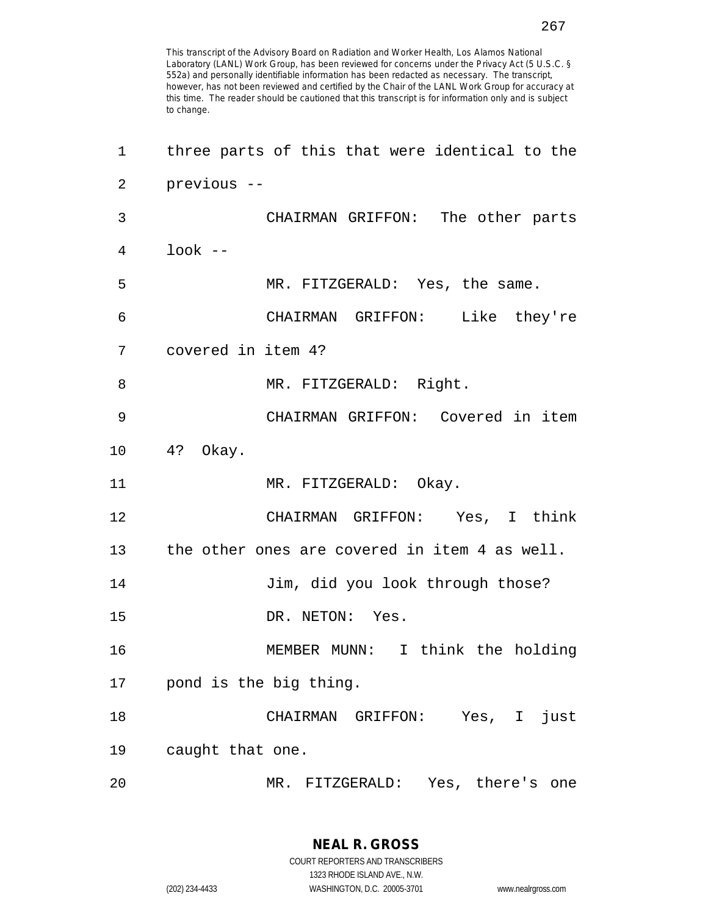| 1              | three parts of this that were identical to the |
|----------------|------------------------------------------------|
| $\overline{2}$ | previous --                                    |
| 3              | CHAIRMAN GRIFFON: The other parts              |
| 4              | $look --$                                      |
| 5              | MR. FITZGERALD: Yes, the same.                 |
| 6              | CHAIRMAN GRIFFON: Like they're                 |
| 7              | covered in item 4?                             |
| 8              | MR. FITZGERALD: Right.                         |
| 9              | CHAIRMAN GRIFFON: Covered in item              |
| 10             | 4? Okay.                                       |
| 11             | MR. FITZGERALD: Okay.                          |
| 12             | CHAIRMAN GRIFFON: Yes, I think                 |
| 13             | the other ones are covered in item 4 as well.  |
| 14             | Jim, did you look through those?               |
| 15             | DR. NETON: Yes.                                |
| 16             | MEMBER MUNN: I think the holding               |
| 17             | pond is the big thing.                         |
| 18             | CHAIRMAN GRIFFON: Yes, I just                  |
| 19             | caught that one.                               |
| 20             | MR. FITZGERALD: Yes, there's one               |

**NEAL R. GROSS** COURT REPORTERS AND TRANSCRIBERS

1323 RHODE ISLAND AVE., N.W. (202) 234-4433 WASHINGTON, D.C. 20005-3701 www.nealrgross.com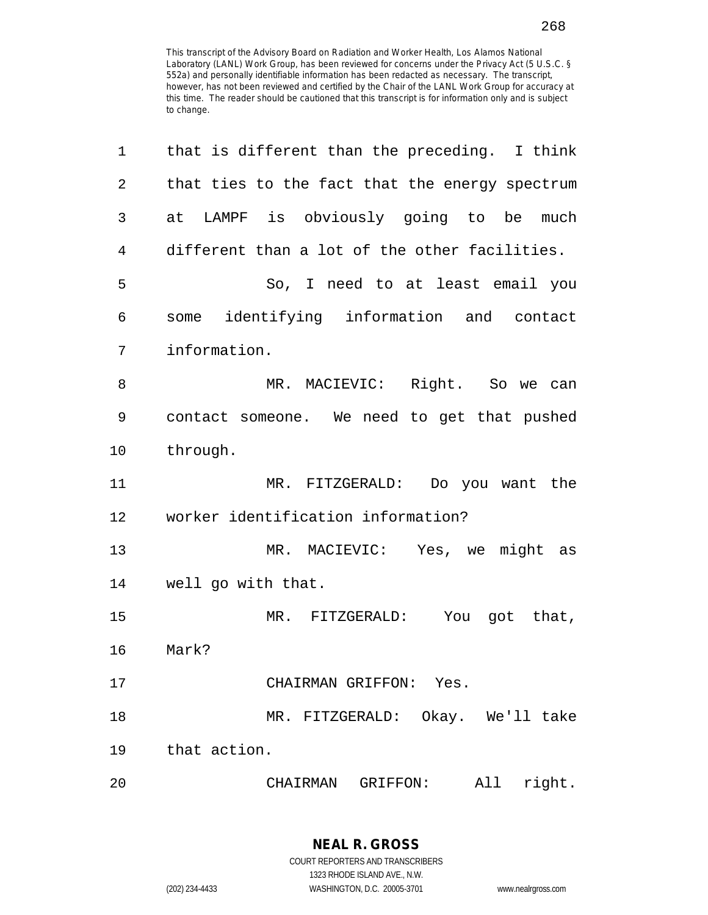| 1  | that is different than the preceding. I think  |
|----|------------------------------------------------|
| 2  | that ties to the fact that the energy spectrum |
| 3  | at LAMPF is obviously going to be<br>much      |
| 4  | different than a lot of the other facilities.  |
| 5  | So, I need to at least email you               |
| 6  | some identifying information and contact       |
| 7  | information.                                   |
| 8  | MR. MACIEVIC: Right. So we can                 |
| 9  | contact someone. We need to get that pushed    |
| 10 | through.                                       |
| 11 | MR. FITZGERALD: Do you want the                |
| 12 | worker identification information?             |
| 13 | MR. MACIEVIC: Yes, we might as                 |
| 14 | well go with that.                             |
| 15 | MR. FITZGERALD:<br>You got that,               |
| 16 | Mark?                                          |
| 17 | CHAIRMAN GRIFFON: Yes.                         |
| 18 | MR. FITZGERALD: Okay. We'll take               |
| 19 | that action.                                   |
| 20 | right.<br>CHAIRMAN GRIFFON:<br>All             |

1323 RHODE ISLAND AVE., N.W.

(202) 234-4433 WASHINGTON, D.C. 20005-3701 www.nealrgross.com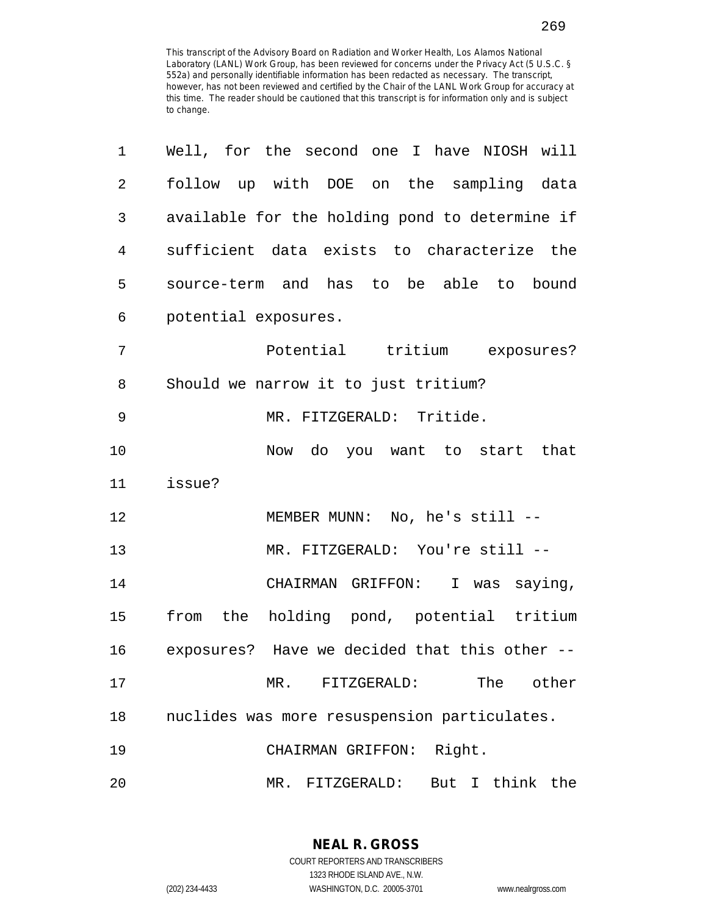| 1              | Well, for the second one I have NIOSH will     |
|----------------|------------------------------------------------|
| $\overline{2}$ | follow up with DOE on the sampling data        |
| 3              | available for the holding pond to determine if |
| 4              | sufficient data exists to characterize the     |
| 5              | source-term and has to be able to bound        |
| 6              | potential exposures.                           |
| 7              | Potential tritium exposures?                   |
| 8              | Should we narrow it to just tritium?           |
| 9              | MR. FITZGERALD: Tritide.                       |
| 10             | Now do you want to start that                  |
| 11             | issue?                                         |
| 12             | MEMBER MUNN: No, he's still --                 |
| 13             | MR. FITZGERALD: You're still --                |
| 14             | CHAIRMAN GRIFFON: I was saying,                |
| 15             | holding pond, potential tritium<br>from the    |
| 16             | exposures? Have we decided that this other --  |
| 17             | The<br>MR. FITZGERALD:<br>other                |
| 18             | nuclides was more resuspension particulates.   |
| 19             | CHAIRMAN GRIFFON: Right.                       |
| 20             | MR. FITZGERALD: But I think the                |

**NEAL R. GROSS**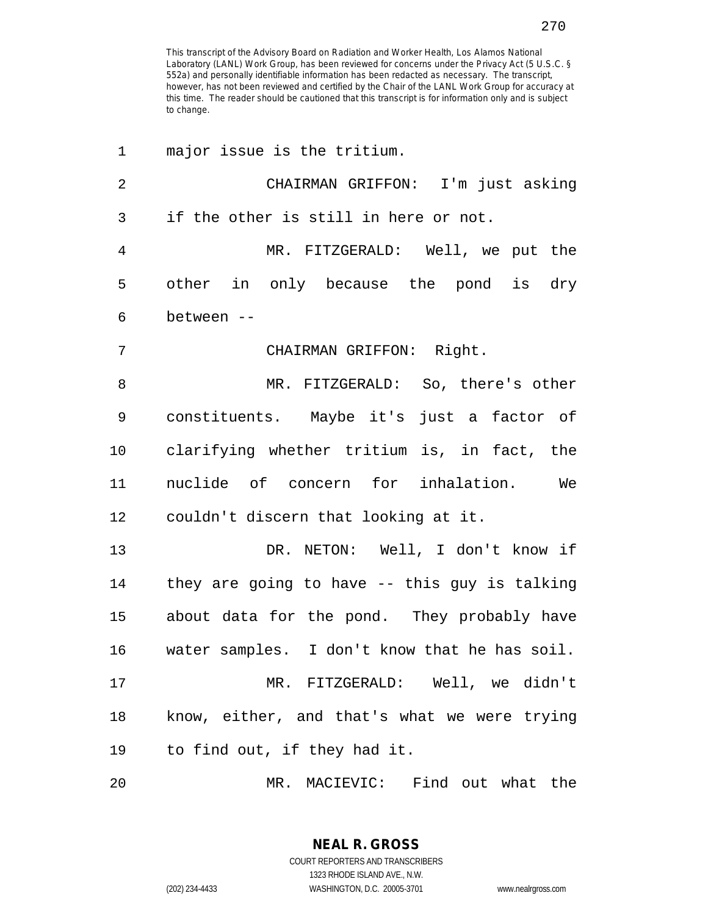| 1              | major issue is the tritium.                   |
|----------------|-----------------------------------------------|
| $\overline{2}$ | CHAIRMAN GRIFFON: I'm just asking             |
| 3              | if the other is still in here or not.         |
| 4              | MR. FITZGERALD: Well, we put the              |
| 5              | other in only because the pond is dry         |
| 6              | between --                                    |
| 7              | CHAIRMAN GRIFFON: Right.                      |
| 8              | MR. FITZGERALD: So, there's other             |
| 9              | constituents. Maybe it's just a factor of     |
| 10             | clarifying whether tritium is, in fact, the   |
| 11             | nuclide of concern for inhalation. We         |
| 12             | couldn't discern that looking at it.          |
| 13             | DR. NETON: Well, I don't know if              |
| 14             | they are going to have -- this guy is talking |
| 15             | about data for the pond. They probably have   |
| 16             | water samples. I don't know that he has soil. |
| 17             | MR. FITZGERALD: Well, we didn't               |
| 18             | know, either, and that's what we were trying  |
| 19             | to find out, if they had it.                  |
| 20             | MR. MACIEVIC: Find out what the               |

**NEAL R. GROSS** COURT REPORTERS AND TRANSCRIBERS 1323 RHODE ISLAND AVE., N.W.

(202) 234-4433 WASHINGTON, D.C. 20005-3701 www.nealrgross.com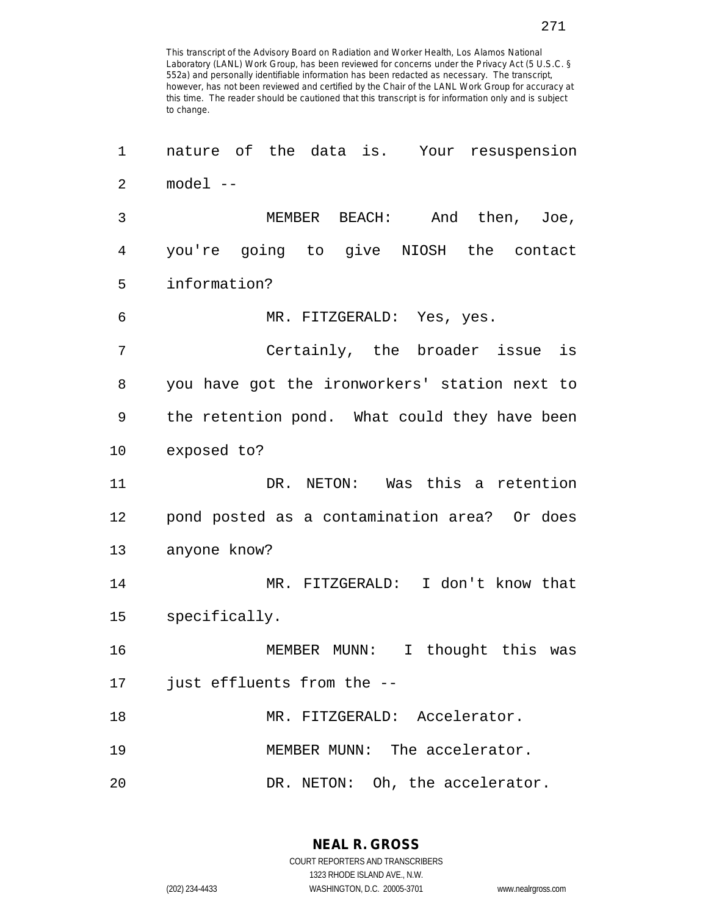| 1              | nature of the data is. Your resuspension      |
|----------------|-----------------------------------------------|
| $\overline{2}$ | $model$ --                                    |
| 3              | MEMBER BEACH: And then, Joe,                  |
| 4              | you're going to give NIOSH the contact        |
| 5              | information?                                  |
| 6              | MR. FITZGERALD: Yes, yes.                     |
| 7              | Certainly, the broader issue is               |
| 8              | you have got the ironworkers' station next to |
| 9              | the retention pond. What could they have been |
| 10             | exposed to?                                   |
| 11             | DR. NETON: Was this a retention               |
| 12             | pond posted as a contamination area? Or does  |
| 13             | anyone know?                                  |
| 14             | MR. FITZGERALD: I don't know that             |
| 15             | specifically.                                 |
| 16             | MEMBER MUNN: I thought this was               |
| 17             | just effluents from the --                    |
| 18             | MR. FITZGERALD: Accelerator.                  |
| 19             | MEMBER MUNN: The accelerator.                 |
| 20             | DR. NETON: Oh, the accelerator.               |

**NEAL R. GROSS** COURT REPORTERS AND TRANSCRIBERS

1323 RHODE ISLAND AVE., N.W.

(202) 234-4433 WASHINGTON, D.C. 20005-3701 www.nealrgross.com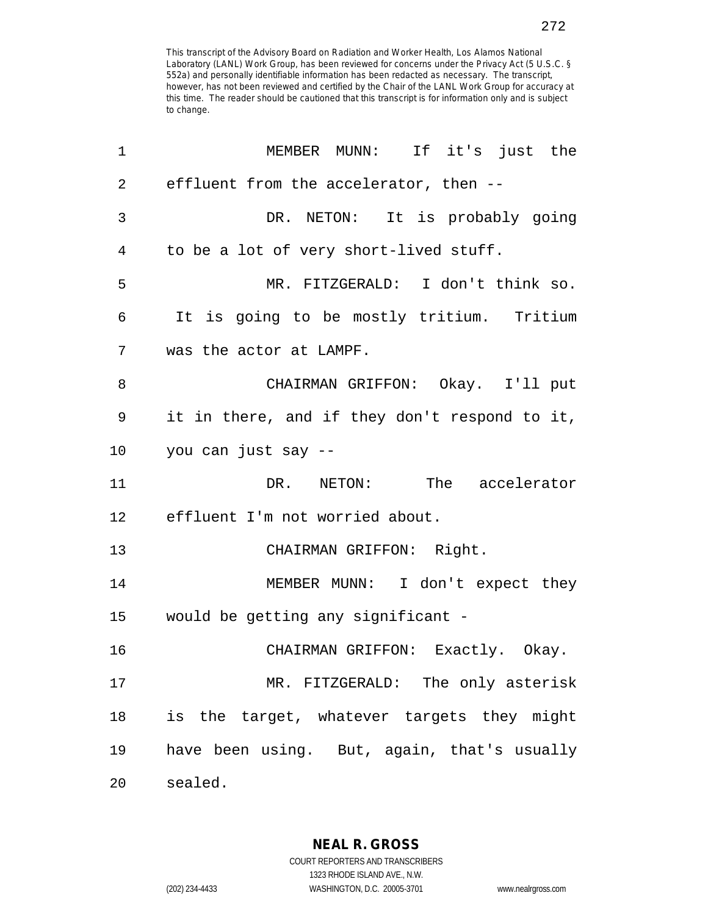272

| 1              | MEMBER MUNN: If it's just the                 |
|----------------|-----------------------------------------------|
| $\overline{2}$ | effluent from the accelerator, then --        |
| 3              | DR. NETON: It is probably going               |
| 4              | to be a lot of very short-lived stuff.        |
| 5              | MR. FITZGERALD: I don't think so.             |
| 6              | It is going to be mostly tritium. Tritium     |
| 7              | was the actor at LAMPF.                       |
| 8              | CHAIRMAN GRIFFON: Okay. I'll put              |
| 9              | it in there, and if they don't respond to it, |
| 10             | you can just say --                           |
| 11             | DR. NETON: The accelerator                    |
| 12             | effluent I'm not worried about.               |
| 13             | CHAIRMAN GRIFFON: Right.                      |
| 14             | MEMBER MUNN: I don't expect they              |
| 15             | would be getting any significant -            |
| 16             | CHAIRMAN GRIFFON: Exactly. Okay.              |
| 17             | MR. FITZGERALD: The only asterisk             |
| 18             | is the target, whatever targets they might    |
| 19             | have been using. But, again, that's usually   |
| 20             | sealed.                                       |

**NEAL R. GROSS** COURT REPORTERS AND TRANSCRIBERS

1323 RHODE ISLAND AVE., N.W. (202) 234-4433 WASHINGTON, D.C. 20005-3701 www.nealrgross.com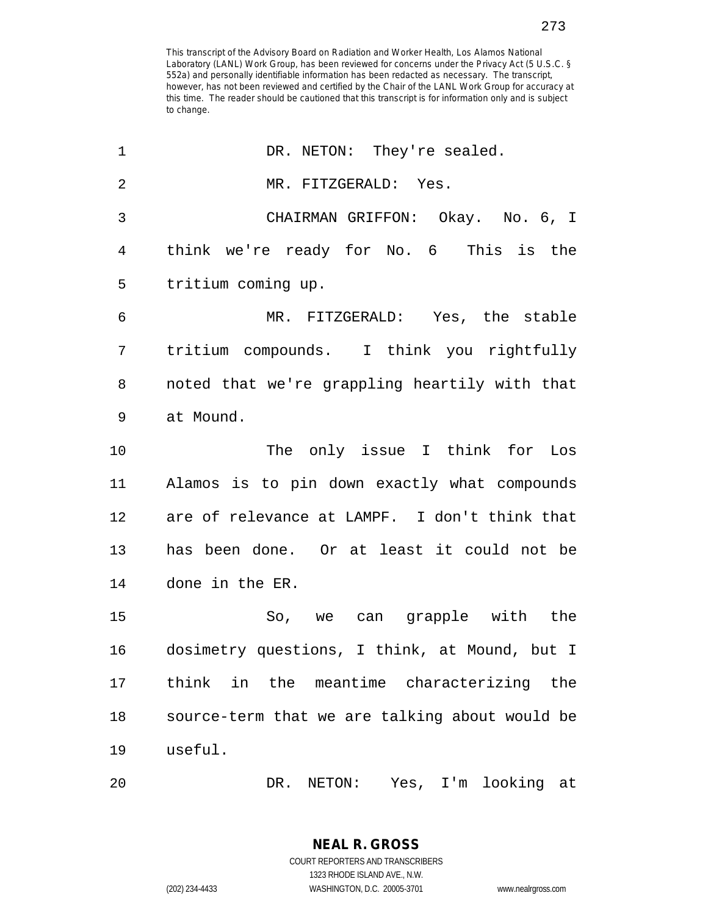| 1              | DR. NETON: They're sealed.                     |
|----------------|------------------------------------------------|
| $\overline{2}$ | MR. FITZGERALD: Yes.                           |
| 3              | CHAIRMAN GRIFFON: Okay. No. 6, I               |
| $\overline{4}$ | think we're ready for No. 6 This is the        |
| 5              | tritium coming up.                             |
| 6              | MR. FITZGERALD: Yes, the stable                |
| 7              | tritium compounds. I think you rightfully      |
| 8              | noted that we're grappling heartily with that  |
| 9              | at Mound.                                      |
| 10             | The only issue I think for Los                 |
| 11             | Alamos is to pin down exactly what compounds   |
| 12             | are of relevance at LAMPF. I don't think that  |
| 13             | has been done. Or at least it could not be     |
| 14             | done in the ER.                                |
| 15             | So, we can grapple with the                    |
| 16             | dosimetry questions, I think, at Mound, but I  |
| 17             | think in the meantime characterizing the       |
| 18             | source-term that we are talking about would be |
| 19             | useful.                                        |
| 20             | DR. NETON: Yes, I'm looking at                 |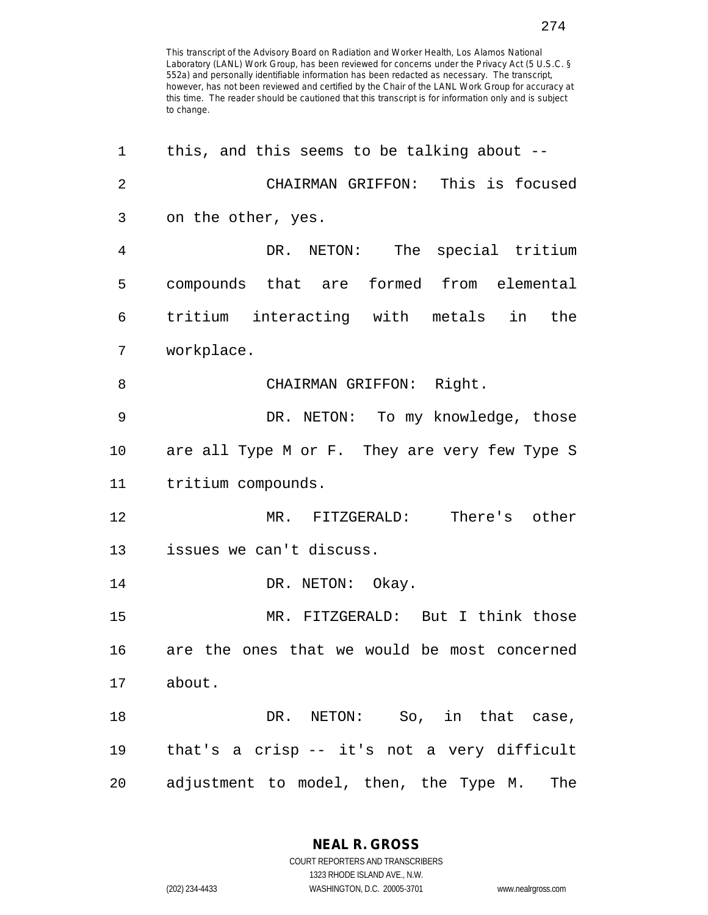| 1  | this, and this seems to be talking about --   |
|----|-----------------------------------------------|
| 2  | CHAIRMAN GRIFFON: This is focused             |
| 3  | on the other, yes.                            |
| 4  | DR. NETON: The special tritium                |
| 5  | compounds that are formed from elemental      |
| 6  | tritium interacting with metals in<br>the     |
| 7  | workplace.                                    |
| 8  | CHAIRMAN GRIFFON: Right.                      |
| 9  | DR. NETON: To my knowledge, those             |
| 10 | are all Type M or F. They are very few Type S |
| 11 | tritium compounds.                            |
| 12 | MR. FITZGERALD:<br>There's other              |
| 13 | issues we can't discuss.                      |
| 14 | DR. NETON: Okay.                              |
| 15 | MR. FITZGERALD: But I think those             |
| 16 | are the ones that we would be most concerned  |
| 17 | about.                                        |
| 18 | DR. NETON: So, in that case,                  |
| 19 | that's a crisp -- it's not a very difficult   |
| 20 | adjustment to model, then, the Type M.<br>The |

**NEAL R. GROSS**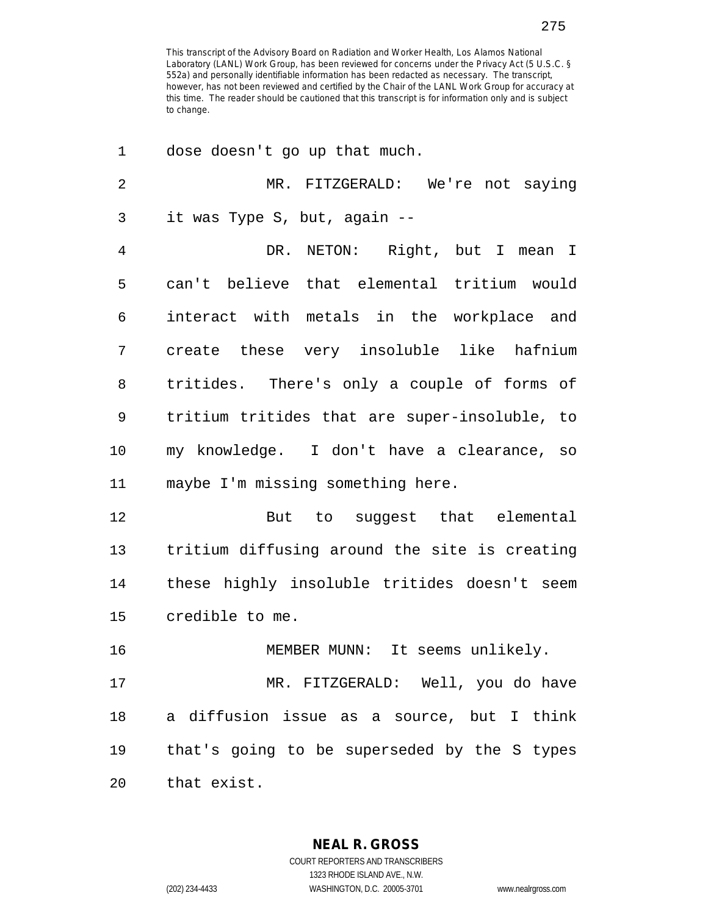| 1              | dose doesn't go up that much.                 |
|----------------|-----------------------------------------------|
| $\overline{2}$ | MR. FITZGERALD: We're not saying              |
| 3              | it was Type S, but, again --                  |
| 4              | DR. NETON: Right, but I mean I                |
| 5              | can't believe that elemental tritium would    |
| 6              | interact with metals in the workplace and     |
| 7              | create these very insoluble like hafnium      |
| 8              | tritides. There's only a couple of forms of   |
| 9              | tritium tritides that are super-insoluble, to |
| 10             | my knowledge. I don't have a clearance, so    |
| 11             | maybe I'm missing something here.             |
| 12             | But to suggest that elemental                 |
| 13             | tritium diffusing around the site is creating |
| 14             | these highly insoluble tritides doesn't seem  |
| 15             | credible to me.                               |
| 16             | MEMBER MUNN: It seems unlikely.               |
| 17             | MR. FITZGERALD: Well, you do have             |
| 18             | a diffusion issue as a source, but I think    |
| 19             | that's going to be superseded by the S types  |
| 20             | that exist.                                   |

COURT REPORTERS AND TRANSCRIBERS 1323 RHODE ISLAND AVE., N.W. (202) 234-4433 WASHINGTON, D.C. 20005-3701 www.nealrgross.com

**NEAL R. GROSS**

275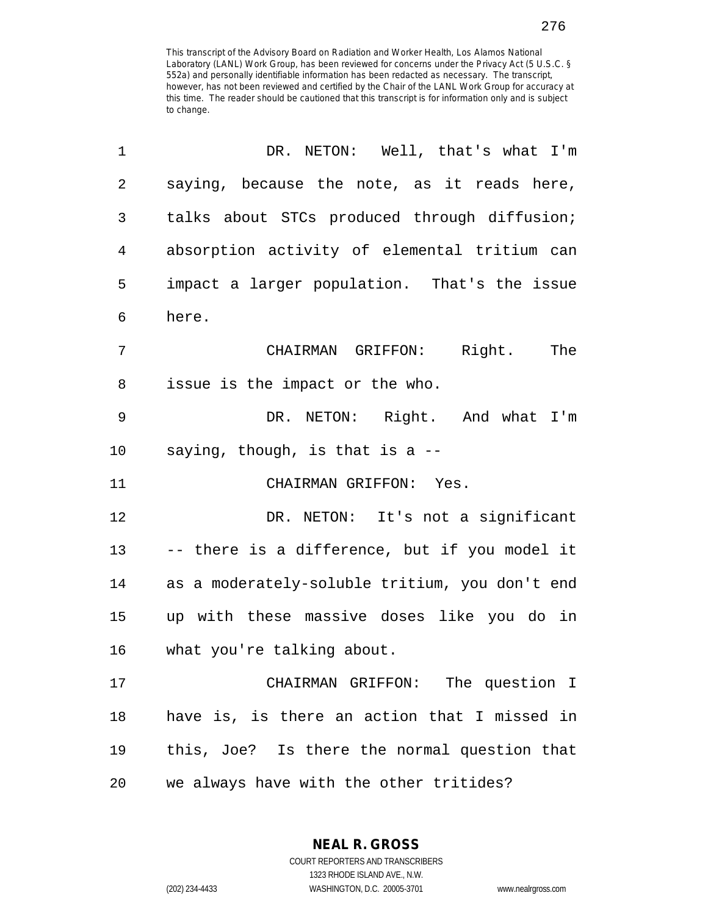| 1              | DR. NETON: Well, that's what I'm               |
|----------------|------------------------------------------------|
| $\overline{2}$ | saying, because the note, as it reads here,    |
| 3              | talks about STCs produced through diffusion;   |
| 4              | absorption activity of elemental tritium can   |
| 5              | impact a larger population. That's the issue   |
| 6              | here.                                          |
| 7              | CHAIRMAN GRIFFON: Right.<br>The                |
| 8              | issue is the impact or the who.                |
| 9              | DR. NETON: Right. And what I'm                 |
| 10             | saying, though, is that is a $-$ -             |
| 11             | CHAIRMAN GRIFFON: Yes.                         |
| 12             | DR. NETON: It's not a significant              |
| 13             | -- there is a difference, but if you model it  |
| 14             | as a moderately-soluble tritium, you don't end |
| 15             | up with these massive doses like you do in     |
| 16             | what you're talking about.                     |
| 17             | CHAIRMAN GRIFFON: The question I               |
| 18             | have is, is there an action that I missed in   |
| 19             | this, Joe? Is there the normal question that   |
|                |                                                |

**NEAL R. GROSS**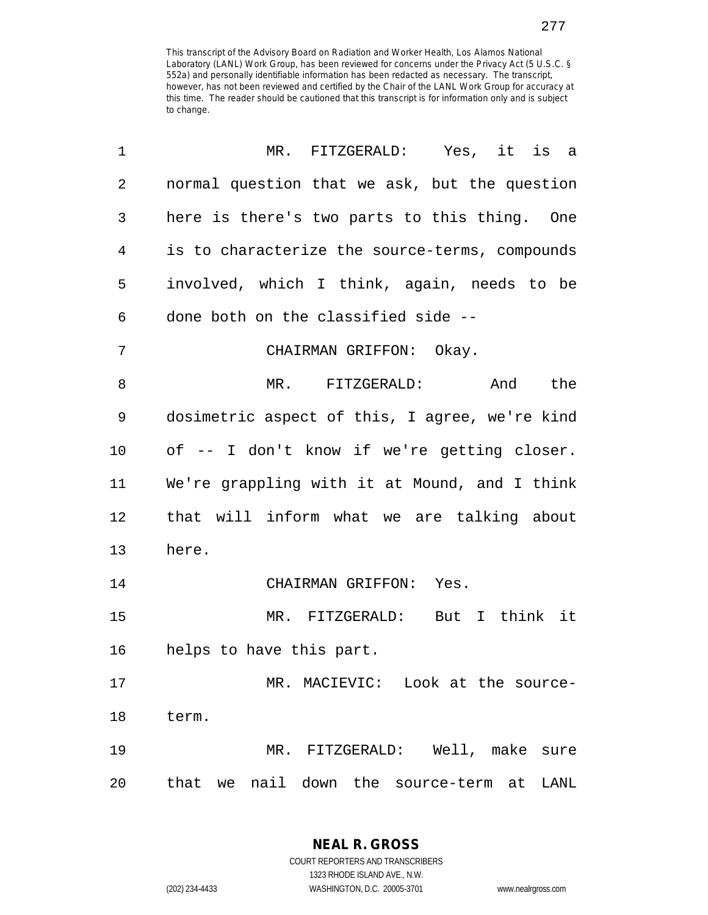| 1  | MR. FITZGERALD: Yes, it is a                    |
|----|-------------------------------------------------|
| 2  | normal question that we ask, but the question   |
| 3  | here is there's two parts to this thing. One    |
| 4  | is to characterize the source-terms, compounds  |
| 5  | involved, which I think, again, needs to be     |
| 6  | done both on the classified side --             |
| 7  | CHAIRMAN GRIFFON: Okay.                         |
| 8  | MR. FITZGERALD: And the                         |
| 9  | dosimetric aspect of this, I agree, we're kind  |
| 10 | of -- I don't know if we're getting closer.     |
| 11 | We're grappling with it at Mound, and I think   |
| 12 | that will inform what we are talking about      |
| 13 | here.                                           |
| 14 | CHAIRMAN GRIFFON: Yes.                          |
| 15 | MR. FITZGERALD: But I think it                  |
| 16 | helps to have this part.                        |
| 17 | MR. MACIEVIC: Look at the source-               |
| 18 | term.                                           |
| 19 | MR. FITZGERALD: Well, make sure                 |
| 20 | nail down the source-term at<br>that we<br>LANL |

**NEAL R. GROSS**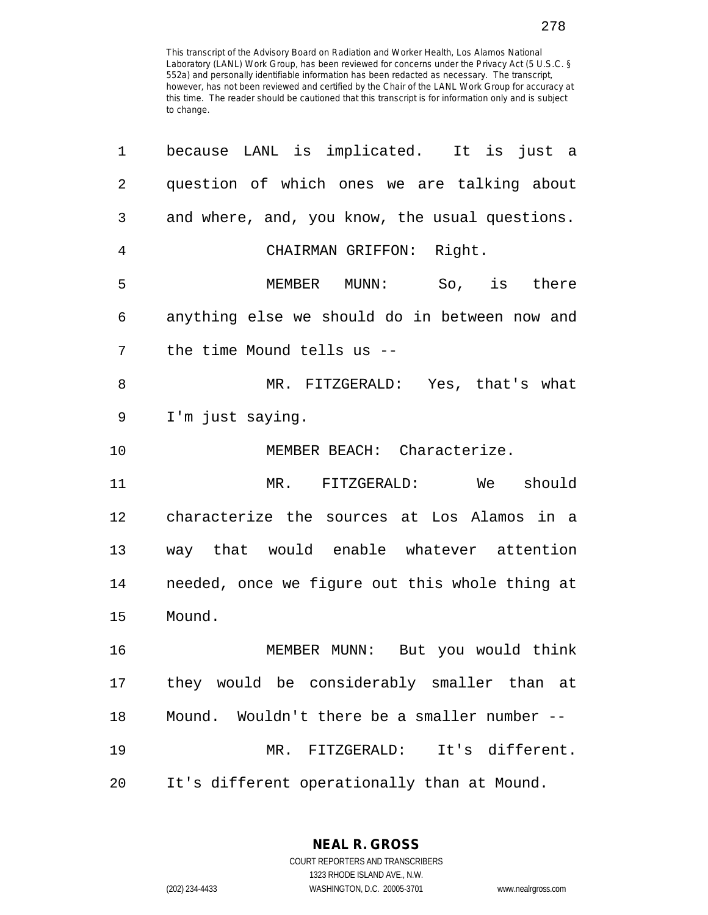| 1              | because LANL is implicated. It is just a       |
|----------------|------------------------------------------------|
| $\overline{2}$ | question of which ones we are talking about    |
| $\mathfrak{Z}$ | and where, and, you know, the usual questions. |
| 4              | CHAIRMAN GRIFFON: Right.                       |
| 5              | MEMBER MUNN: So, is there                      |
| 6              | anything else we should do in between now and  |
| 7              | the time Mound tells us --                     |
| 8              | MR. FITZGERALD: Yes, that's what               |
| 9              | I'm just saying.                               |
| 10             | MEMBER BEACH: Characterize.                    |
| 11             | MR. FITZGERALD: We should                      |
| 12             | characterize the sources at Los Alamos in a    |
| 13             | way that would enable whatever attention       |
| 14             | needed, once we figure out this whole thing at |
| 15             | Mound.                                         |
| 16             | MEMBER MUNN: But you would think               |
| 17             | they would be considerably smaller than at     |
| 18             | Mound. Wouldn't there be a smaller number --   |
| 19             | MR. FITZGERALD:<br>It's different.             |
| 20             | It's different operationally than at Mound.    |

**NEAL R. GROSS**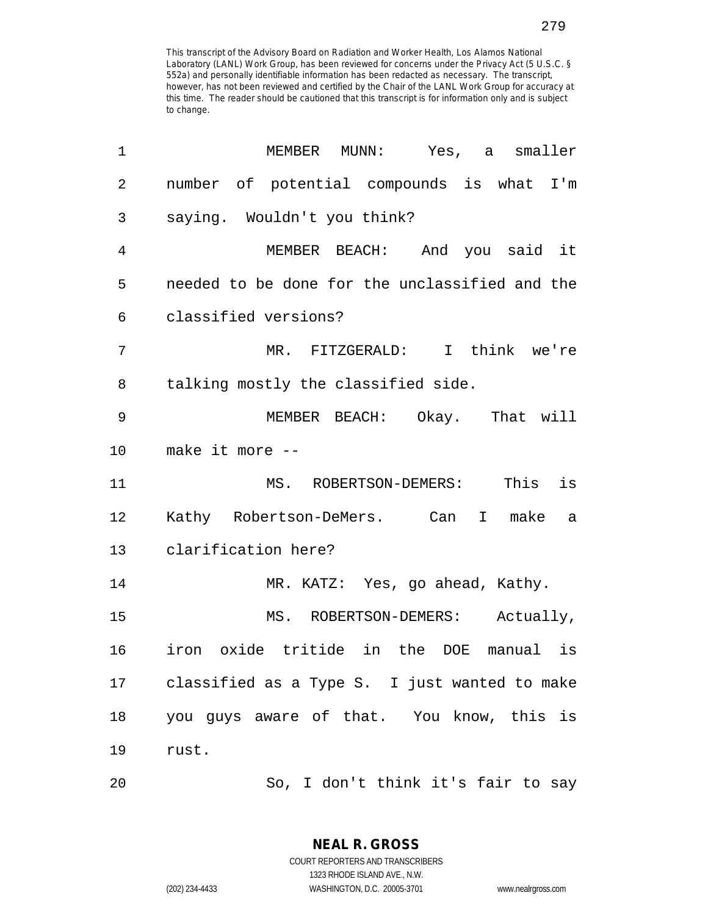| 1              | MEMBER<br>MUNN: Yes, a smaller                 |
|----------------|------------------------------------------------|
| $\overline{2}$ | number of potential compounds is what I'm      |
| 3              | saying. Wouldn't you think?                    |
| 4              | MEMBER BEACH: And you said it                  |
| 5              | needed to be done for the unclassified and the |
| 6              | classified versions?                           |
| 7              | MR. FITZGERALD: I think we're                  |
| 8              | talking mostly the classified side.            |
| 9              | MEMBER BEACH: Okay. That will                  |
| 10             | make it more --                                |
| 11             | This<br>is<br>MS. ROBERTSON-DEMERS:            |
| 12             | Kathy Robertson-DeMers. Can<br>I make a        |
| 13             | clarification here?                            |
| 14             | MR. KATZ: Yes, go ahead, Kathy.                |
| 15             | MS. ROBERTSON-DEMERS: Actually,                |
| 16             | iron oxide tritide in the DOE manual is        |
| 17             | classified as a Type S. I just wanted to make  |
| $18\,$         | you guys aware of that. You know, this is      |
| 19             | rust.                                          |
| 20             | So, I don't think it's fair to say             |

**NEAL R. GROSS** COURT REPORTERS AND TRANSCRIBERS

1323 RHODE ISLAND AVE., N.W.

(202) 234-4433 WASHINGTON, D.C. 20005-3701 www.nealrgross.com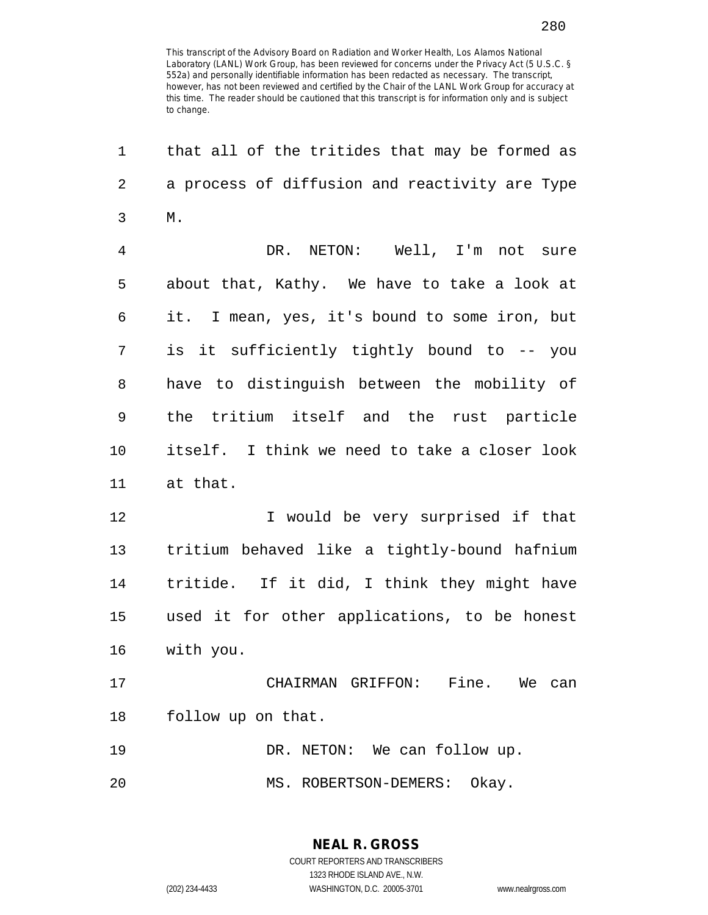| 1              | that all of the tritides that may be formed as |
|----------------|------------------------------------------------|
| $\overline{2}$ | a process of diffusion and reactivity are Type |
| $\mathfrak{Z}$ | $\mathbbmss{M}$ .                              |
| 4              | DR. NETON: Well, I'm not sure                  |
| 5              | about that, Kathy. We have to take a look at   |
| 6              | it. I mean, yes, it's bound to some iron, but  |
| 7              | is it sufficiently tightly bound to -- you     |
| 8              | have to distinguish between the mobility of    |
| 9              | the tritium itself and the rust particle       |
| 10             | itself. I think we need to take a closer look  |
| 11             | at that.                                       |
| 12             | I would be very surprised if that              |
| 13             | tritium behaved like a tightly-bound hafnium   |
| 14             | tritide. If it did, I think they might have    |
| 15             | used it for other applications, to be honest   |
| 16             | with you.                                      |
| 17             | CHAIRMAN GRIFFON: Fine. We can                 |
| 18             | follow up on that.                             |
| 19             | DR. NETON: We can follow up.                   |
| 20             | Okay.<br>MS. ROBERTSON-DEMERS:                 |

**NEAL R. GROSS** COURT REPORTERS AND TRANSCRIBERS

1323 RHODE ISLAND AVE., N.W.

(202) 234-4433 WASHINGTON, D.C. 20005-3701 www.nealrgross.com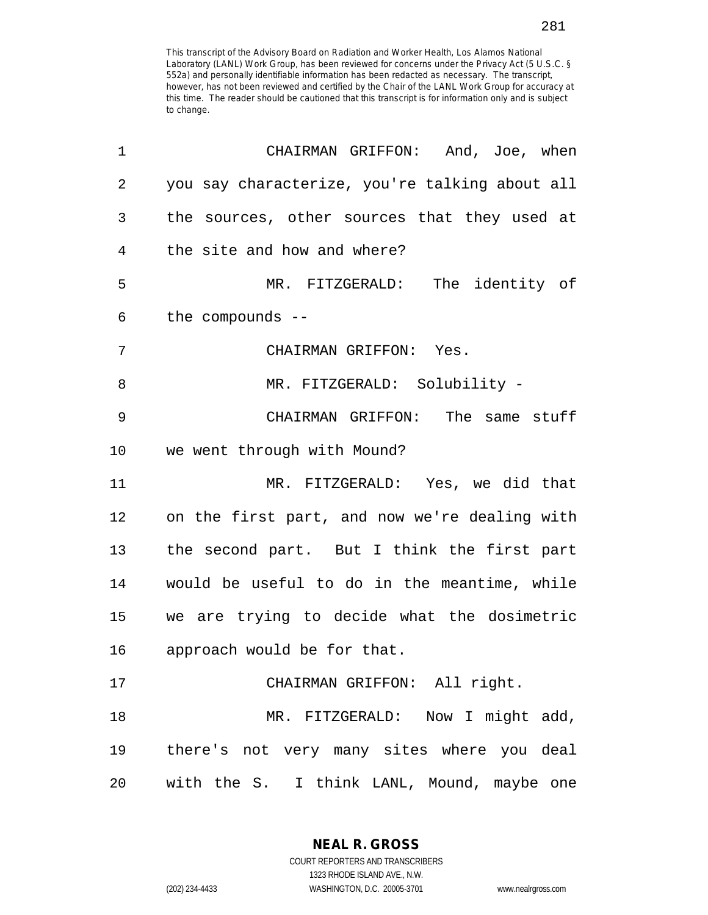| 1              | CHAIRMAN GRIFFON: And, Joe, when               |
|----------------|------------------------------------------------|
| $\overline{2}$ | you say characterize, you're talking about all |
| 3              | the sources, other sources that they used at   |
| 4              | the site and how and where?                    |
| 5              | MR. FITZGERALD: The identity of                |
| 6              | the compounds --                               |
| 7              | CHAIRMAN GRIFFON: Yes.                         |
| 8              | MR. FITZGERALD: Solubility -                   |
| 9              | CHAIRMAN GRIFFON: The same stuff               |
| 10             | we went through with Mound?                    |
| 11             | MR. FITZGERALD: Yes, we did that               |
| 12             | on the first part, and now we're dealing with  |
| 13             | the second part. But I think the first part    |
| 14             | would be useful to do in the meantime, while   |
| 15             | we are trying to decide what the dosimetric    |
| 16             | approach would be for that.                    |
| 17             | CHAIRMAN GRIFFON: All right.                   |
| 18             | MR. FITZGERALD: Now I might add,               |
| 19             | there's not very many sites where you deal     |
| 20             | with the S. I think LANL, Mound, maybe one     |

**NEAL R. GROSS**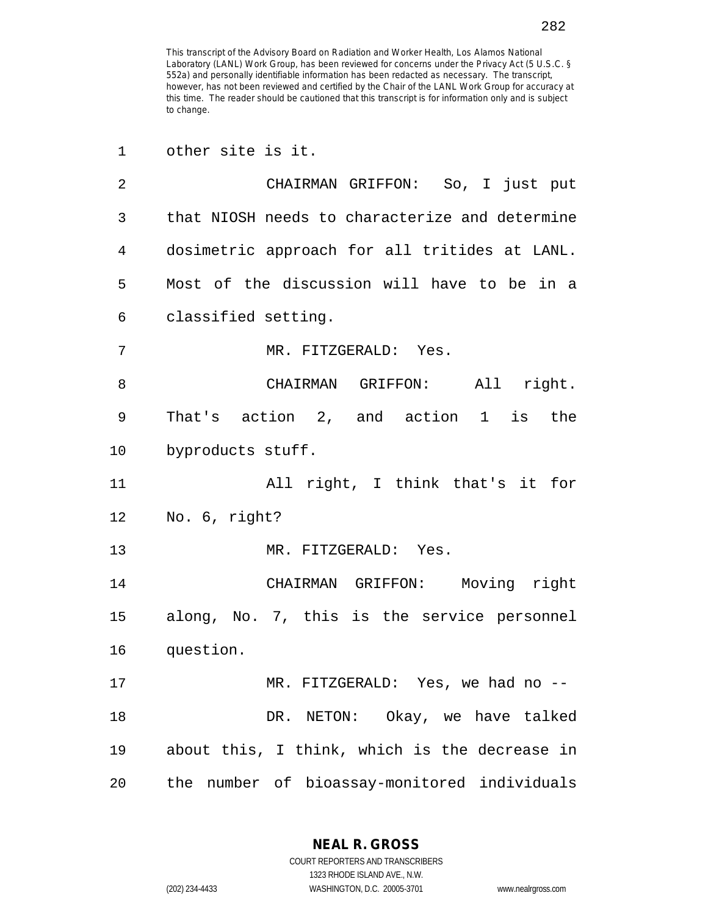| $\mathbf 1$ | other site is it.                              |
|-------------|------------------------------------------------|
| 2           | CHAIRMAN GRIFFON: So, I just put               |
| 3           | that NIOSH needs to characterize and determine |
| 4           | dosimetric approach for all tritides at LANL.  |
| 5           | Most of the discussion will have to be in a    |
| 6           | classified setting.                            |
| 7           | MR. FITZGERALD: Yes.                           |
| 8           | CHAIRMAN GRIFFON:<br>All right.                |
| 9           | That's action 2, and action 1 is the           |
| 10          | byproducts stuff.                              |
| 11          | All right, I think that's it for               |
| 12          | No. 6, right?                                  |
| 13          | MR. FITZGERALD: Yes.                           |
| 14          | CHAIRMAN GRIFFON: Moving right                 |
| 15          | along, No. 7, this is the service personnel    |
| 16          | question.                                      |
| 17          | MR. FITZGERALD: Yes, we had no --              |
| 18          | DR. NETON: Okay, we have talked                |
| 19          | about this, I think, which is the decrease in  |
| 20          | the number of bioassay-monitored individuals   |

**NEAL R. GROSS**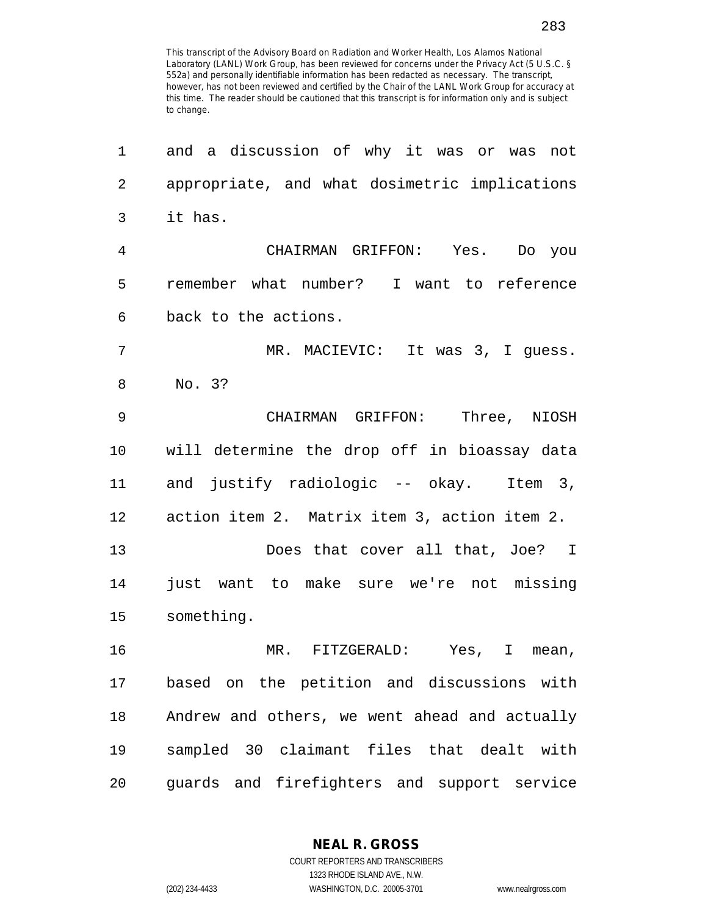| 1  | and a discussion of why it was or was not     |
|----|-----------------------------------------------|
| 2  | appropriate, and what dosimetric implications |
| 3  | it has.                                       |
| 4  | CHAIRMAN GRIFFON: Yes. Do you                 |
| 5  | remember what number? I want to reference     |
| 6  | back to the actions.                          |
| 7  | MR. MACIEVIC: It was 3, I guess.              |
| 8  | No. 3?                                        |
| 9  | CHAIRMAN GRIFFON: Three, NIOSH                |
| 10 | will determine the drop off in bioassay data  |
| 11 | and justify radiologic -- okay. Item 3,       |
| 12 | action item 2. Matrix item 3, action item 2.  |
| 13 | Does that cover all that, Joe? I              |
| 14 | just want to make sure we're not missing      |
| 15 | something.                                    |
| 16 | MR. FITZGERALD: Yes, I mean,                  |
| 17 | based on the petition and discussions with    |
| 18 | Andrew and others, we went ahead and actually |
| 19 | sampled 30 claimant files that dealt with     |
| 20 | guards and firefighters and support service   |

**NEAL R. GROSS**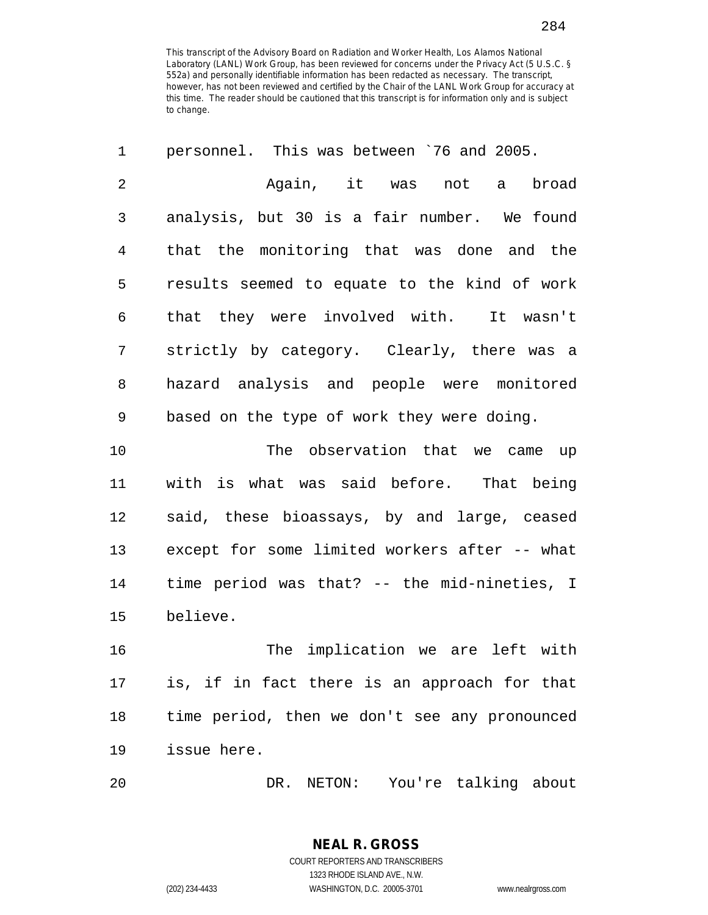| 1              | personnel. This was between '76 and 2005.     |
|----------------|-----------------------------------------------|
| $\overline{2}$ | Again, it was not a<br>broad                  |
| 3              | analysis, but 30 is a fair number. We found   |
| 4              | that the monitoring that was done and the     |
| 5              | results seemed to equate to the kind of work  |
| 6              | that they were involved with. It wasn't       |
| 7              | strictly by category. Clearly, there was a    |
| 8              | hazard analysis and people were monitored     |
| 9              | based on the type of work they were doing.    |
| 10             | The observation that we came<br>up            |
| 11             | with is what was said before. That being      |
| 12             | said, these bioassays, by and large, ceased   |
| 13             | except for some limited workers after -- what |
| 14             | time period was that? -- the mid-nineties, I  |
| 15             | believe.                                      |
| 16             | The implication we are left with              |
| 17             | is, if in fact there is an approach for that  |
| 18             | time period, then we don't see any pronounced |
| 19             | issue here.                                   |
|                |                                               |

20 DR. NETON: You're talking about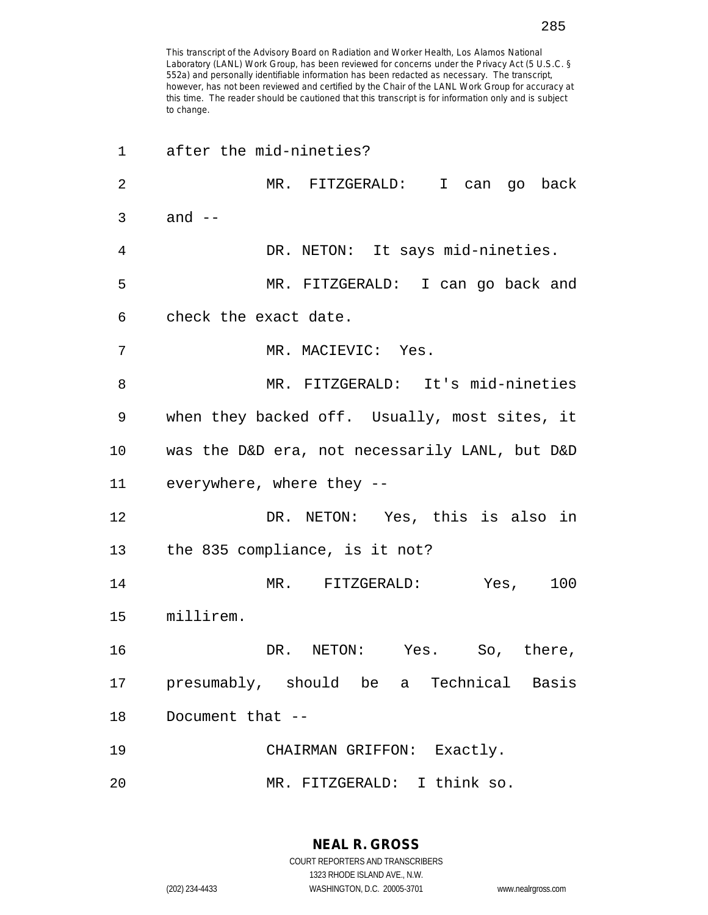| 1              | after the mid-nineties?                        |
|----------------|------------------------------------------------|
| $\overline{2}$ | MR. FITZGERALD:<br>I can go back               |
| 3              | and $--$                                       |
| 4              | DR. NETON: It says mid-nineties.               |
| 5              | MR. FITZGERALD: I can go back and              |
| 6              | check the exact date.                          |
| 7              | MR. MACIEVIC: Yes.                             |
| 8              | MR. FITZGERALD: It's mid-nineties              |
| 9              | when they backed off. Usually, most sites, it  |
| 10             | was the D&D era, not necessarily LANL, but D&D |
| 11             | everywhere, where they --                      |
| 12             | DR. NETON: Yes, this is also in                |
| 13             | the 835 compliance, is it not?                 |
| 14             | MR. FITZGERALD: Yes, 100                       |
| 15             | millirem.                                      |
| 16             | DR. NETON: Yes. So, there,                     |
| 17             | presumably, should be a Technical Basis        |
| 18             | Document that --                               |
| 19             | CHAIRMAN GRIFFON: Exactly.                     |
| 20             | MR. FITZGERALD: I think so.                    |

**NEAL R. GROSS** COURT REPORTERS AND TRANSCRIBERS

1323 RHODE ISLAND AVE., N.W.

(202) 234-4433 WASHINGTON, D.C. 20005-3701 www.nealrgross.com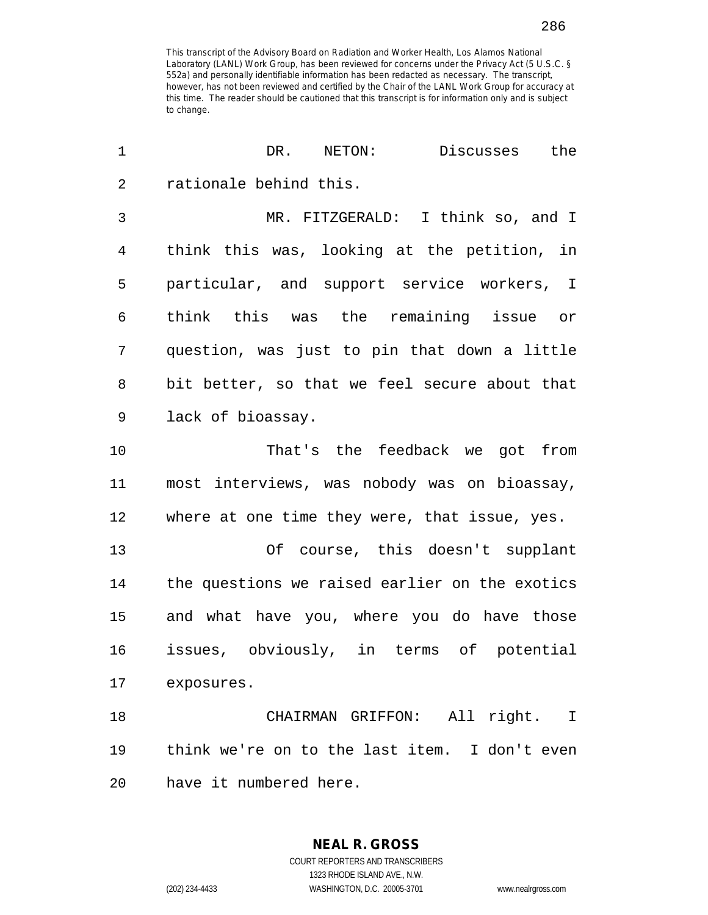| 1              | DR.<br>$\text{NETON}:$<br>Discusses<br>the     |
|----------------|------------------------------------------------|
| $\overline{2}$ | rationale behind this.                         |
| 3              | MR. FITZGERALD: I think so, and I              |
| $\overline{4}$ | think this was, looking at the petition, in    |
| 5              | particular, and support service workers, I     |
| 6              | think this was the remaining issue or          |
| 7              | question, was just to pin that down a little   |
| 8              | bit better, so that we feel secure about that  |
| 9              | lack of bioassay.                              |
| 10             | That's the feedback we got from                |
| 11             | most interviews, was nobody was on bioassay,   |
| 12             | where at one time they were, that issue, yes.  |
| 13             | Of course, this doesn't supplant               |
| 14             | the questions we raised earlier on the exotics |
| 15             | and what have you, where you do have those     |
| 16             | issues, obviously, in terms of potential       |
| 17             | exposures.                                     |
| 18             | CHAIRMAN GRIFFON: All right. I                 |
| 19             | think we're on to the last item. I don't even  |
| 20             | have it numbered here.                         |

**NEAL R. GROSS** COURT REPORTERS AND TRANSCRIBERS

1323 RHODE ISLAND AVE., N.W.

(202) 234-4433 WASHINGTON, D.C. 20005-3701 www.nealrgross.com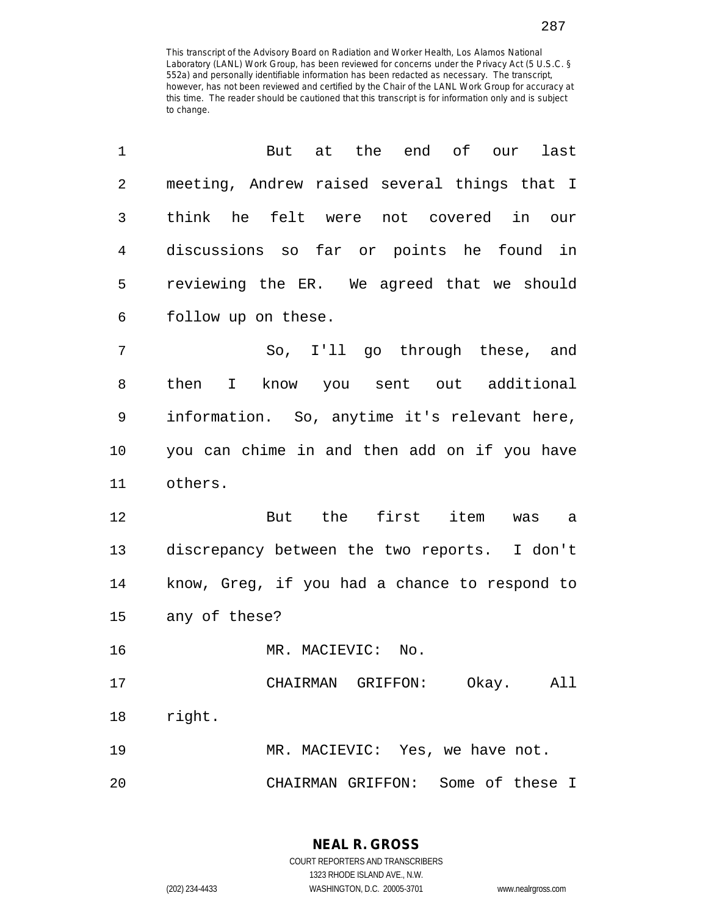287

| 1  | at the end of our<br><b>But</b><br>last       |
|----|-----------------------------------------------|
| 2  | meeting, Andrew raised several things that I  |
| 3  | think he felt were not covered in our         |
| 4  | discussions so far or points he found in      |
| 5  | reviewing the ER. We agreed that we should    |
| 6  | follow up on these.                           |
| 7  | So, I'll go through these, and                |
| 8  | I know you sent out additional<br>then        |
| 9  | information. So, anytime it's relevant here,  |
| 10 | you can chime in and then add on if you have  |
| 11 | others.                                       |
| 12 | But the first item was<br>a a                 |
| 13 | discrepancy between the two reports. I don't  |
| 14 | know, Greg, if you had a chance to respond to |
| 15 | any of these?                                 |
| 16 | MR. MACIEVIC:<br>No.                          |
| 17 | CHAIRMAN GRIFFON: Okay. All                   |
| 18 | right.                                        |
| 19 | MR. MACIEVIC: Yes, we have not.               |
| 20 | CHAIRMAN GRIFFON: Some of these I             |

**NEAL R. GROSS** COURT REPORTERS AND TRANSCRIBERS

1323 RHODE ISLAND AVE., N.W.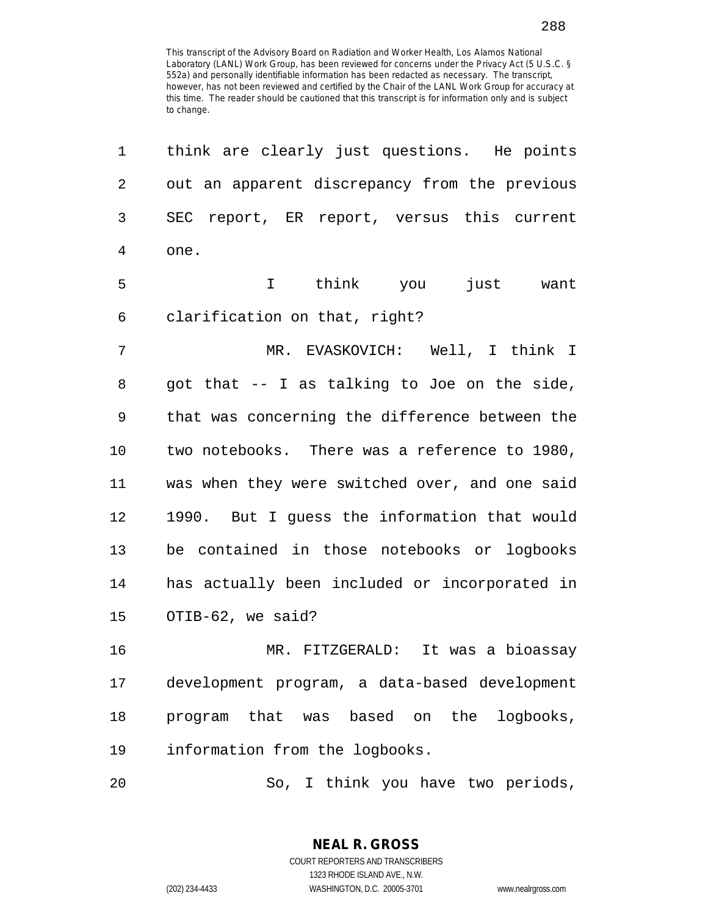| 1  | think are clearly just questions. He points         |
|----|-----------------------------------------------------|
| 2  | out an apparent discrepancy from the previous       |
| 3  | SEC report, ER report, versus this current          |
| 4  | one.                                                |
| 5  | think you just want<br>I.                           |
| 6  | clarification on that, right?                       |
| 7  | MR. EVASKOVICH: Well, I think I                     |
| 8  | got that -- I as talking to Joe on the side,        |
| 9  | that was concerning the difference between the      |
| 10 | two notebooks. There was a reference to 1980,       |
| 11 | was when they were switched over, and one said      |
| 12 | 1990. But I guess the information that would        |
| 13 | be contained in those notebooks or logbooks         |
| 14 | has actually been included or incorporated in       |
| 15 | OTIB-62, we said?                                   |
| 16 | MR. FITZGERALD: It was a bioassay                   |
| 17 | development program, a data-based development       |
| 18 | was based on<br>the<br>logbooks,<br>program<br>that |
| 19 | information from the logbooks.                      |

20 So, I think you have two periods,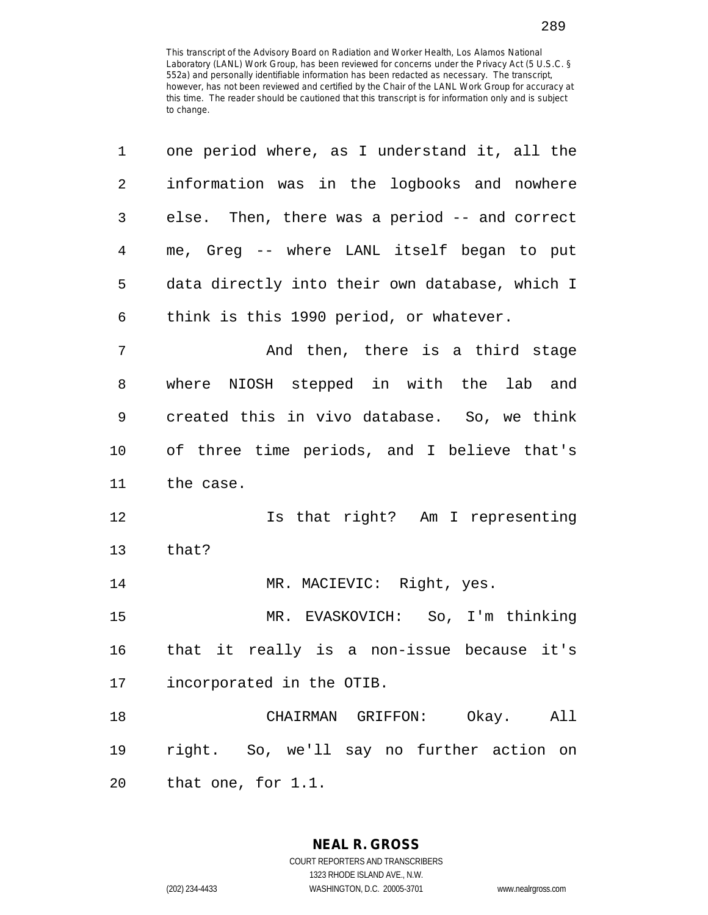| 1              | one period where, as I understand it, all the  |
|----------------|------------------------------------------------|
| 2              | information was in the logbooks and nowhere    |
| 3              | else. Then, there was a period -- and correct  |
| $\overline{4}$ | me, Greg -- where LANL itself began to put     |
| 5              | data directly into their own database, which I |
| 6              | think is this 1990 period, or whatever.        |
| 7              | And then, there is a third stage               |
| 8              | where NIOSH stepped in with the lab and        |
| 9              | created this in vivo database. So, we think    |
| 10             | of three time periods, and I believe that's    |
| 11             | the case.                                      |
| 12             | Is that right? Am I representing               |
| 13             | that?                                          |
| 14             | MR. MACIEVIC: Right, yes.                      |
| 15             | MR. EVASKOVICH: So, I'm thinking               |
| 16             | that it really is a non-issue because it's     |
| 17             | incorporated in the OTIB.                      |
| 18             | CHAIRMAN GRIFFON: Okay. All                    |
| 19             | right. So, we'll say no further action on      |
| 20             | that one, for 1.1.                             |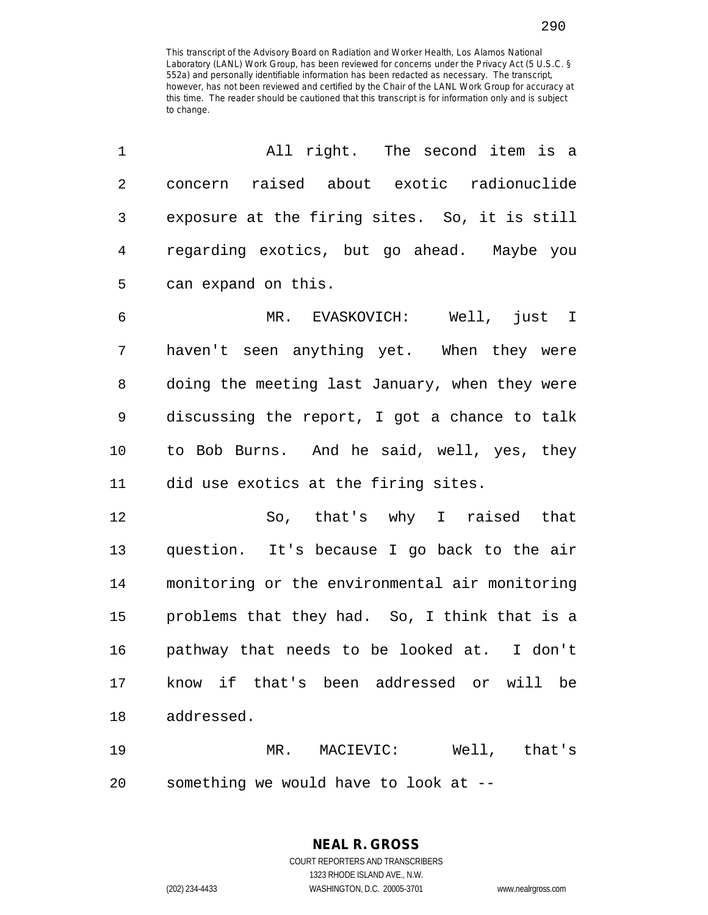| $\mathbf{1}$  | All right. The second item is a                |
|---------------|------------------------------------------------|
| $\mathcal{L}$ | concern raised about exotic radionuclide       |
| 3             | exposure at the firing sites. So, it is still  |
| 4             | regarding exotics, but go ahead. Maybe you     |
| 5             | can expand on this.                            |
| 6             | MR. EVASKOVICH: Well, just I                   |
| 7             | haven't seen anything yet. When they were      |
| 8             | doing the meeting last January, when they were |

9 discussing the report, I got a chance to talk 10 to Bob Burns. And he said, well, yes, they 11 did use exotics at the firing sites.

12 So, that's why I raised that 13 question. It's because I go back to the air 14 monitoring or the environmental air monitoring 15 problems that they had. So, I think that is a 16 pathway that needs to be looked at. I don't 17 know if that's been addressed or will be 18 addressed.

19 MR. MACIEVIC: Well, that's 20 something we would have to look at --

**NEAL R. GROSS**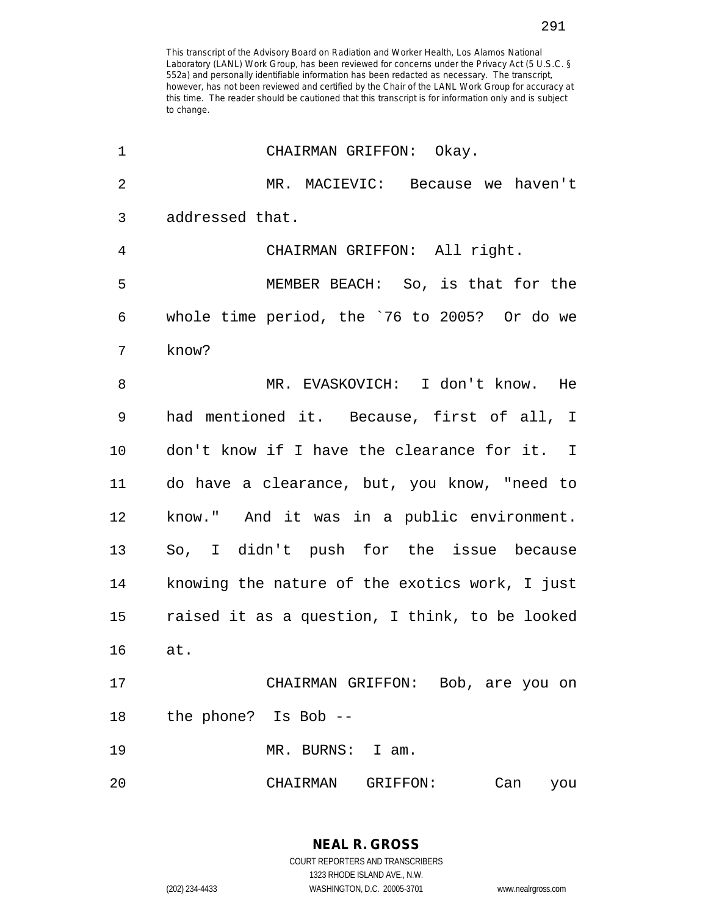| 1              | CHAIRMAN GRIFFON: Okay.                        |
|----------------|------------------------------------------------|
| $\overline{2}$ | MR. MACIEVIC: Because we haven't               |
| 3              | addressed that.                                |
| 4              | CHAIRMAN GRIFFON: All right.                   |
| 5              | MEMBER BEACH: So, is that for the              |
| 6              | whole time period, the '76 to 2005? Or do we   |
| 7              | know?                                          |
| 8              | MR. EVASKOVICH: I don't know. He               |
| 9              | had mentioned it. Because, first of all, I     |
| 10             | don't know if I have the clearance for it. I   |
| 11             | do have a clearance, but, you know, "need to   |
| 12             | know." And it was in a public environment.     |
| 13             | So, I didn't push for the issue because        |
| 14             | knowing the nature of the exotics work, I just |
| 15             | raised it as a question, I think, to be looked |
| 16             | at.                                            |
| 17             | CHAIRMAN GRIFFON: Bob, are you on              |
| 18             | the phone? Is Bob --                           |
| 19             | MR. BURNS: I am.                               |
| 20             | Can<br>CHAIRMAN<br>GRIFFON:<br>you             |

**NEAL R. GROSS**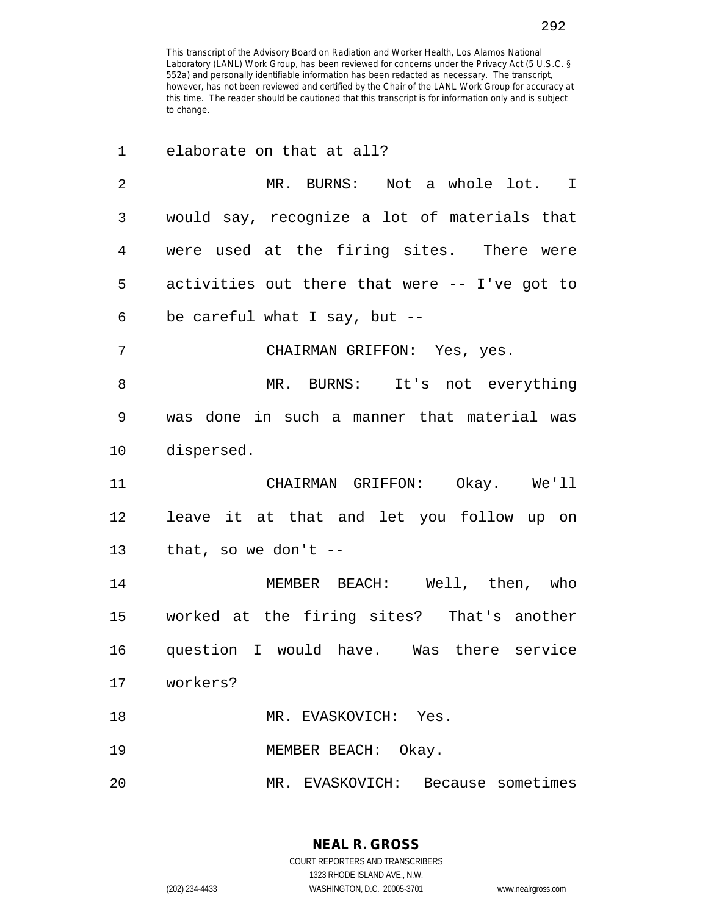292

| 1  | elaborate on that at all?                     |
|----|-----------------------------------------------|
| 2  | MR. BURNS: Not a whole lot. I                 |
| 3  | would say, recognize a lot of materials that  |
| 4  | were used at the firing sites. There were     |
| 5  | activities out there that were -- I've got to |
| 6  | be careful what I say, but $-$ -              |
| 7  | CHAIRMAN GRIFFON: Yes, yes.                   |
| 8  | MR. BURNS: It's not everything                |
| 9  | was done in such a manner that material was   |
| 10 | dispersed.                                    |
| 11 | CHAIRMAN GRIFFON: Okay. We'll                 |
| 12 | leave it at that and let you follow up on     |
| 13 | that, so we don't $-$                         |
| 14 | MEMBER BEACH: Well, then, who                 |
| 15 | worked at the firing sites? That's another    |
| 16 | question I would have. Was there service      |
| 17 | workers?                                      |
| 18 | MR. EVASKOVICH: Yes.                          |
| 19 | MEMBER BEACH: Okay.                           |
| 20 | MR. EVASKOVICH: Because sometimes             |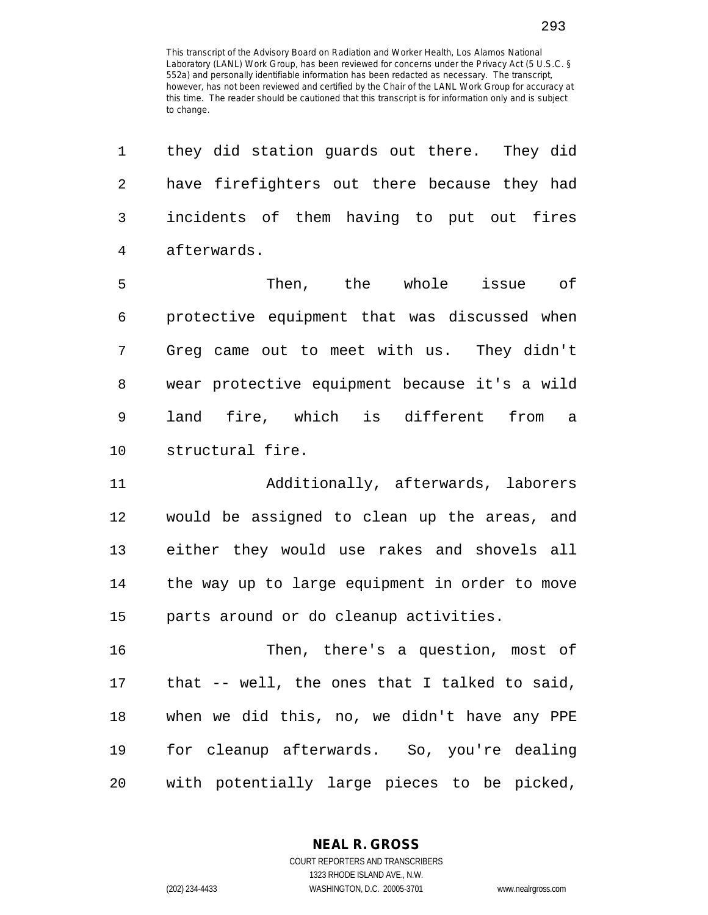1 they did station guards out there. They did 2 have firefighters out there because they had 3 incidents of them having to put out fires 4 afterwards.

5 Then, the whole issue of 6 protective equipment that was discussed when 7 Greg came out to meet with us. They didn't 8 wear protective equipment because it's a wild 9 land fire, which is different from a 10 structural fire.

11 Additionally, afterwards, laborers 12 would be assigned to clean up the areas, and 13 either they would use rakes and shovels all 14 the way up to large equipment in order to move 15 parts around or do cleanup activities.

16 Then, there's a question, most of 17 that -- well, the ones that I talked to said, 18 when we did this, no, we didn't have any PPE 19 for cleanup afterwards. So, you're dealing 20 with potentially large pieces to be picked,

> **NEAL R. GROSS** COURT REPORTERS AND TRANSCRIBERS

1323 RHODE ISLAND AVE., N.W. (202) 234-4433 WASHINGTON, D.C. 20005-3701 www.nealrgross.com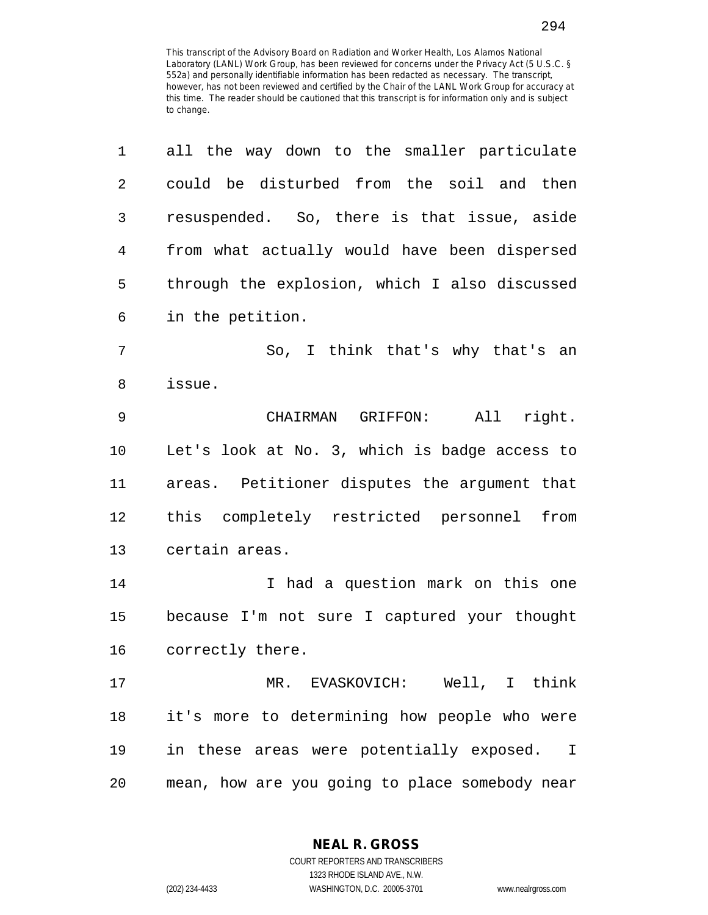| 1              | all the way down to the smaller particulate    |
|----------------|------------------------------------------------|
| $\overline{2}$ | could be disturbed from the soil and then      |
| 3              | resuspended. So, there is that issue, aside    |
| 4              | from what actually would have been dispersed   |
| 5              | through the explosion, which I also discussed  |
| 6              | in the petition.                               |
| 7              | So, I think that's why that's an               |
| 8              | issue.                                         |
| 9              | CHAIRMAN GRIFFON:<br>All<br>right.             |
| 10             | Let's look at No. 3, which is badge access to  |
| 11             | areas. Petitioner disputes the argument that   |
| 12             | this completely restricted personnel<br>from   |
| 13             | certain areas.                                 |
| 14             | I had a question mark on this one              |
| 15             | because I'm not sure I captured your thought   |
| 16             | correctly there.                               |
| 17             | MR. EVASKOVICH: Well, I think                  |
| 18             | it's more to determining how people who were   |
| 19             | in these areas were potentially exposed. I     |
| 20             | mean, how are you going to place somebody near |

**NEAL R. GROSS**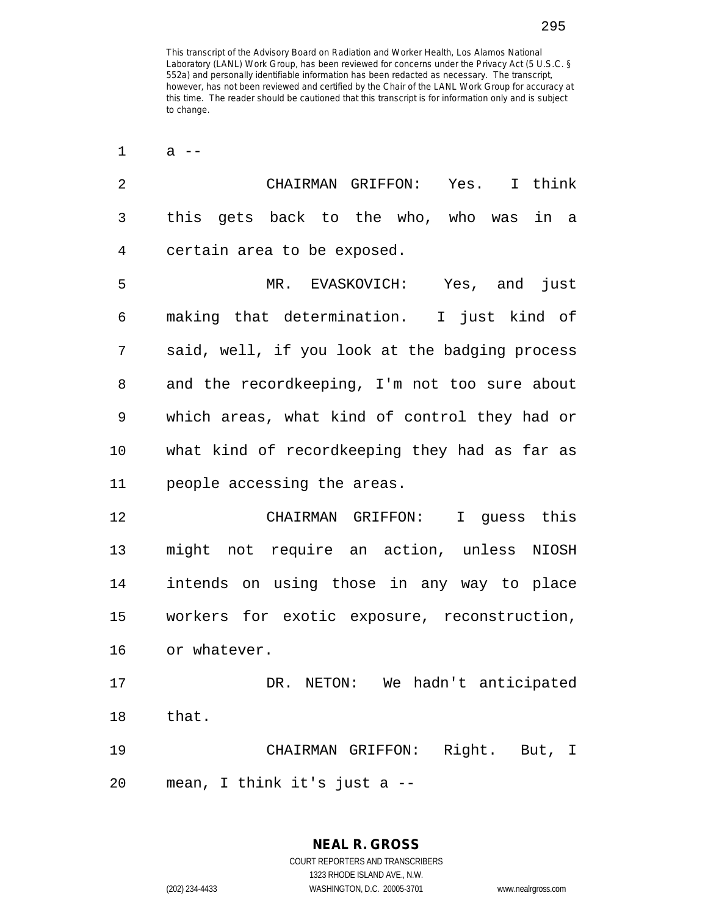2 CHAIRMAN GRIFFON: Yes. I think 3 this gets back to the who, who was in a 4 certain area to be exposed. 5 MR. EVASKOVICH: Yes, and just 6 making that determination. I just kind of 7 said, well, if you look at the badging process 8 and the recordkeeping, I'm not too sure about 9 which areas, what kind of control they had or 10 what kind of recordkeeping they had as far as 11 people accessing the areas. 12 CHAIRMAN GRIFFON: I guess this 13 might not require an action, unless NIOSH 14 intends on using those in any way to place 15 workers for exotic exposure, reconstruction, 16 or whatever. 17 DR. NETON: We hadn't anticipated 18 that. 19 CHAIRMAN GRIFFON: Right. But, I

> **NEAL R. GROSS** COURT REPORTERS AND TRANSCRIBERS 1323 RHODE ISLAND AVE., N.W.

20 mean, I think it's just a --

1 a --

<u>295 and 295 and 296 and 296 and 296 and 296 and 296 and 296 and 296 and 296 and 296 and 296 and 296 and 296 and 29</u>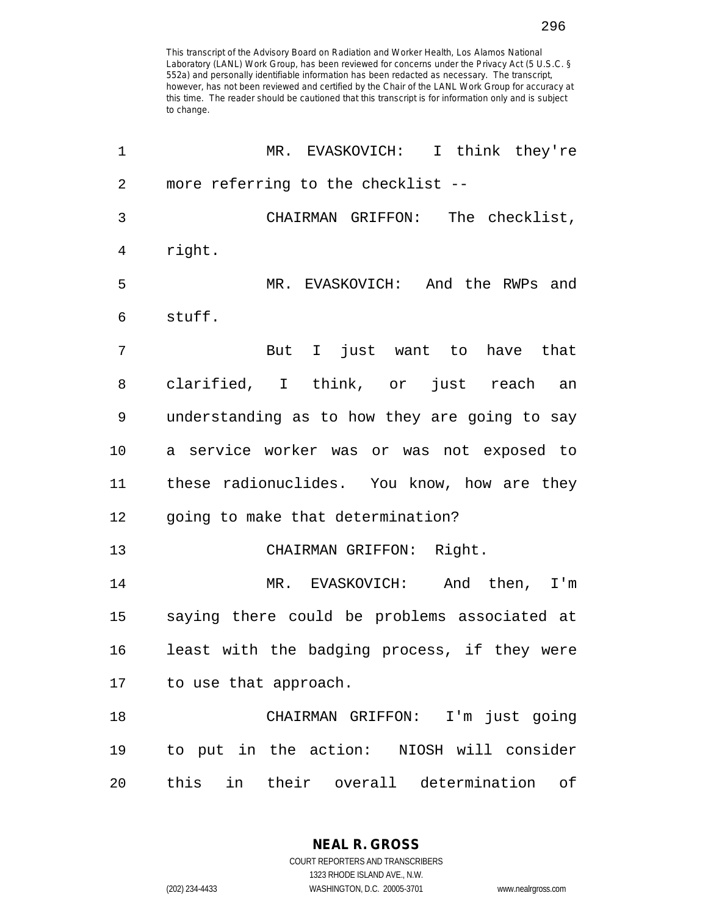| $\mathbf 1$    | MR. EVASKOVICH: I think they're               |
|----------------|-----------------------------------------------|
| $\overline{2}$ | more referring to the checklist --            |
| 3              | CHAIRMAN GRIFFON: The checklist,              |
| 4              | right.                                        |
| 5              | MR. EVASKOVICH: And the RWPs and              |
| 6              | stuff.                                        |
| 7              | But I just want to have that                  |
| 8              | clarified, I think, or just reach an          |
| 9              | understanding as to how they are going to say |
| 10             | a service worker was or was not exposed to    |
| 11             | these radionuclides. You know, how are they   |
| 12             | going to make that determination?             |
| 13             | CHAIRMAN GRIFFON: Right.                      |
| 14             | MR. EVASKOVICH: And then, I'm                 |
| 15             | saying there could be problems associated at  |
| 16             | least with the badging process, if they were  |
|                | 17 to use that approach.                      |
| 18             | CHAIRMAN GRIFFON: I'm just going              |
| 19             | to put in the action: NIOSH will consider     |
| 20             | this in their overall determination of        |

**NEAL R. GROSS**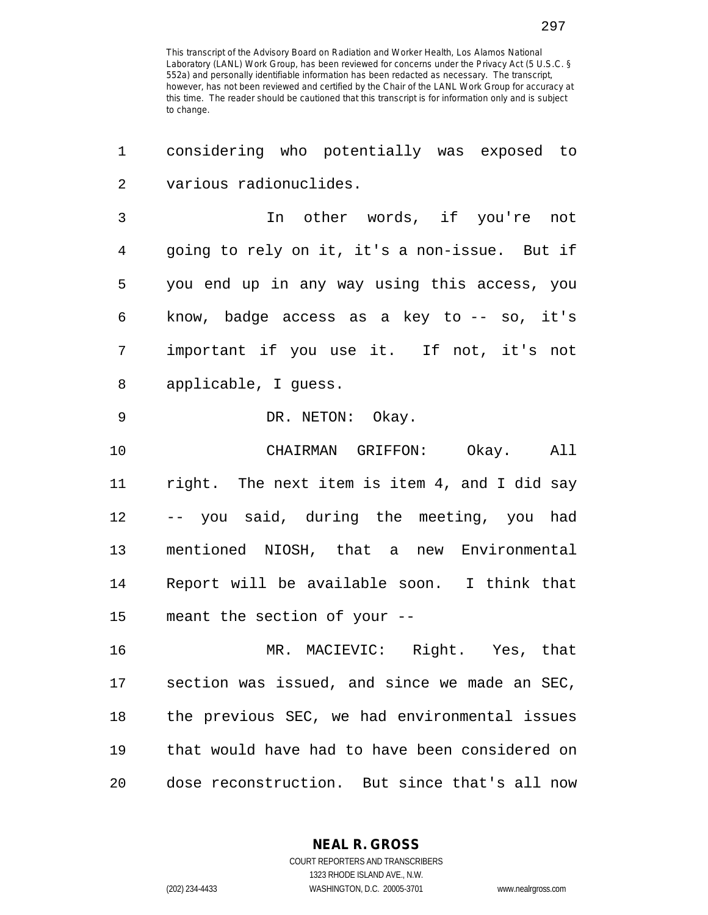1 considering who potentially was exposed to 2 various radionuclides. 3 In other words, if you're not 4 going to rely on it, it's a non-issue. But if 5 you end up in any way using this access, you 6 know, badge access as a key to -- so, it's 7 important if you use it. If not, it's not 8 applicable, I guess. 9 DR. NETON: Okay. 10 CHAIRMAN GRIFFON: Okay. All 11 right. The next item is item 4, and I did say

12 -- you said, during the meeting, you had 13 mentioned NIOSH, that a new Environmental 14 Report will be available soon. I think that 15 meant the section of your --

16 MR. MACIEVIC: Right. Yes, that 17 section was issued, and since we made an SEC, 18 the previous SEC, we had environmental issues 19 that would have had to have been considered on 20 dose reconstruction. But since that's all now

> **NEAL R. GROSS** COURT REPORTERS AND TRANSCRIBERS

> > 1323 RHODE ISLAND AVE., N.W.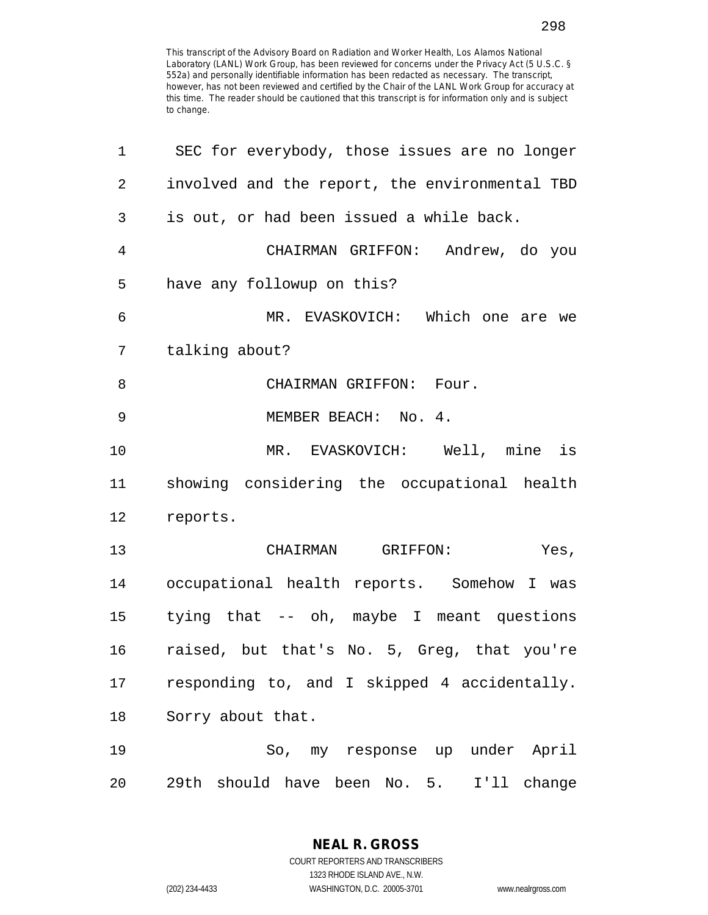| 1              | SEC for everybody, those issues are no longer  |
|----------------|------------------------------------------------|
| $\overline{2}$ | involved and the report, the environmental TBD |
| 3              | is out, or had been issued a while back.       |
| 4              | CHAIRMAN GRIFFON: Andrew, do you               |
| 5              | have any followup on this?                     |
| 6              | MR. EVASKOVICH: Which one are we               |
| 7              | talking about?                                 |
| 8              | CHAIRMAN GRIFFON: Four.                        |
| 9              | MEMBER BEACH: No. 4.                           |
| 10             | MR. EVASKOVICH: Well, mine is                  |
| 11             | showing considering the occupational health    |
| 12             | reports.                                       |
| 13             | CHAIRMAN GRIFFON:<br>Yes,                      |
| 14             | occupational health reports. Somehow I was     |
| 15             | tying that -- oh, maybe I meant questions      |
| 16             | raised, but that's No. 5, Greg, that you're    |
| 17             | responding to, and I skipped 4 accidentally.   |
| 18             | Sorry about that.                              |
| 19             | So, my response up under April                 |
| 20             | 29th should have been No. 5. I'll change       |

**NEAL R. GROSS**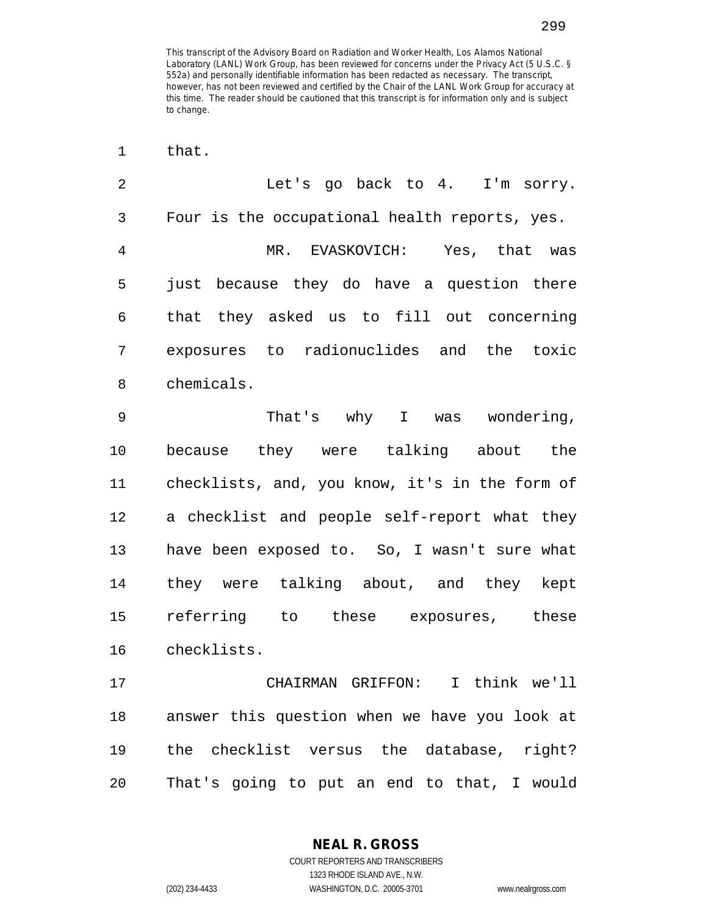1 that.

| $\mathfrak{D}$ | Let's go back to 4. I'm sorry.                |
|----------------|-----------------------------------------------|
| 3              | Four is the occupational health reports, yes. |
| $\overline{4}$ | EVASKOVICH:<br>Yes, that was<br>MR.           |
| 5              | just because they do have a question there    |
| 6              | that they asked us to fill out concerning     |
| 7              | exposures to radionuclides and the toxic      |
| 8              | chemicals.                                    |

9 That's why I was wondering, 10 because they were talking about the 11 checklists, and, you know, it's in the form of 12 a checklist and people self-report what they 13 have been exposed to. So, I wasn't sure what 14 they were talking about, and they kept 15 referring to these exposures, these 16 checklists.

17 CHAIRMAN GRIFFON: I think we'll 18 answer this question when we have you look at 19 the checklist versus the database, right? 20 That's going to put an end to that, I would

**NEAL R. GROSS**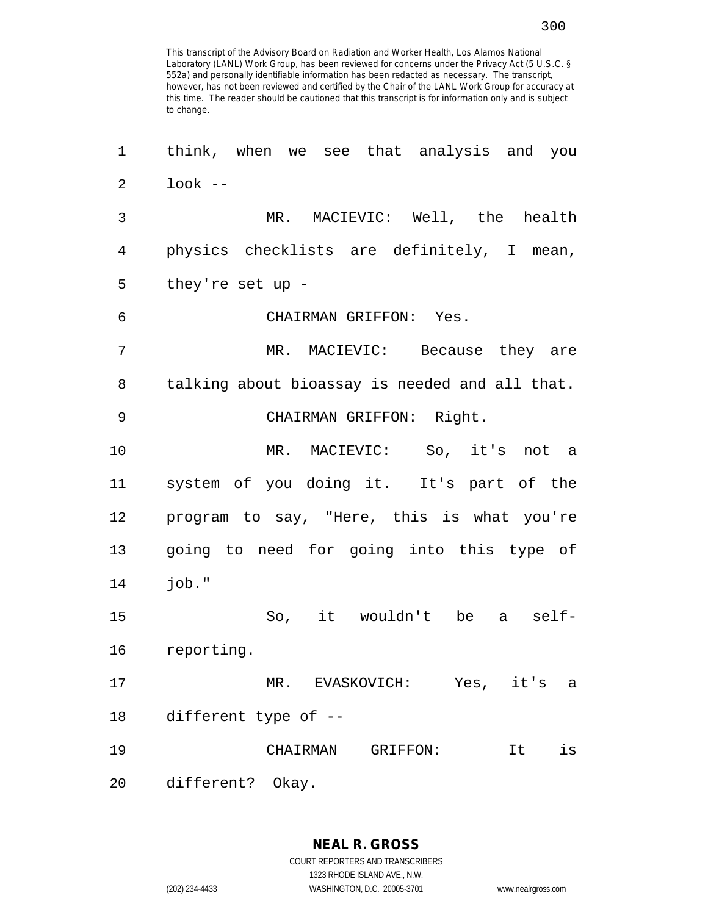| 1              | think, when we see that analysis and you       |
|----------------|------------------------------------------------|
| $\overline{a}$ | $look --$                                      |
| 3              | MR. MACIEVIC: Well, the health                 |
| 4              | physics checklists are definitely, I mean,     |
| 5              | they're set up -                               |
| 6              | CHAIRMAN GRIFFON: Yes.                         |
| 7              | MR. MACIEVIC: Because they are                 |
| 8              | talking about bioassay is needed and all that. |
| 9              | CHAIRMAN GRIFFON: Right.                       |
| 10             | MR. MACIEVIC: So, it's not a                   |
| 11             | system of you doing it. It's part of the       |
| 12             | program to say, "Here, this is what you're     |
| 13             | going to need for going into this type of      |
| 14             | job."                                          |
| 15             | So, it wouldn't be a self-                     |
| 16             | reporting.                                     |
| 17             | MR. EVASKOVICH: Yes, it's<br>а                 |
| 18             | different type of --                           |
| 19             | CHAIRMAN GRIFFON:<br>It<br>is                  |
| 20             | different? Okay.                               |

COURT REPORTERS AND TRANSCRIBERS 1323 RHODE ISLAND AVE., N.W. (202) 234-4433 WASHINGTON, D.C. 20005-3701 www.nealrgross.com

**NEAL R. GROSS**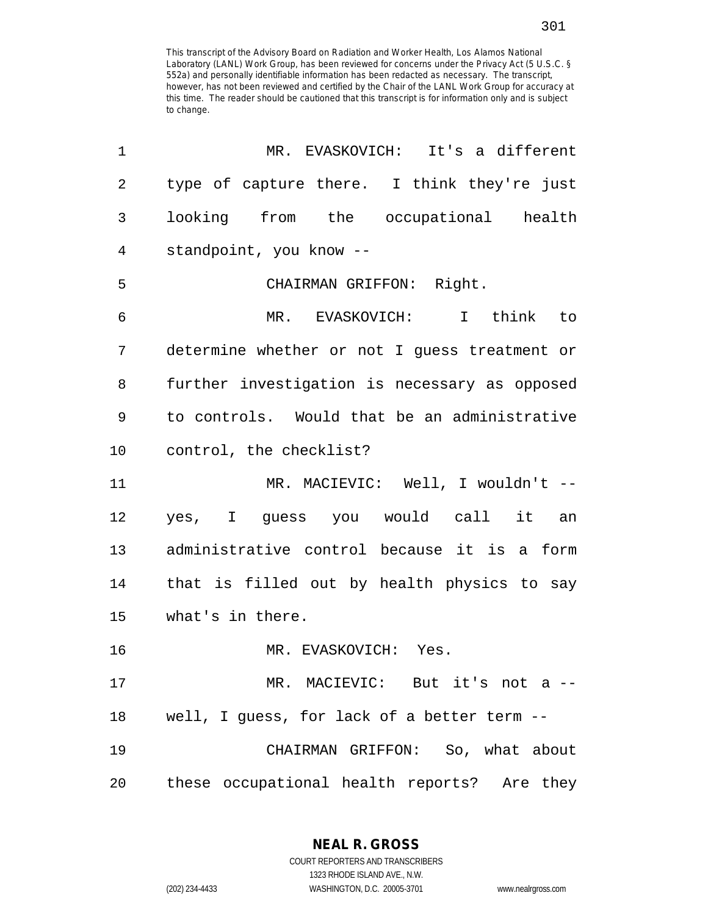| 1              | MR. EVASKOVICH: It's a different              |
|----------------|-----------------------------------------------|
| 2              | type of capture there. I think they're just   |
| 3              | looking from the occupational health          |
| $\overline{4}$ | standpoint, you know --                       |
| 5              | CHAIRMAN GRIFFON: Right.                      |
| 6              | MR. EVASKOVICH: I think to                    |
| 7              | determine whether or not I guess treatment or |
| 8              | further investigation is necessary as opposed |
| 9              | to controls. Would that be an administrative  |
| 10             | control, the checklist?                       |
| 11             | MR. MACIEVIC: Well, I wouldn't --             |
| 12             | yes, I guess you would call it<br>an          |
| 13             | administrative control because it is a form   |
| 14             | that is filled out by health physics to say   |
| 15             | what's in there.                              |
| 16             | MR. EVASKOVICH: Yes.                          |
| 17             | MR. MACIEVIC: But it's not a --               |
| 18             | well, I guess, for lack of a better term --   |
| 19             | CHAIRMAN GRIFFON: So, what about              |
| 20             | these occupational health reports? Are they   |

**NEAL R. GROSS**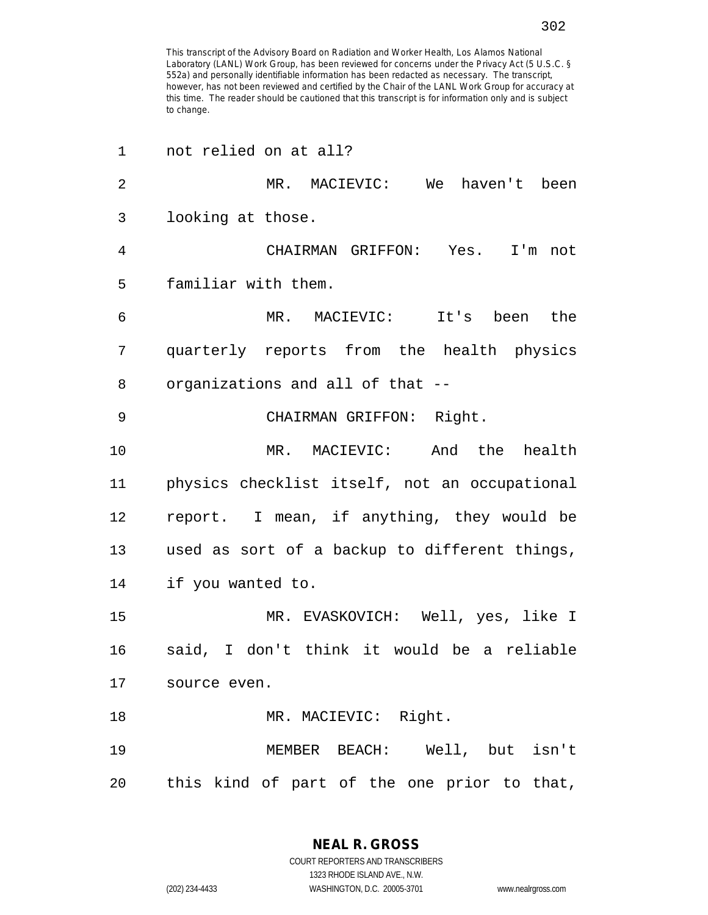| 1              | not relied on at all?                         |
|----------------|-----------------------------------------------|
| $\overline{2}$ | MR. MACIEVIC: We haven't been                 |
| 3              | looking at those.                             |
| 4              | CHAIRMAN GRIFFON: Yes. I'm not                |
| 5              | familiar with them.                           |
| 6              | MR. MACIEVIC:<br>It's been the                |
| 7              | quarterly reports from the health physics     |
| 8              | organizations and all of that --              |
| 9              | CHAIRMAN GRIFFON: Right.                      |
| 10             | MR. MACIEVIC: And the health                  |
| 11             | physics checklist itself, not an occupational |
| 12             | report. I mean, if anything, they would be    |
| 13             | used as sort of a backup to different things, |
| 14             | if you wanted to.                             |
| 15             | MR. EVASKOVICH: Well, yes, like I             |
| 16             | said, I don't think it would be a reliable    |
|                | 17 source even.                               |
| 18             | MR. MACIEVIC: Right.                          |
| 19             | MEMBER BEACH: Well, but isn't                 |
| 20             | this kind of part of the one prior to that,   |

**NEAL R. GROSS**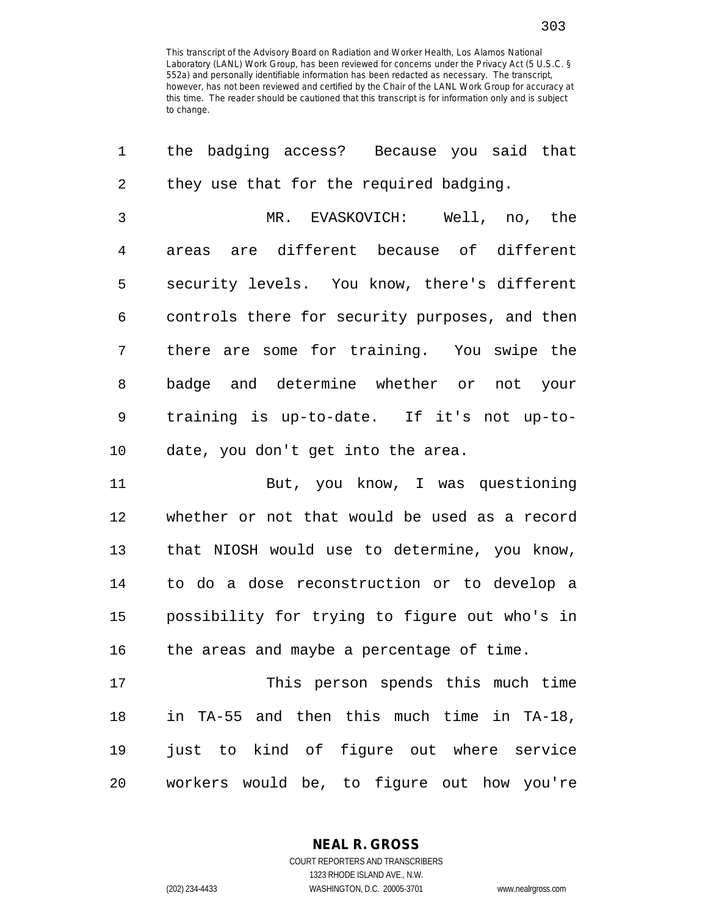| 1  | the badging access? Because you said that      |
|----|------------------------------------------------|
| 2  | they use that for the required badging.        |
| 3  | MR. EVASKOVICH: Well, no, the                  |
| 4  | areas are different because of different       |
| 5  | security levels. You know, there's different   |
| 6  | controls there for security purposes, and then |
| 7  | there are some for training. You swipe the     |
| 8  | badge and determine whether or not your        |
| 9  | training is up-to-date. If it's not up-to-     |
| 10 | date, you don't get into the area.             |
| 11 | But, you know, I was questioning               |
| 12 | whether or not that would be used as a record  |
| 13 | that NIOSH would use to determine, you know,   |
| 14 | to do a dose reconstruction or to develop a    |
| 15 | possibility for trying to figure out who's in  |
| 16 | the areas and maybe a percentage of time.      |
| 17 | This person spends this much time              |
| 18 | in TA-55 and then this much time in TA-18,     |
| 19 | just to kind of figure out where service       |
| 20 | workers would be, to figure out how you're     |

**NEAL R. GROSS**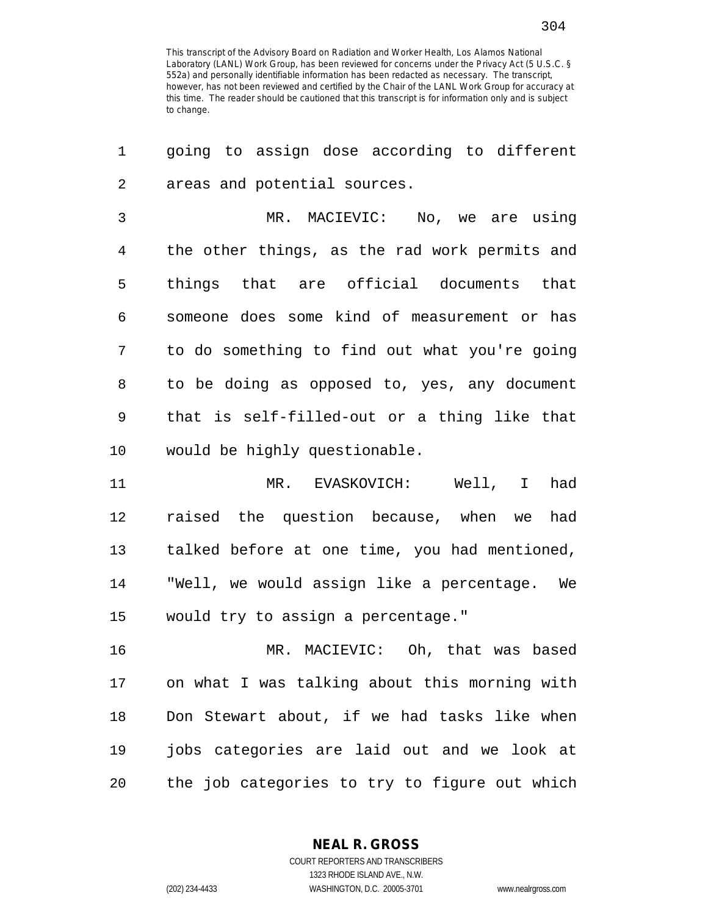1 going to assign dose according to different 2 areas and potential sources.

3 MR. MACIEVIC: No, we are using 4 the other things, as the rad work permits and 5 things that are official documents that 6 someone does some kind of measurement or has 7 to do something to find out what you're going 8 to be doing as opposed to, yes, any document 9 that is self-filled-out or a thing like that 10 would be highly questionable.

11 MR. EVASKOVICH: Well, I had 12 raised the question because, when we had 13 talked before at one time, you had mentioned, 14 "Well, we would assign like a percentage. We 15 would try to assign a percentage."

16 MR. MACIEVIC: Oh, that was based 17 on what I was talking about this morning with 18 Don Stewart about, if we had tasks like when 19 jobs categories are laid out and we look at 20 the job categories to try to figure out which

**NEAL R. GROSS**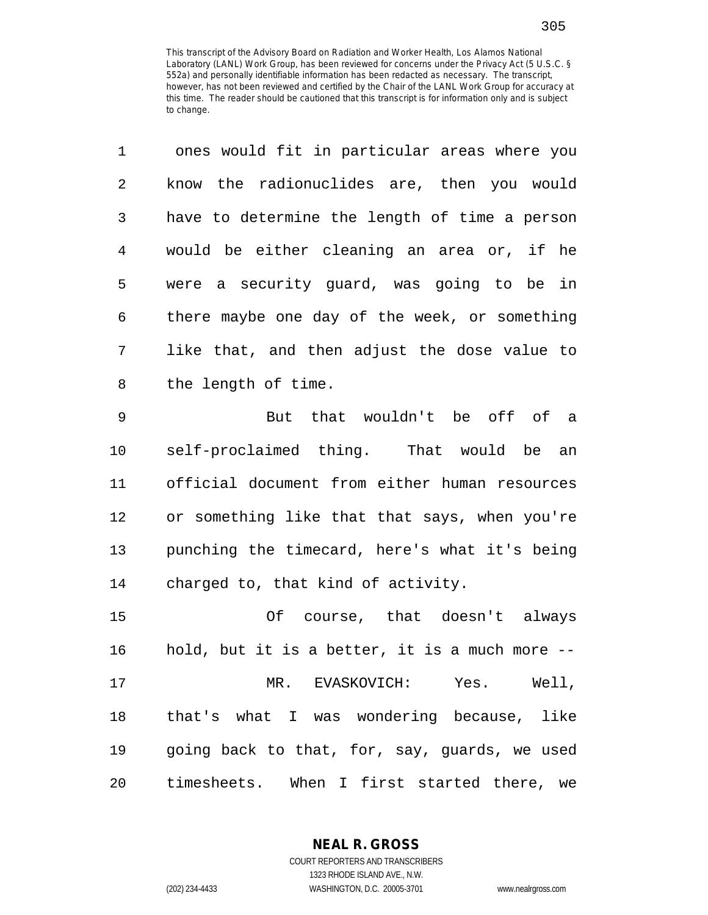| $\mathbf{1}$  | ones would fit in particular areas where you  |
|---------------|-----------------------------------------------|
| $\mathcal{L}$ | know the radionuclides are, then you would    |
| 3             | have to determine the length of time a person |
| 4             | would be either cleaning an area or, if he    |
| 5             | were a security guard, was going to be in     |
| 6             | there maybe one day of the week, or something |
| 7             | like that, and then adjust the dose value to  |
| 8             | the length of time.                           |

9 But that wouldn't be off of a 10 self-proclaimed thing. That would be an 11 official document from either human resources 12 or something like that that says, when you're 13 punching the timecard, here's what it's being 14 charged to, that kind of activity.

15 Of course, that doesn't always 16 hold, but it is a better, it is a much more -- 17 MR. EVASKOVICH: Yes. Well, 18 that's what I was wondering because, like 19 going back to that, for, say, guards, we used 20 timesheets. When I first started there, we

## **NEAL R. GROSS**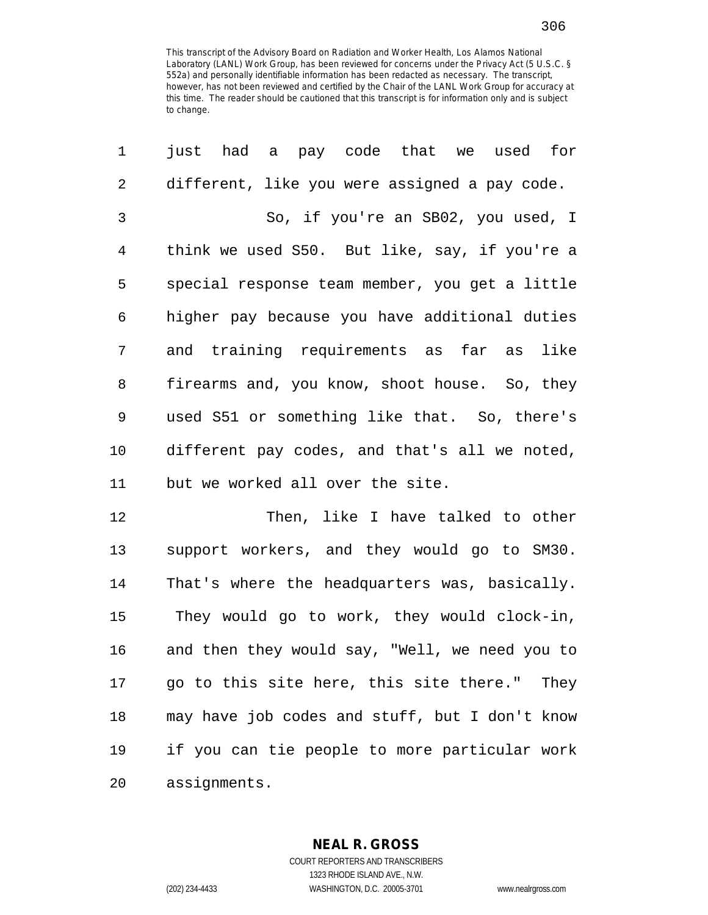| 1              | just had a pay code that we used for            |
|----------------|-------------------------------------------------|
| 2              | different, like you were assigned a pay code.   |
| $\mathfrak{Z}$ | So, if you're an SB02, you used, I              |
| $\overline{4}$ | think we used S50. But like, say, if you're a   |
| 5              | special response team member, you get a little  |
| 6              | higher pay because you have additional duties   |
| 7              | and training requirements as far as like        |
| $\,8\,$        | firearms and, you know, shoot house. So, they   |
| 9              | used S51 or something like that. So, there's    |
| 10             | different pay codes, and that's all we noted,   |
| 11             | but we worked all over the site.                |
| 12             | Then, like I have talked to other               |
| 13             | support workers, and they would go to SM30.     |
| 14             | That's where the headquarters was, basically.   |
| 15             | They would go to work, they would clock-in,     |
| 16             | and then they would say, "Well, we need you to  |
| 17             | go to this site here, this site there."<br>They |
| 18             | may have job codes and stuff, but I don't know  |
| 19             | if you can tie people to more particular work   |

20 assignments.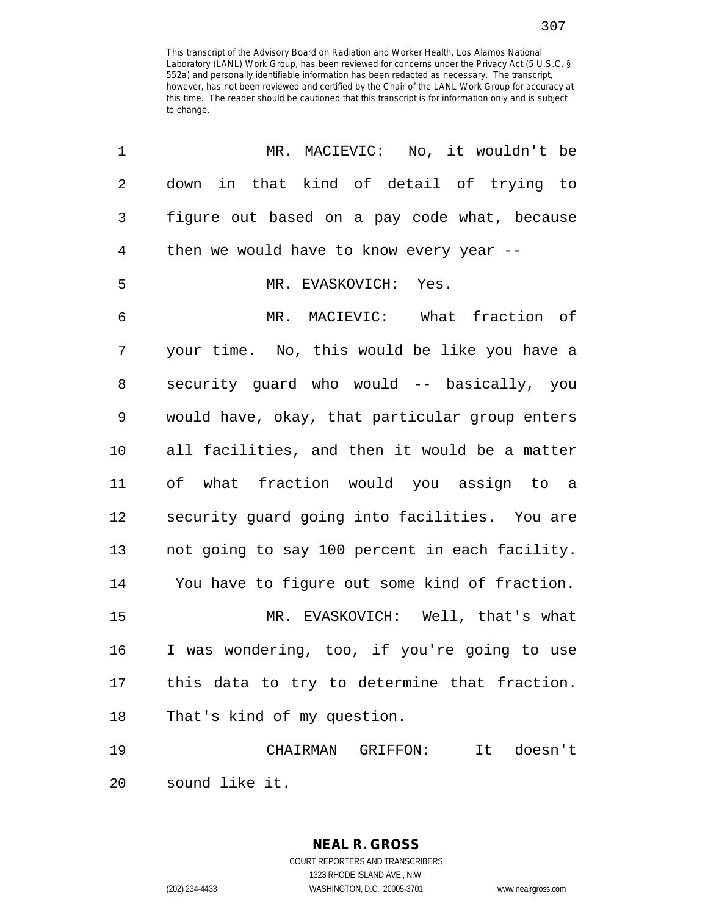| 1              | MR. MACIEVIC: No, it wouldn't be               |
|----------------|------------------------------------------------|
| $\overline{2}$ | down in that kind of detail of trying to       |
| 3              | figure out based on a pay code what, because   |
| 4              | then we would have to know every year --       |
| 5              | MR. EVASKOVICH: Yes.                           |
| 6              | MR. MACIEVIC: What fraction of                 |
| 7              | your time. No, this would be like you have a   |
| 8              | security guard who would -- basically, you     |
| 9              | would have, okay, that particular group enters |
| 10             | all facilities, and then it would be a matter  |
| 11             | of what fraction would you assign to a         |
| 12             | security guard going into facilities. You are  |
| 13             | not going to say 100 percent in each facility. |
| 14             | You have to figure out some kind of fraction.  |
| 15             | MR. EVASKOVICH: Well, that's what              |
| 16             | I was wondering, too, if you're going to use   |
| 17             | this data to try to determine that fraction.   |
| 18             | That's kind of my question.                    |
| 19             | CHAIRMAN GRIFFON:<br>It doesn't                |
|                | 20 sound like it.                              |

COURT REPORTERS AND TRANSCRIBERS 1323 RHODE ISLAND AVE., N.W. (202) 234-4433 WASHINGTON, D.C. 20005-3701 www.nealrgross.com

**NEAL R. GROSS**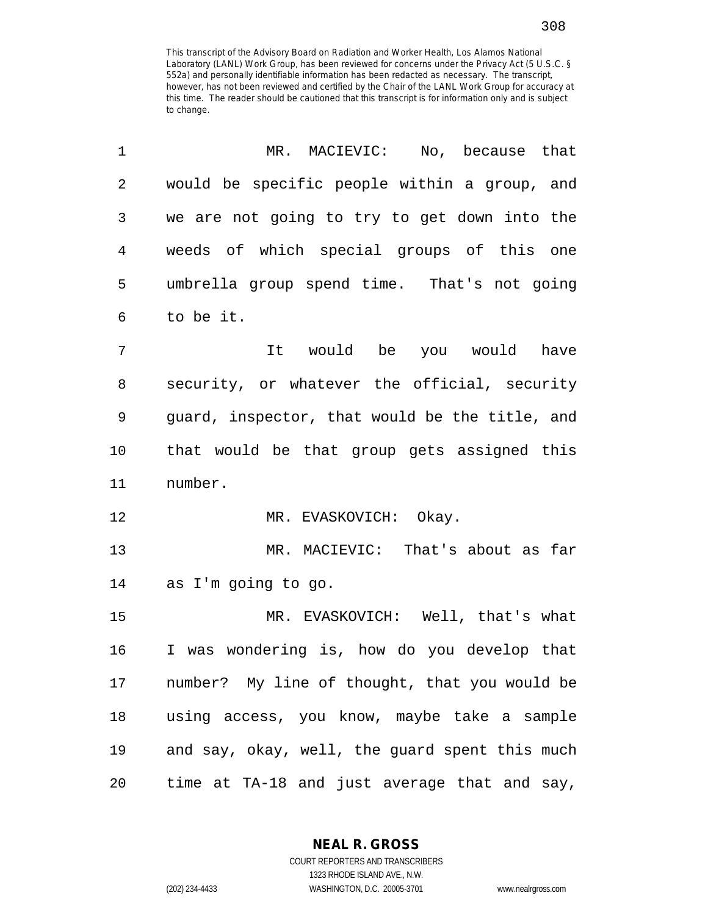| 1              | MR. MACIEVIC: No, because that                 |
|----------------|------------------------------------------------|
| 2              | would be specific people within a group, and   |
| 3              | we are not going to try to get down into the   |
| $\overline{4}$ | weeds of which special groups of this one      |
| 5              | umbrella group spend time. That's not going    |
| 6              | to be it.                                      |
| $\overline{7}$ | It would be you would have                     |
| 8              | security, or whatever the official, security   |
| 9              | guard, inspector, that would be the title, and |
| 10             | that would be that group gets assigned this    |
| 11             | number.                                        |
| 12             | MR. EVASKOVICH: Okay.                          |
| 13             | MR. MACIEVIC: That's about as far              |
| 14             | as I'm going to go.                            |
| 15             | MR. EVASKOVICH: Well, that's what              |
| 16             | I was wondering is, how do you develop that    |
| 17             | number? My line of thought, that you would be  |
| 18             | using access, you know, maybe take a sample    |
| 19             | and say, okay, well, the guard spent this much |
| 20             | time at TA-18 and just average that and say,   |

**NEAL R. GROSS**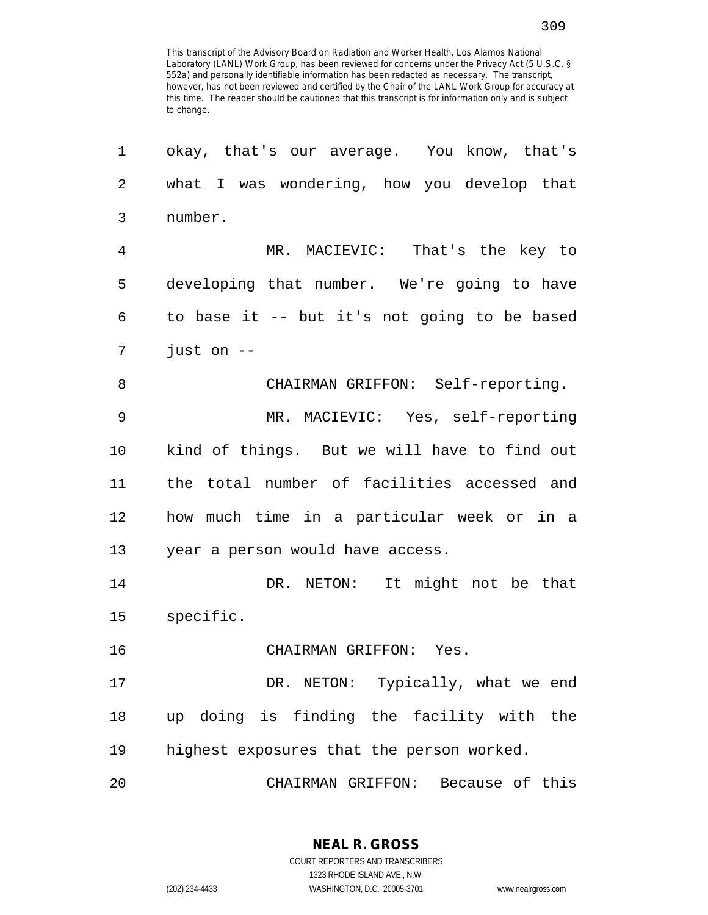| 1              | okay, that's our average. You know, that's   |
|----------------|----------------------------------------------|
| $\overline{2}$ | what I was wondering, how you develop that   |
| 3              | number.                                      |
| $\overline{4}$ | MR. MACIEVIC: That's the key to              |
| 5              | developing that number. We're going to have  |
| 6              | to base it -- but it's not going to be based |
| 7              | just on --                                   |
| 8              | CHAIRMAN GRIFFON: Self-reporting.            |
| 9              | MR. MACIEVIC: Yes, self-reporting            |
| 10             | kind of things. But we will have to find out |
| 11             | the total number of facilities accessed and  |
| 12             | how much time in a particular week or in a   |
| 13             | year a person would have access.             |
| 14             | It might not be that<br>DR. NETON:           |
| 15             | specific.                                    |
| 16             | CHAIRMAN GRIFFON: Yes.                       |
| 17             | DR. NETON: Typically, what we end            |
| 18             | up doing is finding the facility with the    |
| 19             | highest exposures that the person worked.    |
| 20             | Because of this<br>CHAIRMAN GRIFFON:         |

**NEAL R. GROSS** COURT REPORTERS AND TRANSCRIBERS

1323 RHODE ISLAND AVE., N.W.

(202) 234-4433 WASHINGTON, D.C. 20005-3701 www.nealrgross.com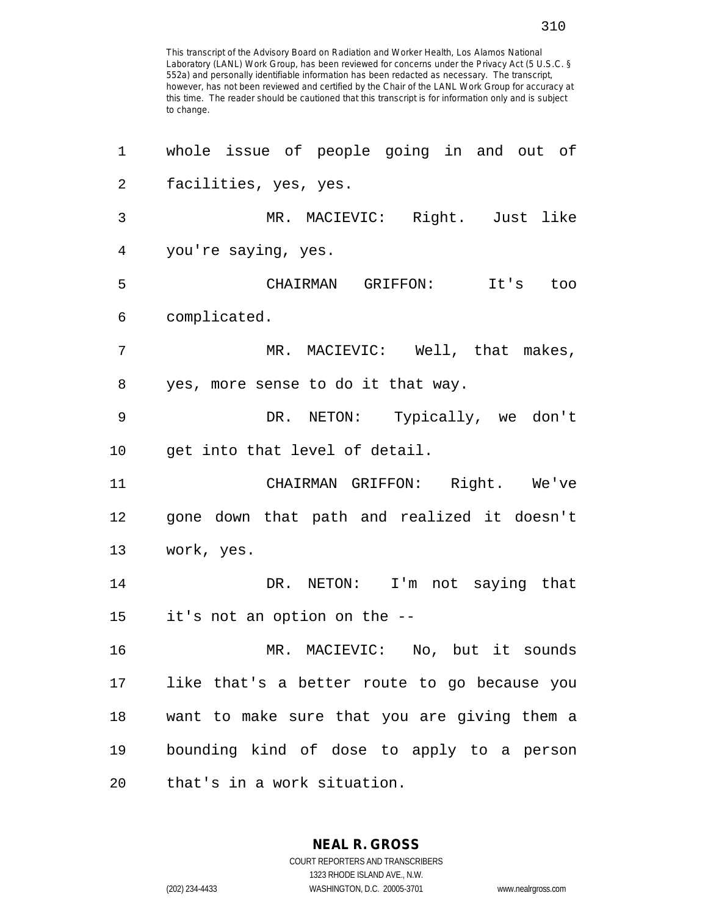| 1              | whole issue of people going in and out of    |
|----------------|----------------------------------------------|
| $\overline{a}$ | facilities, yes, yes.                        |
| 3              | MR. MACIEVIC: Right. Just like               |
| 4              | you're saying, yes.                          |
| 5              | CHAIRMAN GRIFFON:<br>It's too                |
| 6              | complicated.                                 |
| 7              | MR. MACIEVIC: Well, that makes,              |
| 8              | yes, more sense to do it that way.           |
| 9              | DR. NETON: Typically, we don't               |
| $10\,$         | get into that level of detail.               |
| 11             | CHAIRMAN GRIFFON: Right. We've               |
| 12             | gone down that path and realized it doesn't  |
| 13             | work, yes.                                   |
| 14             | DR. NETON: I'm not saying that               |
|                | 15 it's not an option on the --              |
| 16             | MR. MACIEVIC: No, but it sounds              |
| 17             | like that's a better route to go because you |
| 18             | want to make sure that you are giving them a |
| 19             | bounding kind of dose to apply to a person   |
| 20             | that's in a work situation.                  |

**NEAL R. GROSS** COURT REPORTERS AND TRANSCRIBERS 1323 RHODE ISLAND AVE., N.W.

(202) 234-4433 WASHINGTON, D.C. 20005-3701 www.nealrgross.com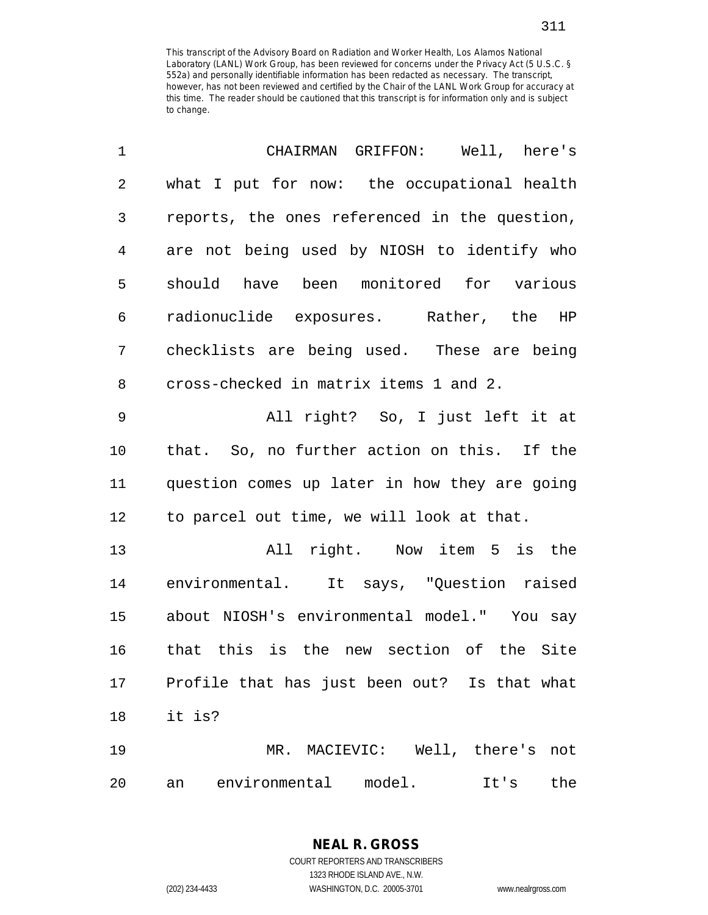| 1              | CHAIRMAN GRIFFON: Well, here's                |
|----------------|-----------------------------------------------|
| 2              | what I put for now: the occupational health   |
| 3              | reports, the ones referenced in the question, |
| $\overline{4}$ | are not being used by NIOSH to identify who   |
| 5              | should have been monitored for various        |
| 6              | radionuclide exposures. Rather, the HP        |
| 7              | checklists are being used. These are being    |
| 8              | cross-checked in matrix items 1 and 2.        |
| $\mathsf 9$    | All right? So, I just left it at              |
| 10             | that. So, no further action on this. If the   |
| 11             | question comes up later in how they are going |
| 12             | to parcel out time, we will look at that.     |
| 13             | All right. Now item 5 is the                  |
| 14             | environmental. It says, "Question raised      |
| 15             | about NIOSH's environmental model." You say   |
| 16             | that this is the new section of the Site      |
| 17             | Profile that has just been out? Is that what  |
| 18             | it is?                                        |
| 19             | MR. MACIEVIC: Well, there's not               |
| 20             | an environmental model.<br>It's<br>the        |

## **NEAL R. GROSS** COURT REPORTERS AND TRANSCRIBERS

1323 RHODE ISLAND AVE., N.W. (202) 234-4433 WASHINGTON, D.C. 20005-3701 www.nealrgross.com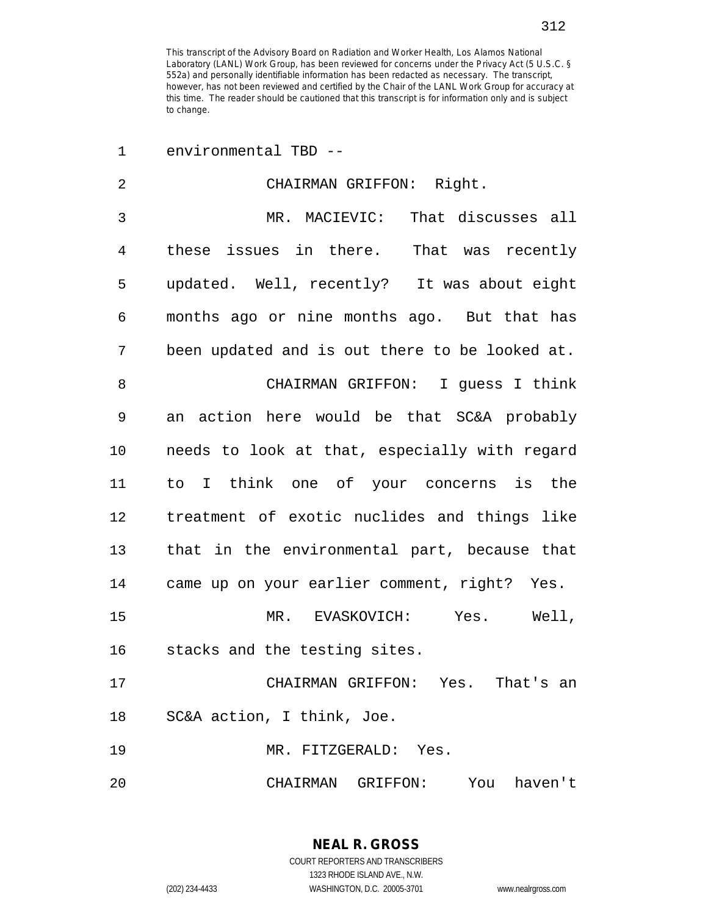1 environmental TBD --

|  | ____ | ________ |  |
|--|------|----------|--|
|  |      |          |  |
|  |      |          |  |
|  |      |          |  |
|  |      |          |  |
|  |      |          |  |
|  |      |          |  |
|  |      |          |  |
|  |      |          |  |
|  |      |          |  |

| 2  | CHAIRMAN GRIFFON: Right.                       |
|----|------------------------------------------------|
| 3  | MR. MACIEVIC: That discusses all               |
| 4  | these issues in there. That was recently       |
| 5  | updated. Well, recently? It was about eight    |
| 6  | months ago or nine months ago. But that has    |
| 7  | been updated and is out there to be looked at. |
| 8  | CHAIRMAN GRIFFON: I guess I think              |
| 9  | an action here would be that SC&A probably     |
| 10 | needs to look at that, especially with regard  |
| 11 | to I think one of your concerns is the         |
| 12 | treatment of exotic nuclides and things like   |
| 13 | that in the environmental part, because that   |
| 14 | came up on your earlier comment, right? Yes.   |
| 15 | MR. EVASKOVICH: Yes. Well,                     |
| 16 | stacks and the testing sites.                  |
| 17 | CHAIRMAN GRIFFON: Yes. That's an               |
|    | 18 SC&A action, I think, Joe.                  |
| 19 | MR. FITZGERALD: Yes.                           |
| 20 | CHAIRMAN GRIFFON: You haven't                  |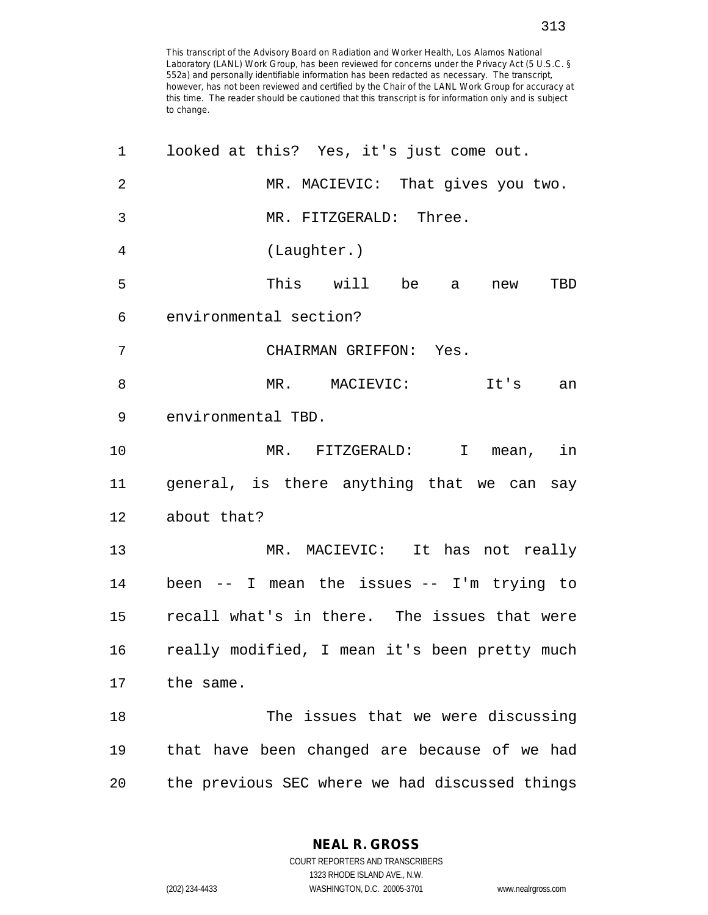| 1              | looked at this? Yes, it's just come out.       |
|----------------|------------------------------------------------|
| $\overline{2}$ | MR. MACIEVIC: That gives you two.              |
| 3              | MR. FITZGERALD: Three.                         |
| 4              | (Laughter.)                                    |
| 5              | This will be<br>a a<br>TBD<br>new              |
| 6              | environmental section?                         |
| 7              | CHAIRMAN GRIFFON: Yes.                         |
| 8              | MR. MACIEVIC:<br>It's<br>an                    |
| 9              | environmental TBD.                             |
| 10             | MR. FITZGERALD: I mean, in                     |
| 11             | general, is there anything that we can say     |
| 12             | about that?                                    |
| 13             | MR. MACIEVIC: It has not really                |
| 14             | been $--$ I mean the issues $--$ I'm trying to |
| 15             | recall what's in there. The issues that were   |
| 16             | really modified, I mean it's been pretty much  |
| 17             | the same.                                      |
| 18             | The issues that we were discussing             |
| 19             | that have been changed are because of we had   |
| 20             | the previous SEC where we had discussed things |

**NEAL R. GROSS**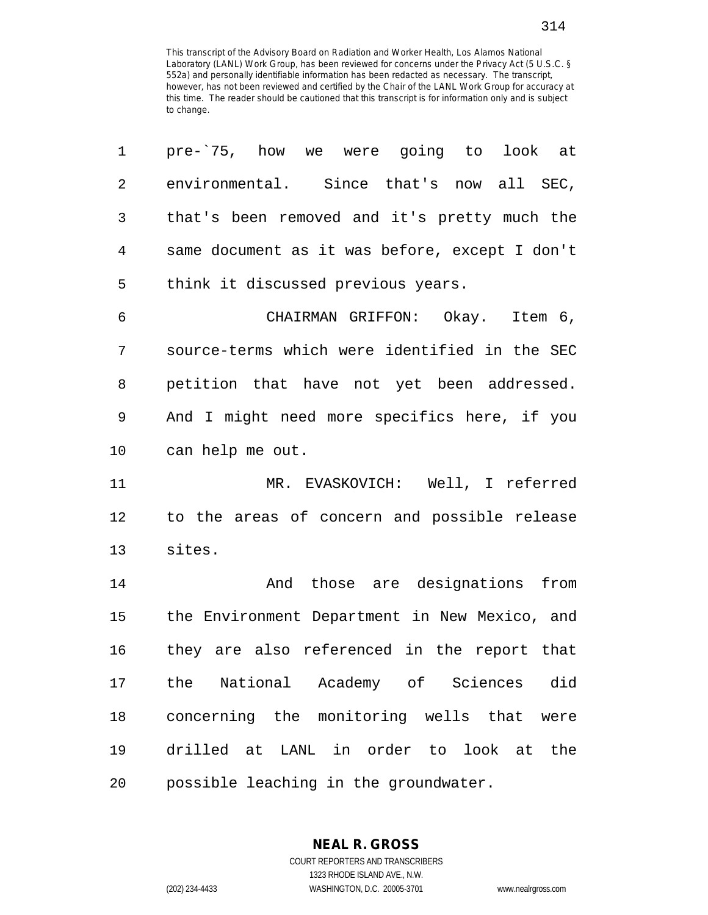| 1              | pre-`75, how we were going to<br>look at       |
|----------------|------------------------------------------------|
| $\overline{2}$ | environmental. Since that's now all SEC,       |
| 3              | that's been removed and it's pretty much the   |
| 4              | same document as it was before, except I don't |
| 5              | think it discussed previous years.             |
| 6              | CHAIRMAN GRIFFON: Okay. Item 6,                |
| 7              | source-terms which were identified in the SEC  |
| 8              | petition that have not yet been addressed.     |
| 9              | And I might need more specifics here, if you   |
| 10             | can help me out.                               |
| 11             | MR. EVASKOVICH: Well, I referred               |
| 12             | to the areas of concern and possible release   |
| 13             | sites.                                         |
| 14             | And those are designations from                |
| 15             | the Environment Department in New Mexico, and  |
| 16             | they are also referenced in the report that    |
| 17             | the National Academy of Sciences<br>did        |
| 18             | concerning the monitoring wells that were      |
| 19             | drilled at LANL in order to look at the        |
| 20             | possible leaching in the groundwater.          |

**NEAL R. GROSS** COURT REPORTERS AND TRANSCRIBERS

1323 RHODE ISLAND AVE., N.W. (202) 234-4433 WASHINGTON, D.C. 20005-3701 www.nealrgross.com

314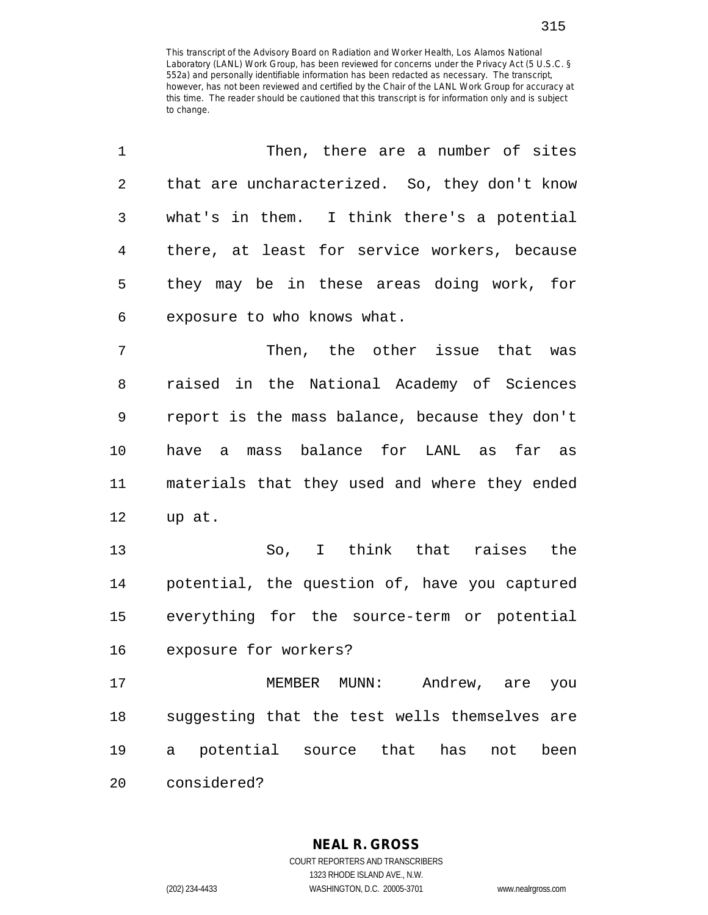| 1  | Then, there are a number of sites                |
|----|--------------------------------------------------|
| 2  | that are uncharacterized. So, they don't know    |
| 3  | what's in them. I think there's a potential      |
| 4  | there, at least for service workers, because     |
| 5  | they may be in these areas doing work, for       |
| 6  | exposure to who knows what.                      |
| 7  | Then, the other issue that was                   |
| 8  | raised in the National Academy of Sciences       |
| 9  | report is the mass balance, because they don't   |
| 10 | have a mass balance for LANL as far as           |
| 11 | materials that they used and where they ended    |
| 12 | up at.                                           |
| 13 | So, I think that raises the                      |
| 14 | potential, the question of, have you captured    |
| 15 | everything for the source-term or potential      |
| 16 | exposure for workers?                            |
| 17 | MEMBER MUNN:<br>Andrew, are you                  |
| 18 | suggesting that the test wells themselves are    |
| 19 | potential source that<br>has<br>not<br>been<br>a |
| 20 | considered?                                      |

**NEAL R. GROSS** COURT REPORTERS AND TRANSCRIBERS 1323 RHODE ISLAND AVE., N.W.

(202) 234-4433 WASHINGTON, D.C. 20005-3701 www.nealrgross.com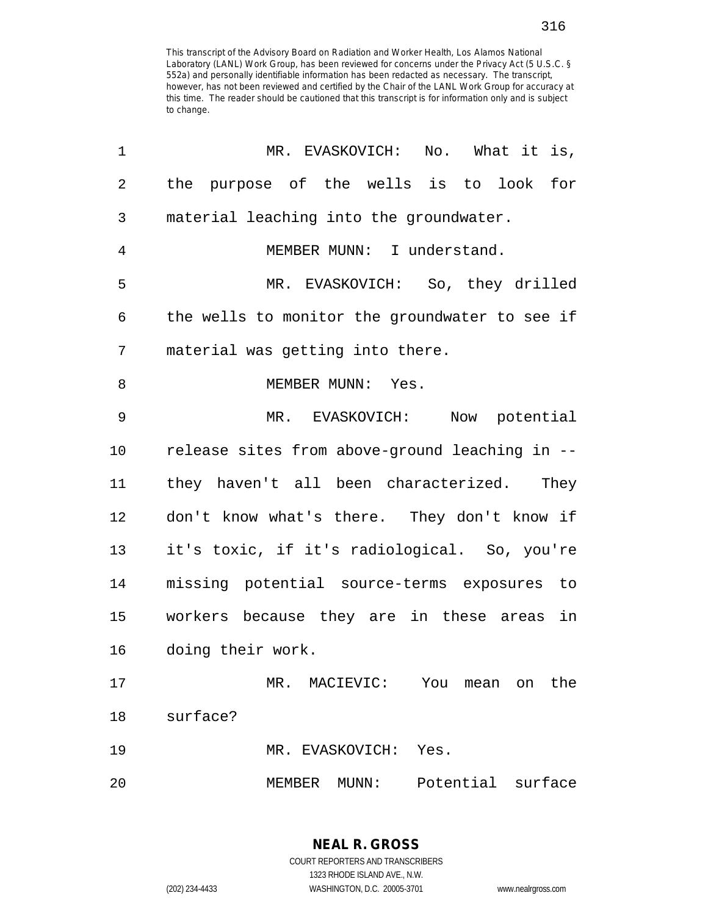| 1              | MR. EVASKOVICH: No. What it is,                |
|----------------|------------------------------------------------|
| 2              | the purpose of the wells is to look for        |
| 3              | material leaching into the groundwater.        |
| $\overline{4}$ | MEMBER MUNN: I understand.                     |
| 5              | MR. EVASKOVICH: So, they drilled               |
| 6              | the wells to monitor the groundwater to see if |
| 7              | material was getting into there.               |
| 8              | MEMBER MUNN: Yes.                              |
| $\mathsf 9$    | MR. EVASKOVICH: Now potential                  |
| 10             | release sites from above-ground leaching in -- |
| 11             | they haven't all been characterized. They      |
| 12             | don't know what's there. They don't know if    |
| 13             | it's toxic, if it's radiological. So, you're   |
| 14             | missing potential source-terms exposures to    |
| 15             | workers because they are in these areas in     |
| 16             | doing their work.                              |
| 17             | the<br>MR. MACIEVIC:<br>You<br>mean<br>on      |
| 18             | surface?                                       |
| 19             | MR. EVASKOVICH:<br>Yes.                        |
| 20             | Potential surface<br>MEMBER<br>MUNN:           |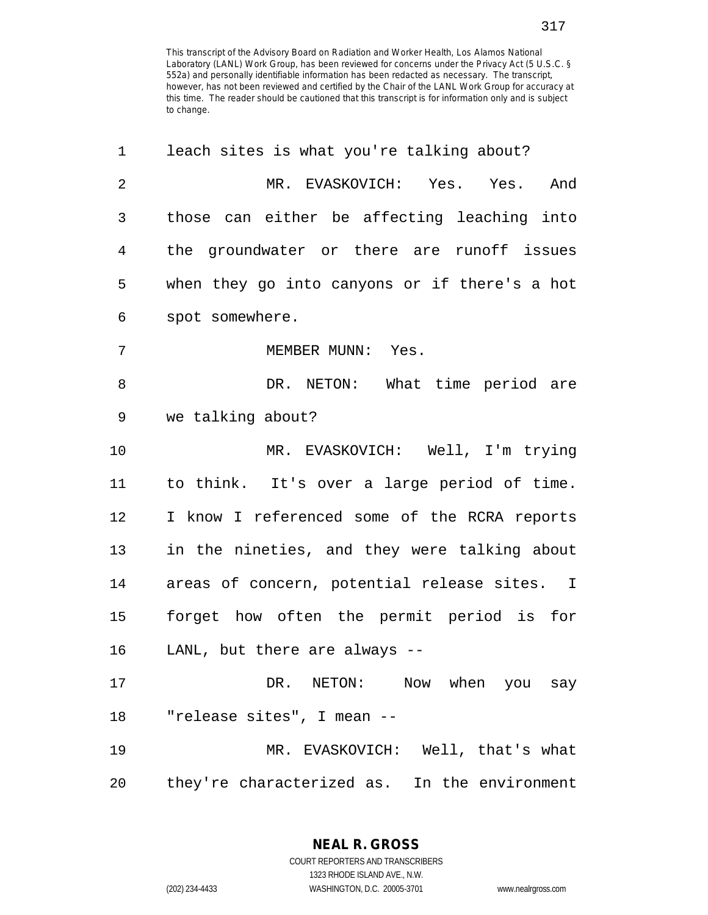| 1  | leach sites is what you're talking about?     |
|----|-----------------------------------------------|
| 2  | MR. EVASKOVICH: Yes. Yes. And                 |
| 3  | those can either be affecting leaching into   |
| 4  | the groundwater or there are runoff issues    |
| 5  | when they go into canyons or if there's a hot |
| 6  | spot somewhere.                               |
| 7  | MEMBER MUNN: Yes.                             |
| 8  | DR. NETON: What time period are               |
| 9  | we talking about?                             |
| 10 | MR. EVASKOVICH: Well, I'm trying              |
| 11 | to think. It's over a large period of time.   |
| 12 | I know I referenced some of the RCRA reports  |
| 13 | in the nineties, and they were talking about  |
| 14 | areas of concern, potential release sites. I  |
| 15 | forget how often the permit period is for     |
| 16 | LANL, but there are always --                 |
| 17 | DR. NETON: Now when you say                   |
| 18 | "release sites", I mean --                    |
| 19 | MR. EVASKOVICH: Well, that's what             |
| 20 | they're characterized as. In the environment  |

**NEAL R. GROSS**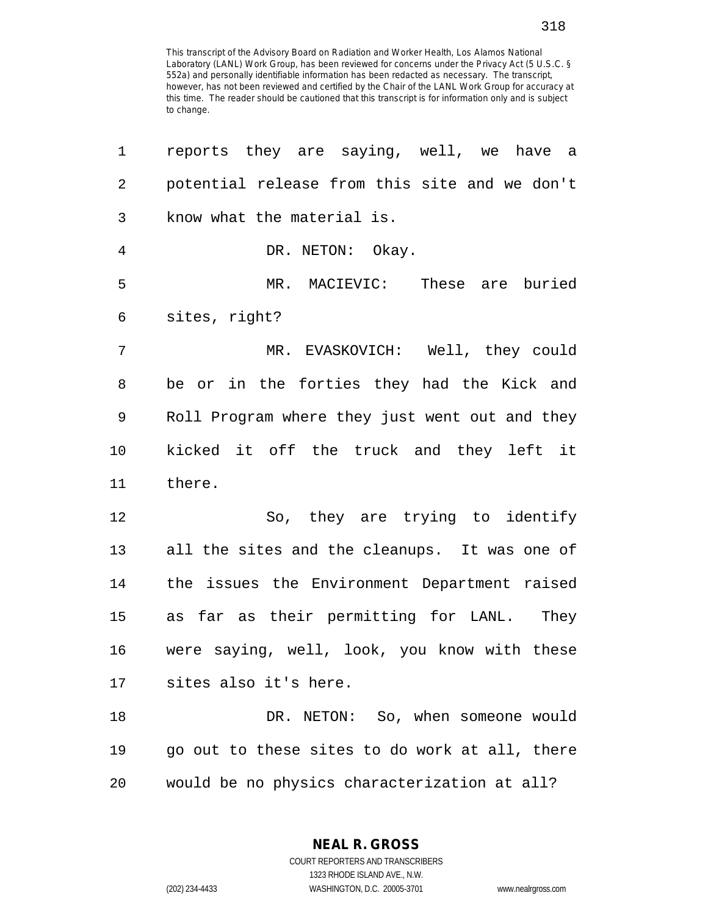| 1              | reports they are saying, well, we have a       |
|----------------|------------------------------------------------|
| $\overline{2}$ | potential release from this site and we don't  |
| 3              | know what the material is.                     |
| 4              | DR. NETON: Okay.                               |
| 5              | MR. MACIEVIC: These are buried                 |
| 6              | sites, right?                                  |
| 7              | MR. EVASKOVICH: Well, they could               |
| 8              | be or in the forties they had the Kick and     |
| 9              | Roll Program where they just went out and they |
| 10             | kicked it off the truck and they left it       |
| 11             | there.                                         |
| 12             | So, they are trying to identify                |
| 13             | all the sites and the cleanups. It was one of  |
| 14             | the issues the Environment Department raised   |
| 15             | as far as their permitting for LANL. They      |
| 16             | were saying, well, look, you know with these   |
| 17             | sites also it's here.                          |
| 18             | DR. NETON: So, when someone would              |
| 19             | go out to these sites to do work at all, there |
| 20             | would be no physics characterization at all?   |

**NEAL R. GROSS**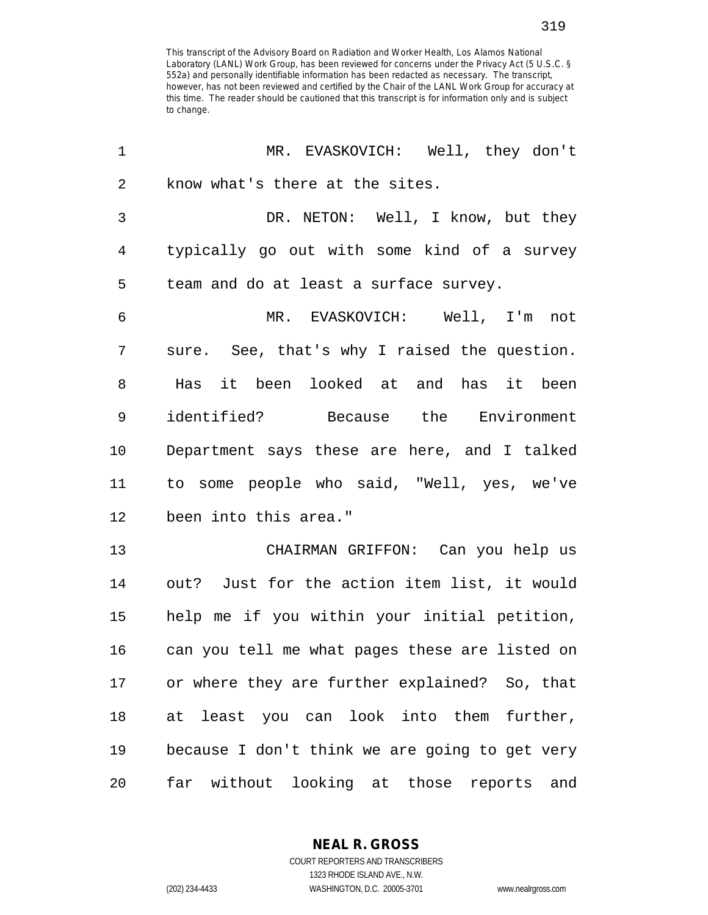| 1  | MR. EVASKOVICH: Well, they don't               |
|----|------------------------------------------------|
| 2  | know what's there at the sites.                |
| 3  | DR. NETON: Well, I know, but they              |
| 4  | typically go out with some kind of a survey    |
| 5  | team and do at least a surface survey.         |
| 6  | MR. EVASKOVICH: Well, I'm not                  |
| 7  | sure. See, that's why I raised the question.   |
| 8  | Has it been looked at and has it been          |
| 9  | identified? Because the Environment            |
| 10 | Department says these are here, and I talked   |
| 11 | to some people who said, "Well, yes, we've     |
| 12 | been into this area."                          |
| 13 | CHAIRMAN GRIFFON: Can you help us              |
| 14 | out? Just for the action item list, it would   |
| 15 | help me if you within your initial petition,   |
| 16 | can you tell me what pages these are listed on |
| 17 | or where they are further explained? So, that  |
| 18 | at least you can look into them further,       |
| 19 | because I don't think we are going to get very |
| 20 | far without looking at those reports<br>and    |

**NEAL R. GROSS**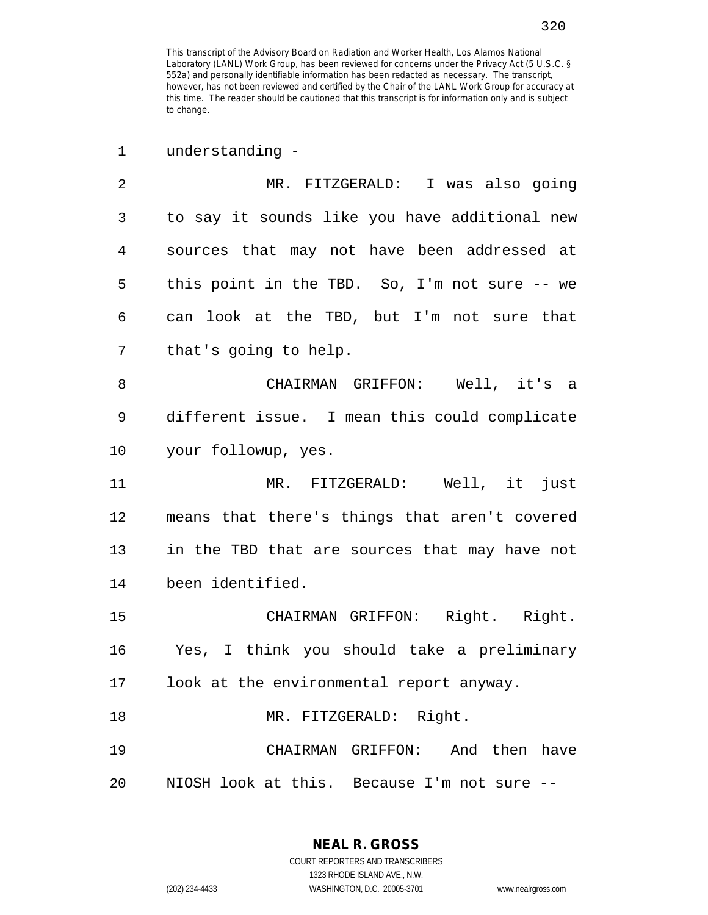1 understanding -

2 MR. FITZGERALD: I was also going 3 to say it sounds like you have additional new 4 sources that may not have been addressed at 5 this point in the TBD. So, I'm not sure -- we 6 can look at the TBD, but I'm not sure that 7 that's going to help.

8 CHAIRMAN GRIFFON: Well, it's a 9 different issue. I mean this could complicate 10 your followup, yes.

11 MR. FITZGERALD: Well, it just 12 means that there's things that aren't covered 13 in the TBD that are sources that may have not 14 been identified.

15 CHAIRMAN GRIFFON: Right. Right. 16 Yes, I think you should take a preliminary 17 look at the environmental report anyway. 18 MR. FITZGERALD: Right.

19 CHAIRMAN GRIFFON: And then have 20 NIOSH look at this. Because I'm not sure --

**NEAL R. GROSS**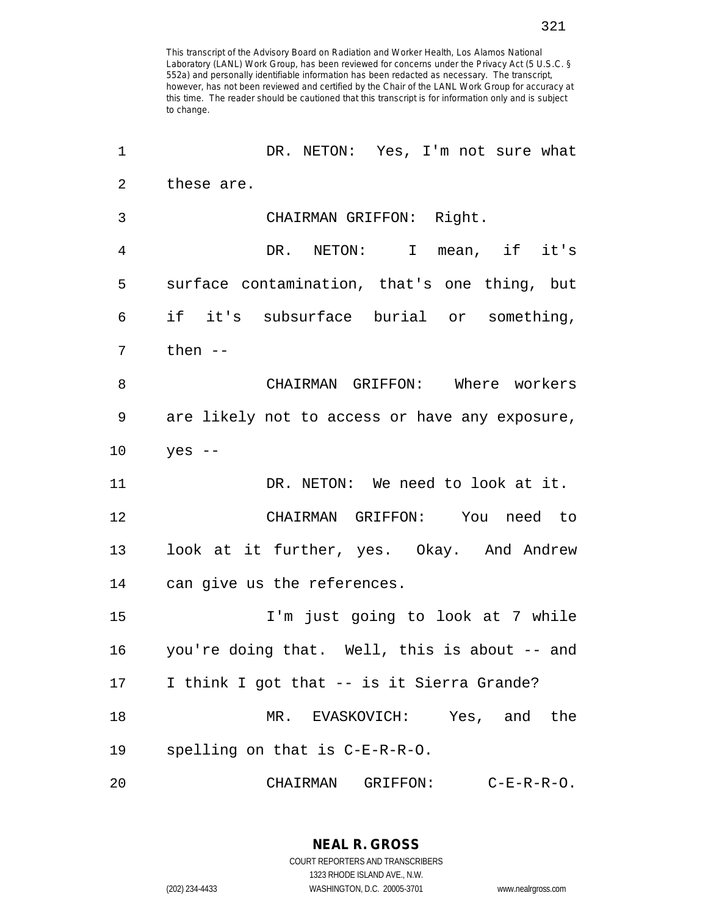| 1  | DR. NETON: Yes, I'm not sure what              |
|----|------------------------------------------------|
| 2  | these are.                                     |
| 3  | CHAIRMAN GRIFFON: Right.                       |
| 4  | DR. NETON: I mean, if it's                     |
| 5  | surface contamination, that's one thing, but   |
| 6  | if it's subsurface burial or something,        |
| 7  | then $--$                                      |
| 8  | CHAIRMAN GRIFFON: Where workers                |
| 9  | are likely not to access or have any exposure, |
| 10 | yes --                                         |
| 11 | DR. NETON: We need to look at it.              |
| 12 | CHAIRMAN GRIFFON: You need to                  |
| 13 | look at it further, yes. Okay. And Andrew      |
| 14 | can give us the references.                    |
| 15 | I'm just going to look at 7 while              |
| 16 | you're doing that. Well, this is about -- and  |
| 17 | I think I got that -- is it Sierra Grande?     |
| 18 | MR. EVASKOVICH: Yes, and the                   |
| 19 | spelling on that is C-E-R-R-O.                 |
| 20 | CHAIRMAN GRIFFON:<br>$C-E-R-R-O$ .             |

**NEAL R. GROSS**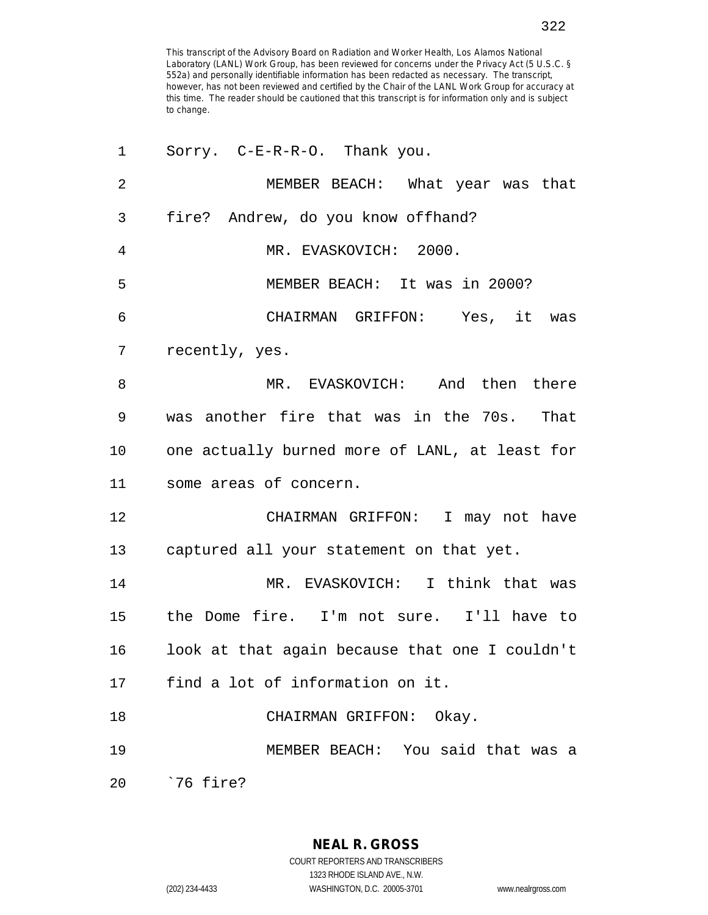| 1              | Sorry. C-E-R-R-O. Thank you.                   |
|----------------|------------------------------------------------|
| $\overline{2}$ | MEMBER BEACH: What year was that               |
| 3              | fire? Andrew, do you know offhand?             |
| 4              | MR. EVASKOVICH: 2000.                          |
| 5              | MEMBER BEACH: It was in 2000?                  |
| 6              | CHAIRMAN GRIFFON: Yes, it was                  |
| 7              | recently, yes.                                 |
| 8              | MR. EVASKOVICH: And then there                 |
| 9              | was another fire that was in the 70s. That     |
| 10             | one actually burned more of LANL, at least for |
| 11             | some areas of concern.                         |
| 12             | CHAIRMAN GRIFFON: I may not have               |
|                | 13 captured all your statement on that yet.    |
| 14             | MR. EVASKOVICH: I think that was               |
|                | 15 the Dome fire. I'm not sure. I'll have to   |
| 16             | look at that again because that one I couldn't |
|                | 17 find a lot of information on it.            |
| 18             | CHAIRMAN GRIFFON: Okay.                        |
| 19             | MEMBER BEACH: You said that was a              |
| 20             | 76 fire?                                       |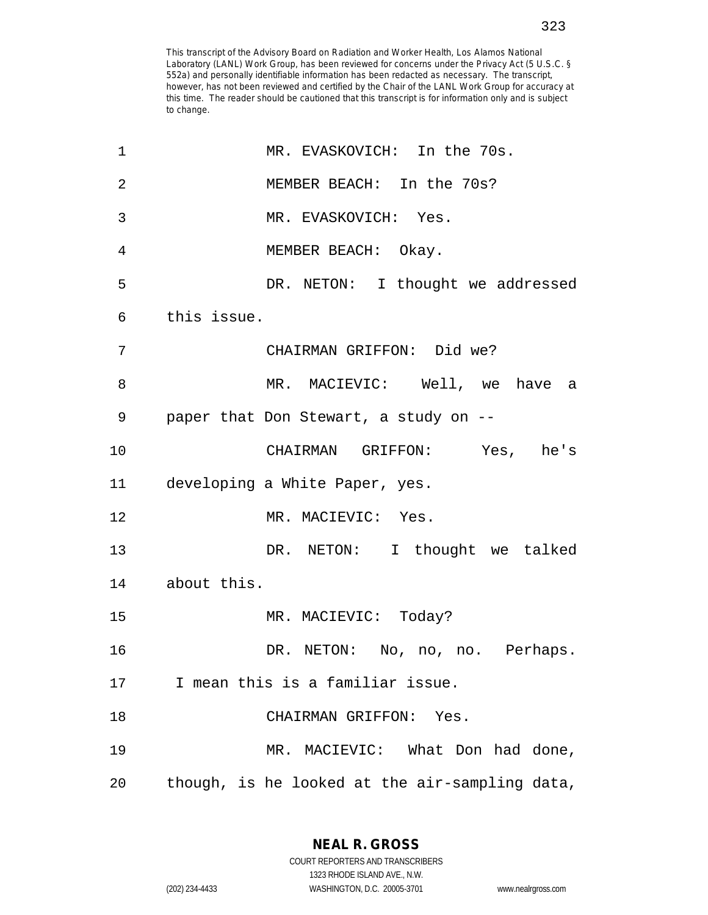| 1              | MR. EVASKOVICH: In the 70s.                    |
|----------------|------------------------------------------------|
| $\overline{2}$ | MEMBER BEACH: In the 70s?                      |
| 3              | MR. EVASKOVICH: Yes.                           |
| 4              | MEMBER BEACH: Okay.                            |
| 5              | DR. NETON: I thought we addressed              |
| 6              | this issue.                                    |
| 7              | CHAIRMAN GRIFFON: Did we?                      |
| 8              | MR. MACIEVIC: Well, we have a                  |
| 9              | paper that Don Stewart, a study on --          |
| 10             | CHAIRMAN GRIFFON: Yes, he's                    |
| 11             | developing a White Paper, yes.                 |
| 12             | MR. MACIEVIC: Yes.                             |
| 13             | DR. NETON: I thought we talked                 |
|                | 14 about this.                                 |
| 15             | MR. MACIEVIC: Today?                           |
| 16             | DR. NETON: No, no, no. Perhaps.                |
| 17             | I mean this is a familiar issue.               |
| 18             | CHAIRMAN GRIFFON: Yes.                         |
| 19             | MR. MACIEVIC: What Don had done,               |
| 20             | though, is he looked at the air-sampling data, |

**NEAL R. GROSS**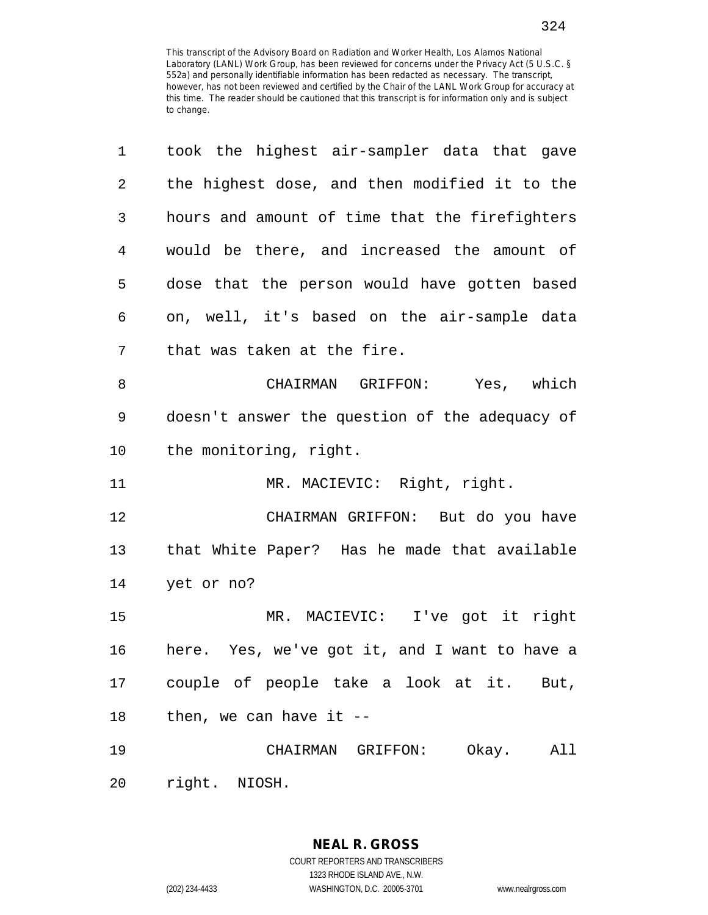| 1       | took the highest air-sampler data that gave    |
|---------|------------------------------------------------|
| 2       | the highest dose, and then modified it to the  |
| 3       | hours and amount of time that the firefighters |
| 4       | would be there, and increased the amount of    |
| 5       | dose that the person would have gotten based   |
| 6       | on, well, it's based on the air-sample data    |
| 7       | that was taken at the fire.                    |
| 8       | CHAIRMAN GRIFFON: Yes, which                   |
| 9       | doesn't answer the question of the adequacy of |
| $10 \,$ | the monitoring, right.                         |
| 11      | MR. MACIEVIC: Right, right.                    |
| 12      | CHAIRMAN GRIFFON: But do you have              |
| 13      | that White Paper? Has he made that available   |
| 14      | yet or no?                                     |
| 15      | MR. MACIEVIC: I've got it right                |
| 16      | here. Yes, we've got it, and I want to have a  |
| 17      | couple of people take a look at it. But,       |
| 18      | then, we can have it --                        |
| 19      | CHAIRMAN GRIFFON: Okay.<br>All                 |
| 20      | right. NIOSH.                                  |

1323 RHODE ISLAND AVE., N.W.

(202) 234-4433 WASHINGTON, D.C. 20005-3701 www.nealrgross.com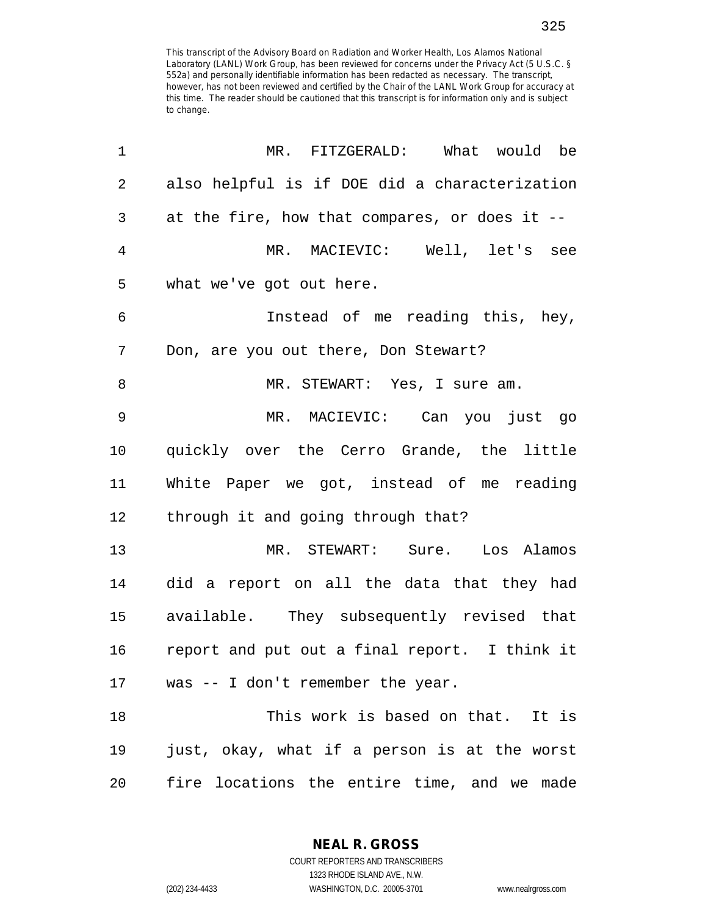| 1              | MR. FITZGERALD: What would be                 |
|----------------|-----------------------------------------------|
| 2              | also helpful is if DOE did a characterization |
| 3              | at the fire, how that compares, or does it -- |
| $\overline{4}$ | MR. MACIEVIC: Well, let's see                 |
| 5              | what we've got out here.                      |
| 6              | Instead of me reading this, hey,              |
| 7              | Don, are you out there, Don Stewart?          |
| 8              | MR. STEWART: Yes, I sure am.                  |
| 9              | MR. MACIEVIC: Can you just go                 |
| 10             | quickly over the Cerro Grande, the little     |
| 11             | White Paper we got, instead of me reading     |
| 12             | through it and going through that?            |
| 13             | MR. STEWART: Sure. Los Alamos                 |
| 14             | did a report on all the data that they had    |
| 15             | available. They subsequently revised that     |
| 16             | report and put out a final report. I think it |
| 17             | was -- I don't remember the year.             |
| 18             | This work is based on that. It is             |
| 19             | just, okay, what if a person is at the worst  |
| 20             | fire locations the entire time, and we made   |

**NEAL R. GROSS**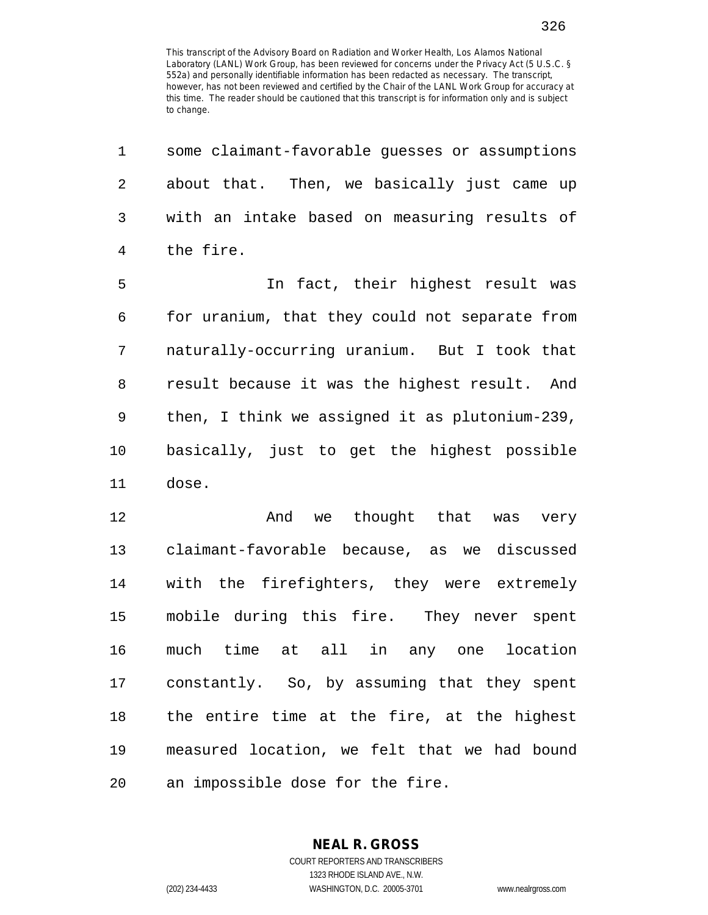1 some claimant-favorable guesses or assumptions

| $\overline{2}$ | about that. Then, we basically just came up    |
|----------------|------------------------------------------------|
| 3              | with an intake based on measuring results of   |
| 4              | the fire.                                      |
| 5              | In fact, their highest result was              |
| 6              | for uranium, that they could not separate from |
| 7              | naturally-occurring uranium. But I took that   |
| 8              | result because it was the highest result. And  |
| $\mathsf 9$    | then, I think we assigned it as plutonium-239, |
| 10             | basically, just to get the highest possible    |
| 11             | dose.                                          |
| 12             | And we thought that was<br>very                |
| 13             | claimant-favorable because, as we discussed    |
| 14             | with the firefighters, they were extremely     |
| 15             | mobile during this fire. They never spent      |
| 16             | much time at all in any one location           |
| 17             | constantly. So, by assuming that they spent    |
| 18             | the entire time at the fire, at the highest    |

20 an impossible dose for the fire.

**NEAL R. GROSS** COURT REPORTERS AND TRANSCRIBERS 1323 RHODE ISLAND AVE., N.W. (202) 234-4433 WASHINGTON, D.C. 20005-3701 www.nealrgross.com

19 measured location, we felt that we had bound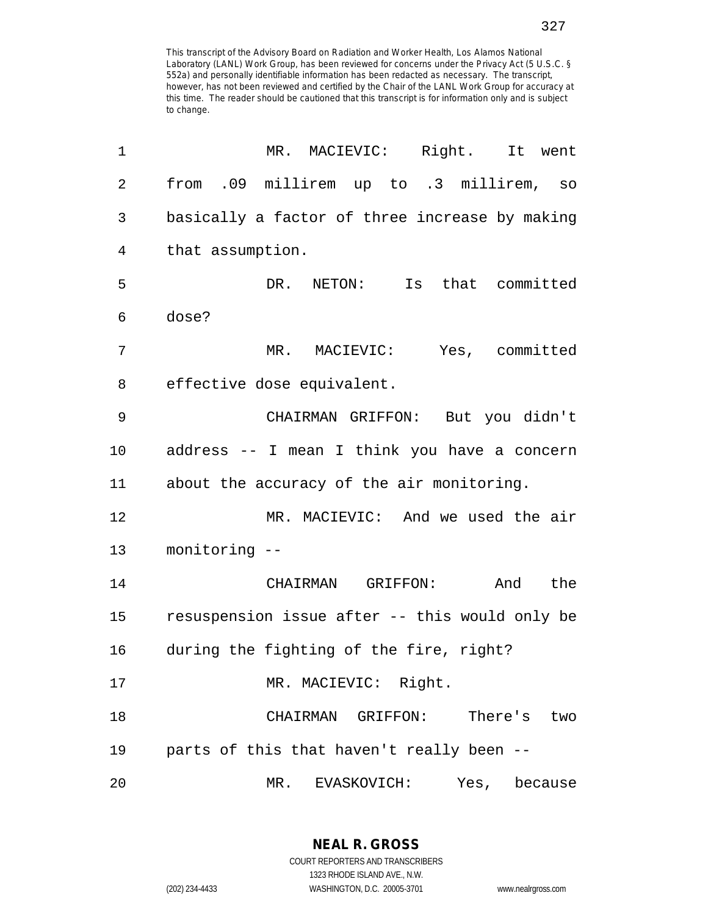$\overline{a}$ 

| 1              | MR. MACIEVIC: Right. It went                   |
|----------------|------------------------------------------------|
| $\overline{2}$ | from .09 millirem up to .3 millirem, so        |
| 3              | basically a factor of three increase by making |
| 4              | that assumption.                               |
| 5              | Is that committed<br>DR.<br>NETON:             |
| 6              | dose?                                          |
| 7              | MR. MACIEVIC: Yes, committed                   |
| 8              | effective dose equivalent.                     |
| 9              | CHAIRMAN GRIFFON: But you didn't               |
| 10             | address -- I mean I think you have a concern   |
| 11             | about the accuracy of the air monitoring.      |
| 12             | MR. MACIEVIC: And we used the air              |
| 13             | monitoring --                                  |
| 14             | CHAIRMAN GRIFFON: And<br>the                   |
| 15             | resuspension issue after -- this would only be |
| 16             | during the fighting of the fire, right?        |
| 17             | MR. MACIEVIC: Right.                           |
| 18             | There's two<br>CHAIRMAN GRIFFON:               |
| 19             | parts of this that haven't really been --      |
| 20             | MR.<br>EVASKOVICH:<br>because<br>Yes,          |

**NEAL R. GROSS** COURT REPORTERS AND TRANSCRIBERS 1323 RHODE ISLAND AVE., N.W.

(202) 234-4433 WASHINGTON, D.C. 20005-3701 www.nealrgross.com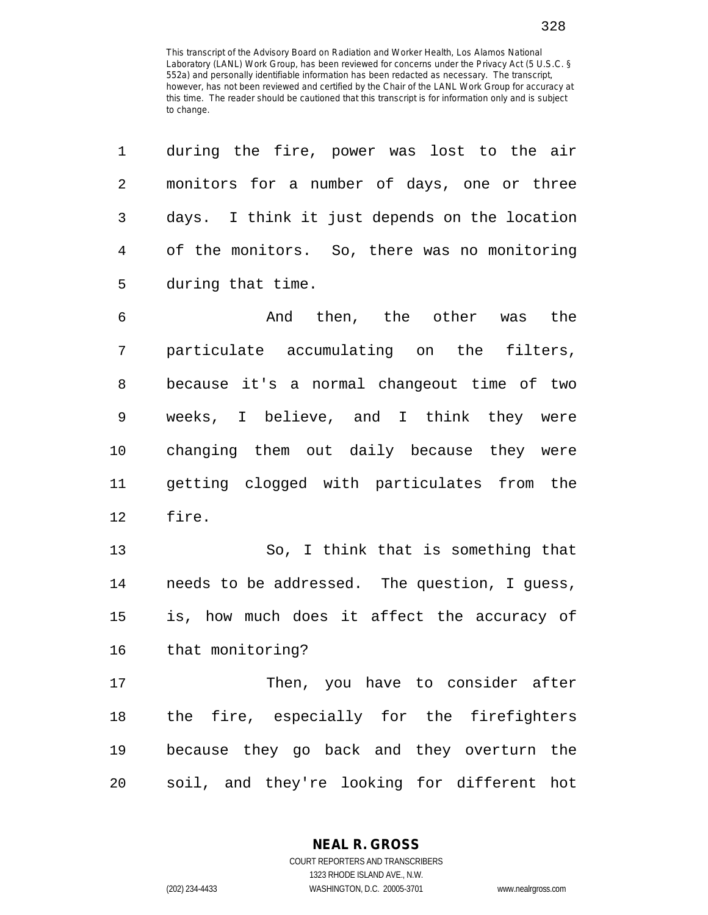|             | 1 during the fire, power was lost to the air  |
|-------------|-----------------------------------------------|
| $2^{\circ}$ | monitors for a number of days, one or three   |
| $3 \sim$    | days. I think it just depends on the location |
| $4\degree$  | of the monitors. So, there was no monitoring  |
|             | 5 during that time.                           |

6 And then, the other was the 7 particulate accumulating on the filters, 8 because it's a normal changeout time of two 9 weeks, I believe, and I think they were 10 changing them out daily because they were 11 getting clogged with particulates from the 12 fire.

13 So, I think that is something that 14 needs to be addressed. The question, I guess, 15 is, how much does it affect the accuracy of 16 that monitoring?

17 Then, you have to consider after 18 the fire, especially for the firefighters 19 because they go back and they overturn the 20 soil, and they're looking for different hot

**NEAL R. GROSS**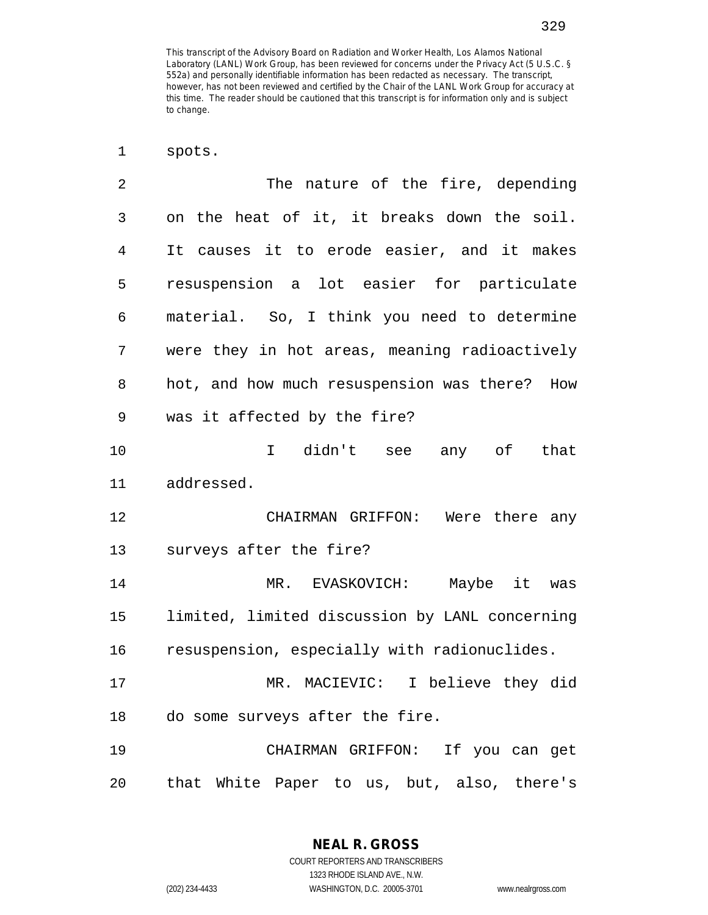<sup>1</sup> spots.

| 2  | The nature of the fire, depending              |
|----|------------------------------------------------|
| 3  | on the heat of it, it breaks down the soil.    |
| 4  | It causes it to erode easier, and it makes     |
| 5  | resuspension a lot easier for particulate      |
| 6  | material. So, I think you need to determine    |
| 7  | were they in hot areas, meaning radioactively  |
| 8  | hot, and how much resuspension was there? How  |
| 9  | was it affected by the fire?                   |
| 10 | I didn't see any of that                       |
| 11 | addressed.                                     |
| 12 | CHAIRMAN GRIFFON: Were there any               |
| 13 | surveys after the fire?                        |
| 14 | MR. EVASKOVICH: Maybe it was                   |
| 15 | limited, limited discussion by LANL concerning |
| 16 | resuspension, especially with radionuclides.   |
| 17 | I believe they did<br>MR. MACIEVIC:            |
| 18 | do some surveys after the fire.                |
| 19 | CHAIRMAN GRIFFON: If you can get               |
| 20 | that White Paper to us, but, also, there's     |

**NEAL R. GROSS**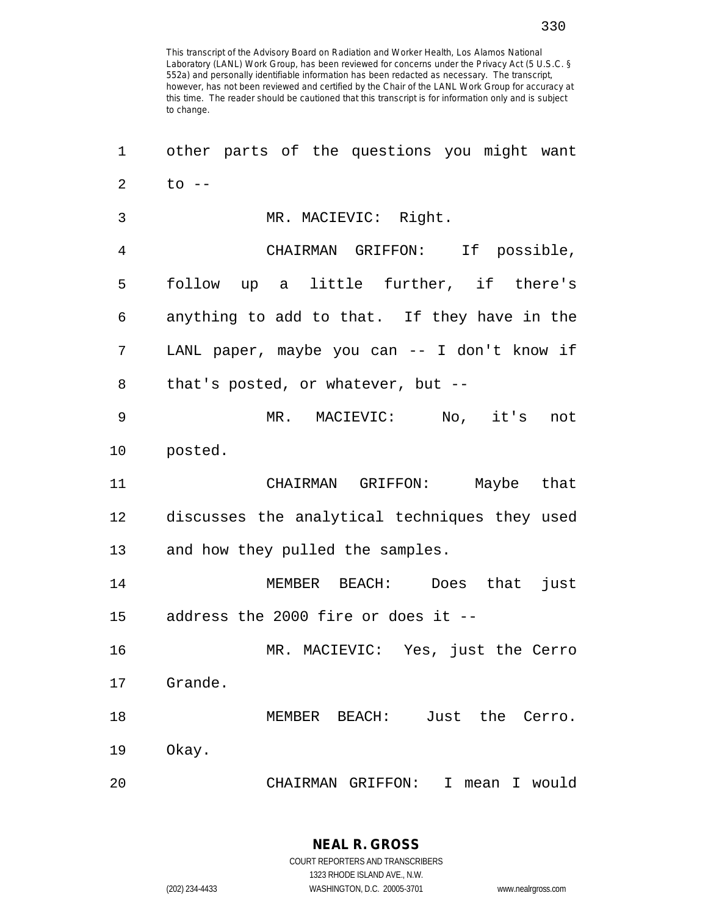| 1              | other parts of the questions you might want    |
|----------------|------------------------------------------------|
| $\overline{a}$ | $\overline{t}$ o --                            |
| 3              | MR. MACIEVIC: Right.                           |
| 4              | CHAIRMAN GRIFFON: If possible,                 |
| 5              | follow up a little further, if there's         |
| 6              | anything to add to that. If they have in the   |
| 7              | LANL paper, maybe you can -- I don't know if   |
| 8              | that's posted, or whatever, but --             |
| 9              | MR. MACIEVIC: No, it's<br>not                  |
| $10 \,$        | posted.                                        |
| 11             | CHAIRMAN GRIFFON: Maybe that                   |
| 12             | discusses the analytical techniques they used  |
| 13             | and how they pulled the samples.               |
| 14             | MEMBER BEACH: Does that just                   |
| 15             | address the 2000 fire or does it --            |
| 16             | MR. MACIEVIC: Yes, just the Cerro              |
| 17             | Grande.                                        |
| 18             | MEMBER BEACH:<br>the Cerro.<br>Just            |
| 19             | Okay.                                          |
| 20             | CHAIRMAN GRIFFON:<br>would<br>I.<br>mean<br>I. |

**NEAL R. GROSS**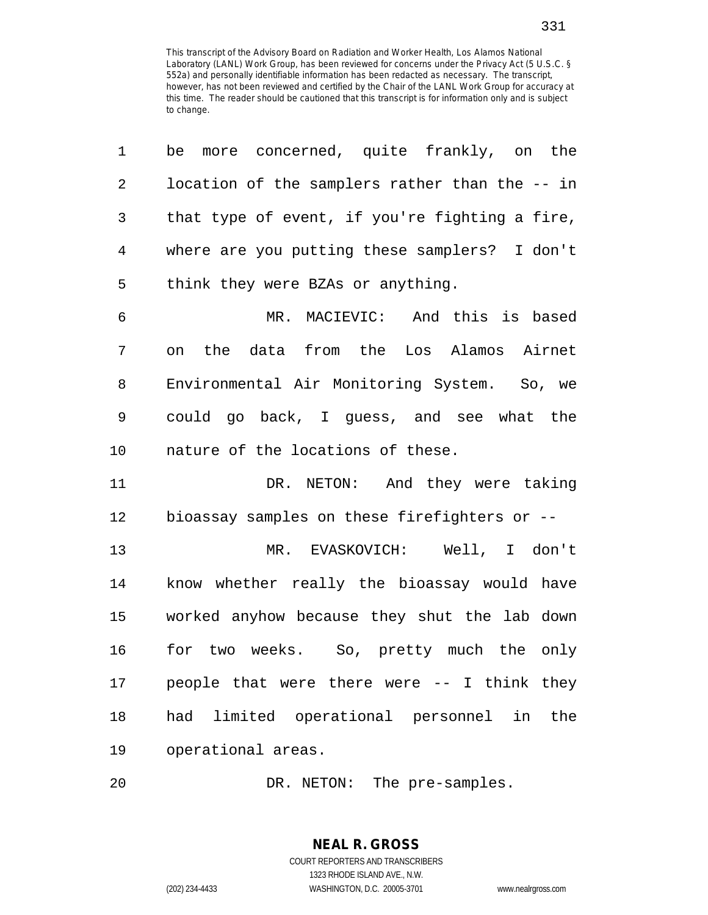| $\mathbf 1$    | more concerned, quite frankly, on the<br>be    |
|----------------|------------------------------------------------|
| $\overline{2}$ | location of the samplers rather than the -- in |
| 3              | that type of event, if you're fighting a fire, |
| 4              | where are you putting these samplers? I don't  |
| 5              | think they were BZAs or anything.              |
| 6              | MR. MACIEVIC: And this is based                |
| 7              | on the data from the Los Alamos Airnet         |
| 8              | Environmental Air Monitoring System. So, we    |
| 9              | could go back, I guess, and see what the       |
| 10             | nature of the locations of these.              |
| 11             | DR. NETON: And they were taking                |
| 12             | bioassay samples on these firefighters or --   |
| 13             | MR. EVASKOVICH: Well, I don't                  |
| 14             | know whether really the bioassay would have    |
| 15             | worked anyhow because they shut the lab down   |
| 16             | for two weeks. So, pretty much the only        |
| 17             | people that were there were -- I think they    |
| 18             | had limited operational personnel<br>in the    |
| 19             | operational areas.                             |
| 20             | DR. NETON: The pre-samples.                    |

**NEAL R. GROSS**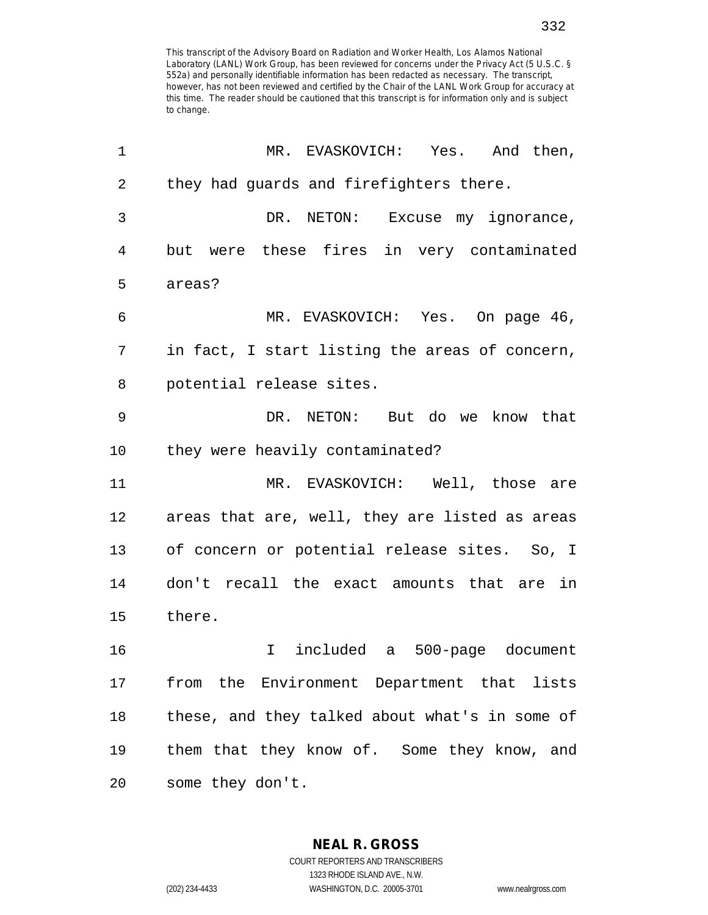| 1  | MR. EVASKOVICH: Yes. And then,                 |
|----|------------------------------------------------|
| 2  | they had guards and firefighters there.        |
| 3  | DR. NETON: Excuse my ignorance,                |
| 4  | but were these fires in very contaminated      |
| 5  | areas?                                         |
| 6  | MR. EVASKOVICH: Yes. On page 46,               |
| 7  | in fact, I start listing the areas of concern, |
| 8  | potential release sites.                       |
| 9  | DR. NETON: But do we know that                 |
| 10 | they were heavily contaminated?                |
| 11 | MR. EVASKOVICH: Well, those are                |
| 12 | areas that are, well, they are listed as areas |
| 13 | of concern or potential release sites. So, I   |
| 14 | don't recall the exact amounts that are in     |
| 15 | there.                                         |
| 16 | included a 500-page document<br>$\mathbf{I}$   |
| 17 | from the Environment Department that lists     |
| 18 | these, and they talked about what's in some of |
| 19 | them that they know of. Some they know, and    |
| 20 | some they don't.                               |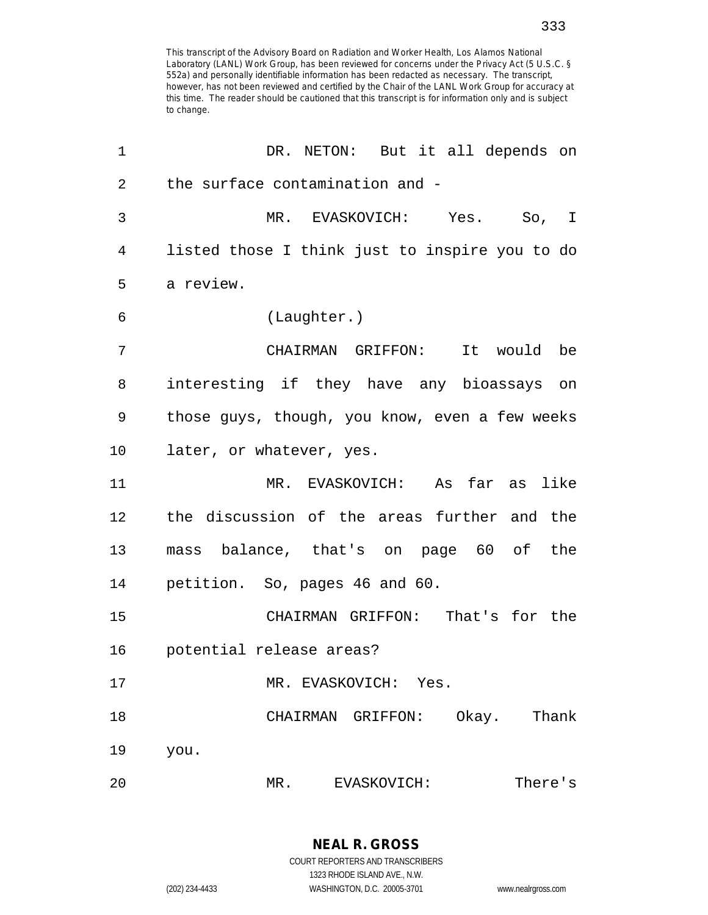333

| $\mathbf 1$    | DR. NETON: But it all depends on               |
|----------------|------------------------------------------------|
| $\overline{2}$ | the surface contamination and -                |
| 3              | MR. EVASKOVICH: Yes.<br>So, I                  |
| 4              | listed those I think just to inspire you to do |
| 5              | a review.                                      |
| 6              | (Laughter.)                                    |
| 7              | CHAIRMAN GRIFFON:<br>It would be               |
| 8              | interesting if they have any bioassays on      |
| 9              | those guys, though, you know, even a few weeks |
| 10             | later, or whatever, yes.                       |
| 11             | MR. EVASKOVICH: As far as like                 |
| 12             | the discussion of the areas further and the    |
| 13             | mass balance, that's on page 60 of the         |
| 14             | petition. So, pages 46 and 60.                 |
| 15             | CHAIRMAN GRIFFON: That's for the               |
| 16             | potential release areas?                       |
| 17             | MR. EVASKOVICH: Yes.                           |
| 18             | Okay.<br>Thank<br>CHAIRMAN GRIFFON:            |
| 19             | you.                                           |
| 20             | There's<br>MR.<br>EVASKOVICH:                  |

**NEAL R. GROSS**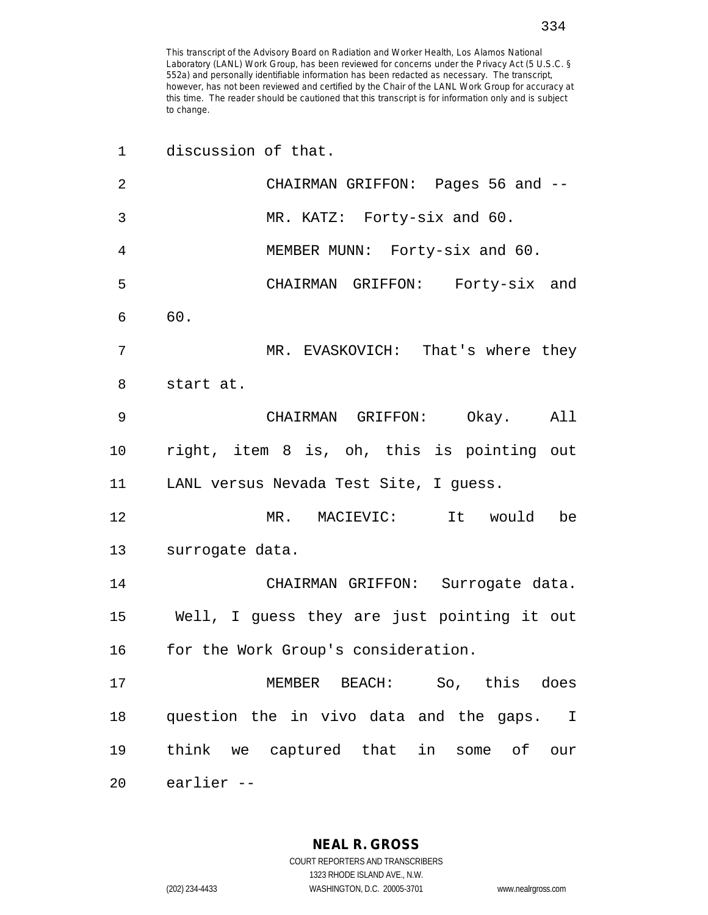| $\mathbf 1$ | discussion of that.                          |
|-------------|----------------------------------------------|
| 2           | CHAIRMAN GRIFFON: Pages 56 and --            |
| 3           | MR. KATZ: Forty-six and 60.                  |
| 4           | MEMBER MUNN: Forty-six and 60.               |
| 5           | CHAIRMAN GRIFFON: Forty-six and              |
| 6           | 60.                                          |
| 7           | MR. EVASKOVICH: That's where they            |
| 8           | start at.                                    |
| 9           | CHAIRMAN GRIFFON: Okay. All                  |
| 10          | right, item 8 is, oh, this is pointing out   |
| 11          | LANL versus Nevada Test Site, I guess.       |
| 12          | MR. MACIEVIC: It would be                    |
| 13          | surrogate data.                              |
| 14          | CHAIRMAN GRIFFON: Surrogate data.            |
| 15          | Well, I guess they are just pointing it out  |
| 16          | for the Work Group's consideration.          |
| 17          | MEMBER BEACH: So, this does                  |
|             | 18 question the in vivo data and the gaps. I |
| 19          | think we captured that in some of<br>our     |
|             | 20 earlier --                                |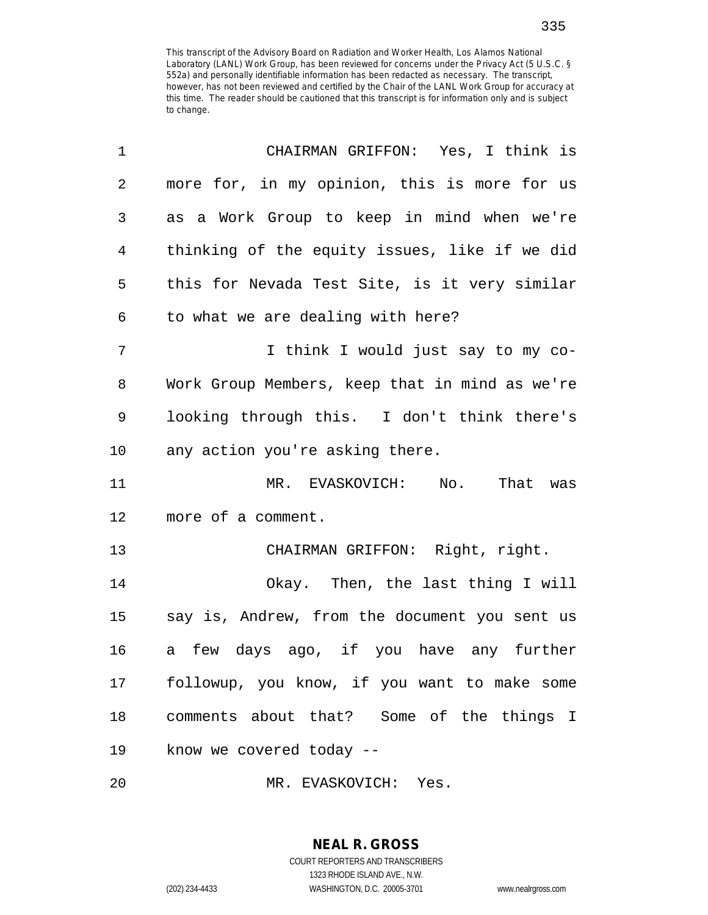| 1              | CHAIRMAN GRIFFON: Yes, I think is              |
|----------------|------------------------------------------------|
| $\overline{2}$ | more for, in my opinion, this is more for us   |
| 3              | as a Work Group to keep in mind when we're     |
| 4              | thinking of the equity issues, like if we did  |
| 5              | this for Nevada Test Site, is it very similar  |
| 6              | to what we are dealing with here?              |
| 7              | I think I would just say to my co-             |
| 8              | Work Group Members, keep that in mind as we're |
| 9              | looking through this. I don't think there's    |
| 10             | any action you're asking there.                |
| 11             | MR. EVASKOVICH: No. That was                   |
| 12             | more of a comment.                             |
| 13             | CHAIRMAN GRIFFON: Right, right.                |
| 14             | Okay. Then, the last thing I will              |
| 15             | say is, Andrew, from the document you sent us  |
| 16             | a few days ago, if you have any further        |
| 17             | followup, you know, if you want to make some   |
| 18             | comments about that? Some of the things I      |
| 19             | know we covered today --                       |
| 20             |                                                |

**NEAL R. GROSS** COURT REPORTERS AND TRANSCRIBERS

1323 RHODE ISLAND AVE., N.W. (202) 234-4433 WASHINGTON, D.C. 20005-3701 www.nealrgross.com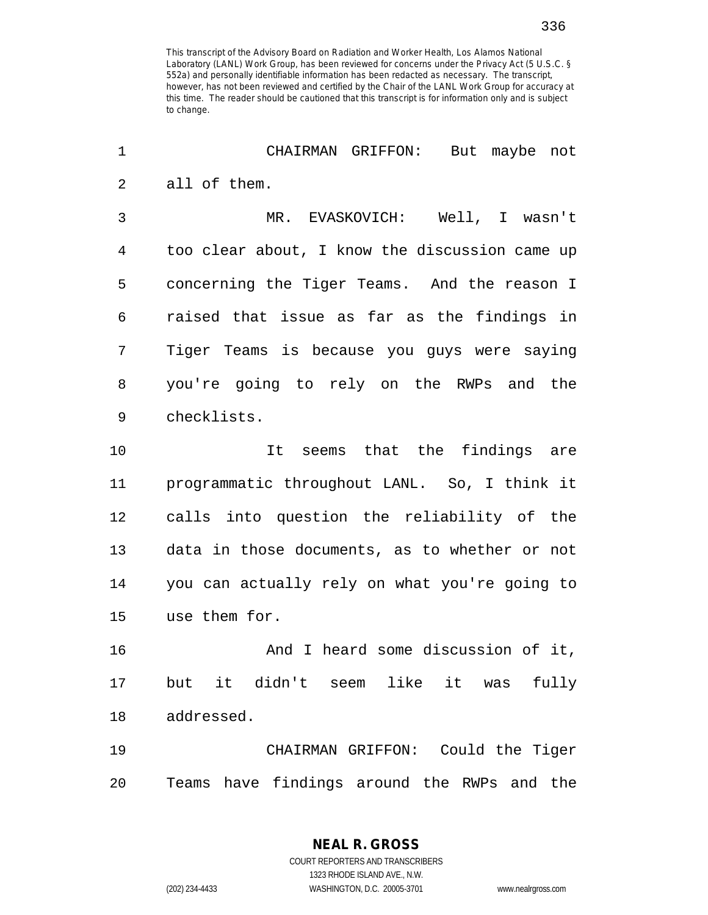| 1              | CHAIRMAN GRIFFON: But maybe not                |
|----------------|------------------------------------------------|
| $\overline{2}$ | all of them.                                   |
| 3              | MR. EVASKOVICH: Well, I wasn't                 |
| 4              | too clear about, I know the discussion came up |
| 5              | concerning the Tiger Teams. And the reason I   |
| 6              | raised that issue as far as the findings in    |
| 7              | Tiger Teams is because you guys were saying    |
| 8              | you're going to rely on the RWPs and the       |
| 9              | checklists.                                    |
| 10             | It seems that the findings are                 |
| 11             | programmatic throughout LANL. So, I think it   |
| 12             | calls into question the reliability of the     |
| 13             | data in those documents, as to whether or not  |
| 14             | you can actually rely on what you're going to  |
| 15             | use them for.                                  |
| 16             | And I heard some discussion of it,             |
| 17             | but it didn't seem like it was fully           |
| 18             | addressed.                                     |
| 19             | CHAIRMAN GRIFFON: Could the Tiger              |
| 20             | Teams have findings around the RWPs and the    |

**NEAL R. GROSS**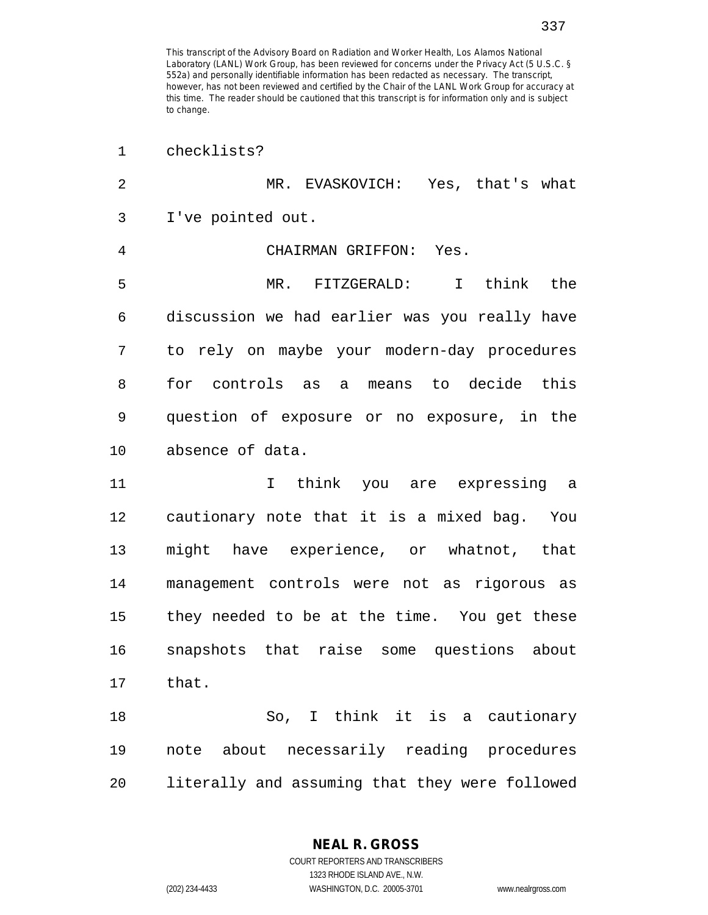1 checklists?

2 MR. EVASKOVICH: Yes, that's what 3 I've pointed out. 4 CHAIRMAN GRIFFON: Yes. 5 MR. FITZGERALD: I think the 6 discussion we had earlier was you really have 7 to rely on maybe your modern-day procedures 8 for controls as a means to decide this 9 question of exposure or no exposure, in the 10 absence of data.

11 I think you are expressing a 12 cautionary note that it is a mixed bag. You 13 might have experience, or whatnot, that 14 management controls were not as rigorous as 15 they needed to be at the time. You get these 16 snapshots that raise some questions about 17 that.

18 So, I think it is a cautionary 19 note about necessarily reading procedures 20 literally and assuming that they were followed

**NEAL R. GROSS**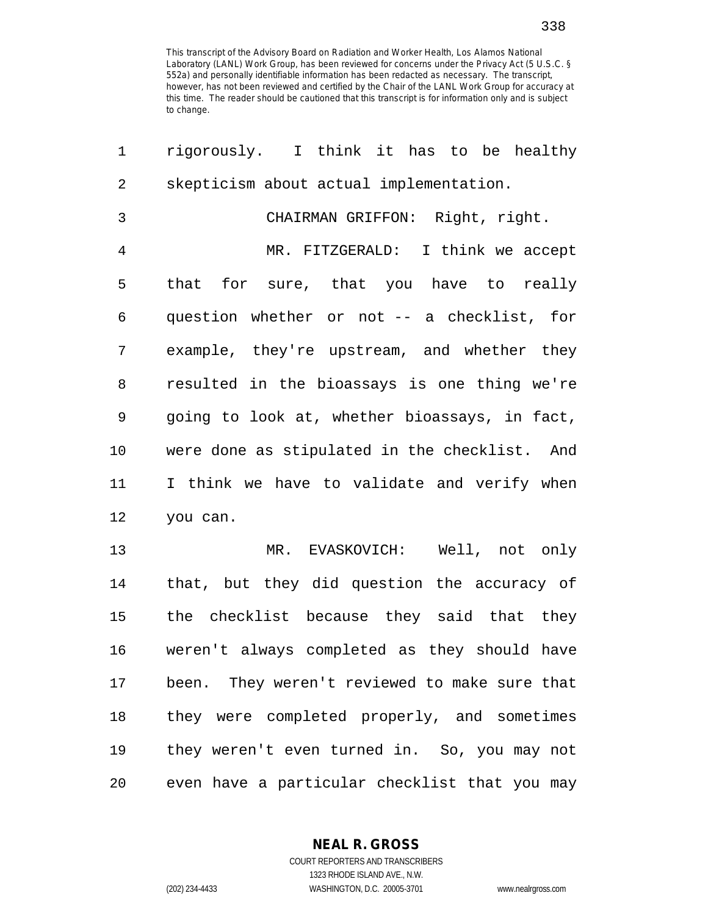| rigorously. I think it has to be healthy      |
|-----------------------------------------------|
| skepticism about actual implementation.       |
| CHAIRMAN GRIFFON: Right, right.               |
| MR. FITZGERALD: I think we accept             |
| that for sure, that you have to really        |
| question whether or not -- a checklist, for   |
| example, they're upstream, and whether they   |
| resulted in the bioassays is one thing we're  |
| going to look at, whether bioassays, in fact, |
| were done as stipulated in the checklist. And |
| I think we have to validate and verify when   |
| you can.                                      |
| MR. EVASKOVICH: Well, not only                |
| that, but they did question the accuracy of   |
| the checklist because they said that they     |
| weren't always completed as they should have  |
| been. They weren't reviewed to make sure that |
| they were completed properly, and sometimes   |
| they weren't even turned in. So, you may not  |
| even have a particular checklist that you may |
|                                               |

**NEAL R. GROSS**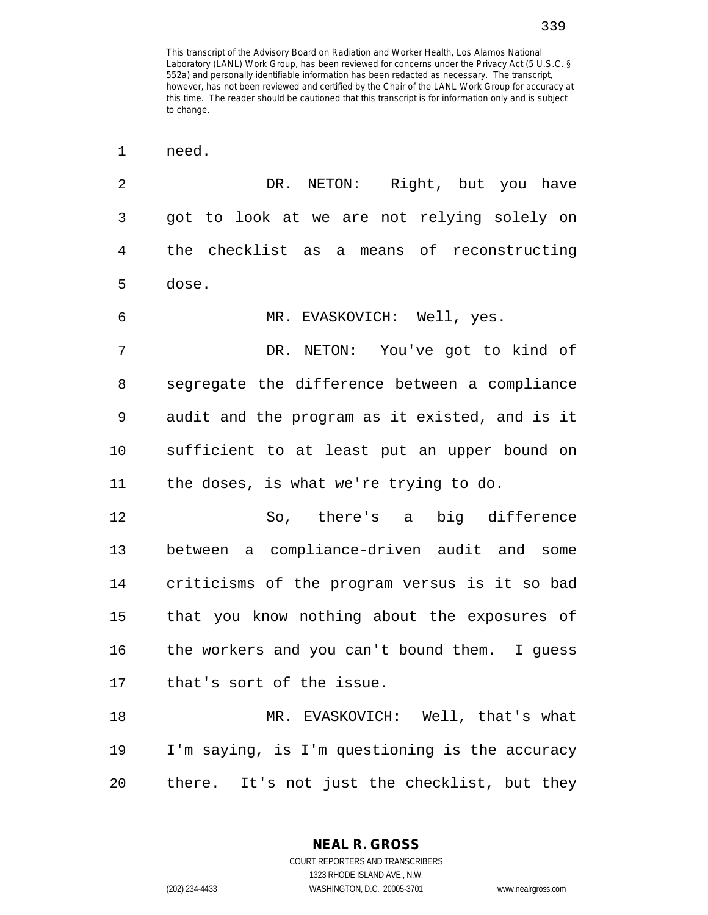2 DR. NETON: Right, but you have 3 got to look at we are not relying solely on 4 the checklist as a means of reconstructing 5 dose.

6 MR. EVASKOVICH: Well, yes.

7 DR. NETON: You've got to kind of 8 segregate the difference between a compliance 9 audit and the program as it existed, and is it 10 sufficient to at least put an upper bound on 11 the doses, is what we're trying to do.

12 So, there's a big difference 13 between a compliance-driven audit and some 14 criticisms of the program versus is it so bad 15 that you know nothing about the exposures of 16 the workers and you can't bound them. I guess 17 that's sort of the issue.

18 MR. EVASKOVICH: Well, that's what 19 I'm saying, is I'm questioning is the accuracy 20 there. It's not just the checklist, but they

**NEAL R. GROSS**

<sup>1</sup> need.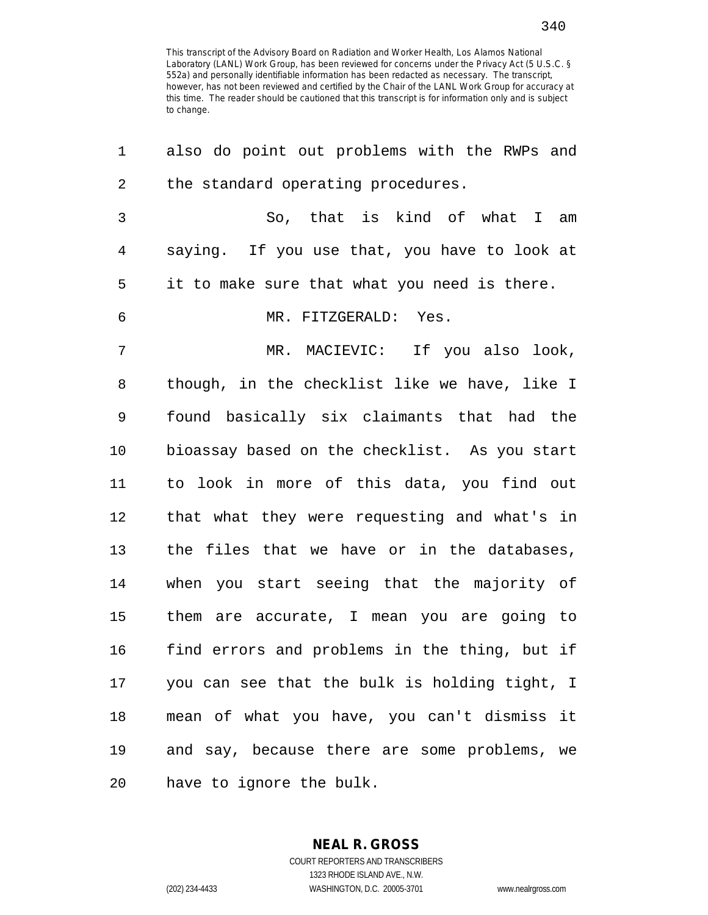| 1              | also do point out problems with the RWPs and  |
|----------------|-----------------------------------------------|
| $\overline{c}$ | the standard operating procedures.            |
| 3              | So, that is kind of what I am                 |
| 4              | saying. If you use that, you have to look at  |
| 5              | it to make sure that what you need is there.  |
| 6              | MR. FITZGERALD: Yes.                          |
| 7              | MR. MACIEVIC: If you also look,               |
| 8              | though, in the checklist like we have, like I |
| 9              | found basically six claimants that had the    |
| 10             | bioassay based on the checklist. As you start |
| 11             | to look in more of this data, you find out    |
| 12             | that what they were requesting and what's in  |
| 13             | the files that we have or in the databases,   |
| 14             | when you start seeing that the majority of    |
| 15             | them are accurate, I mean you are going to    |
| 16             | find errors and problems in the thing, but if |
| 17             | you can see that the bulk is holding tight, I |
| 18             | mean of what you have, you can't dismiss it   |
| 19             | and say, because there are some problems, we  |
| 20             | have to ignore the bulk.                      |

**NEAL R. GROSS** COURT REPORTERS AND TRANSCRIBERS 1323 RHODE ISLAND AVE., N.W.

(202) 234-4433 WASHINGTON, D.C. 20005-3701 www.nealrgross.com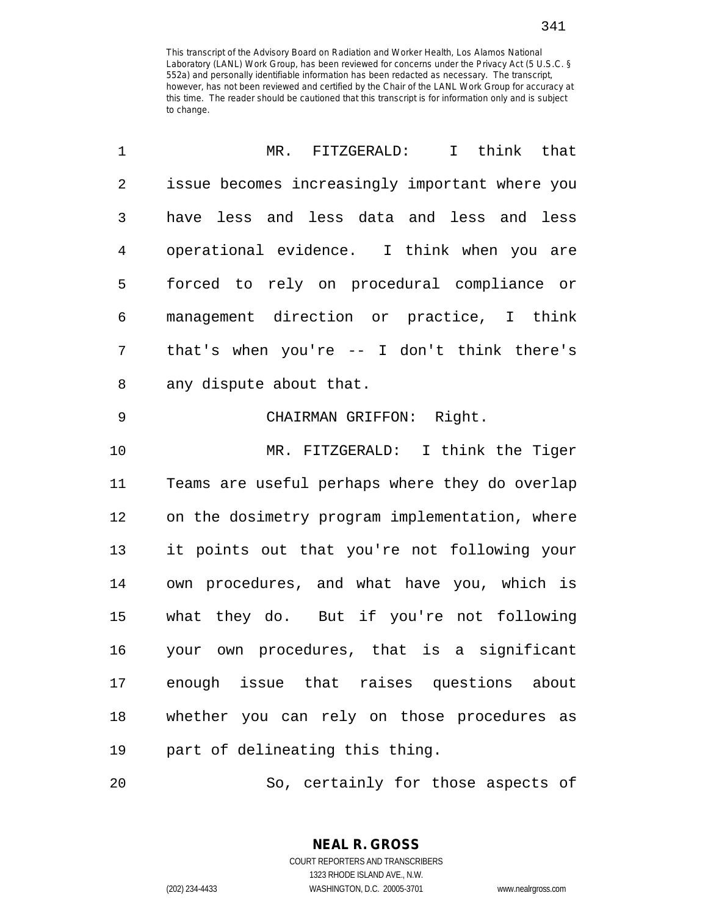| 1  | MR. FITZGERALD:<br>I think that                |
|----|------------------------------------------------|
| 2  | issue becomes increasingly important where you |
| 3  | less and less data and less and less<br>have   |
| 4  | operational evidence. I think when you are     |
| 5  | forced to rely on procedural compliance or     |
| 6  | management direction or practice, I think      |
| 7  | that's when you're -- I don't think there's    |
| 8  | any dispute about that.                        |
| 9  | CHAIRMAN GRIFFON: Right.                       |
| 10 | MR. FITZGERALD: I think the Tiger              |
| 11 | Teams are useful perhaps where they do overlap |
| 12 | on the dosimetry program implementation, where |
| 13 | it points out that you're not following your   |
| 14 | own procedures, and what have you, which is    |
| 15 | what they do. But if you're not following      |
| 16 | your own procedures, that is a significant     |
| 17 | enough issue that raises questions about       |
| 18 | whether you can rely on those procedures as    |
| 19 | part of delineating this thing.                |
|    |                                                |

20 So, certainly for those aspects of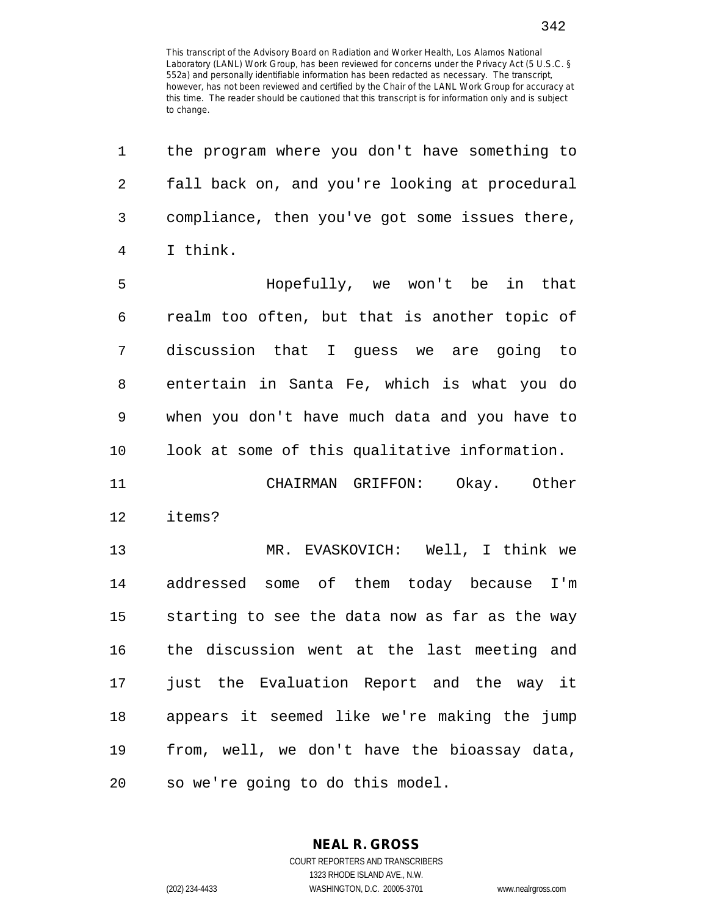| 1              | the program where you don't have something to  |
|----------------|------------------------------------------------|
| $\overline{2}$ | fall back on, and you're looking at procedural |
| 3              | compliance, then you've got some issues there, |
| 4              | I think.                                       |
| 5              | Hopefully, we won't be in that                 |
| 6              | realm too often, but that is another topic of  |
| 7              | discussion that I guess we are going to        |
| 8              | entertain in Santa Fe, which is what you do    |
| 9              | when you don't have much data and you have to  |
| 10             | look at some of this qualitative information.  |
| 11             | Okay.<br>CHAIRMAN GRIFFON:<br>Other            |
| 12             | items?                                         |
| 13             | EVASKOVICH: Well, I think we<br>$MR$ .         |
| 14             | some of them today because<br>addressed<br>I'm |
| 15             | starting to see the data now as far as the way |
| 16             | the discussion went at the last meeting and    |
| 17             | just the Evaluation Report and the way it      |
| 18             | appears it seemed like we're making the jump   |
| 19             | from, well, we don't have the bioassay data,   |
| 20             | so we're going to do this model.               |

**NEAL R. GROSS** COURT REPORTERS AND TRANSCRIBERS

1323 RHODE ISLAND AVE., N.W.

(202) 234-4433 WASHINGTON, D.C. 20005-3701 www.nealrgross.com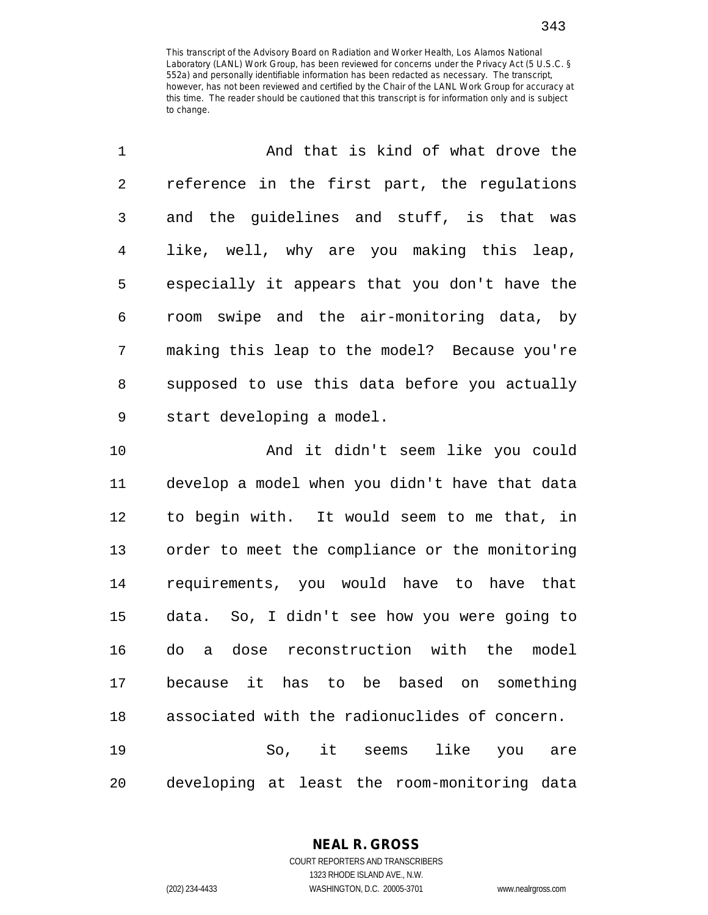| $\mathbf 1$    | And that is kind of what drove the             |
|----------------|------------------------------------------------|
| $\overline{2}$ | reference in the first part, the regulations   |
| 3              | and the guidelines and stuff, is that was      |
| $\overline{4}$ | like, well, why are you making this leap,      |
| 5              | especially it appears that you don't have the  |
| 6              | room swipe and the air-monitoring data, by     |
| 7              | making this leap to the model? Because you're  |
| 8              | supposed to use this data before you actually  |
| 9              | start developing a model.                      |
| 10             | And it didn't seem like you could              |
| 11             | develop a model when you didn't have that data |
| 12             | to begin with. It would seem to me that, in    |
| 13             | order to meet the compliance or the monitoring |
| 14             | requirements, you would have to have that      |

15 data. So, I didn't see how you were going to 16 do a dose reconstruction with the model 17 because it has to be based on something 18 associated with the radionuclides of concern.

19 So, it seems like you are 20 developing at least the room-monitoring data

**NEAL R. GROSS**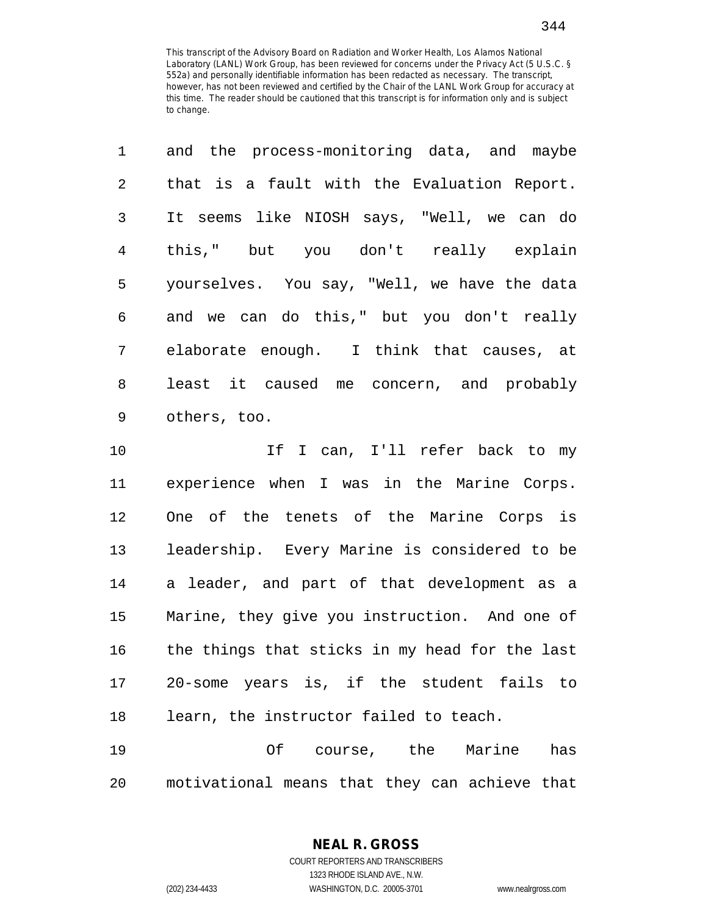| 1               | and the process-monitoring data, and maybe   |
|-----------------|----------------------------------------------|
| $\overline{2}$  | that is a fault with the Evaluation Report.  |
| $\mathsf{3}$    | It seems like NIOSH says, "Well, we can do   |
| $4\overline{ }$ | this," but you don't really explain          |
| 5               | yourselves. You say, "Well, we have the data |
| 6               | and we can do this," but you don't really    |
| 7 <sup>1</sup>  | elaborate enough. I think that causes, at    |
| 8               | least it caused me concern, and probably     |
| 9               | others, too.                                 |

10 16 If I can, I'll refer back to my 11 experience when I was in the Marine Corps. 12 One of the tenets of the Marine Corps is 13 leadership. Every Marine is considered to be 14 a leader, and part of that development as a 15 Marine, they give you instruction. And one of 16 the things that sticks in my head for the last 17 20-some years is, if the student fails to 18 learn, the instructor failed to teach.

19 Of course, the Marine has 20 motivational means that they can achieve that

**NEAL R. GROSS**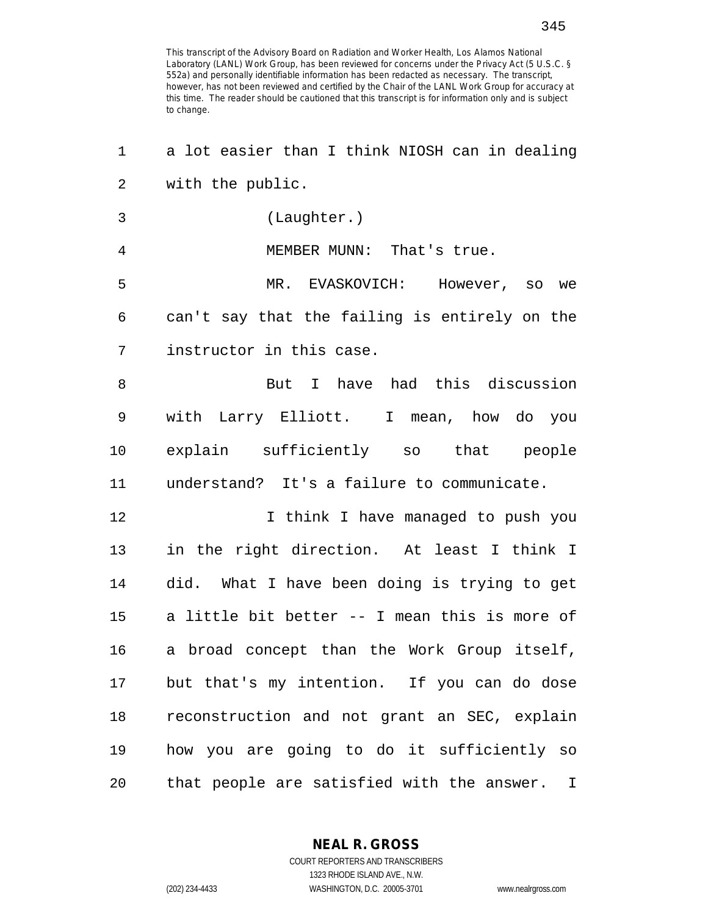| 1  | a lot easier than I think NIOSH can in dealing  |
|----|-------------------------------------------------|
| 2  | with the public.                                |
| 3  | (Laughter.)                                     |
| 4  | MEMBER MUNN: That's true.                       |
| 5  | MR. EVASKOVICH: However, so we                  |
| 6  | can't say that the failing is entirely on the   |
| 7  | instructor in this case.                        |
| 8  | But I have had this discussion                  |
| 9  | with Larry Elliott. I mean, how do you          |
| 10 | explain sufficiently so that people             |
| 11 | understand? It's a failure to communicate.      |
| 12 | I think I have managed to push you              |
| 13 | in the right direction. At least I think I      |
| 14 | did. What I have been doing is trying to get    |
| 15 | a little bit better -- I mean this is more of   |
| 16 | a broad concept than the Work Group itself,     |
| 17 | but that's my intention. If you can do dose     |
| 18 | reconstruction and not grant an SEC, explain    |
| 19 | how you are going to do it sufficiently so      |
| 20 | that people are satisfied with the answer.<br>I |

**NEAL R. GROSS**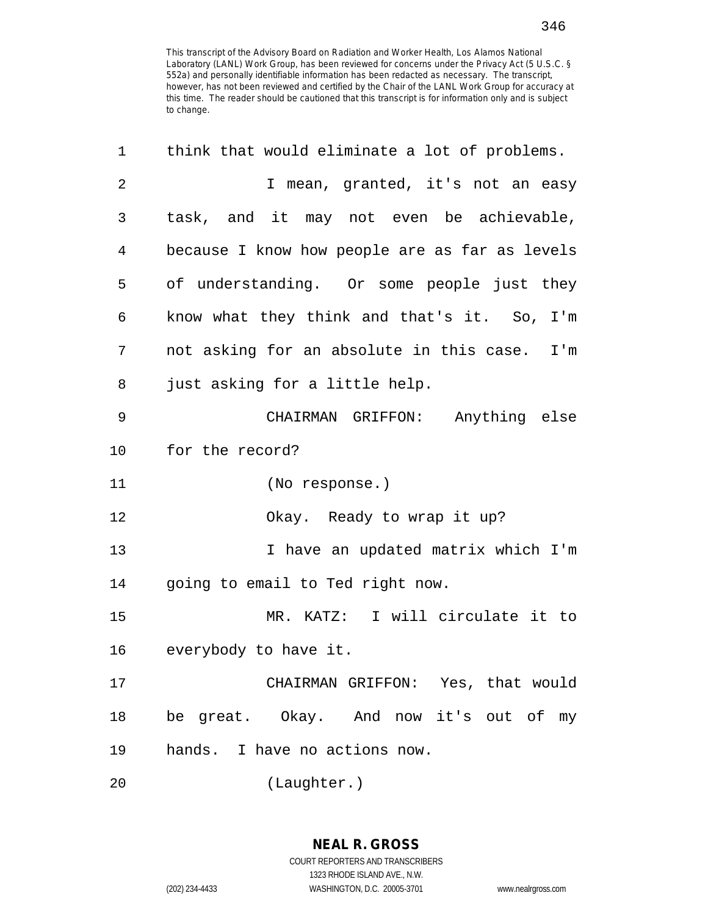| 1              | think that would eliminate a lot of problems.  |
|----------------|------------------------------------------------|
| $\overline{2}$ | I mean, granted, it's not an easy              |
| 3              | task, and it may not even be achievable,       |
| 4              | because I know how people are as far as levels |
| 5              | of understanding. Or some people just they     |
| 6              | know what they think and that's it. So, I'm    |
| 7              | not asking for an absolute in this case. I'm   |
| 8              | just asking for a little help.                 |
| 9              | CHAIRMAN GRIFFON: Anything else                |
| 10             | for the record?                                |
| 11             | (No response.)                                 |
| 12             | Okay. Ready to wrap it up?                     |
| 13             | I have an updated matrix which I'm             |
| 14             | going to email to Ted right now.               |
| 15             | MR. KATZ: I will circulate it to               |
| 16             | everybody to have it.                          |
| 17             | CHAIRMAN GRIFFON: Yes, that would              |
| 18             | be great. Okay. And now it's out of my         |
| 19             | hands. I have no actions now.                  |
| 20             | (Laughter.)                                    |

**NEAL R. GROSS**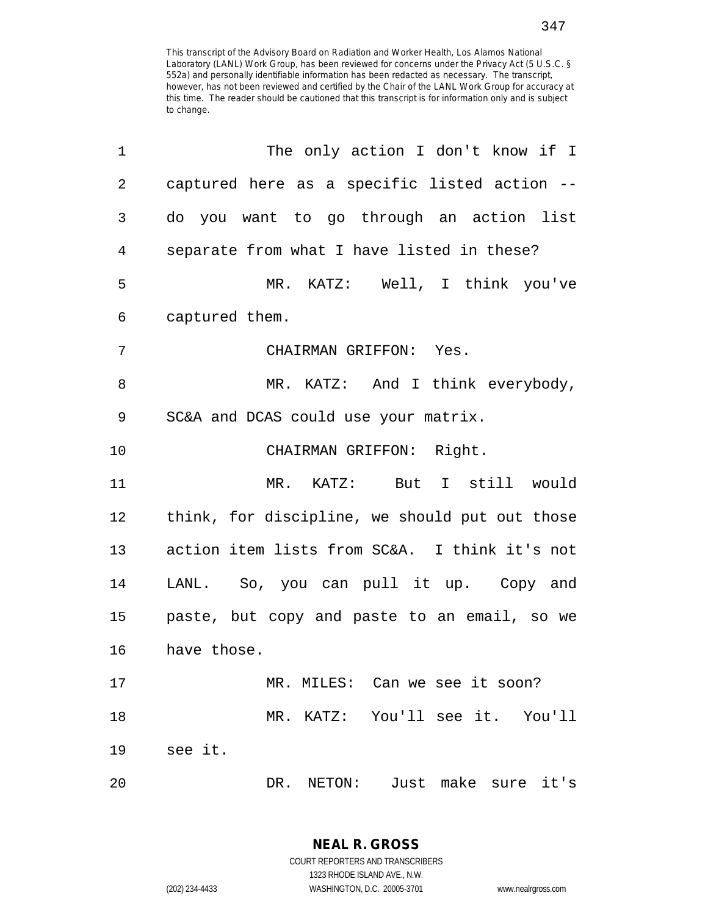| 1  | The only action I don't know if I              |
|----|------------------------------------------------|
| 2  | captured here as a specific listed action --   |
| 3  | do you want to go through an action list       |
| 4  | separate from what I have listed in these?     |
| 5  | MR. KATZ: Well, I think you've                 |
| 6  | captured them.                                 |
| 7  | CHAIRMAN GRIFFON: Yes.                         |
| 8  | MR. KATZ: And I think everybody,               |
| 9  | SC&A and DCAS could use your matrix.           |
| 10 | CHAIRMAN GRIFFON: Right.                       |
| 11 | MR. KATZ: But I still would                    |
| 12 | think, for discipline, we should put out those |
| 13 | action item lists from SC&A. I think it's not  |
| 14 | LANL. So, you can pull it up. Copy and         |
| 15 | paste, but copy and paste to an email, so we   |
| 16 | have those.                                    |
| 17 | MR. MILES: Can we see it soon?                 |
| 18 | MR. KATZ: You'll see it. You'll                |
| 19 | see it.                                        |
| 20 | Just make sure it's<br>DR. NETON:              |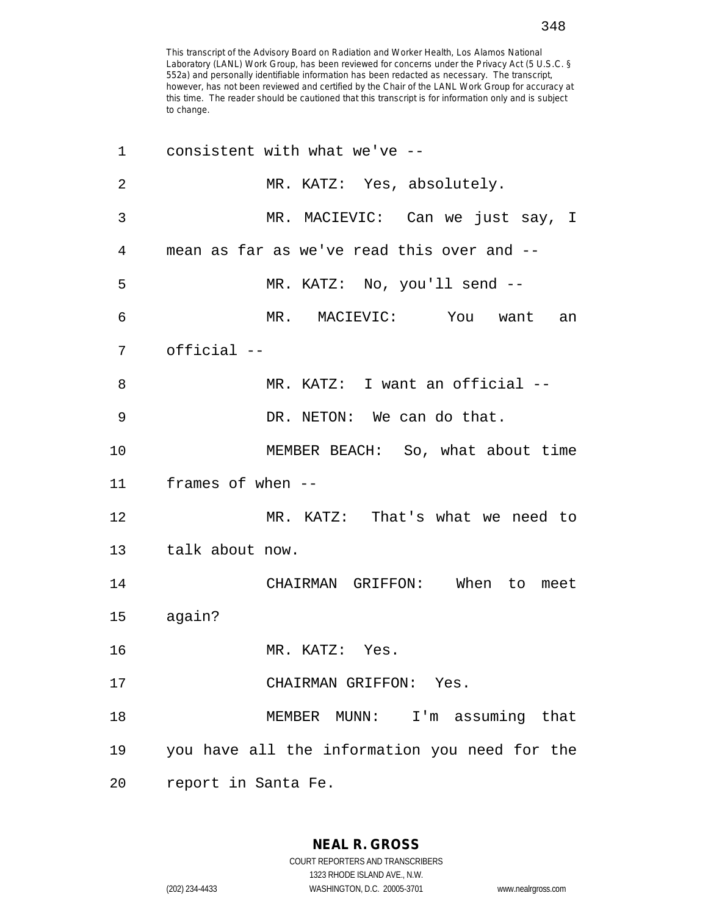| 1              | consistent with what we've --                 |
|----------------|-----------------------------------------------|
| $\overline{2}$ | MR. KATZ: Yes, absolutely.                    |
| 3              | MR. MACIEVIC: Can we just say, I              |
| 4              | mean as far as we've read this over and --    |
| 5              | MR. KATZ: No, you'll send --                  |
| 6              | MR. MACIEVIC: You want an                     |
| 7              | official --                                   |
| 8              | MR. KATZ: I want an official --               |
| 9              | DR. NETON: We can do that.                    |
| 10             | MEMBER BEACH: So, what about time             |
| 11             | frames of when --                             |
| 12             | MR. KATZ: That's what we need to              |
| 13             | talk about now.                               |
| 14             | CHAIRMAN GRIFFON: When to meet                |
| 15             | again?                                        |
| 16             | MR. KATZ: Yes.                                |
| 17             | CHAIRMAN GRIFFON: Yes.                        |
| 18             | MEMBER MUNN: I'm assuming that                |
| 19             | you have all the information you need for the |
| 20             | report in Santa Fe.                           |

**NEAL R. GROSS**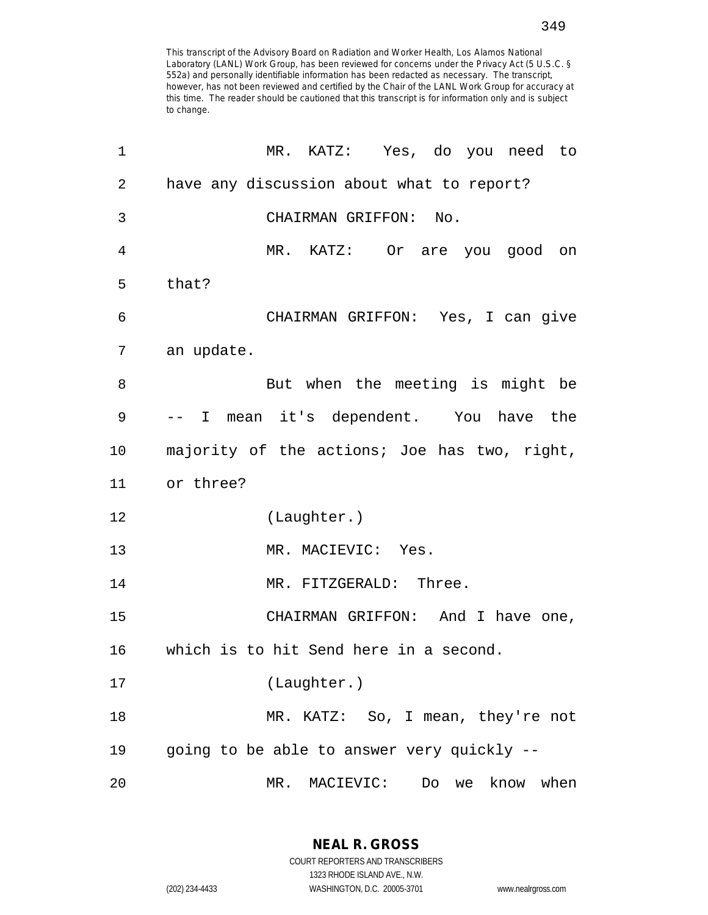| 1  | KATZ: Yes, do you need to<br>MR.               |
|----|------------------------------------------------|
| 2  | have any discussion about what to report?      |
| 3  | CHAIRMAN GRIFFON:<br>No.                       |
| 4  | $MR.$ KATZ:<br>Or are you good on              |
| 5  | that?                                          |
| 6  | CHAIRMAN GRIFFON: Yes, I can give              |
| 7  | an update.                                     |
| 8  | But when the meeting is might be               |
| 9  | mean it's dependent. You have the<br>I<br>$--$ |
| 10 | majority of the actions; Joe has two, right,   |
| 11 | or three?                                      |
| 12 | (Laughter.)                                    |
| 13 | MR. MACIEVIC: Yes.                             |
| 14 | MR. FITZGERALD: Three.                         |
| 15 | CHAIRMAN GRIFFON: And I have one,              |
| 16 | which is to hit Send here in a second.         |
| 17 | (Laughter.)                                    |
| 18 | MR. KATZ: So, I mean, they're not              |
| 19 | going to be able to answer very quickly --     |
| 20 | we know<br>when<br>MR.<br>MACIEVIC:<br>Do      |

**NEAL R. GROSS**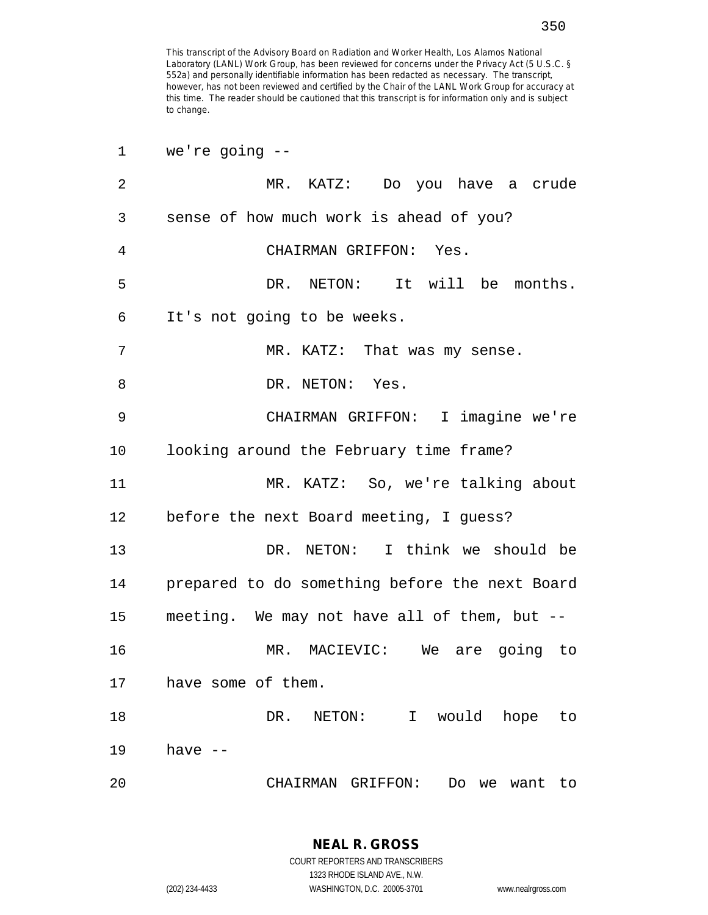| 1       | we're going $--$                               |
|---------|------------------------------------------------|
| 2       | MR. KATZ: Do you have a crude                  |
| 3       | sense of how much work is ahead of you?        |
| 4       | CHAIRMAN GRIFFON: Yes.                         |
| 5       | DR. NETON: It will be months.                  |
| 6       | It's not going to be weeks.                    |
| 7       | MR. KATZ: That was my sense.                   |
| 8       | DR. NETON: Yes.                                |
| 9       | CHAIRMAN GRIFFON: I imagine we're              |
| $10 \,$ | looking around the February time frame?        |
| 11      | MR. KATZ: So, we're talking about              |
| 12      | before the next Board meeting, I guess?        |
| 13      | DR. NETON: I think we should be                |
| 14      | prepared to do something before the next Board |
| 15      | meeting. We may not have all of them, but $-$  |
| 16      | MR. MACIEVIC: We are going to                  |
| 17      | have some of them.                             |
| 18      | NETON: I would hope to<br>DR.                  |
| 19      | have $--$                                      |
| 20      | CHAIRMAN GRIFFON: Do we want to                |

**NEAL R. GROSS**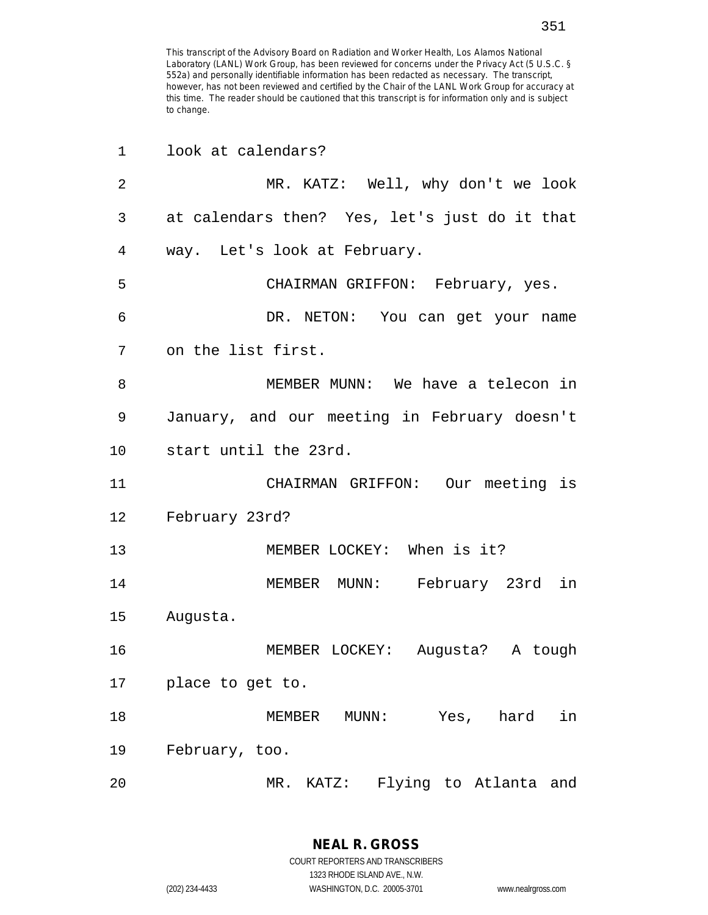| 1  | look at calendars?                            |
|----|-----------------------------------------------|
| 2  | MR. KATZ: Well, why don't we look             |
| 3  | at calendars then? Yes, let's just do it that |
| 4  | way. Let's look at February.                  |
| 5  | CHAIRMAN GRIFFON: February, yes.              |
| 6  | DR. NETON: You can get your name              |
| 7  | on the list first.                            |
| 8  | MEMBER MUNN: We have a telecon in             |
| 9  | January, and our meeting in February doesn't  |
| 10 | start until the 23rd.                         |
| 11 | CHAIRMAN GRIFFON: Our meeting is              |
| 12 | February 23rd?                                |
| 13 | MEMBER LOCKEY: When is it?                    |
| 14 | MEMBER MUNN: February 23rd in                 |
| 15 | Augusta.                                      |
| 16 | MEMBER LOCKEY: Augusta? A tough               |
| 17 | place to get to.                              |
| 18 | MEMBER<br>$MUNN$ :<br>Yes,<br>hard<br>in      |
| 19 | February, too.                                |
| 20 | MR. KATZ: Flying to Atlanta and               |

## **NEAL R. GROSS**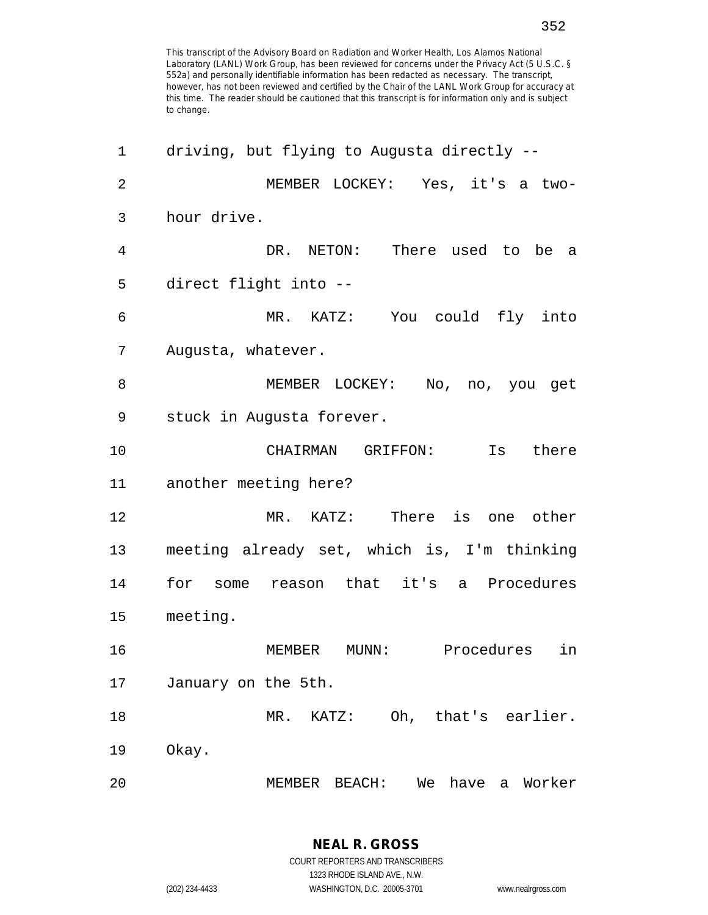| 1              | driving, but flying to Augusta directly --  |
|----------------|---------------------------------------------|
| $\overline{2}$ | MEMBER LOCKEY: Yes, it's a two-             |
| 3              | hour drive.                                 |
| 4              | DR. NETON: There used to be a               |
| 5              | direct flight into --                       |
| 6              | MR. KATZ: You could fly into                |
| 7              | Augusta, whatever.                          |
| 8              | MEMBER LOCKEY:<br>No, no, you get           |
| 9              | stuck in Augusta forever.                   |
| 10             | CHAIRMAN GRIFFON:<br>there<br>Is            |
| 11             | another meeting here?                       |
| 12             | MR. KATZ: There is one other                |
| 13             | meeting already set, which is, I'm thinking |
| 14             | for some reason that it's a Procedures      |
| 15             | meeting.                                    |
| 16             | MUNN: Procedures<br>in<br>MEMBER            |
| 17             | January on the 5th.                         |
| 18             | Oh, that's earlier.<br>MR. KATZ:            |
| 19             | Okay.                                       |
| 20             | MEMBER BEACH:<br>have a<br>Worker<br>We     |

1323 RHODE ISLAND AVE., N.W.

(202) 234-4433 WASHINGTON, D.C. 20005-3701 www.nealrgross.com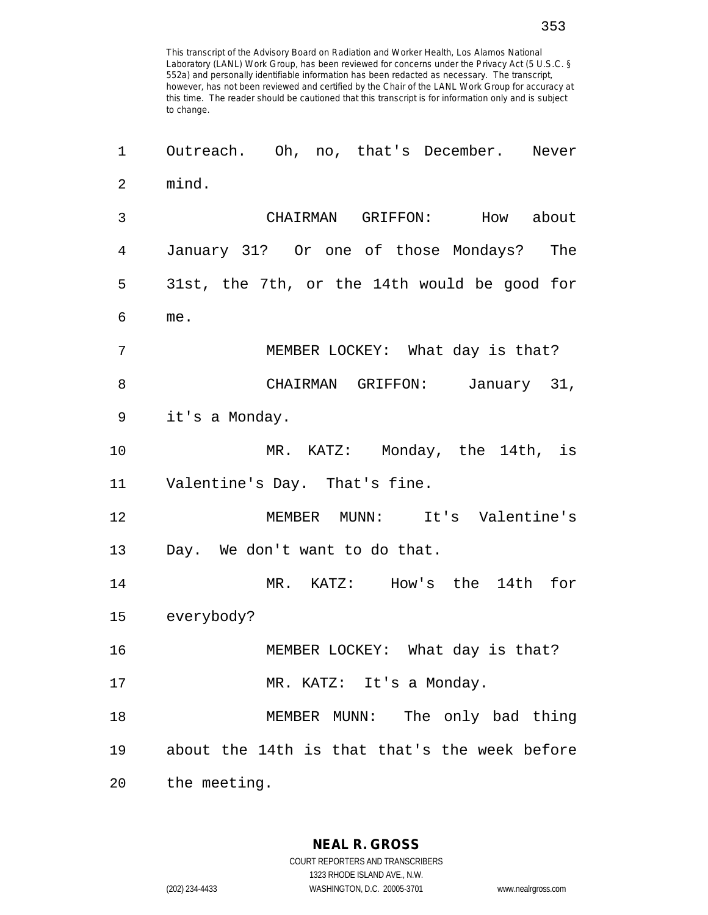| 1              | Outreach. Oh, no, that's December. Never      |
|----------------|-----------------------------------------------|
| $\overline{a}$ | mind.                                         |
| 3              | CHAIRMAN GRIFFON: How about                   |
| 4              | January 31? Or one of those Mondays? The      |
| 5              | 31st, the 7th, or the 14th would be good for  |
| 6              | me.                                           |
| 7              | MEMBER LOCKEY: What day is that?              |
| 8              | CHAIRMAN GRIFFON: January 31,                 |
| 9              | it's a Monday.                                |
| 10             | MR. KATZ: Monday, the 14th, is                |
| 11             | Valentine's Day. That's fine.                 |
| 12             | MEMBER MUNN: It's Valentine's                 |
| 13             | Day. We don't want to do that.                |
| 14             | MR. KATZ: How's the 14th for                  |
| 15             | everybody?                                    |
| 16             | MEMBER LOCKEY: What day is that?              |
| 17             | MR. KATZ: It's a Monday.                      |
| 18             | MEMBER MUNN: The only bad thing               |
| 19             | about the 14th is that that's the week before |
| 20             | the meeting.                                  |

**NEAL R. GROSS** COURT REPORTERS AND TRANSCRIBERS

1323 RHODE ISLAND AVE., N.W.

(202) 234-4433 WASHINGTON, D.C. 20005-3701 www.nealrgross.com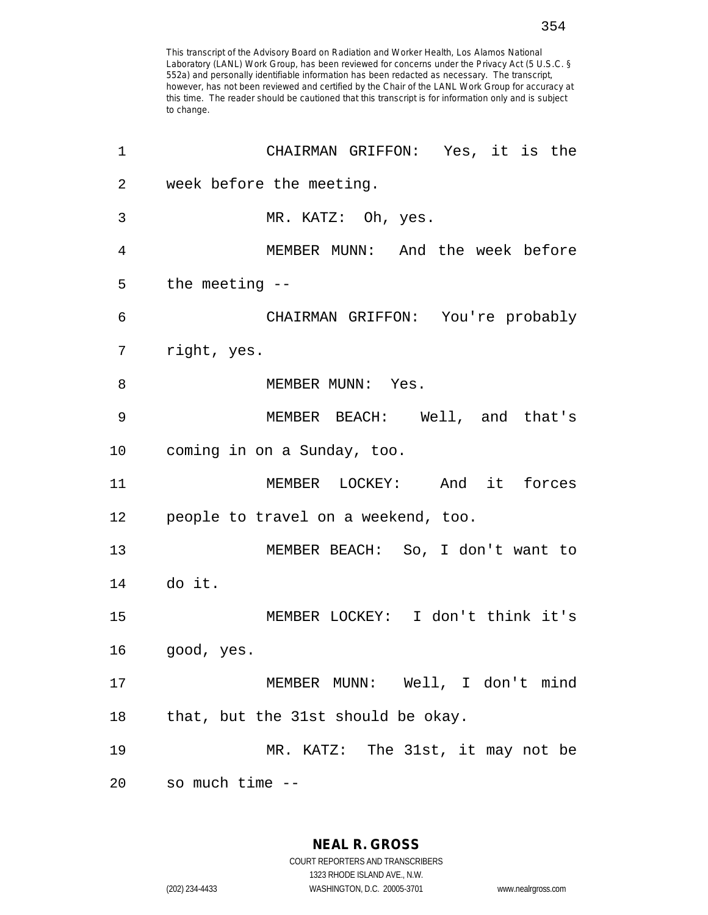| $\mathbf 1$ | CHAIRMAN GRIFFON: Yes, it is the    |
|-------------|-------------------------------------|
| 2           | week before the meeting.            |
| 3           | MR. KATZ: Oh, yes.                  |
| 4           | MEMBER MUNN: And the week before    |
| 5           | the meeting --                      |
| 6           | CHAIRMAN GRIFFON: You're probably   |
| 7           | right, yes.                         |
| 8           | MEMBER MUNN: Yes.                   |
| 9           | MEMBER BEACH: Well, and that's      |
| 10          | coming in on a Sunday, too.         |
| 11          | MEMBER LOCKEY: And it forces        |
| 12          | people to travel on a weekend, too. |
| 13          | MEMBER BEACH: So, I don't want to   |
| 14          | do it.                              |
| 15          | MEMBER LOCKEY: I don't think it's   |
| 16          | good, yes.                          |
| 17          | MEMBER MUNN: Well, I don't mind     |
| 18          | that, but the 31st should be okay.  |
| 19          | MR. KATZ: The 31st, it may not be   |
| 20          | so much time --                     |

**NEAL R. GROSS**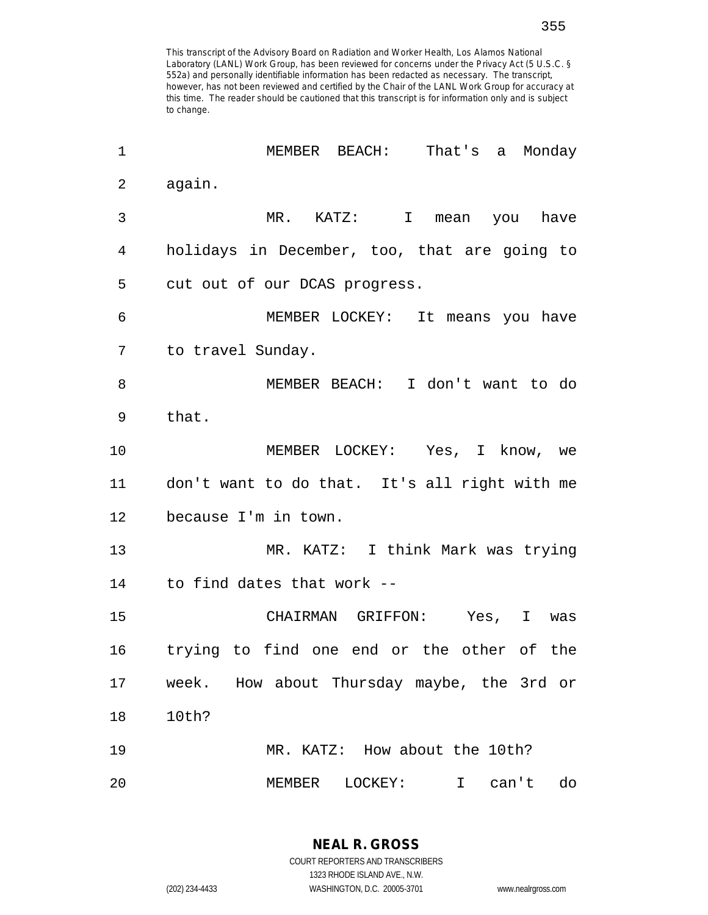| 1  | MEMBER BEACH: That's a Monday                 |
|----|-----------------------------------------------|
| 2  | again.                                        |
| 3  | MR. KATZ: I<br>mean you have                  |
| 4  | holidays in December, too, that are going to  |
| 5  | cut out of our DCAS progress.                 |
| 6  | MEMBER LOCKEY: It means you have              |
| 7  | to travel Sunday.                             |
| 8  | MEMBER BEACH: I don't want to do              |
| 9  | that.                                         |
| 10 | MEMBER LOCKEY: Yes, I know, we                |
| 11 | don't want to do that. It's all right with me |
| 12 | because I'm in town.                          |
| 13 | MR. KATZ: I think Mark was trying             |
| 14 | to find dates that work --                    |
| 15 | CHAIRMAN GRIFFON: Yes, I<br>was               |
| 16 | trying to find one end or the other of the    |
| 17 | week. How about Thursday maybe, the 3rd or    |
| 18 | 10th?                                         |
| 19 | MR. KATZ: How about the 10th?                 |
| 20 | MEMBER<br>LOCKEY:<br>can't<br>do<br>I         |

**NEAL R. GROSS**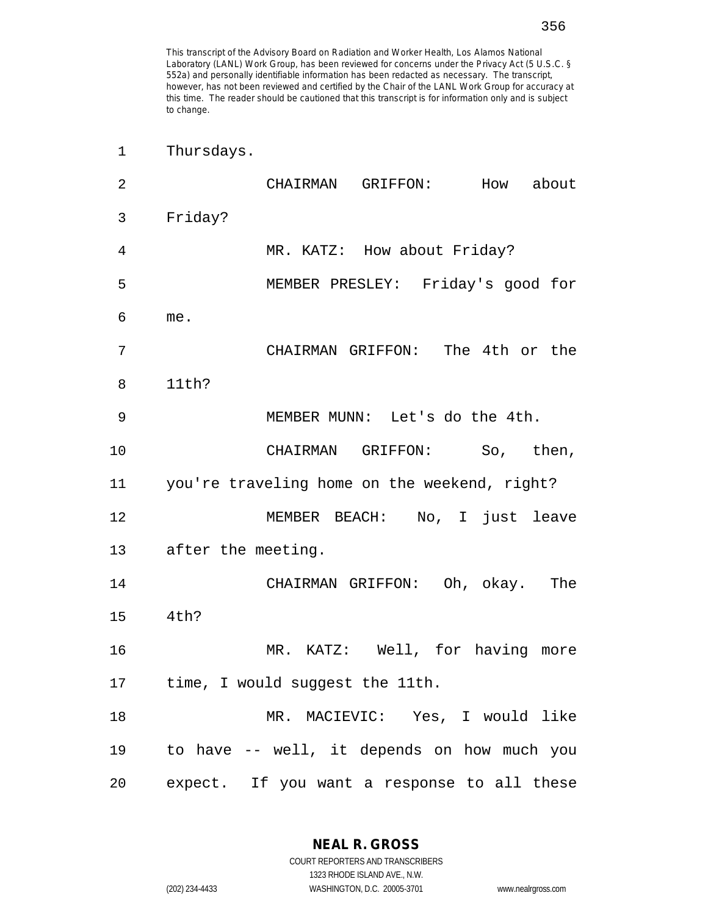1 Thursdays. 2 CHAIRMAN GRIFFON: How about 3 Friday? 4 MR. KATZ: How about Friday? 5 MEMBER PRESLEY: Friday's good for 6 me. 7 CHAIRMAN GRIFFON: The 4th or the 8 11th? 9 MEMBER MUNN: Let's do the 4th. 10 CHAIRMAN GRIFFON: So, then, 11 you're traveling home on the weekend, right? 12 MEMBER BEACH: No, I just leave 13 after the meeting. 14 CHAIRMAN GRIFFON: Oh, okay. The 15 4th? 16 MR. KATZ: Well, for having more 17 time, I would suggest the 11th. 18 MR. MACIEVIC: Yes, I would like 19 to have -- well, it depends on how much you 20 expect. If you want a response to all these

**NEAL R. GROSS**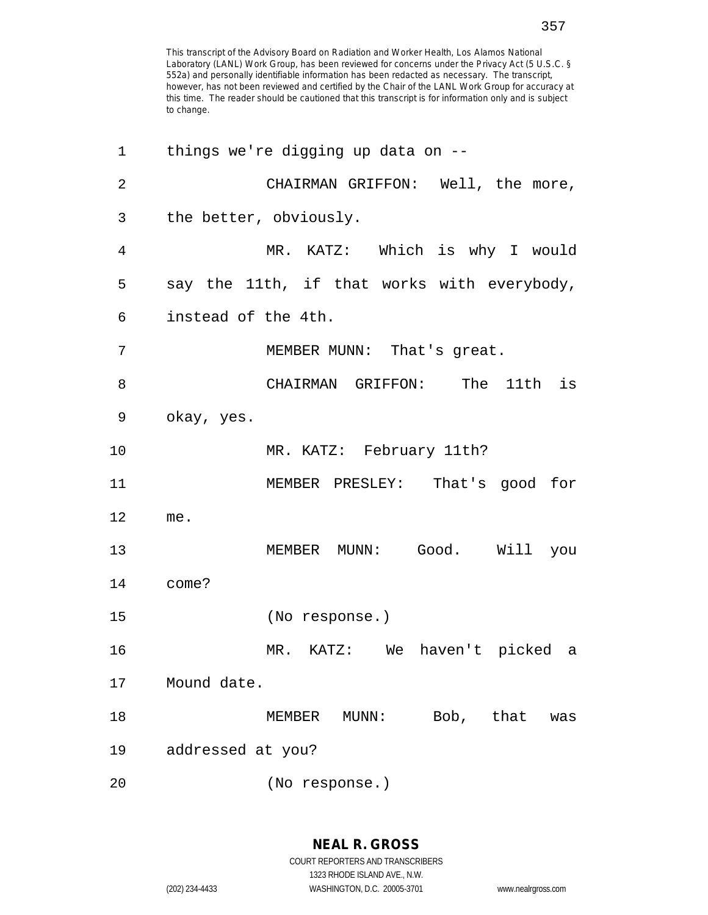| 1              | things we're digging up data on --          |
|----------------|---------------------------------------------|
| $\overline{2}$ | CHAIRMAN GRIFFON: Well, the more,           |
| 3              | the better, obviously.                      |
| 4              | MR. KATZ: Which is why I would              |
| 5              | say the 11th, if that works with everybody, |
| 6              | instead of the 4th.                         |
| 7              | MEMBER MUNN: That's great.                  |
| 8              | CHAIRMAN GRIFFON: The 11th is               |
| 9              | okay, yes.                                  |
| 10             | MR. KATZ: February 11th?                    |
| 11             | MEMBER PRESLEY: That's good for             |
| 12             | me.                                         |
| 13             | MEMBER MUNN: Good. Will you                 |
| 14             | come?                                       |
| 15             | (No response.)                              |
| 16             | MR. KATZ: We haven't picked a               |
| 17             | Mound date.                                 |
| 18             | Bob, that<br>MUNN:<br>MEMBER<br>was         |
| 19             | addressed at you?                           |
| 20             | (No response.)                              |

**NEAL R. GROSS**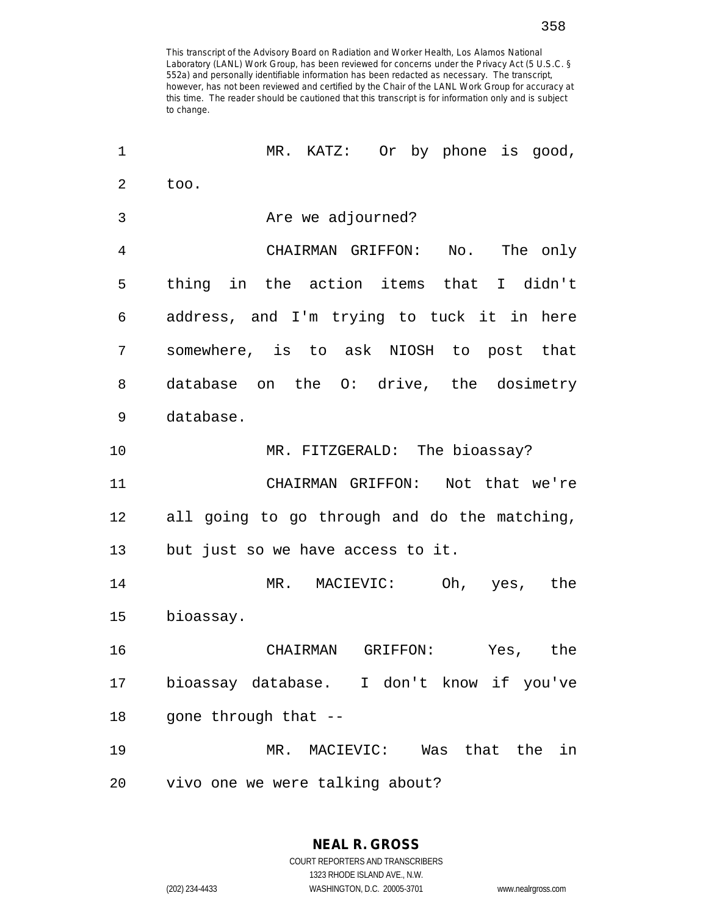| 1  | MR. KATZ: Or by phone is good,               |
|----|----------------------------------------------|
| 2  | too.                                         |
| 3  | Are we adjourned?                            |
| 4  | CHAIRMAN GRIFFON: No. The only               |
| 5  | thing in the action items that I didn't      |
| 6  | address, and I'm trying to tuck it in here   |
| 7  | somewhere, is to ask NIOSH to post that      |
| 8  | database on the 0: drive, the dosimetry      |
| 9  | database.                                    |
| 10 | MR. FITZGERALD: The bioassay?                |
| 11 | CHAIRMAN GRIFFON: Not that we're             |
| 12 | all going to go through and do the matching, |
| 13 | but just so we have access to it.            |
| 14 | MR. MACIEVIC:<br>Oh, yes, the                |
| 15 | bioassay.                                    |
| 16 | Yes, the<br>CHAIRMAN<br>GRIFFON:             |
| 17 | bioassay database. I don't know if you've    |
| 18 | gone through that --                         |
| 19 | MR. MACIEVIC: Was that the<br>in             |
| 20 | vivo one we were talking about?              |

**NEAL R. GROSS** COURT REPORTERS AND TRANSCRIBERS

1323 RHODE ISLAND AVE., N.W.

(202) 234-4433 WASHINGTON, D.C. 20005-3701 www.nealrgross.com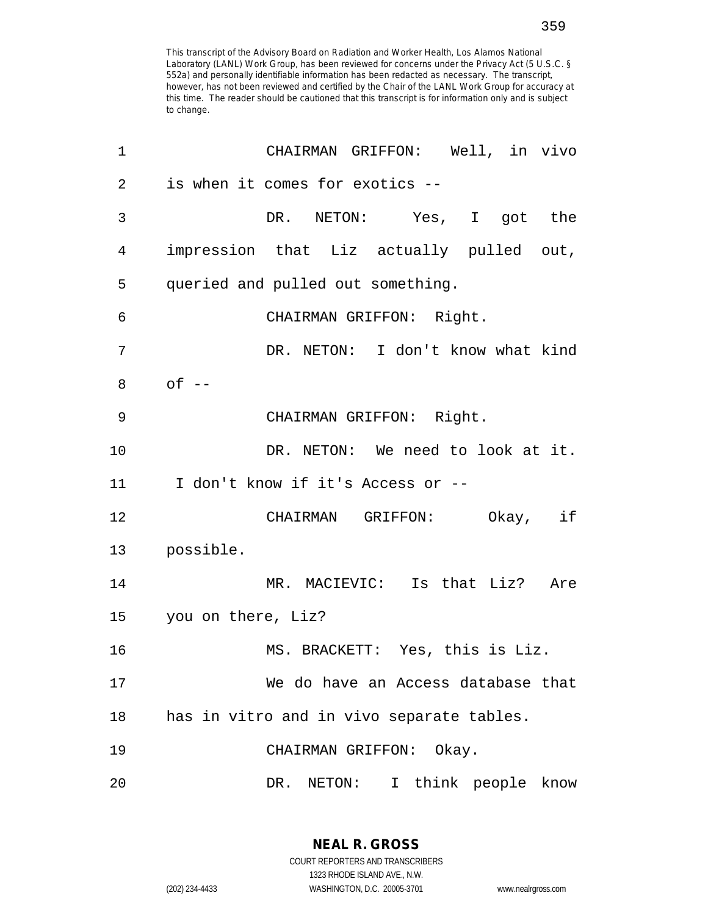| 1              | CHAIRMAN GRIFFON: Well, in vivo                    |
|----------------|----------------------------------------------------|
| $\overline{2}$ | is when it comes for exotics --                    |
| 3              | DR. NETON: Yes, I got the                          |
| 4              | impression that Liz actually pulled out,           |
| 5              | queried and pulled out something.                  |
| 6              | CHAIRMAN GRIFFON: Right.                           |
| 7              | DR. NETON: I don't know what kind                  |
| 8              | $of$ $-$                                           |
| 9              | CHAIRMAN GRIFFON: Right.                           |
| 10             | DR. NETON: We need to look at it.                  |
| 11             | I don't know if it's Access or --                  |
| 12             | Okay, if<br>CHAIRMAN GRIFFON:                      |
| 13             | possible.                                          |
| 14             | MR. MACIEVIC: Is that Liz? Are                     |
| 15             | you on there, Liz?                                 |
| 16             | MS. BRACKETT: Yes, this is Liz.                    |
| 17             | We do have an Access database that                 |
| 18             | has in vitro and in vivo separate tables.          |
| 19             | CHAIRMAN GRIFFON:<br>Okay.                         |
| 20             | think people know<br>DR.<br>NETON:<br>$\mathbf{I}$ |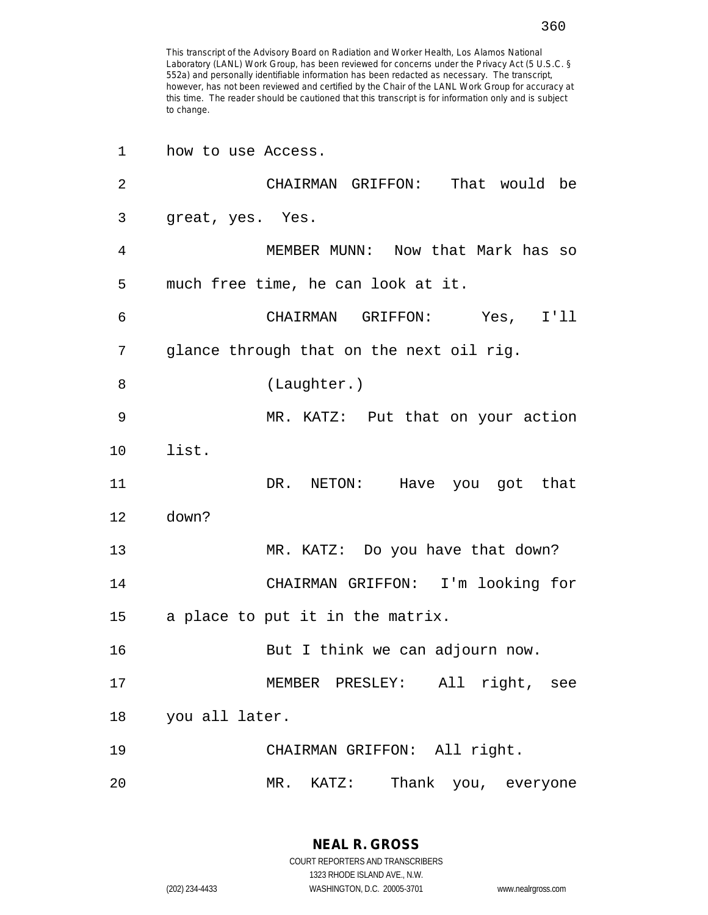| 1<br>how to use Access. |                                          |
|-------------------------|------------------------------------------|
| $\overline{2}$          | CHAIRMAN GRIFFON: That would be          |
| 3<br>great, yes. Yes.   |                                          |
| 4                       | MEMBER MUNN: Now that Mark has so        |
| 5                       | much free time, he can look at it.       |
| 6                       | CHAIRMAN GRIFFON: Yes, I'll              |
| 7                       | glance through that on the next oil rig. |
| 8                       | (Laughter.)                              |
| 9                       | MR. KATZ: Put that on your action        |
| list.<br>10             |                                          |
| 11                      | DR. NETON: Have you got that             |
| down?<br>12             |                                          |
| 13                      | MR. KATZ: Do you have that down?         |
| 14                      | CHAIRMAN GRIFFON: I'm looking for        |
| 15                      | a place to put it in the matrix.         |
| 16                      | But I think we can adjourn now.          |
| 17                      | All right, see<br>MEMBER PRESLEY:        |
| you all later.<br>18    |                                          |
| 19                      | CHAIRMAN GRIFFON: All right.             |
| 20                      | Thank you, everyone<br>MR. KATZ:         |